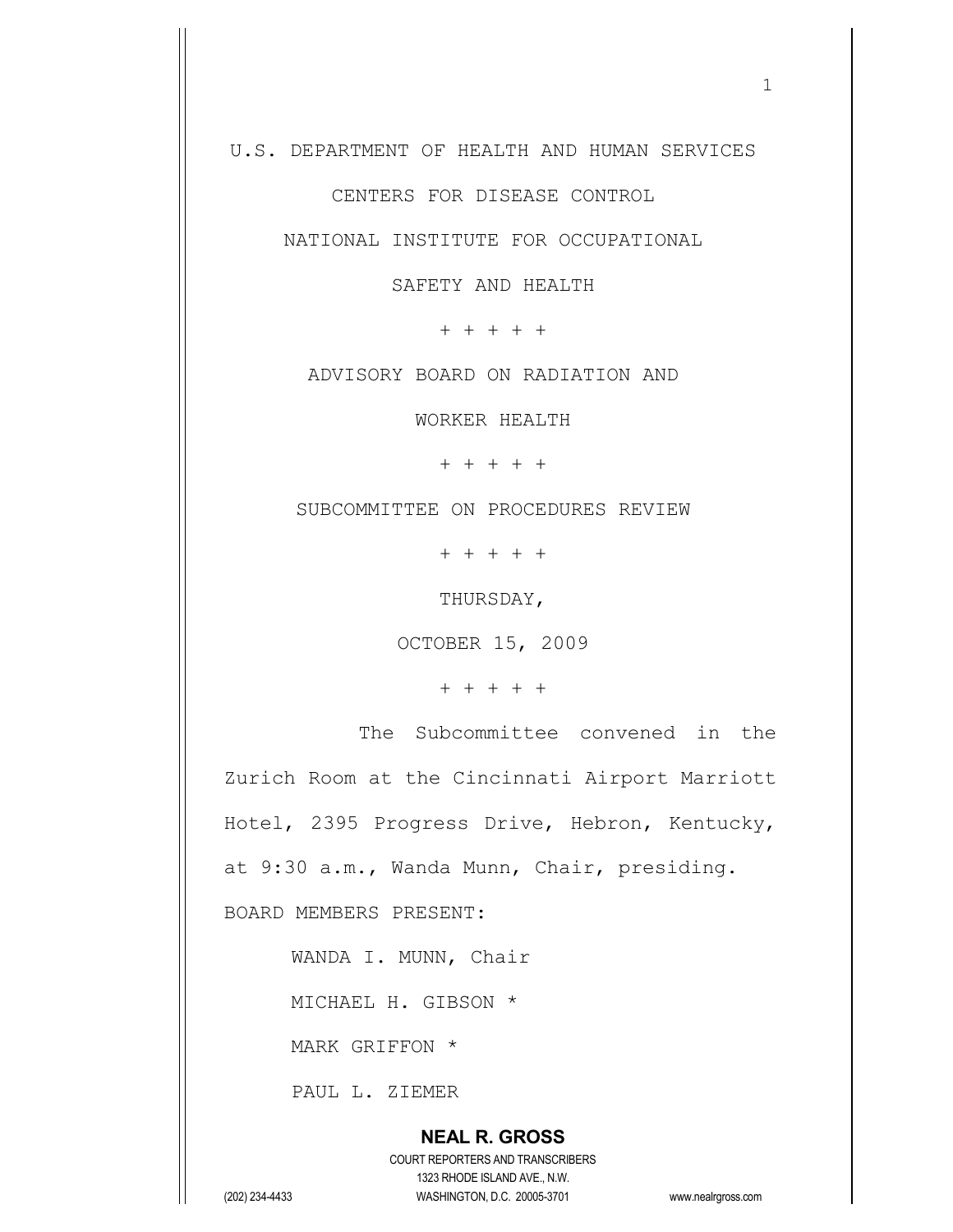U.S. DEPARTMENT OF HEALTH AND HUMAN SERVICES

CENTERS FOR DISEASE CONTROL

NATIONAL INSTITUTE FOR OCCUPATIONAL

SAFETY AND HEALTH

+ + + + +

ADVISORY BOARD ON RADIATION AND

WORKER HEALTH

+ + + + +

SUBCOMMITTEE ON PROCEDURES REVIEW

+ + + + +

THURSDAY,

OCTOBER 15, 2009

+ + + + +

The Subcommittee convened in the Zurich Room at the Cincinnati Airport Marriott Hotel, 2395 Progress Drive, Hebron, Kentucky, at 9:30 a.m., Wanda Munn, Chair, presiding. BOARD MEMBERS PRESENT:

WANDA I. MUNN, Chair

MICHAEL H. GIBSON \*

MARK GRIFFON \*

PAUL L. ZIEMER

## **NEAL R. GROSS** COURT REPORTERS AND TRANSCRIBERS 1323 RHODE ISLAND AVE., N.W. (202) 234-4433 WASHINGTON, D.C. 20005-3701 www.nealrgross.com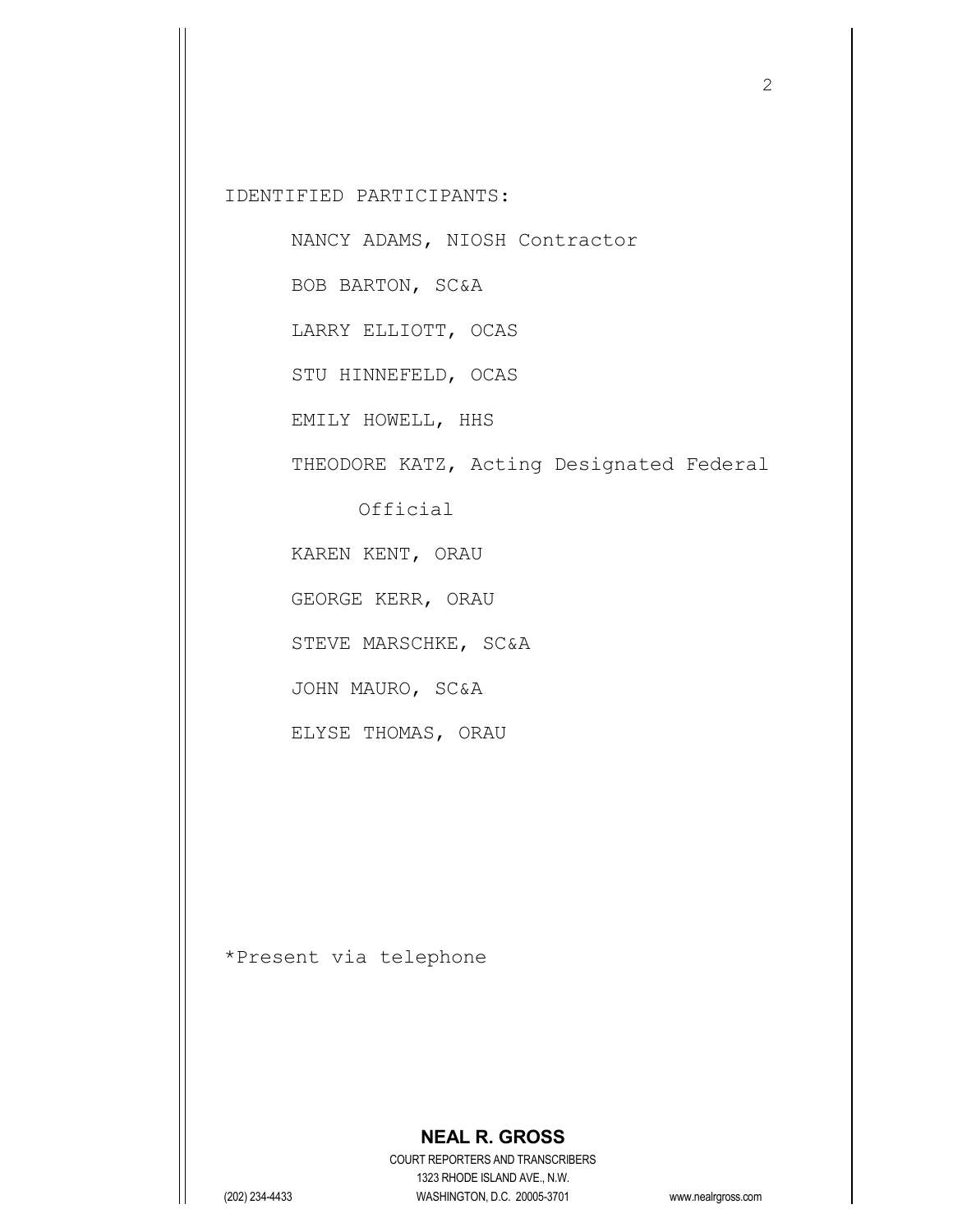IDENTIFIED PARTICIPANTS:

NANCY ADAMS, NIOSH Contractor

BOB BARTON, SC&A

LARRY ELLIOTT, OCAS

STU HINNEFELD, OCAS

EMILY HOWELL, HHS

THEODORE KATZ, Acting Designated Federal

Official

KAREN KENT, ORAU

GEORGE KERR, ORAU

STEVE MARSCHKE, SC&A

JOHN MAURO, SC&A

ELYSE THOMAS, ORAU

\*Present via telephone

## **NEAL R. GROSS**

COURT REPORTERS AND TRANSCRIBERS 1323 RHODE ISLAND AVE., N.W. (202) 234-4433 WASHINGTON, D.C. 20005-3701 www.nealrgross.com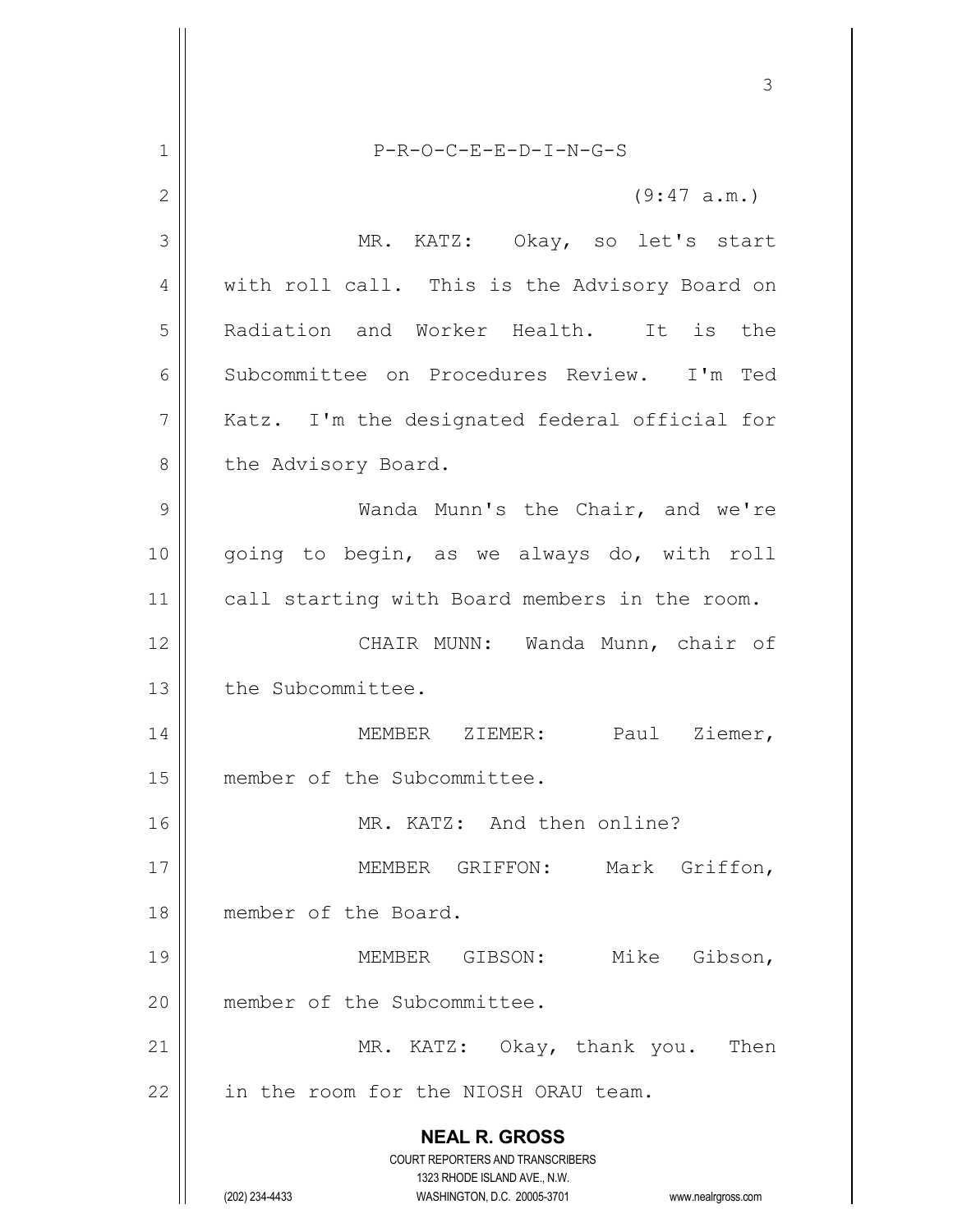**NEAL R. GROSS** COURT REPORTERS AND TRANSCRIBERS 1323 RHODE ISLAND AVE., N.W. (202) 234-4433 WASHINGTON, D.C. 20005-3701 www.nealrgross.com 3 1 P-R-O-C-E-E-D-I-N-G-S  $2 \parallel$  (9:47 a.m.) 3 || MR. KATZ: Okay, so let's start 4 | with roll call. This is the Advisory Board on 5 Radiation and Worker Health. It is the 6 Subcommittee on Procedures Review. I'm Ted 7 | Katz. I'm the designated federal official for 8 | the Advisory Board. 9 Wanda Munn's the Chair, and we're 10 || going to begin, as we always do, with roll 11 || call starting with Board members in the room. 12 CHAIR MUNN: Wanda Munn, chair of 13 | the Subcommittee. 14 MEMBER ZIEMER: Paul Ziemer, 15 | member of the Subcommittee. 16 || MR. KATZ: And then online? 17 || **MEMBER GRIFFON:** Mark Griffon, 18 member of the Board. 19 MEMBER GIBSON: Mike Gibson, 20 | member of the Subcommittee. 21 || MR. KATZ: Okay, thank you. Then  $22$  | in the room for the NIOSH ORAU team.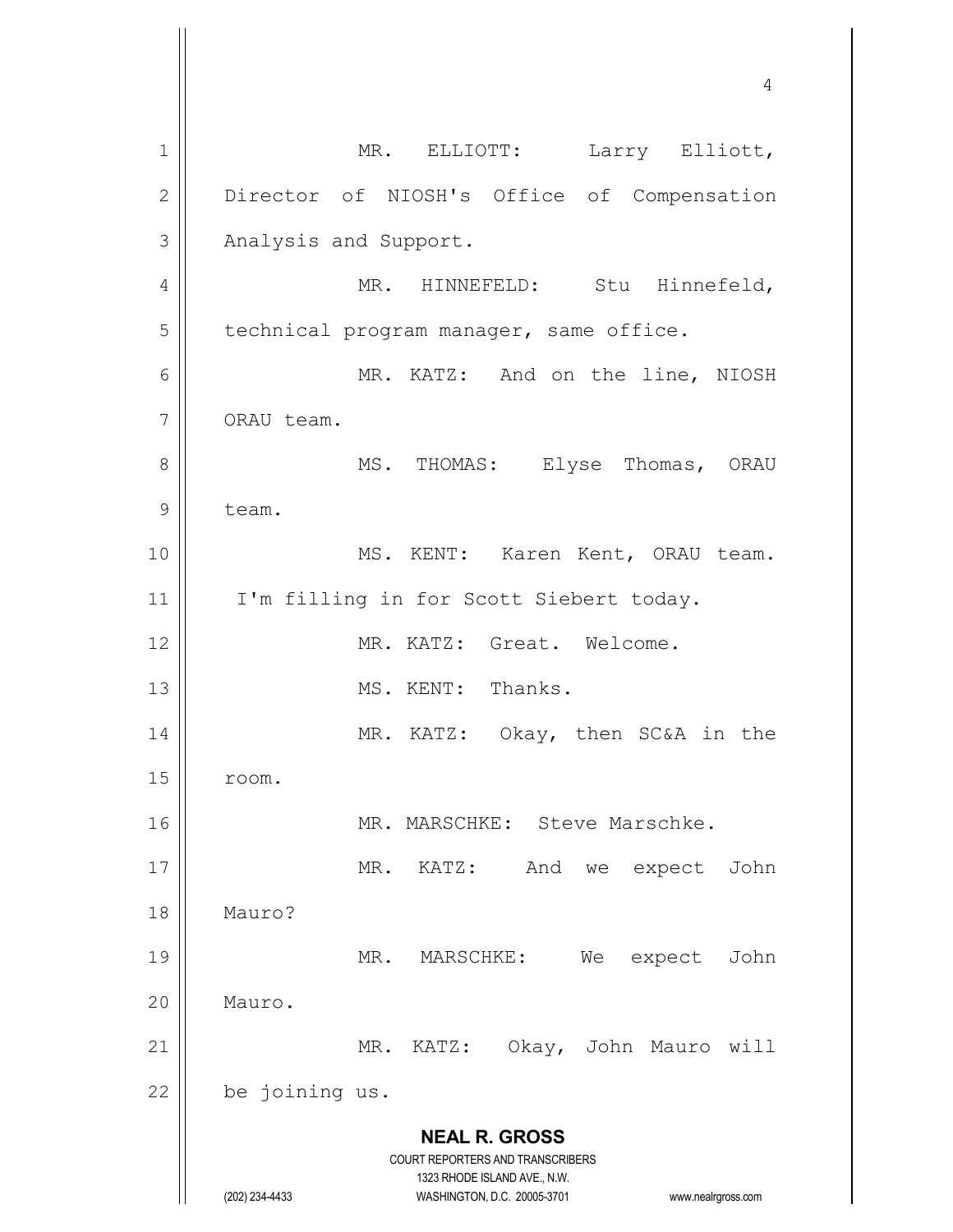**NEAL R. GROSS** COURT REPORTERS AND TRANSCRIBERS 1323 RHODE ISLAND AVE., N.W. (202) 234-4433 WASHINGTON, D.C. 20005-3701 www.nealrgross.com 1 || MR. ELLIOTT: Larry Elliott, 2 | Director of NIOSH's Office of Compensation 3 | Analysis and Support. 4 | MR. HINNEFELD: Stu Hinnefeld,  $5$  | technical program manager, same office. 6 MR. KATZ: And on the line, NIOSH 7 | ORAU team. 8 MS. THOMAS: Elyse Thomas, ORAU 9 | team. 10 || MS. KENT: Karen Kent, ORAU team. 11 || I'm filling in for Scott Siebert today. 12 MR. KATZ: Great. Welcome. 13 || MS. KENT: Thanks. 14 || MR. KATZ: Okay, then SC&A in the  $15$   $\parallel$  room. 16 || MR. MARSCHKE: Steve Marschke. 17 || MR. KATZ: And we expect John 18 Mauro? 19 || MR. MARSCHKE: We expect John 20 | Mauro. 21 || MR. KATZ: Okay, John Mauro will  $22$  | be joining us.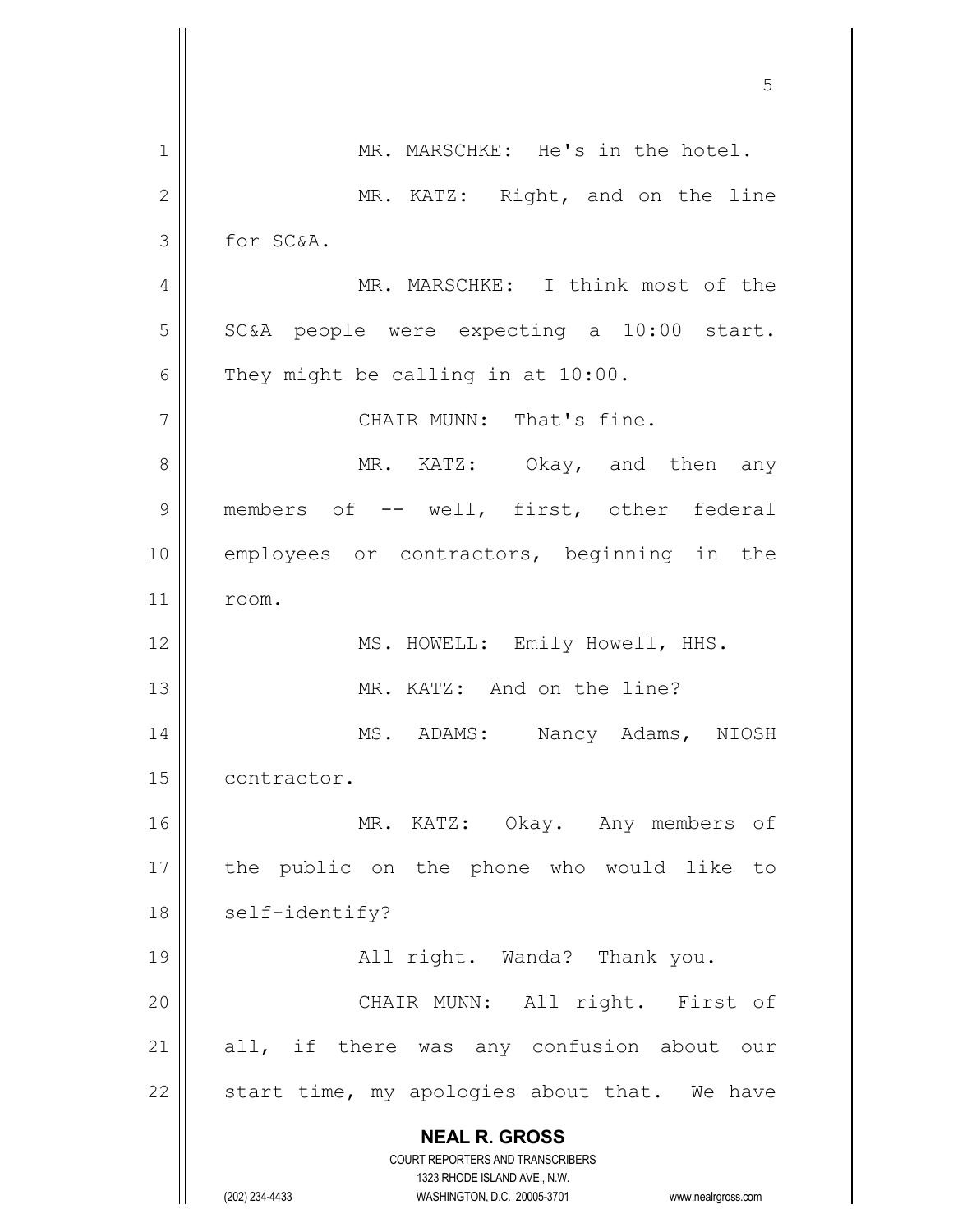|              | 5                                                                   |
|--------------|---------------------------------------------------------------------|
| $\mathbf 1$  | MR. MARSCHKE: He's in the hotel.                                    |
| $\mathbf{2}$ | MR. KATZ: Right, and on the line                                    |
| 3            | for SC&A.                                                           |
| 4            | MR. MARSCHKE: I think most of the                                   |
| 5            | SC&A people were expecting a 10:00 start.                           |
| 6            | They might be calling in at 10:00.                                  |
| 7            | CHAIR MUNN: That's fine.                                            |
| 8            | MR. KATZ: Okay, and then any                                        |
| 9            | members of -- well, first, other federal                            |
| 10           | employees or contractors, beginning in the                          |
| 11           | room.                                                               |
| 12           | MS. HOWELL: Emily Howell, HHS.                                      |
| 13           | MR. KATZ: And on the line?                                          |
| 14           | MS. ADAMS: Nancy Adams, NIOSH                                       |
| 15           | contractor.                                                         |
| 16           | MR. KATZ: Okay. Any members of                                      |
| 17           | the public on the phone who would like to                           |
| 18           | self-identify?                                                      |
| 19           | All right. Wanda? Thank you.                                        |
| 20           | CHAIR MUNN: All right. First of                                     |
| 21           | all, if there was any confusion about our                           |
| 22           | start time, my apologies about that. We have                        |
|              | <b>NEAL R. GROSS</b>                                                |
|              | COURT REPORTERS AND TRANSCRIBERS<br>1323 RHODE ISLAND AVE., N.W.    |
|              | (202) 234-4433<br>WASHINGTON, D.C. 20005-3701<br>www.nealrgross.com |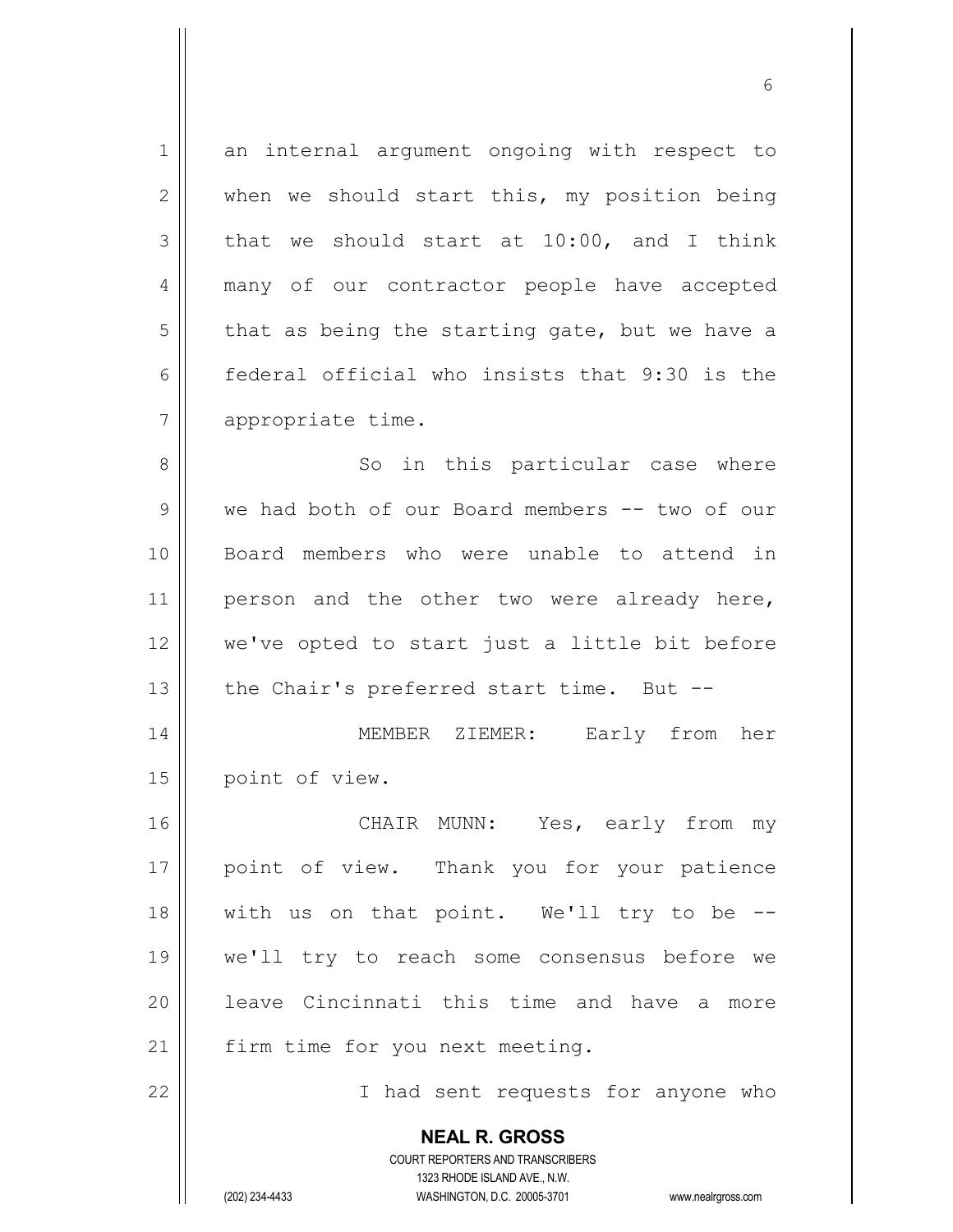1 an internal argument ongoing with respect to  $2 \parallel$  when we should start this, my position being  $3 \parallel$  that we should start at 10:00, and I think 4 || many of our contractor people have accepted  $5$  that as being the starting gate, but we have a 6 federal official who insists that 9:30 is the 7 | appropriate time. 8 || So in this particular case where 9 we had both of our Board members -- two of our 10 Board members who were unable to attend in 11 || person and the other two were already here, 12 we've opted to start just a little bit before 13  $\parallel$  the Chair's preferred start time. But --14 MEMBER ZIEMER: Early from her 15 | point of view. 16 CHAIR MUNN: Yes, early from my 17 || point of view. Thank you for your patience 18 with us on that point. We'll try to be -- 19 we'll try to reach some consensus before we 20 leave Cincinnati this time and have a more

21 | firm time for you next meeting.

22 || Thad sent requests for anyone who

**NEAL R. GROSS** COURT REPORTERS AND TRANSCRIBERS

1323 RHODE ISLAND AVE., N.W. (202) 234-4433 WASHINGTON, D.C. 20005-3701 www.nealrgross.com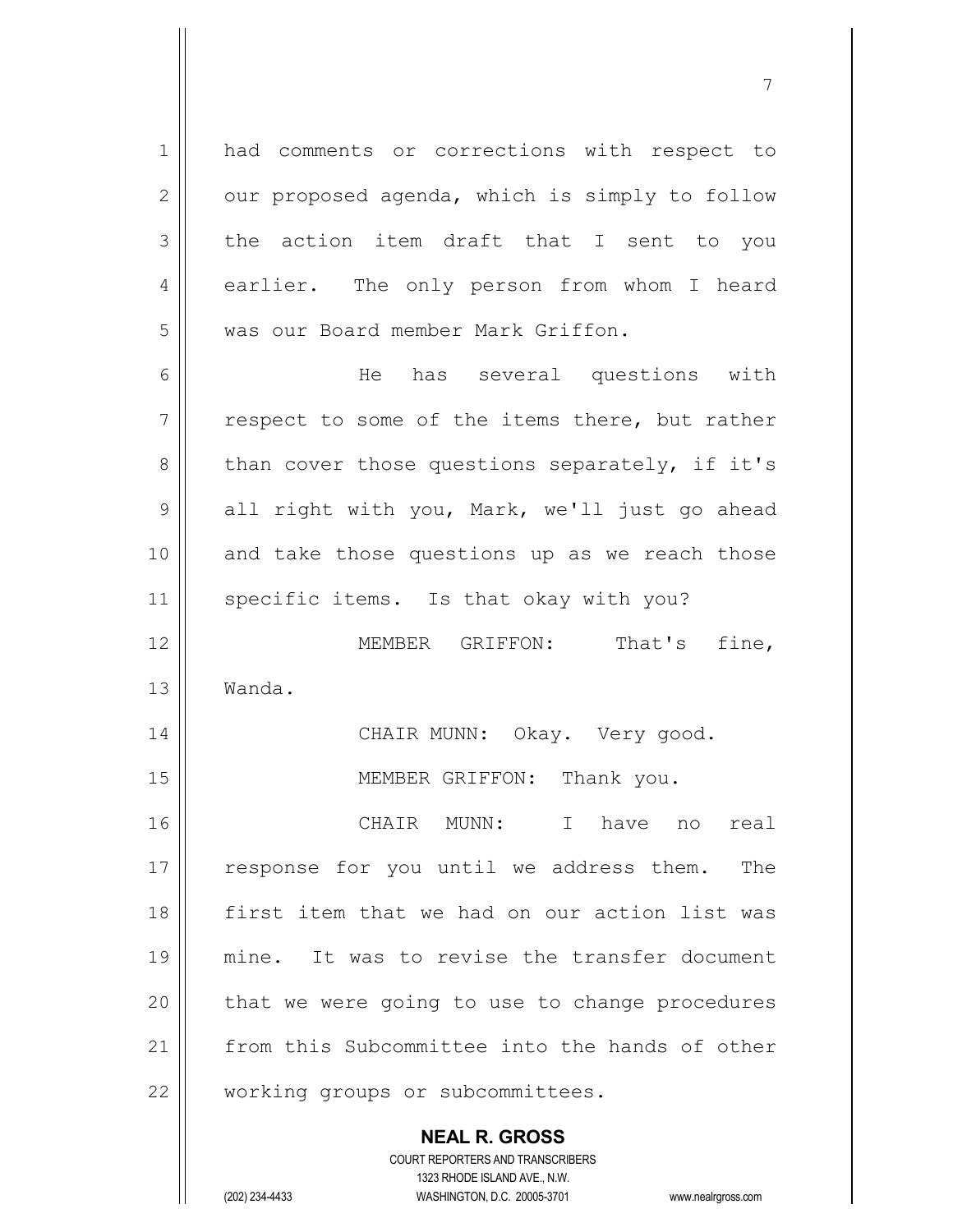1 || had comments or corrections with respect to  $2 \parallel$  our proposed agenda, which is simply to follow  $3 \parallel$  the action item draft that I sent to you 4 || earlier. The only person from whom I heard 5 | was our Board member Mark Griffon.

6 He has several questions with  $7 \parallel$  respect to some of the items there, but rather  $8 \parallel$  than cover those questions separately, if it's 9 all right with you, Mark, we'll just go ahead 10 and take those questions up as we reach those 11 | specific items. Is that okay with you? 12 MEMBER GRIFFON: That's fine, 13 Wanda. 14 || CHAIR MUNN: Okay. Very good. 15 || MEMBER GRIFFON: Thank you.

16 CHAIR MUNN: I have no real 17 || response for you until we address them. The 18 first item that we had on our action list was 19 mine. It was to revise the transfer document  $20$  | that we were going to use to change procedures 21 from this Subcommittee into the hands of other 22 || working groups or subcommittees.

> **NEAL R. GROSS** COURT REPORTERS AND TRANSCRIBERS

> > 1323 RHODE ISLAND AVE., N.W.

(202) 234-4433 WASHINGTON, D.C. 20005-3701 www.nealrgross.com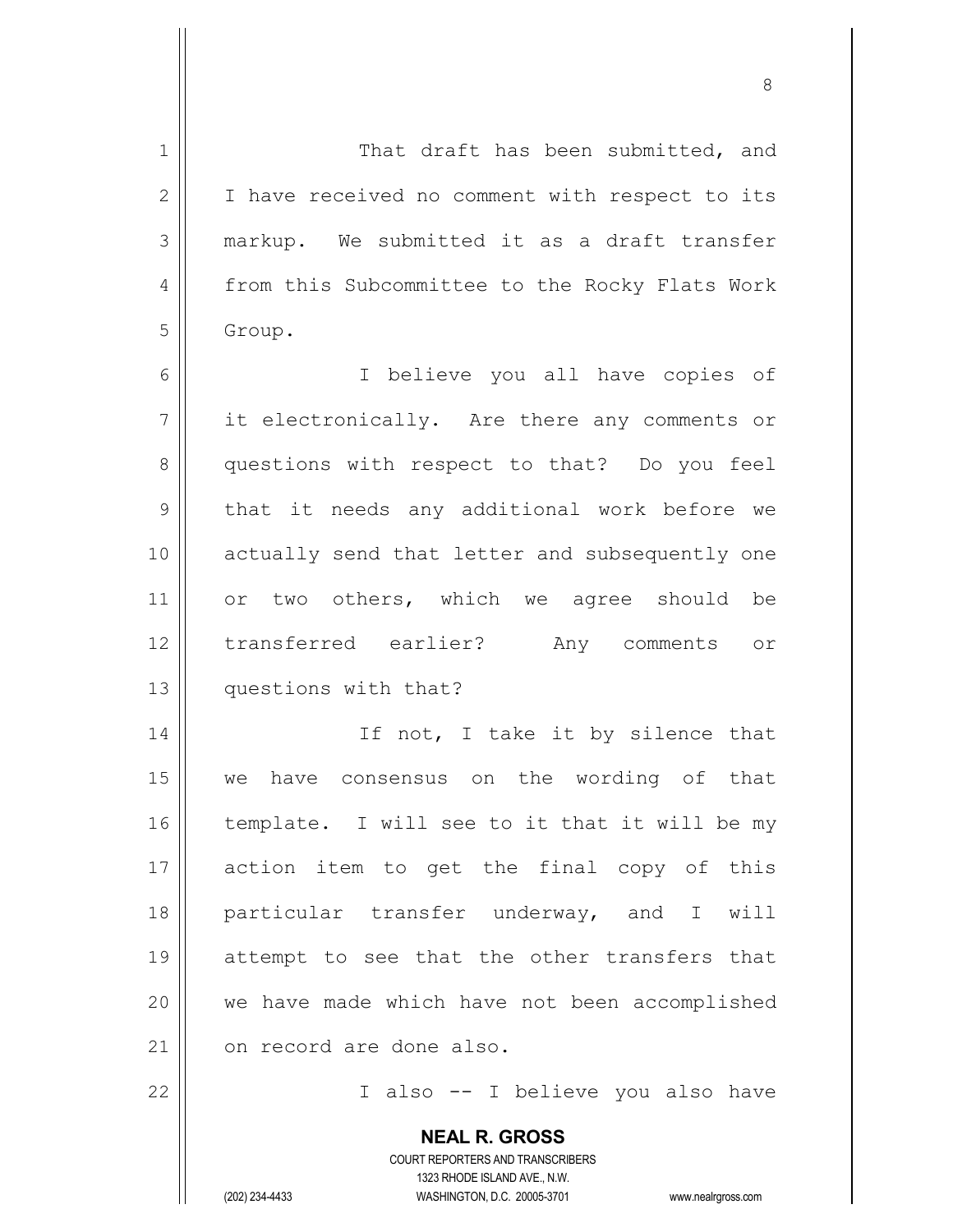| 1  | That draft has been submitted, and                       |
|----|----------------------------------------------------------|
| 2  | I have received no comment with respect to its           |
| 3  | markup. We submitted it as a draft transfer              |
| 4  | from this Subcommittee to the Rocky Flats Work           |
| 5  | Group.                                                   |
| 6  | I believe you all have copies of                         |
| 7  | it electronically. Are there any comments or             |
| 8  | questions with respect to that? Do you feel              |
| 9  | that it needs any additional work before we              |
| 10 | actually send that letter and subsequently one           |
| 11 | or two others, which we agree should be                  |
| 12 | transferred earlier? Any comments or                     |
| 13 | questions with that?                                     |
| 14 | If not, I take it by silence that                        |
| 15 | we have consensus on the wording of that                 |
| 16 | template. I will see to it that it will be my            |
| 17 | action item to get the final copy of this                |
| 18 | particular transfer underway, and I will                 |
| 19 | attempt to see that the other transfers that             |
| 20 | we have made which have not been accomplished            |
| 21 | on record are done also.                                 |
| 22 | I also -- I believe you also have                        |
|    | <b>NEAL R. GROSS</b><br>COURT REPORTERS AND TRANSCRIBERS |

1323 RHODE ISLAND AVE., N.W. (202) 234-4433 WASHINGTON, D.C. 20005-3701 www.nealrgross.com

 $\prod$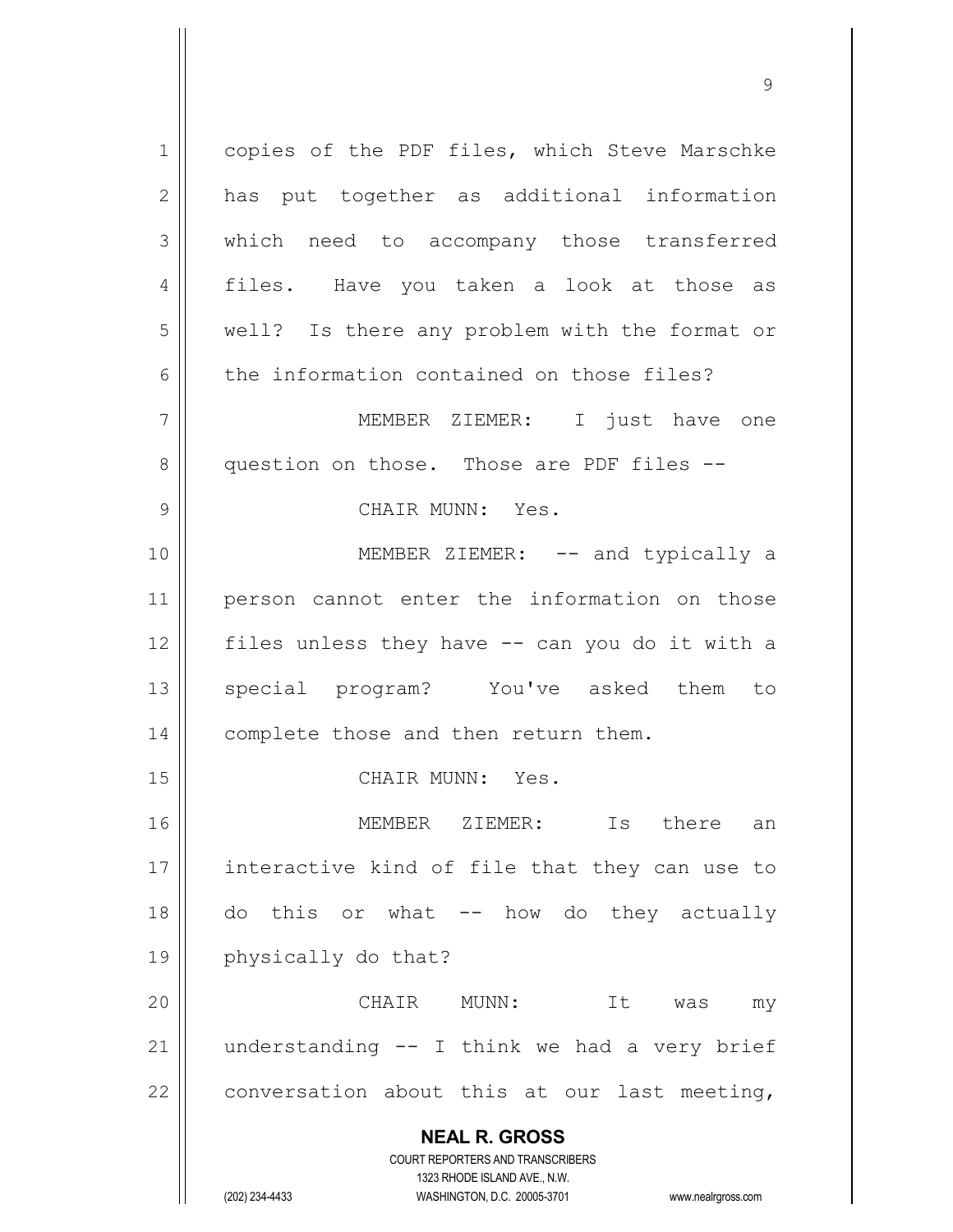**NEAL R. GROSS** COURT REPORTERS AND TRANSCRIBERS 1323 RHODE ISLAND AVE., N.W. 1 | copies of the PDF files, which Steve Marschke 2 || has put together as additional information 3 which need to accompany those transferred 4 files. Have you taken a look at those as 5 || well? Is there any problem with the format or  $6 \parallel$  the information contained on those files? 7 MEMBER ZIEMER: I just have one 8 || question on those. Those are PDF files --9 || CHAIR MUNN: Yes. 10 || MEMBER ZIEMER: -- and typically a 11 person cannot enter the information on those  $12$  | files unless they have  $-$  can you do it with a 13 || special program? You've asked them to 14 | complete those and then return them. 15 CHAIR MUNN: Yes. 16 MEMBER ZIEMER: Is there an 17 || interactive kind of file that they can use to 18 do this or what -- how do they actually 19 physically do that? 20 CHAIR MUNN: It was my 21  $\parallel$  understanding -- I think we had a very brief  $22$  | conversation about this at our last meeting,

(202) 234-4433 WASHINGTON, D.C. 20005-3701 www.nealrgross.com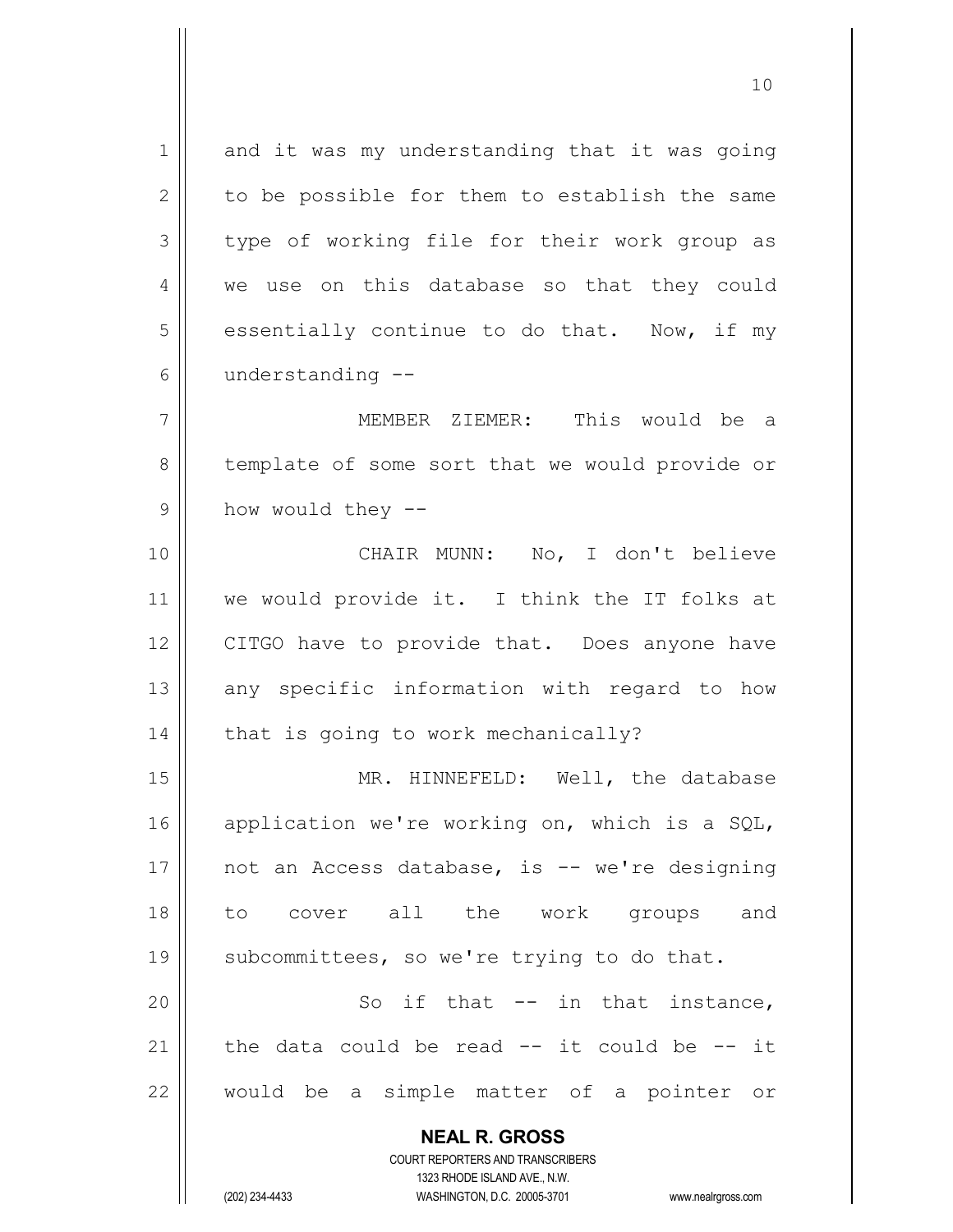**NEAL R. GROSS** COURT REPORTERS AND TRANSCRIBERS  $1$  and it was my understanding that it was going  $2 \parallel$  to be possible for them to establish the same  $3 \parallel$  type of working file for their work group as 4 we use on this database so that they could  $5 \parallel$  essentially continue to do that. Now, if my  $6 \parallel$  understanding  $-$ 7 MEMBER ZIEMER: This would be a 8 || template of some sort that we would provide or  $9 \parallel$  how would they  $-$ 10 CHAIR MUNN: No, I don't believe 11 || we would provide it. I think the IT folks at 12 || CITGO have to provide that. Does anyone have  $13$  any specific information with regard to how  $14$  | that is going to work mechanically? 15 || MR. HINNEFELD: Well, the database 16 application we're working on, which is a SQL, 17  $\parallel$  not an Access database, is -- we're designing 18 to cover all the work groups and 19  $\parallel$  subcommittees, so we're trying to do that. 20 || So if that -- in that instance, 21  $\parallel$  the data could be read  $-$  it could be  $-$  it 22 would be a simple matter of a pointer or

1323 RHODE ISLAND AVE., N.W.

(202) 234-4433 WASHINGTON, D.C. 20005-3701 www.nealrgross.com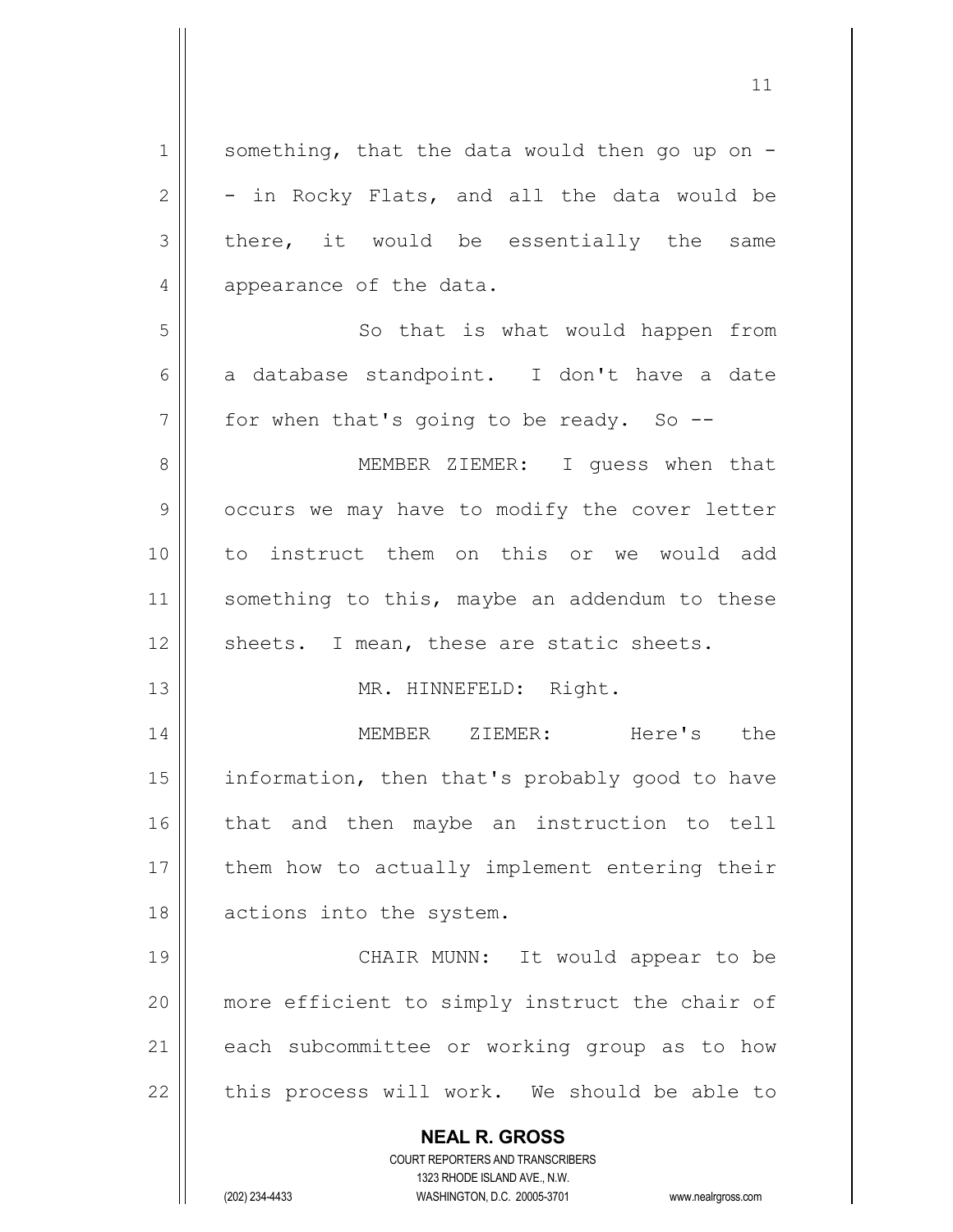**NEAL R. GROSS** COURT REPORTERS AND TRANSCRIBERS 1323 RHODE ISLAND AVE., N.W. 1  $\parallel$  something, that the data would then go up on - $2 \parallel -i$ n Rocky Flats, and all the data would be  $3 \parallel$  there, it would be essentially the same 4 appearance of the data. 5 || So that is what would happen from 6 a database standpoint. I don't have a date  $7 \parallel$  for when that's going to be ready. So --8 || MEMBER ZIEMER: I quess when that 9 | occurs we may have to modify the cover letter 10 to instruct them on this or we would add 11 || something to this, maybe an addendum to these  $12$  | sheets. I mean, these are static sheets. 13 || MR. HINNEFELD: Right. 14 MEMBER ZIEMER: Here's the 15 | information, then that's probably good to have 16 || that and then maybe an instruction to tell 17 || them how to actually implement entering their 18 || actions into the system. 19 || CHAIR MUNN: It would appear to be 20 || more efficient to simply instruct the chair of 21 || each subcommittee or working group as to how  $22$  || this process will work. We should be able to

(202) 234-4433 WASHINGTON, D.C. 20005-3701 www.nealrgross.com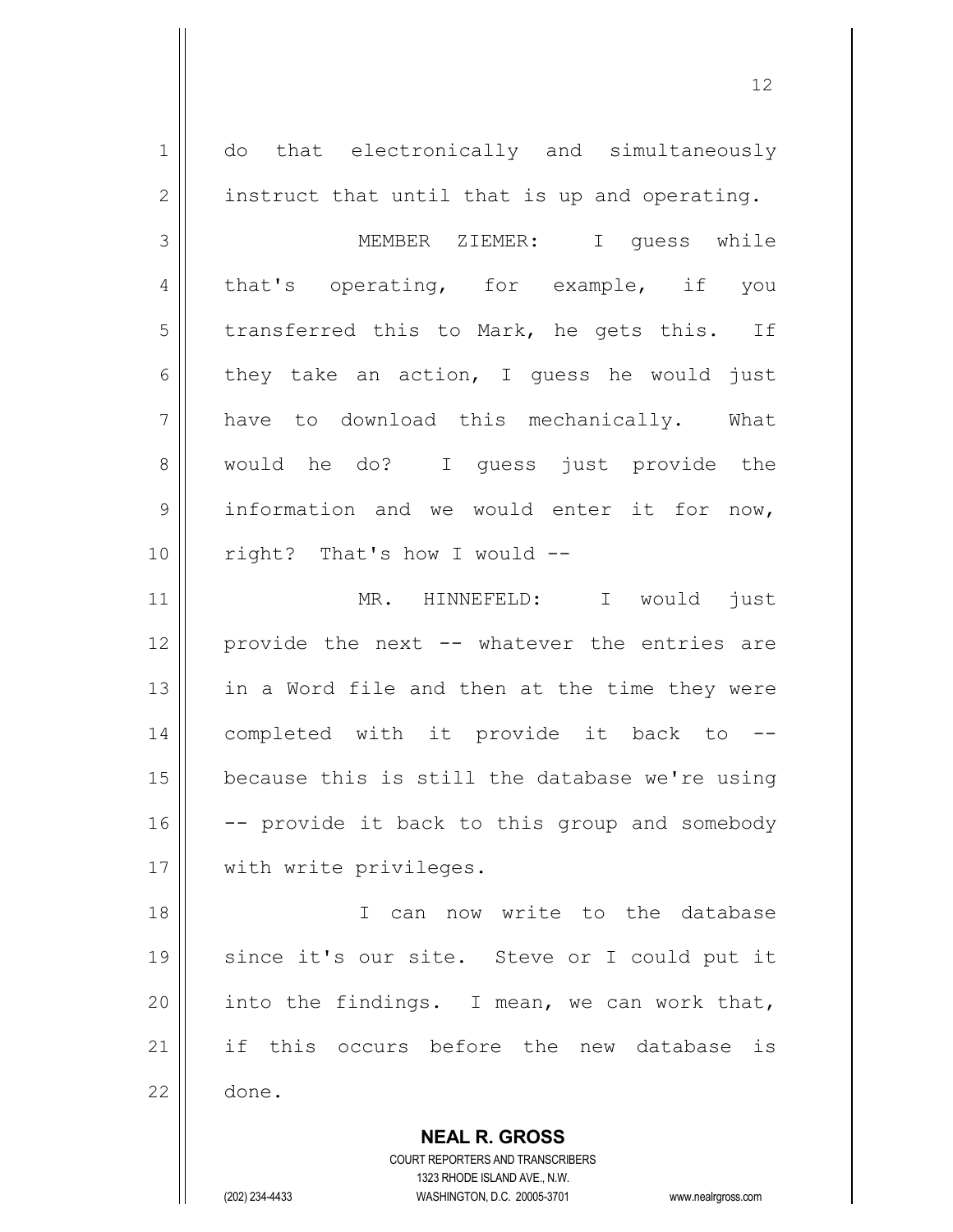**NEAL R. GROSS** COURT REPORTERS AND TRANSCRIBERS 1 || do that electronically and simultaneously  $2 \parallel$  instruct that until that is up and operating. 3 MEMBER ZIEMER: I guess while 4 that's operating, for example, if you  $5$  transferred this to Mark, he gets this. If  $6 \parallel$  they take an action, I quess he would just 7 have to download this mechanically. What 8 would he do? I guess just provide the 9 | information and we would enter it for now, 10 || right? That's how I would --11 || MR. HINNEFELD: I would just 12 provide the next -- whatever the entries are 13  $\parallel$  in a Word file and then at the time they were 14 completed with it provide it back to --  $15$  because this is still the database we're using  $16$   $\vert$  -- provide it back to this group and somebody 17 || with write privileges. 18 I can now write to the database 19 since it's our site. Steve or I could put it 20 | into the findings. I mean, we can work that, 21 || if this occurs before the new database is 22 done.

1323 RHODE ISLAND AVE., N.W.

(202) 234-4433 WASHINGTON, D.C. 20005-3701 www.nealrgross.com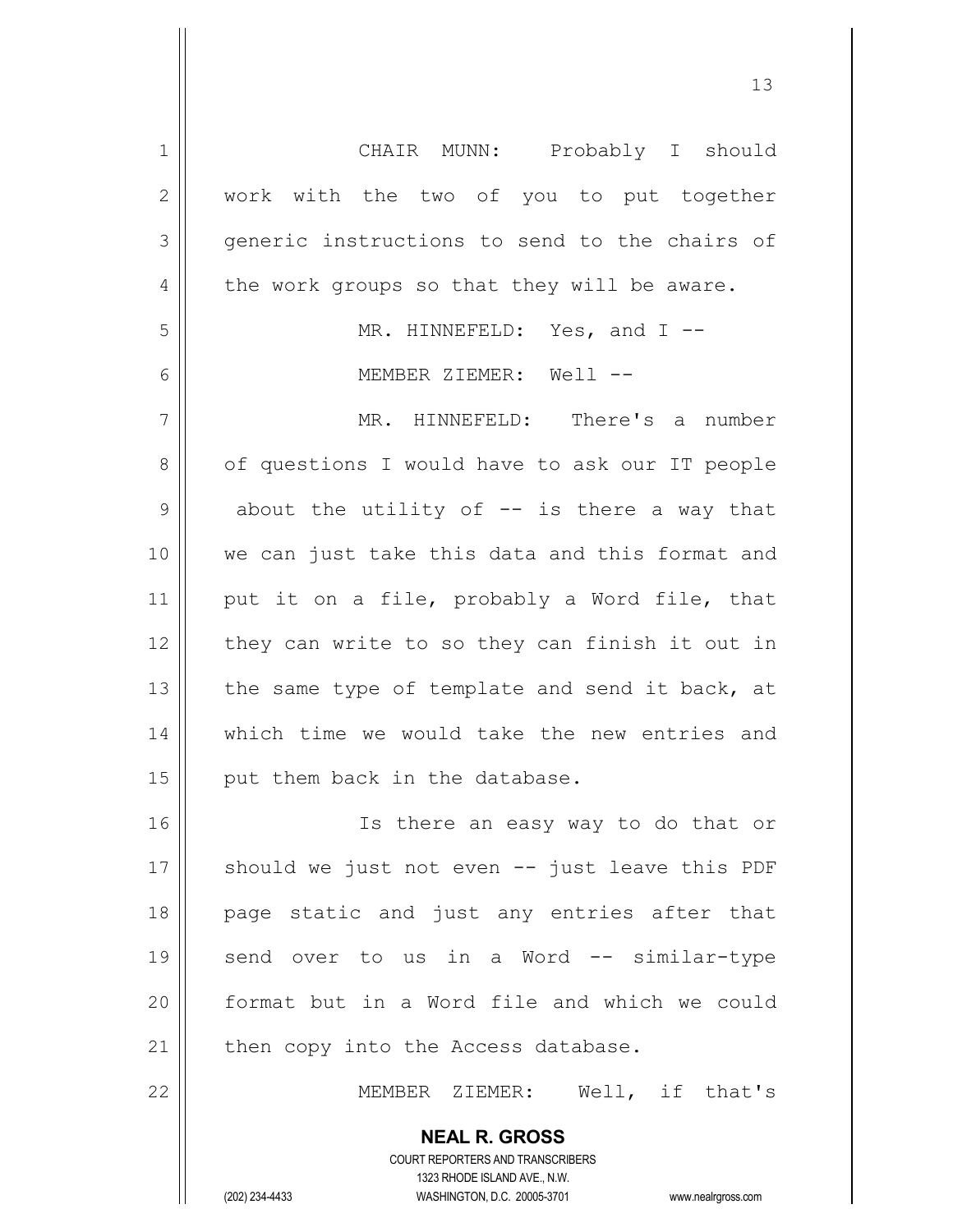| $\mathbf 1$    | CHAIR MUNN: Probably I should                                                                       |
|----------------|-----------------------------------------------------------------------------------------------------|
| $\mathbf{2}$   | work with the two of you to put together                                                            |
| 3              | generic instructions to send to the chairs of                                                       |
| 4              | the work groups so that they will be aware.                                                         |
| 5              | MR. HINNEFELD: Yes, and I --                                                                        |
| 6              | MEMBER ZIEMER: Well --                                                                              |
| $\overline{7}$ | MR. HINNEFELD: There's a number                                                                     |
| 8              | of questions I would have to ask our IT people                                                      |
| $\mathcal{G}$  | about the utility of $-$ is there a way that                                                        |
| 10             | we can just take this data and this format and                                                      |
| 11             | put it on a file, probably a Word file, that                                                        |
| 12             | they can write to so they can finish it out in                                                      |
| 13             | the same type of template and send it back, at                                                      |
| 14             | which time we would take the new entries and                                                        |
| 15             | put them back in the database.                                                                      |
|                |                                                                                                     |
| 16             | Is there an easy way to do that or                                                                  |
| 17             | should we just not even -- just leave this PDF                                                      |
| 18             | page static and just any entries after that                                                         |
| 19             | send over to us in a Word -- similar-type                                                           |
| 20             | format but in a Word file and which we could                                                        |
| 21             | then copy into the Access database.                                                                 |
| 22             | MEMBER ZIEMER: Well, if that's                                                                      |
|                | <b>NEAL R. GROSS</b>                                                                                |
|                | <b>COURT REPORTERS AND TRANSCRIBERS</b>                                                             |
|                | 1323 RHODE ISLAND AVE., N.W.<br>(202) 234-4433<br>WASHINGTON, D.C. 20005-3701<br>www.nealrgross.com |
|                |                                                                                                     |

 $\mathsf{I}$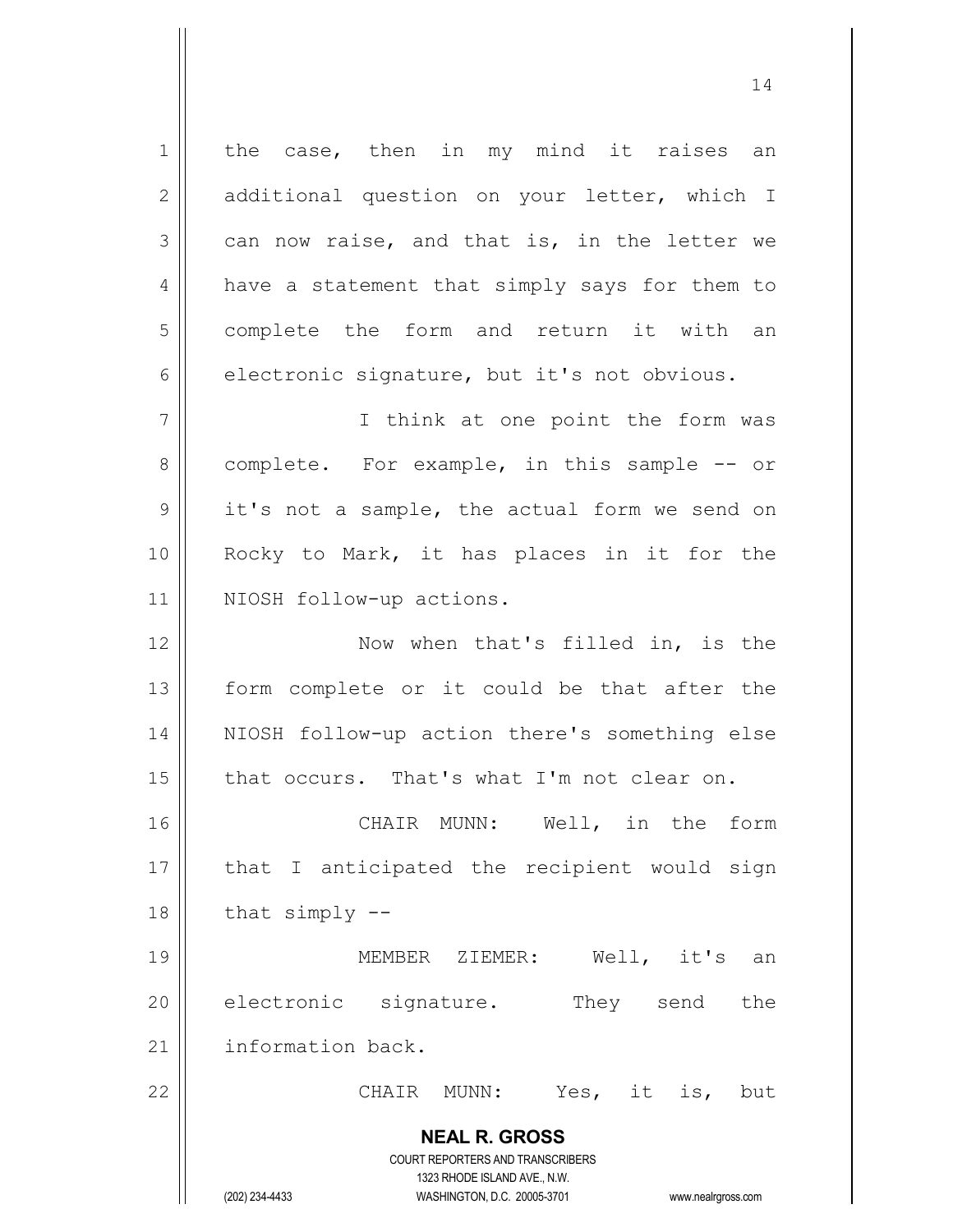**NEAL R. GROSS** COURT REPORTERS AND TRANSCRIBERS 1323 RHODE ISLAND AVE., N.W. 1 || the case, then in my mind it raises an 2 || additional question on your letter, which I  $3 \parallel$  can now raise, and that is, in the letter we 4 | have a statement that simply says for them to 5 | complete the form and return it with an  $6 \parallel$  electronic signature, but it's not obvious. 7 || Think at one point the form was 8 complete. For example, in this sample -- or  $9 \parallel$  it's not a sample, the actual form we send on 10 || Rocky to Mark, it has places in it for the 11 || NIOSH follow-up actions. 12 || Now when that's filled in, is the 13 || form complete or it could be that after the 14 NIOSH follow-up action there's something else 15  $\parallel$  that occurs. That's what I'm not clear on. 16 || CHAIR MUNN: Well, in the form  $17$  || that I anticipated the recipient would sign  $18$  | that simply  $-$ 19 MEMBER ZIEMER: Well, it's an 20 electronic signature. They send the 21 | information back. 22 || CHAIR MUNN: Yes, it is, but

(202) 234-4433 WASHINGTON, D.C. 20005-3701 www.nealrgross.com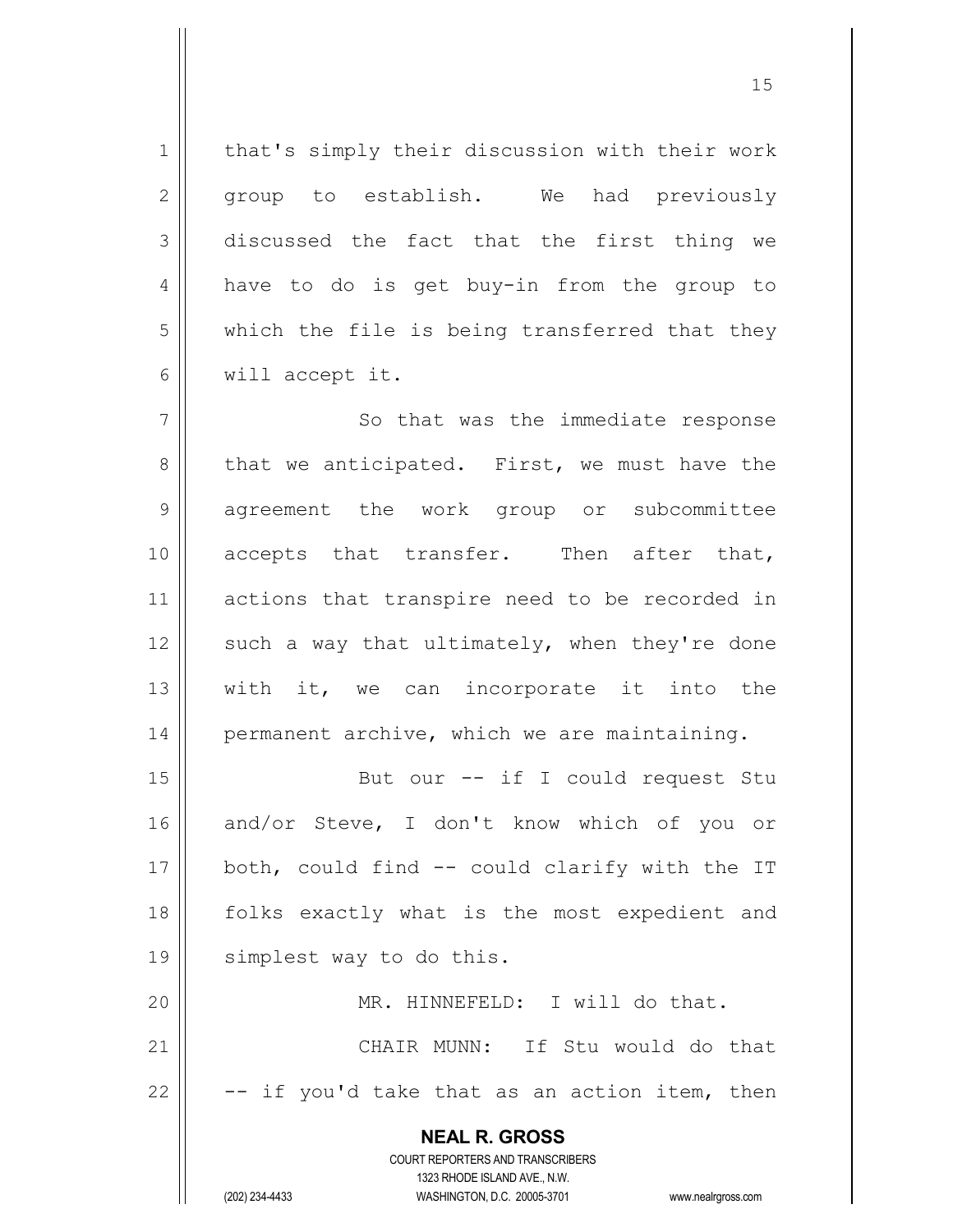1 | that's simply their discussion with their work 2 group to establish. We had previously  $3 \parallel$  discussed the fact that the first thing we 4 || have to do is get buy-in from the group to  $5 \parallel$  which the file is being transferred that they 6 will accept it. 7 || So that was the immediate response 8 || that we anticipated. First, we must have the 9 || agreement the work group or subcommittee 10 || accepts that transfer. Then after that, 11 || actions that transpire need to be recorded in 12  $\parallel$  such a way that ultimately, when they're done  $13$  || with it, we can incorporate it into the 14 || permanent archive, which we are maintaining. 15 || But our -- if I could request Stu 16 and/or Steve, I don't know which of you or 17  $\parallel$  both, could find -- could clarify with the IT 18 folks exactly what is the most expedient and 19 simplest way to do this. 20 MR. HINNEFELD: I will do that. 21 CHAIR MUNN: If Stu would do that 22  $\vert$  -- if you'd take that as an action item, then

> **NEAL R. GROSS** COURT REPORTERS AND TRANSCRIBERS 1323 RHODE ISLAND AVE., N.W.

(202) 234-4433 WASHINGTON, D.C. 20005-3701 www.nealrgross.com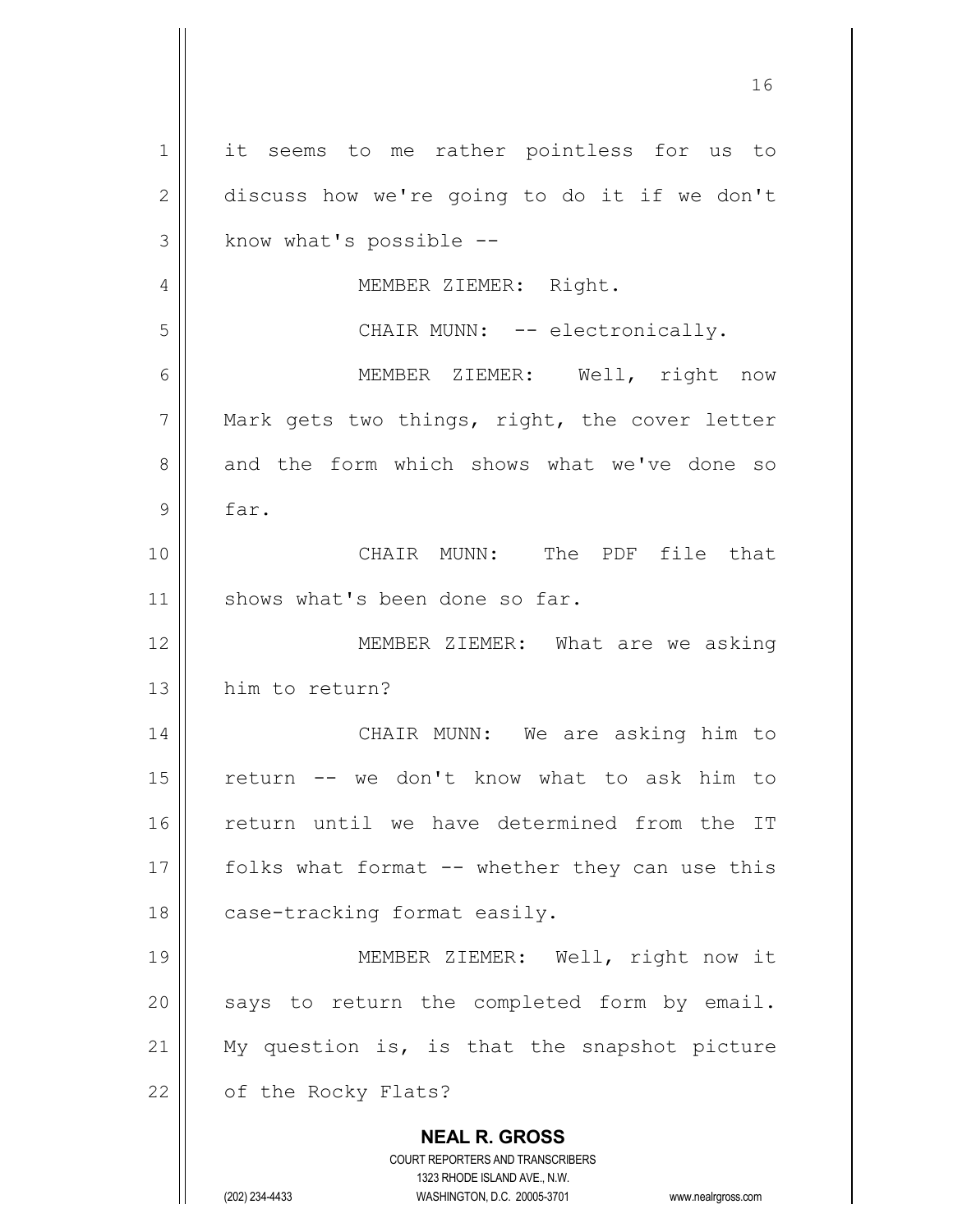**NEAL R. GROSS** COURT REPORTERS AND TRANSCRIBERS 1323 RHODE ISLAND AVE., N.W. (202) 234-4433 WASHINGTON, D.C. 20005-3701 www.nealrgross.com 1 || it seems to me rather pointless for us to 2 discuss how we're going to do it if we don't  $3 \parallel$  know what's possible --4 | MEMBER ZIEMER: Right. 5 || CHAIR MUNN: -- electronically. 6 || MEMBER ZIEMER: Well, right now  $7$  || Mark gets two things, right, the cover letter 8 and the form which shows what we've done so 9 far. 10 CHAIR MUNN: The PDF file that 11 | shows what's been done so far. 12 MEMBER ZIEMER: What are we asking 13 him to return? 14 || CHAIR MUNN: We are asking him to 15 return -- we don't know what to ask him to 16 || return until we have determined from the IT 17  $\parallel$  folks what format -- whether they can use this 18 | case-tracking format easily. 19 || MEMBER ZIEMER: Well, right now it  $20$  || says to return the completed form by email. 21 || My question is, is that the snapshot picture 22 | of the Rocky Flats?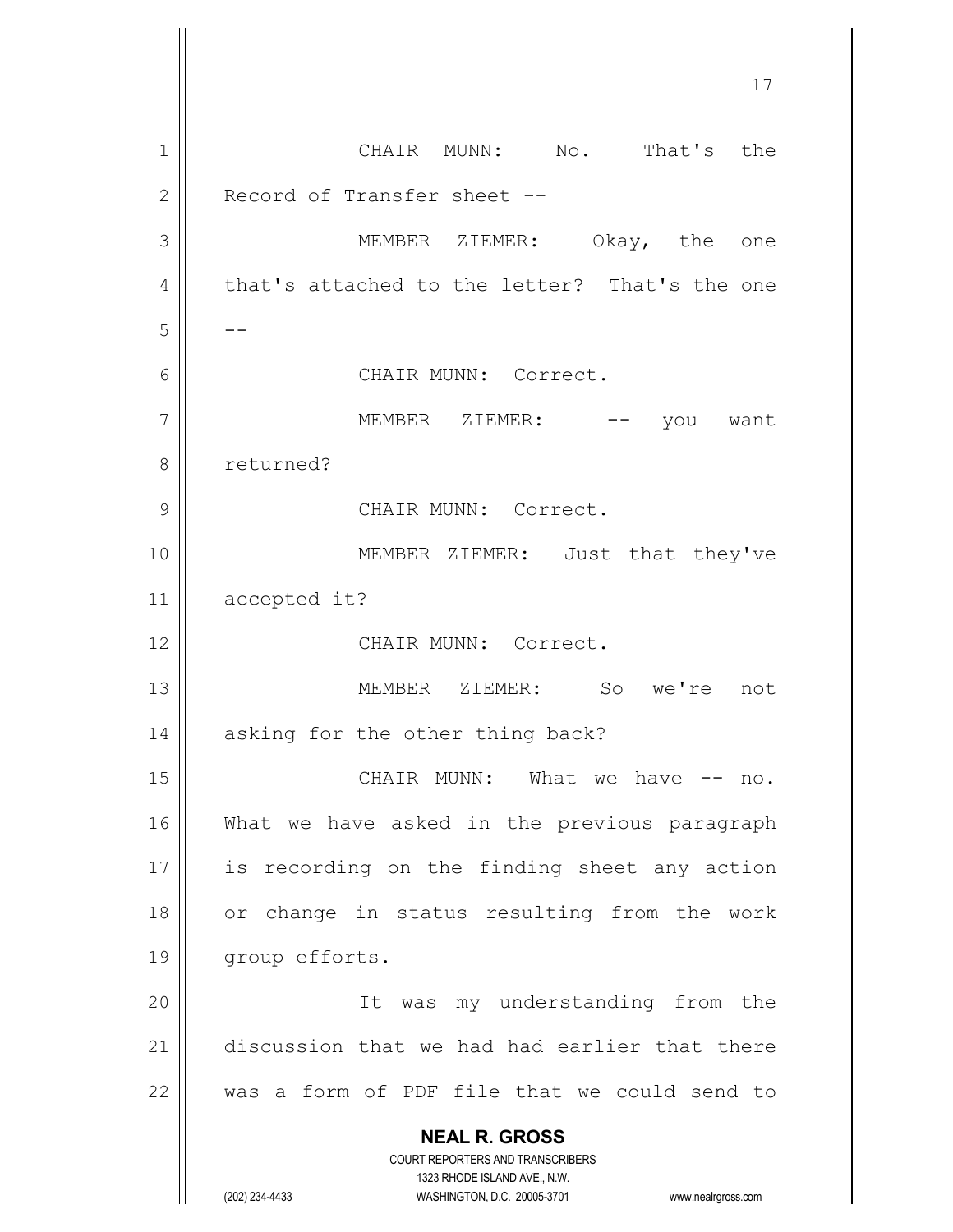**NEAL R. GROSS** COURT REPORTERS AND TRANSCRIBERS 1323 RHODE ISLAND AVE., N.W. (202) 234-4433 WASHINGTON, D.C. 20005-3701 www.nealrgross.com 17 1 CHAIR MUNN: No. That's the 2 | Record of Transfer sheet --3 MEMBER ZIEMER: Okay, the one 4 that's attached to the letter? That's the one  $5 \parallel - -$ 6 CHAIR MUNN: Correct. 7 || MEMBER ZIEMER: -- you want 8 | returned? 9 | CHAIR MUNN: Correct. 10 || MEMBER ZIEMER: Just that they've 11 accepted it? 12 CHAIR MUNN: Correct. 13 MEMBER ZIEMER: So we're not 14 | asking for the other thing back? 15 CHAIR MUNN: What we have -- no. 16 What we have asked in the previous paragraph 17 || is recording on the finding sheet any action 18 || or change in status resulting from the work 19 || group efforts. 20 || It was my understanding from the 21 discussion that we had had earlier that there  $22$   $\parallel$  was a form of PDF file that we could send to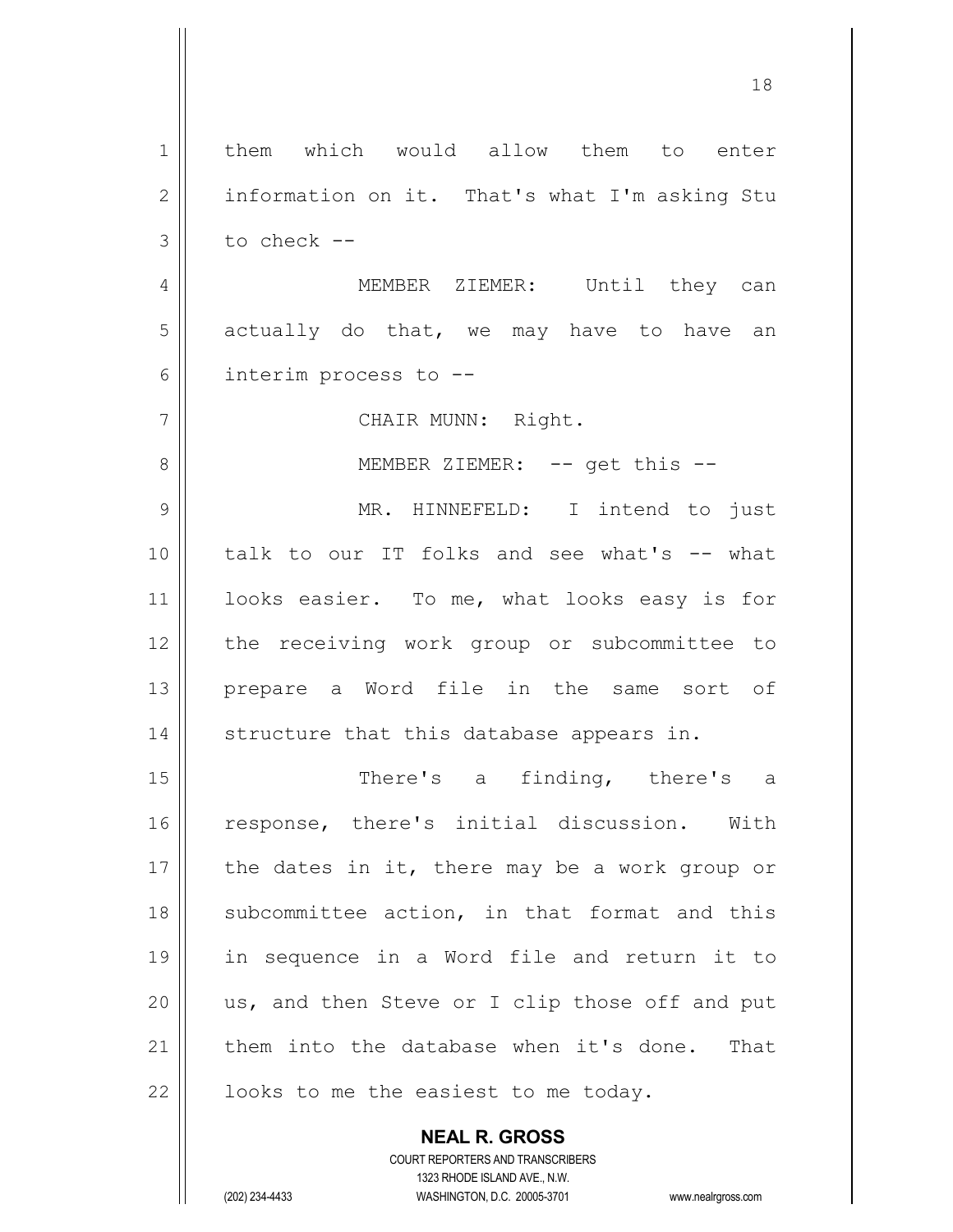1 | them which would allow them to enter 2 | information on it. That's what I'm asking Stu  $3 \parallel$  to check --4 || MEMBER ZIEMER: Until they can  $5 \parallel$  actually do that, we may have to have an 6 interim process to -- 7 | CHAIR MUNN: Right. 8 || MEMBER ZIEMER: -- get this --9 MR. HINNEFELD: I intend to just 10 talk to our IT folks and see what's -- what 11 || looks easier. To me, what looks easy is for 12 || the receiving work group or subcommittee to 13 prepare a Word file in the same sort of  $14$   $\parallel$  structure that this database appears in. 15 || There's a finding, there's a 16 || response, there's initial discussion. With 17  $\parallel$  the dates in it, there may be a work group or 18 || subcommittee action, in that format and this 19 in sequence in a Word file and return it to 20  $\parallel$  us, and then Steve or I clip those off and put 21 them into the database when it's done. That  $22$  |  $\vert$  looks to me the easiest to me today.

> **NEAL R. GROSS** COURT REPORTERS AND TRANSCRIBERS 1323 RHODE ISLAND AVE., N.W.

(202) 234-4433 WASHINGTON, D.C. 20005-3701 www.nealrgross.com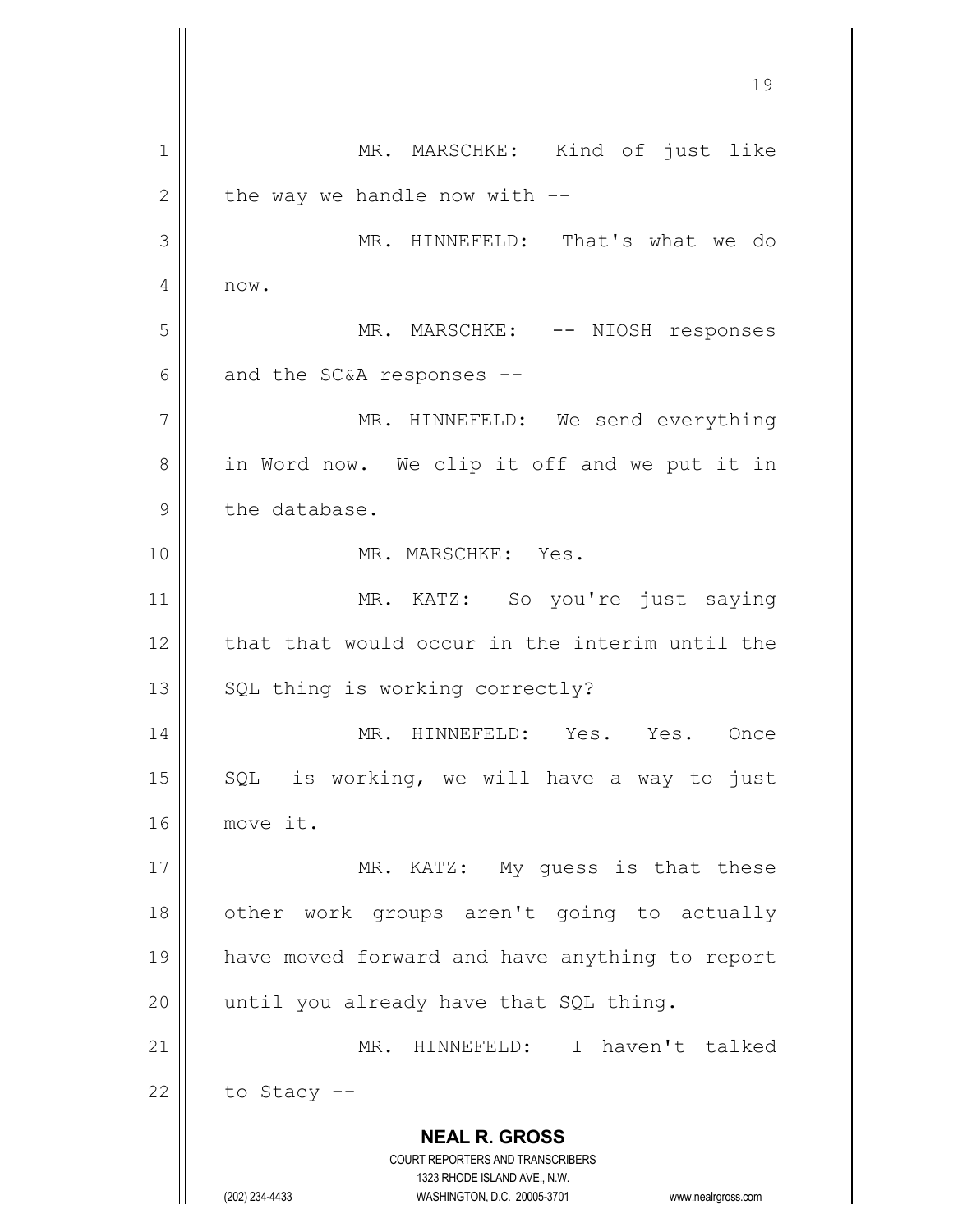**NEAL R. GROSS** COURT REPORTERS AND TRANSCRIBERS 1323 RHODE ISLAND AVE., N.W. (202) 234-4433 WASHINGTON, D.C. 20005-3701 www.nealrgross.com 1 || MR. MARSCHKE: Kind of just like  $2 \parallel$  the way we handle now with  $-$ 3 || MR. HINNEFELD: That's what we do  $4 \parallel$  now. 5 MR. MARSCHKE: -- NIOSH responses  $6 \parallel$  and the SC&A responses --7 || MR. HINNEFELD: We send everything 8 || in Word now. We clip it off and we put it in  $9$  | the database. 10 MR. MARSCHKE: Yes. 11 || MR. KATZ: So you're just saying 12 that that would occur in the interim until the  $13$  | SQL thing is working correctly? 14 MR. HINNEFELD: Yes. Yes. Once 15  $\parallel$  SQL is working, we will have a way to just 16 move it. 17 || MR. KATZ: My quess is that these 18 || other work groups aren't going to actually 19 have moved forward and have anything to report  $20$  || until you already have that SQL thing. 21 MR. HINNEFELD: I haven't talked  $22$  | to Stacy --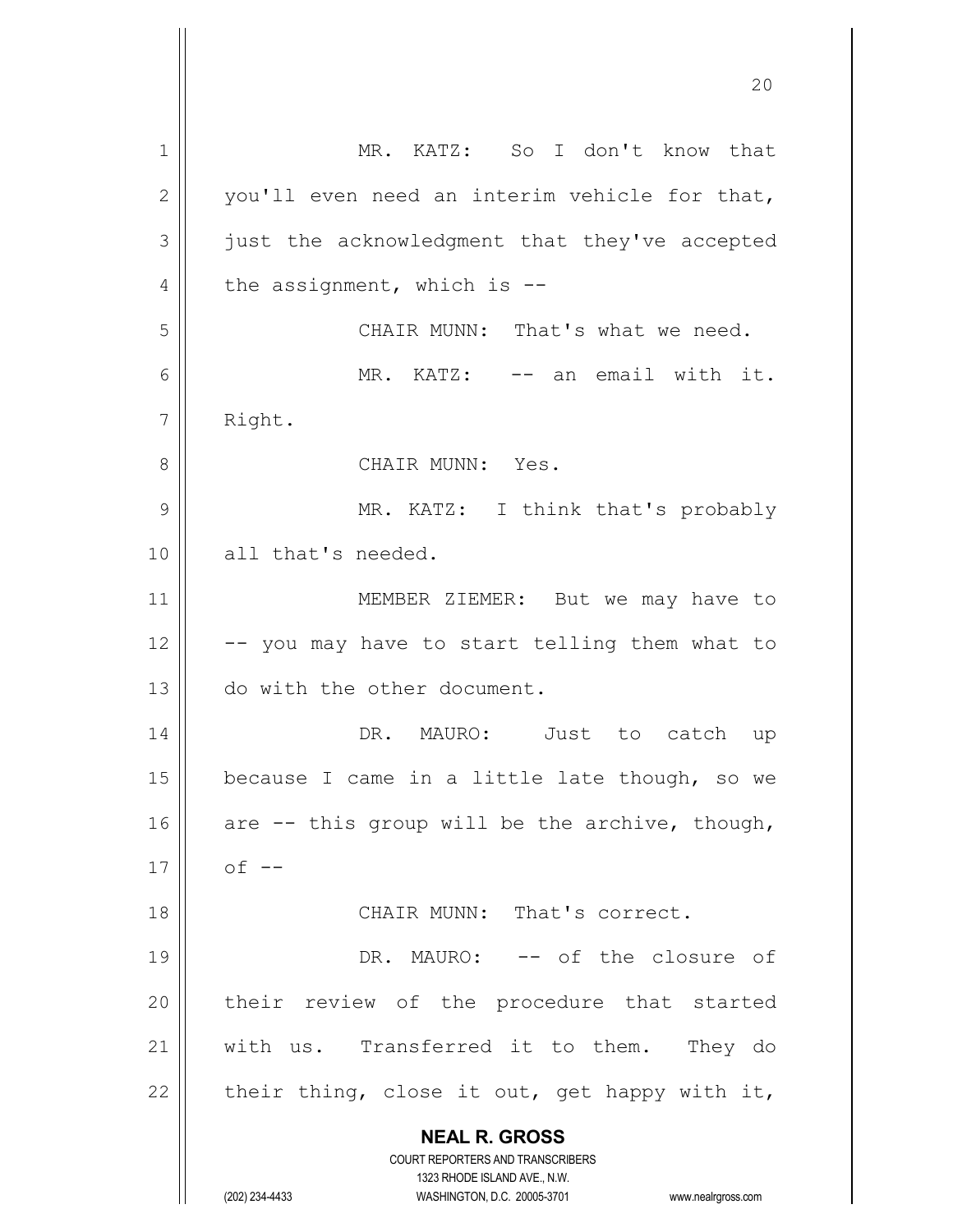| $\mathbf 1$  | MR. KATZ: So I don't know that                                                                      |
|--------------|-----------------------------------------------------------------------------------------------------|
| $\mathbf{2}$ | you'll even need an interim vehicle for that,                                                       |
| 3            | just the acknowledgment that they've accepted                                                       |
| 4            | the assignment, which is $-$ -                                                                      |
| 5            | CHAIR MUNN: That's what we need.                                                                    |
| 6            | MR. KATZ: -- an email with it.                                                                      |
| 7            | Right.                                                                                              |
| 8            | CHAIR MUNN: Yes.                                                                                    |
| 9            | MR. KATZ: I think that's probably                                                                   |
| 10           | all that's needed.                                                                                  |
| 11           | MEMBER ZIEMER: But we may have to                                                                   |
| 12           | -- you may have to start telling them what to                                                       |
| 13           | do with the other document.                                                                         |
| 14           | DR. MAURO: Just to catch up                                                                         |
| 15           | because I came in a little late though, so we                                                       |
| 16           | are -- this group will be the archive, though,                                                      |
| 17           | $of$ $-$                                                                                            |
| 18           | CHAIR MUNN: That's correct.                                                                         |
| 19           | DR. MAURO: -- of the closure of                                                                     |
| 20           | their review of the procedure that started                                                          |
| 21           | with us. Transferred it to them. They do                                                            |
| 22           | their thing, close it out, get happy with it,                                                       |
|              | <b>NEAL R. GROSS</b>                                                                                |
|              | <b>COURT REPORTERS AND TRANSCRIBERS</b>                                                             |
|              | 1323 RHODE ISLAND AVE., N.W.<br>(202) 234-4433<br>WASHINGTON, D.C. 20005-3701<br>www.nealrgross.com |
|              |                                                                                                     |

Ш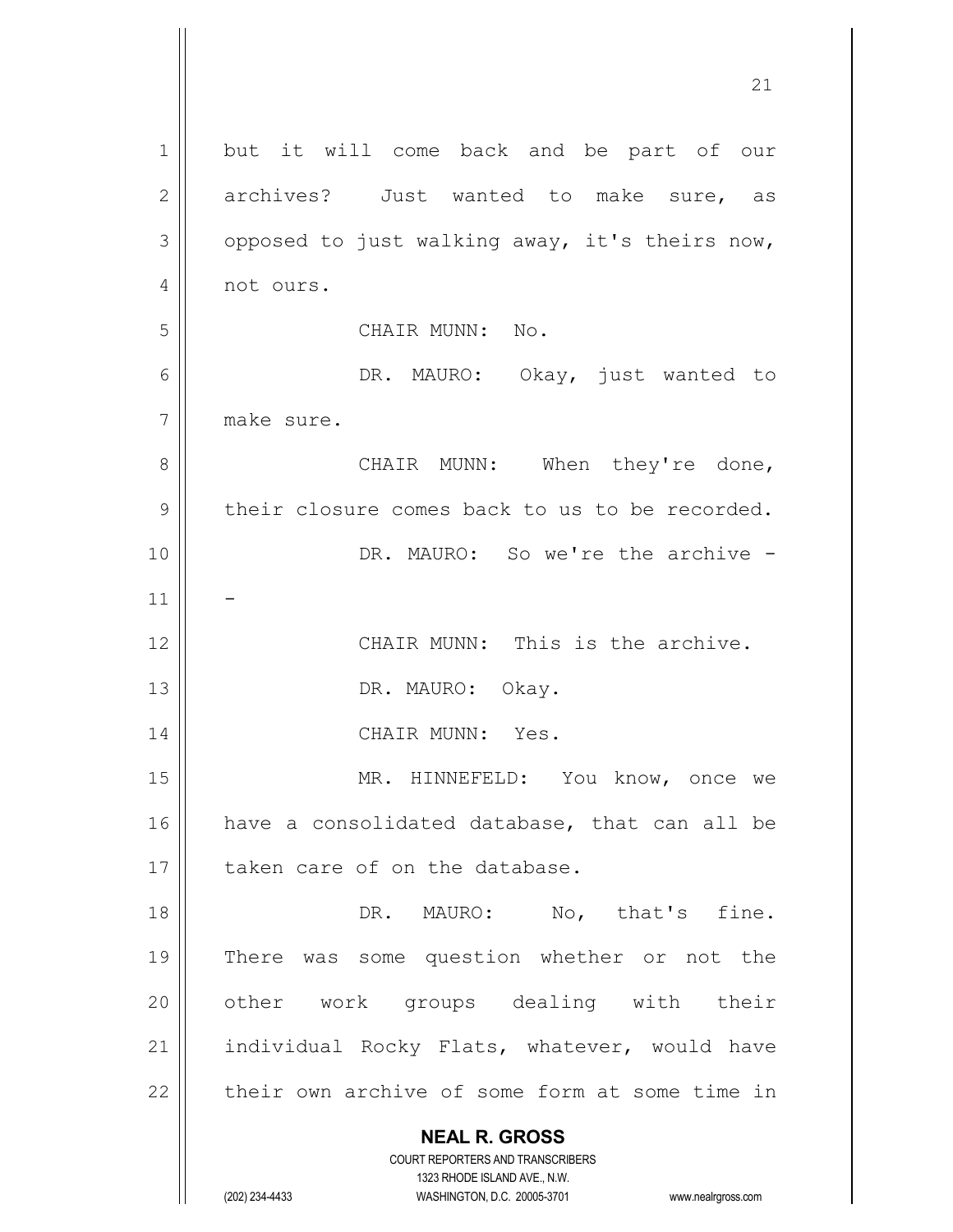| $\mathbf 1$   | but it will come back and be part of our                                                            |
|---------------|-----------------------------------------------------------------------------------------------------|
| $\mathbf{2}$  | archives? Just wanted to make sure, as                                                              |
| 3             | opposed to just walking away, it's theirs now,                                                      |
| 4             | not ours.                                                                                           |
| 5             | CHAIR MUNN: No.                                                                                     |
| 6             | DR. MAURO: Okay, just wanted to                                                                     |
| 7             | make sure.                                                                                          |
| 8             | CHAIR MUNN: When they're done,                                                                      |
| $\mathcal{G}$ | their closure comes back to us to be recorded.                                                      |
| 10            | DR. MAURO: So we're the archive -                                                                   |
| 11            |                                                                                                     |
| 12            | CHAIR MUNN: This is the archive.                                                                    |
| 13            | DR. MAURO: Okay.                                                                                    |
| 14            | CHAIR MUNN: Yes.                                                                                    |
| 15            | MR. HINNEFELD: You know, once we                                                                    |
| 16            | have a consolidated database, that can all be                                                       |
| 17            | taken care of on the database.                                                                      |
| 18            | DR. MAURO: No, that's fine.                                                                         |
| 19            | There was some question whether or not the                                                          |
| 20            | other work groups dealing with their                                                                |
| 21            | individual Rocky Flats, whatever, would have                                                        |
| 22            | their own archive of some form at some time in                                                      |
|               | <b>NEAL R. GROSS</b>                                                                                |
|               | <b>COURT REPORTERS AND TRANSCRIBERS</b>                                                             |
|               | 1323 RHODE ISLAND AVE., N.W.<br>(202) 234-4433<br>WASHINGTON, D.C. 20005-3701<br>www.nealrgross.com |
|               |                                                                                                     |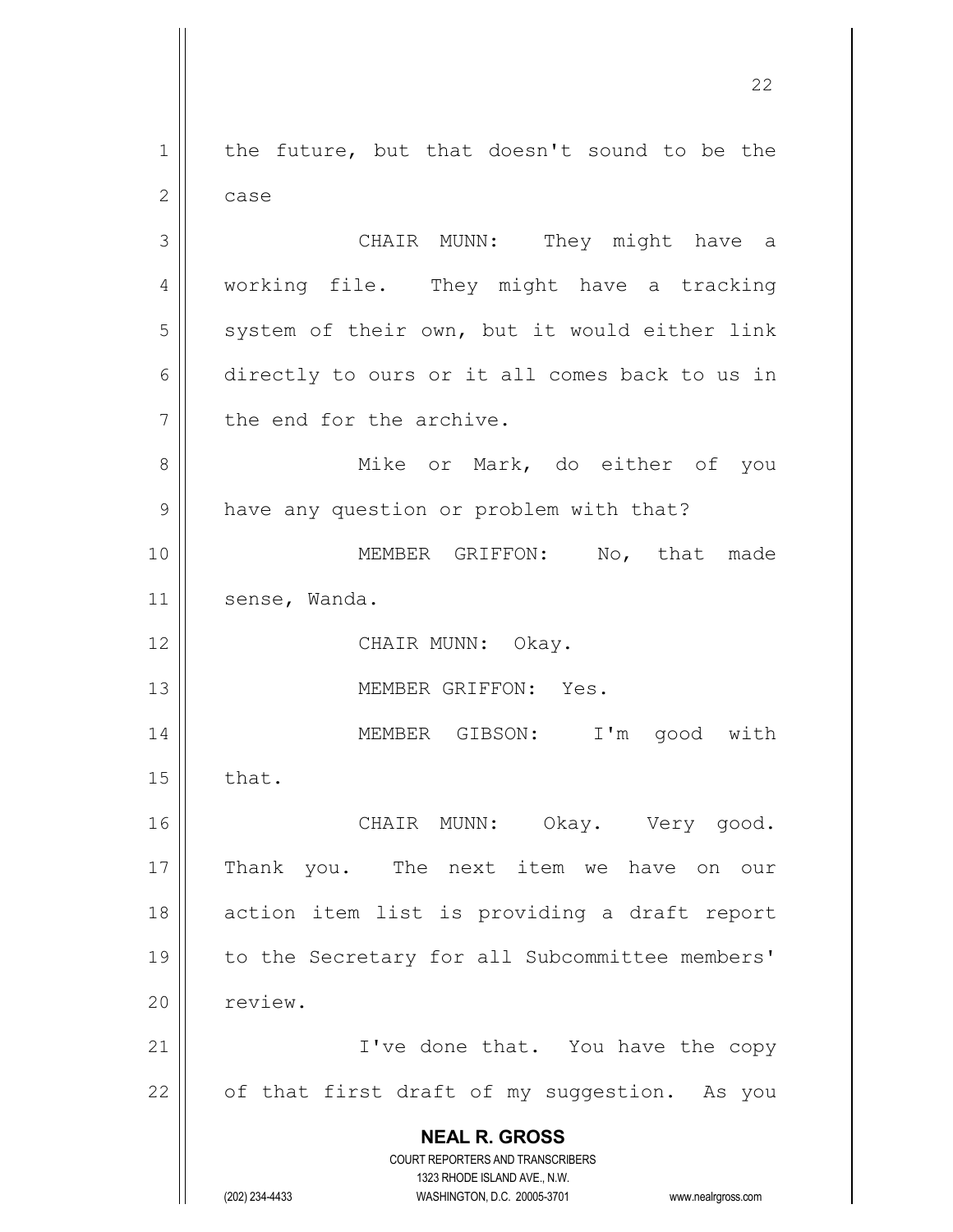**NEAL R. GROSS** COURT REPORTERS AND TRANSCRIBERS 1323 RHODE ISLAND AVE., N.W. (202) 234-4433 WASHINGTON, D.C. 20005-3701 www.nealrgross.com  $1$  the future, but that doesn't sound to be the  $2 \parallel$  case 3 CHAIR MUNN: They might have a 4 | working file. They might have a tracking  $5$  system of their own, but it would either link 6 directly to ours or it all comes back to us in 7 the end for the archive. 8 Mike or Mark, do either of you 9 | have any question or problem with that? 10 MEMBER GRIFFON: No, that made 11 | sense, Wanda. 12 || CHAIR MUNN: Okay. 13 MEMBER GRIFFON: Yes. 14 MEMBER GIBSON: I'm good with  $15 \parallel$  that. 16 || CHAIR MUNN: Okay. Very good. 17 || Thank you. The next item we have on our 18 || action item list is providing a draft report 19 to the Secretary for all Subcommittee members' 20 | review. 21 || I've done that. You have the copy  $22$  | of that first draft of my suggestion. As you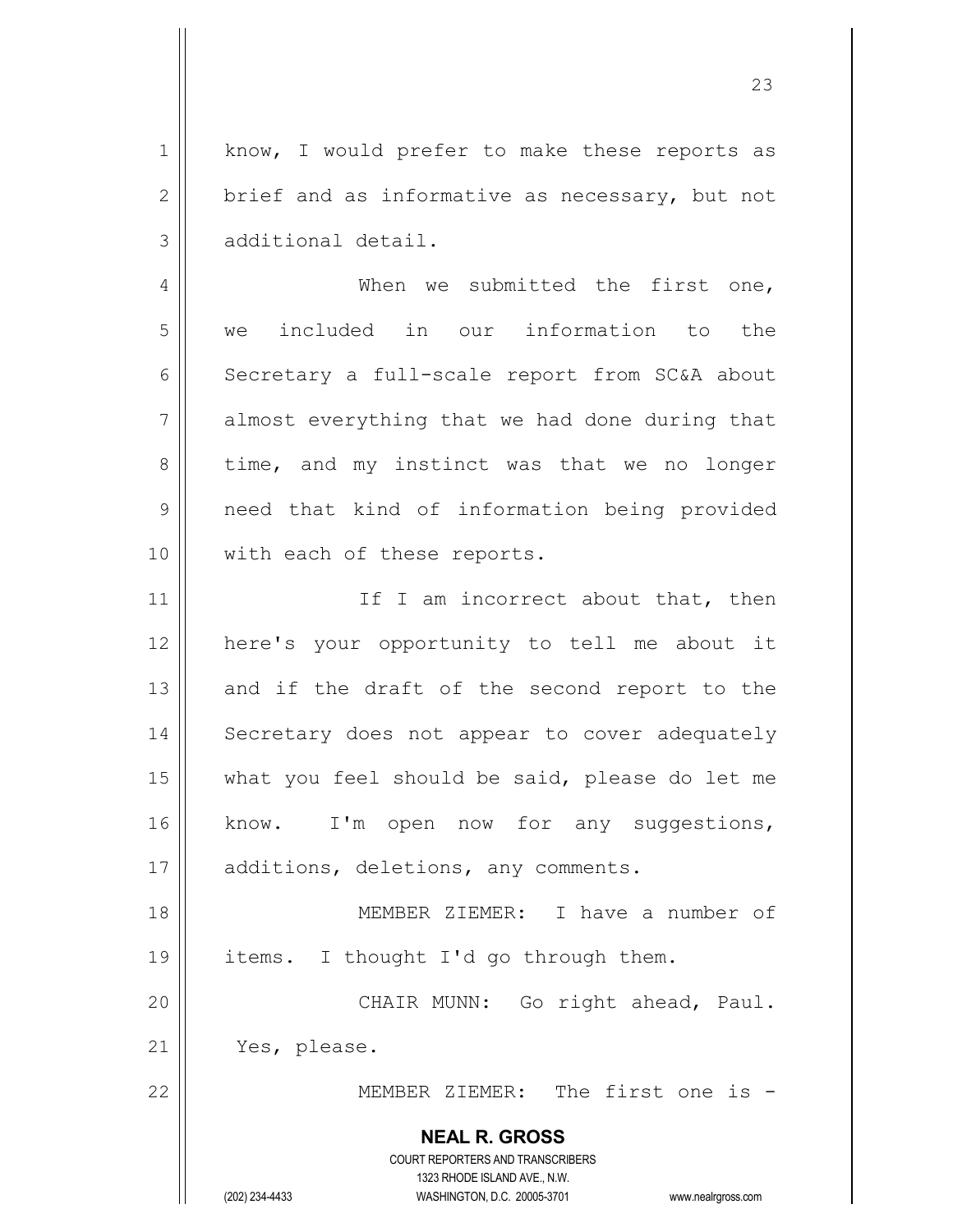1 | know, I would prefer to make these reports as 2  $\parallel$  brief and as informative as necessary, but not 3 additional detail.

4 When we submitted the first one, 5 we included in our information to the 6 | Secretary a full-scale report from SC&A about 7 almost everything that we had done during that  $8 \parallel$  time, and my instinct was that we no longer 9 || need that kind of information being provided 10 || with each of these reports.

11 || If I am incorrect about that, then 12 here's your opportunity to tell me about it  $13$  and if the draft of the second report to the 14 || Secretary does not appear to cover adequately 15 || what you feel should be said, please do let me 16 || know. I'm open now for any suggestions, 17 || additions, deletions, any comments.

18 MEMBER ZIEMER: I have a number of 19 || items. I thought I'd go through them. 20 || CHAIR MUNN: Go right ahead, Paul.

21 || Yes, please.

22 MEMBER ZIEMER: The first one is -

**NEAL R. GROSS** COURT REPORTERS AND TRANSCRIBERS

1323 RHODE ISLAND AVE., N.W.

(202) 234-4433 WASHINGTON, D.C. 20005-3701 www.nealrgross.com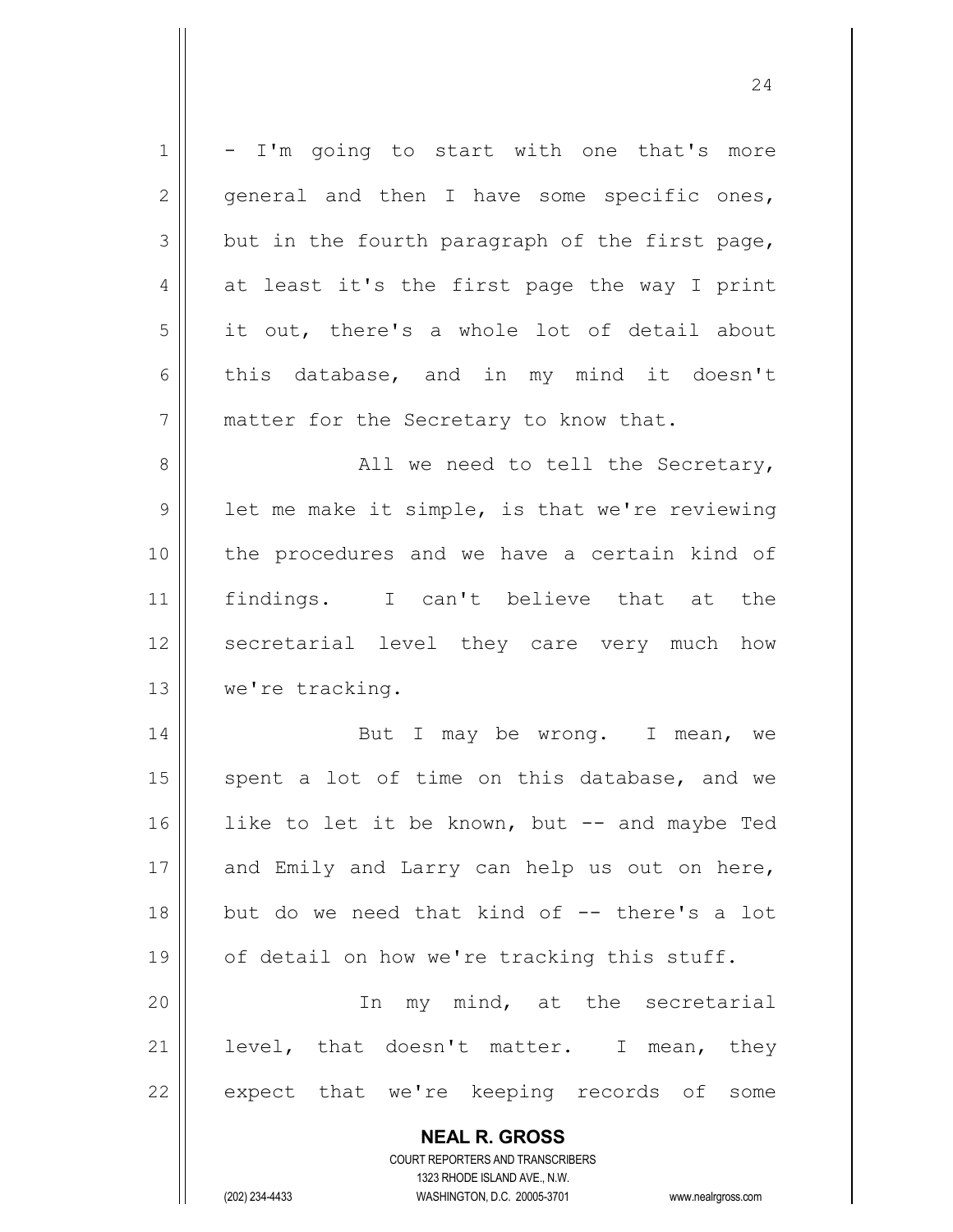| 1  | - I'm going to start with one that's more                           |
|----|---------------------------------------------------------------------|
| 2  | general and then I have some specific ones,                         |
| 3  | but in the fourth paragraph of the first page,                      |
| 4  | at least it's the first page the way I print                        |
| 5  | it out, there's a whole lot of detail about                         |
| 6  | this database, and in my mind it doesn't                            |
| 7  | matter for the Secretary to know that.                              |
| 8  | All we need to tell the Secretary,                                  |
| 9  | let me make it simple, is that we're reviewing                      |
| 10 | the procedures and we have a certain kind of                        |
| 11 | findings. I can't believe that at the                               |
| 12 | secretarial level they care very much how                           |
| 13 | we're tracking.                                                     |
| 14 | But I may be wrong. I mean, we                                      |
| 15 | spent a lot of time on this database, and we                        |
| 16 | like to let it be known, but -- and maybe Ted                       |
| 17 | and Emily and Larry can help us out on here,                        |
| 18 | but do we need that kind of -- there's a lot                        |
| 19 | of detail on how we're tracking this stuff.                         |
| 20 | In my mind, at the secretarial                                      |
| 21 | level, that doesn't matter. I mean, they                            |
| 22 | expect that we're keeping records of<br>some                        |
|    | <b>NEAL R. GROSS</b>                                                |
|    | <b>COURT REPORTERS AND TRANSCRIBERS</b>                             |
|    | 1323 RHODE ISLAND AVE., N.W.                                        |
|    | (202) 234-4433<br>WASHINGTON, D.C. 20005-3701<br>www.nealrgross.com |

 $\mathsf{I}$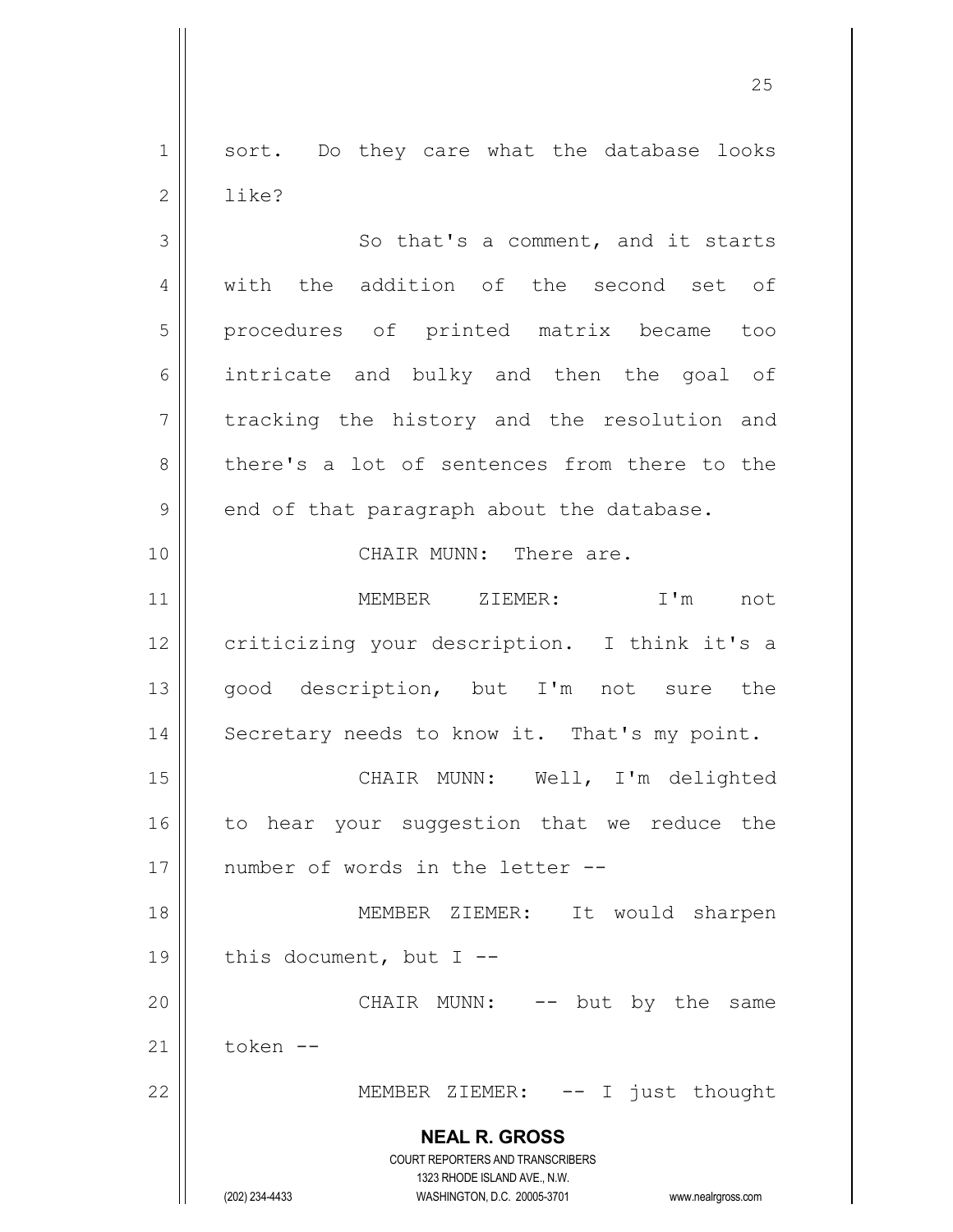1 || sort. Do they care what the database looks 2 ll like?

3 So that's a comment, and it starts 4 || with the addition of the second set of 5 procedures of printed matrix became too 6 intricate and bulky and then the goal of 7 tracking the history and the resolution and 8 there's a lot of sentences from there to the  $9 \parallel$  end of that paragraph about the database.

10 CHAIR MUNN: There are.

11 MEMBER ZIEMER: I'm not 12 | criticizing your description. I think it's a 13 || good description, but I'm not sure the 14 | Secretary needs to know it. That's my point.

15 || CHAIR MUNN: Well, I'm delighted 16 || to hear your suggestion that we reduce the 17 || number of words in the letter --

18 MEMBER ZIEMER: It would sharpen 19  $\parallel$  this document, but I --20 CHAIR MUNN: -- but by the same

21 token --

22 || MEMBER ZIEMER: -- I just thought

**NEAL R. GROSS** COURT REPORTERS AND TRANSCRIBERS

1323 RHODE ISLAND AVE., N.W.

(202) 234-4433 WASHINGTON, D.C. 20005-3701 www.nealrgross.com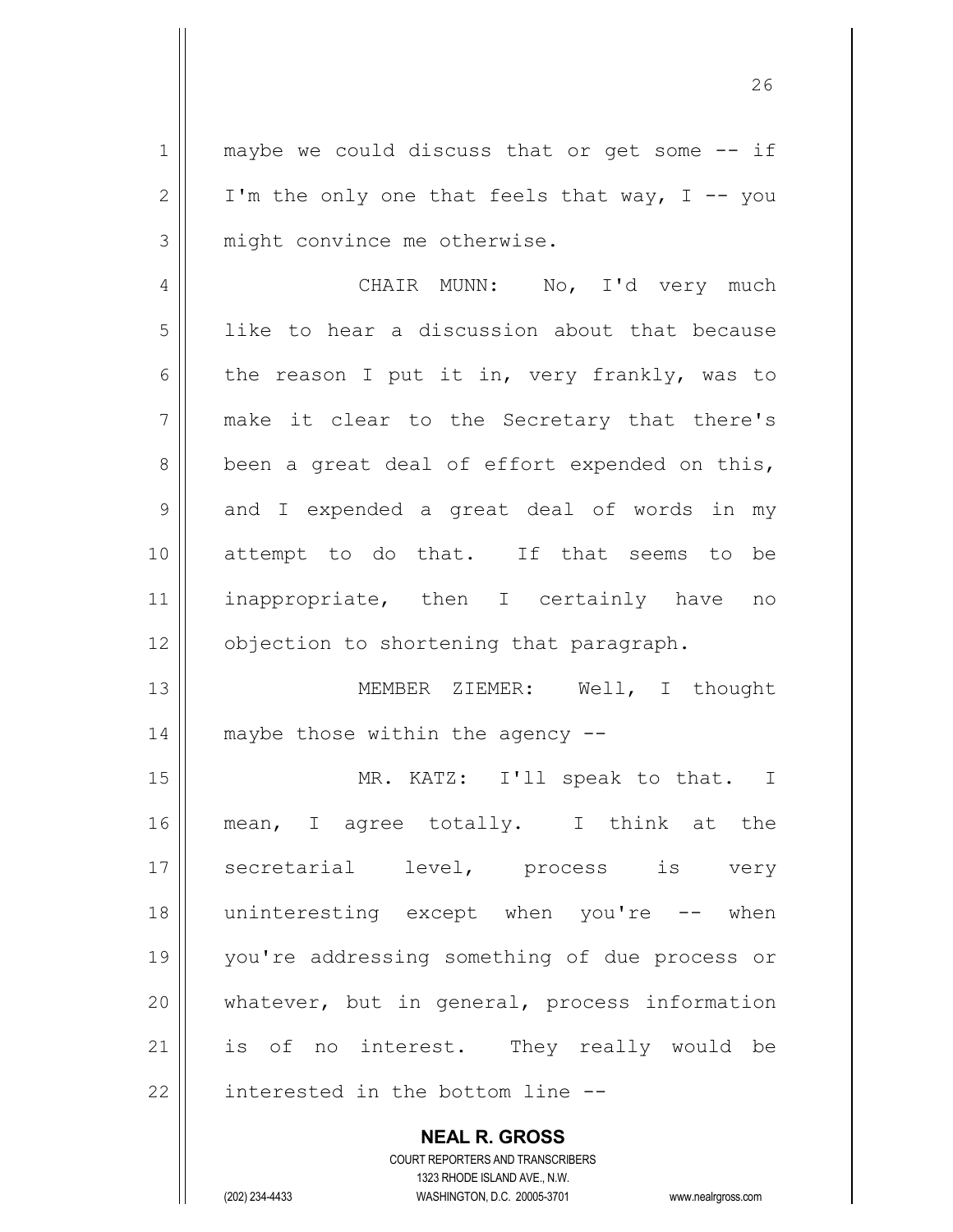$1 \parallel$  maybe we could discuss that or get some  $-$  if 2 | I'm the only one that feels that way, I -- you 3 || might convince me otherwise.

4 CHAIR MUNN: No, I'd very much 5 | like to hear a discussion about that because 6 the reason I put it in, very frankly, was to 7 || make it clear to the Secretary that there's  $8 \parallel$  been a great deal of effort expended on this,  $9 \parallel$  and I expended a great deal of words in my 10 attempt to do that. If that seems to be 11 || inappropriate, then I certainly have no 12 | objection to shortening that paragraph.

13 || MEMBER ZIEMER: Well, I thought 14  $\parallel$  maybe those within the agency  $-$ 

15 || MR. KATZ: I'll speak to that. I 16 || mean, I agree totally. I think at the 17 || secretarial level, process is very 18 || uninteresting except when you're -- when 19 you're addressing something of due process or  $20$  || whatever, but in general, process information 21 || is of no interest. They really would be  $22$  | interested in the bottom line  $-$ -

**NEAL R. GROSS**

COURT REPORTERS AND TRANSCRIBERS 1323 RHODE ISLAND AVE., N.W. (202) 234-4433 WASHINGTON, D.C. 20005-3701 www.nealrgross.com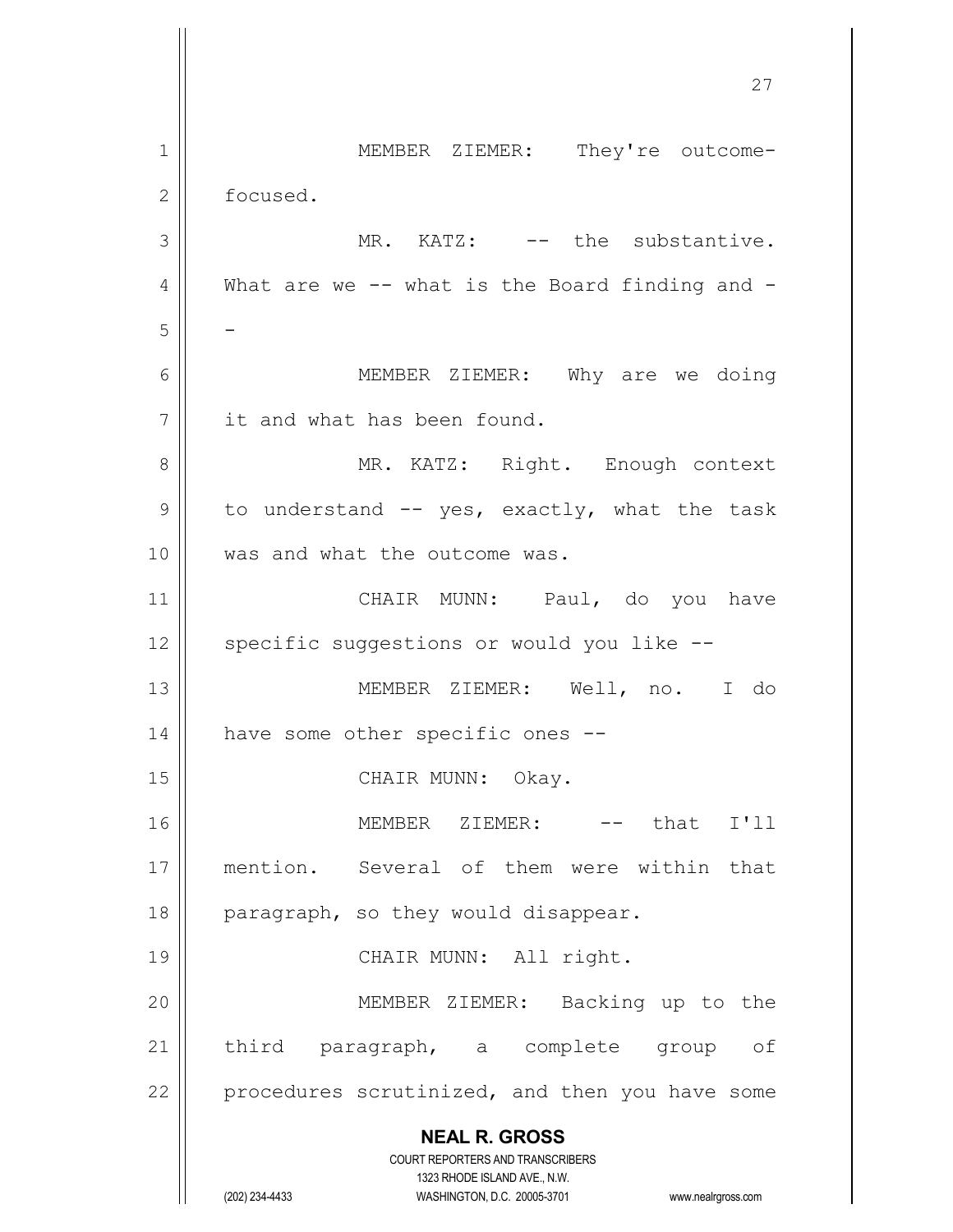**NEAL R. GROSS** COURT REPORTERS AND TRANSCRIBERS 1323 RHODE ISLAND AVE., N.W. (202) 234-4433 WASHINGTON, D.C. 20005-3701 www.nealrgross.com 27 1 || MEMBER ZIEMER: They're outcome-2 | focused. 3 || MR. KATZ: -- the substantive. 4  $\parallel$  What are we -- what is the Board finding and -5 || -6 MEMBER ZIEMER: Why are we doing 7 | it and what has been found. 8 || MR. KATZ: Right. Enough context  $9 \parallel$  to understand  $-$  yes, exactly, what the task 10 Was and what the outcome was. 11 || CHAIR MUNN: Paul, do you have 12 || specific suggestions or would you like --13 MEMBER ZIEMER: Well, no. I do 14 | have some other specific ones --15 || CHAIR MUNN: Okay. 16 MEMBER ZIEMER: -- that I'll 17 mention. Several of them were within that 18  $\parallel$  paragraph, so they would disappear. 19 || CHAIR MUNN: All right. 20 MEMBER ZIEMER: Backing up to the 21 || third paragraph, a complete group of  $22$  | procedures scrutinized, and then you have some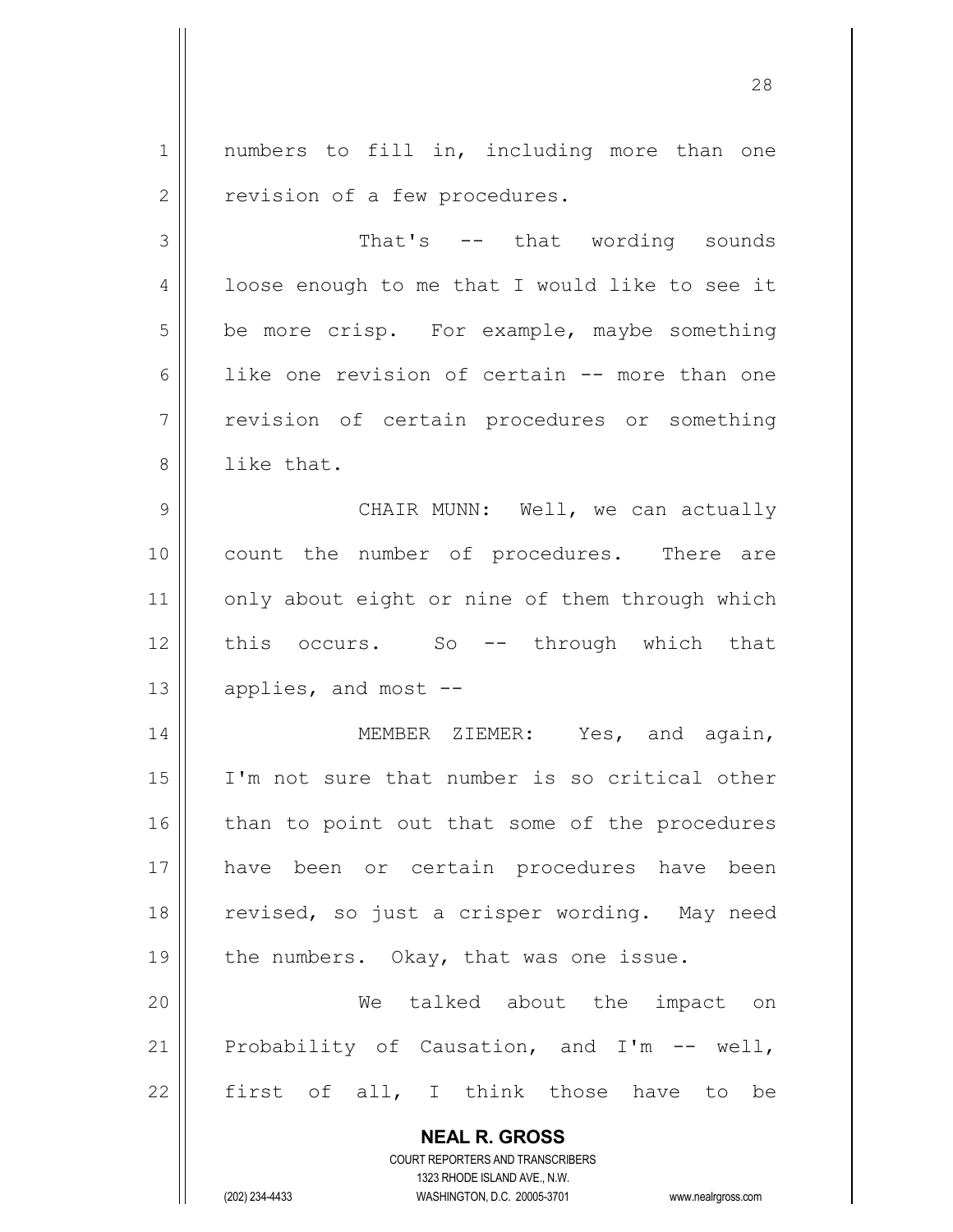1 || numbers to fill in, including more than one 2 | revision of a few procedures.

3 That's -- that wording sounds  $4 \parallel$  loose enough to me that I would like to see it  $5 \parallel$  be more crisp. For example, maybe something 6 like one revision of certain -- more than one 7 || revision of certain procedures or something 8 || like that.

9 CHAIR MUNN: Well, we can actually 10 || count the number of procedures. There are 11 | only about eight or nine of them through which 12 || this occurs. So -- through which that  $13$  | applies, and most  $-$ 

14 || MEMBER ZIEMER: Yes, and again, I'm not sure that number is so critical other than to point out that some of the procedures have been or certain procedures have been 18 || revised, so just a crisper wording. May need  $\parallel$  the numbers. Okay, that was one issue.

20 We talked about the impact on 21 Probability of Causation, and I'm -- well,  $22$  first of all, I think those have to be

> **NEAL R. GROSS** COURT REPORTERS AND TRANSCRIBERS 1323 RHODE ISLAND AVE., N.W.

(202) 234-4433 WASHINGTON, D.C. 20005-3701 www.nealrgross.com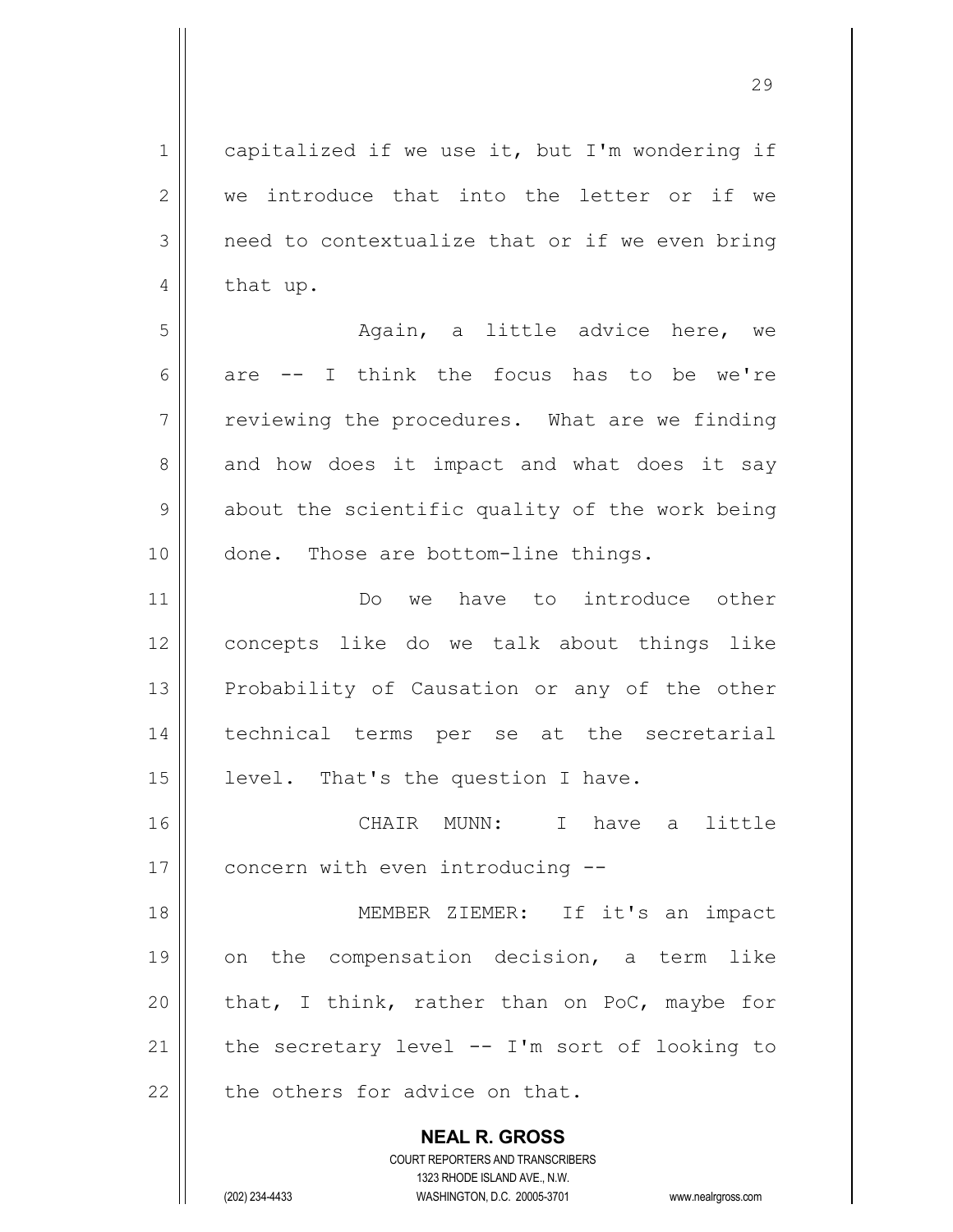1 capitalized if we use it, but I'm wondering if 2 We introduce that into the letter or if we  $3 \parallel$  need to contextualize that or if we even bring  $4 \parallel$  that up.

5 Again, a little advice here, we 6 are  $-$  I think the focus has to be we're  $7 \parallel$  reviewing the procedures. What are we finding  $8 \parallel$  and how does it impact and what does it say  $9 \parallel$  about the scientific quality of the work being 10 || done. Those are bottom-line things.

11 Do we have to introduce other 12 concepts like do we talk about things like 13 || Probability of Causation or any of the other 14 || technical terms per se at the secretarial 15 | level. That's the question I have.

16 CHAIR MUNN: I have a little 17 | concern with even introducing --

18 || MEMBER ZIEMER: If it's an impact on the compensation decision, a term like  $\parallel$  that, I think, rather than on PoC, maybe for  $\parallel$  the secretary level -- I'm sort of looking to  $\parallel$  the others for advice on that.

> **NEAL R. GROSS** COURT REPORTERS AND TRANSCRIBERS 1323 RHODE ISLAND AVE., N.W. (202) 234-4433 WASHINGTON, D.C. 20005-3701 www.nealrgross.com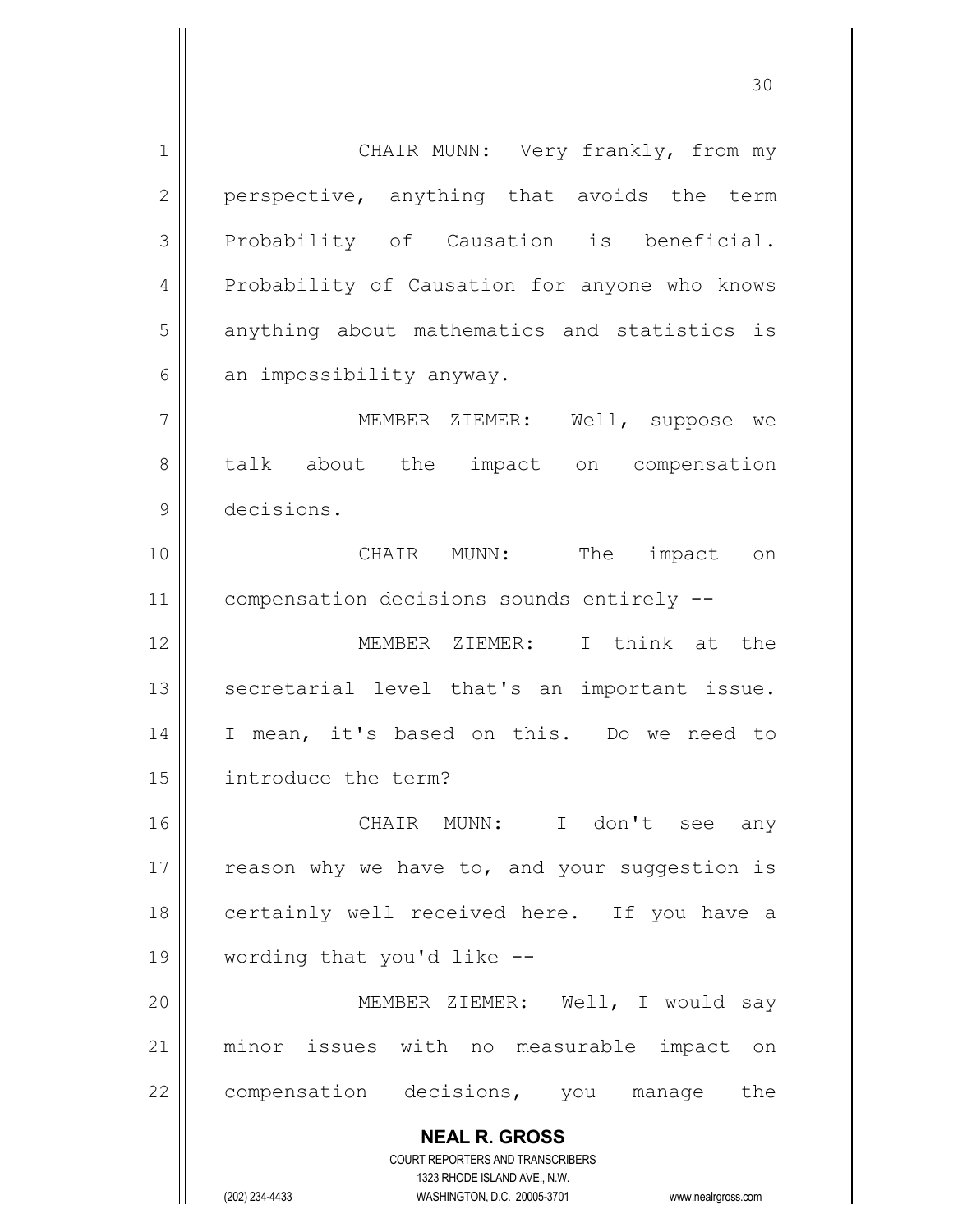**NEAL R. GROSS** COURT REPORTERS AND TRANSCRIBERS 1323 RHODE ISLAND AVE., N.W. 1 | CHAIR MUNN: Very frankly, from my 2 || perspective, anything that avoids the term  $3$  Probability of Causation is beneficial. 4 | Probability of Causation for anyone who knows 5 || anything about mathematics and statistics is  $6$  || an impossibility anyway. 7 MEMBER ZIEMER: Well, suppose we 8 talk about the impact on compensation 9 decisions. 10 CHAIR MUNN: The impact on 11 | compensation decisions sounds entirely --12 MEMBER ZIEMER: I think at the 13 || secretarial level that's an important issue. 14 || I mean, it's based on this. Do we need to 15 introduce the term? 16 CHAIR MUNN: I don't see any 17  $\parallel$  reason why we have to, and your suggestion is 18 || certainly well received here. If you have a 19 wording that you'd like -- 20 MEMBER ZIEMER: Well, I would say 21 || minor issues with no measurable impact on 22 | compensation decisions, you manage the

(202) 234-4433 WASHINGTON, D.C. 20005-3701 www.nealrgross.com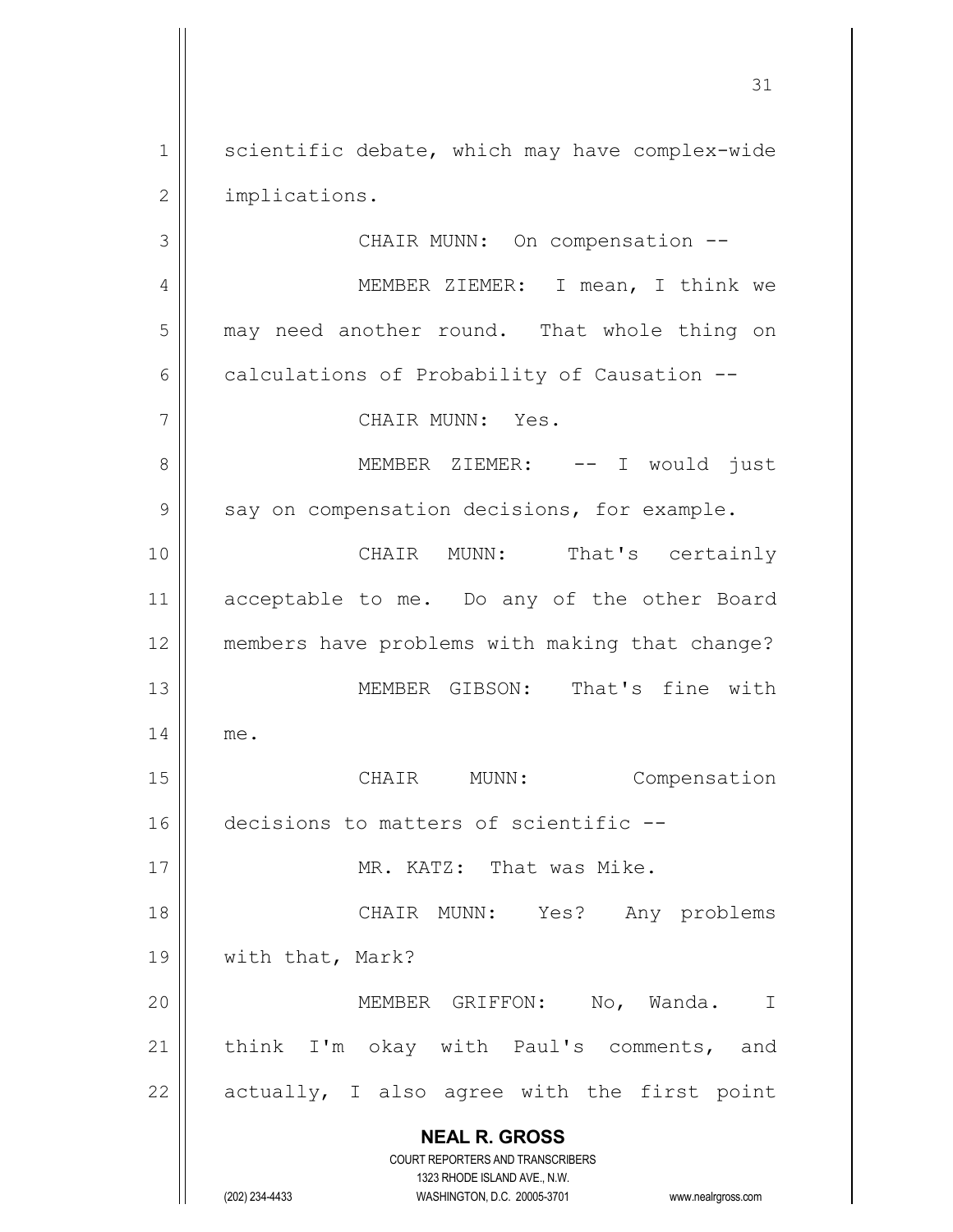1 | scientific debate, which may have complex-wide 2 | implications.

**NEAL R. GROSS** COURT REPORTERS AND TRANSCRIBERS 1323 RHODE ISLAND AVE., N.W. 3 || CHAIR MUNN: On compensation --4 | MEMBER ZIEMER: I mean, I think we 5 | may need another round. That whole thing on  $6 \parallel$  calculations of Probability of Causation --7 CHAIR MUNN: Yes. 8 MEMBER ZIEMER: -- I would just  $9 \parallel$  say on compensation decisions, for example. 10 CHAIR MUNN: That's certainly 11 acceptable to me. Do any of the other Board 12 members have problems with making that change? 13 MEMBER GIBSON: That's fine with 14 me. 15 || CHAIR MUNN: Compensation 16 decisions to matters of scientific --17 MR. KATZ: That was Mike. 18 CHAIR MUNN: Yes? Any problems 19 || with that, Mark? 20 MEMBER GRIFFON: No, Wanda. I 21 || think I'm okay with Paul's comments, and 22  $\parallel$  actually, I also agree with the first point

(202) 234-4433 WASHINGTON, D.C. 20005-3701 www.nealrgross.com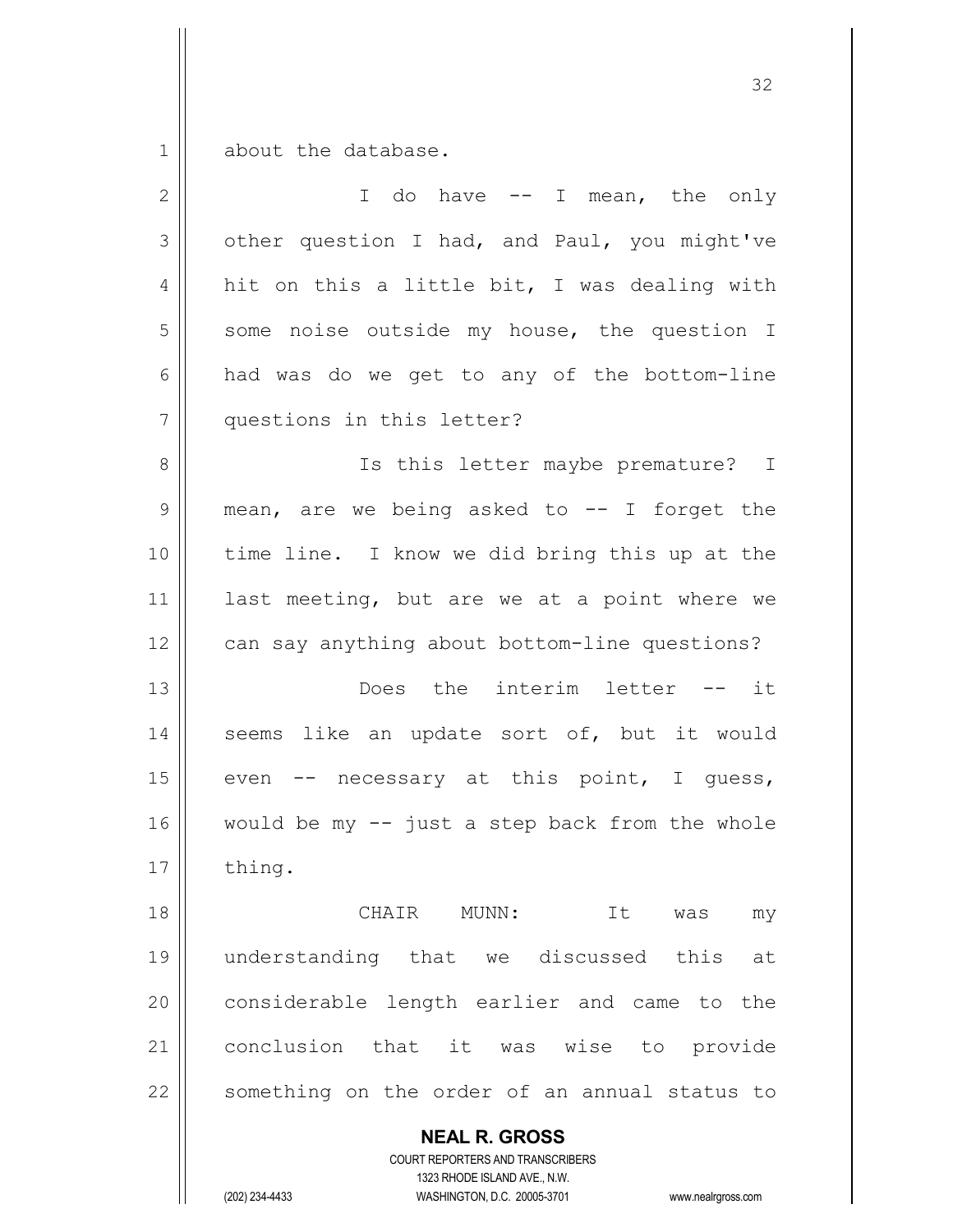$1 \parallel$  about the database.

| $\mathbf{2}$ | I do have -- I mean, the only                  |
|--------------|------------------------------------------------|
| 3            | other question I had, and Paul, you might've   |
| 4            | hit on this a little bit, I was dealing with   |
| 5            | some noise outside my house, the question I    |
| 6            | had was do we get to any of the bottom-line    |
| 7            | questions in this letter?                      |
| 8            | Is this letter maybe premature? I              |
| 9            | mean, are we being asked to -- I forget the    |
| 10           | time line. I know we did bring this up at the  |
| 11           | last meeting, but are we at a point where we   |
| 12           | can say anything about bottom-line questions?  |
| 13           | Does the interim letter -- it                  |
| 14           | seems like an update sort of, but it would     |
| 15           | even -- necessary at this point, I guess,      |
| 16           | would be my -- just a step back from the whole |
| 17           | thing.                                         |
| 18           | CHAIR MUNN: It was<br>my                       |
| 19           | understanding that we discussed this at        |
| 20           | considerable length earlier and came to the    |
| 21           | conclusion that it was wise to provide         |
| 22           | something on the order of an annual status to  |
|              | <b>NEAL R. GROSS</b>                           |

COURT REPORTERS AND TRANSCRIBERS 1323 RHODE ISLAND AVE., N.W.

 $\prod$ 

(202) 234-4433 WASHINGTON, D.C. 20005-3701 www.nealrgross.com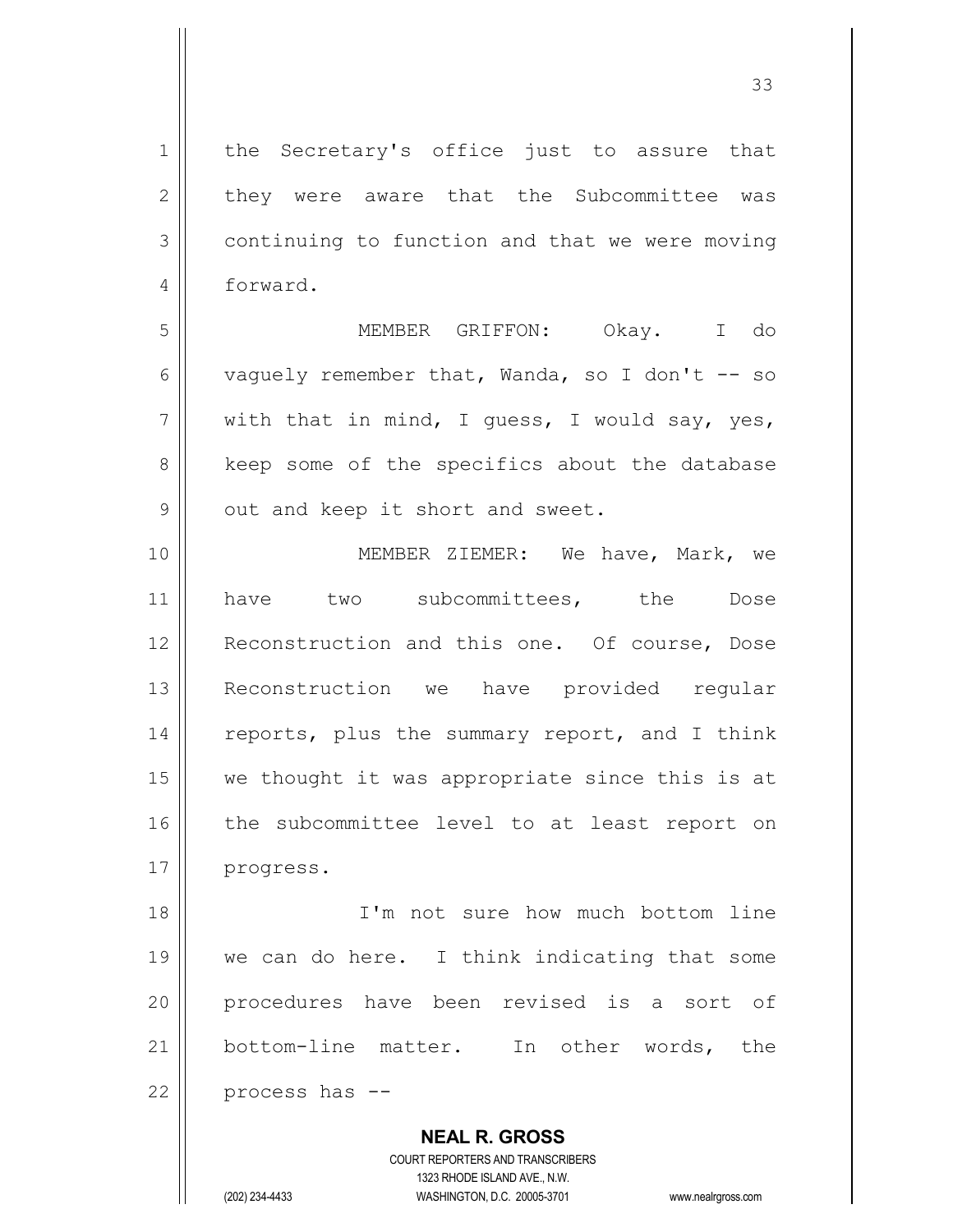1 || the Secretary's office just to assure that 2 they were aware that the Subcommittee was 3 continuing to function and that we were moving 4 forward. 5 MEMBER GRIFFON: Okay. I do 6 vaguely remember that, Wanda, so I don't -- so  $7 \parallel$  with that in mind, I quess, I would say, yes, 8 || keep some of the specifics about the database  $9 \parallel$  out and keep it short and sweet. 10 MEMBER ZIEMER: We have, Mark, we 11 || have two subcommittees, the Dose 12 || Reconstruction and this one. Of course, Dose 13 Reconstruction we have provided regular 14 || reports, plus the summary report, and I think  $15$  we thought it was appropriate since this is at 16 || the subcommittee level to at least report on 17 progress. 18 I'm not sure how much bottom line 19 we can do here. I think indicating that some 20 || procedures have been revised is a sort of 21 bottom-line matter. In other words, the  $22$  | process has  $-$ 

> **NEAL R. GROSS** COURT REPORTERS AND TRANSCRIBERS 1323 RHODE ISLAND AVE., N.W.

(202) 234-4433 WASHINGTON, D.C. 20005-3701 www.nealrgross.com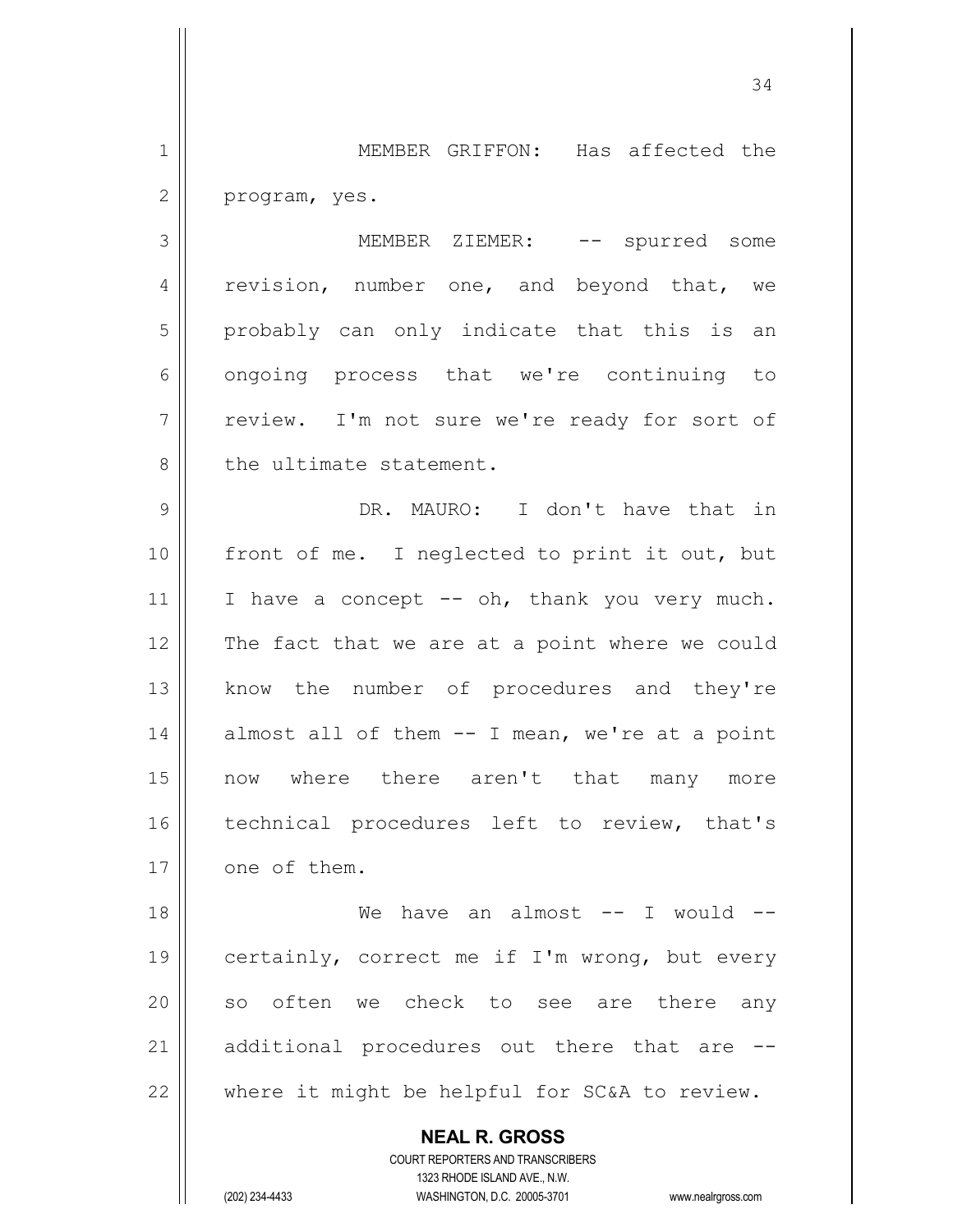1 MEMBER GRIFFON: Has affected the  $2 \parallel$  program, yes.

3 MEMBER ZIEMER: -- spurred some 4 || revision, number one, and beyond that, we 5 || probably can only indicate that this is an 6 | ongoing process that we're continuing to 7 || review. I'm not sure we're ready for sort of 8 l the ultimate statement.

9 DR. MAURO: I don't have that in 10 front of me. I neglected to print it out, but 11 || I have a concept  $-$  oh, thank you very much. 12 The fact that we are at a point where we could 13 || know the number of procedures and they're  $14$  | almost all of them  $-$  I mean, we're at a point 15 now where there aren't that many more 16 || technical procedures left to review, that's 17 | one of them.

18 We have an almost -- I would -- 19 || certainly, correct me if I'm wrong, but every 20 || so often we check to see are there any 21  $\parallel$  additional procedures out there that are  $22$  | where it might be helpful for SC&A to review.

> **NEAL R. GROSS** COURT REPORTERS AND TRANSCRIBERS 1323 RHODE ISLAND AVE., N.W.

(202) 234-4433 WASHINGTON, D.C. 20005-3701 www.nealrgross.com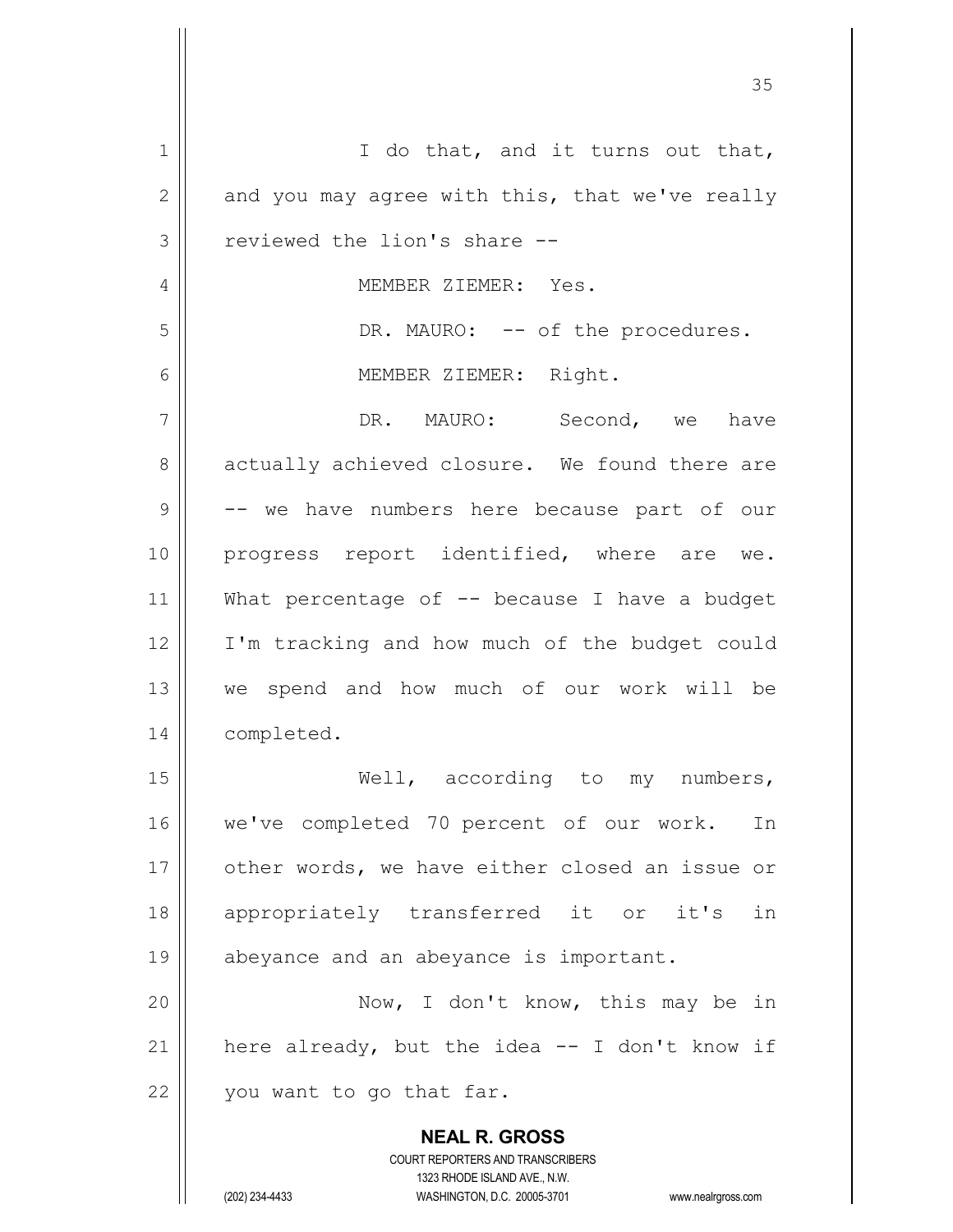| 1            | I do that, and it turns out that,                                   |
|--------------|---------------------------------------------------------------------|
| $\mathbf{2}$ | and you may agree with this, that we've really                      |
| 3            | reviewed the lion's share --                                        |
| 4            | MEMBER ZIEMER: Yes.                                                 |
| 5            | DR. MAURO: -- of the procedures.                                    |
| 6            | MEMBER ZIEMER: Right.                                               |
| 7            | DR. MAURO: Second, we have                                          |
| 8            | actually achieved closure. We found there are                       |
| 9            | -- we have numbers here because part of our                         |
| 10           | progress report identified, where are we.                           |
| 11           | What percentage of -- because I have a budget                       |
|              |                                                                     |
| 12           | I'm tracking and how much of the budget could                       |
| 13           | we spend and how much of our work will be                           |
| 14           | completed.                                                          |
| 15           | Well, according to my numbers,                                      |
| 16           | we've completed 70 percent of our work.<br>In                       |
| 17           | other words, we have either closed an issue or                      |
| 18           | appropriately transferred it or it's<br>in                          |
| 19           | abeyance and an abeyance is important.                              |
| 20           | Now, I don't know, this may be in                                   |
| 21           | here already, but the idea -- I don't know if                       |
| 22           | you want to go that far.                                            |
|              |                                                                     |
|              | <b>NEAL R. GROSS</b><br>COURT REPORTERS AND TRANSCRIBERS            |
|              | 1323 RHODE ISLAND AVE., N.W.                                        |
|              | (202) 234-4433<br>WASHINGTON, D.C. 20005-3701<br>www.nealrgross.com |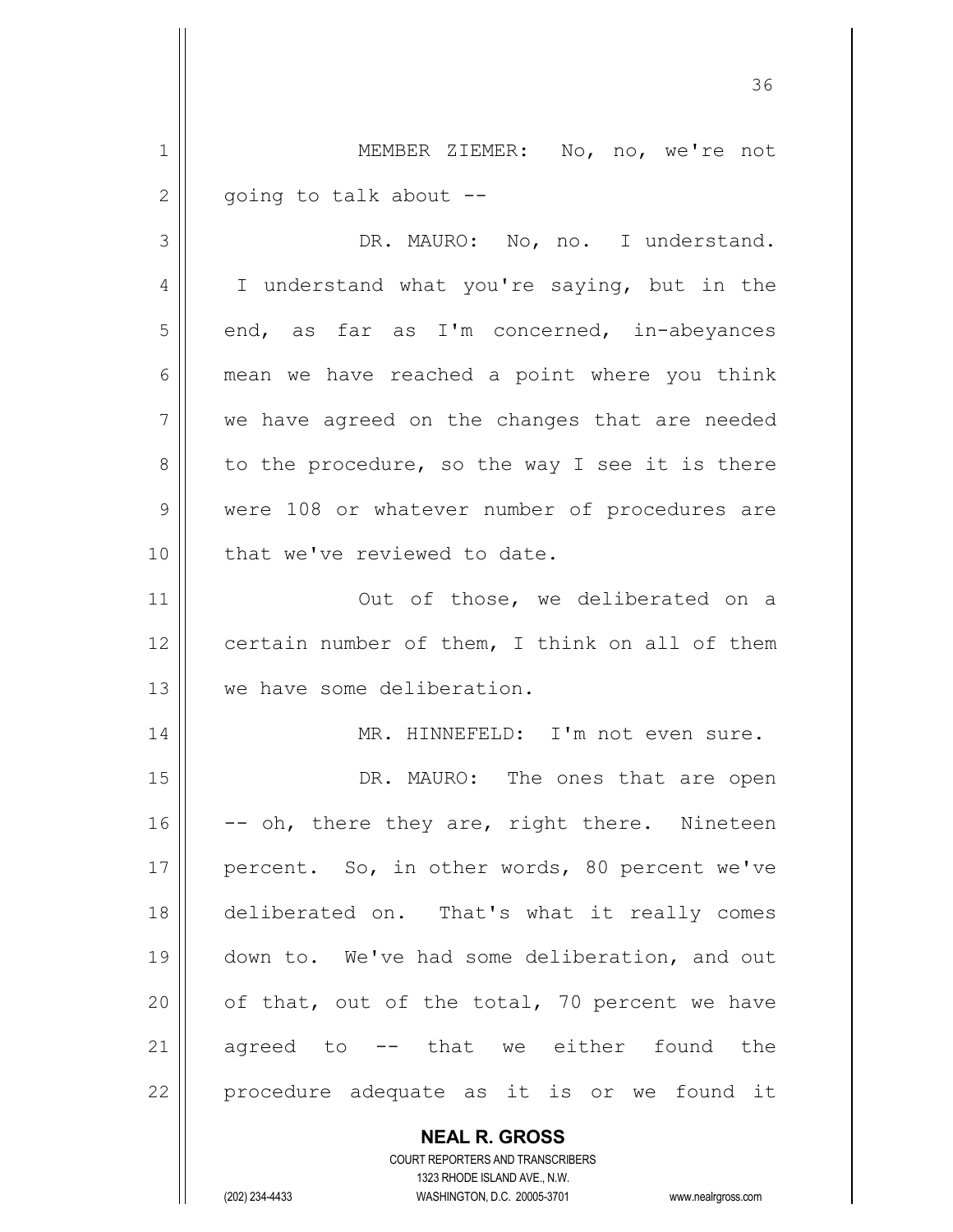1 || MEMBER ZIEMER: No, no, we're not  $2 \parallel$  going to talk about --

3 DR. MAURO: No, no. I understand. 4 || I understand what you're saying, but in the  $5 \parallel$  end, as far as I'm concerned, in-abeyances  $6 \parallel$  mean we have reached a point where you think 7 we have agreed on the changes that are needed  $8 \parallel$  to the procedure, so the way I see it is there 9 Were 108 or whatever number of procedures are 10 | that we've reviewed to date.

11 || Out of those, we deliberated on a 12 | certain number of them, I think on all of them 13 we have some deliberation.

14 || MR. HINNEFELD: I'm not even sure.

15 || DR. MAURO: The ones that are open 16  $\vert$  -- oh, there they are, right there. Nineteen 17 || percent. So, in other words, 80 percent we've 18 deliberated on. That's what it really comes 19 || down to. We've had some deliberation, and out 20  $\parallel$  of that, out of the total, 70 percent we have 21 agreed to -- that we either found the 22 || procedure adequate as it is or we found it

> **NEAL R. GROSS** COURT REPORTERS AND TRANSCRIBERS 1323 RHODE ISLAND AVE., N.W.

(202) 234-4433 WASHINGTON, D.C. 20005-3701 www.nealrgross.com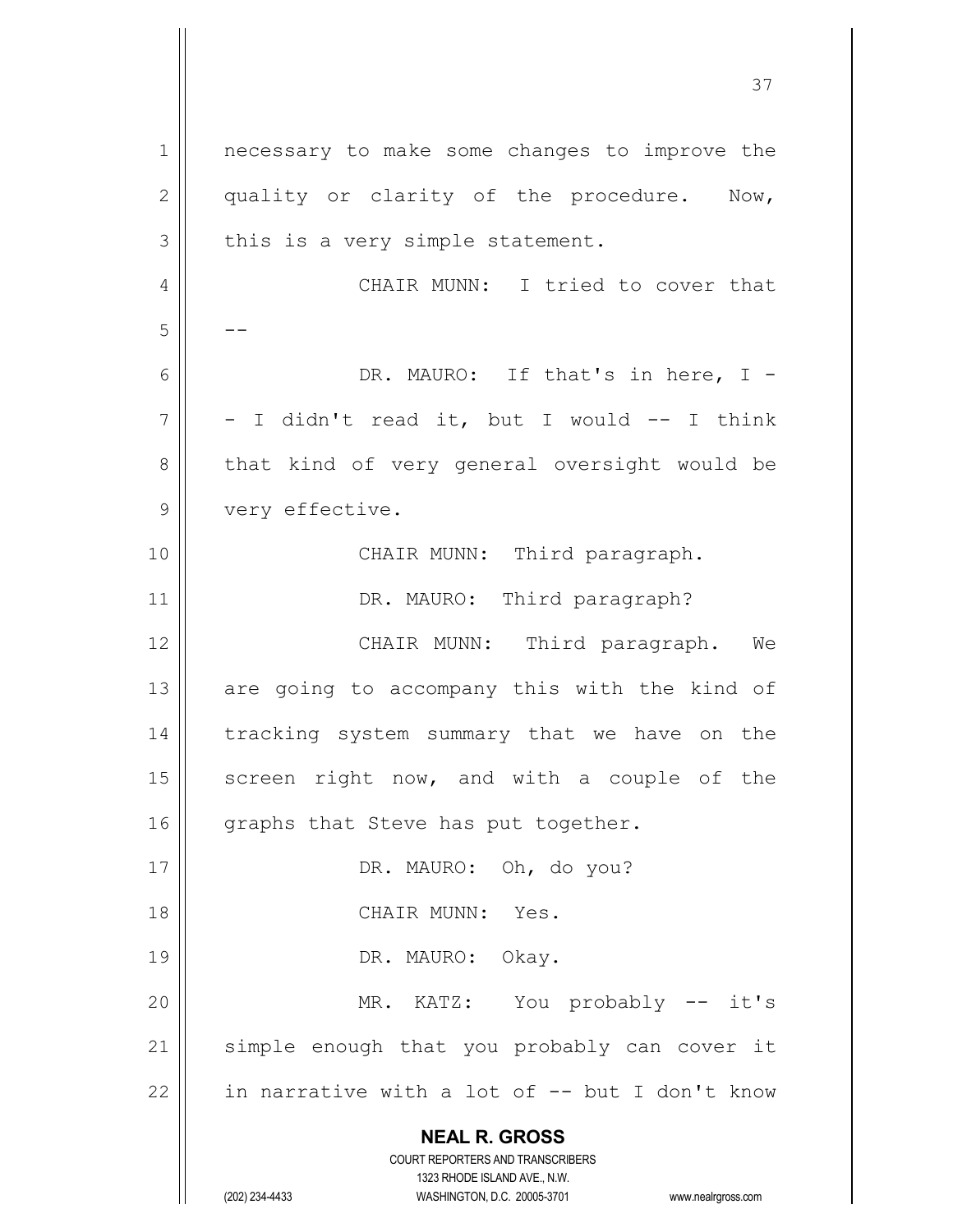**NEAL R. GROSS** COURT REPORTERS AND TRANSCRIBERS 1323 RHODE ISLAND AVE., N.W. 1 || necessary to make some changes to improve the  $2 \parallel$  quality or clarity of the procedure. Now,  $3 \parallel$  this is a very simple statement. 4 CHAIR MUNN: I tried to cover that  $5 \parallel - 6 \parallel$  DR. MAURO: If that's in here, I - $7 \parallel -I$  didn't read it, but I would -- I think 8 || that kind of very general oversight would be 9 | very effective. 10 || CHAIR MUNN: Third paragraph. 11 | DR. MAURO: Third paragraph? 12 CHAIR MUNN: Third paragraph. We  $13$  are going to accompany this with the kind of 14 || tracking system summary that we have on the  $15$  screen right now, and with a couple of the  $16$  graphs that Steve has put together. 17 || DR. MAURO: Oh, do you? 18 CHAIR MUNN: Yes. 19 || DR. MAURO: Okay. 20 || MR. KATZ: You probably -- it's 21 || simple enough that you probably can cover it 22  $\parallel$  in narrative with a lot of -- but I don't know

(202) 234-4433 WASHINGTON, D.C. 20005-3701 www.nealrgross.com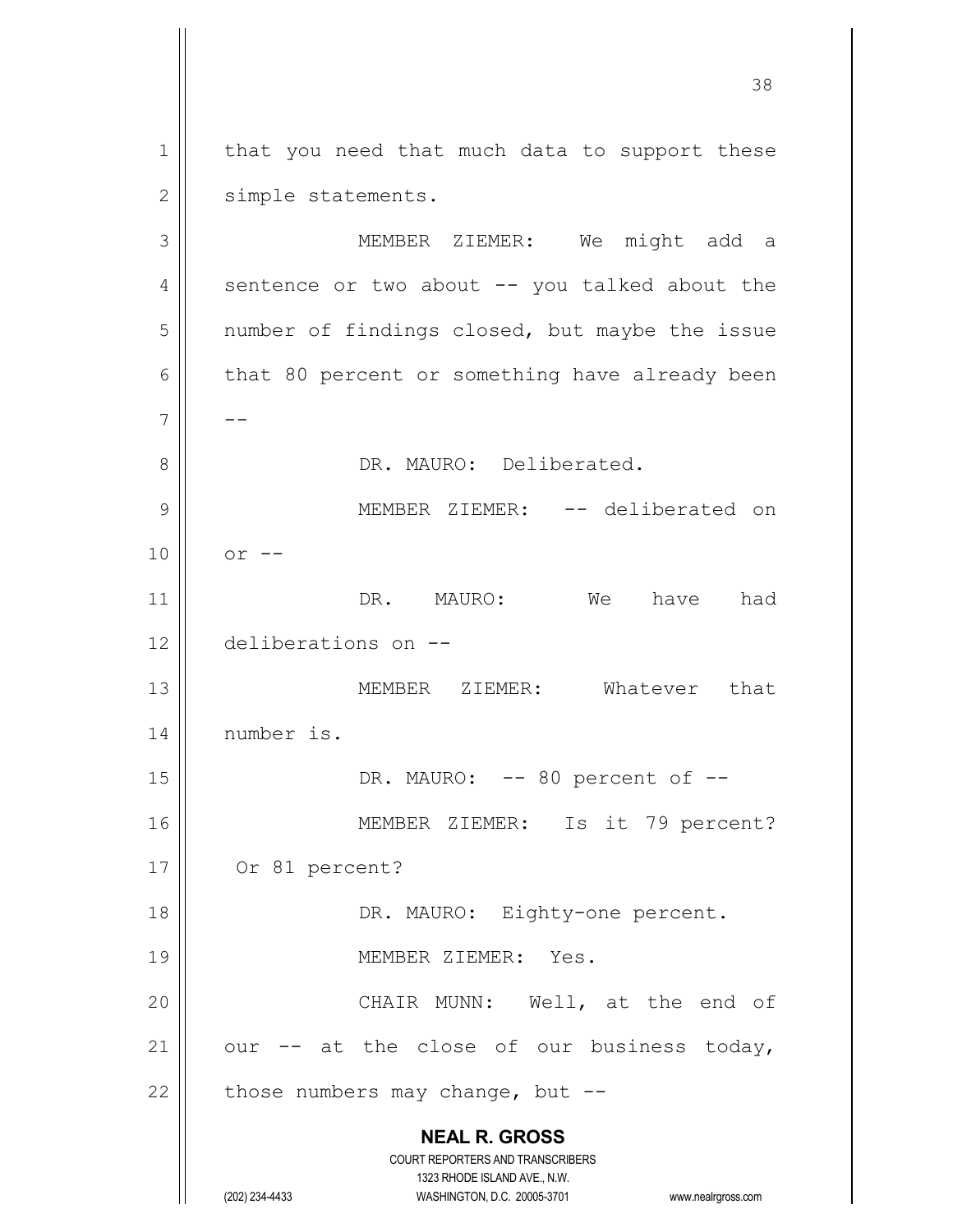1 | that you need that much data to support these 2 | simple statements.

**NEAL R. GROSS** COURT REPORTERS AND TRANSCRIBERS 1323 RHODE ISLAND AVE., N.W. (202) 234-4433 WASHINGTON, D.C. 20005-3701 www.nealrgross.com 3 MEMBER ZIEMER: We might add a 4  $\parallel$  sentence or two about  $-$  you talked about the 5 | number of findings closed, but maybe the issue  $6 \parallel$  that 80 percent or something have already been 7 -- 8 | R. MAURO: Deliberated. 9 MEMBER ZIEMER: -- deliberated on  $10 \parallel \quad$  or  $--$ 11 DR. MAURO: We have had 12 deliberations on -- 13 MEMBER ZIEMER: Whatever that 14 | number is. 15 || DR. MAURO: -- 80 percent of --16 || MEMBER ZIEMER: Is it 79 percent? 17 Or 81 percent? 18 || DR. MAURO: Eighty-one percent. 19 || MEMBER ZIEMER: Yes. 20 CHAIR MUNN: Well, at the end of 21  $\parallel$  our -- at the close of our business today, 22  $\parallel$  those numbers may change, but --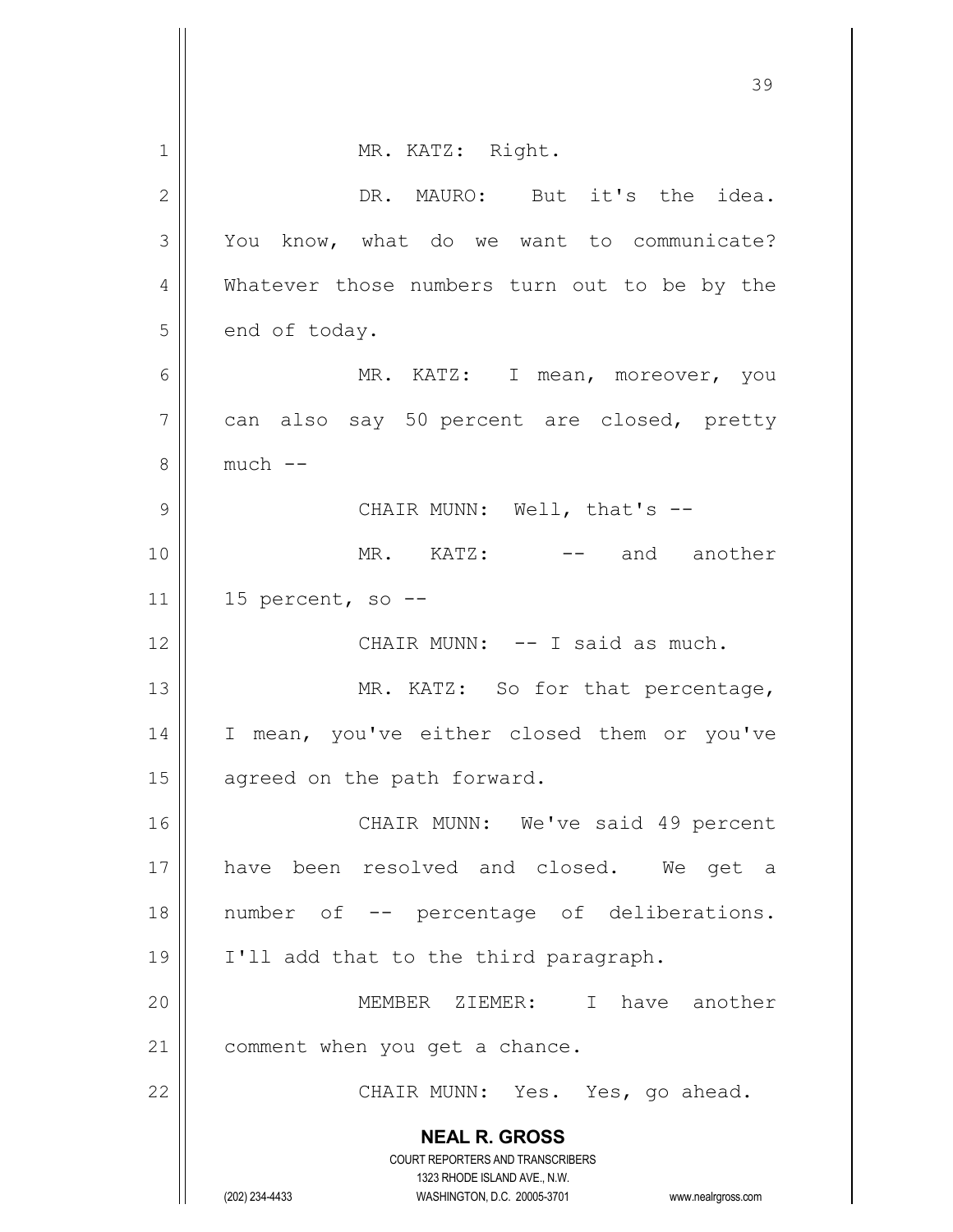|                | 39                                                                                                  |
|----------------|-----------------------------------------------------------------------------------------------------|
|                |                                                                                                     |
| $\mathbf 1$    | MR. KATZ: Right.                                                                                    |
| $\mathbf{2}$   | DR. MAURO: But it's the idea.                                                                       |
| 3              | You know, what do we want to communicate?                                                           |
| 4              | Whatever those numbers turn out to be by the                                                        |
| 5              | end of today.                                                                                       |
| 6              | MR. KATZ: I mean, moreover, you                                                                     |
| $\overline{7}$ | can also say 50 percent are closed, pretty                                                          |
| 8              | $much$ $--$                                                                                         |
| $\mathcal{G}$  | CHAIR MUNN: Well, that's --                                                                         |
| 10             | MR. KATZ: -- and another                                                                            |
| 11             | 15 percent, so --                                                                                   |
| 12             | CHAIR MUNN: -- I said as much.                                                                      |
| 13             | MR. KATZ: So for that percentage,                                                                   |
| 14             | I mean, you've either closed them or you've                                                         |
| 15             | agreed on the path forward.                                                                         |
| 16             | CHAIR MUNN: We've said 49 percent                                                                   |
| 17             | have been resolved and closed. We get a                                                             |
| 18             | number of -- percentage of deliberations.                                                           |
| 19             | I'll add that to the third paragraph.                                                               |
| 20             | MEMBER ZIEMER: I have another                                                                       |
| 21             | comment when you get a chance.                                                                      |
| 22             | CHAIR MUNN: Yes. Yes, go ahead.                                                                     |
|                | <b>NEAL R. GROSS</b>                                                                                |
|                | <b>COURT REPORTERS AND TRANSCRIBERS</b>                                                             |
|                | 1323 RHODE ISLAND AVE., N.W.<br>(202) 234-4433<br>WASHINGTON, D.C. 20005-3701<br>www.nealrgross.com |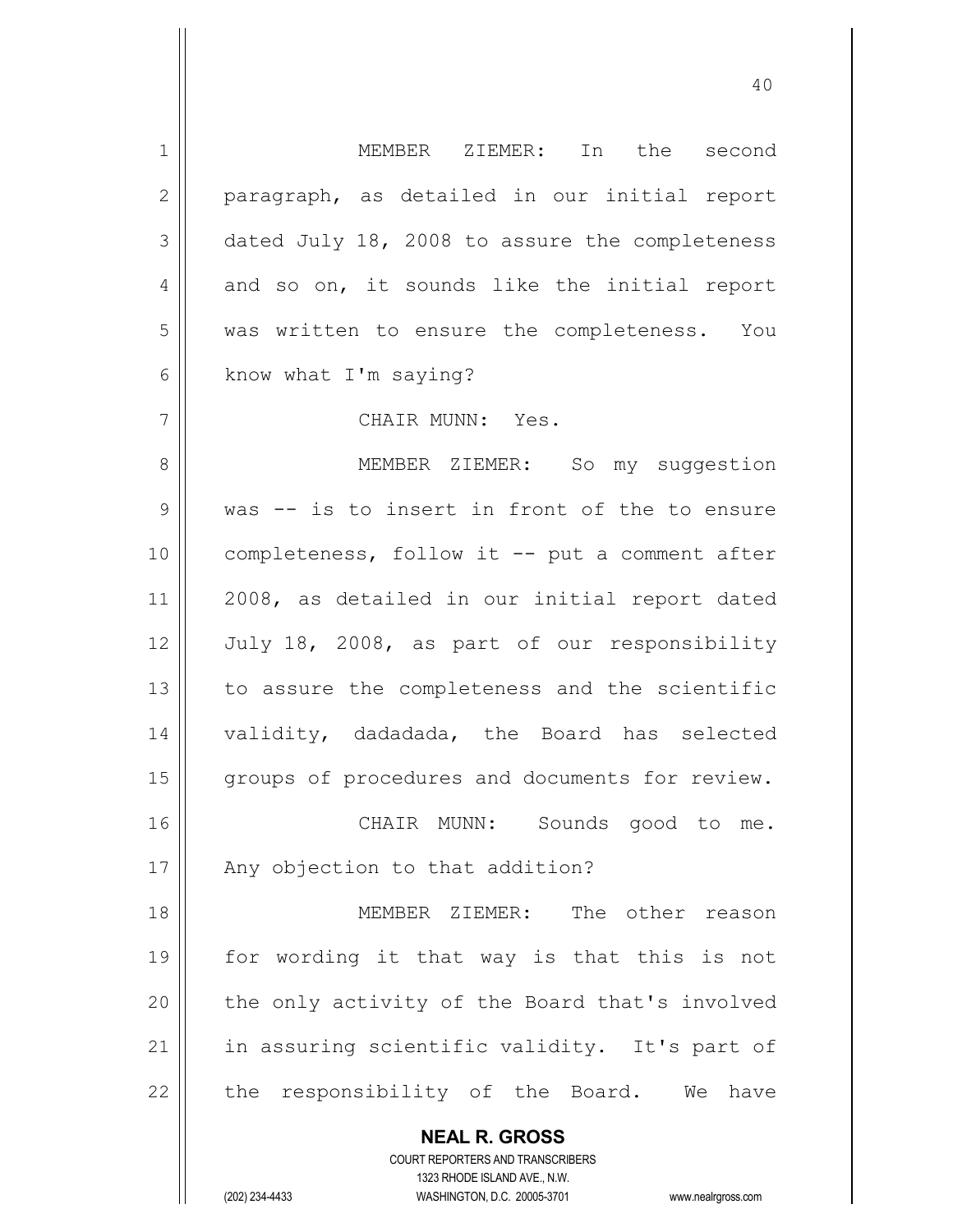| $\mathbf 1$    | MEMBER ZIEMER: In the second                                        |
|----------------|---------------------------------------------------------------------|
| $\mathbf{2}$   | paragraph, as detailed in our initial report                        |
| 3              | dated July 18, 2008 to assure the completeness                      |
| $\overline{4}$ | and so on, it sounds like the initial report                        |
| 5              | was written to ensure the completeness. You                         |
| 6              | know what I'm saying?                                               |
| 7              | CHAIR MUNN: Yes.                                                    |
| 8              | MEMBER ZIEMER: So my suggestion                                     |
| 9              | was -- is to insert in front of the to ensure                       |
| 10             | completeness, follow it -- put a comment after                      |
| 11             | 2008, as detailed in our initial report dated                       |
| 12             | July 18, 2008, as part of our responsibility                        |
| 13             | to assure the completeness and the scientific                       |
| 14             | validity, dadadada, the Board has selected                          |
| 15             | groups of procedures and documents for review.                      |
| 16             | CHAIR MUNN: Sounds good to me.                                      |
| 17             | Any objection to that addition?                                     |
| 18             | MEMBER ZIEMER: The other reason                                     |
| 19             | for wording it that way is that this is not                         |
| 20             | the only activity of the Board that's involved                      |
| 21             | in assuring scientific validity. It's part of                       |
| 22             | the responsibility of the Board. We<br>have                         |
|                | <b>NEAL R. GROSS</b>                                                |
|                | <b>COURT REPORTERS AND TRANSCRIBERS</b>                             |
|                | 1323 RHODE ISLAND AVE., N.W.                                        |
|                | (202) 234-4433<br>WASHINGTON, D.C. 20005-3701<br>www.nealrgross.com |

 $\mathsf{I}$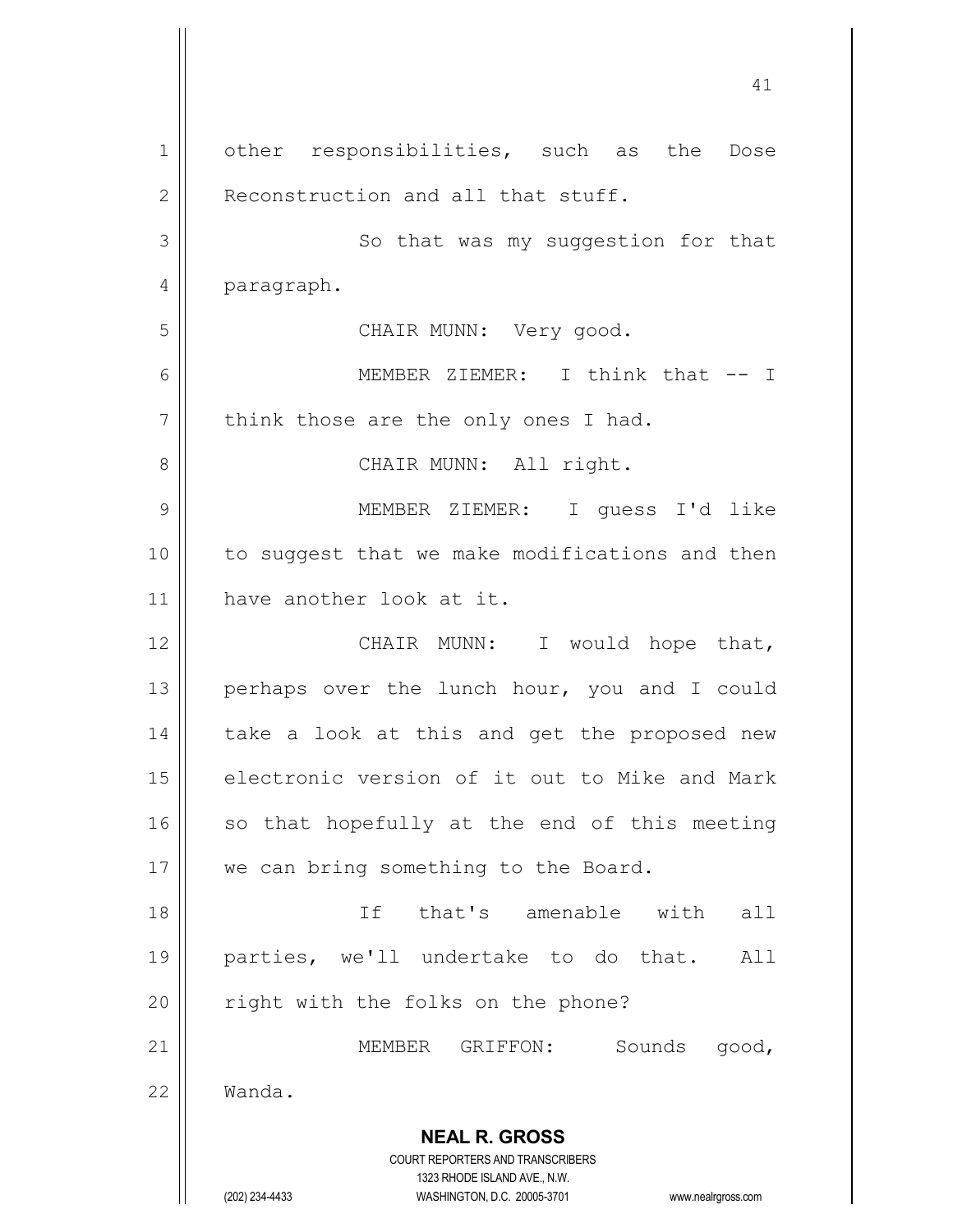**NEAL R. GROSS** COURT REPORTERS AND TRANSCRIBERS 1323 RHODE ISLAND AVE., N.W. (202) 234-4433 WASHINGTON, D.C. 20005-3701 www.nealrgross.com 41 1 | other responsibilities, such as the Dose 2 | Reconstruction and all that stuff. 3 || So that was my suggestion for that 4 | paragraph. 5 CHAIR MUNN: Very good. 6 MEMBER ZIEMER: I think that -- I  $7 \parallel$  think those are the only ones I had. 8 || CHAIR MUNN: All right. 9 MEMBER ZIEMER: I guess I'd like 10 || to suggest that we make modifications and then 11 have another look at it. 12 || CHAIR MUNN: I would hope that, 13  $\parallel$  perhaps over the lunch hour, you and I could  $14$  | take a look at this and get the proposed new 15 electronic version of it out to Mike and Mark  $16$  so that hopefully at the end of this meeting 17 || we can bring something to the Board. 18 If that's amenable with all 19 parties, we'll undertake to do that. All 20 || right with the folks on the phone? 21 MEMBER GRIFFON: Sounds good, 22 Wanda.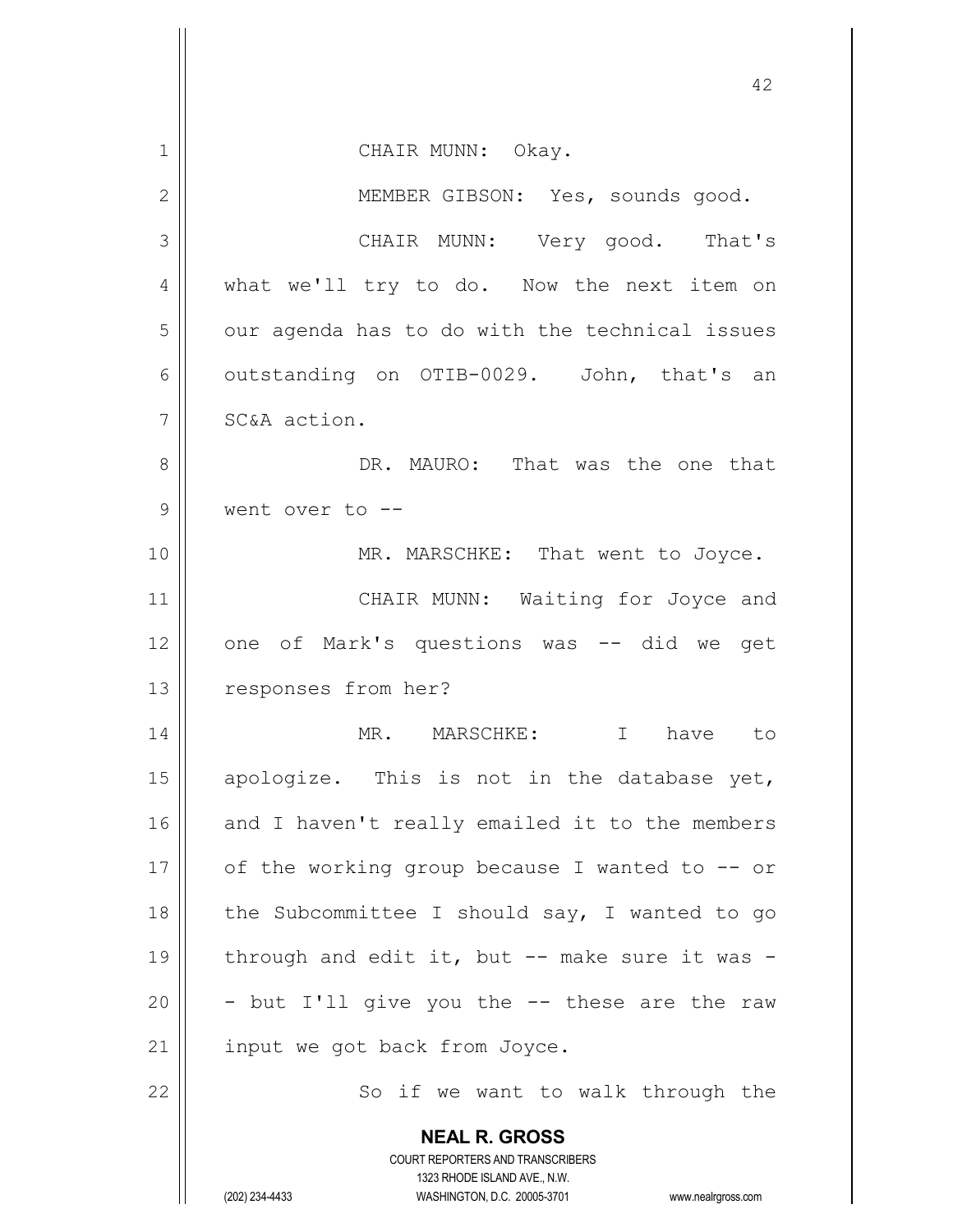|                | 42                                                                                                                                                              |
|----------------|-----------------------------------------------------------------------------------------------------------------------------------------------------------------|
| $\mathbf 1$    | CHAIR MUNN: Okay.                                                                                                                                               |
| $\mathbf{2}$   | MEMBER GIBSON: Yes, sounds good.                                                                                                                                |
| 3              | CHAIR MUNN: Very good. That's                                                                                                                                   |
| $\overline{4}$ | what we'll try to do. Now the next item on                                                                                                                      |
| 5              | our agenda has to do with the technical issues                                                                                                                  |
| 6              | outstanding on OTIB-0029. John, that's an                                                                                                                       |
| $\overline{7}$ | SC&A action.                                                                                                                                                    |
| 8              | DR. MAURO: That was the one that                                                                                                                                |
| $\mathcal{G}$  | went over to --                                                                                                                                                 |
| 10             | MR. MARSCHKE: That went to Joyce.                                                                                                                               |
| 11             | CHAIR MUNN: Waiting for Joyce and                                                                                                                               |
| 12             | one of Mark's questions was -- did we get                                                                                                                       |
| 13             | responses from her?                                                                                                                                             |
| 14             | MR. MARSCHKE: I have to                                                                                                                                         |
| 15             | apologize. This is not in the database yet,                                                                                                                     |
| 16             | and I haven't really emailed it to the members                                                                                                                  |
| 17             | of the working group because I wanted to $-$ or                                                                                                                 |
| 18             | the Subcommittee I should say, I wanted to go                                                                                                                   |
| 19             | through and edit it, but -- make sure it was -                                                                                                                  |
| 20             | - but I'll give you the -- these are the raw                                                                                                                    |
| 21             | input we got back from Joyce.                                                                                                                                   |
| 22             | So if we want to walk through the                                                                                                                               |
|                | <b>NEAL R. GROSS</b><br>COURT REPORTERS AND TRANSCRIBERS<br>1323 RHODE ISLAND AVE., N.W.<br>(202) 234-4433<br>WASHINGTON, D.C. 20005-3701<br>www.nealrgross.com |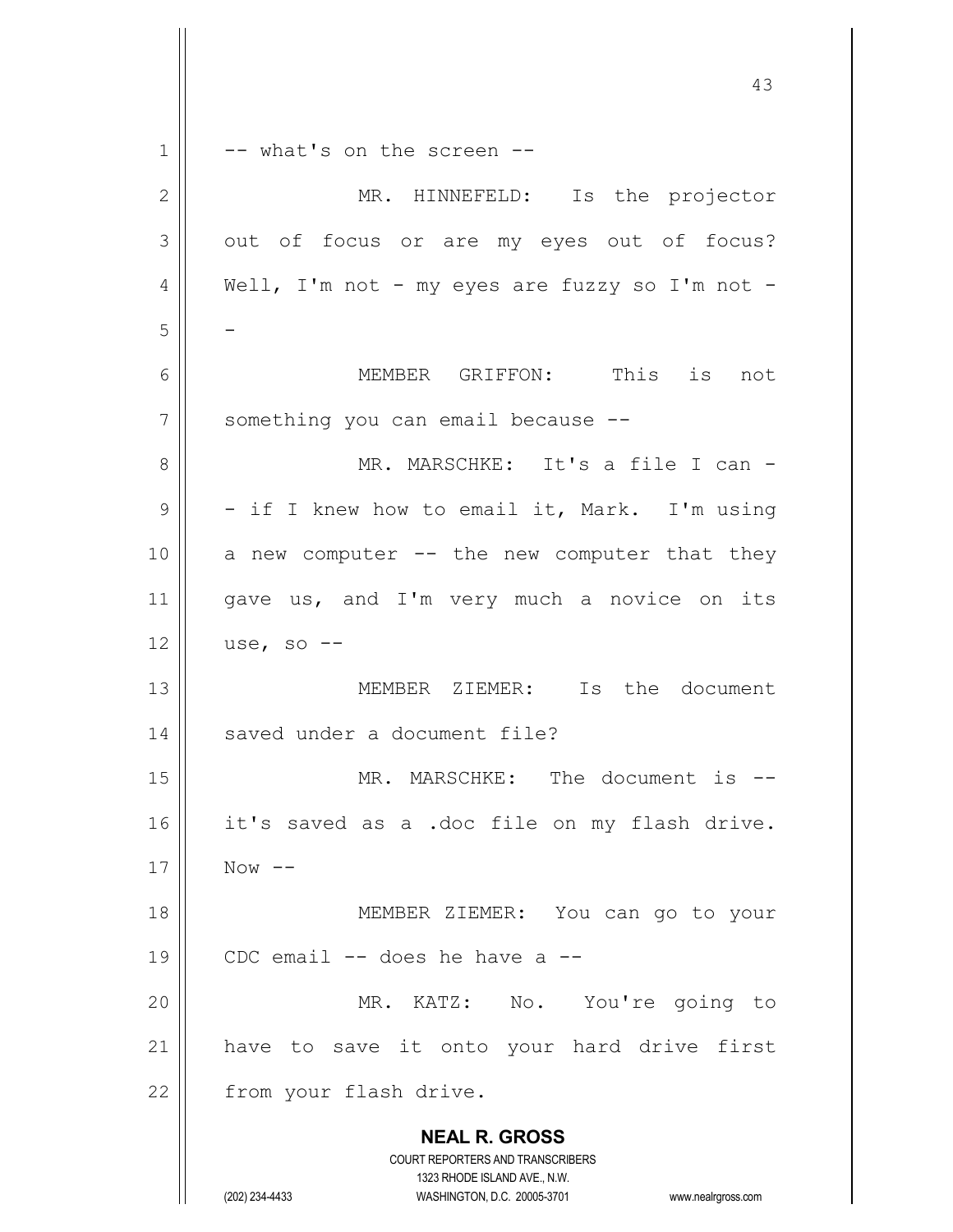|              | 43                                                                      |
|--------------|-------------------------------------------------------------------------|
| $\mathbf 1$  | -- what's on the screen --                                              |
| $\mathbf{2}$ | MR. HINNEFELD: Is the projector                                         |
| 3            | out of focus or are my eyes out of focus?                               |
| 4            | Well, I'm not - my eyes are fuzzy so I'm not -                          |
| 5            |                                                                         |
| 6            | MEMBER GRIFFON: This is not                                             |
| 7            | something you can email because --                                      |
| 8            | MR. MARSCHKE: It's a file I can -                                       |
| 9            | - if I knew how to email it, Mark. I'm using                            |
| 10           | a new computer -- the new computer that they                            |
| 11           | gave us, and I'm very much a novice on its                              |
| 12           | use, so $--$                                                            |
| 13           | MEMBER ZIEMER: Is the document                                          |
| 14           | saved under a document file?                                            |
| 15           | MR. MARSCHKE: The document is                                           |
| 16           | it's saved as a .doc file on my flash drive.                            |
| 17           | Now $--$                                                                |
| 18           | MEMBER ZIEMER: You can go to your                                       |
| 19           | CDC email -- does he have a                                             |
| 20           | MR. KATZ: No. You're going to                                           |
| 21           | have to save it onto your hard drive first                              |
| 22           | from your flash drive.                                                  |
|              | <b>NEAL R. GROSS</b>                                                    |
|              | <b>COURT REPORTERS AND TRANSCRIBERS</b><br>1323 RHODE ISLAND AVE., N.W. |
|              | (202) 234-4433<br>WASHINGTON, D.C. 20005-3701<br>www.nealrgross.com     |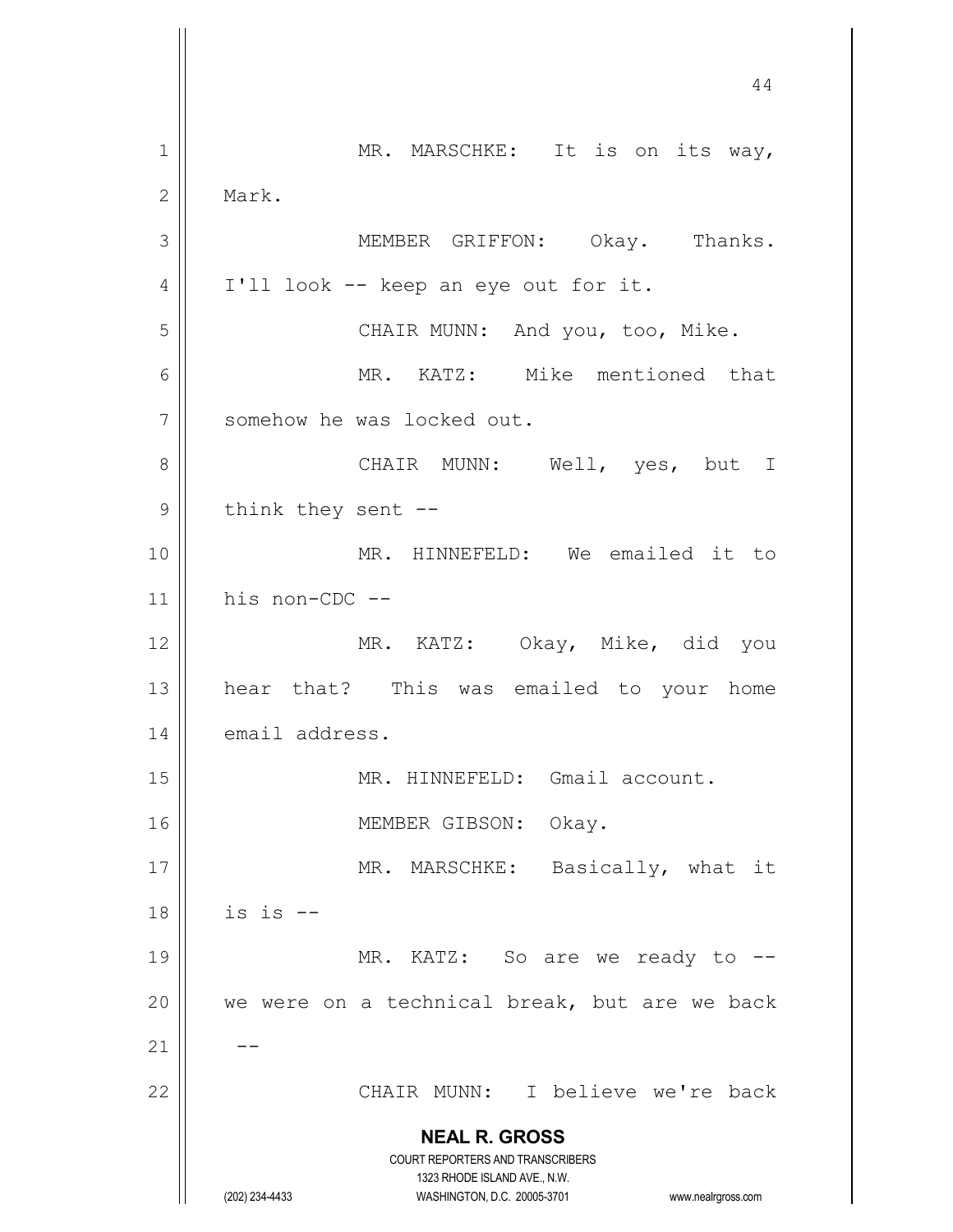**NEAL R. GROSS** COURT REPORTERS AND TRANSCRIBERS 1323 RHODE ISLAND AVE., N.W. (202) 234-4433 WASHINGTON, D.C. 20005-3701 www.nealrgross.com 1 || MR. MARSCHKE: It is on its way, 2 | Mark. 3 MEMBER GRIFFON: Okay. Thanks.  $4 \parallel$  I'll look -- keep an eye out for it. 5 || CHAIR MUNN: And you, too, Mike. 6 MR. KATZ: Mike mentioned that 7 | somehow he was locked out. 8 CHAIR MUNN: Well, yes, but I  $9 \parallel$  think they sent --10 || MR. HINNEFELD: We emailed it to 11 his non-CDC -- 12 MR. KATZ: Okay, Mike, did you 13 hear that? This was emailed to your home 14 email address. 15 || MR. HINNEFELD: Gmail account. 16 || MEMBER GIBSON: Okay. 17 || MR. MARSCHKE: Basically, what it  $18$  | is is  $-$ 19 || MR. KATZ: So are we ready to --20  $\parallel$  we were on a technical break, but are we back  $21$   $-$ 22 CHAIR MUNN: I believe we're back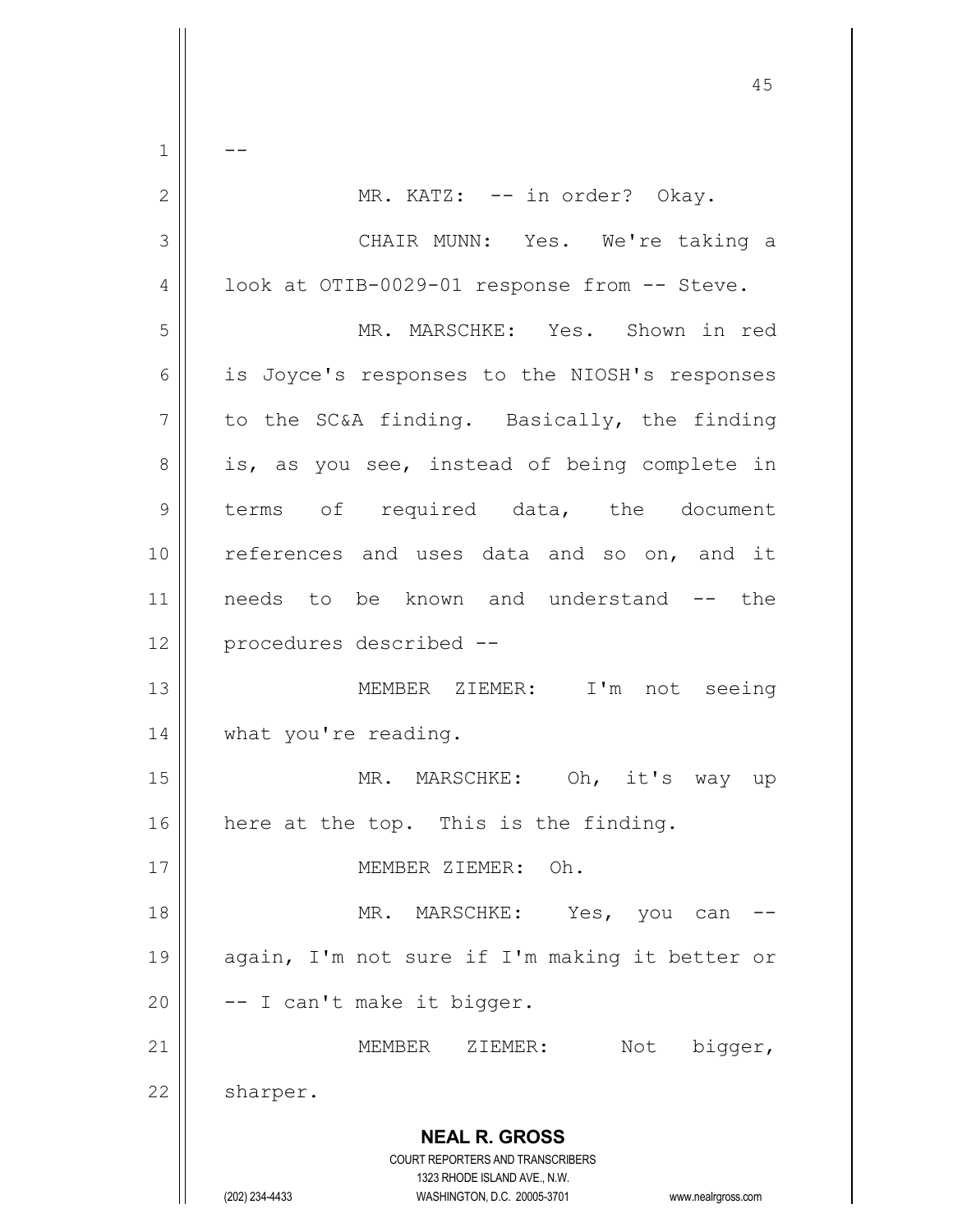**NEAL R. GROSS** COURT REPORTERS AND TRANSCRIBERS 1323 RHODE ISLAND AVE., N.W. (202) 234-4433 WASHINGTON, D.C. 20005-3701 www.nealrgross.com 45  $1 \parallel - -$ 2 || MR. KATZ: -- in order? Okay. 3 CHAIR MUNN: Yes. We're taking a 4 | look at OTIB-0029-01 response from -- Steve. 5 MR. MARSCHKE: Yes. Shown in red 6 || is Joyce's responses to the NIOSH's responses  $7 \parallel$  to the SC&A finding. Basically, the finding  $8 \parallel$  is, as you see, instead of being complete in 9 terms of required data, the document 10 || references and uses data and so on, and it 11 || needs to be known and understand -- the 12 procedures described -- 13 MEMBER ZIEMER: I'm not seeing 14 | what you're reading. 15 || MR. MARSCHKE: Oh, it's way up  $16$  | here at the top. This is the finding. 17 MEMBER ZIEMER: Oh. 18 MR. MARSCHKE: Yes, you can -- 19 again, I'm not sure if I'm making it better or  $20$   $\vert$  -- I can't make it bigger. 21 MEMBER ZIEMER: Not bigger, 22 | sharper.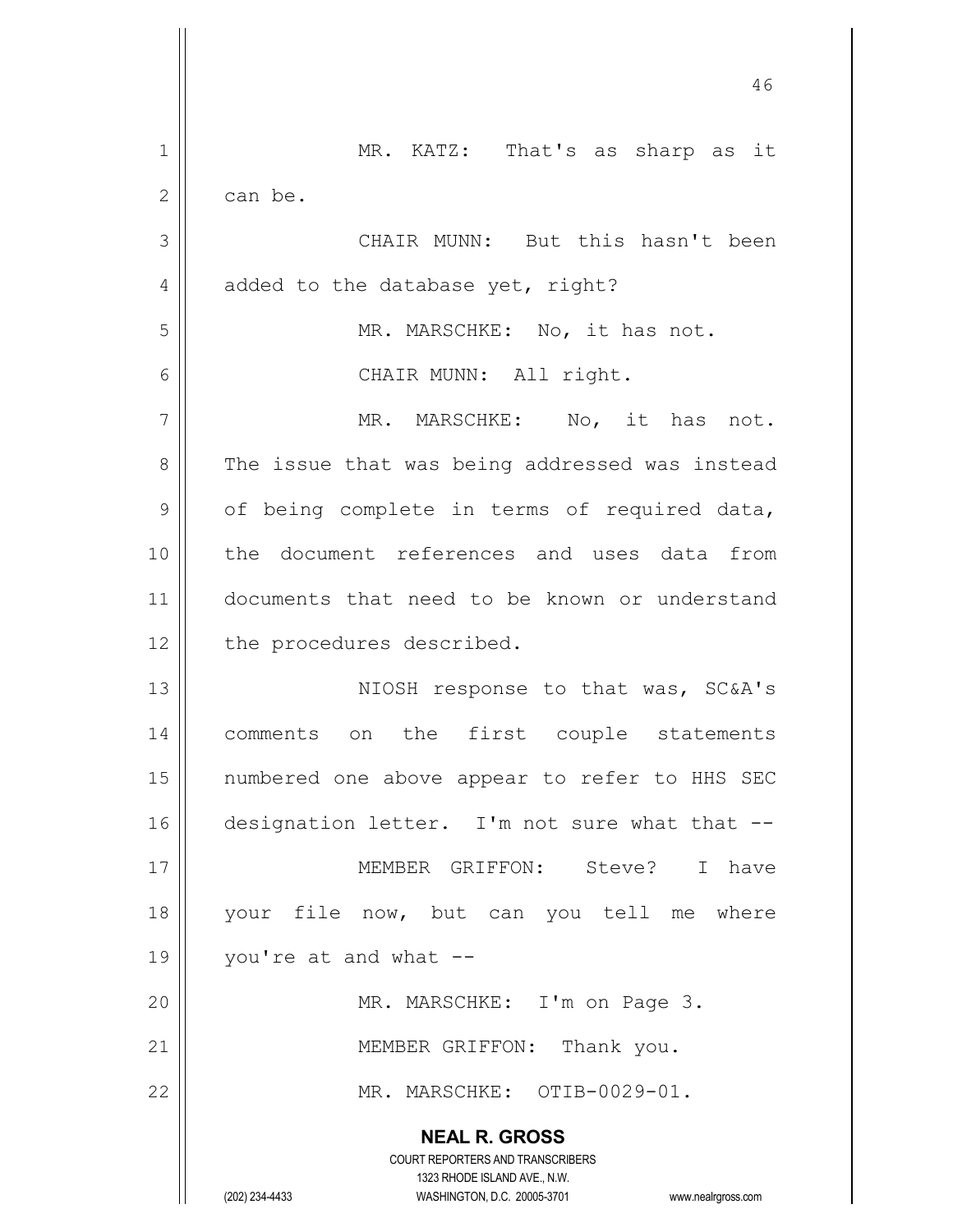|    | 46                                                                      |
|----|-------------------------------------------------------------------------|
| 1  | MR. KATZ: That's as sharp as it                                         |
| 2  | can be.                                                                 |
| 3  | CHAIR MUNN: But this hasn't been                                        |
| 4  | added to the database yet, right?                                       |
| 5  | MR. MARSCHKE: No, it has not.                                           |
| 6  | CHAIR MUNN: All right.                                                  |
| 7  | MR. MARSCHKE: No, it has<br>not.                                        |
| 8  | The issue that was being addressed was instead                          |
| 9  | of being complete in terms of required data,                            |
| 10 | the document references and uses data from                              |
| 11 | documents that need to be known or understand                           |
| 12 | the procedures described.                                               |
| 13 | NIOSH response to that was, SC&A's                                      |
| 14 | comments on the first couple statements                                 |
| 15 | numbered one above appear to refer to HHS SEC                           |
| 16 | designation letter. I'm not sure what that --                           |
| 17 | MEMBER GRIFFON: Steve? I have                                           |
| 18 | your file now, but can you tell me where                                |
| 19 | you're at and what --                                                   |
| 20 | MR. MARSCHKE: I'm on Page 3.                                            |
| 21 | MEMBER GRIFFON: Thank you.                                              |
| 22 | MR. MARSCHKE: OTIB-0029-01.                                             |
|    | <b>NEAL R. GROSS</b>                                                    |
|    | <b>COURT REPORTERS AND TRANSCRIBERS</b><br>1323 RHODE ISLAND AVE., N.W. |
|    | (202) 234-4433<br>WASHINGTON, D.C. 20005-3701<br>www.nealrgross.com     |

 $\mathsf{l}$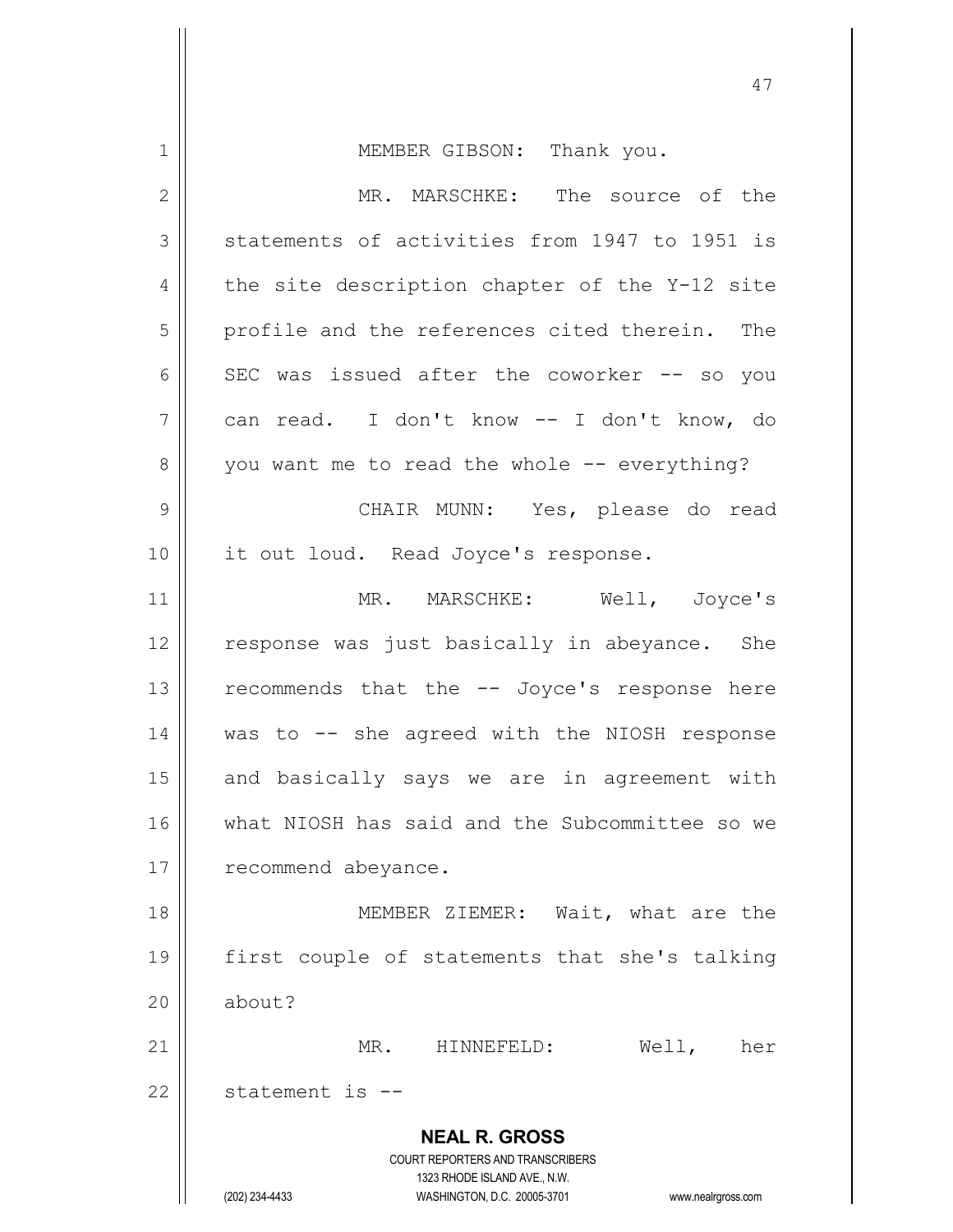**NEAL R. GROSS** COURT REPORTERS AND TRANSCRIBERS 1323 RHODE ISLAND AVE., N.W. (202) 234-4433 WASHINGTON, D.C. 20005-3701 www.nealrgross.com 1 || MEMBER GIBSON: Thank you. 2 MR. MARSCHKE: The source of the  $3$  statements of activities from 1947 to 1951 is  $4 \parallel$  the site description chapter of the Y-12 site 5 | profile and the references cited therein. The 6  $\parallel$  SEC was issued after the coworker -- so you 7 can read. I don't know -- I don't know, do 8 | you want me to read the whole -- everything? 9 CHAIR MUNN: Yes, please do read 10 || it out loud. Read Joyce's response. 11 || MR. MARSCHKE: Well, Joyce's 12 || response was just basically in abeyance. She  $13$  recommends that the  $-$ - Joyce's response here 14 was to -- she agreed with the NIOSH response  $15$  and basically says we are in agreement with 16 What NIOSH has said and the Subcommittee so we 17 | recommend abeyance. 18 || MEMBER ZIEMER: Wait, what are the 19 first couple of statements that she's talking 20 | about? 21 MR. HINNEFELD: Well, her  $22$  | statement is  $-$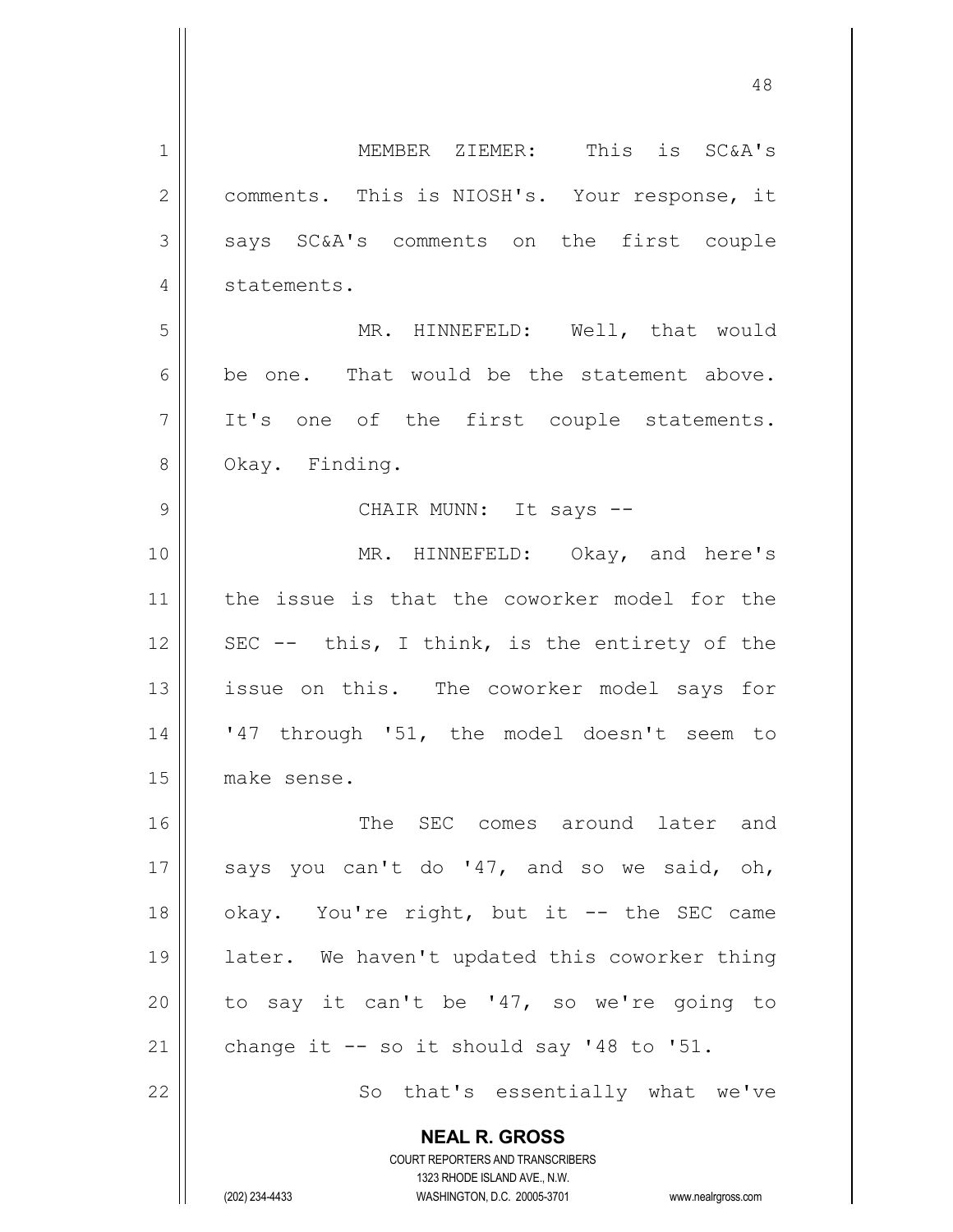**NEAL R. GROSS** COURT REPORTERS AND TRANSCRIBERS 1323 RHODE ISLAND AVE., N.W. 1 MEMBER ZIEMER: This is SC&A's 2 | comments. This is NIOSH's. Your response, it 3 says SC&A's comments on the first couple 4 | statements. 5 MR. HINNEFELD: Well, that would  $6$  be one. That would be the statement above.  $7$  It's one of the first couple statements. 8 || Okay. Finding. 9 CHAIR MUNN: It says -- 10 || MR. HINNEFELD: Okay, and here's 11 || the issue is that the coworker model for the 12 || SEC -- this, I think, is the entirety of the 13 || issue on this. The coworker model says for 14 || '47 through '51, the model doesn't seem to 15 make sense. 16 The SEC comes around later and 17  $\parallel$  says you can't do '47, and so we said, oh, 18 || okay. You're right, but it -- the SEC came 19 later. We haven't updated this coworker thing 20  $\parallel$  to say it can't be '47, so we're going to 21  $\parallel$  change it -- so it should say '48 to '51. 22 || So that's essentially what we've

(202) 234-4433 WASHINGTON, D.C. 20005-3701 www.nealrgross.com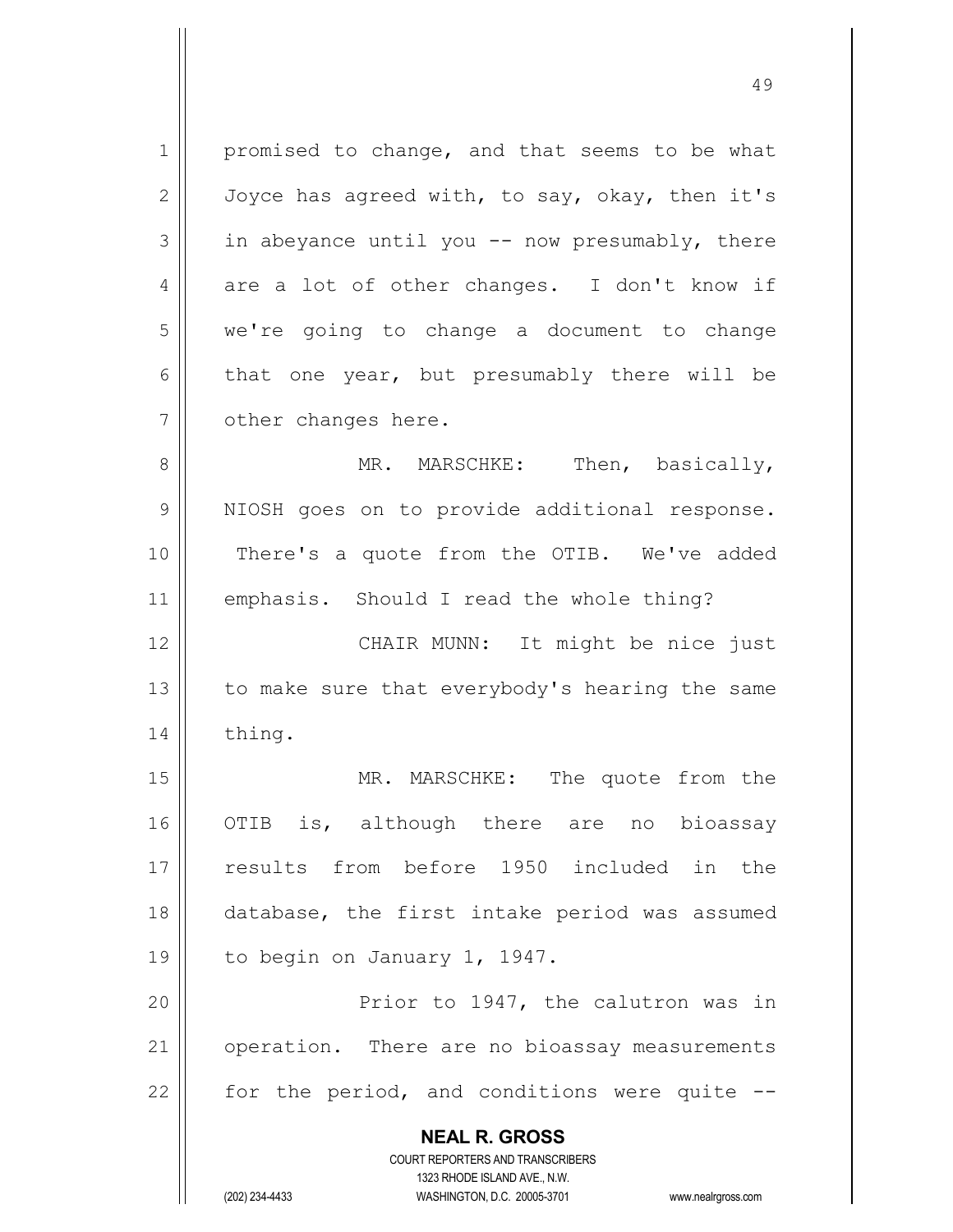**NEAL R. GROSS** COURT REPORTERS AND TRANSCRIBERS 1323 RHODE ISLAND AVE., N.W. 1 promised to change, and that seems to be what 2  $\parallel$  Joyce has agreed with, to say, okay, then it's  $3 \parallel$  in abeyance until you -- now presumably, there  $4 \parallel$  are a lot of other changes. I don't know if 5 we're going to change a document to change  $6 \parallel$  that one year, but presumably there will be 7 | other changes here. 8 MR. MARSCHKE: Then, basically, 9 || NIOSH goes on to provide additional response. 10 || There's a quote from the OTIB. We've added 11 | emphasis. Should I read the whole thing? 12 || CHAIR MUNN: It might be nice just 13  $\parallel$  to make sure that everybody's hearing the same 14 | thing. 15 || MR. MARSCHKE: The quote from the 16 || OTIB is, although there are no bioassay 17 results from before 1950 included in the 18 || database, the first intake period was assumed 19 | to begin on January 1, 1947. 20 Prior to 1947, the calutron was in 21 | operation. There are no bioassay measurements 22  $\parallel$  for the period, and conditions were quite  $-$ 

(202) 234-4433 WASHINGTON, D.C. 20005-3701 www.nealrgross.com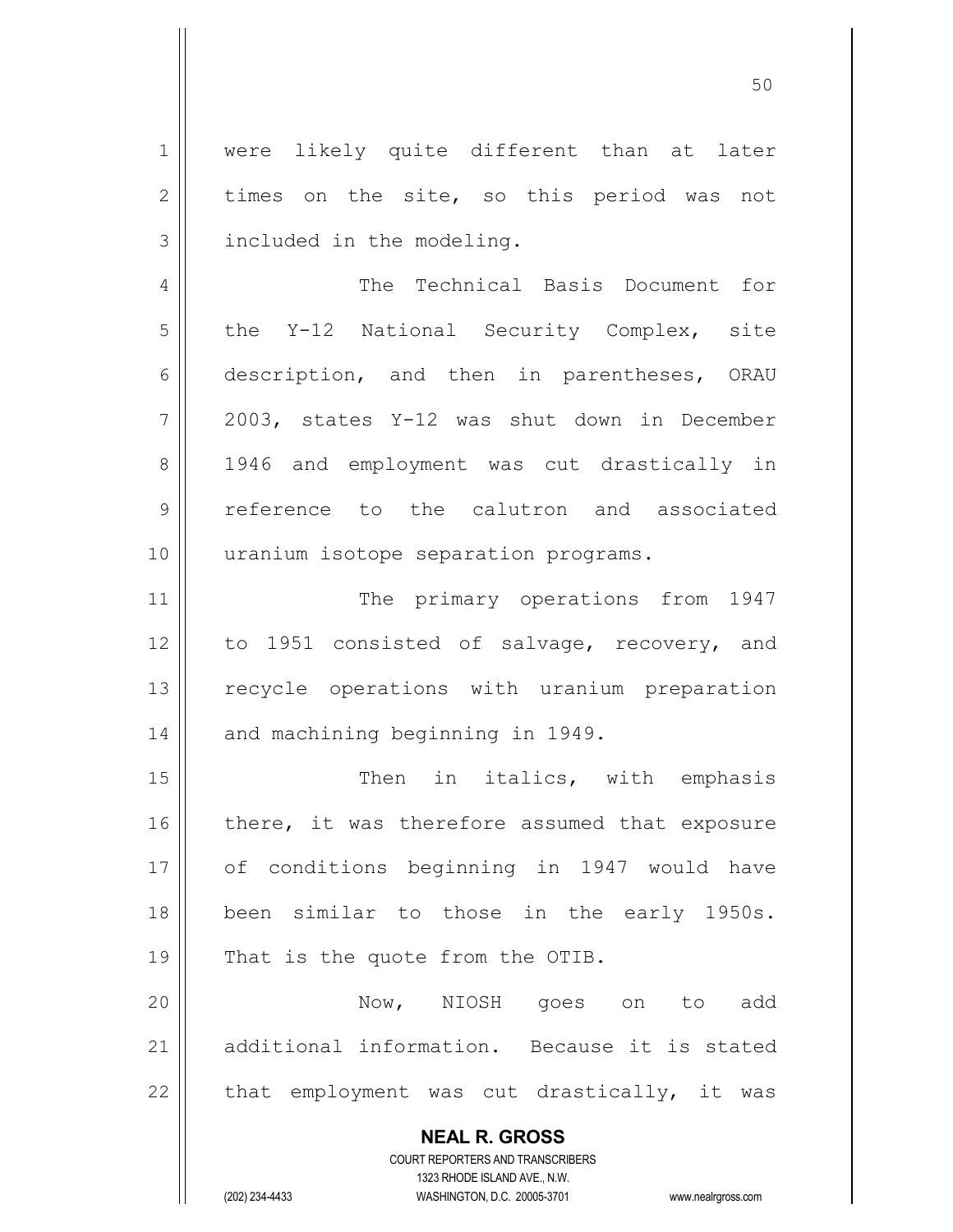**NEAL R. GROSS** COURT REPORTERS AND TRANSCRIBERS 1 || were likely quite different than at later  $2 \parallel$  times on the site, so this period was not 3 | included in the modeling. 4 | The Technical Basis Document for  $5$  the Y-12 National Security Complex, site 6 description, and then in parentheses, ORAU 7 2003, states Y-12 was shut down in December 8 || 1946 and employment was cut drastically in 9 || reference to the calutron and associated 10 || uranium isotope separation programs. 11 || The primary operations from 1947 12 to 1951 consisted of salvage, recovery, and 13 || recycle operations with uranium preparation 14 | and machining beginning in 1949. 15 || Then in italics, with emphasis  $16$  there, it was therefore assumed that exposure 17 || of conditions beginning in 1947 would have 18 || been similar to those in the early 1950s. 19 || That is the quote from the OTIB. 20 Now, NIOSH goes on to add 21 additional information. Because it is stated  $22$  || that employment was cut drastically, it was

1323 RHODE ISLAND AVE., N.W.

(202) 234-4433 WASHINGTON, D.C. 20005-3701 www.nealrgross.com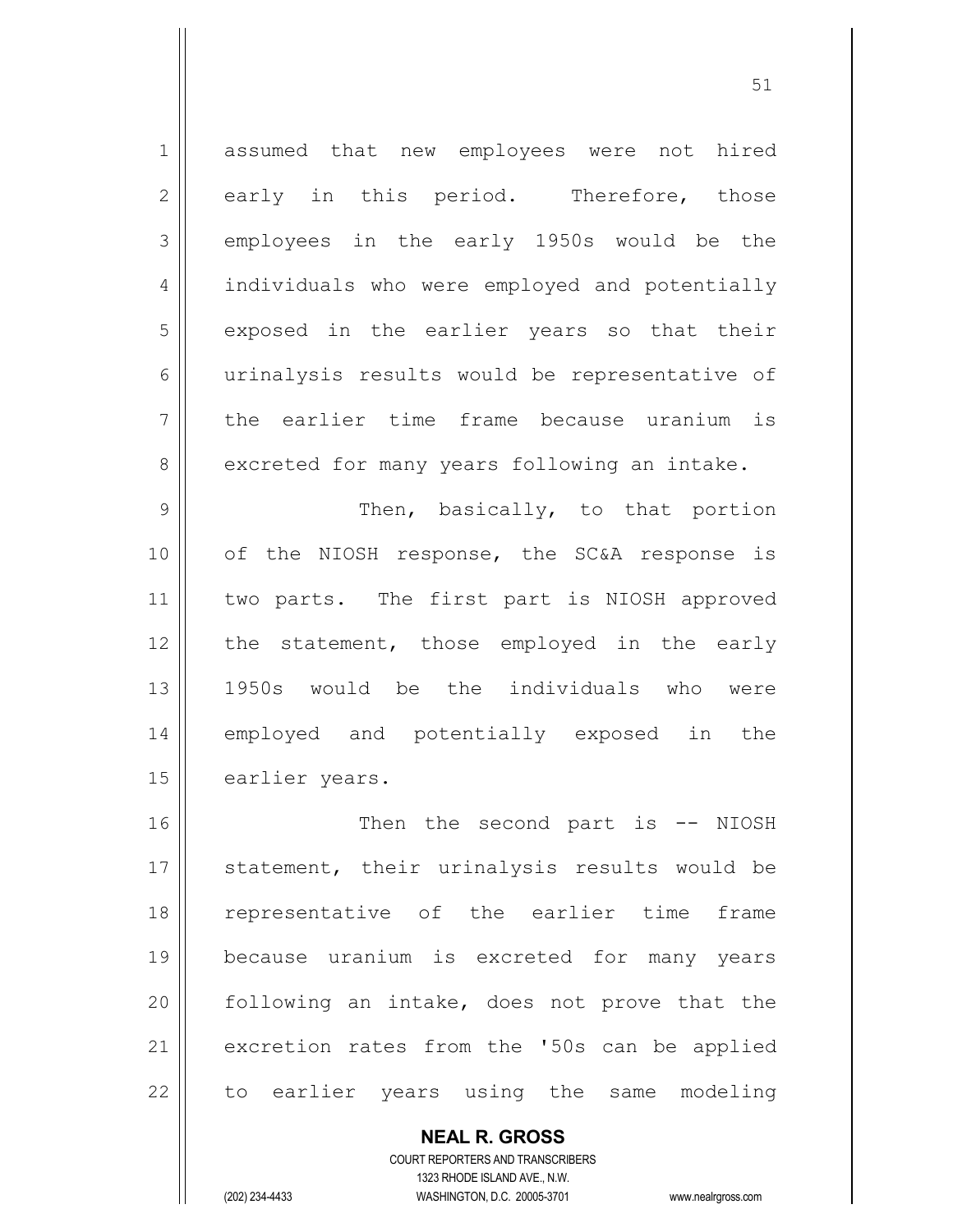1 assumed that new employees were not hired  $2 \parallel$  early in this period. Therefore, those  $3 \parallel$  employees in the early 1950s would be the 4 | individuals who were employed and potentially 5 || exposed in the earlier years so that their 6 urinalysis results would be representative of 7 the earlier time frame because uranium is 8 excreted for many years following an intake. 9 Then, basically, to that portion 10 of the NIOSH response, the SC&A response is 11 || two parts. The first part is NIOSH approved 12 || the statement, those employed in the early 13 1950s would be the individuals who were 14 employed and potentially exposed in the 15 | earlier years.

16 || Then the second part is -- NIOSH 17 || statement, their urinalysis results would be 18 representative of the earlier time frame 19 because uranium is excreted for many years  $20$  following an intake, does not prove that the 21 | excretion rates from the '50s can be applied 22 || to earlier years using the same modeling

> **NEAL R. GROSS** COURT REPORTERS AND TRANSCRIBERS 1323 RHODE ISLAND AVE., N.W. (202) 234-4433 WASHINGTON, D.C. 20005-3701 www.nealrgross.com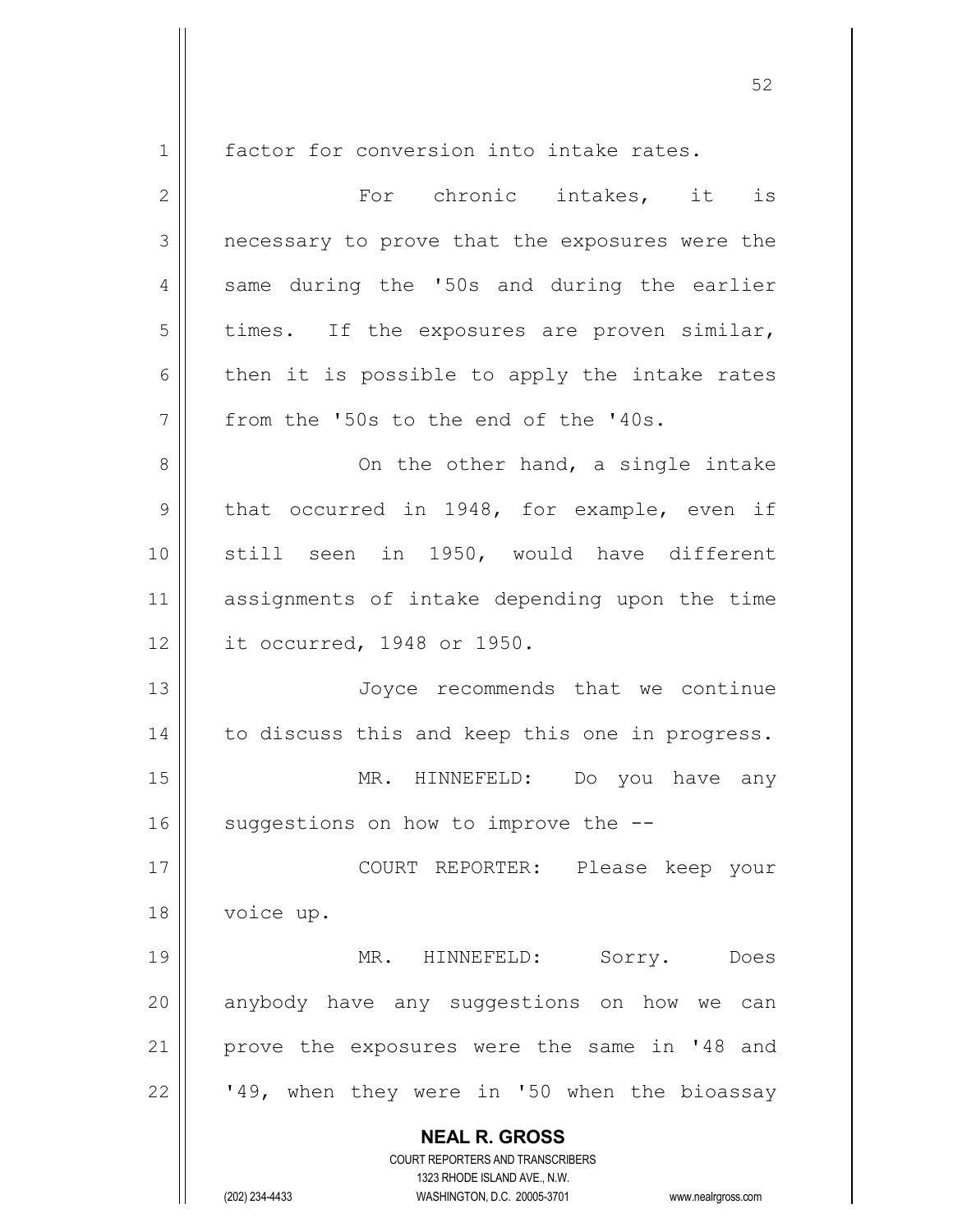**NEAL R. GROSS** COURT REPORTERS AND TRANSCRIBERS 1323 RHODE ISLAND AVE., N.W. 1 | factor for conversion into intake rates. 2 For chronic intakes, it is 3 || necessary to prove that the exposures were the 4 || same during the '50s and during the earlier  $5 \parallel$  times. If the exposures are proven similar,  $6$  then it is possible to apply the intake rates 7 || from the '50s to the end of the '40s. 8 On the other hand, a single intake  $9 \parallel$  that occurred in 1948, for example, even if 10 || still seen in 1950, would have different 11 assignments of intake depending upon the time 12 it occurred, 1948 or 1950. 13 || Joyce recommends that we continue 14 | to discuss this and keep this one in progress. 15 || MR. HINNEFELD: Do you have any 16  $\parallel$  suggestions on how to improve the  $-$ 17 COURT REPORTER: Please keep your 18 | voice up. 19 || MR. HINNEFELD: Sorry. Does  $20$  anybody have any suggestions on how we can 21 || prove the exposures were the same in '48 and 22  $\vert$  '49, when they were in '50 when the bioassay

(202) 234-4433 WASHINGTON, D.C. 20005-3701 www.nealrgross.com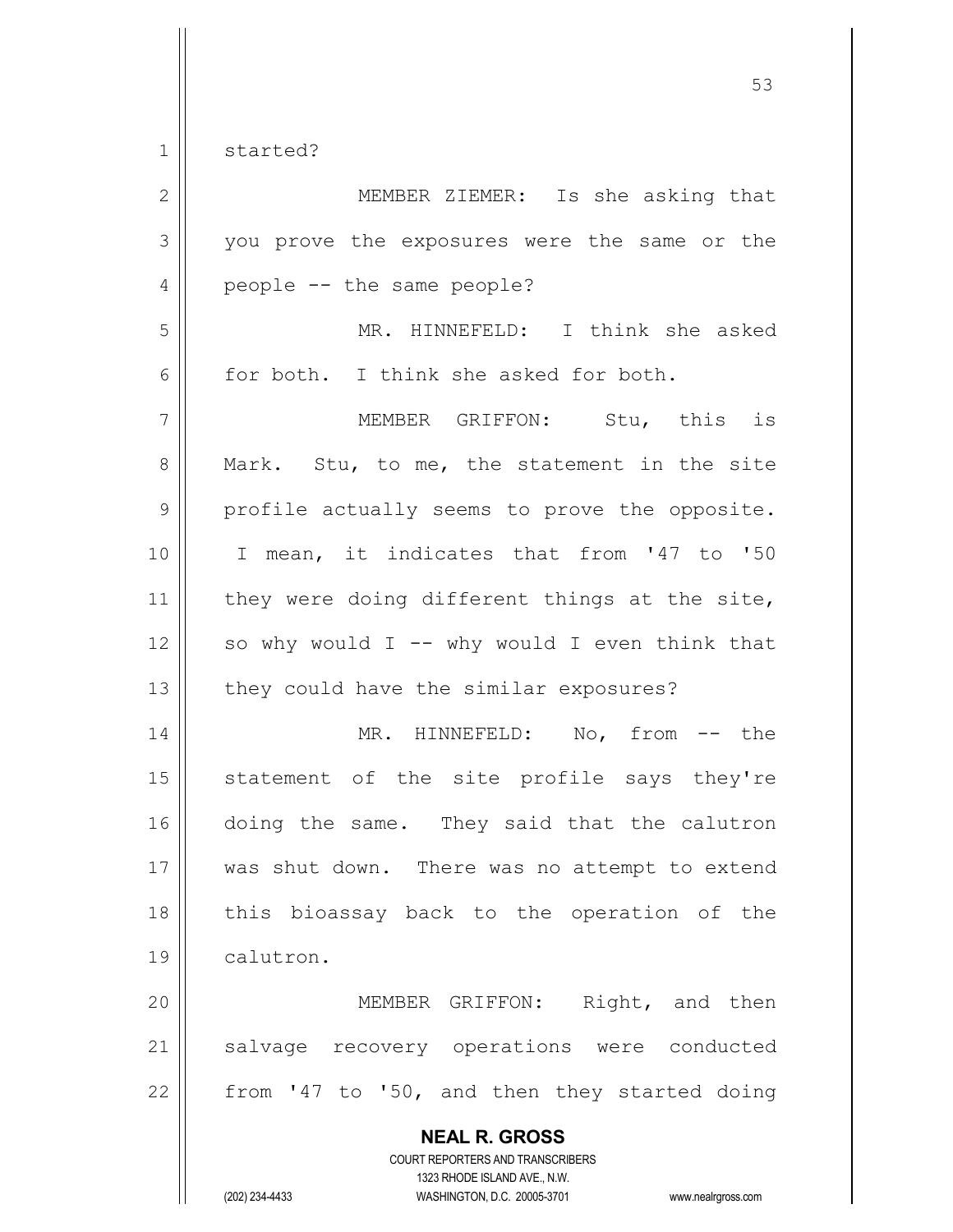1 started?

| $\overline{2}$ | MEMBER ZIEMER: Is she asking that                                                                                                                                      |
|----------------|------------------------------------------------------------------------------------------------------------------------------------------------------------------------|
| 3              | you prove the exposures were the same or the                                                                                                                           |
| $\overline{4}$ | people -- the same people?                                                                                                                                             |
| 5              | MR. HINNEFELD: I think she asked                                                                                                                                       |
| 6              | for both. I think she asked for both.                                                                                                                                  |
| $\overline{7}$ | MEMBER GRIFFON: Stu, this is                                                                                                                                           |
| $\,8\,$        | Mark. Stu, to me, the statement in the site                                                                                                                            |
| $\mathcal{G}$  | profile actually seems to prove the opposite.                                                                                                                          |
| 10             | I mean, it indicates that from '47 to '50                                                                                                                              |
| 11             | they were doing different things at the site,                                                                                                                          |
| 12             | so why would $I$ -- why would I even think that                                                                                                                        |
| 13             | they could have the similar exposures?                                                                                                                                 |
| 14             | MR. HINNEFELD: No, from -- the                                                                                                                                         |
| 15             | statement of the site profile says they're                                                                                                                             |
| 16             | doing the same. They said that the calutron                                                                                                                            |
| 17             | was shut down. There was no attempt to extend                                                                                                                          |
| 18             | this bioassay back to the operation of the                                                                                                                             |
| 19             | calutron.                                                                                                                                                              |
| 20             | MEMBER GRIFFON: Right, and then                                                                                                                                        |
| 21             | salvage recovery operations were conducted                                                                                                                             |
| 22             | from '47 to '50, and then they started doing                                                                                                                           |
|                | <b>NEAL R. GROSS</b><br><b>COURT REPORTERS AND TRANSCRIBERS</b><br>1323 RHODE ISLAND AVE., N.W.<br>(202) 234-4433<br>WASHINGTON, D.C. 20005-3701<br>www.nealrgross.com |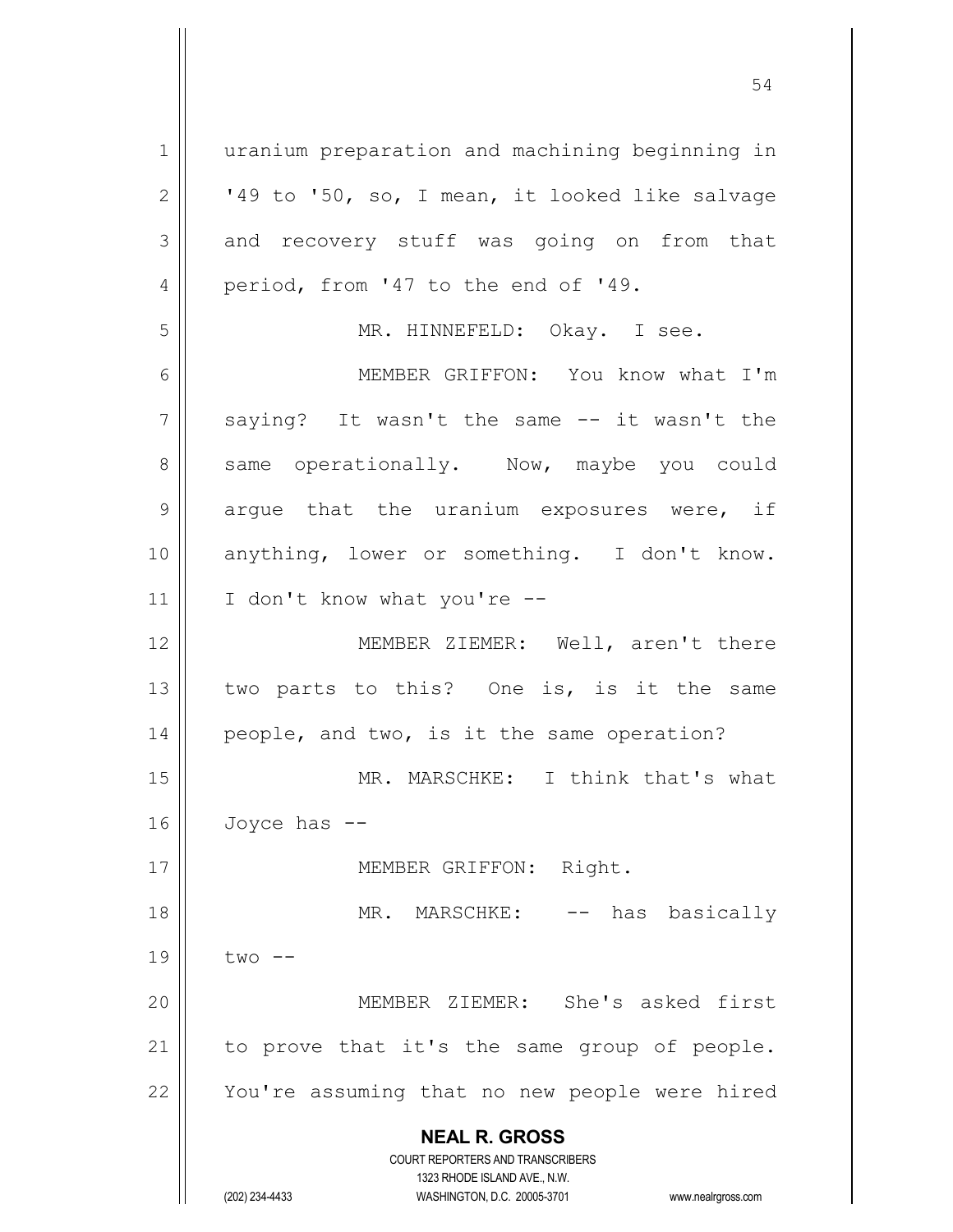**NEAL R. GROSS** COURT REPORTERS AND TRANSCRIBERS 1323 RHODE ISLAND AVE., N.W. (202) 234-4433 WASHINGTON, D.C. 20005-3701 www.nealrgross.com 1 | uranium preparation and machining beginning in  $2 \parallel$  '49 to '50, so, I mean, it looked like salvage  $3 \parallel$  and recovery stuff was going on from that 4 || period, from '47 to the end of '49. 5 || MR. HINNEFELD: Okay. I see. 6 MEMBER GRIFFON: You know what I'm 7 || saying? It wasn't the same -- it wasn't the 8 same operationally. Now, maybe you could  $9 \parallel$  argue that the uranium exposures were, if 10 anything, lower or something. I don't know.  $11$  | I don't know what you're --12 || MEMBER ZIEMER: Well, aren't there 13  $\parallel$  two parts to this? One is, is it the same 14 || people, and two, is it the same operation? 15 || MR. MARSCHKE: I think that's what  $16$  Joyce has  $-$ 17 || MEMBER GRIFFON: Right. 18 || MR. MARSCHKE: -- has basically  $19 \parallel$  two  $-$ 20 || MEMBER ZIEMER: She's asked first  $21$  to prove that it's the same group of people. 22 || You're assuming that no new people were hired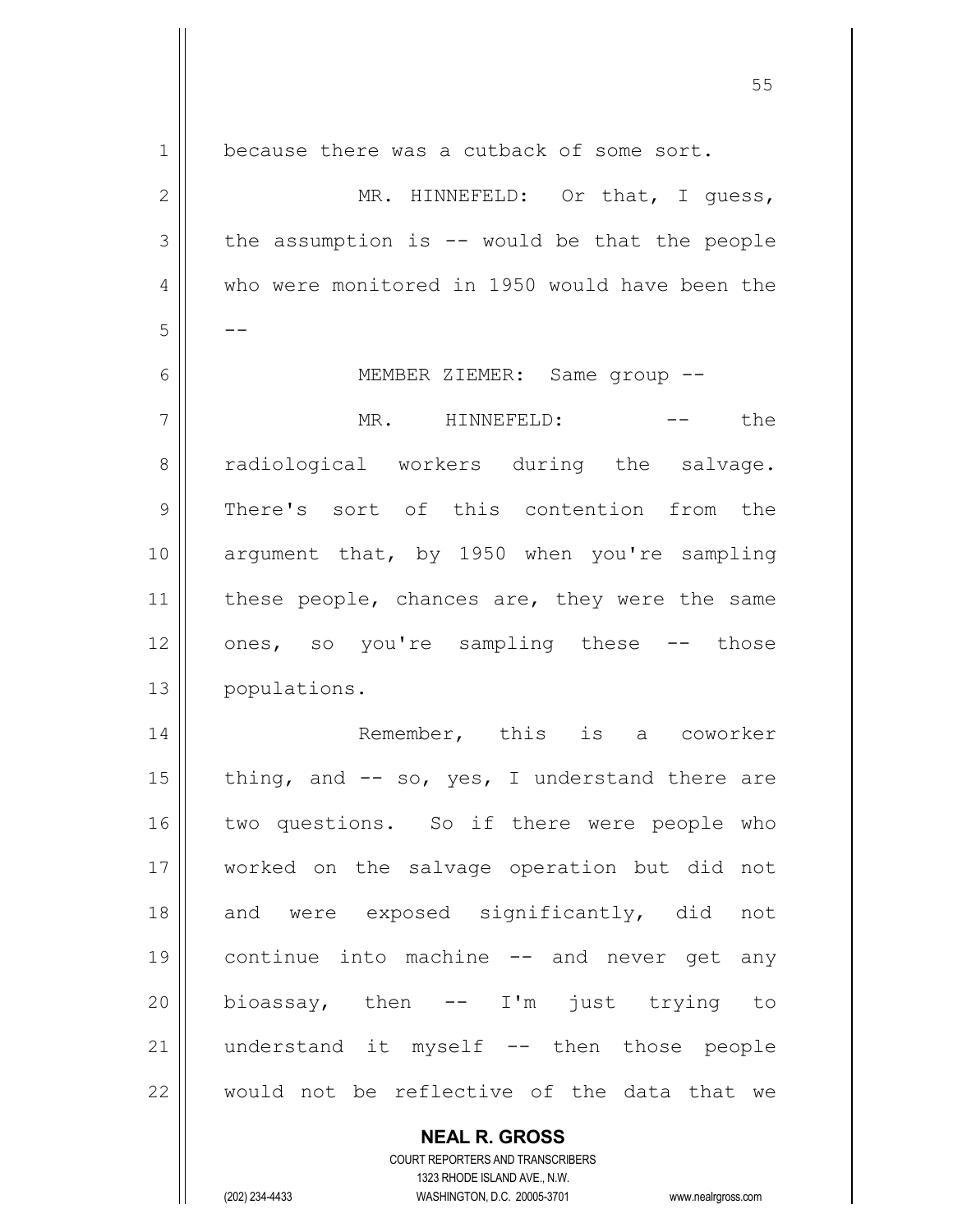| 1  | because there was a cutback of some sort.       |
|----|-------------------------------------------------|
| 2  | MR. HINNEFELD: Or that, I quess,                |
| 3  | the assumption is $-$ would be that the people  |
| 4  | who were monitored in 1950 would have been the  |
| 5  |                                                 |
| 6  | MEMBER ZIEMER: Same group --                    |
| 7  | MR. HINNEFELD:<br>the                           |
| 8  | radiological workers during the salvage.        |
| 9  | There's sort of this contention from the        |
| 10 | argument that, by 1950 when you're sampling     |
| 11 | these people, chances are, they were the same   |
| 12 | ones, so you're sampling these -- those         |
| 13 | populations.                                    |
| 14 | Remember, this is a coworker                    |
| 15 | thing, and $--$ so, yes, I understand there are |
| 16 | two questions. So if there were people who      |
| 17 | worked on the salvage operation but did not     |
| 18 | and were exposed significantly, did<br>not      |
| 19 | continue into machine -- and never get any      |
| 20 | bioassay, then -- I'm just trying to            |
| 21 | understand it myself -- then those people       |
| 22 | would not be reflective of the data that we     |
|    | <b>NEAL R. GROSS</b>                            |

 $\mathsf{II}$ 

1323 RHODE ISLAND AVE., N.W. (202) 234-4433 WASHINGTON, D.C. 20005-3701 www.nealrgross.com

COURT REPORTERS AND TRANSCRIBERS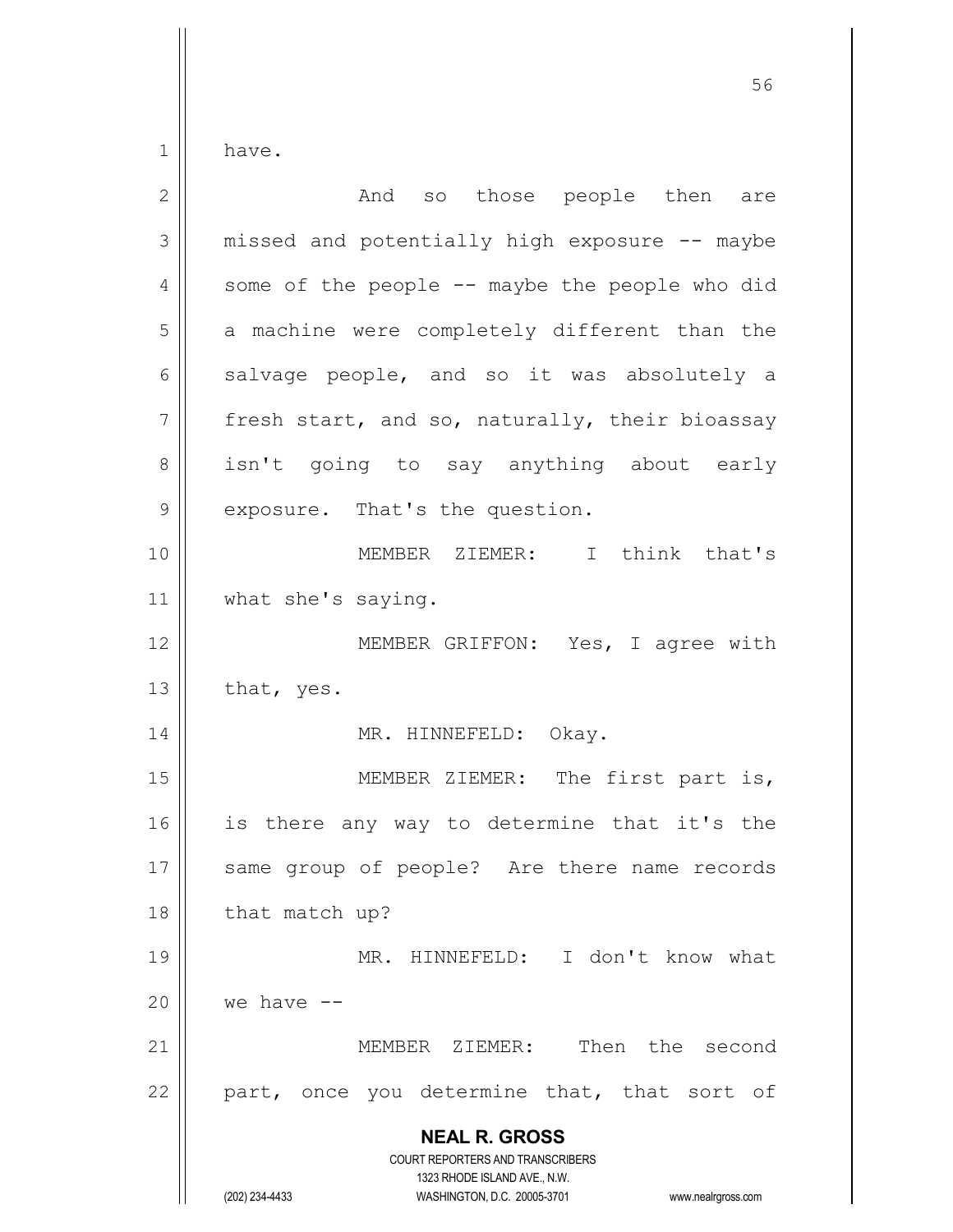have.

| $\overline{2}$ | And so those people then are                                                                                                                                           |
|----------------|------------------------------------------------------------------------------------------------------------------------------------------------------------------------|
| 3              | missed and potentially high exposure -- maybe                                                                                                                          |
| 4              | some of the people -- maybe the people who did                                                                                                                         |
| 5              | a machine were completely different than the                                                                                                                           |
| 6              | salvage people, and so it was absolutely a                                                                                                                             |
| 7              | fresh start, and so, naturally, their bioassay                                                                                                                         |
| 8              | isn't going to say anything about early                                                                                                                                |
| $\mathsf 9$    | exposure. That's the question.                                                                                                                                         |
| 10             | MEMBER ZIEMER: I think that's                                                                                                                                          |
| 11             | what she's saying.                                                                                                                                                     |
| 12             | MEMBER GRIFFON: Yes, I agree with                                                                                                                                      |
| 13             | that, yes.                                                                                                                                                             |
| 14             | MR. HINNEFELD: Okay.                                                                                                                                                   |
| 15             | MEMBER ZIEMER: The first part is,                                                                                                                                      |
| 16             | is there any way to determine that it's the                                                                                                                            |
| 17             | same group of people? Are there name records                                                                                                                           |
| 18             | that match up?                                                                                                                                                         |
| 19             | MR. HINNEFELD: I don't know what                                                                                                                                       |
| 20             | we have $--$                                                                                                                                                           |
| 21             | Then the second<br>MEMBER ZIEMER:                                                                                                                                      |
| 22             | part, once you determine that, that sort of                                                                                                                            |
|                | <b>NEAL R. GROSS</b><br><b>COURT REPORTERS AND TRANSCRIBERS</b><br>1323 RHODE ISLAND AVE., N.W.<br>(202) 234-4433<br>WASHINGTON, D.C. 20005-3701<br>www.nealrgross.com |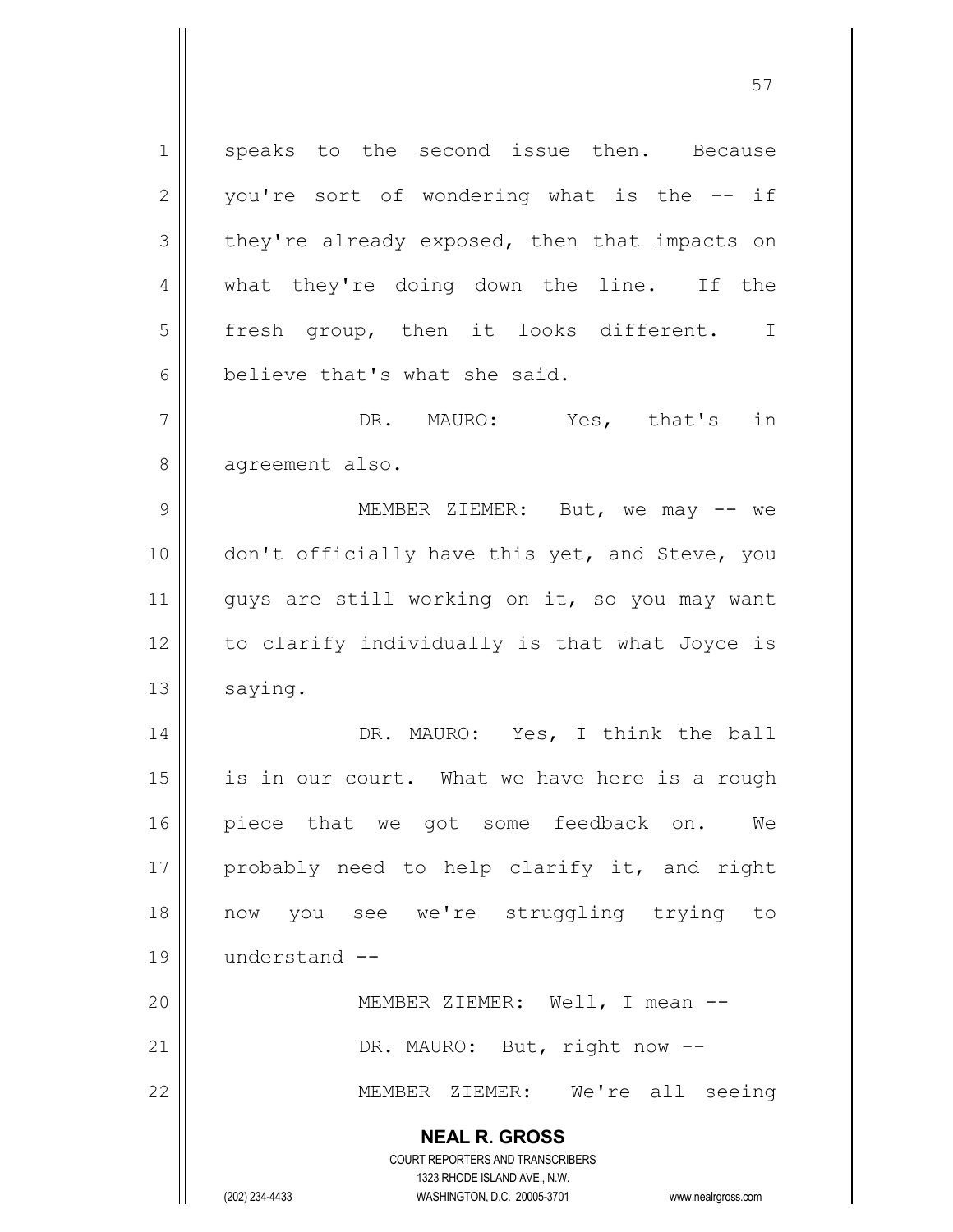**NEAL R. GROSS** COURT REPORTERS AND TRANSCRIBERS 1323 RHODE ISLAND AVE., N.W. (202) 234-4433 WASHINGTON, D.C. 20005-3701 www.nealrgross.com 1 speaks to the second issue then. Because  $2 \parallel$  you're sort of wondering what is the  $-$ - if  $3 \parallel$  they're already exposed, then that impacts on 4 what they're doing down the line. If the 5 || fresh group, then it looks different. I 6 believe that's what she said. 7 || DR. MAURO: Yes, that's in 8 | agreement also. 9 MEMBER ZIEMER: But, we may -- we 10 || don't officially have this yet, and Steve, you 11 || quys are still working on it, so you may want  $12$  | to clarify individually is that what Joyce is 13 | saying. 14 DR. MAURO: Yes, I think the ball  $15$  is in our court. What we have here is a rough 16 piece that we got some feedback on. We 17 || probably need to help clarify it, and right 18 now you see we're struggling trying to 19 understand -- 20 || MEMBER ZIEMER: Well, I mean --21 | DR. MAURO: But, right now --22 MEMBER ZIEMER: We're all seeing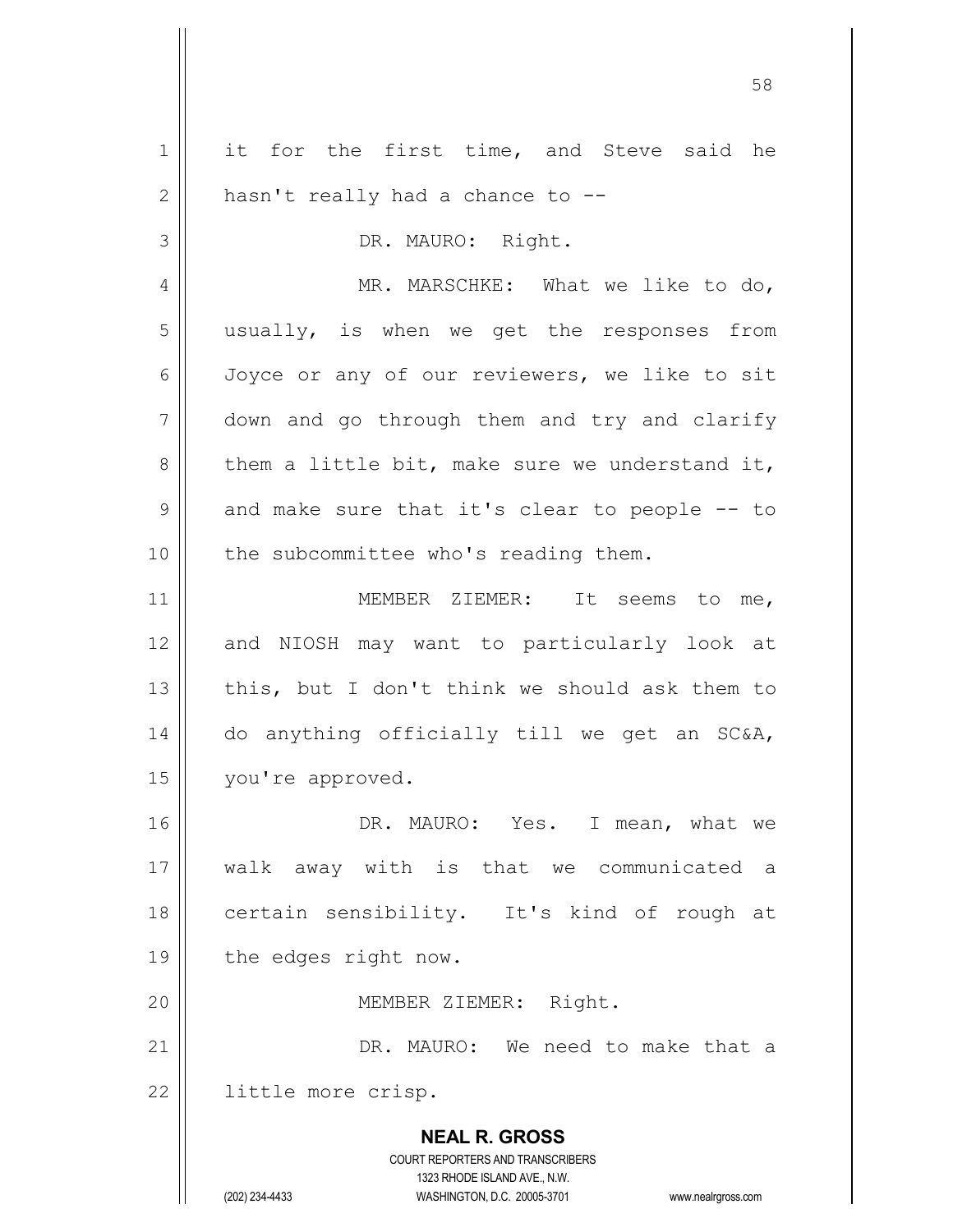| $\mathbf 1$    | it for the first time, and Steve said he                            |
|----------------|---------------------------------------------------------------------|
| $\mathbf{2}$   | hasn't really had a chance to --                                    |
| 3              | DR. MAURO: Right.                                                   |
| $\overline{4}$ | MR. MARSCHKE: What we like to do,                                   |
| 5              | usually, is when we get the responses from                          |
| 6              | Joyce or any of our reviewers, we like to sit                       |
| $\overline{7}$ | down and go through them and try and clarify                        |
| 8              | them a little bit, make sure we understand it,                      |
| $\mathcal{G}$  | and make sure that it's clear to people -- to                       |
| 10             | the subcommittee who's reading them.                                |
| 11             | MEMBER ZIEMER: It seems to me,                                      |
| 12             | and NIOSH may want to particularly look at                          |
| 13             | this, but I don't think we should ask them to                       |
| 14             | do anything officially till we get an SC&A,                         |
| 15             | you're approved.                                                    |
| 16             | DR. MAURO: Yes. I mean, what we                                     |
| 17             | walk away with is that we communicated a                            |
| 18             | certain sensibility. It's kind of rough at                          |
| 19             | the edges right now.                                                |
| 20             | MEMBER ZIEMER: Right.                                               |
| 21             | DR. MAURO: We need to make that a                                   |
| 22             | little more crisp.                                                  |
|                |                                                                     |
|                | <b>NEAL R. GROSS</b><br>COURT REPORTERS AND TRANSCRIBERS            |
|                | 1323 RHODE ISLAND AVE., N.W.                                        |
|                | (202) 234-4433<br>WASHINGTON, D.C. 20005-3701<br>www.nealrgross.com |

 $\mathbf{I}$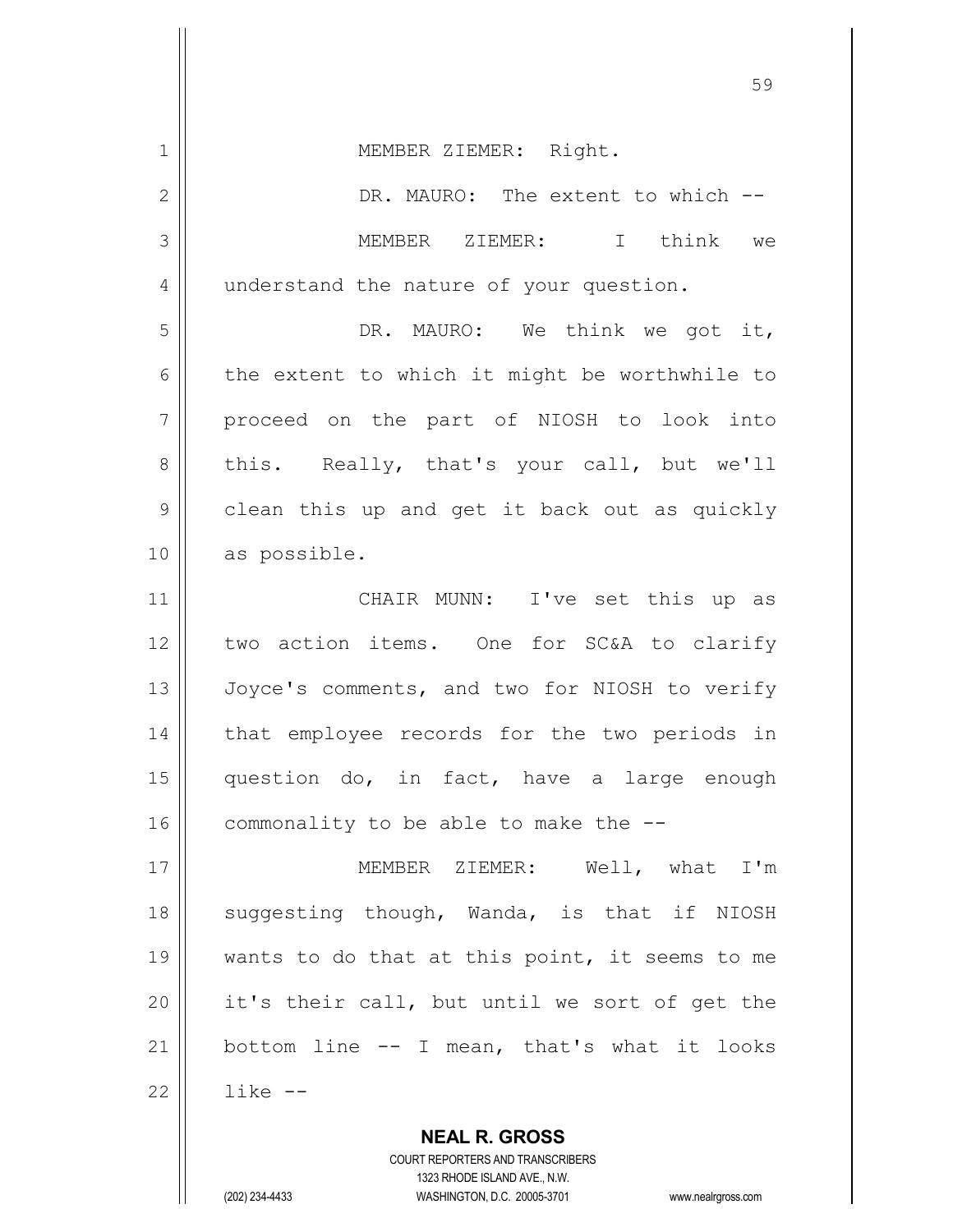| $\mathbf 1$     | MEMBER ZIEMER: Right.                          |
|-----------------|------------------------------------------------|
| $\mathbf{2}$    | DR. MAURO: The extent to which --              |
| 3               | MEMBER ZIEMER: I think we                      |
| 4               | understand the nature of your question.        |
| 5               | DR. MAURO: We think we got it,                 |
| 6               | the extent to which it might be worthwhile to  |
| $7\phantom{.0}$ | proceed on the part of NIOSH to look into      |
| 8               | this. Really, that's your call, but we'll      |
| 9               | clean this up and get it back out as quickly   |
| 10              | as possible.                                   |
| 11              | CHAIR MUNN: I've set this up as                |
| 12              | two action items. One for SC&A to clarify      |
| 13              | Joyce's comments, and two for NIOSH to verify  |
| 14              | that employee records for the two periods in   |
| 15              | question do, in fact, have a large enough      |
| 16              | commonality to be able to make the --          |
| 17              | MEMBER ZIEMER: Well, what I'm                  |
| 18              | suggesting though, Wanda, is that if NIOSH     |
| 19              | wants to do that at this point, it seems to me |
| 20              | it's their call, but until we sort of get the  |
| 21              | bottom line -- I mean, that's what it looks    |
| 22              | like --                                        |
|                 | <b>NEAL R. GROSS</b>                           |

COURT REPORTERS AND TRANSCRIBERS 1323 RHODE ISLAND AVE., N.W.

 $\mathsf{II}$ 

(202) 234-4433 WASHINGTON, D.C. 20005-3701 www.nealrgross.com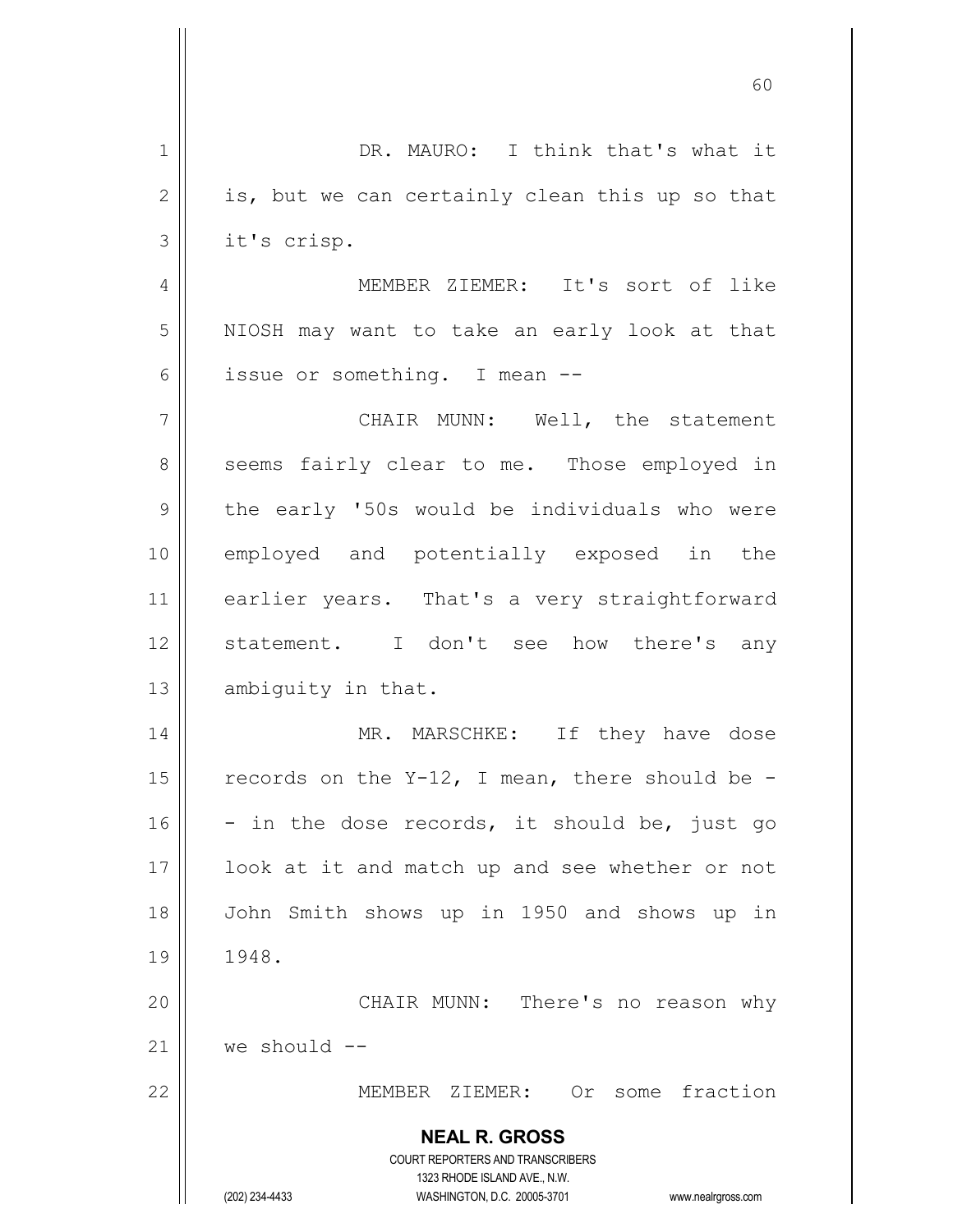| $\mathbf 1$  | DR. MAURO: I think that's what it                                       |
|--------------|-------------------------------------------------------------------------|
| $\mathbf{2}$ | is, but we can certainly clean this up so that                          |
| 3            | it's crisp.                                                             |
| 4            | MEMBER ZIEMER: It's sort of like                                        |
| 5            | NIOSH may want to take an early look at that                            |
| 6            | issue or something. I mean --                                           |
| 7            | CHAIR MUNN: Well, the statement                                         |
| 8            | seems fairly clear to me. Those employed in                             |
| 9            | the early '50s would be individuals who were                            |
| 10           | employed and potentially exposed in the                                 |
| 11           | earlier years. That's a very straightforward                            |
| 12           | statement. I don't see how there's any                                  |
| 13           | ambiguity in that.                                                      |
| 14           | MR. MARSCHKE: If they have dose                                         |
| 15           | records on the $Y-12$ , I mean, there should be -                       |
| 16           | - in the dose records, it should be, just go                            |
| 17           | look at it and match up and see whether or not                          |
| 18           | John Smith shows up in 1950 and shows up in                             |
| 19           | 1948.                                                                   |
| 20           | CHAIR MUNN: There's no reason why                                       |
| 21           | we should --                                                            |
| 22           | Or some fraction<br>MEMBER ZIEMER:                                      |
|              | <b>NEAL R. GROSS</b>                                                    |
|              | <b>COURT REPORTERS AND TRANSCRIBERS</b><br>1323 RHODE ISLAND AVE., N.W. |
|              | (202) 234-4433<br>WASHINGTON, D.C. 20005-3701<br>www.nealrgross.com     |

 $\mathbf{\mathcal{H}}$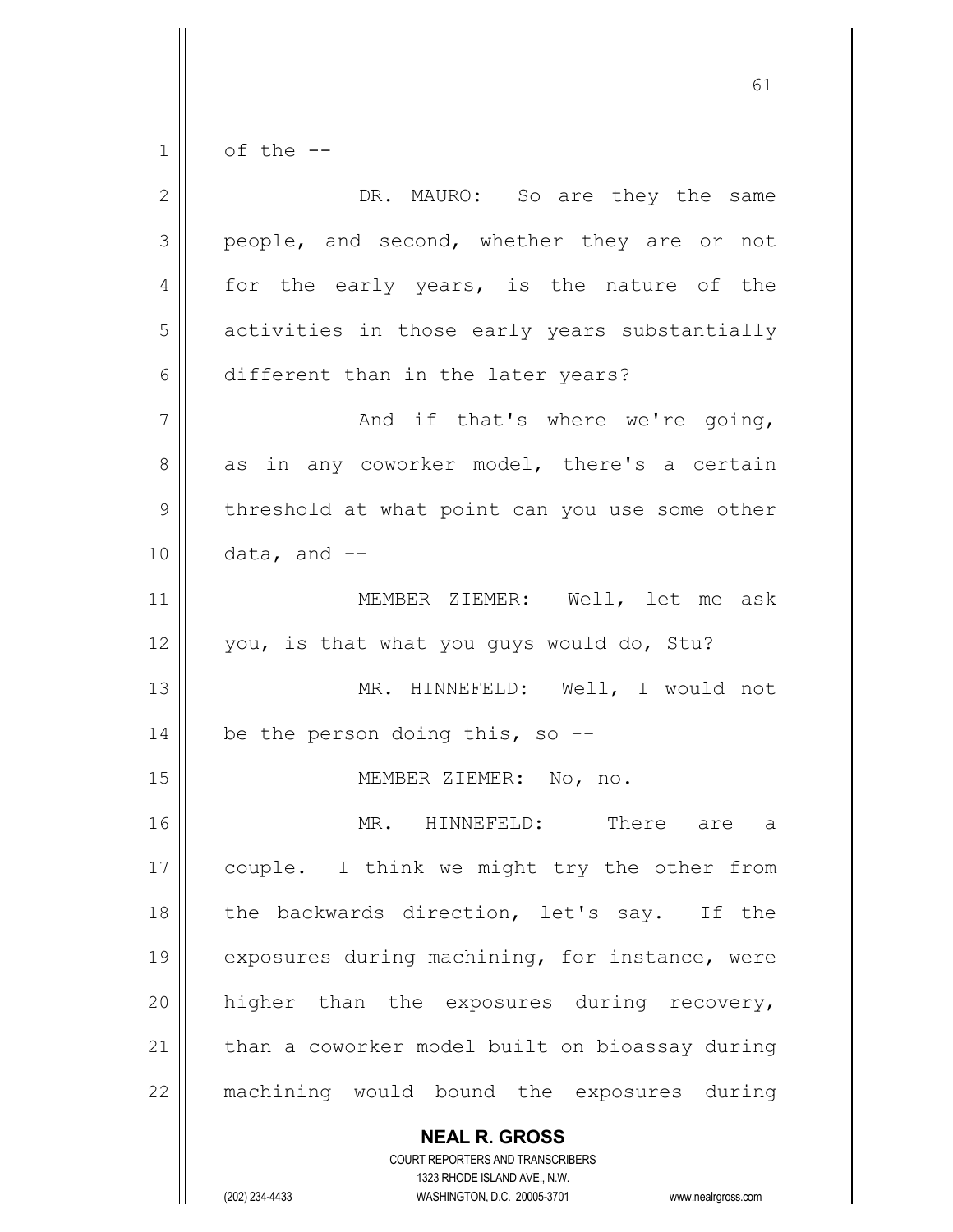$1 \parallel$  of the --

| $\overline{2}$ | DR. MAURO: So are they the same                |
|----------------|------------------------------------------------|
| 3              | people, and second, whether they are or not    |
| 4              | for the early years, is the nature of the      |
| 5              | activities in those early years substantially  |
| 6              | different than in the later years?             |
| 7              | And if that's where we're going,               |
| 8              | as in any coworker model, there's a certain    |
| 9              | threshold at what point can you use some other |
| 10             | data, and --                                   |
| 11             | MEMBER ZIEMER: Well, let me ask                |
| 12             | you, is that what you guys would do, Stu?      |
| 13             | MR. HINNEFELD: Well, I would not               |
| 14             | be the person doing this, so $-$ -             |
| 15             | MEMBER ZIEMER: No, no.                         |
| 16             | MR. HINNEFELD: There are a                     |
| 17             | couple. I think we might try the other from    |
| 18             | the backwards direction, let's say. If the     |
| 19             | exposures during machining, for instance, were |
| 20             | higher than the exposures during recovery,     |
| 21             | than a coworker model built on bioassay during |
| 22             | machining would bound the exposures during     |
|                | <b>NEAL R. GROSS</b>                           |

 $\mathop{\text{||}}$ 

1323 RHODE ISLAND AVE., N.W. (202) 234-4433 WASHINGTON, D.C. 20005-3701 www.nealrgross.com

COURT REPORTERS AND TRANSCRIBERS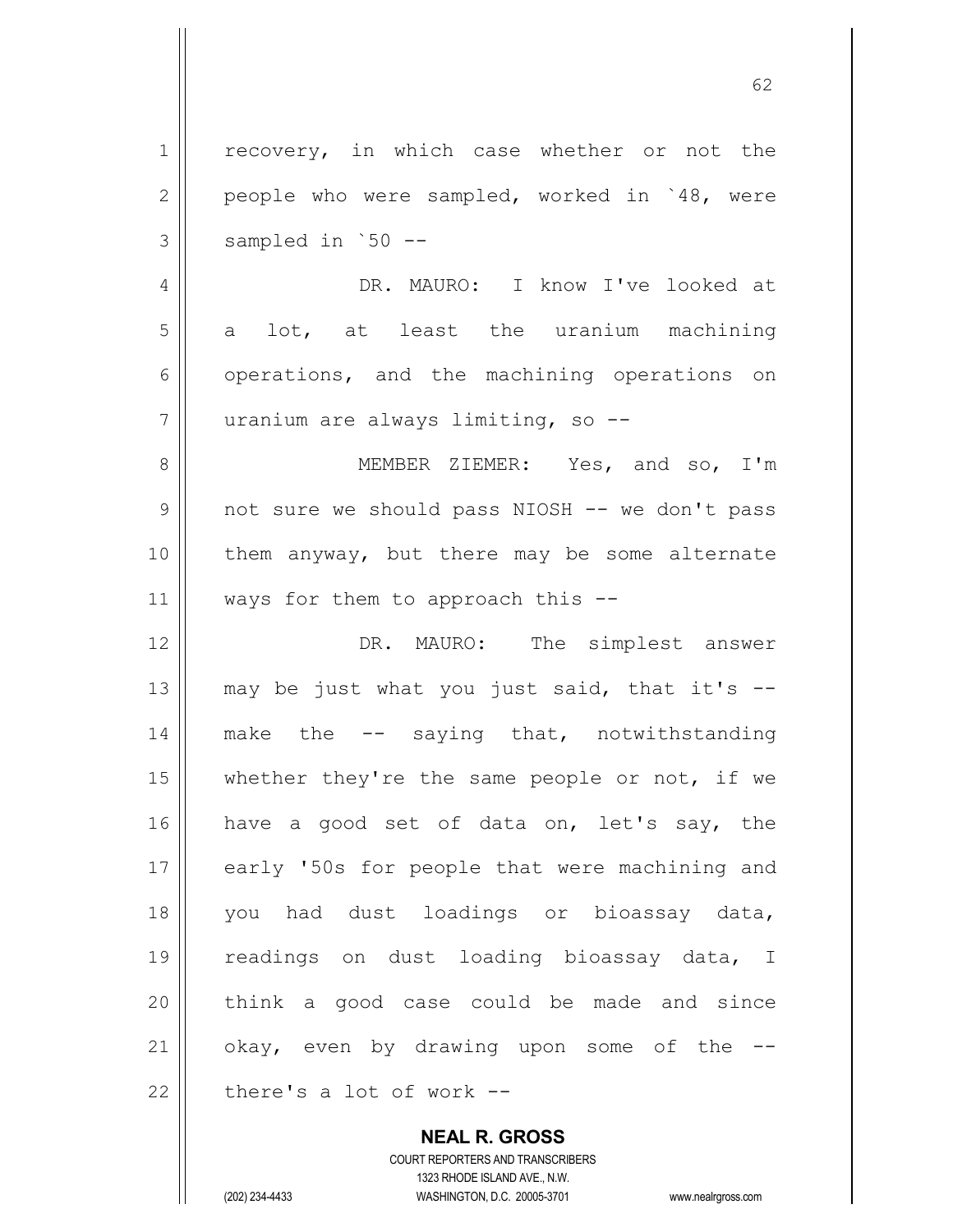1 | recovery, in which case whether or not the  $2 \parallel$  people who were sampled, worked in  $48$ , were  $3 \parallel$  sampled in `50 --4 DR. MAURO: I know I've looked at  $5 \parallel$  a lot, at least the uranium machining 6 | operations, and the machining operations on 7 uranium are always limiting, so -- 8 MEMBER ZIEMER: Yes, and so, I'm 9 not sure we should pass NIOSH -- we don't pass 10 them anyway, but there may be some alternate 11  $\parallel$  ways for them to approach this --12 DR. MAURO: The simplest answer 13  $\parallel$  may be just what you just said, that it's  $-$ 14 || make the -- saying that, notwithstanding 15  $\parallel$  whether they're the same people or not, if we 16 have a good set of data on, let's say, the 17 || early '50s for people that were machining and 18 you had dust loadings or bioassay data, 19 || readings on dust loading bioassay data, I 20 think a good case could be made and since 21  $\parallel$  okay, even by drawing upon some of the  $-$ 22  $\parallel$  there's a lot of work --

> **NEAL R. GROSS** COURT REPORTERS AND TRANSCRIBERS

> > 1323 RHODE ISLAND AVE., N.W.

(202) 234-4433 WASHINGTON, D.C. 20005-3701 www.nealrgross.com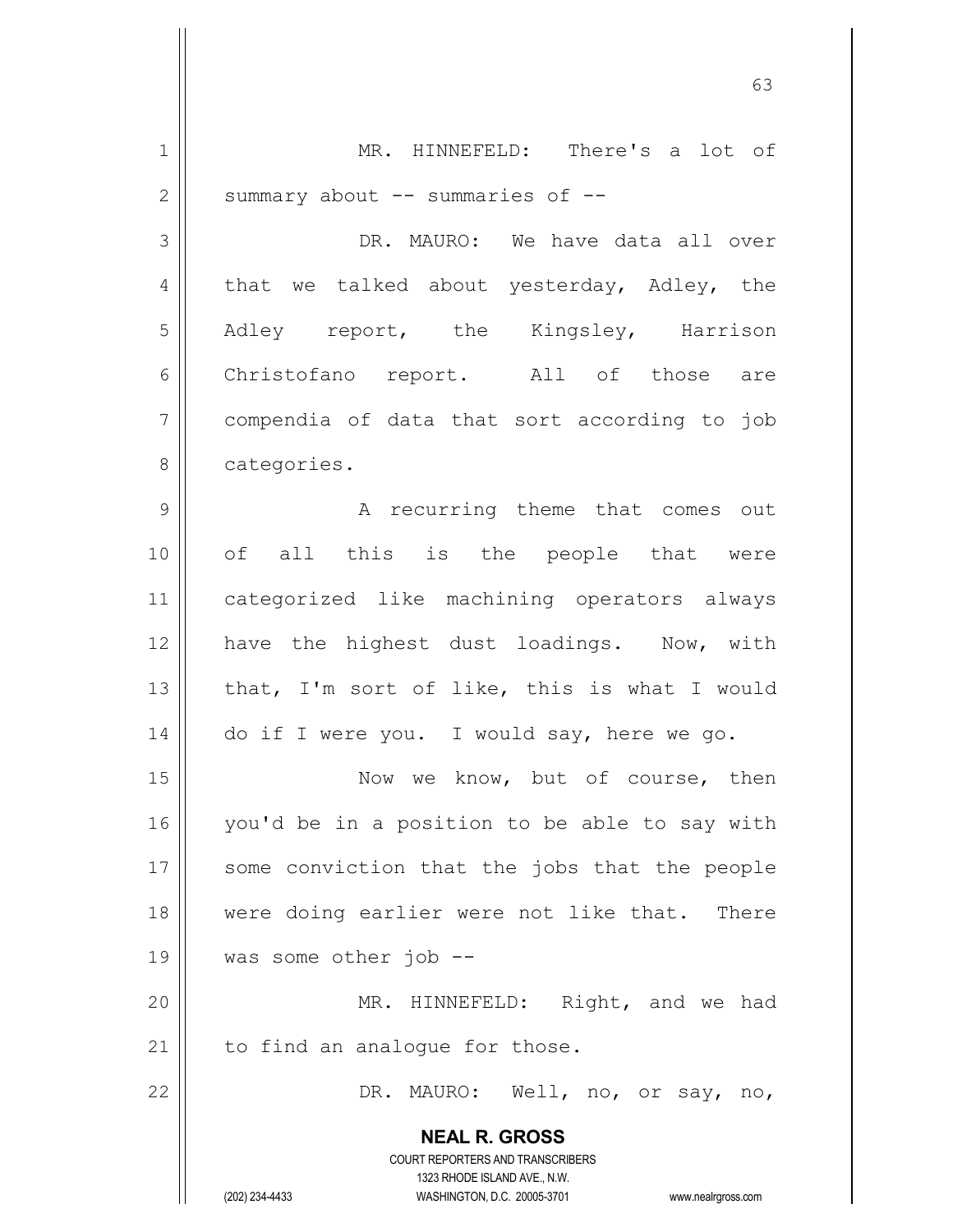**NEAL R. GROSS** COURT REPORTERS AND TRANSCRIBERS 1323 RHODE ISLAND AVE., N.W. (202) 234-4433 WASHINGTON, D.C. 20005-3701 www.nealrgross.com 1 || MR. HINNEFELD: There's a lot of  $2 \parallel$  summary about -- summaries of --3 DR. MAURO: We have data all over  $4 \parallel$  that we talked about yesterday, Adley, the 5 Adley report, the Kingsley, Harrison 6 || Christofano report. All of those are 7 | compendia of data that sort according to job 8 || categories. 9 A recurring theme that comes out 10 || of all this is the people that were 11 categorized like machining operators always 12 || have the highest dust loadings. Now, with 13  $\parallel$  that, I'm sort of like, this is what I would  $14$   $\vert$  do if I were you. I would say, here we go. 15 || Now we know, but of course, then 16 you'd be in a position to be able to say with 17 || some conviction that the jobs that the people 18 || were doing earlier were not like that. There 19 was some other job -- 20 MR. HINNEFELD: Right, and we had  $21$  | to find an analoque for those. 22 DR. MAURO: Well, no, or say, no,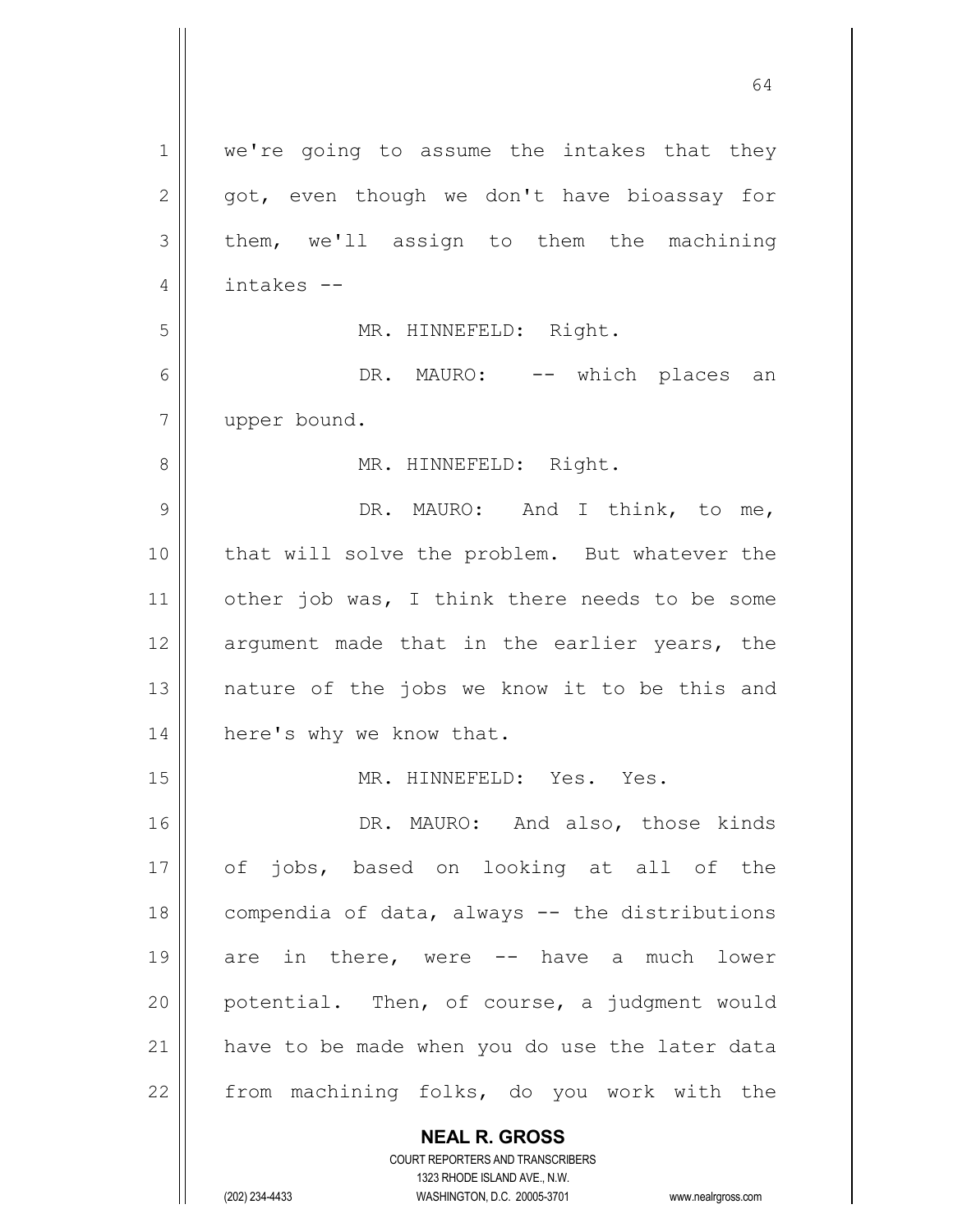| $\mathbf 1$    | we're going to assume the intakes that they                         |
|----------------|---------------------------------------------------------------------|
| $\mathbf{2}$   | got, even though we don't have bioassay for                         |
| 3              | them, we'll assign to them the machining                            |
| 4              | intakes --                                                          |
| 5              | MR. HINNEFELD: Right.                                               |
| 6              | DR. MAURO: -- which places an                                       |
| $\overline{7}$ | upper bound.                                                        |
| 8              | MR. HINNEFELD: Right.                                               |
| 9              | DR. MAURO: And I think, to me,                                      |
| 10             | that will solve the problem. But whatever the                       |
| 11             | other job was, I think there needs to be some                       |
| 12             | argument made that in the earlier years, the                        |
| 13             | nature of the jobs we know it to be this and                        |
| 14             | here's why we know that.                                            |
| 15             | MR. HINNEFELD: Yes. Yes.                                            |
| 16             | DR. MAURO: And also, those kinds                                    |
| 17             | of jobs, based on looking at all of the                             |
| 18             | compendia of data, always -- the distributions                      |
| 19             | are in there, were -- have a much lower                             |
| 20             | potential. Then, of course, a judgment would                        |
| 21             | have to be made when you do use the later data                      |
| 22             | from machining folks, do you work with the                          |
|                | <b>NEAL R. GROSS</b>                                                |
|                | <b>COURT REPORTERS AND TRANSCRIBERS</b>                             |
|                | 1323 RHODE ISLAND AVE., N.W.                                        |
|                | (202) 234-4433<br>WASHINGTON, D.C. 20005-3701<br>www.nealrgross.com |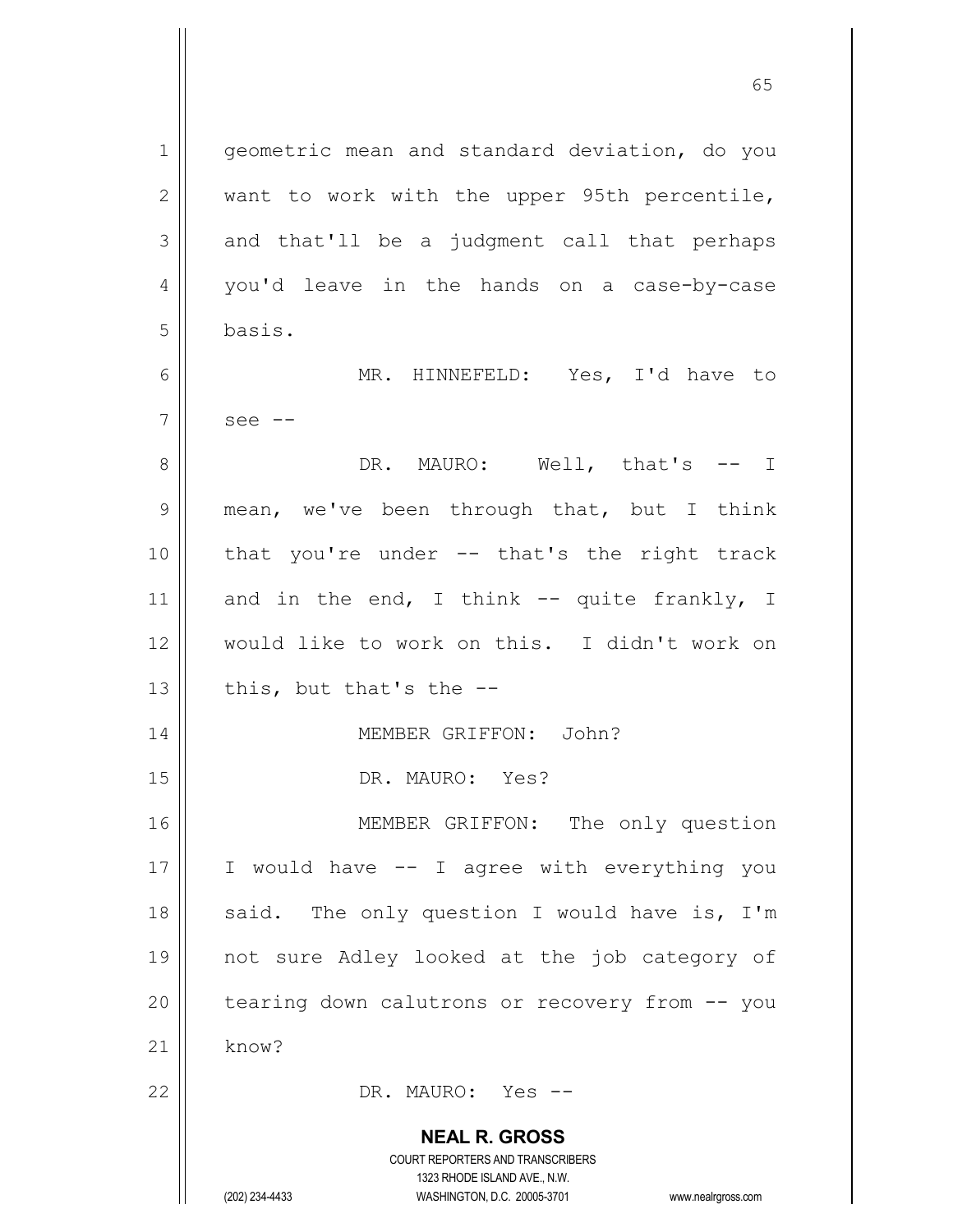**NEAL R. GROSS** COURT REPORTERS AND TRANSCRIBERS 1 | qeometric mean and standard deviation, do you  $2 \parallel$  want to work with the upper 95th percentile,  $3 \parallel$  and that'll be a judgment call that perhaps 4 || you'd leave in the hands on a case-by-case 5 basis. 6 MR. HINNEFELD: Yes, I'd have to  $7 \parallel$  see --8 DR. MAURO: Well, that's -- I 9 || mean, we've been through that, but I think 10 that you're under -- that's the right track 11 and in the end, I think  $-$  quite frankly, I 12 would like to work on this. I didn't work on 13  $\parallel$  this, but that's the --14 MEMBER GRIFFON: John? 15 || DR. MAURO: Yes? 16 || MEMBER GRIFFON: The only question  $17$  | I would have  $-$  I agree with everything you 18  $\parallel$  said. The only question I would have is, I'm 19 not sure Adley looked at the job category of  $20$  | tearing down calutrons or recovery from  $-$  you  $21$  know? 22 DR. MAURO: Yes --

1323 RHODE ISLAND AVE., N.W.

(202) 234-4433 WASHINGTON, D.C. 20005-3701 www.nealrgross.com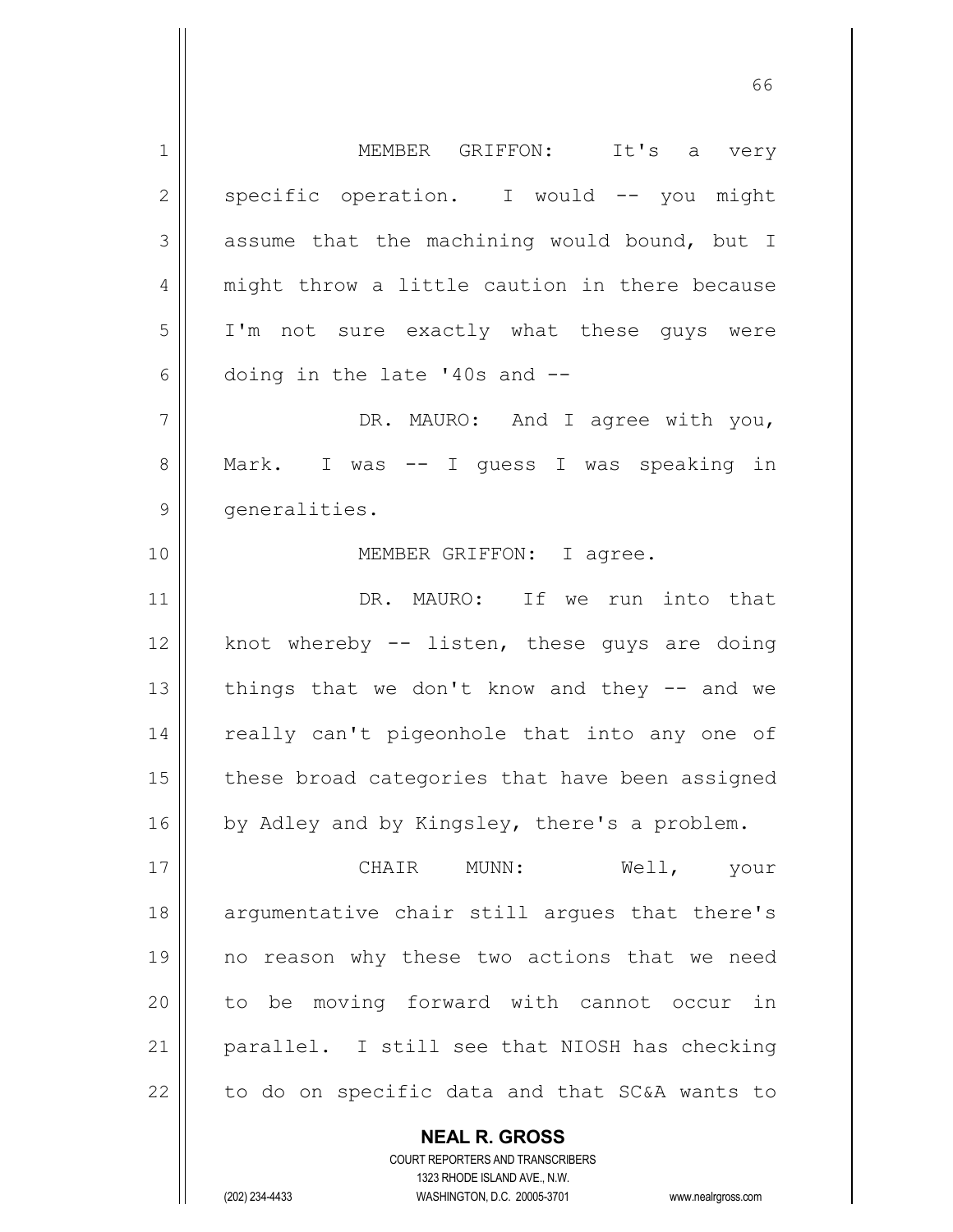1 MEMBER GRIFFON: It's a very  $2 \parallel$  specific operation. I would  $-$  you might  $3 \parallel$  assume that the machining would bound, but I 4 || might throw a little caution in there because 5 I'm not sure exactly what these guys were  $6$  || doing in the late '40s and  $-$ -7 || DR. MAURO: And I agree with you, 8 || Mark. I was -- I guess I was speaking in 9 | generalities. 10 || **MEMBER GRIFFON:** I agree. 11 || DR. MAURO: If we run into that 12  $\parallel$  knot whereby -- listen, these guys are doing 13  $\parallel$  things that we don't know and they -- and we 14 || really can't pigeonhole that into any one of  $15$  | these broad categories that have been assigned  $16$  by Adley and by Kingsley, there's a problem. 17 CHAIR MUNN: Well, your 18 || argumentative chair still argues that there's 19 no reason why these two actions that we need 20 to be moving forward with cannot occur in 21 parallel. I still see that NIOSH has checking  $22$  | to do on specific data and that SC&A wants to

> **NEAL R. GROSS** COURT REPORTERS AND TRANSCRIBERS 1323 RHODE ISLAND AVE., N.W.

(202) 234-4433 WASHINGTON, D.C. 20005-3701 www.nealrgross.com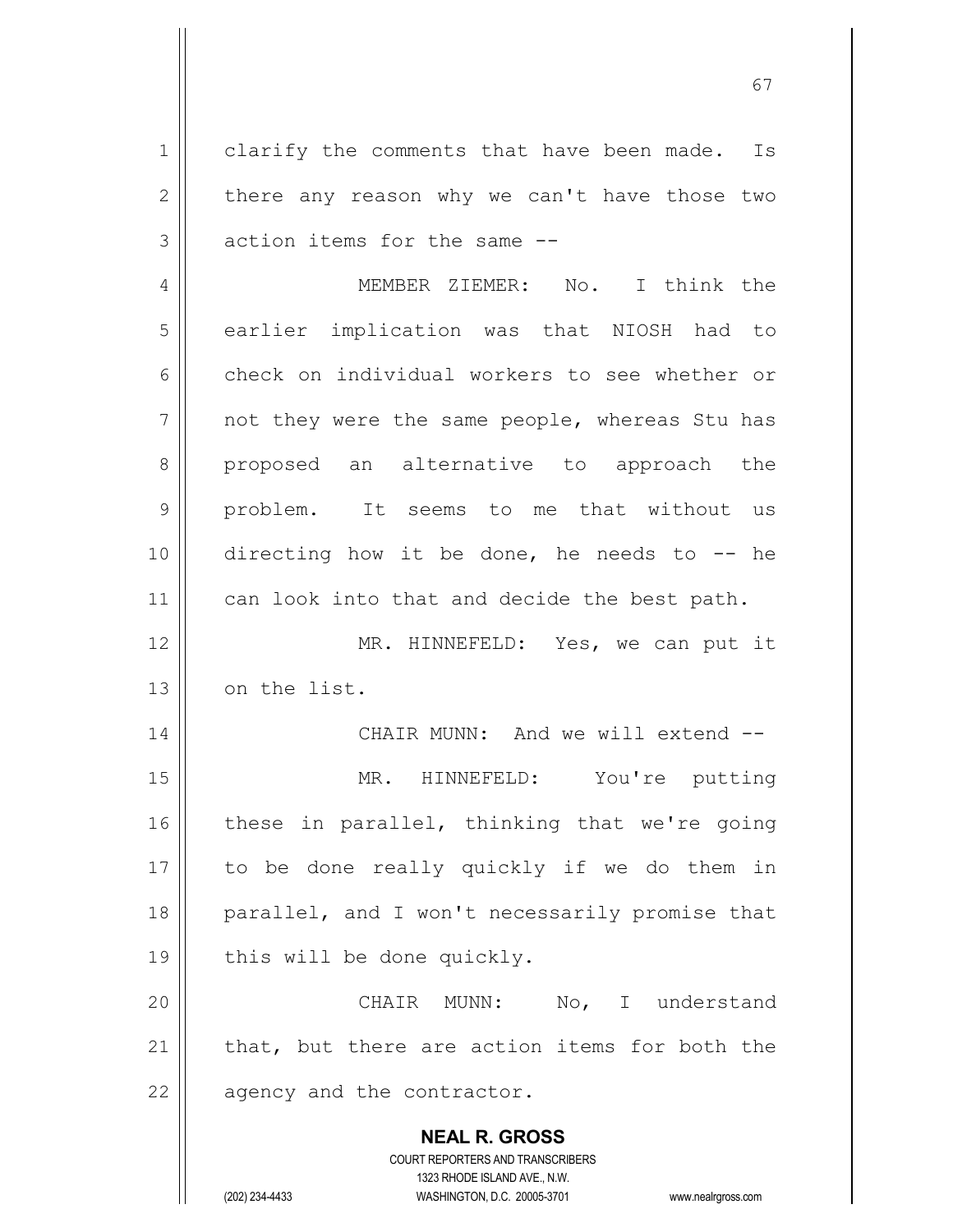1 | clarify the comments that have been made. Is  $2 \parallel$  there any reason why we can't have those two  $3 \parallel$  action items for the same  $-$ 

4 MEMBER ZIEMER: No. I think the 5 || earlier implication was that NIOSH had to 6 check on individual workers to see whether or  $7$  || not they were the same people, whereas Stu has 8 || proposed an alternative to approach the 9 || problem. It seems to me that without us 10 directing how it be done, he needs to -- he 11 || can look into that and decide the best path.

12 MR. HINNEFELD: Yes, we can put it 13 | on the list.

 CHAIR MUNN: And we will extend -- MR. HINNEFELD: You're putting these in parallel, thinking that we're going to be done really quickly if we do them in 18 || parallel, and I won't necessarily promise that 19 | this will be done quickly.

20 CHAIR MUNN: No, I understand  $21$  || that, but there are action items for both the  $22$  || agency and the contractor.

> **NEAL R. GROSS** COURT REPORTERS AND TRANSCRIBERS 1323 RHODE ISLAND AVE., N.W. (202) 234-4433 WASHINGTON, D.C. 20005-3701 www.nealrgross.com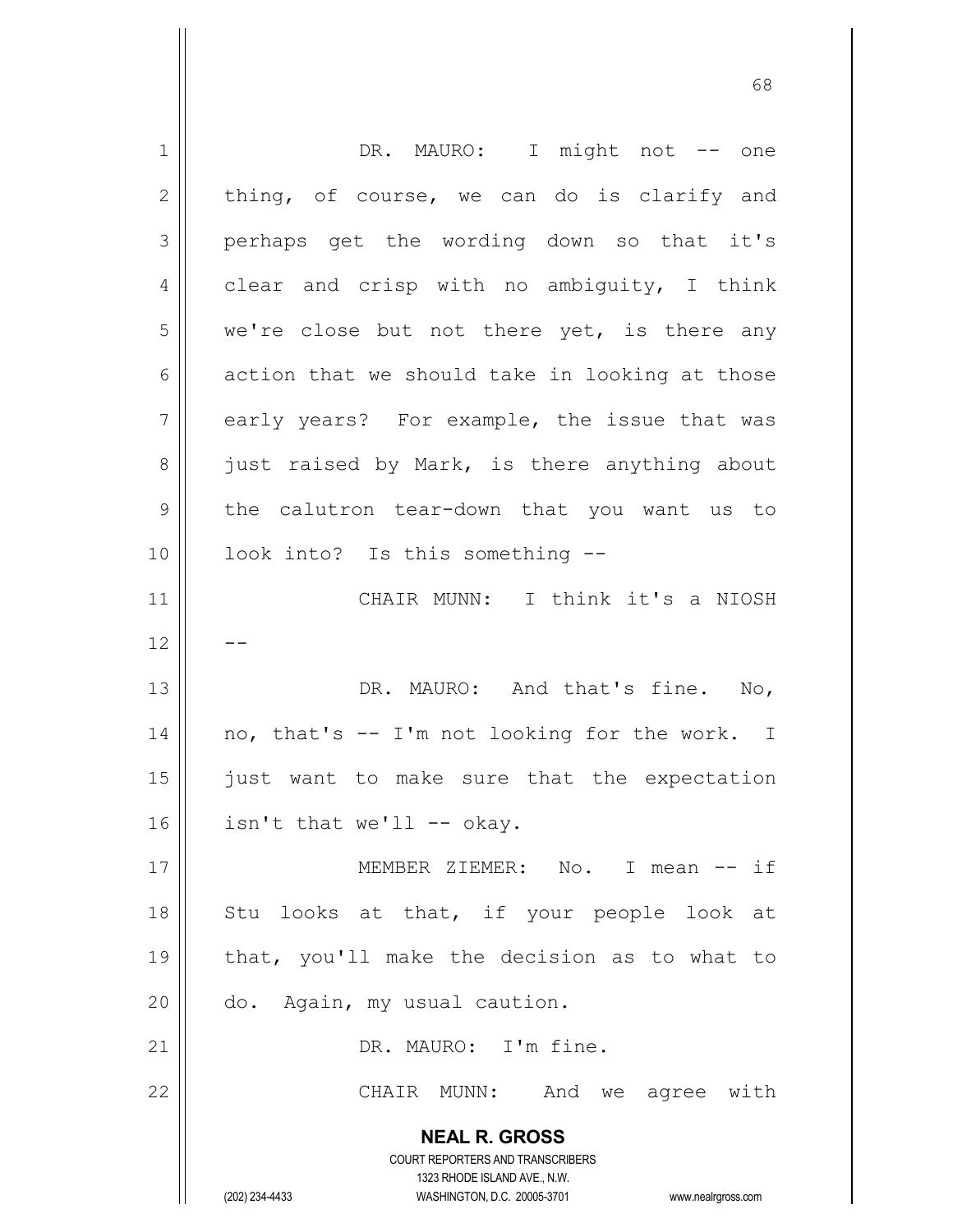| 1  | DR. MAURO: I might not -- one                                                 |
|----|-------------------------------------------------------------------------------|
| 2  | thing, of course, we can do is clarify and                                    |
| 3  | perhaps get the wording down so that it's                                     |
| 4  | clear and crisp with no ambiguity, I think                                    |
| 5  | we're close but not there yet, is there any                                   |
| 6  | action that we should take in looking at those                                |
| 7  | early years? For example, the issue that was                                  |
| 8  | just raised by Mark, is there anything about                                  |
| 9  | the calutron tear-down that you want us to                                    |
| 10 | look into? Is this something --                                               |
| 11 | CHAIR MUNN: I think it's a NIOSH                                              |
| 12 |                                                                               |
| 13 | DR. MAURO: And that's fine. No,                                               |
| 14 | no, that's -- I'm not looking for the work. I                                 |
| 15 | just want to make sure that the expectation                                   |
| 16 | isn't that we'll -- okay.                                                     |
| 17 | MEMBER ZIEMER: No. I mean -- if                                               |
|    |                                                                               |
| 18 | Stu looks at that, if your people look at                                     |
| 19 | that, you'll make the decision as to what to                                  |
| 20 | do. Again, my usual caution.                                                  |
| 21 | DR. MAURO: I'm fine.                                                          |
| 22 | CHAIR MUNN: And we agree with                                                 |
|    | <b>NEAL R. GROSS</b>                                                          |
|    | <b>COURT REPORTERS AND TRANSCRIBERS</b>                                       |
|    | 1323 RHODE ISLAND AVE., N.W.<br>(202) 234-4433<br>WASHINGTON, D.C. 20005-3701 |
|    | www.nealrgross.com                                                            |

 $\mathbf{1}$ 

 $\mathsf{I}$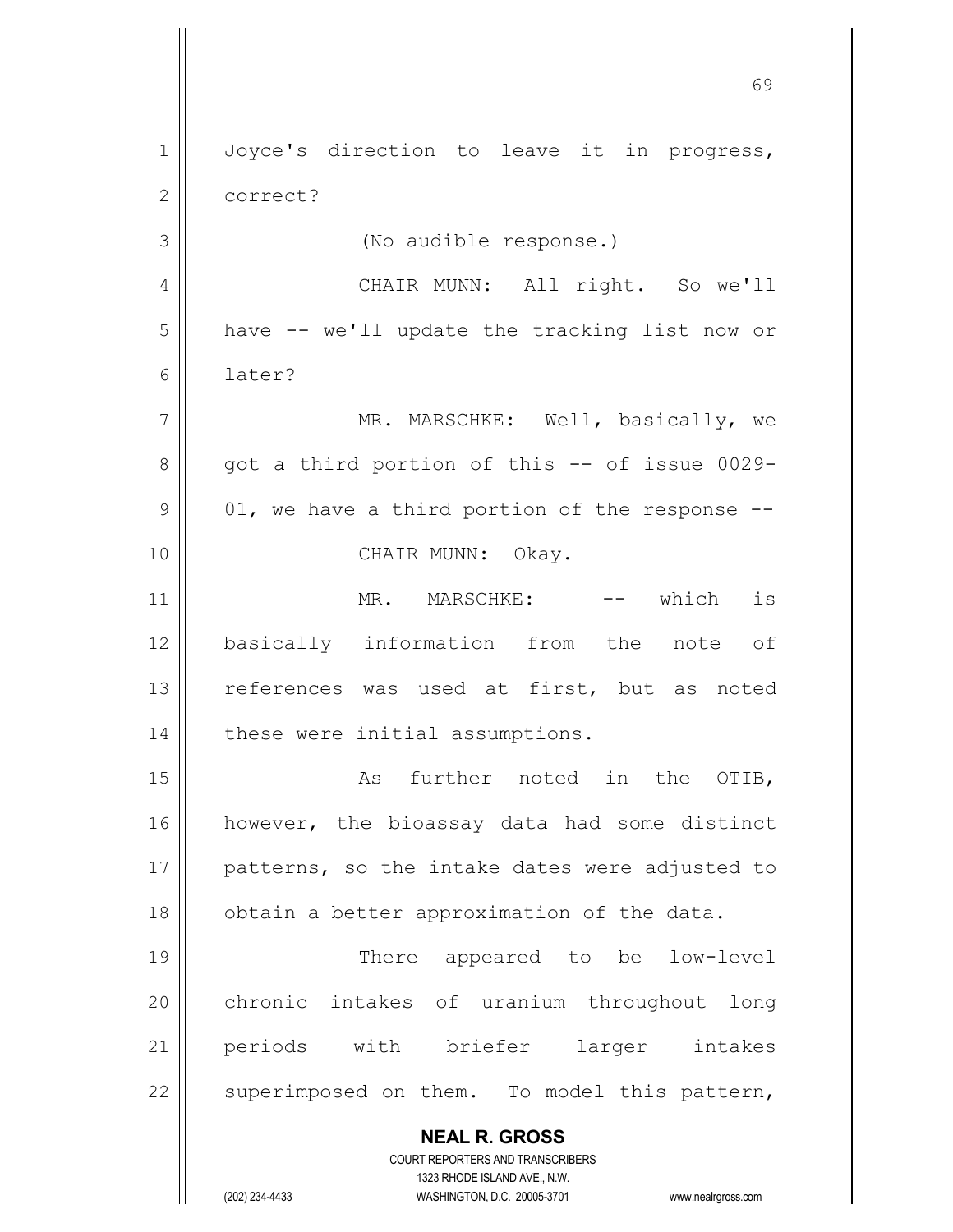**NEAL R. GROSS** COURT REPORTERS AND TRANSCRIBERS 1323 RHODE ISLAND AVE., N.W. (202) 234-4433 WASHINGTON, D.C. 20005-3701 www.nealrgross.com 1 || Joyce's direction to leave it in progress, 2 | correct? 3 (No audible response.) 4 || CHAIR MUNN: All right. So we'll  $5 \parallel$  have  $-$  we'll update the tracking list now or 6 later? 7 || MR. MARSCHKE: Well, basically, we  $8 \parallel$  got a third portion of this -- of issue 0029- $9 \parallel 01$ , we have a third portion of the response --10 || CHAIR MUNN: Okay. 11 || MR. MARSCHKE: -- which is 12 basically information from the note of 13 || references was used at first, but as noted 14 | these were initial assumptions. 15 || The Communist As further noted in the OTIB, 16 || however, the bioassay data had some distinct 17 || patterns, so the intake dates were adjusted to 18 | obtain a better approximation of the data. 19 || There appeared to be low-level 20 chronic intakes of uranium throughout long 21 periods with briefer larger intakes  $22$  | superimposed on them. To model this pattern,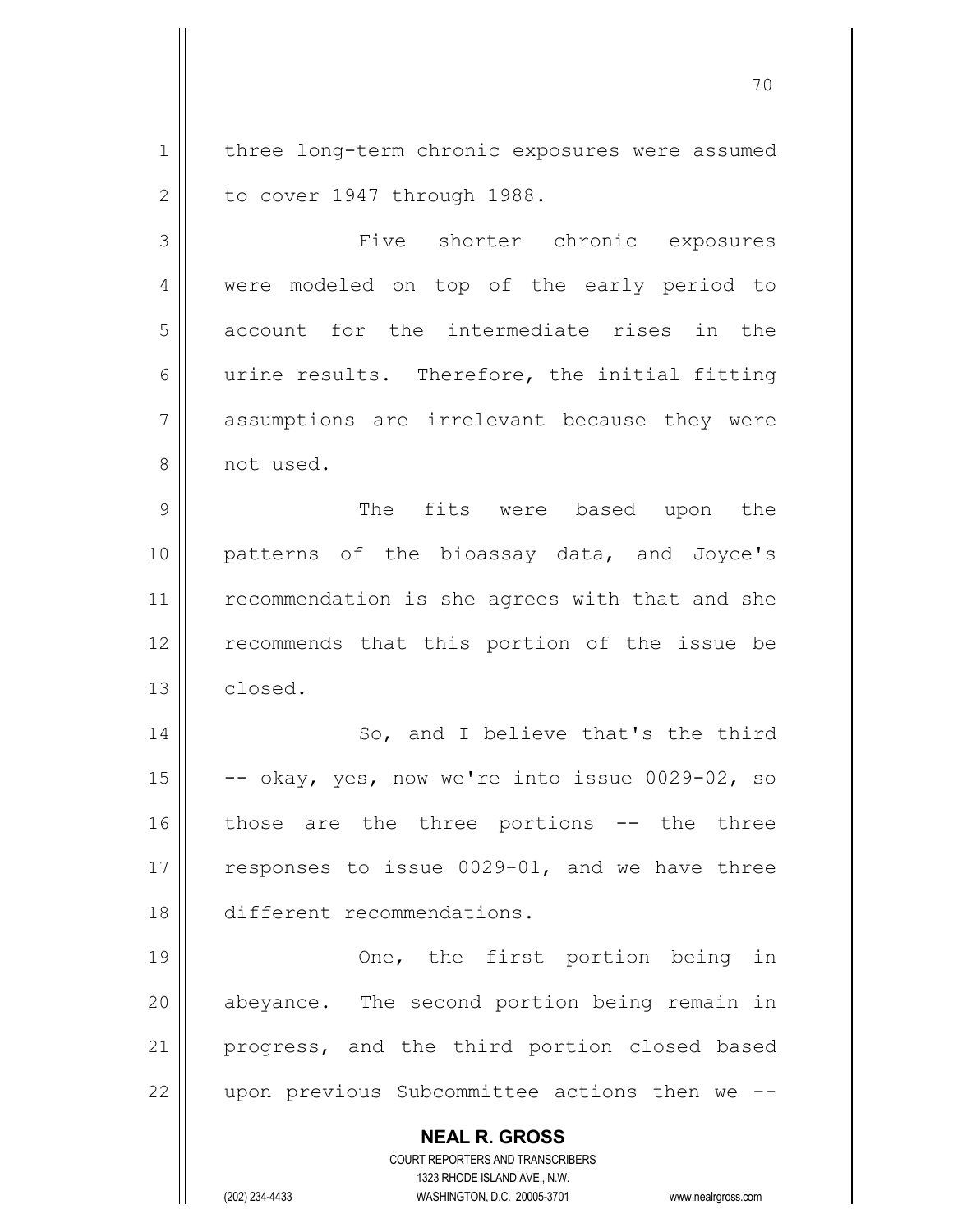1 | three long-term chronic exposures were assumed  $2 \parallel$  to cover 1947 through 1988.

3 | Tive shorter chronic exposures 4 || were modeled on top of the early period to 5 account for the intermediate rises in the  $6 \parallel$  urine results. Therefore, the initial fitting 7 assumptions are irrelevant because they were 8 || not used.

9 The fits were based upon the 10 || patterns of the bioassay data, and Joyce's 11 || recommendation is she agrees with that and she 12 || recommends that this portion of the issue be 13 | closed.

14 || So, and I believe that's the third 15  $\vert$  -- okay, yes, now we're into issue 0029-02, so 16 || those are the three portions -- the three 17  $\parallel$  responses to issue 0029-01, and we have three 18 different recommendations.

19 || Che, the first portion being in 20 || abeyance. The second portion being remain in 21 || progress, and the third portion closed based 22  $\parallel$  upon previous Subcommittee actions then we  $-$ 

> **NEAL R. GROSS** COURT REPORTERS AND TRANSCRIBERS

> > 1323 RHODE ISLAND AVE., N.W.

(202) 234-4433 WASHINGTON, D.C. 20005-3701 www.nealrgross.com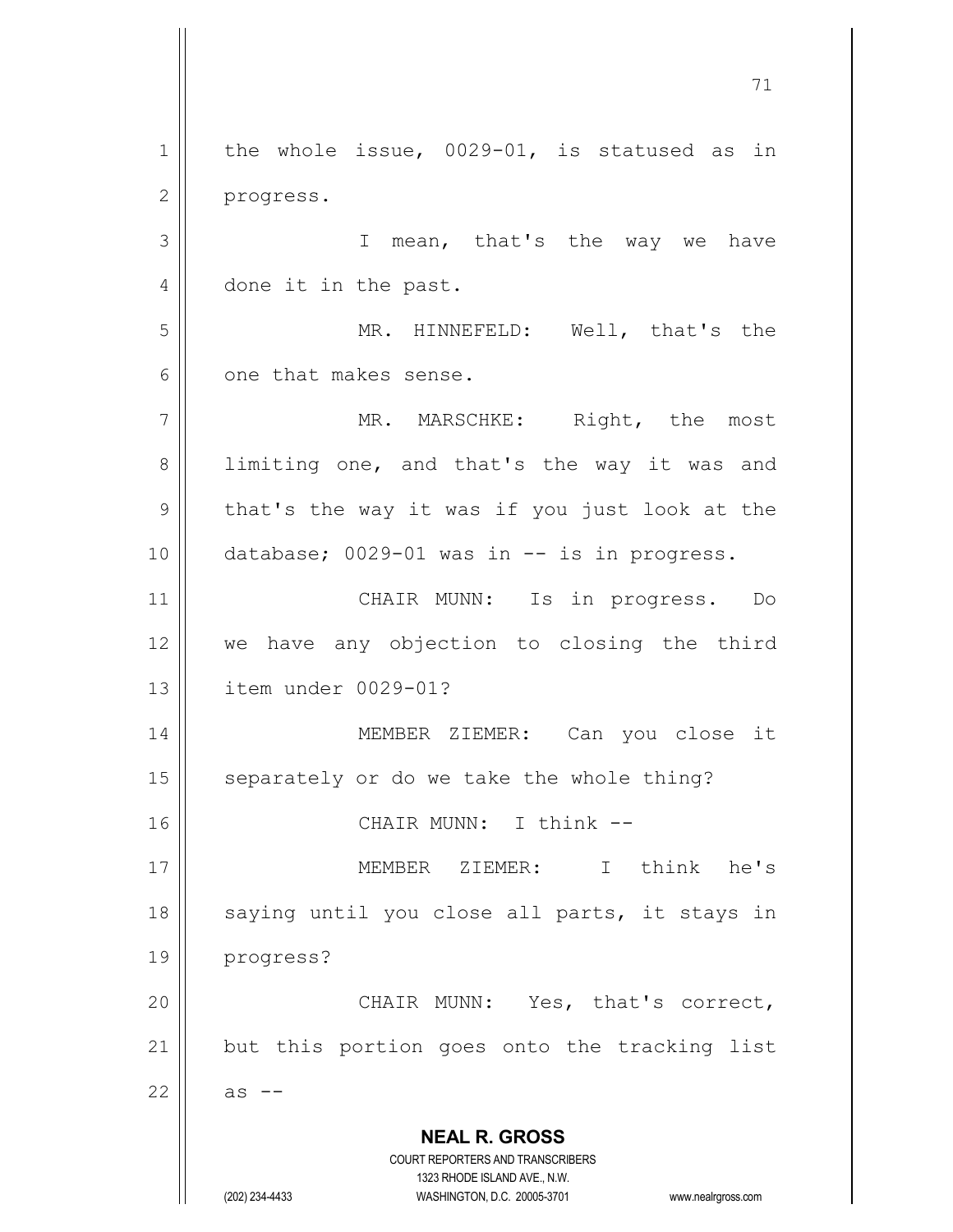**NEAL R. GROSS** COURT REPORTERS AND TRANSCRIBERS 1323 RHODE ISLAND AVE., N.W. (202) 234-4433 WASHINGTON, D.C. 20005-3701 www.nealrgross.com  $1 \parallel$  the whole issue, 0029-01, is statused as in 2 | progress. 3 | T mean, that's the way we have 4 done it in the past. 5 MR. HINNEFELD: Well, that's the 6 one that makes sense. 7 || MR. MARSCHKE: Right, the most 8 || limiting one, and that's the way it was and  $9 \parallel$  that's the way it was if you just look at the  $10$  | database; 0029-01 was in  $-$  is in progress. 11 || CHAIR MUNN: Is in progress. Do 12 we have any objection to closing the third 13 item under 0029-01? 14 || MEMBER ZIEMER: Can you close it  $15$  separately or do we take the whole thing? 16 || CHAIR MUNN: I think --17 MEMBER ZIEMER: I think he's 18 || saying until you close all parts, it stays in 19 progress? 20 CHAIR MUNN: Yes, that's correct,  $21$  but this portion goes onto the tracking list  $22 \parallel$  as  $-$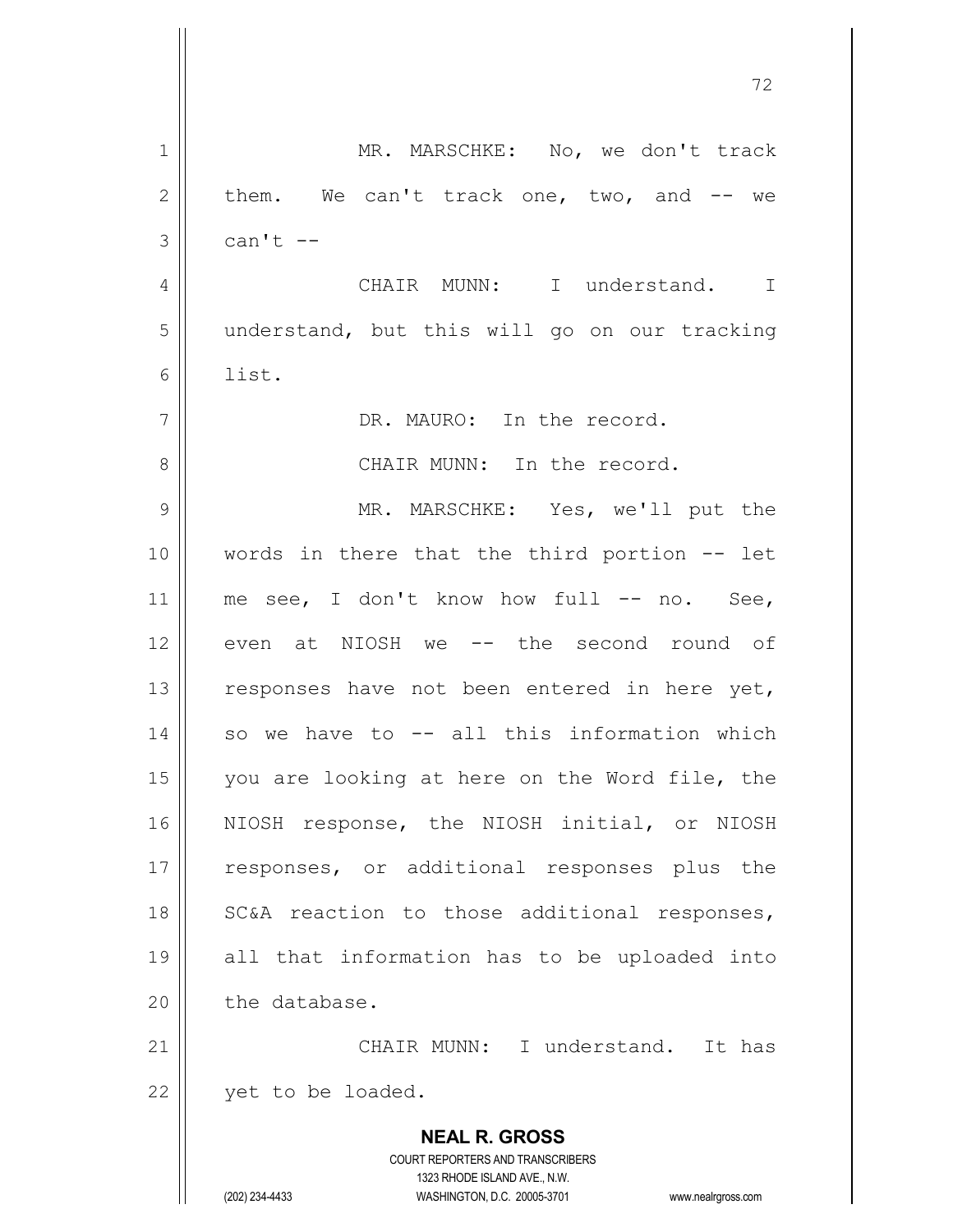**NEAL R. GROSS** COURT REPORTERS AND TRANSCRIBERS 1323 RHODE ISLAND AVE., N.W. 1 || MR. MARSCHKE: No, we don't track  $2 \parallel$  them. We can't track one, two, and  $-$  we  $3 \parallel$  can't  $-$ 4 | CHAIR MUNN: I understand. I 5 | understand, but this will go on our tracking  $6 \parallel$  list. 7 || The record. 8 CHAIR MUNN: In the record. 9 MR. MARSCHKE: Yes, we'll put the 10 words in there that the third portion -- let 11 || me see, I don't know how full -- no. See, 12 even at NIOSH we -- the second round of 13  $\parallel$  responses have not been entered in here yet, 14 || so we have to -- all this information which 15 || you are looking at here on the Word file, the 16 NIOSH response, the NIOSH initial, or NIOSH 17 || responses, or additional responses plus the 18 || SC&A reaction to those additional responses, 19 all that information has to be uploaded into  $20$   $\parallel$  the database. 21 CHAIR MUNN: I understand. It has  $22$  | yet to be loaded.

(202) 234-4433 WASHINGTON, D.C. 20005-3701 www.nealrgross.com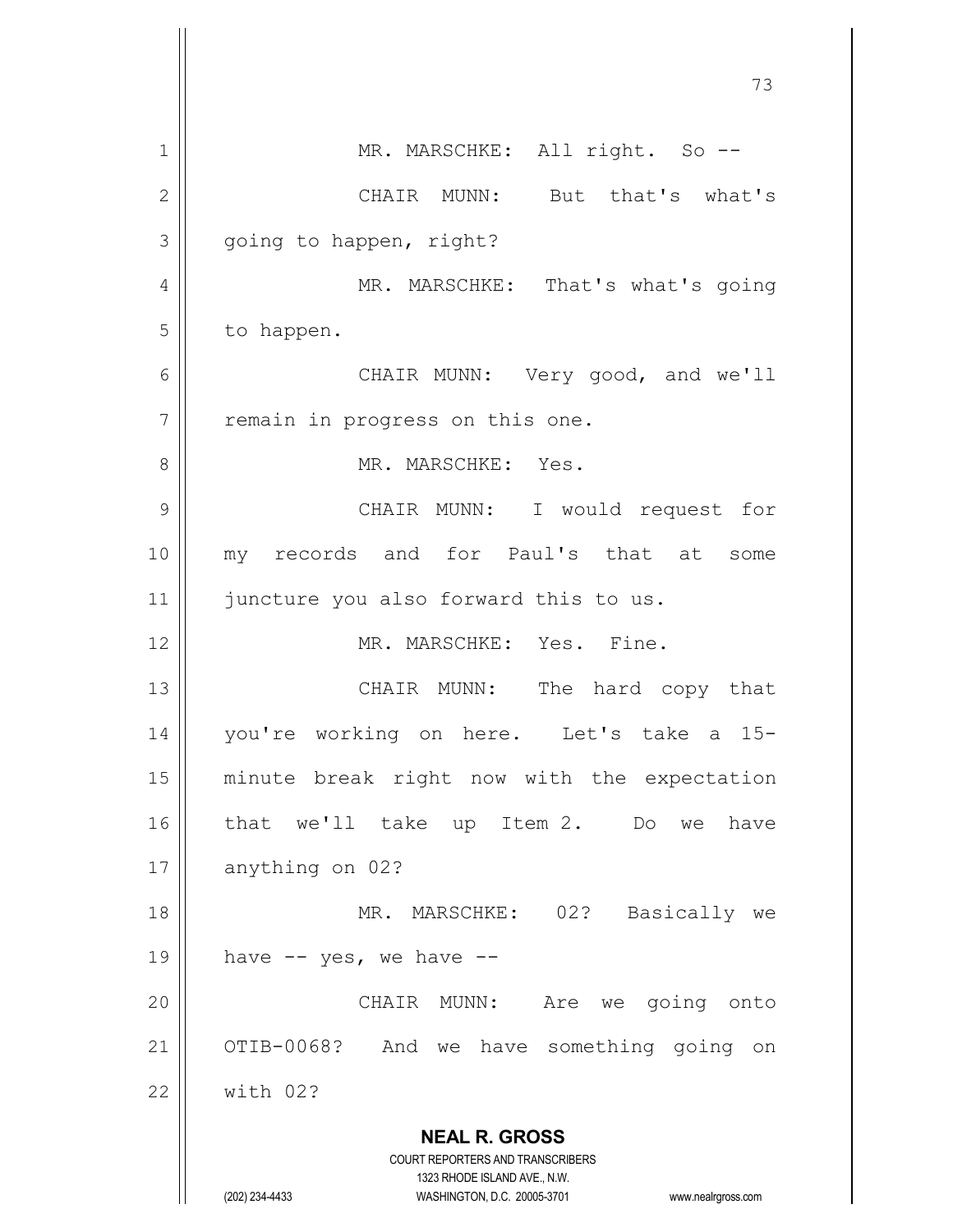|              | 73                                                                      |
|--------------|-------------------------------------------------------------------------|
| 1            | MR. MARSCHKE: All right. So --                                          |
| $\mathbf{2}$ | CHAIR MUNN: But that's what's                                           |
| 3            | going to happen, right?                                                 |
| 4            | MR. MARSCHKE: That's what's going                                       |
| 5            | to happen.                                                              |
| 6            | CHAIR MUNN: Very good, and we'll                                        |
| 7            | remain in progress on this one.                                         |
| 8            | MR. MARSCHKE: Yes.                                                      |
| 9            | CHAIR MUNN: I would request for                                         |
| 10           | my records and for Paul's that at some                                  |
| 11           | juncture you also forward this to us.                                   |
| 12           | MR. MARSCHKE: Yes. Fine.                                                |
| 13           | The hard copy that<br>CHAIR MUNN:                                       |
| 14           | you're working on here. Let's take a 15-                                |
| 15           | minute break right now with the expectation                             |
| 16           | that we'll take up Item 2. Do<br>have<br>we                             |
| 17           | anything on 02?                                                         |
| 18           | MR. MARSCHKE: 02?<br>Basically we                                       |
| 19           | have $--$ yes, we have $--$                                             |
| 20           | CHAIR MUNN:<br>Are we going onto                                        |
| 21           | OTIB-0068?<br>And we have something going on                            |
| 22           | with 02?                                                                |
|              | <b>NEAL R. GROSS</b>                                                    |
|              | <b>COURT REPORTERS AND TRANSCRIBERS</b><br>1323 RHODE ISLAND AVE., N.W. |
|              | (202) 234-4433<br>WASHINGTON, D.C. 20005-3701<br>www.nealrgross.com     |

 $\mathsf{l}$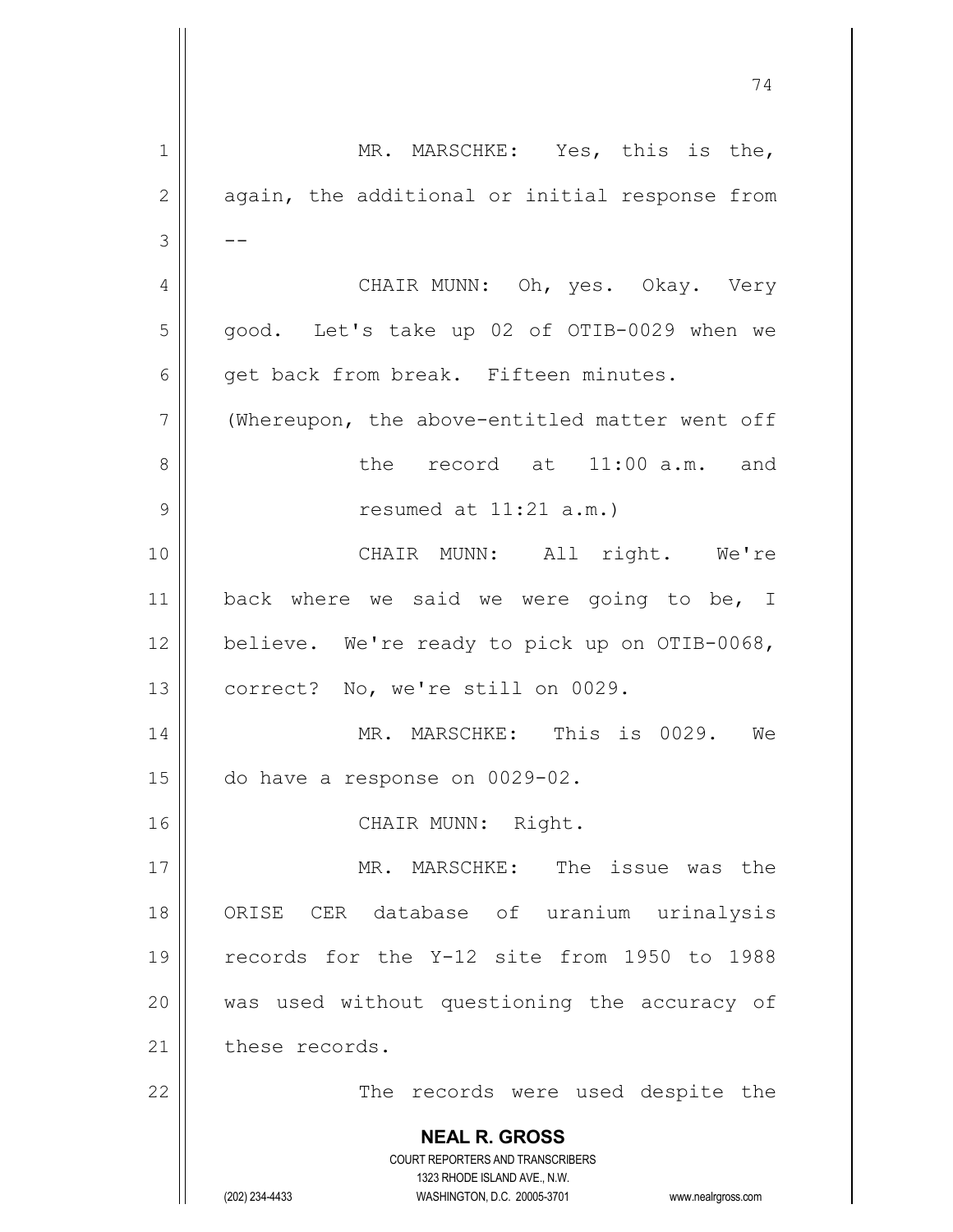| $\mathbf 1$  | MR. MARSCHKE: Yes, this is the,                                                                     |
|--------------|-----------------------------------------------------------------------------------------------------|
| $\mathbf{2}$ | again, the additional or initial response from                                                      |
| 3            |                                                                                                     |
| 4            | CHAIR MUNN: Oh, yes. Okay. Very                                                                     |
| 5            | good. Let's take up 02 of OTIB-0029 when we                                                         |
| 6            | get back from break. Fifteen minutes.                                                               |
| 7            | (Whereupon, the above-entitled matter went off                                                      |
| 8            | the record at 11:00 a.m. and                                                                        |
| 9            | resumed at $11:21$ a.m.)                                                                            |
| 10           | CHAIR MUNN: All right. We're                                                                        |
| 11           | back where we said we were going to be, I                                                           |
| 12           | believe. We're ready to pick up on OTIB-0068,                                                       |
| 13           | correct? No, we're still on 0029.                                                                   |
| 14           | MR. MARSCHKE: This is 0029. We                                                                      |
| 15           | do have a response on 0029-02.                                                                      |
| 16           | CHAIR MUNN: Right.                                                                                  |
| 17           | MR. MARSCHKE: The issue was the                                                                     |
| 18           | ORISE CER database of uranium urinalysis                                                            |
| 19           | records for the Y-12 site from 1950 to 1988                                                         |
| 20           | was used without questioning the accuracy of                                                        |
| 21           | these records.                                                                                      |
| 22           | The records were used despite the                                                                   |
|              | <b>NEAL R. GROSS</b>                                                                                |
|              | <b>COURT REPORTERS AND TRANSCRIBERS</b>                                                             |
|              | 1323 RHODE ISLAND AVE., N.W.<br>(202) 234-4433<br>WASHINGTON, D.C. 20005-3701<br>www.nealrgross.com |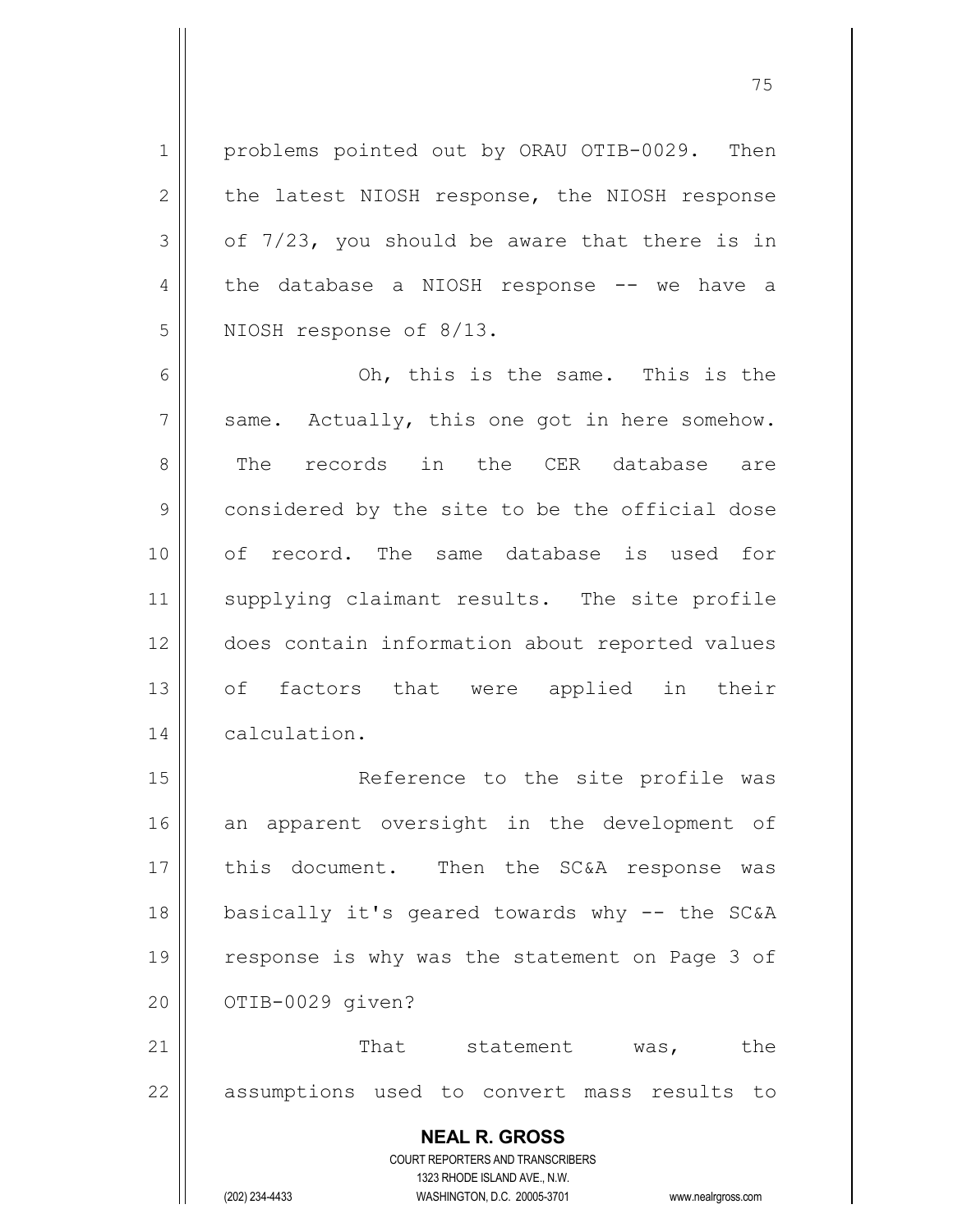1 | problems pointed out by ORAU OTIB-0029. Then  $2 \parallel$  the latest NIOSH response, the NIOSH response  $3 \parallel$  of 7/23, you should be aware that there is in 4 the database a NIOSH response -- we have a 5 | NIOSH response of 8/13.

6 Oh, this is the same. This is the  $7 ||$  same. Actually, this one got in here somehow. 8 The records in the CER database are 9 | considered by the site to be the official dose 10 of record. The same database is used for 11 || supplying claimant results. The site profile 12 does contain information about reported values 13 of factors that were applied in their 14 | calculation.

15 || Reference to the site profile was 16 an apparent oversight in the development of 17 || this document. Then the SC&A response was 18 basically it's geared towards why -- the SC&A 19 || response is why was the statement on Page 3 of 20 | 0TIB-0029 given?

21 || That statement was, the 22 || assumptions used to convert mass results to

> **NEAL R. GROSS** COURT REPORTERS AND TRANSCRIBERS

> > 1323 RHODE ISLAND AVE., N.W.

(202) 234-4433 WASHINGTON, D.C. 20005-3701 www.nealrgross.com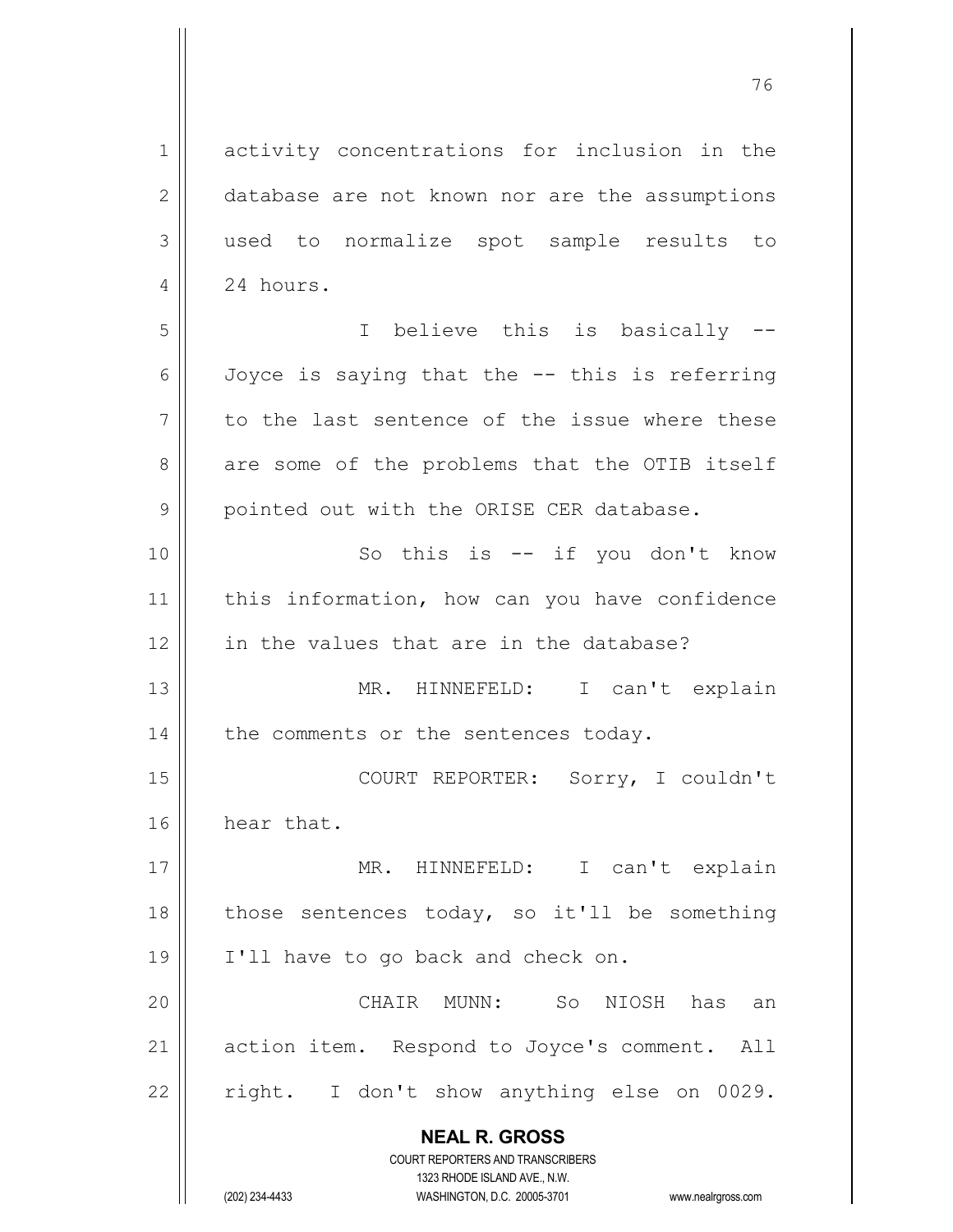**NEAL R. GROSS** COURT REPORTERS AND TRANSCRIBERS 1323 RHODE ISLAND AVE., N.W. 1 activity concentrations for inclusion in the 2 | database are not known nor are the assumptions 3 used to normalize spot sample results to 4 | 24 hours. 5 I believe this is basically -- 6  $\parallel$  Joyce is saying that the  $-$ - this is referring  $7 \parallel$  to the last sentence of the issue where these 8 are some of the problems that the OTIB itself 9 | pointed out with the ORISE CER database. 10 || So this is -- if you don't know 11 || this information, how can you have confidence 12 || in the values that are in the database? 13 MR. HINNEFELD: I can't explain  $14$  | the comments or the sentences today. 15 || COURT REPORTER: Sorry, I couldn't 16 | hear that. 17 || MR. HINNEFELD: I can't explain 18  $\parallel$  those sentences today, so it'll be something 19 || I'll have to go back and check on. 20 CHAIR MUNN: So NIOSH has an 21 | action item. Respond to Joyce's comment. All  $22$  | right. I don't show anything else on 0029.

(202) 234-4433 WASHINGTON, D.C. 20005-3701 www.nealrgross.com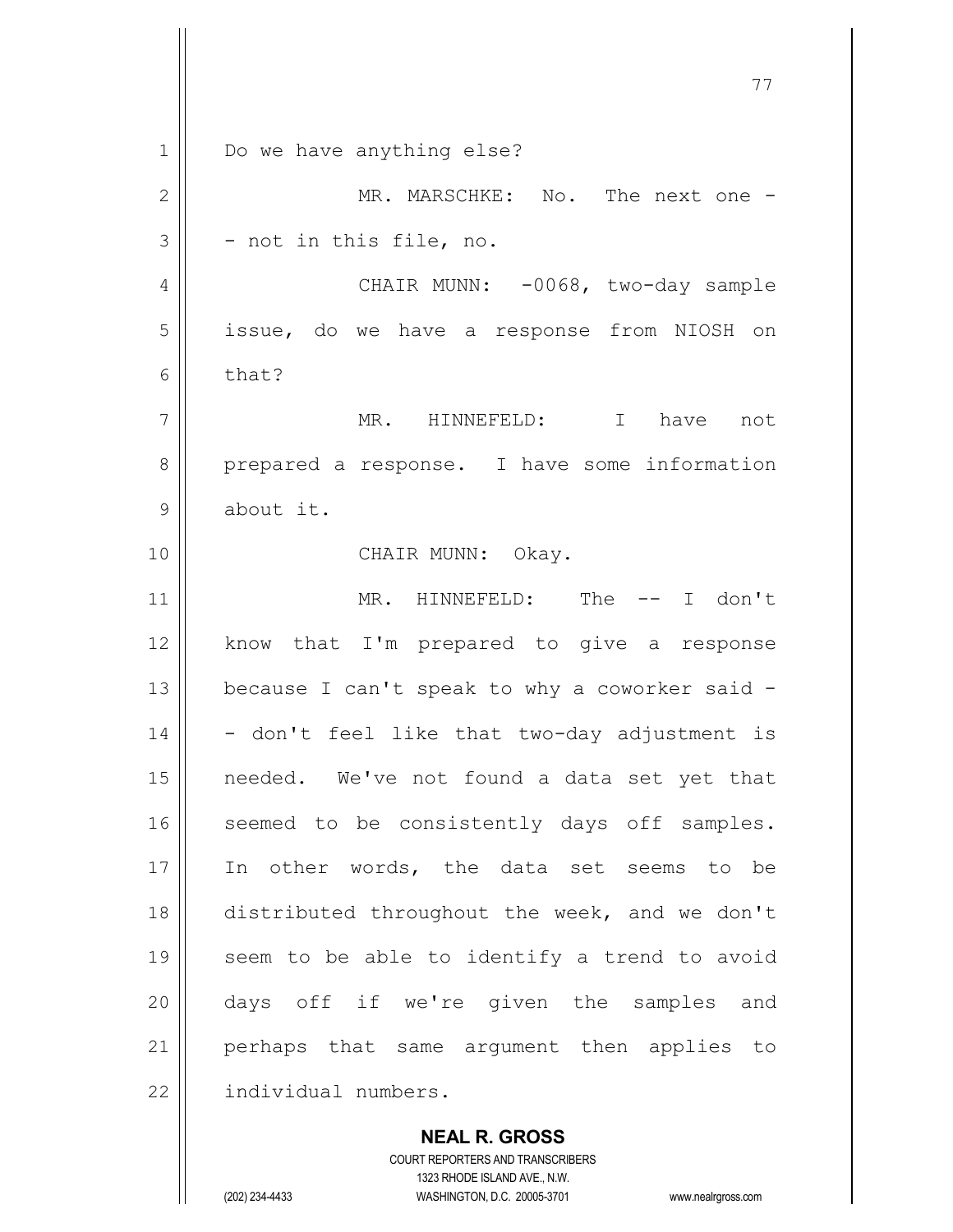77 1 | Do we have anything else? 2 MR. MARSCHKE: No. The next one -  $3 \parallel$  - not in this file, no. 4 | CHAIR MUNN: -0068, two-day sample 5 | issue, do we have a response from NIOSH on  $6 \parallel$  that? 7 MR. HINNEFELD: I have not 8 prepared a response. I have some information 9 | about it. 10 || CHAIR MUNN: Okay. 11 MR. HINNEFELD: The -- I don't 12 || know that I'm prepared to give a response 13  $\parallel$  because I can't speak to why a coworker said - $14 \parallel$  - don't feel like that two-day adjustment is 15 needed. We've not found a data set yet that 16 || seemed to be consistently days off samples. 17 || In other words, the data set seems to be 18 distributed throughout the week, and we don't 19 || seem to be able to identify a trend to avoid 20 days off if we're given the samples and 21 || perhaps that same argument then applies to 22 | individual numbers.

> **NEAL R. GROSS** COURT REPORTERS AND TRANSCRIBERS

> > 1323 RHODE ISLAND AVE., N.W.

(202) 234-4433 WASHINGTON, D.C. 20005-3701 www.nealrgross.com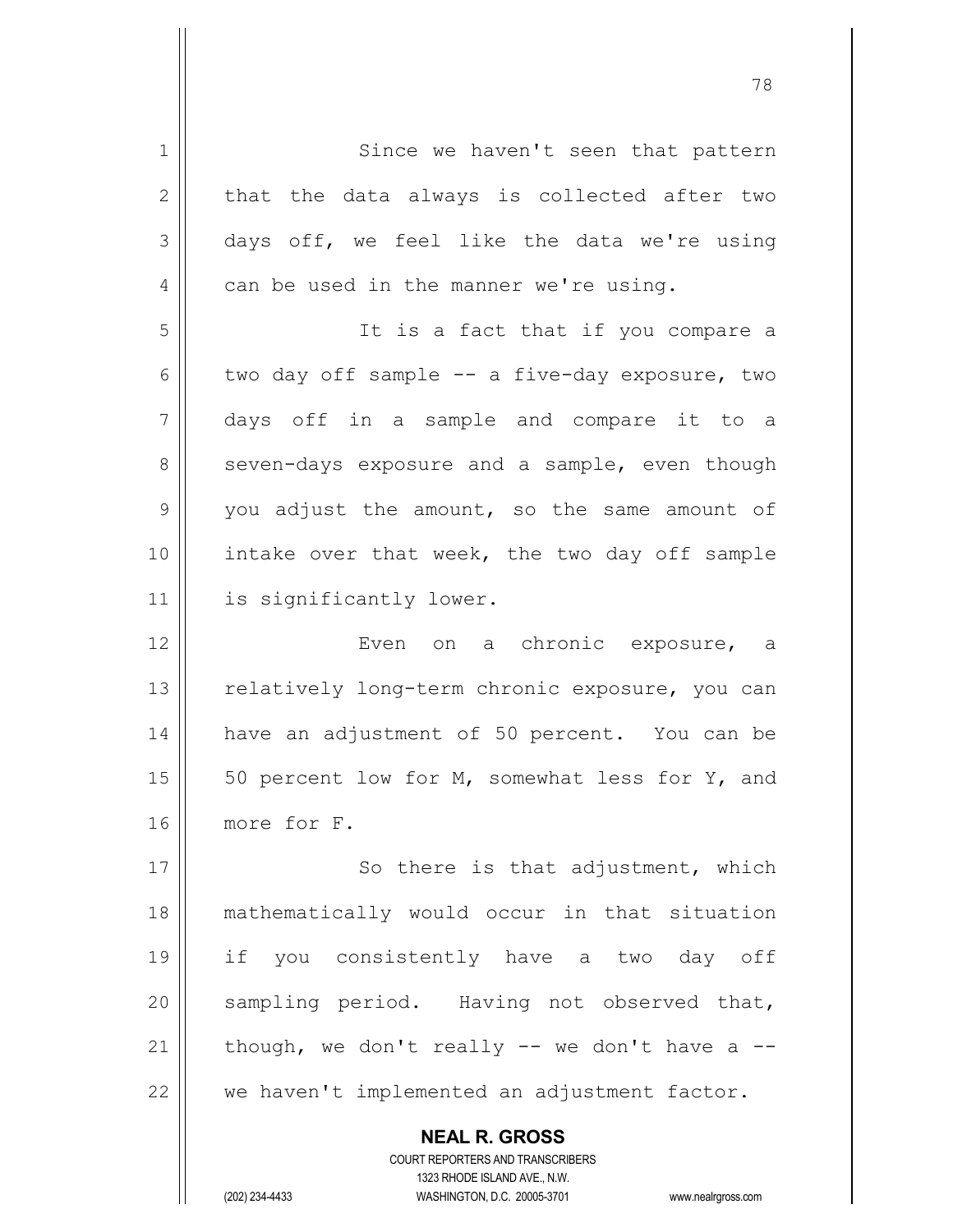**NEAL R. GROSS** COURT REPORTERS AND TRANSCRIBERS 1 || Since we haven't seen that pattern  $2 \parallel$  that the data always is collected after two  $3 \parallel$  days off, we feel like the data we're using  $4 \parallel$  can be used in the manner we're using. 5 It is a fact that if you compare a 6 two day off sample  $--$  a five-day exposure, two 7 days off in a sample and compare it to a  $8 \parallel$  seven-days exposure and a sample, even though  $9 \parallel$  you adjust the amount, so the same amount of  $10$  | intake over that week, the two day off sample 11 | is significantly lower. 12 Even on a chronic exposure, a 13 || relatively long-term chronic exposure, you can 14 have an adjustment of 50 percent. You can be 15  $\vert$  50 percent low for M, somewhat less for Y, and 16 more for F. 17 || So there is that adjustment, which 18 mathematically would occur in that situation 19 if you consistently have a two day off 20 || sampling period. Having not observed that, 21  $\parallel$  though, we don't really -- we don't have a -- $22$   $\parallel$  we haven't implemented an adjustment factor.

1323 RHODE ISLAND AVE., N.W. (202) 234-4433 WASHINGTON, D.C. 20005-3701 www.nealrgross.com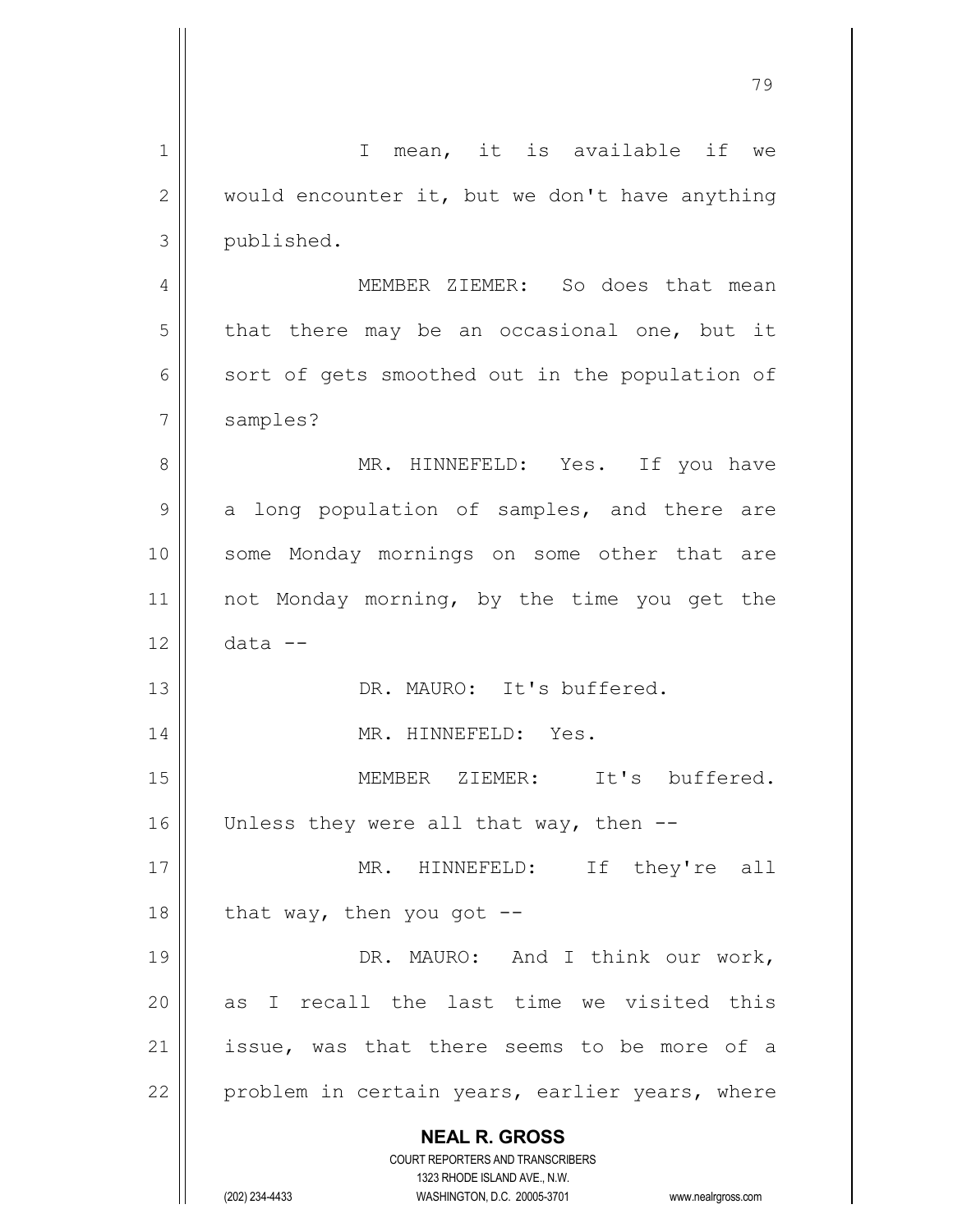**NEAL R. GROSS** COURT REPORTERS AND TRANSCRIBERS 1323 RHODE ISLAND AVE., N.W. (202) 234-4433 WASHINGTON, D.C. 20005-3701 www.nealrgross.com 1 || I mean, it is available if we  $2 \parallel$  would encounter it, but we don't have anything 3 | published. 4 || MEMBER ZIEMER: So does that mean  $5 \parallel$  that there may be an occasional one, but it  $6$  sort of gets smoothed out in the population of 7 || samples? 8 MR. HINNEFELD: Yes. If you have  $9 \parallel$  a long population of samples, and there are 10 || some Monday mornings on some other that are 11 || not Monday morning, by the time you get the  $12 \parallel$  data  $-$ 13 || DR. MAURO: It's buffered. 14 || MR. HINNEFELD: Yes. 15 MEMBER ZIEMER: It's buffered. 16  $\parallel$  Unless they were all that way, then --17 || MR. HINNEFELD: If they're all 18  $\parallel$  that way, then you got --19 || DR. MAURO: And I think our work,  $20$  as I recall the last time we visited this 21 || issue, was that there seems to be more of a 22  $\parallel$  problem in certain years, earlier years, where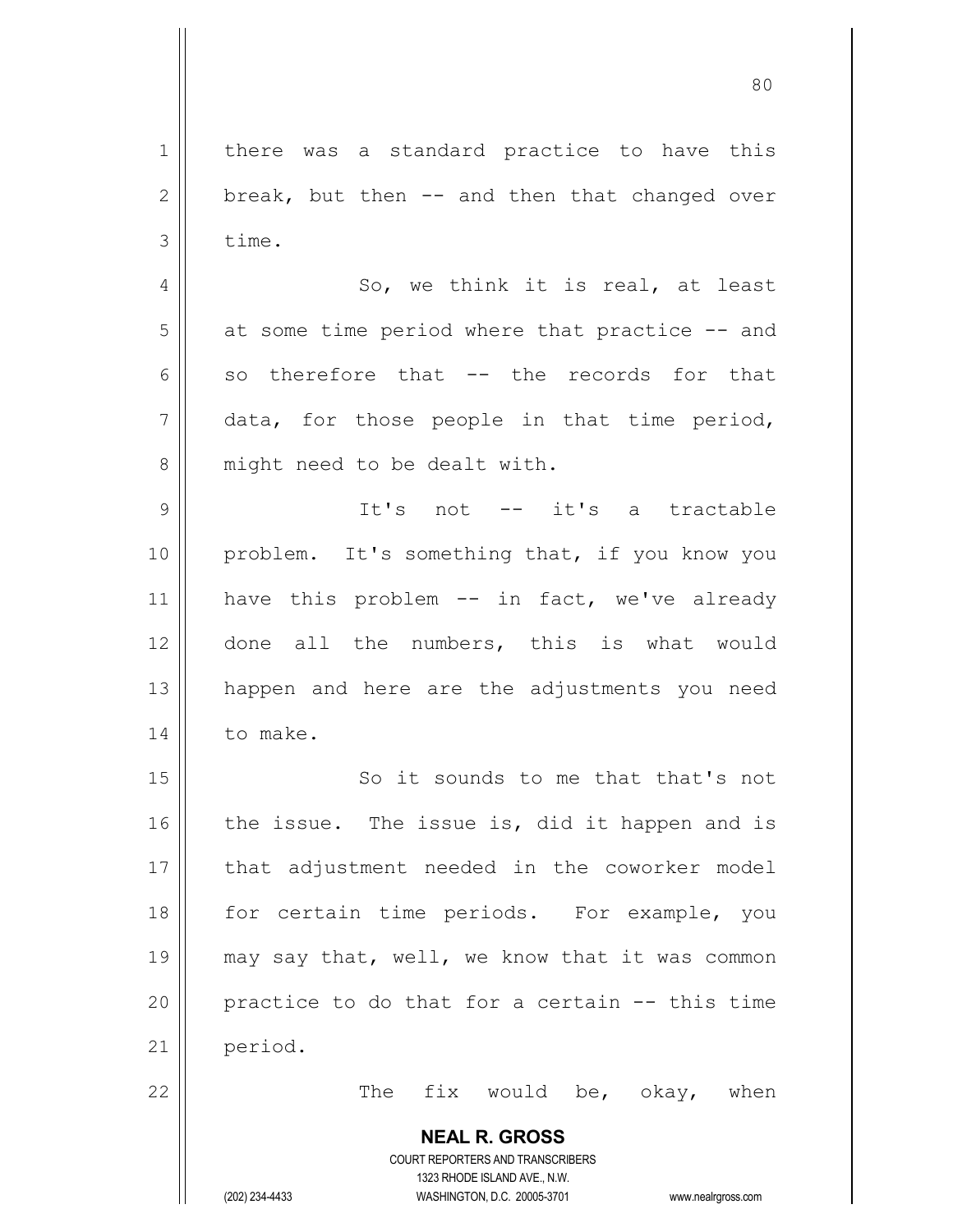**NEAL R. GROSS** COURT REPORTERS AND TRANSCRIBERS 1323 RHODE ISLAND AVE., N.W. 1 | there was a standard practice to have this  $2 \parallel$  break, but then -- and then that changed over  $3 \parallel$  time.  $4 \parallel$  So, we think it is real, at least  $5 \parallel$  at some time period where that practice  $-$  and 6 so therefore that  $-$  the records for that  $7 \parallel$  data, for those people in that time period, 8 || might need to be dealt with. 9 || It's not -- it's a tractable 10 problem. It's something that, if you know you 11 || have this problem -- in fact, we've already 12 || done all the numbers, this is what would 13 happen and here are the adjustments you need 14 | to make. 15 || So it sounds to me that that's not  $16$  the issue. The issue is, did it happen and is 17 || that adjustment needed in the coworker model 18 || for certain time periods. For example, you 19  $\parallel$  may say that, well, we know that it was common 20  $\parallel$  practice to do that for a certain  $-$ - this time 21 | period.  $22$  || The fix would be, okay, when

(202) 234-4433 WASHINGTON, D.C. 20005-3701 www.nealrgross.com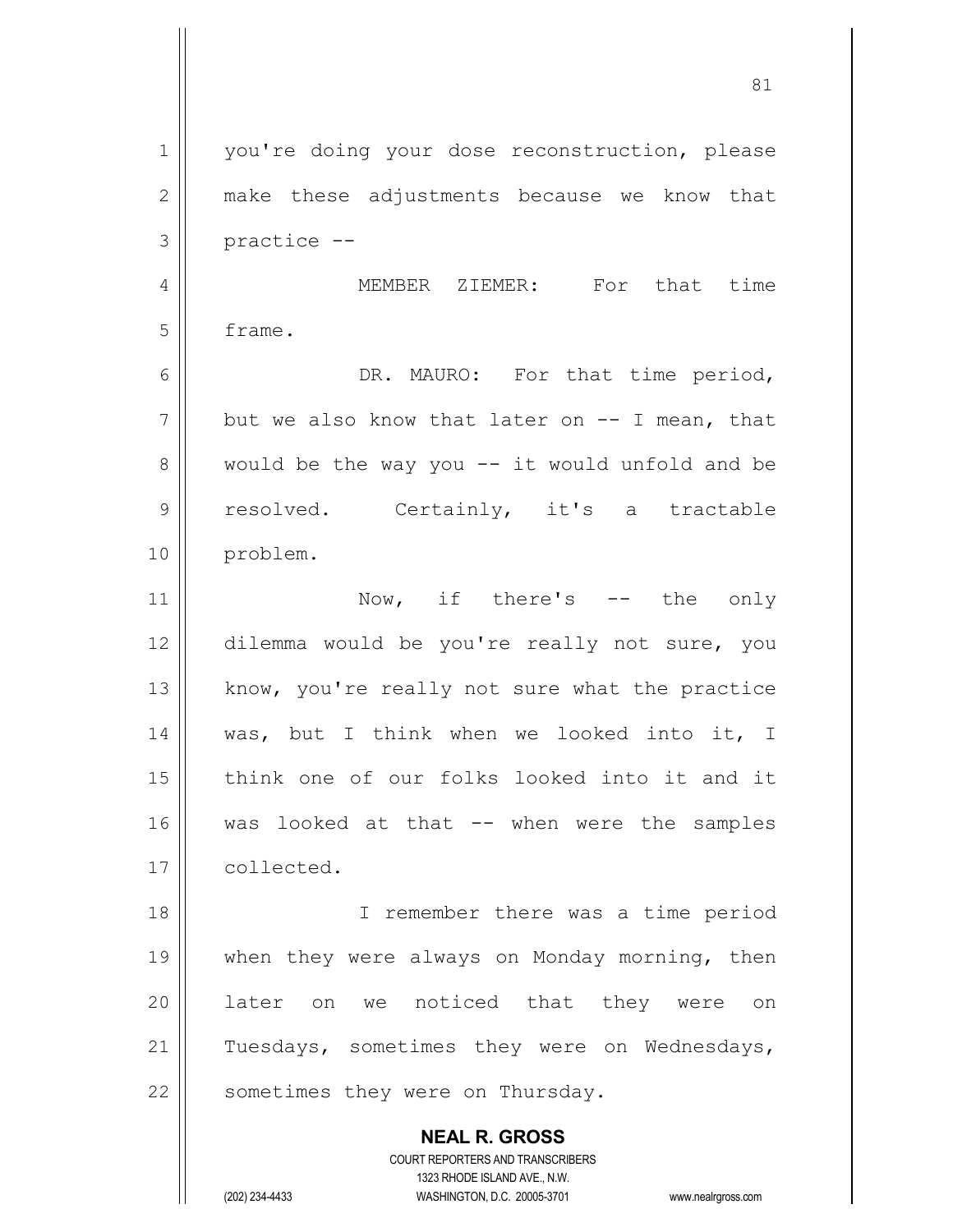**NEAL R. GROSS** COURT REPORTERS AND TRANSCRIBERS 1323 RHODE ISLAND AVE., N.W. 1 | you're doing your dose reconstruction, please 2 make these adjustments because we know that  $3 \parallel$  practice  $-$ 4 MEMBER ZIEMER: For that time 5 frame. 6 DR. MAURO: For that time period,  $7 \parallel$  but we also know that later on  $-$  I mean, that  $8 \parallel$  would be the way you  $-$  it would unfold and be 9 || resolved. Certainly, it's a tractable 10 || problem. 11 || Now, if there's -- the only 12 dilemma would be you're really not sure, you 13 || know, you're really not sure what the practice 14 was, but I think when we looked into it, I 15 think one of our folks looked into it and it 16 was looked at that -- when were the samples 17 collected. 18 I remember there was a time period 19 || when they were always on Monday morning, then 20 || later on we noticed that they were on 21 || Tuesdays, sometimes they were on Wednesdays, 22 | sometimes they were on Thursday.

(202) 234-4433 WASHINGTON, D.C. 20005-3701 www.nealrgross.com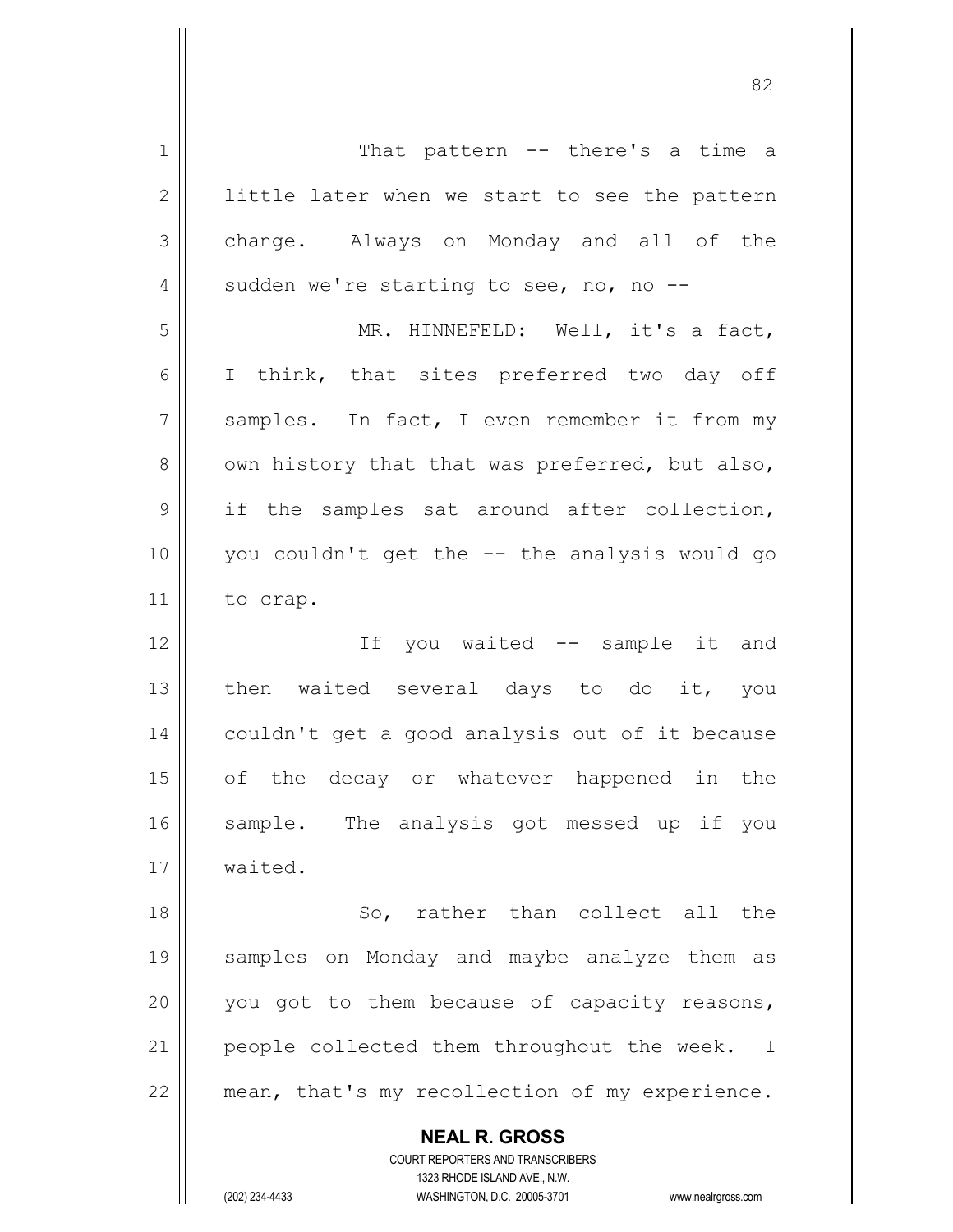**NEAL R. GROSS** COURT REPORTERS AND TRANSCRIBERS 1 || That pattern -- there's a time a  $2 \parallel$  little later when we start to see the pattern 3 change. Always on Monday and all of the 4  $\parallel$  sudden we're starting to see, no, no --5 MR. HINNEFELD: Well, it's a fact, 6 || I think, that sites preferred two day off 7 || samples. In fact, I even remember it from my  $8 \parallel$  own history that that was preferred, but also,  $9 \parallel$  if the samples sat around after collection, 10 you couldn't get the -- the analysis would go 11 to crap. 12 If you waited -- sample it and 13 then waited several days to do it, you 14 | couldn't get a good analysis out of it because 15 || of the decay or whatever happened in the 16 || sample. The analysis got messed up if you 17 waited. 18 || So, rather than collect all the 19 samples on Monday and maybe analyze them as 20  $\parallel$  you got to them because of capacity reasons, 21  $\parallel$  people collected them throughout the week. I  $22$  | mean, that's my recollection of my experience.

1323 RHODE ISLAND AVE., N.W.

(202) 234-4433 WASHINGTON, D.C. 20005-3701 www.nealrgross.com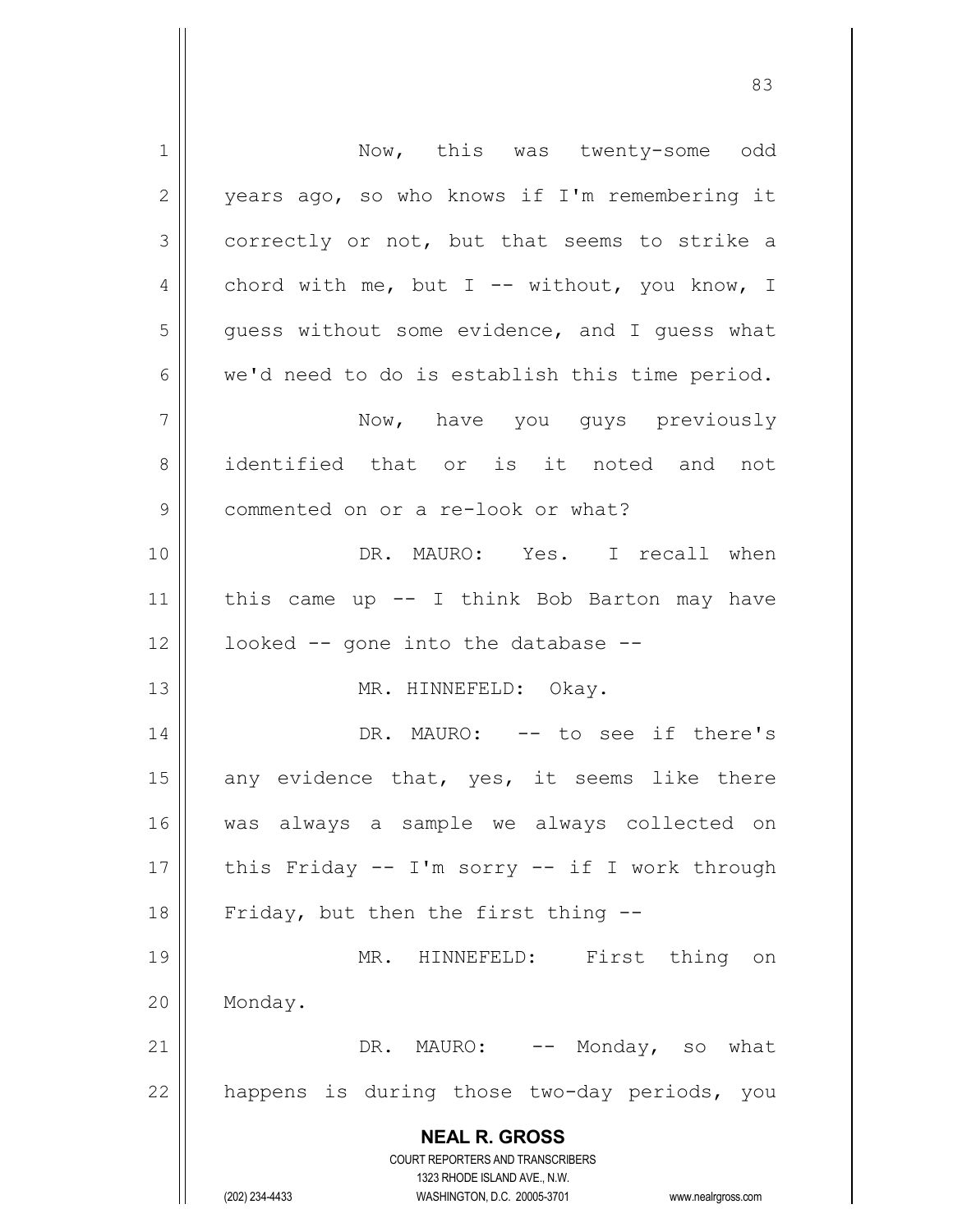**NEAL R. GROSS** COURT REPORTERS AND TRANSCRIBERS 1323 RHODE ISLAND AVE., N.W. (202) 234-4433 WASHINGTON, D.C. 20005-3701 www.nealrgross.com 1 | Now, this was twenty-some odd 2 | years ago, so who knows if I'm remembering it 3 correctly or not, but that seems to strike a 4 chord with me, but I -- without, you know, I  $5 \parallel$  guess without some evidence, and I guess what  $6 \parallel$  we'd need to do is establish this time period. 7 Now, have you guys previously 8 identified that or is it noted and not 9 | commented on or a re-look or what? 10 DR. MAURO: Yes. I recall when 11  $\parallel$  this came up -- I think Bob Barton may have  $12$  | looked  $-$  gone into the database  $-$ 13 || MR. HINNEFELD: Okay. 14 DR. MAURO: -- to see if there's 15  $\parallel$  any evidence that, yes, it seems like there 16 was always a sample we always collected on 17  $\parallel$  this Friday -- I'm sorry -- if I work through 18  $\parallel$  Friday, but then the first thing --19 || MR. HINNEFELD: First thing on 20 | Monday. 21 DR. MAURO: -- Monday, so what  $22$  | happens is during those two-day periods, you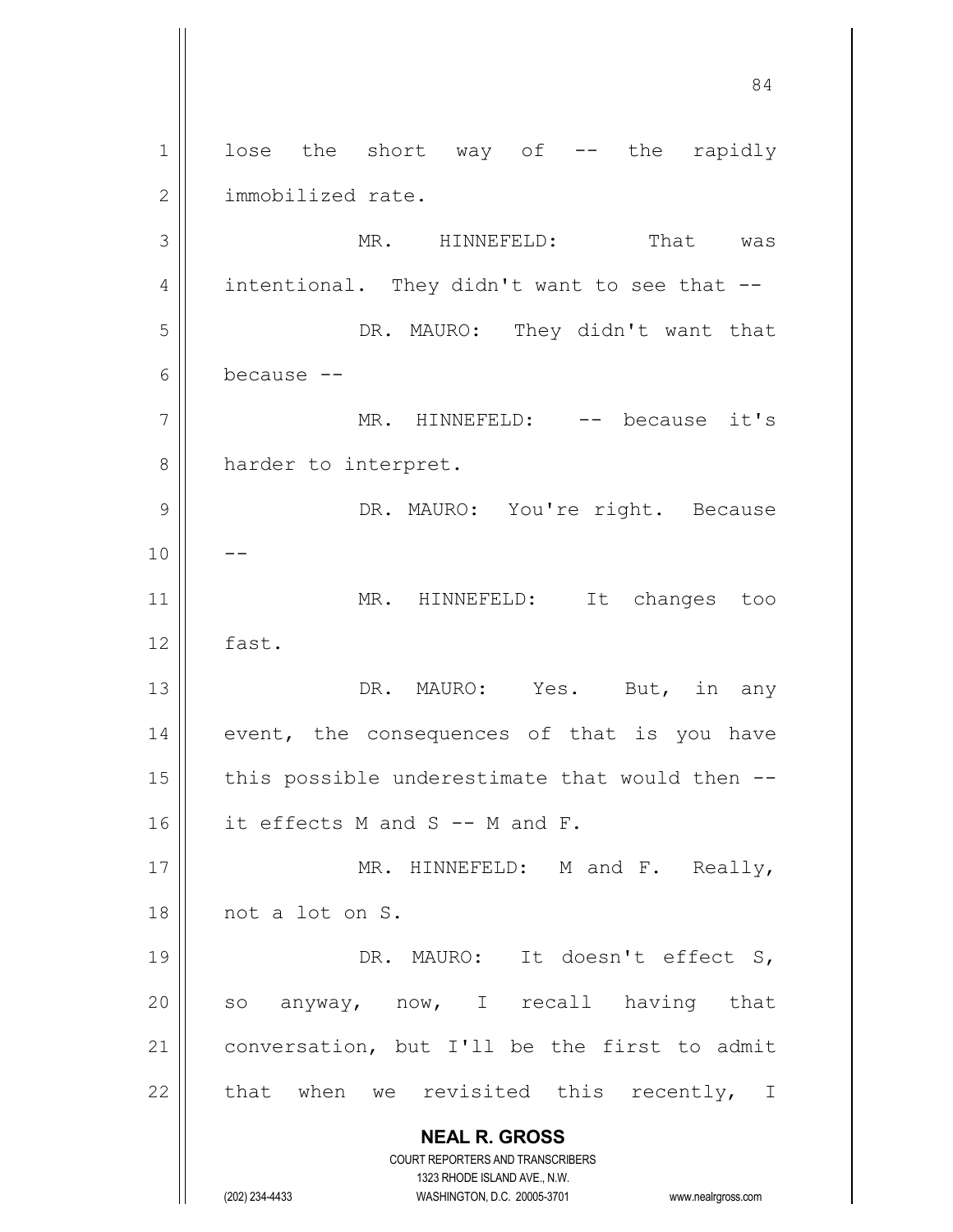**NEAL R. GROSS** COURT REPORTERS AND TRANSCRIBERS 1323 RHODE ISLAND AVE., N.W. (202) 234-4433 WASHINGTON, D.C. 20005-3701 www.nealrgross.com 1 || lose the short way of -- the rapidly 2 | immobilized rate. 3 MR. HINNEFELD: That was 4 | intentional. They didn't want to see that  $-$ 5 DR. MAURO: They didn't want that 6 because -- 7 || MR. HINNEFELD: -- because it's 8 || harder to interpret. 9 DR. MAURO: You're right. Because  $10$  ||  $-$ 11 || MR. HINNEFELD: It changes too  $12 \parallel$  fast. 13 DR. MAURO: Yes. But, in any  $14$  event, the consequences of that is you have 15  $\parallel$  this possible underestimate that would then -- $16$  | it effects M and S -- M and F. 17 || MR. HINNEFELD: M and F. Really, 18 not a lot on S. 19 || DR. MAURO: It doesn't effect S, 20  $\parallel$  so anyway, now, I recall having that 21 | conversation, but I'll be the first to admit 22  $\parallel$  that when we revisited this recently, I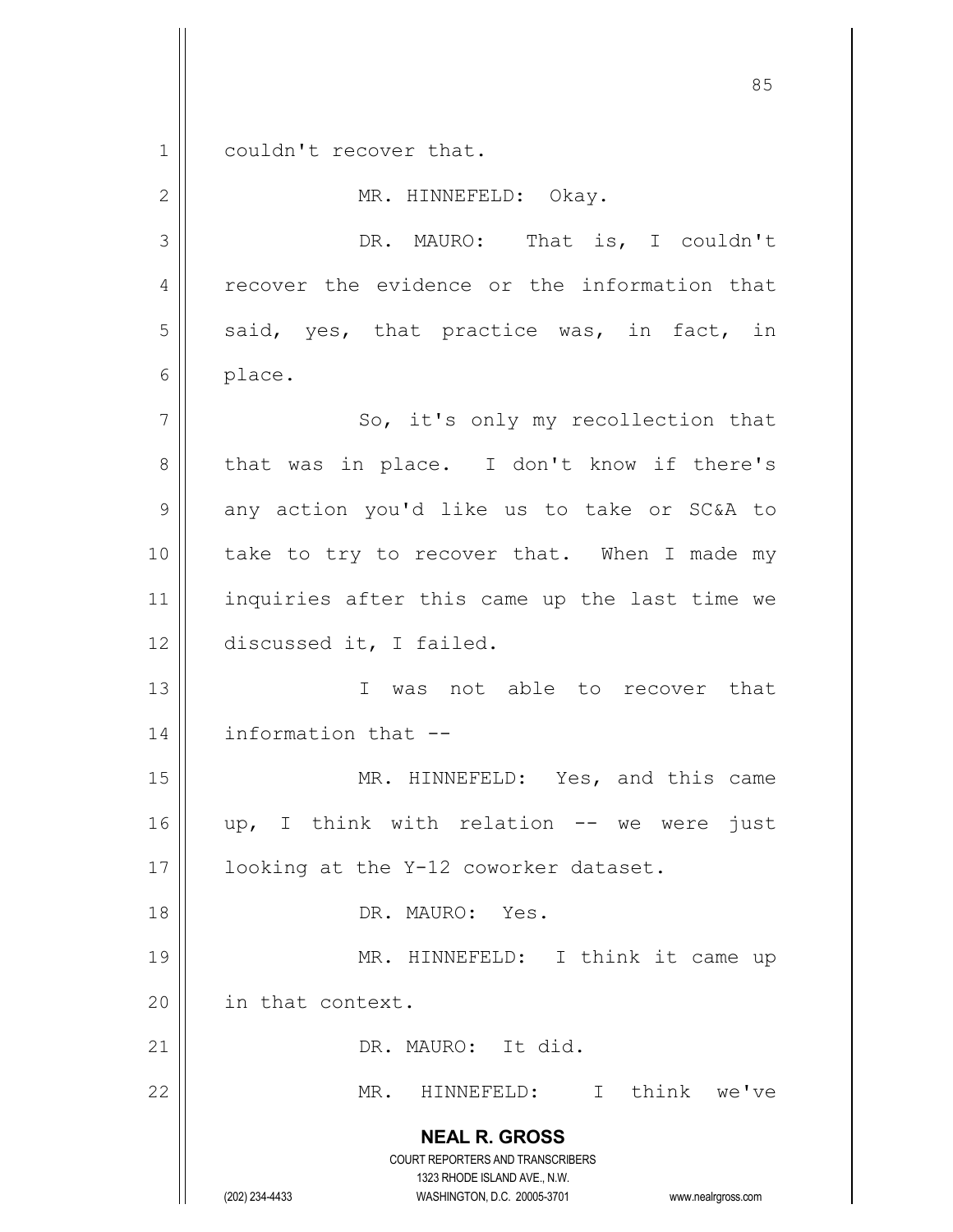1 couldn't recover that.

**NEAL R. GROSS** COURT REPORTERS AND TRANSCRIBERS 1323 RHODE ISLAND AVE., N.W. (202) 234-4433 WASHINGTON, D.C. 20005-3701 www.nealrgross.com 2 | MR. HINNEFELD: Okay. 3 || DR. MAURO: That is, I couldn't 4 || recover the evidence or the information that  $5$  said, yes, that practice was, in fact, in 6 | place. 7 || So, it's only my recollection that 8 || that was in place. I don't know if there's  $9 \parallel$  any action you'd like us to take or SC&A to 10 || take to try to recover that. When I made my 11 || inquiries after this came up the last time we 12 discussed it, I failed. 13 I was not able to recover that 14 information that -- 15 || MR. HINNEFELD: Yes, and this came 16 || up, I think with relation -- we were just 17 || looking at the Y-12 coworker dataset. 18 DR. MAURO: Yes. 19 || MR. HINNEFELD: I think it came up 20 | in that context. 21 || DR. MAURO: It did. 22 MR. HINNEFELD: I think we've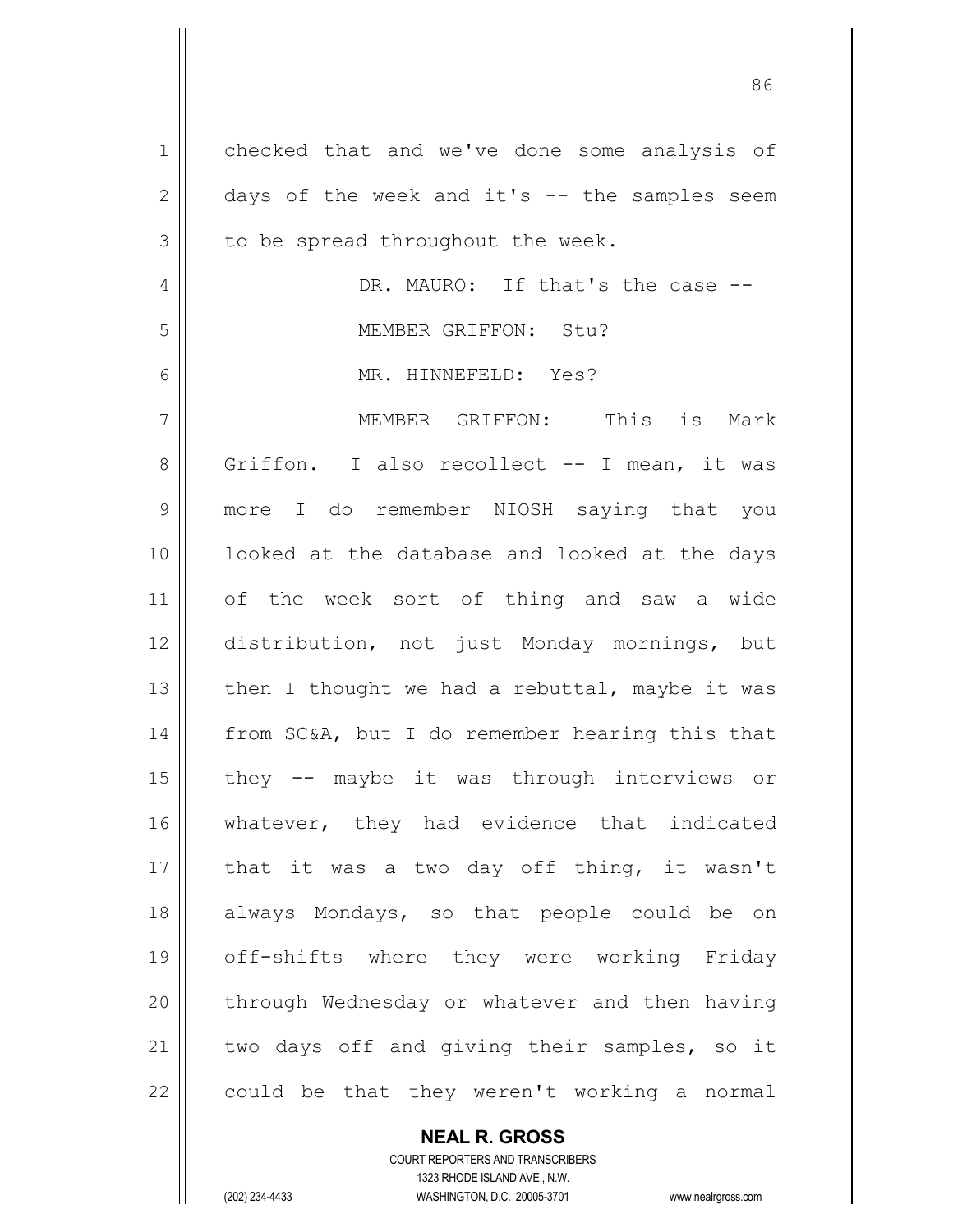| 1              | checked that and we've done some analysis of   |
|----------------|------------------------------------------------|
| $\mathbf{2}$   | days of the week and it's -- the samples seem  |
| 3              | to be spread throughout the week.              |
| 4              | DR. MAURO: If that's the case --               |
| 5              | MEMBER GRIFFON: Stu?                           |
| 6              | MR. HINNEFELD: Yes?                            |
| 7              | MEMBER GRIFFON: This is Mark                   |
| 8              | Griffon. I also recollect -- I mean, it was    |
| $\overline{9}$ | more I do remember NIOSH saying that you       |
| 10             | looked at the database and looked at the days  |
| 11             | of the week sort of thing and saw a wide       |
| 12             | distribution, not just Monday mornings, but    |
| 13             | then I thought we had a rebuttal, maybe it was |
| 14             | from SC&A, but I do remember hearing this that |
| 15             | they -- maybe it was through interviews or     |
| 16             | whatever, they had evidence that indicated     |
| 17             | that it was a two day off thing, it wasn't     |
| 18             | always Mondays, so that people could be on     |
| 19             | off-shifts where they were working Friday      |
| 20             | through Wednesday or whatever and then having  |
| 21             | two days off and giving their samples, so it   |
| 22             | could be that they weren't working a normal    |

**NEAL R. GROSS**

COURT REPORTERS AND TRANSCRIBERS 1323 RHODE ISLAND AVE., N.W. (202) 234-4433 WASHINGTON, D.C. 20005-3701 www.nealrgross.com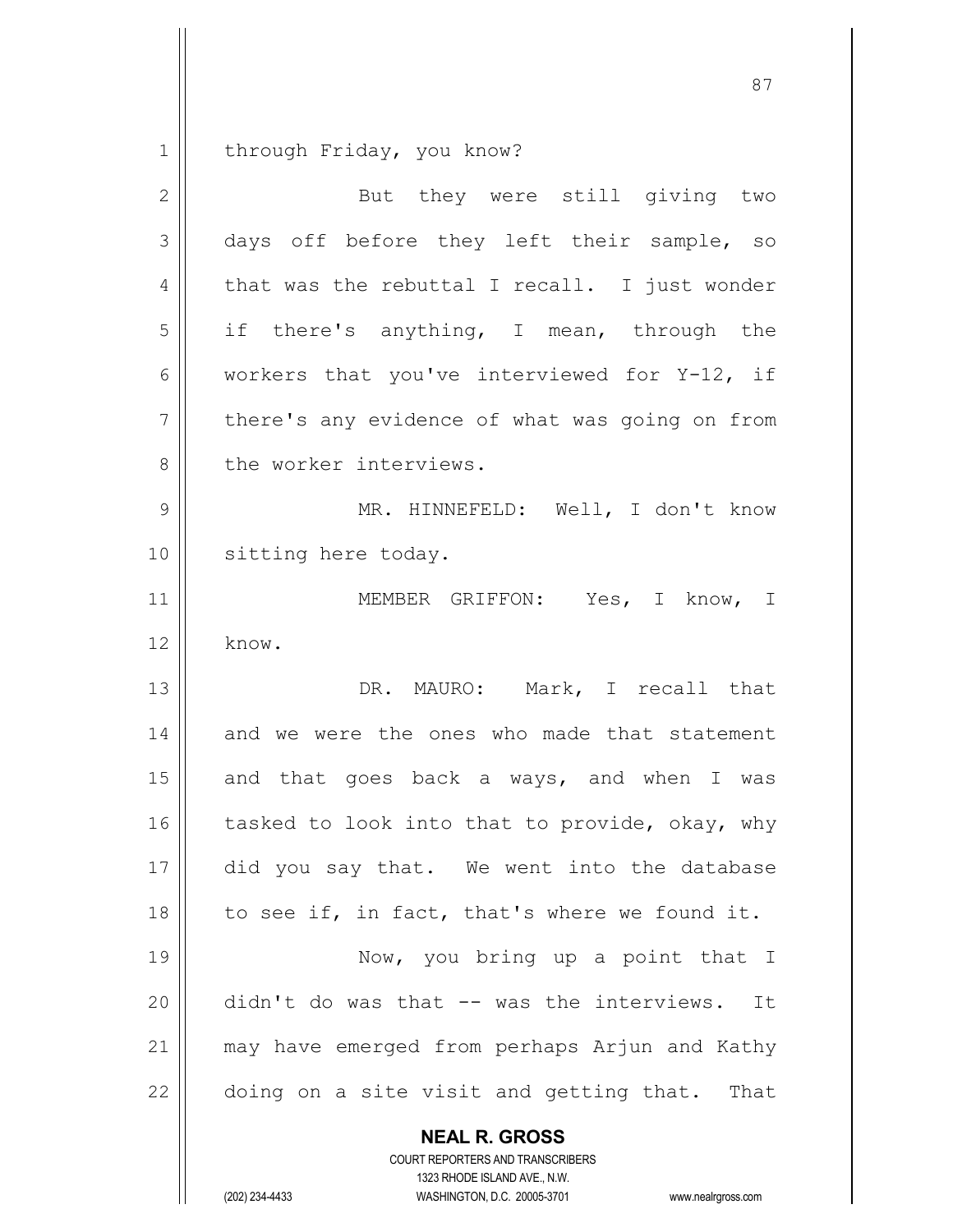1 | through Friday, you know?

| $\overline{2}$ | But they were still giving two                  |
|----------------|-------------------------------------------------|
| 3              | days off before they left their sample, so      |
| 4              | that was the rebuttal I recall. I just wonder   |
| 5              | if there's anything, I mean, through the        |
| 6              | workers that you've interviewed for Y-12, if    |
| $7\phantom{.}$ | there's any evidence of what was going on from  |
| $\,8\,$        | the worker interviews.                          |
| $\mathcal{G}$  | MR. HINNEFELD: Well, I don't know               |
| 10             | sitting here today.                             |
| 11             | MEMBER GRIFFON: Yes, I know, I                  |
| 12             | know.                                           |
| 13             | DR. MAURO: Mark, I recall that                  |
| 14             | and we were the ones who made that statement    |
| 15             | and that goes back a ways, and when I was       |
| 16             | tasked to look into that to provide, okay, why  |
| 17             | did you say that. We went into the database     |
| 18             | to see if, in fact, that's where we found it.   |
| 19             | Now, you bring up a point that I                |
| 20             | didn't do was that -- was the interviews. It    |
| 21             | may have emerged from perhaps Arjun and Kathy   |
| 22             | doing on a site visit and getting that.<br>That |
|                | <b>NEAL R. GROSS</b>                            |

COURT REPORTERS AND TRANSCRIBERS 1323 RHODE ISLAND AVE., N.W.

(202) 234-4433 WASHINGTON, D.C. 20005-3701 www.nealrgross.com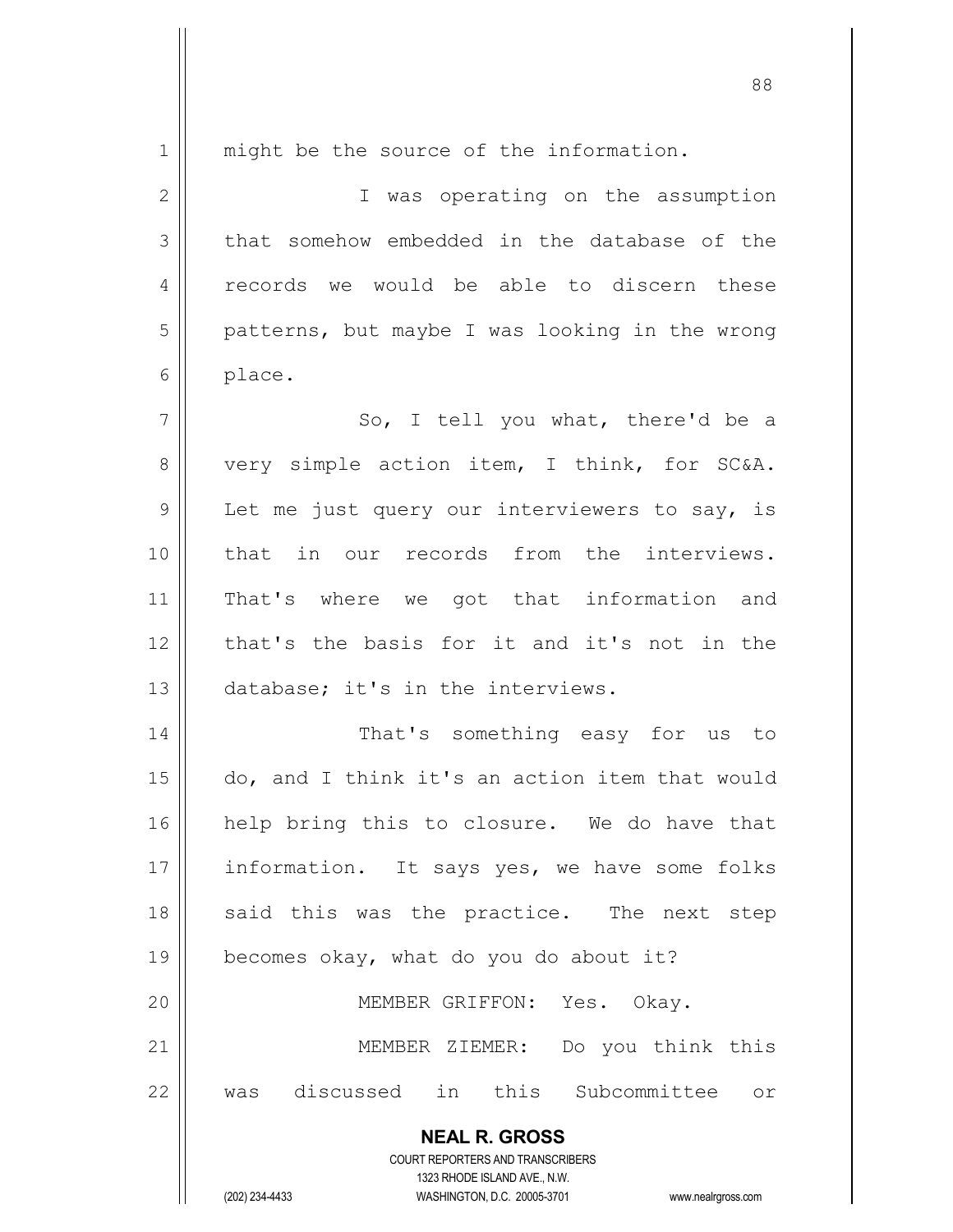1 || might be the source of the information. 2 || T was operating on the assumption  $3 \parallel$  that somehow embedded in the database of the 4 || records we would be able to discern these  $5 \parallel$  patterns, but maybe I was looking in the wrong 6 | place.  $7 \parallel$  So, I tell you what, there'd be a 8 very simple action item, I think, for SC&A.  $9 \parallel$  Let me just query our interviewers to say, is 10 that in our records from the interviews. 11 || That's where we got that information and 12 that's the basis for it and it's not in the 13 || database; it's in the interviews. 14 || That's something easy for us to 15 do, and I think it's an action item that would 16 || help bring this to closure. We do have that 17 | information. It says yes, we have some folks 18 || said this was the practice. The next step 19  $\parallel$  becomes okay, what do you do about it? 20 || MEMBER GRIFFON: Yes. Okay. 21 || MEMBER ZIEMER: Do you think this

22 was discussed in this Subcommittee or

**NEAL R. GROSS** COURT REPORTERS AND TRANSCRIBERS

1323 RHODE ISLAND AVE., N.W.

(202) 234-4433 WASHINGTON, D.C. 20005-3701 www.nealrgross.com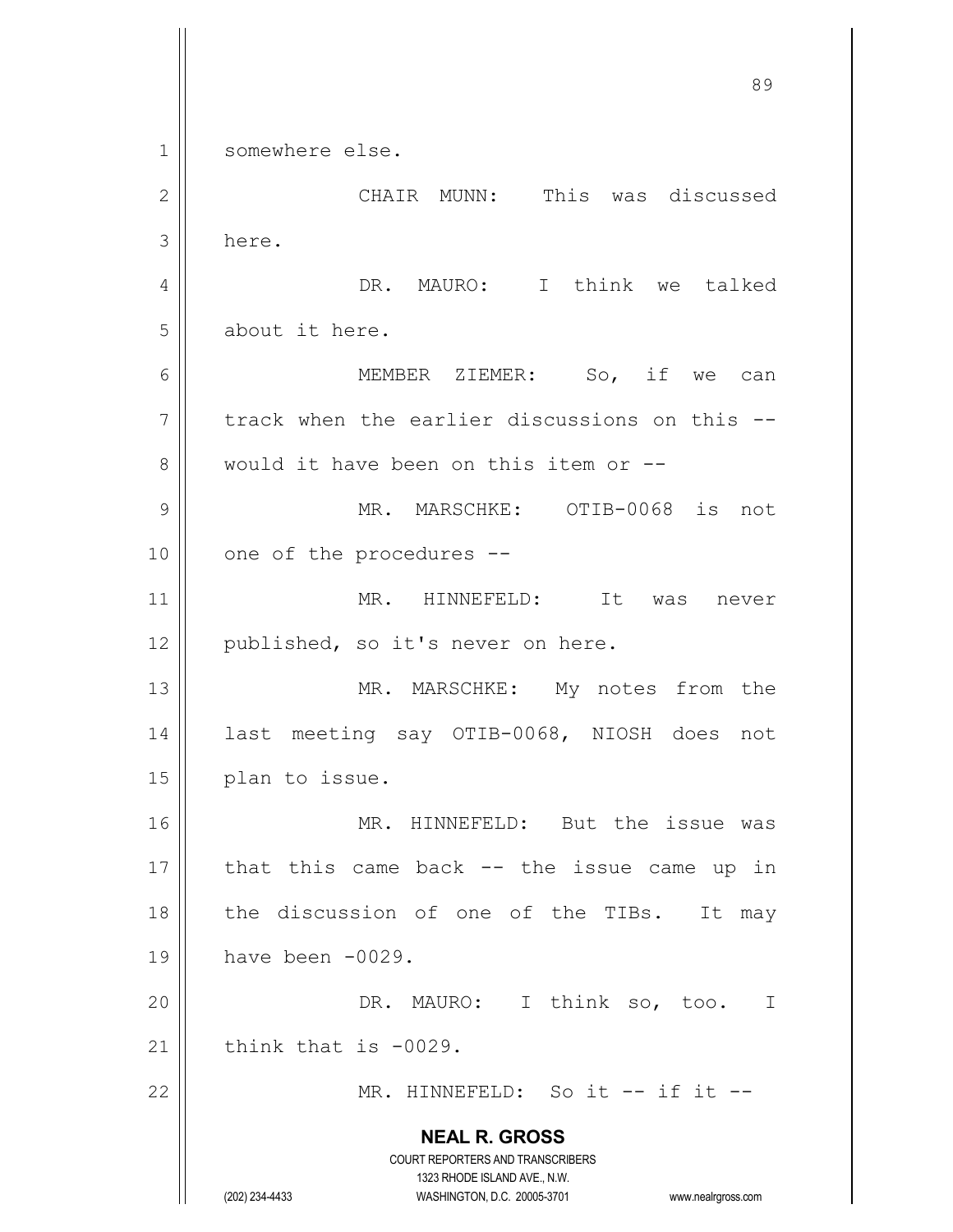**NEAL R. GROSS** COURT REPORTERS AND TRANSCRIBERS 1323 RHODE ISLAND AVE., N.W. (202) 234-4433 WASHINGTON, D.C. 20005-3701 www.nealrgross.com 89 1 | somewhere else. 2 CHAIR MUNN: This was discussed  $3$  here. 4 DR. MAURO: I think we talked 5 | about it here. 6 MEMBER ZIEMER: So, if we can  $7$  | track when the earlier discussions on this  $-$ 8 Would it have been on this item or --9 MR. MARSCHKE: OTIB-0068 is not 10 || one of the procedures --11 || MR. HINNEFELD: It was never 12 || published, so it's never on here. 13 || MR. MARSCHKE: My notes from the 14 last meeting say OTIB-0068, NIOSH does not 15 | plan to issue. 16 || MR. HINNEFELD: But the issue was  $17$  || that this came back -- the issue came up in 18 || the discussion of one of the TIBs. It may 19 have been -0029. 20 DR. MAURO: I think so, too. I 21  $\parallel$  think that is -0029. 22 MR. HINNEFELD: So it -- if it --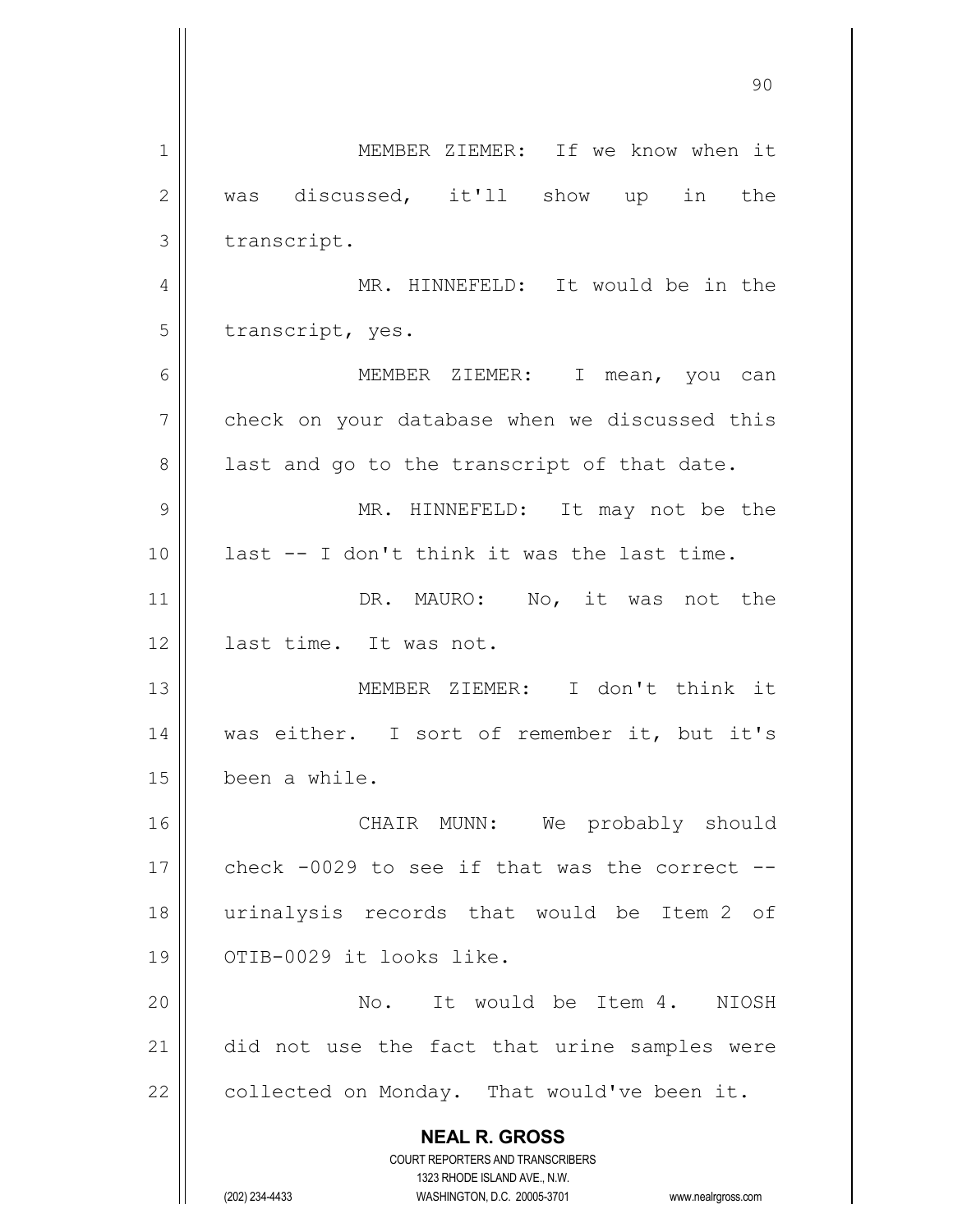**NEAL R. GROSS** COURT REPORTERS AND TRANSCRIBERS 1323 RHODE ISLAND AVE., N.W. (202) 234-4433 WASHINGTON, D.C. 20005-3701 www.nealrgross.com 1 MEMBER ZIEMER: If we know when it 2 was discussed, it'll show up in the 3 | transcript. 4 MR. HINNEFELD: It would be in the 5 || transcript, yes. 6 MEMBER ZIEMER: I mean, you can  $7 \parallel$  check on your database when we discussed this  $8 \parallel$  last and go to the transcript of that date. 9 MR. HINNEFELD: It may not be the 10 last -- I don't think it was the last time. 11 || DR. MAURO: No, it was not the 12 || last time. It was not. 13 MEMBER ZIEMER: I don't think it 14 || was either. I sort of remember it, but it's 15 been a while. 16 CHAIR MUNN: We probably should 17  $\parallel$  check -0029 to see if that was the correct --18 urinalysis records that would be Item 2 of 19 || OTIB-0029 it looks like. 20 No. It would be Item 4. NIOSH 21 || did not use the fact that urine samples were 22  $\parallel$  collected on Monday. That would've been it.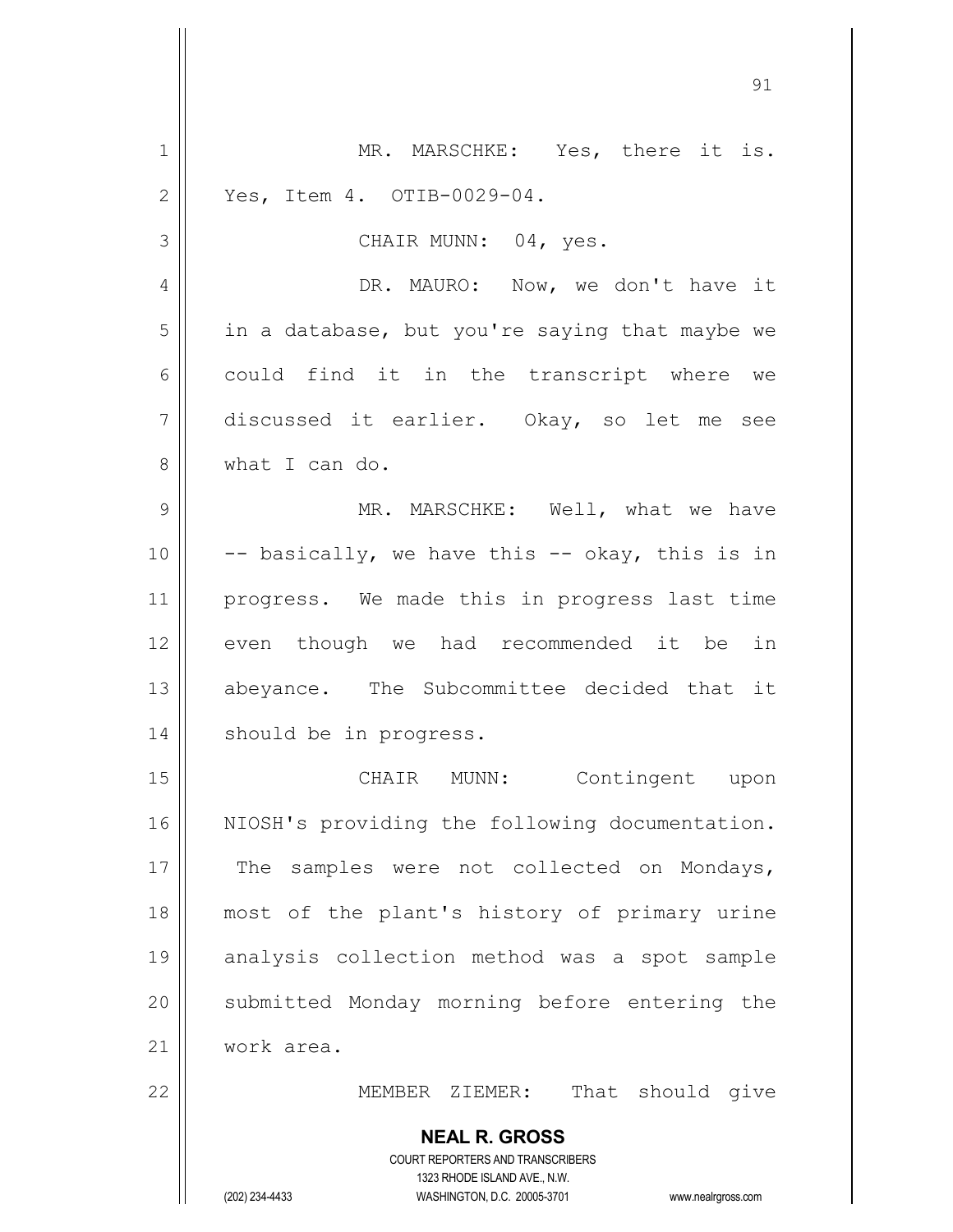| $\mathbf 1$    | MR. MARSCHKE: Yes, there it is.                                                                     |
|----------------|-----------------------------------------------------------------------------------------------------|
| $\overline{2}$ | Yes, Item 4. OTIB-0029-04.                                                                          |
| 3              | CHAIR MUNN: 04, yes.                                                                                |
| 4              | DR. MAURO: Now, we don't have it                                                                    |
| 5              | in a database, but you're saying that maybe we                                                      |
| 6              | could find it in the transcript where we                                                            |
| 7              | discussed it earlier. Okay, so let me see                                                           |
| 8              | what I can do.                                                                                      |
| 9              | MR. MARSCHKE: Well, what we have                                                                    |
| 10             | -- basically, we have this -- okay, this is in                                                      |
| 11             | progress. We made this in progress last time                                                        |
| 12             | even though we had recommended it be in                                                             |
| 13             | abeyance. The Subcommittee decided that it                                                          |
| 14             | should be in progress.                                                                              |
| 15             | CHAIR MUNN: Contingent upon                                                                         |
| 16             | NIOSH's providing the following documentation.                                                      |
| 17             | The samples were not collected on Mondays,                                                          |
| 18             | most of the plant's history of primary urine                                                        |
| 19             | analysis collection method was a spot sample                                                        |
| 20             | submitted Monday morning before entering the                                                        |
| 21             | work area.                                                                                          |
| 22             | That should give<br>MEMBER ZIEMER:                                                                  |
|                | <b>NEAL R. GROSS</b>                                                                                |
|                | COURT REPORTERS AND TRANSCRIBERS                                                                    |
|                | 1323 RHODE ISLAND AVE., N.W.<br>(202) 234-4433<br>WASHINGTON, D.C. 20005-3701<br>www.nealrgross.com |

 $\mathsf{I}$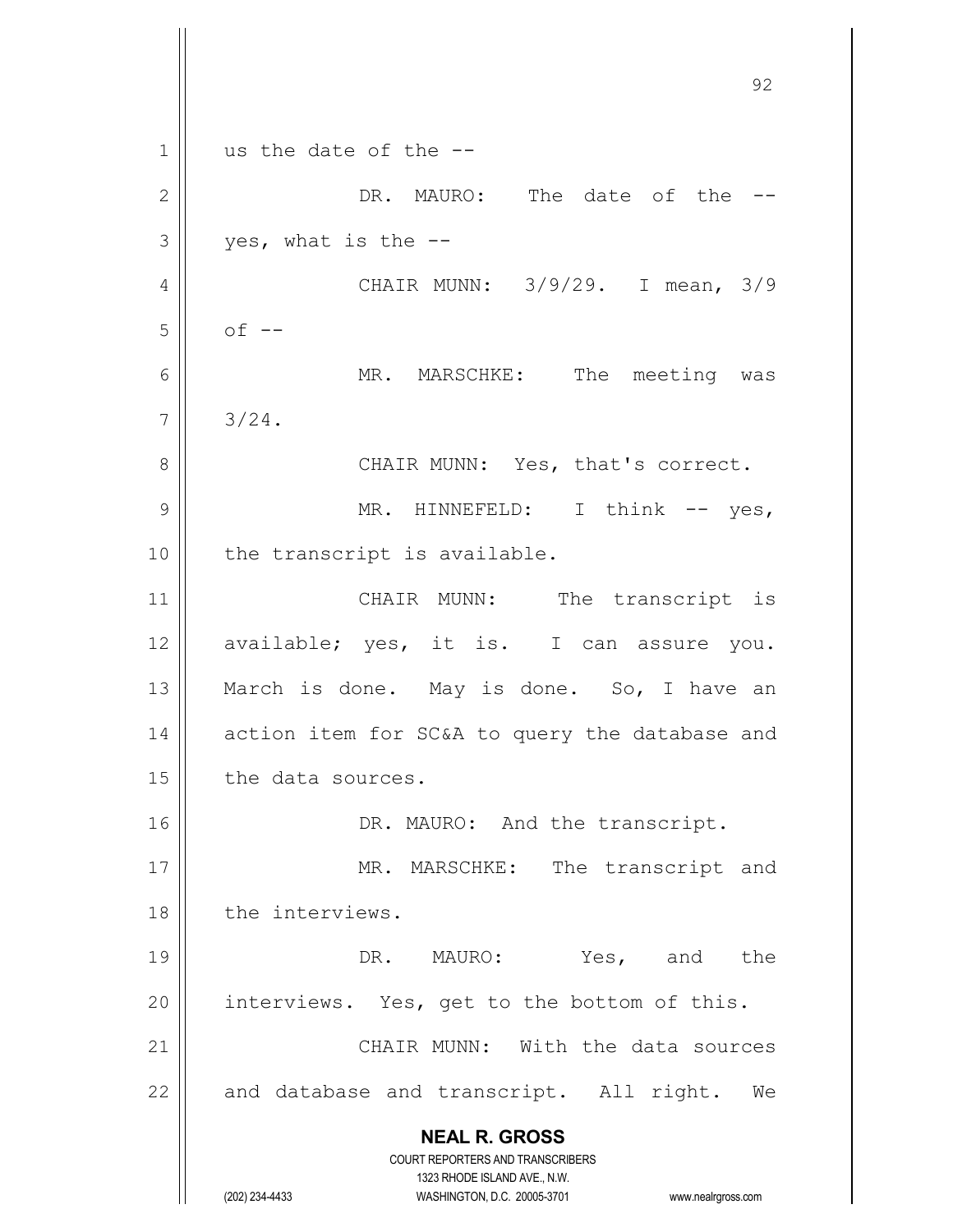**NEAL R. GROSS** COURT REPORTERS AND TRANSCRIBERS 1323 RHODE ISLAND AVE., N.W. (202) 234-4433 WASHINGTON, D.C. 20005-3701 www.nealrgross.com 92  $1 \parallel$  us the date of the --2 DR. MAURO: The date of the --  $3 \parallel$  yes, what is the --4 CHAIR MUNN: 3/9/29. I mean, 3/9  $5 \parallel$  of  $-$ 6 || MR. MARSCHKE: The meeting was  $7 \parallel 3/24.$ 8 CHAIR MUNN: Yes, that's correct. 9 || MR. HINNEFELD: I think -- yes, 10 || the transcript is available. 11 || CHAIR MUNN: The transcript is 12 || available; yes, it is. I can assure you. 13 || March is done. May is done. So, I have an 14 | action item for SC&A to query the database and 15 | the data sources. 16 || DR. MAURO: And the transcript. 17 || MR. MARSCHKE: The transcript and 18 || the interviews. 19 || DR. MAURO: Yes, and the 20  $\parallel$  interviews. Yes, get to the bottom of this. 21 | CHAIR MUNN: With the data sources  $22$  || and database and transcript. All right. We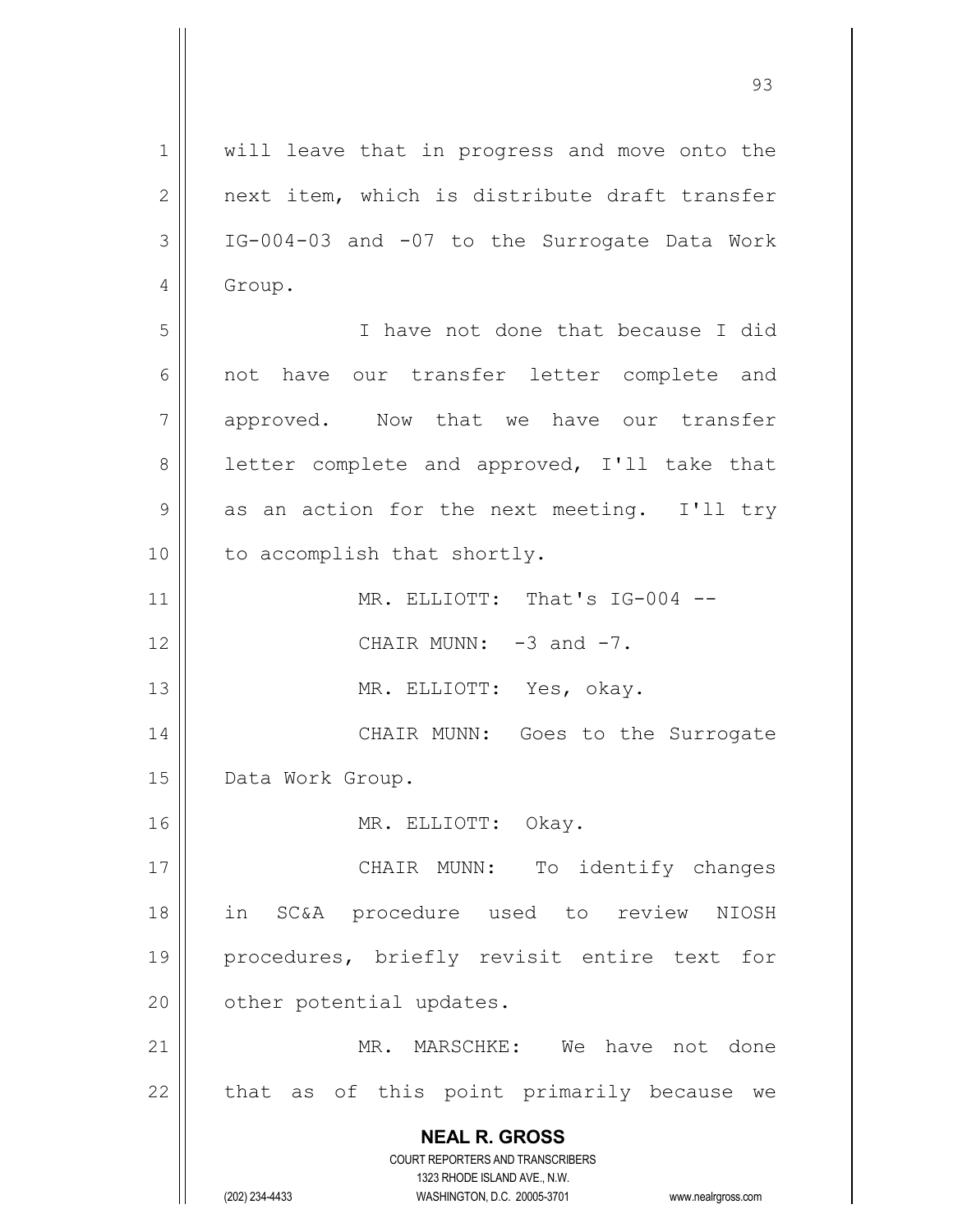**NEAL R. GROSS** COURT REPORTERS AND TRANSCRIBERS 1323 RHODE ISLAND AVE., N.W. (202) 234-4433 WASHINGTON, D.C. 20005-3701 www.nealrgross.com 1 || will leave that in progress and move onto the  $2 \parallel$  next item, which is distribute draft transfer  $3 \parallel$  IG-004-03 and -07 to the Surrogate Data Work 4 | Group. 5 I have not done that because I did 6 || not have our transfer letter complete and 7 approved. Now that we have our transfer 8 || letter complete and approved, I'll take that  $9 \parallel$  as an action for the next meeting. I'll try 10 || to accomplish that shortly. 11 || MR. ELLIOTT: That's IG-004 -- $12$  || CHAIR MUNN:  $-3$  and  $-7$ . 13 || MR. ELLIOTT: Yes, okay. 14 CHAIR MUNN: Goes to the Surrogate 15 | Data Work Group. 16 || MR. ELLIOTT: Okay. 17 || CHAIR MUNN: To identify changes 18 in SC&A procedure used to review NIOSH 19 procedures, briefly revisit entire text for 20 | other potential updates. 21 MR. MARSCHKE: We have not done  $22$  || that as of this point primarily because we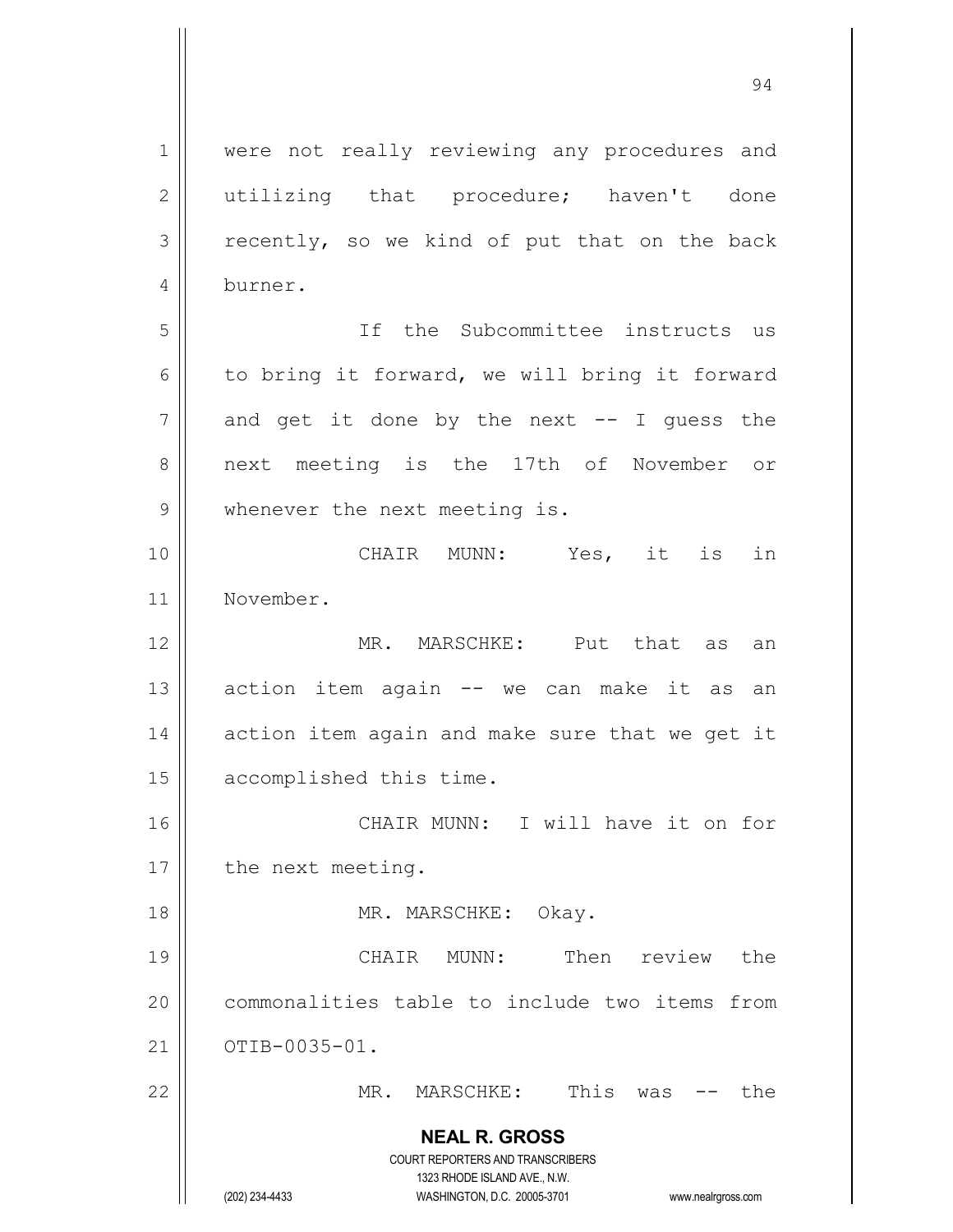**NEAL R. GROSS** COURT REPORTERS AND TRANSCRIBERS 1323 RHODE ISLAND AVE., N.W. (202) 234-4433 WASHINGTON, D.C. 20005-3701 www.nealrgross.com 1 || were not really reviewing any procedures and 2 || utilizing that procedure; haven't done  $3 \parallel$  recently, so we kind of put that on the back 4 burner. 5 If the Subcommittee instructs us 6 to bring it forward, we will bring it forward  $7 \parallel$  and get it done by the next -- I guess the 8 || next meeting is the 17th of November or 9 || whenever the next meeting is. 10 CHAIR MUNN: Yes, it is in 11 November. 12 MR. MARSCHKE: Put that as an  $13$  action item again  $-$  we can make it as an  $14$  | action item again and make sure that we get it 15 | accomplished this time. 16 CHAIR MUNN: I will have it on for 17 | the next meeting. 18 || MR. MARSCHKE: Okay. 19 CHAIR MUNN: Then review the 20 | commonalities table to include two items from  $21 \parallel \overline{O}$   $O$   $T$   $I$   $B$   $-0$   $0$   $3$   $5$   $-0$   $1$ . 22 MR. MARSCHKE: This was -- the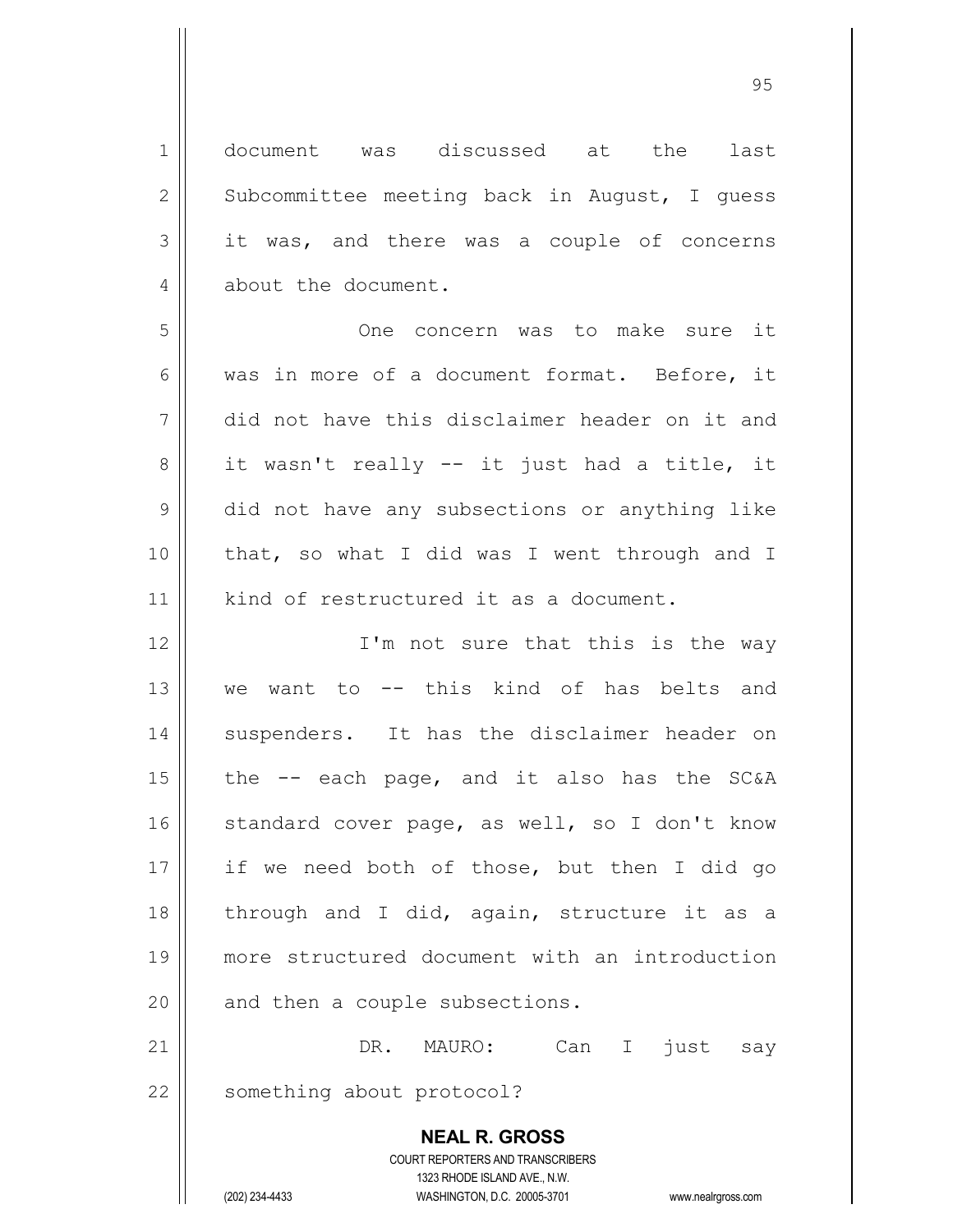**NEAL R. GROSS** COURT REPORTERS AND TRANSCRIBERS 1 document was discussed at the last  $2 \parallel$  Subcommittee meeting back in August, I guess  $3 \parallel$  it was, and there was a couple of concerns 4 about the document. 5 One concern was to make sure it 6 was in more of a document format. Before, it 7 did not have this disclaimer header on it and  $8 \parallel$  it wasn't really -- it just had a title, it 9 did not have any subsections or anything like 10 that, so what I did was I went through and I 11 | kind of restructured it as a document. 12 || T'm not sure that this is the way 13 we want to -- this kind of has belts and 14 || suspenders. It has the disclaimer header on 15  $\parallel$  the  $-$  each page, and it also has the SC&A  $16$  standard cover page, as well, so I don't know 17 if we need both of those, but then I did go 18  $\parallel$  through and I did, again, structure it as a 19 more structured document with an introduction  $20$  | and then a couple subsections. 21 DR. MAURO: Can I just say 22 || something about protocol?

1323 RHODE ISLAND AVE., N.W.

(202) 234-4433 WASHINGTON, D.C. 20005-3701 www.nealrgross.com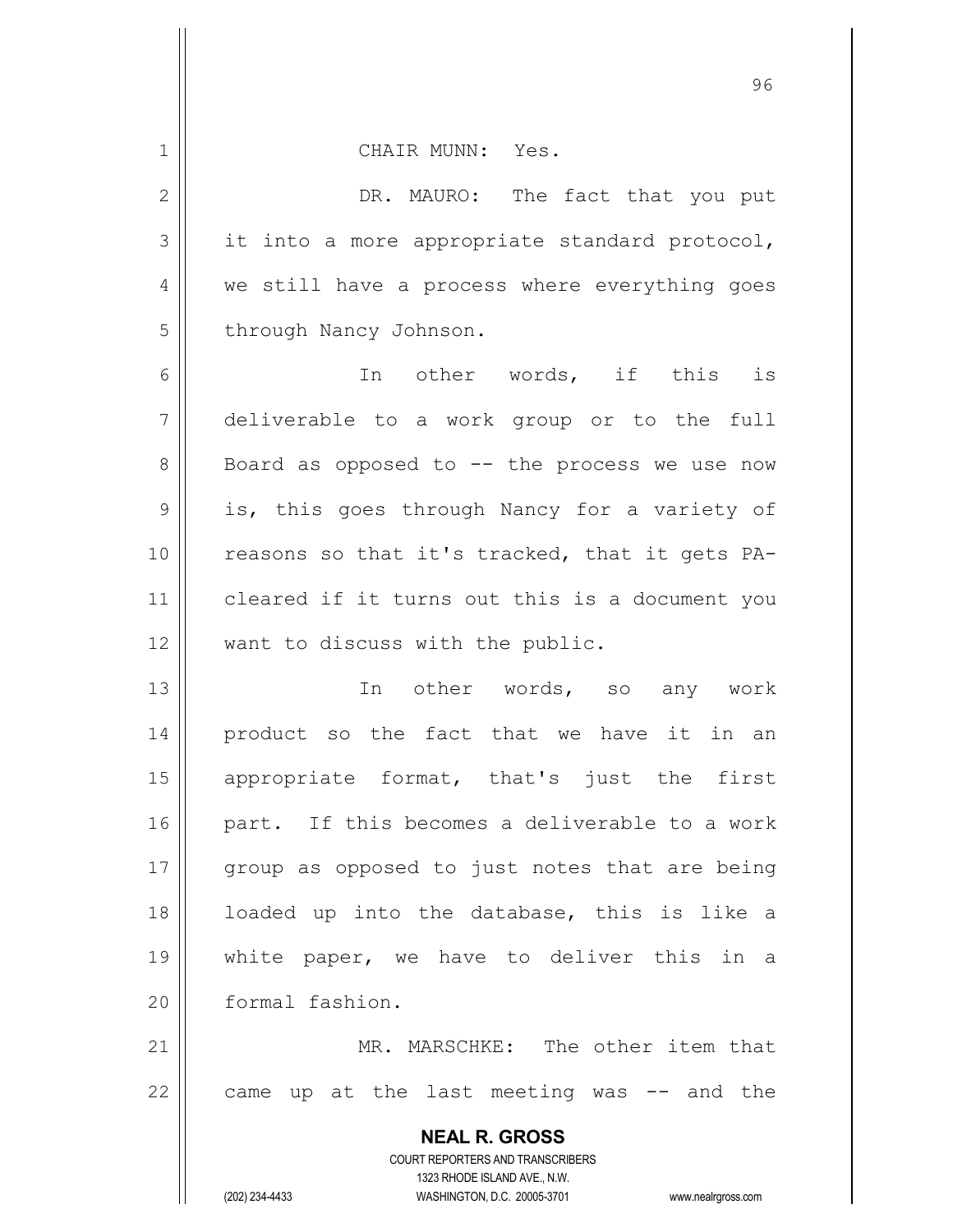| $\mathbf 1$    | CHAIR MUNN: Yes.                                  |
|----------------|---------------------------------------------------|
| $\mathbf{2}$   | DR. MAURO: The fact that you put                  |
| 3              | it into a more appropriate standard protocol,     |
| $\overline{4}$ | we still have a process where everything goes     |
| 5              | through Nancy Johnson.                            |
| 6              | In other words, if this is                        |
| $\overline{7}$ | deliverable to a work group or to the full        |
| 8              | Board as opposed to $--$ the process we use now   |
| 9              | is, this goes through Nancy for a variety of      |
| 10             | reasons so that it's tracked, that it gets PA-    |
| 11             | cleared if it turns out this is a document you    |
| 12             | want to discuss with the public.                  |
| 13             | In other words, so any work                       |
| 14             | product so the fact that we have it in an         |
| 15             | appropriate format, that's just the first         |
| 16             | part. If this becomes a deliverable to a work     |
| 17             | group as opposed to just notes that are being     |
| 18             | loaded up into the database, this is like a       |
| 19             | white paper, we have to deliver this in a         |
| 20             | formal fashion.                                   |
| 21             | MR. MARSCHKE: The other item that                 |
| 22             | came up at the last meeting was -- and the        |
|                | <b>NEAL R. GROSS</b>                              |
|                | <b>COURT REPORTERS AND TRANSCRIBERS</b>           |
|                | 1323 RHODE ISLAND AVE., N.W.<br>(202) 234-4433    |
|                | WASHINGTON, D.C. 20005-3701<br>www.nealrgross.com |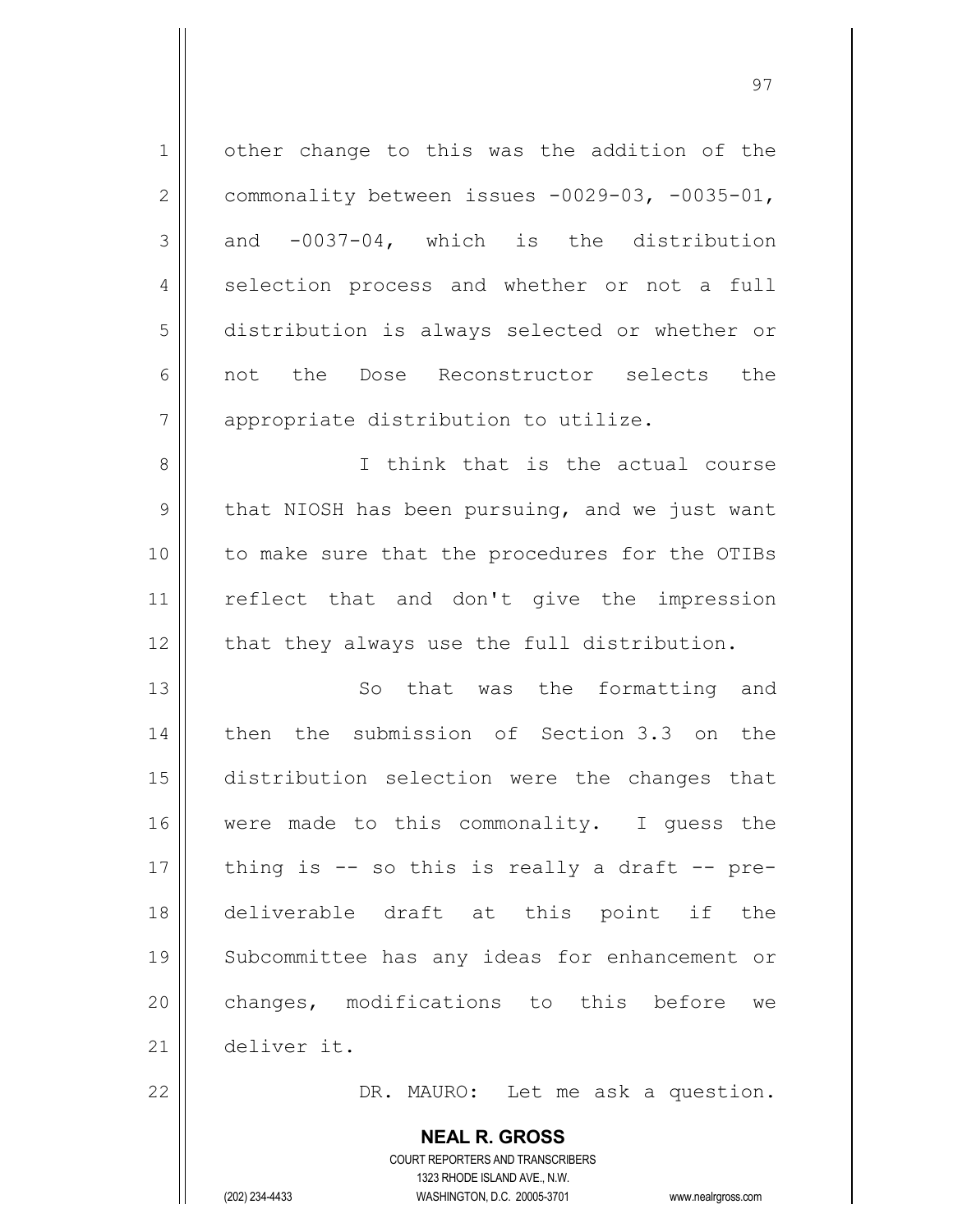| $\mathbf 1$   | other change to this was the addition of the    |
|---------------|-------------------------------------------------|
| $\mathbf{2}$  | commonality between issues -0029-03, -0035-01,  |
| 3             | and -0037-04, which is the distribution         |
| 4             | selection process and whether or not a full     |
| 5             | distribution is always selected or whether or   |
| 6             | not the Dose Reconstructor selects the          |
| 7             | appropriate distribution to utilize.            |
| $8\,$         | I think that is the actual course               |
| $\mathcal{G}$ | that NIOSH has been pursuing, and we just want  |
| 10            | to make sure that the procedures for the OTIBs  |
| 11            | reflect that and don't give the impression      |
| 12            | that they always use the full distribution.     |
| 13            | So that was the formatting and                  |
| 14            | then the submission of Section 3.3 on the       |
| 15            | distribution selection were the changes that    |
| 16            | were made to this commonality. I guess the      |
| 17            | thing is $-$ so this is really a draft $-$ pre- |
| 18            | deliverable draft at this point if the          |
| 19            | Subcommittee has any ideas for enhancement or   |
| 20            | changes, modifications to this before we        |
| 21            | deliver it.                                     |
| 22            | DR. MAURO: Let me ask a question.               |
|               |                                                 |

COURT REPORTERS AND TRANSCRIBERS 1323 RHODE ISLAND AVE., N.W. (202) 234-4433 WASHINGTON, D.C. 20005-3701 www.nealrgross.com

**NEAL R. GROSS**

 $\mathsf{I}$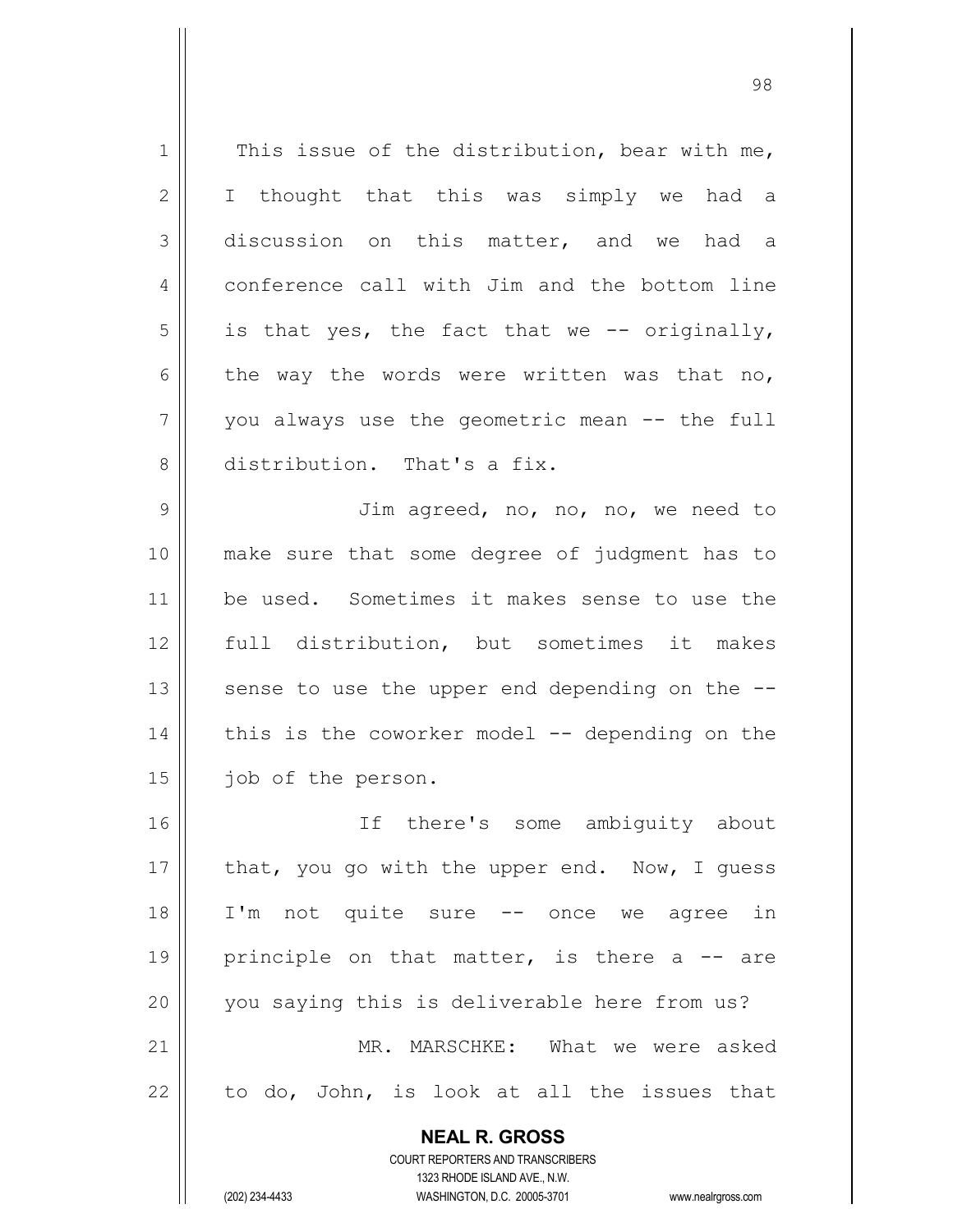**NEAL R. GROSS**  $1 \parallel$  This issue of the distribution, bear with me, 2 || I thought that this was simply we had a 3 discussion on this matter, and we had a 4 conference call with Jim and the bottom line  $5 \parallel$  is that yes, the fact that we -- originally, 6 the way the words were written was that no,  $7 ||$  you always use the geometric mean  $-$  the full 8 distribution. That's a fix. 9 || Jim agreed, no, no, no, we need to 10 make sure that some degree of judgment has to 11 be used. Sometimes it makes sense to use the 12 full distribution, but sometimes it makes 13  $\parallel$  sense to use the upper end depending on the  $-$ - $14$  | this is the coworker model -- depending on the 15 | job of the person. 16 If there's some ambiguity about 17  $\parallel$  that, you go with the upper end. Now, I quess 18 I'm not quite sure -- once we agree in 19 || principle on that matter, is there a  $-$  are 20 || you saying this is deliverable here from us? 21 MR. MARSCHKE: What we were asked  $22$  to do, John, is look at all the issues that

> COURT REPORTERS AND TRANSCRIBERS 1323 RHODE ISLAND AVE., N.W.

(202) 234-4433 WASHINGTON, D.C. 20005-3701 www.nealrgross.com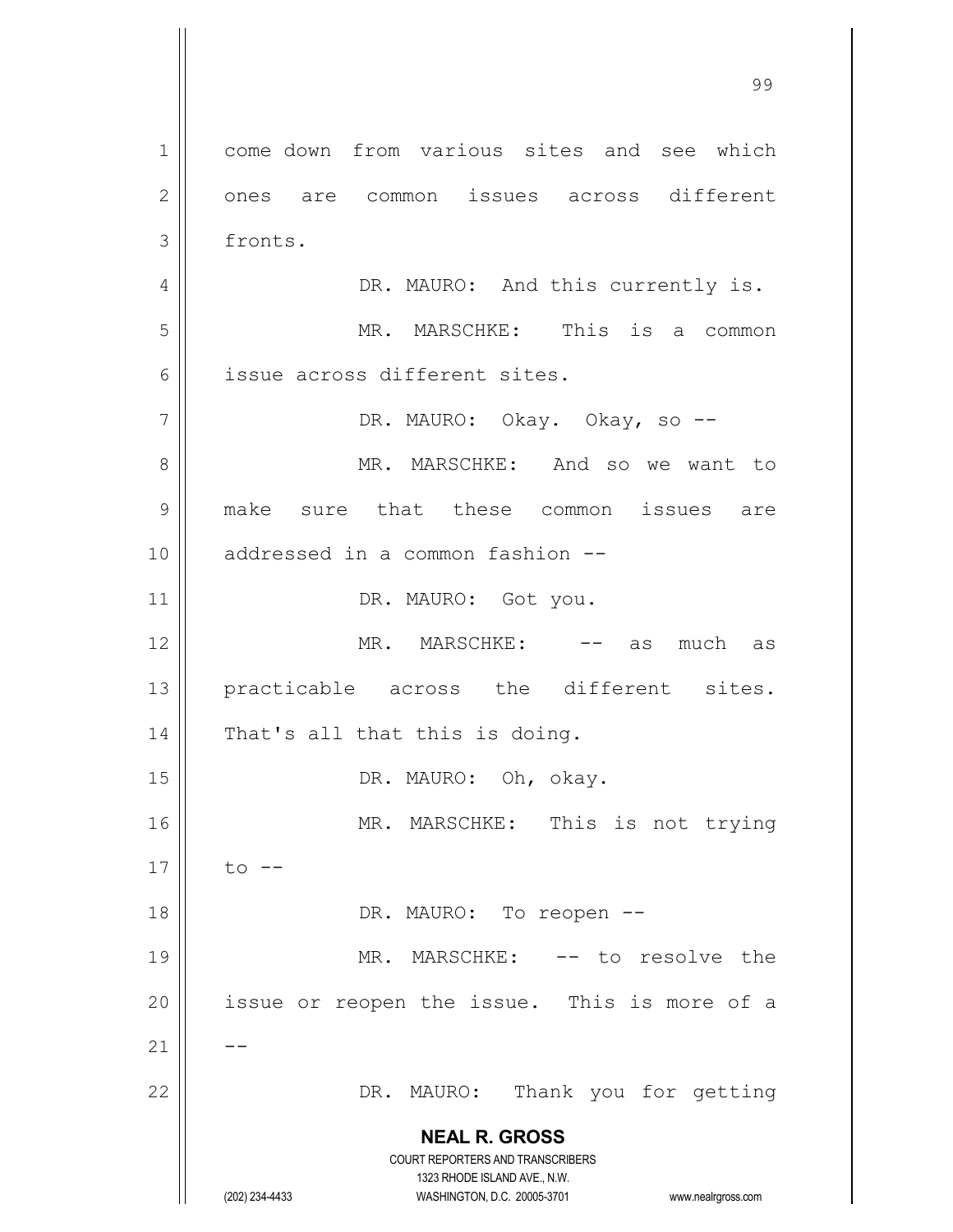**NEAL R. GROSS** COURT REPORTERS AND TRANSCRIBERS 1323 RHODE ISLAND AVE., N.W. (202) 234-4433 WASHINGTON, D.C. 20005-3701 www.nealrgross.com 1 come down from various sites and see which 2 || ones are common issues across different 3 fronts. 4 | DR. MAURO: And this currently is. 5 MR. MARSCHKE: This is a common 6 || issue across different sites. 7 DR. MAURO: Okay. Okay, so -- 8 MR. MARSCHKE: And so we want to 9 make sure that these common issues are 10 || addressed in a common fashion --11 | DR. MAURO: Got you. 12 MR. MARSCHKE: -- as much as 13 || practicable across the different sites. 14 | That's all that this is doing. 15 || DR. MAURO: Oh, okay. 16 || MR. MARSCHKE: This is not trying  $17 \parallel$  to  $-$ 18 || DR. MAURO: To reopen --19 || MR. MARSCHKE: -- to resolve the  $20$  || issue or reopen the issue. This is more of a  $21$   $\parallel$   $-$ 22 DR. MAURO: Thank you for getting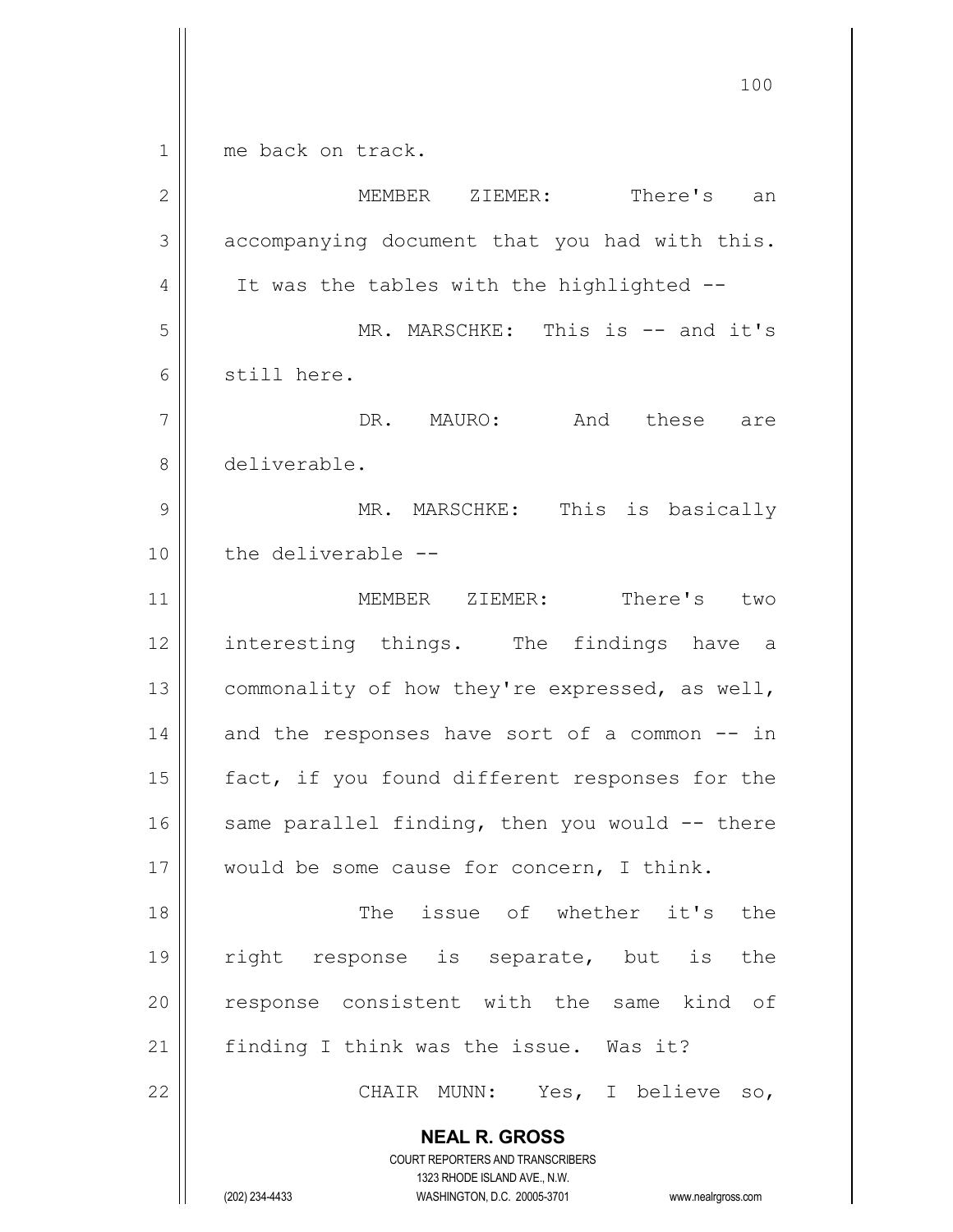$1 \parallel$  me back on track.

| $\mathbf{2}$ | MEMBER ZIEMER: There's an                                                                                                                                       |
|--------------|-----------------------------------------------------------------------------------------------------------------------------------------------------------------|
| 3            | accompanying document that you had with this.                                                                                                                   |
| 4            | It was the tables with the highlighted --                                                                                                                       |
| 5            | MR. MARSCHKE: This is -- and it's                                                                                                                               |
| 6            | still here.                                                                                                                                                     |
| 7            | DR. MAURO: And these are                                                                                                                                        |
| 8            | deliverable.                                                                                                                                                    |
| 9            | MR. MARSCHKE: This is basically                                                                                                                                 |
| 10           | the deliverable --                                                                                                                                              |
| 11           | MEMBER ZIEMER: There's two                                                                                                                                      |
| 12           | interesting things. The findings have a                                                                                                                         |
| 13           | commonality of how they're expressed, as well,                                                                                                                  |
| 14           | and the responses have sort of a common -- in                                                                                                                   |
| 15           | fact, if you found different responses for the                                                                                                                  |
| 16           | same parallel finding, then you would -- there                                                                                                                  |
| $17$         | would be some cause for concern, I think.                                                                                                                       |
| 18           | The issue of whether it's<br>the                                                                                                                                |
| 19           | right response is separate, but is<br>the                                                                                                                       |
| 20           | response consistent with the same kind of                                                                                                                       |
| 21           | finding I think was the issue. Was it?                                                                                                                          |
| 22           | CHAIR MUNN: Yes, I believe so,                                                                                                                                  |
|              | <b>NEAL R. GROSS</b><br>COURT REPORTERS AND TRANSCRIBERS<br>1323 RHODE ISLAND AVE., N.W.<br>(202) 234-4433<br>WASHINGTON, D.C. 20005-3701<br>www.nealrgross.com |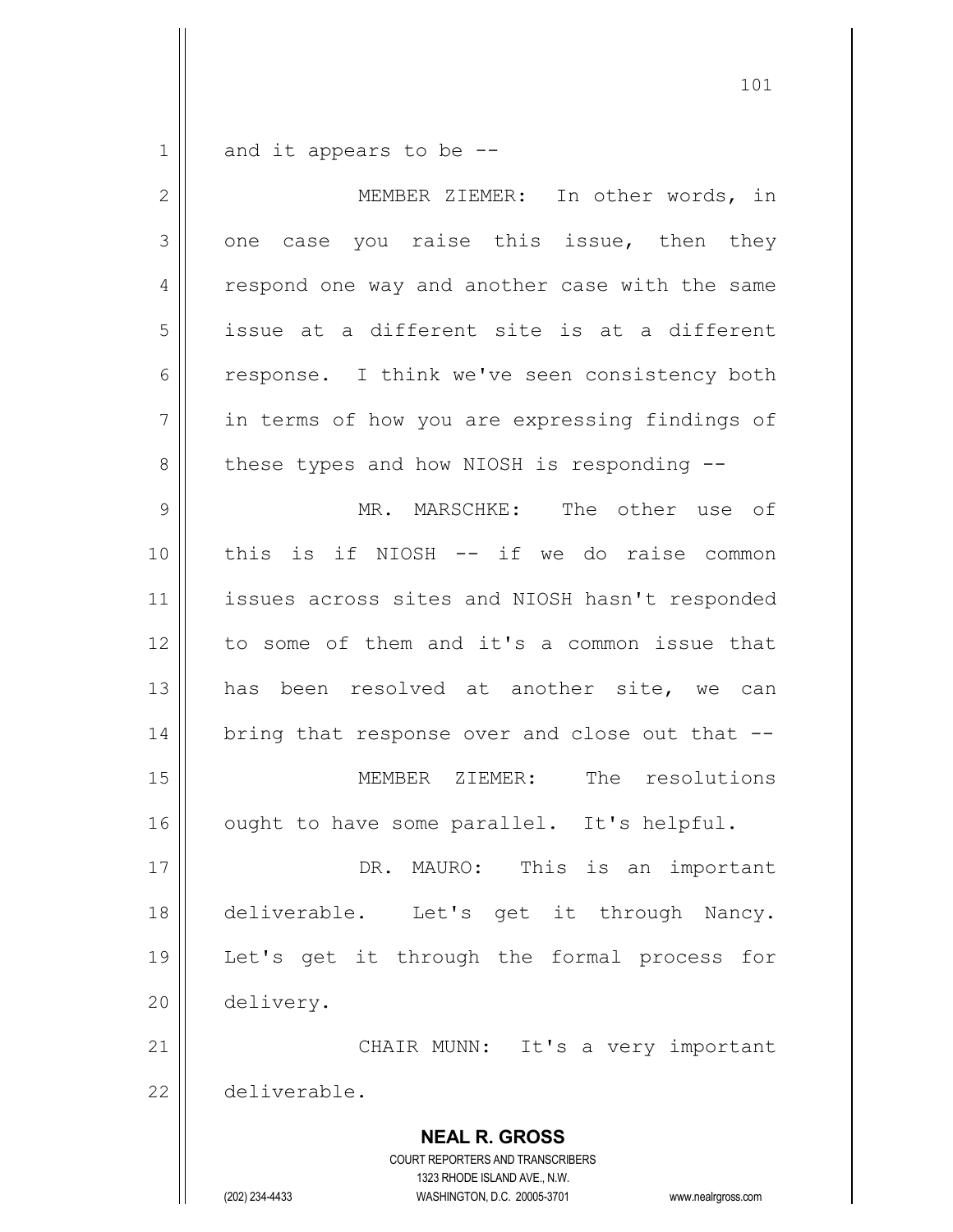$1 \parallel$  and it appears to be --

| $\overline{2}$ | In other words, in<br>MEMBER ZIEMER:                                                                                                                                   |
|----------------|------------------------------------------------------------------------------------------------------------------------------------------------------------------------|
| 3              | one case you raise this issue, then they                                                                                                                               |
| 4              | respond one way and another case with the same                                                                                                                         |
| 5              | issue at a different site is at a different                                                                                                                            |
| $\epsilon$     | response. I think we've seen consistency both                                                                                                                          |
| $\overline{7}$ | in terms of how you are expressing findings of                                                                                                                         |
| $\,8\,$        | these types and how NIOSH is responding --                                                                                                                             |
| $\mathcal{G}$  | MR. MARSCHKE: The other use of                                                                                                                                         |
| 10             | this is if NIOSH -- if we do raise common                                                                                                                              |
| 11             | issues across sites and NIOSH hasn't responded                                                                                                                         |
| 12             | to some of them and it's a common issue that                                                                                                                           |
| 13             | has been resolved at another site, we can                                                                                                                              |
| 14             | bring that response over and close out that --                                                                                                                         |
| 15             | MEMBER ZIEMER: The resolutions                                                                                                                                         |
| 16             | ought to have some parallel. It's helpful.                                                                                                                             |
| 17             | DR. MAURO: This is an important                                                                                                                                        |
| 18             | deliverable. Let's get it through Nancy.                                                                                                                               |
| 19             | Let's get it through the formal process<br>for                                                                                                                         |
| 20             | delivery.                                                                                                                                                              |
| 21             | CHAIR MUNN:<br>It's a very important                                                                                                                                   |
| 22             | deliverable.                                                                                                                                                           |
|                | <b>NEAL R. GROSS</b><br><b>COURT REPORTERS AND TRANSCRIBERS</b><br>1323 RHODE ISLAND AVE., N.W.<br>(202) 234-4433<br>WASHINGTON, D.C. 20005-3701<br>www.nealrgross.com |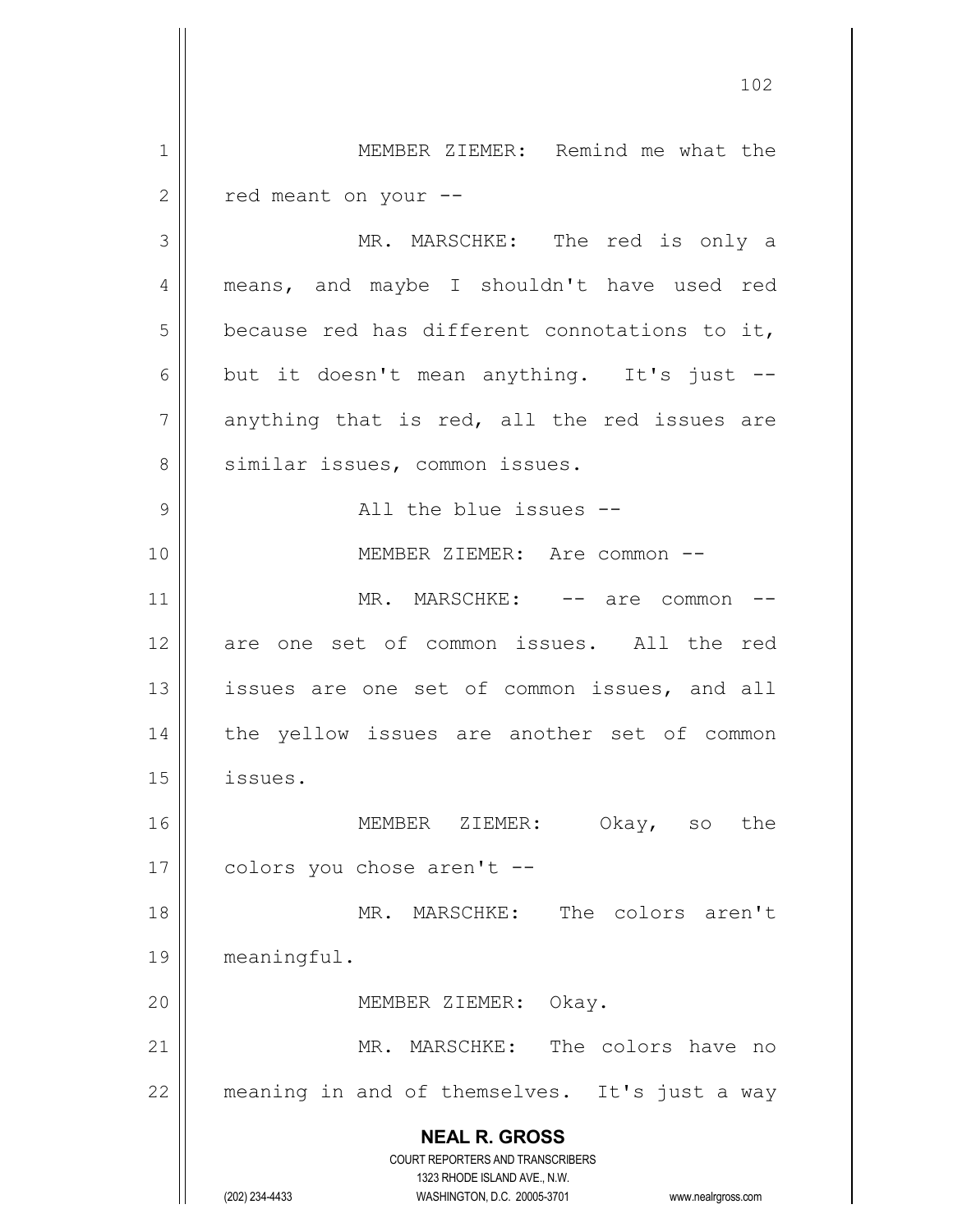**NEAL R. GROSS** COURT REPORTERS AND TRANSCRIBERS 1323 RHODE ISLAND AVE., N.W. (202) 234-4433 WASHINGTON, D.C. 20005-3701 www.nealrgross.com 102 1 | MEMBER ZIEMER: Remind me what the  $2 \parallel$  red meant on your --3 MR. MARSCHKE: The red is only a 4 || means, and maybe I shouldn't have used red  $5$  because red has different connotations to it, 6 but it doesn't mean anything. It's just  $7$  anything that is red, all the red issues are 8 || similar issues, common issues. 9 All the blue issues -- 10 MEMBER ZIEMER: Are common -- 11 || MR. MARSCHKE: -- are common --12 are one set of common issues. All the red 13 || issues are one set of common issues, and all 14 || the yellow issues are another set of common 15 issues. 16 MEMBER ZIEMER: Okay, so the  $17 \parallel$  colors you chose aren't --18 MR. MARSCHKE: The colors aren't 19 meaningful. 20 || MEMBER ZIEMER: Okay. 21 || MR. MARSCHKE: The colors have no 22 || meaning in and of themselves. It's just a way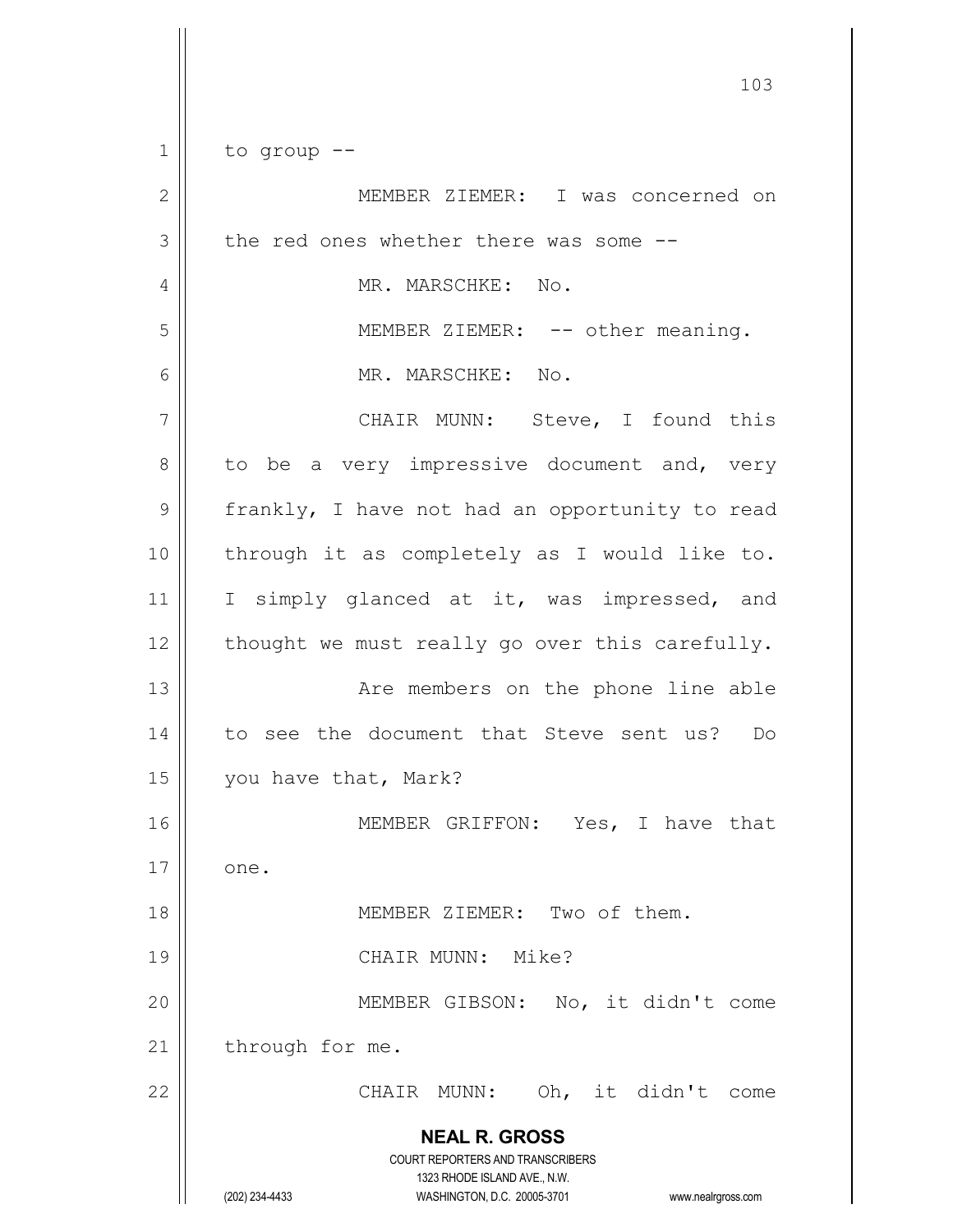**NEAL R. GROSS** COURT REPORTERS AND TRANSCRIBERS 1323 RHODE ISLAND AVE., N.W. (202) 234-4433 WASHINGTON, D.C. 20005-3701 www.nealrgross.com  $1 \parallel$  to group --2 MEMBER ZIEMER: I was concerned on  $3 \parallel$  the red ones whether there was some  $-$ 4 MR. MARSCHKE: No. 5 || MEMBER ZIEMER: -- other meaning. 6 MR. MARSCHKE: No. 7 || CHAIR MUNN: Steve, I found this  $8 \parallel$  to be a very impressive document and, very  $9 \parallel$  frankly, I have not had an opportunity to read 10 || through it as completely as I would like to. 11 || I simply glanced at it, was impressed, and  $12$  | thought we must really go over this carefully. 13 || The members on the phone line able 14 to see the document that Steve sent us? Do 15 | you have that, Mark? 16 MEMBER GRIFFON: Yes, I have that  $17 \parallel$  one. 18 MEMBER ZIEMER: Two of them. 19 || CHAIR MUNN: Mike? 20 MEMBER GIBSON: No, it didn't come 21 | through for me. 22 CHAIR MUNN: Oh, it didn't come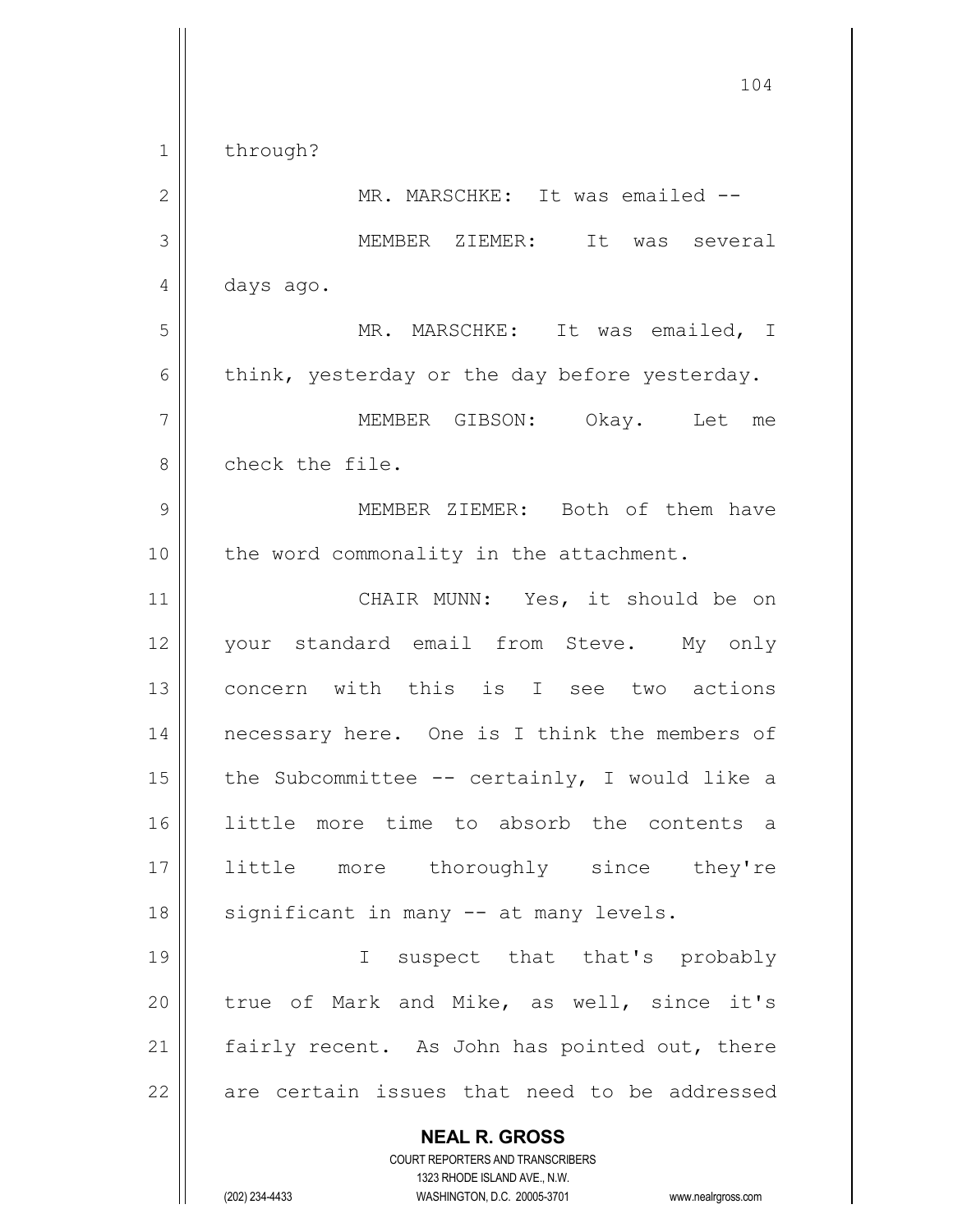**NEAL R. GROSS** COURT REPORTERS AND TRANSCRIBERS 1323 RHODE ISLAND AVE., N.W. 104 1 | through? 2 || MR. MARSCHKE: It was emailed --3 MEMBER ZIEMER: It was several 4 days ago. 5 MR. MARSCHKE: It was emailed, I  $6$  || think, yesterday or the day before yesterday. 7 MEMBER GIBSON: Okay. Let me 8 || check the file. 9 MEMBER ZIEMER: Both of them have 10 || the word commonality in the attachment. 11 || CHAIR MUNN: Yes, it should be on 12 || your standard email from Steve. My only 13 concern with this is I see two actions 14 || necessary here. One is I think the members of 15  $\parallel$  the Subcommittee -- certainly, I would like a 16 little more time to absorb the contents a 17 little more thoroughly since they're 18 || significant in many -- at many levels. 19 || I suspect that that's probably 20 || true of Mark and Mike, as well, since it's 21  $\parallel$  fairly recent. As John has pointed out, there  $22$  are certain issues that need to be addressed

(202) 234-4433 WASHINGTON, D.C. 20005-3701 www.nealrgross.com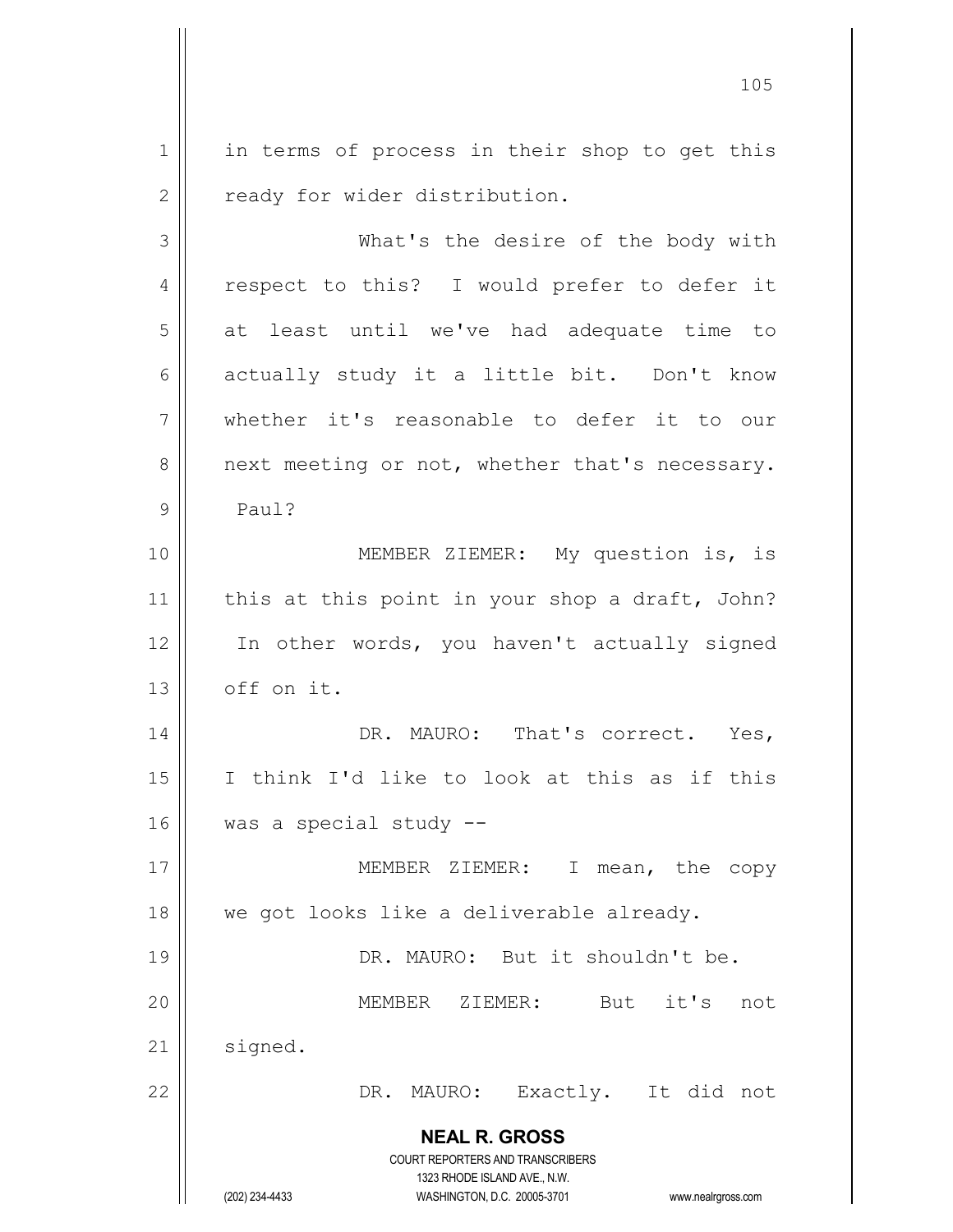1 || in terms of process in their shop to get this 2 | ready for wider distribution.

**NEAL R. GROSS** COURT REPORTERS AND TRANSCRIBERS 1323 RHODE ISLAND AVE., N.W. 3 || What's the desire of the body with 4 || respect to this? I would prefer to defer it  $5 \parallel$  at least until we've had adequate time to 6 actually study it a little bit. Don't know 7 whether it's reasonable to defer it to our  $8 \parallel$  next meeting or not, whether that's necessary. 9 Paul? 10 || **MEMBER ZIEMER:** My question is, is 11  $\parallel$  this at this point in your shop a draft, John? 12 || In other words, you haven't actually signed  $13$  |  $\circ$ ff on it. 14 || DR. MAURO: That's correct. Yes, 15 I think I'd like to look at this as if this 16 || was a special study --17 || MEMBER ZIEMER: I mean, the copy 18 || we got looks like a deliverable already. 19 DR. MAURO: But it shouldn't be. 20 MEMBER ZIEMER: But it's not 21 | signed. 22 DR. MAURO: Exactly. It did not

(202) 234-4433 WASHINGTON, D.C. 20005-3701 www.nealrgross.com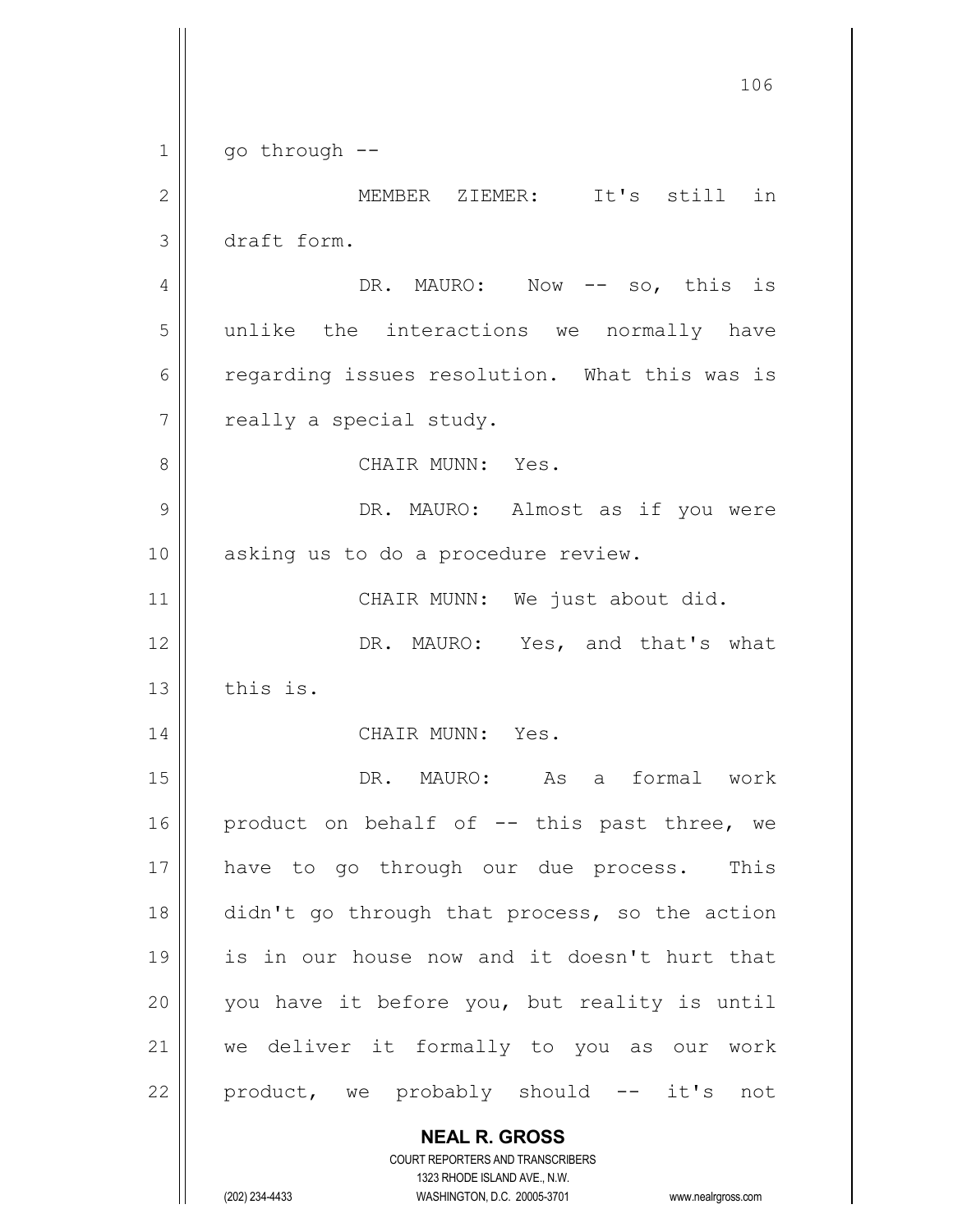**NEAL R. GROSS** COURT REPORTERS AND TRANSCRIBERS 106  $1 \parallel$  go through --2 MEMBER ZIEMER: It's still in 3 draft form. 4 DR. MAURO: Now -- so, this is 5 | unlike the interactions we normally have 6 call frequation resolution. What this was is  $7$  | really a special study. 8 CHAIR MUNN: Yes. 9 DR. MAURO: Almost as if you were 10 || asking us to do a procedure review. 11 || CHAIR MUNN: We just about did. 12 || DR. MAURO: Yes, and that's what  $13$   $\parallel$  this is. 14 || CHAIR MUNN: Yes. 15 DR. MAURO: As a formal work 16 || product on behalf of  $-$ - this past three, we 17 || have to go through our due process. This 18 didn't go through that process, so the action 19 is in our house now and it doesn't hurt that  $20$  | you have it before you, but reality is until 21 we deliver it formally to you as our work  $22$  product, we probably should  $--$  it's not

1323 RHODE ISLAND AVE., N.W.

(202) 234-4433 WASHINGTON, D.C. 20005-3701 www.nealrgross.com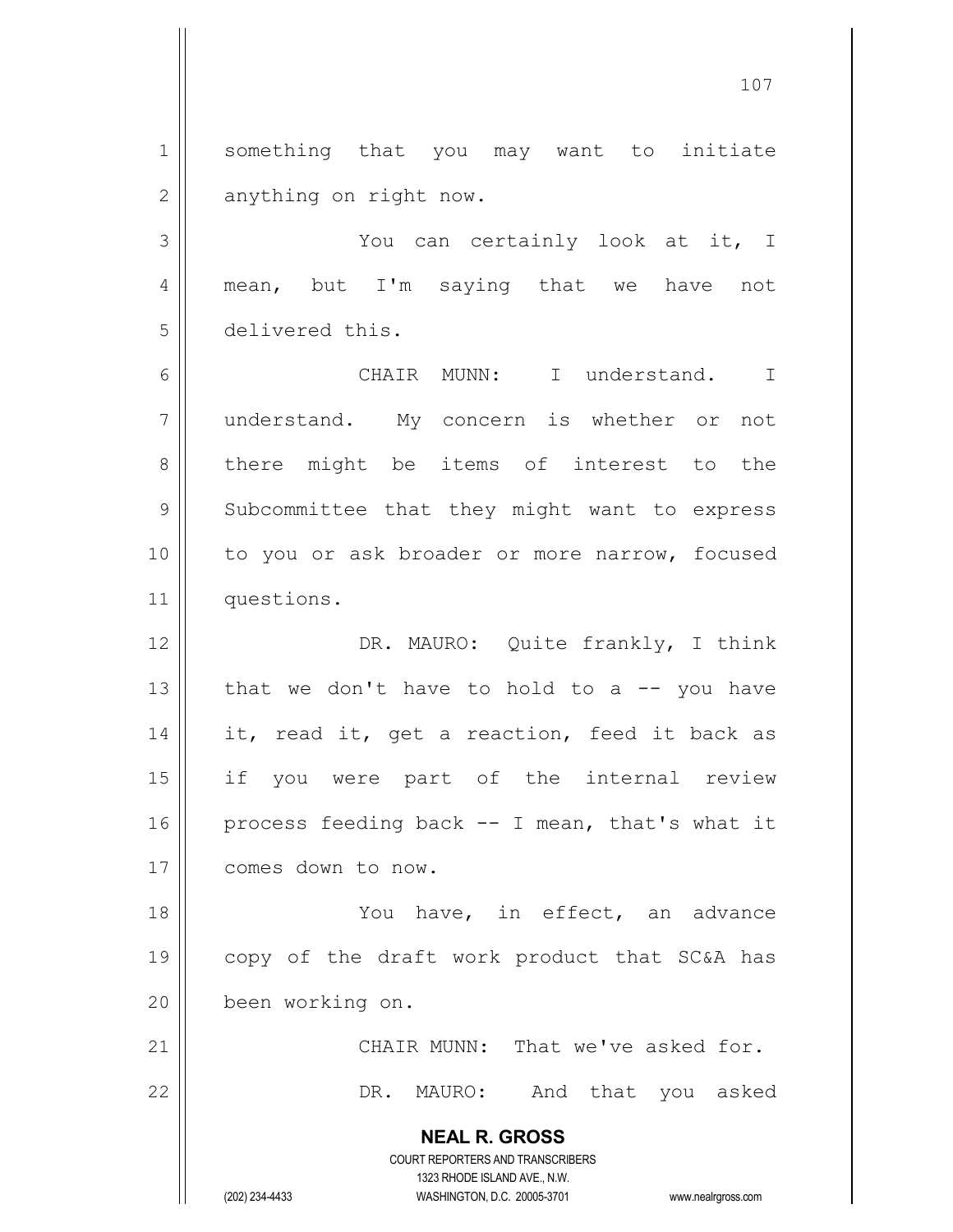1 Something that you may want to initiate  $2 \parallel$  anything on right now.

3 You can certainly look at it, I 4 || mean, but I'm saying that we have not 5 delivered this.

6 CHAIR MUNN: I understand. I 7 understand. My concern is whether or not 8 there might be items of interest to the 9 || Subcommittee that they might want to express 10 || to you or ask broader or more narrow, focused 11 | questions.

12 || DR. MAURO: Quite frankly, I think 13  $\parallel$  that we don't have to hold to a -- you have 14 || it, read it, get a reaction, feed it back as 15 if you were part of the internal review 16 | process feeding back  $-$  I mean, that's what it 17 | comes down to now.

18 You have, in effect, an advance 19 copy of the draft work product that SC&A has 20 been working on.

21 | CHAIR MUNN: That we've asked for. 22 DR. MAURO: And that you asked

> COURT REPORTERS AND TRANSCRIBERS 1323 RHODE ISLAND AVE., N.W. (202) 234-4433 WASHINGTON, D.C. 20005-3701 www.nealrgross.com

**NEAL R. GROSS**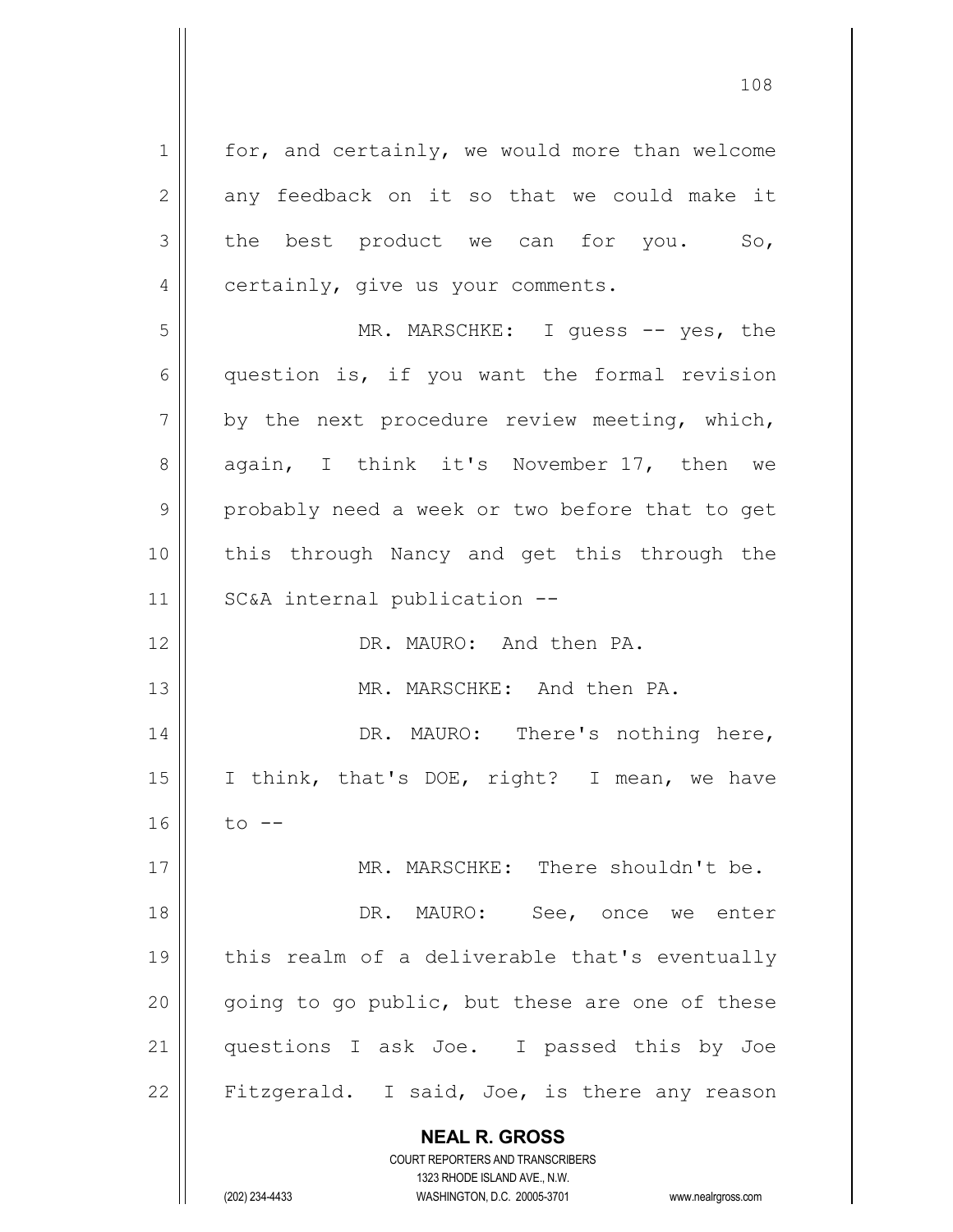**NEAL R. GROSS** COURT REPORTERS AND TRANSCRIBERS  $1 \parallel$  for, and certainly, we would more than welcome  $2 \parallel$  any feedback on it so that we could make it  $3 \parallel$  the best product we can for you. So,  $4 \parallel$  certainly, give us your comments. 5 MR. MARSCHKE: I guess -- yes, the 6 question is, if you want the formal revision  $7 \parallel$  by the next procedure review meeting, which, 8 again, I think it's November 17, then we  $9 \parallel$  probably need a week or two before that to get 10 || this through Nancy and get this through the 11 || SC&A internal publication --12 DR. MAURO: And then PA. 13 MR. MARSCHKE: And then PA. 14 || DR. MAURO: There's nothing here, 15 || I think, that's DOE, right? I mean, we have  $16$  | to --17 MR. MARSCHKE: There shouldn't be. 18 DR. MAURO: See, once we enter 19 || this realm of a deliverable that's eventually  $20$  || going to go public, but these are one of these 21 || questions I ask Joe. I passed this by Joe 22 || Fitzgerald. I said, Joe, is there any reason

> 1323 RHODE ISLAND AVE., N.W. (202) 234-4433 WASHINGTON, D.C. 20005-3701 www.nealrgross.com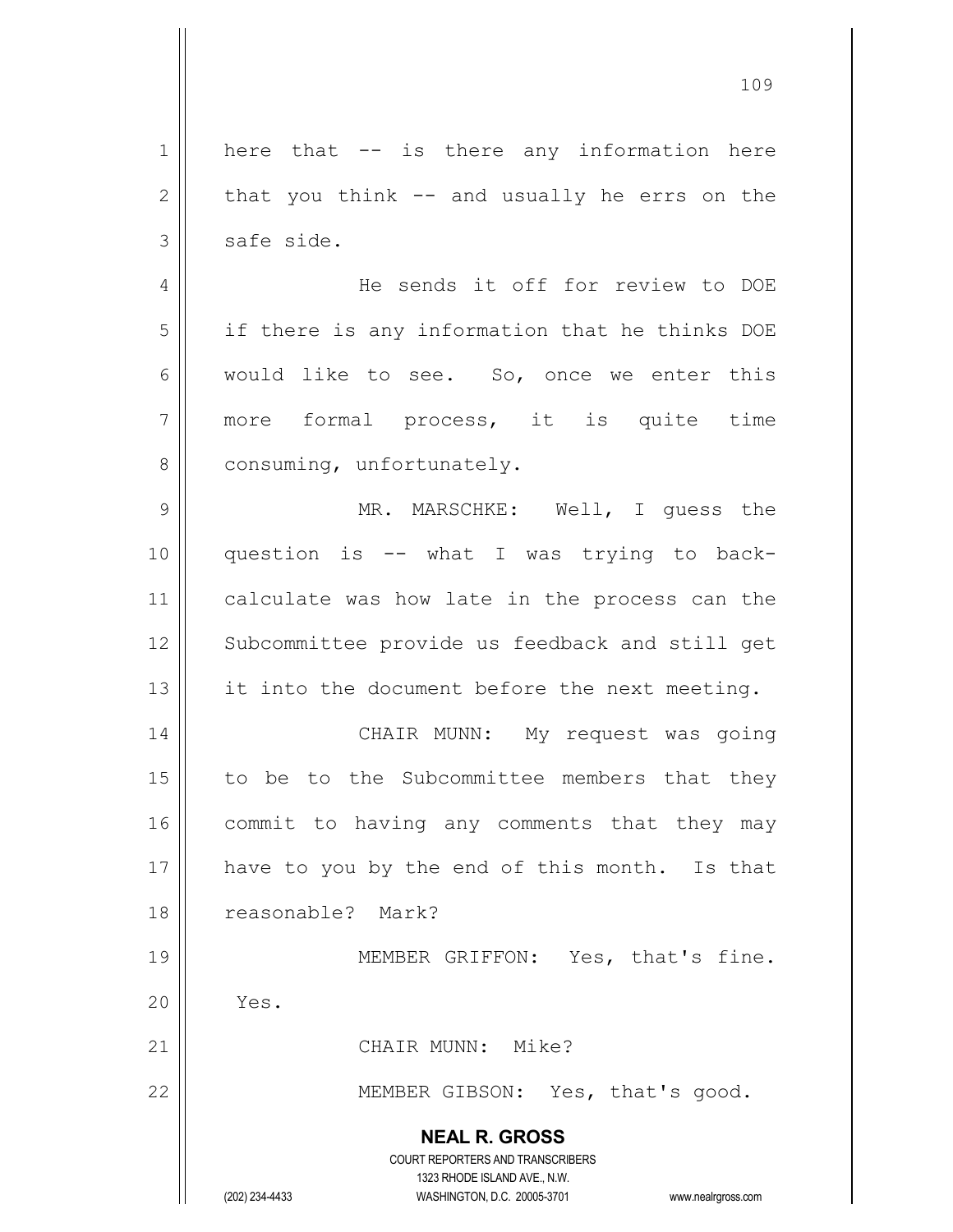**NEAL R. GROSS** COURT REPORTERS AND TRANSCRIBERS 1323 RHODE ISLAND AVE., N.W. (202) 234-4433 WASHINGTON, D.C. 20005-3701 www.nealrgross.com  $1 \parallel$  here that -- is there any information here  $2 \parallel$  that you think -- and usually he errs on the  $3 \parallel$  safe side. 4 He sends it off for review to DOE  $5$  if there is any information that he thinks DOE  $6 \parallel$  would like to see. So, once we enter this 7 || more formal process, it is quite time  $8$  | consuming, unfortunately. 9 MR. MARSCHKE: Well, I guess the 10 question is -- what I was trying to back-11 || calculate was how late in the process can the 12 || Subcommittee provide us feedback and still get 13  $\parallel$  it into the document before the next meeting. 14 CHAIR MUNN: My request was going  $15$  to be to the Subcommittee members that they 16 || commit to having any comments that they may 17 || have to you by the end of this month. Is that 18 reasonable? Mark? 19 || MEMBER GRIFFON: Yes, that's fine.  $20$  |  $Yes.$ 21 | CHAIR MUNN: Mike? 22 | MEMBER GIBSON: Yes, that's good.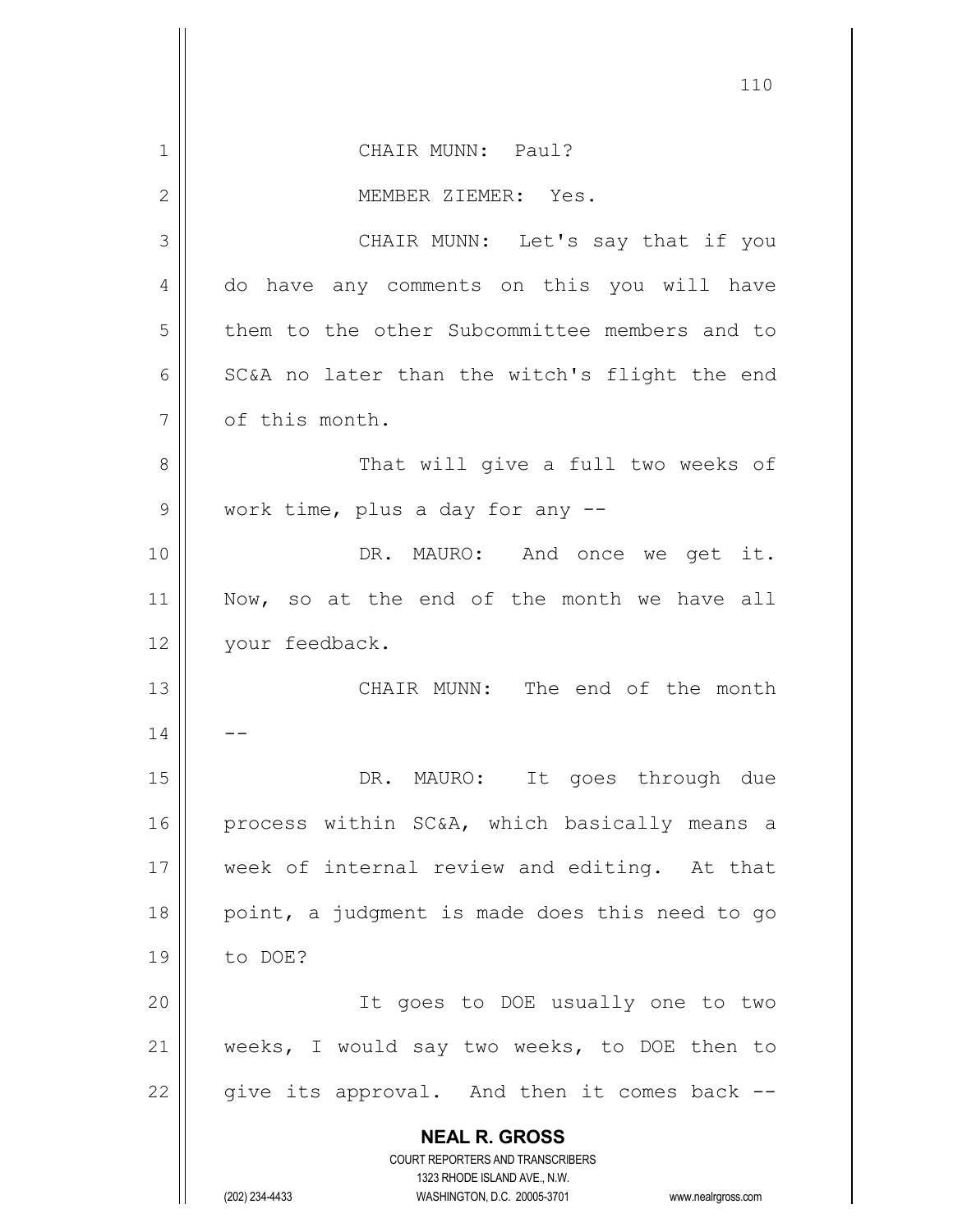|                | 110                                                                     |
|----------------|-------------------------------------------------------------------------|
| 1              | CHAIR MUNN: Paul?                                                       |
| $\overline{2}$ | MEMBER ZIEMER: Yes.                                                     |
| 3              | CHAIR MUNN: Let's say that if you                                       |
| 4              | do have any comments on this you will have                              |
| 5              | them to the other Subcommittee members and to                           |
| 6              | SC&A no later than the witch's flight the end                           |
| 7              | of this month.                                                          |
| 8              | That will give a full two weeks of                                      |
| 9              | work time, plus a day for any --                                        |
| 10             | DR. MAURO: And once we get it.                                          |
| 11             | Now, so at the end of the month we have all                             |
| 12             | your feedback.                                                          |
| 13             | CHAIR MUNN: The end of the month                                        |
| 14             |                                                                         |
| 15             | DR. MAURO: It goes through due                                          |
| 16             | process within SC&A, which basically means a                            |
| 17             | week of internal review and editing. At that                            |
| 18             | point, a judgment is made does this need to go                          |
| 19             | to DOE?                                                                 |
| 20             | It goes to DOE usually one to two                                       |
| 21             | weeks, I would say two weeks, to DOE then to                            |
| 22             | give its approval. And then it comes back --                            |
|                | <b>NEAL R. GROSS</b>                                                    |
|                | <b>COURT REPORTERS AND TRANSCRIBERS</b><br>1323 RHODE ISLAND AVE., N.W. |
|                | (202) 234-4433<br>WASHINGTON, D.C. 20005-3701<br>www.nealrgross.com     |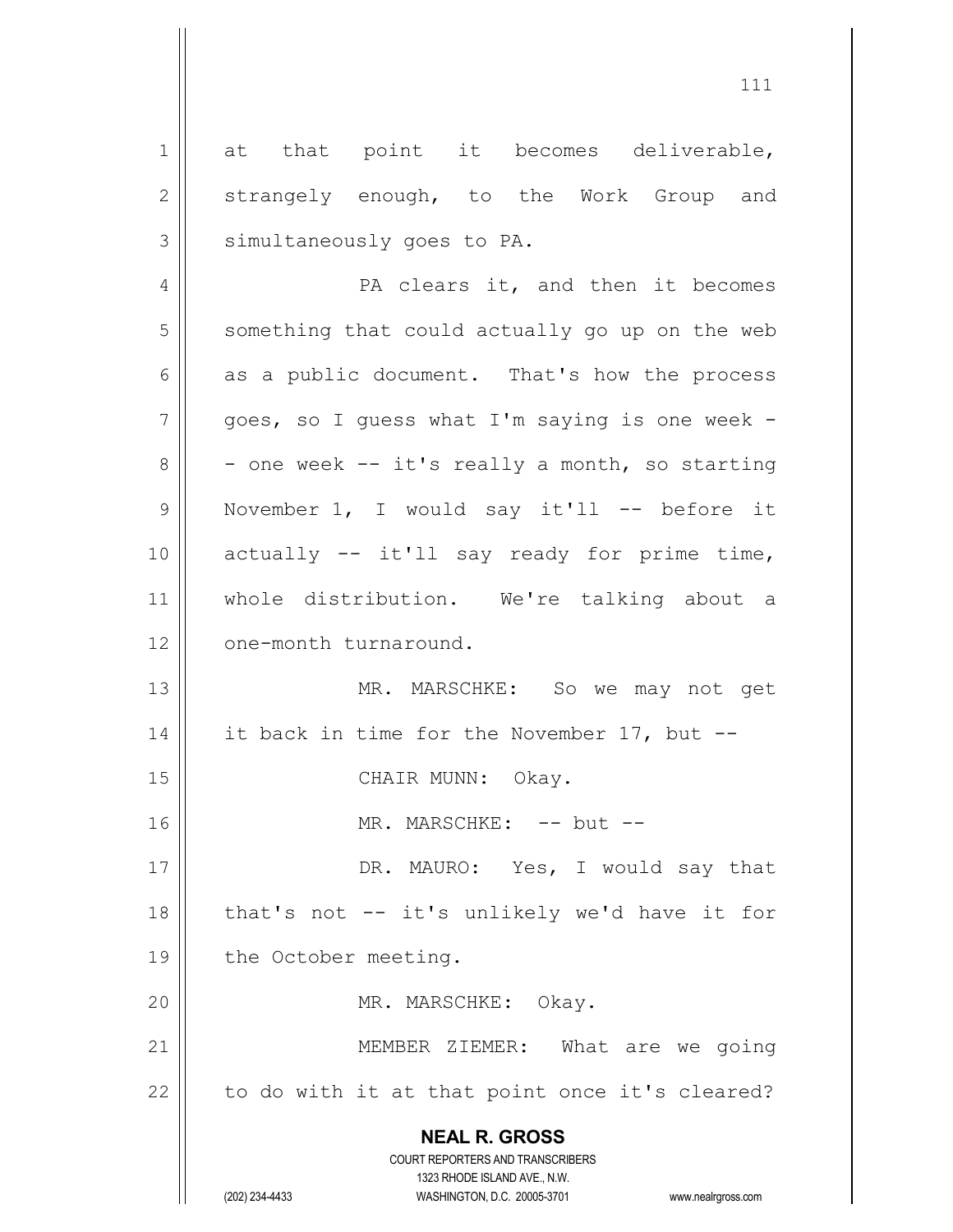**NEAL R. GROSS** COURT REPORTERS AND TRANSCRIBERS 1323 RHODE ISLAND AVE., N.W. 1 at that point it becomes deliverable, 2 strangely enough, to the Work Group and  $3$  | simultaneously goes to PA. 4 || PA clears it, and then it becomes  $5 \parallel$  something that could actually go up on the web  $6 \parallel$  as a public document. That's how the process  $7 \parallel$  goes, so I guess what I'm saying is one week - $8 \parallel$  - one week -- it's really a month, so starting 9 || November 1, I would say it'll -- before it  $10$  actually  $-$  it'll say ready for prime time, 11 whole distribution. We're talking about a 12 | one-month turnaround. 13 || MR. MARSCHKE: So we may not get 14 | it back in time for the November 17, but  $-$ 15 || CHAIR MUNN: Okay. 16 MR. MARSCHKE: -- but -- 17 || DR. MAURO: Yes, I would say that  $18$  || that's not -- it's unlikely we'd have it for 19 | the October meeting. 20 || MR. MARSCHKE: Okay. 21 || MEMBER ZIEMER: What are we going  $22$  | to do with it at that point once it's cleared?

(202) 234-4433 WASHINGTON, D.C. 20005-3701 www.nealrgross.com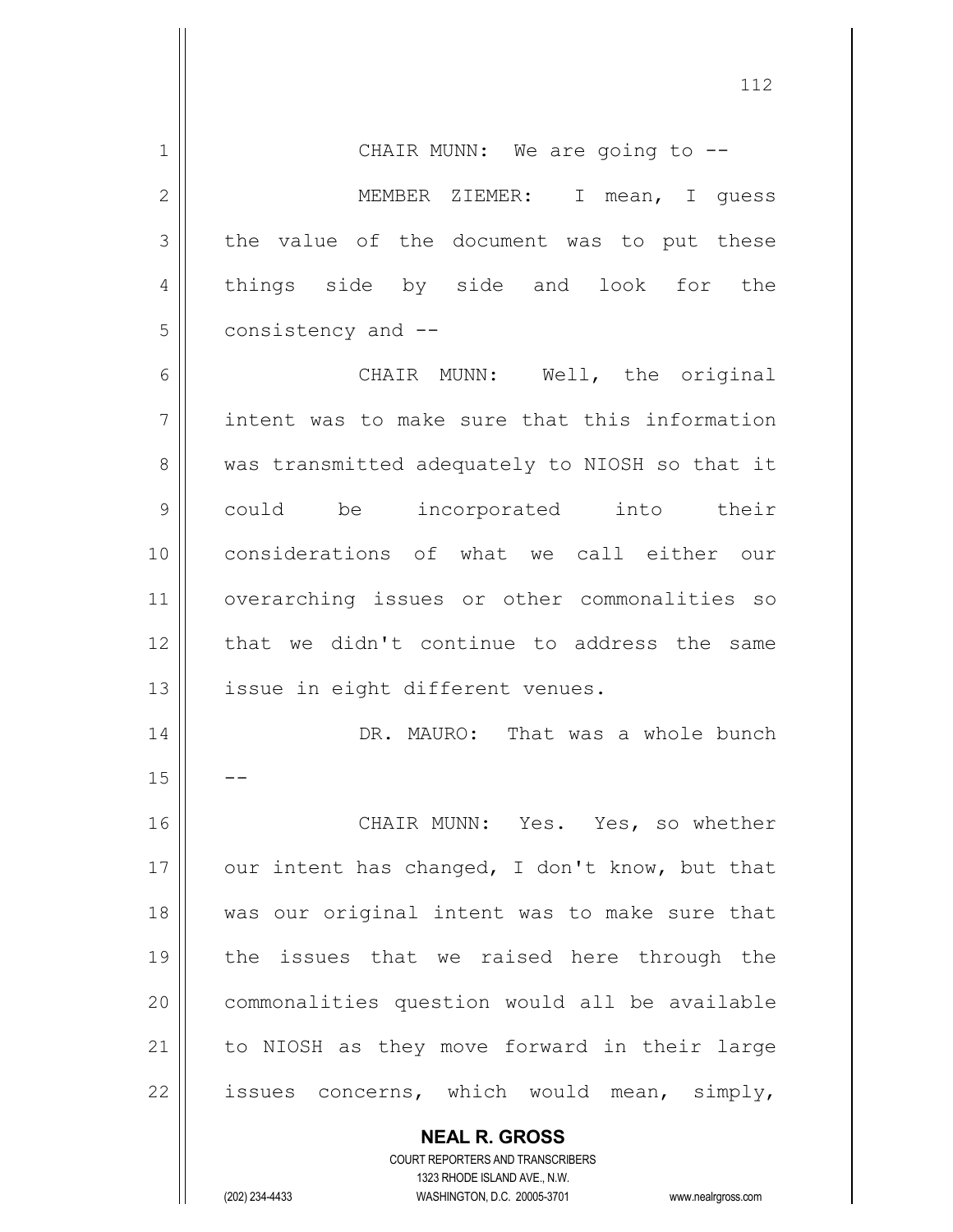**NEAL R. GROSS** 1 || CHAIR MUNN: We are going to --2 || MEMBER ZIEMER: I mean, I quess  $3 \parallel$  the value of the document was to put these 4 || things side by side and look for the 5 | consistency and --6 || CHAIR MUNN: Well, the original 7 || intent was to make sure that this information 8 | was transmitted adequately to NIOSH so that it 9 could be incorporated into their 10 considerations of what we call either our 11 overarching issues or other commonalities so 12 || that we didn't continue to address the same 13 || issue in eight different venues. 14 || DR. MAURO: That was a whole bunch  $15$ 16 CHAIR MUNN: Yes. Yes, so whether 17  $\parallel$  our intent has changed, I don't know, but that 18 was our original intent was to make sure that 19 the issues that we raised here through the 20 | commonalities question would all be available 21 || to NIOSH as they move forward in their large 22  $\parallel$  issues concerns, which would mean, simply,

> COURT REPORTERS AND TRANSCRIBERS 1323 RHODE ISLAND AVE., N.W.

(202) 234-4433 WASHINGTON, D.C. 20005-3701 www.nealrgross.com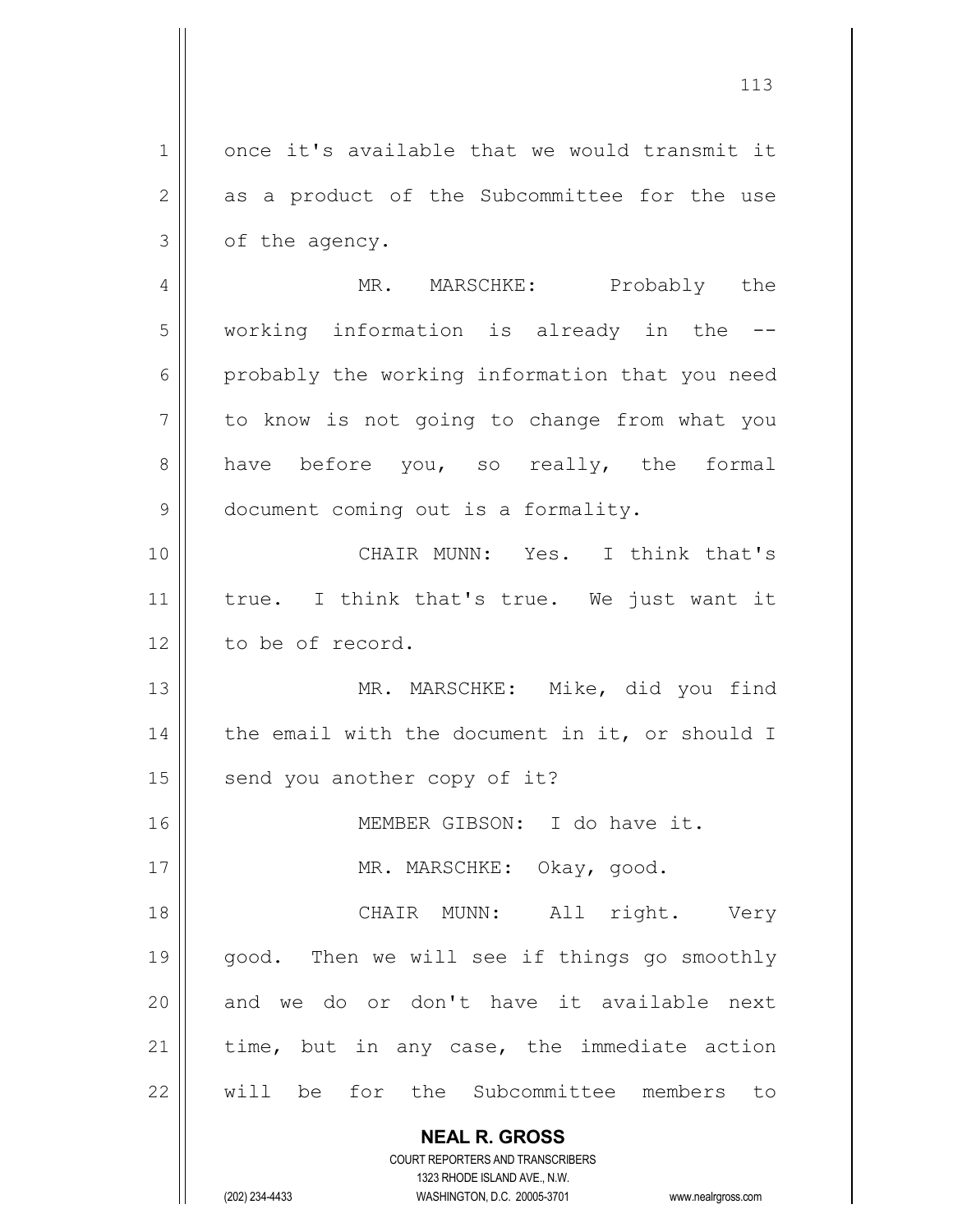**NEAL R. GROSS** 1 once it's available that we would transmit it  $2 \parallel$  as a product of the Subcommittee for the use  $3 \parallel$  of the agency. 4 MR. MARSCHKE: Probably the 5 || working information is already in the --6 probably the working information that you need  $7 \parallel$  to know is not going to change from what you 8 || have before you, so really, the formal 9 | document coming out is a formality. 10 CHAIR MUNN: Yes. I think that's 11 || true. I think that's true. We just want it 12 l to be of record. 13 MR. MARSCHKE: Mike, did you find 14  $\parallel$  the email with the document in it, or should I  $15$  send you another copy of it? 16 MEMBER GIBSON: I do have it. 17 || MR. MARSCHKE: Okay, good. 18 CHAIR MUNN: All right. Very 19 || good. Then we will see if things go smoothly 20 || and we do or don't have it available next  $21$  time, but in any case, the immediate action 22 will be for the Subcommittee members to

> COURT REPORTERS AND TRANSCRIBERS 1323 RHODE ISLAND AVE., N.W.

(202) 234-4433 WASHINGTON, D.C. 20005-3701 www.nealrgross.com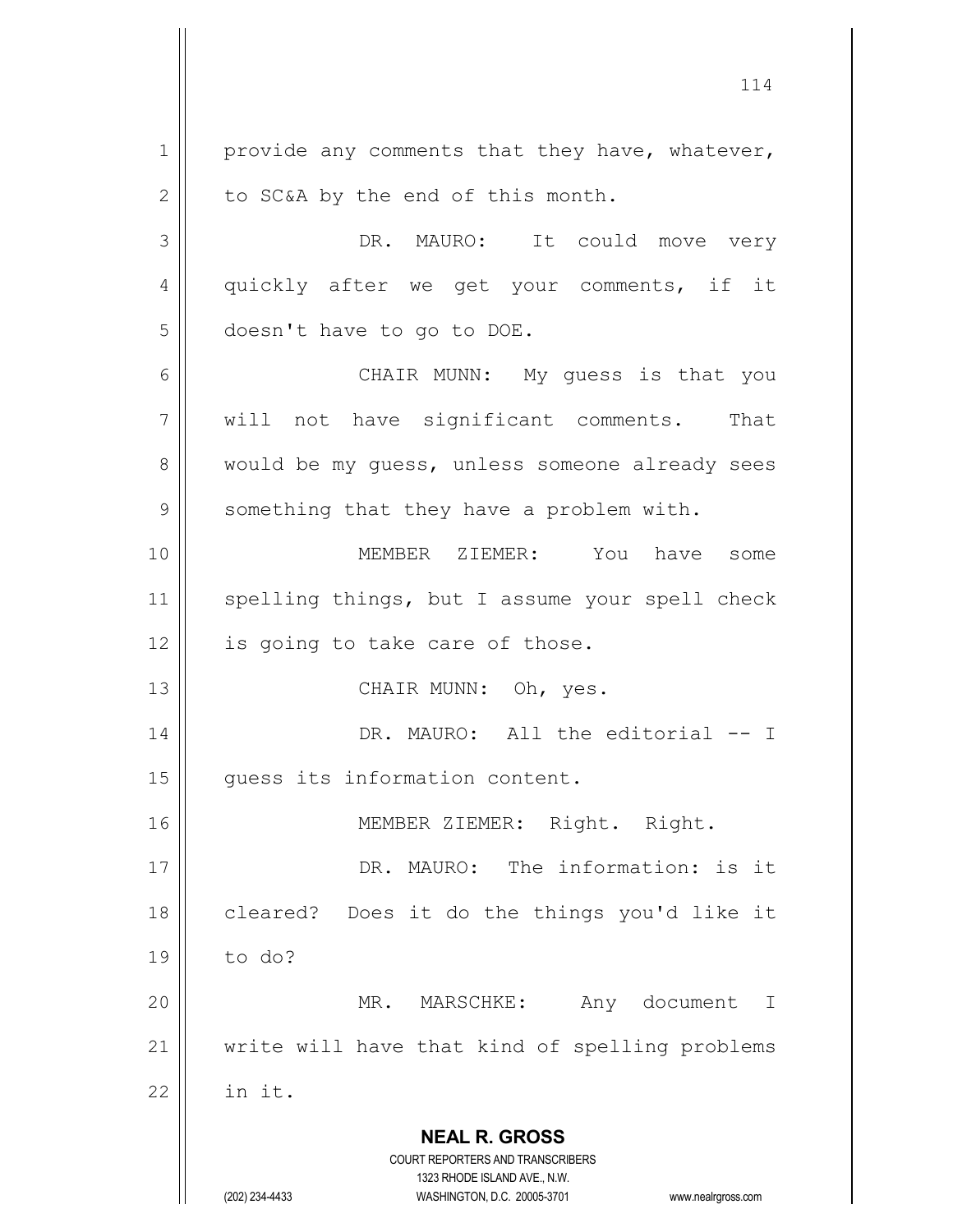**NEAL R. GROSS** COURT REPORTERS AND TRANSCRIBERS 1323 RHODE ISLAND AVE., N.W. (202) 234-4433 WASHINGTON, D.C. 20005-3701 www.nealrgross.com  $1 \parallel$  provide any comments that they have, whatever,  $2 \parallel$  to SC&A by the end of this month. 3 DR. MAURO: It could move very 4 || quickly after we get your comments, if it 5 doesn't have to go to DOE. 6 CHAIR MUNN: My guess is that you 7 will not have significant comments. That 8 would be my quess, unless someone already sees 9 | something that they have a problem with. 10 MEMBER ZIEMER: You have some 11 || spelling things, but I assume your spell check  $12$  | is going to take care of those. 13 || CHAIR MUNN: Oh, yes. 14 || DR. MAURO: All the editorial -- I 15 | quess its information content. 16 || MEMBER ZIEMER: Right. Right. 17 || DR. MAURO: The information: is it 18 || cleared? Does it do the things you'd like it 19 to do? 20 MR. MARSCHKE: Any document I 21 || write will have that kind of spelling problems  $22$   $\parallel$  in it.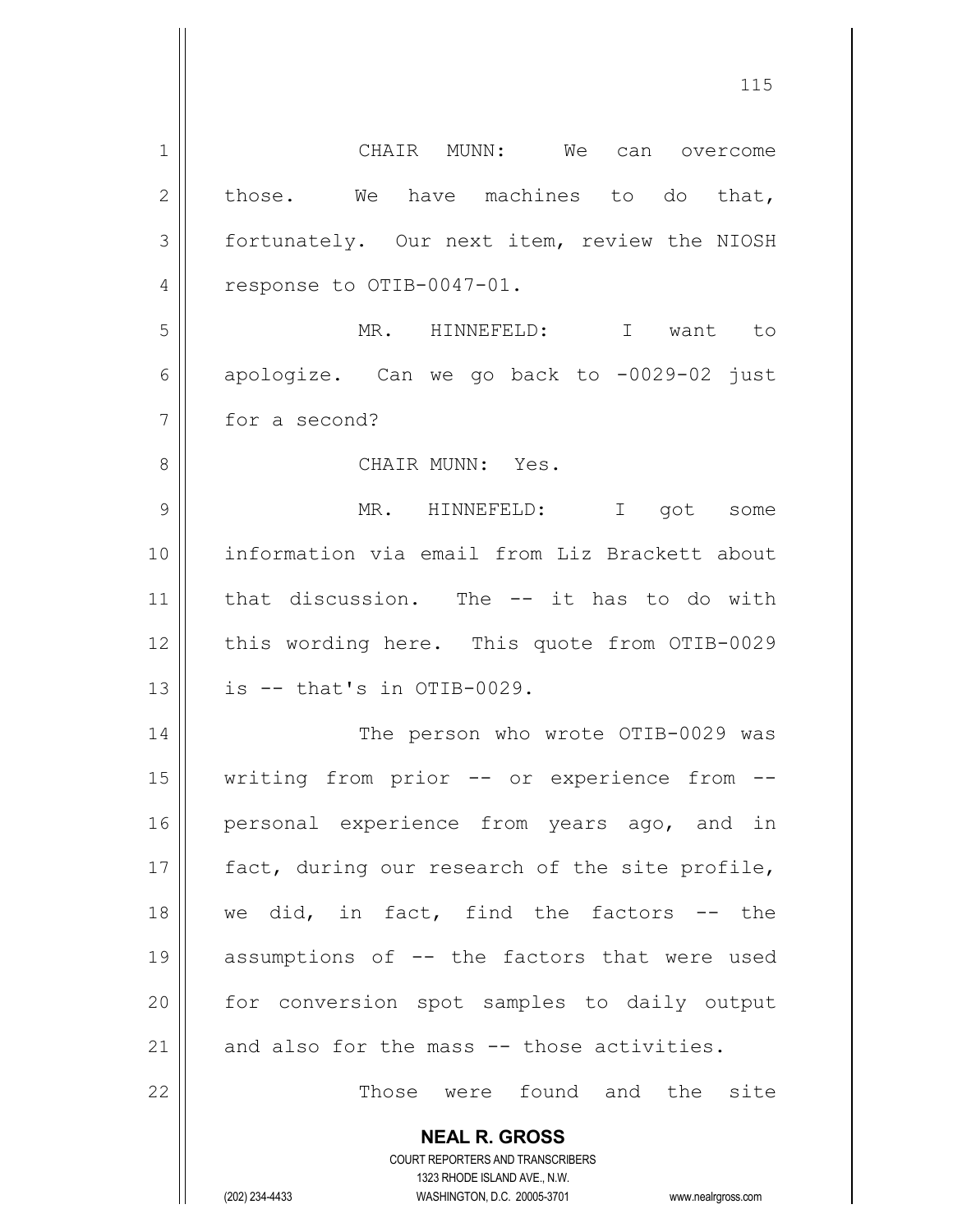| $\mathbf 1$  | CHAIR MUNN: We can overcome                                         |
|--------------|---------------------------------------------------------------------|
| $\mathbf{2}$ | those. We have machines to do that,                                 |
| 3            | fortunately. Our next item, review the NIOSH                        |
| 4            | response to OTIB-0047-01.                                           |
| 5            | MR. HINNEFELD: I want to                                            |
| 6            | apologize. Can we go back to -0029-02 just                          |
| 7            | for a second?                                                       |
| 8            | CHAIR MUNN: Yes.                                                    |
| 9            | MR. HINNEFELD: I got some                                           |
| 10           | information via email from Liz Brackett about                       |
| 11           | that discussion. The -- it has to do with                           |
| 12           | this wording here. This quote from OTIB-0029                        |
| 13           | is -- that's in OTIB-0029.                                          |
| 14           | The person who wrote OTIB-0029 was                                  |
| 15           | writing from prior -- or experience from --                         |
| 16           | personal experience from years ago, and in                          |
| 17           | fact, during our research of the site profile,                      |
| 18           | we did, in fact, find the factors -- the                            |
| 19           | assumptions of -- the factors that were used                        |
| 20           | for conversion spot samples to daily output                         |
| 21           | and also for the mass -- those activities.                          |
| 22           | Those were found and the site                                       |
|              |                                                                     |
|              | <b>NEAL R. GROSS</b><br><b>COURT REPORTERS AND TRANSCRIBERS</b>     |
|              | 1323 RHODE ISLAND AVE., N.W.                                        |
|              | (202) 234-4433<br>WASHINGTON, D.C. 20005-3701<br>www.nealrgross.com |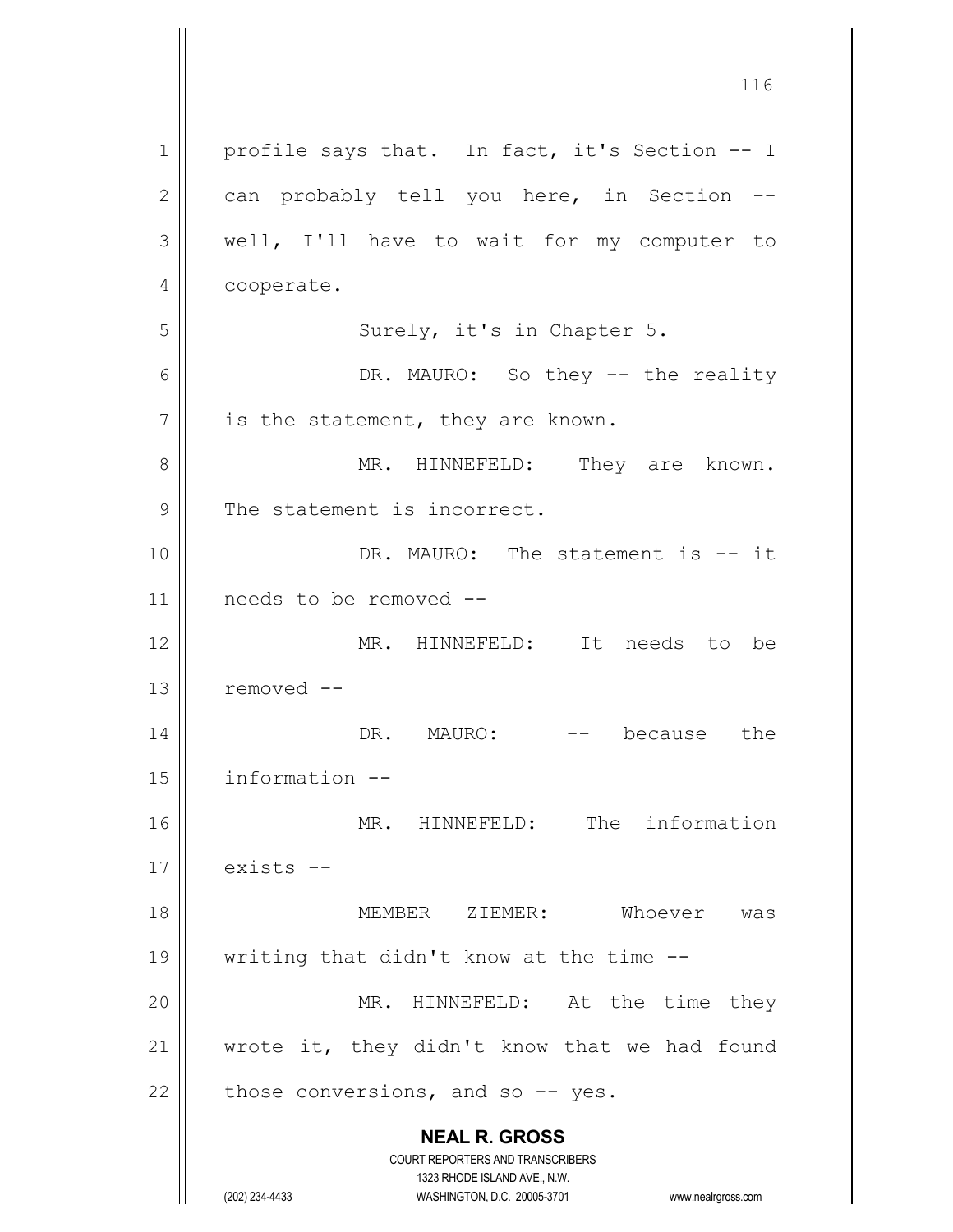| 1            | profile says that. In fact, it's Section -- I                                                       |
|--------------|-----------------------------------------------------------------------------------------------------|
| $\mathbf{2}$ | can probably tell you here, in Section --                                                           |
| 3            | well, I'll have to wait for my computer to                                                          |
| 4            | cooperate.                                                                                          |
| 5            | Surely, it's in Chapter 5.                                                                          |
| 6            | DR. MAURO: So they -- the reality                                                                   |
| 7            | is the statement, they are known.                                                                   |
| 8            | MR. HINNEFELD: They are known.                                                                      |
| 9            | The statement is incorrect.                                                                         |
| 10           | DR. MAURO: The statement is -- it                                                                   |
| 11           | needs to be removed --                                                                              |
| 12           | MR. HINNEFELD: It needs to be                                                                       |
| 13           | removed --                                                                                          |
| 14           | DR. MAURO:<br>because the<br>$--$                                                                   |
| 15           | information --                                                                                      |
| 16           | MR. HINNEFELD: The information                                                                      |
| 17           | exists --                                                                                           |
| 18           | MEMBER ZIEMER:<br>Whoever was                                                                       |
| 19           | writing that didn't know at the time --                                                             |
| 20           | MR. HINNEFELD: At the time they                                                                     |
| 21           | wrote it, they didn't know that we had found                                                        |
| 22           | those conversions, and so $-$ yes.                                                                  |
|              | <b>NEAL R. GROSS</b>                                                                                |
|              | <b>COURT REPORTERS AND TRANSCRIBERS</b>                                                             |
|              | 1323 RHODE ISLAND AVE., N.W.<br>(202) 234-4433<br>WASHINGTON, D.C. 20005-3701<br>www.nealrgross.com |

 $\mathsf{I}$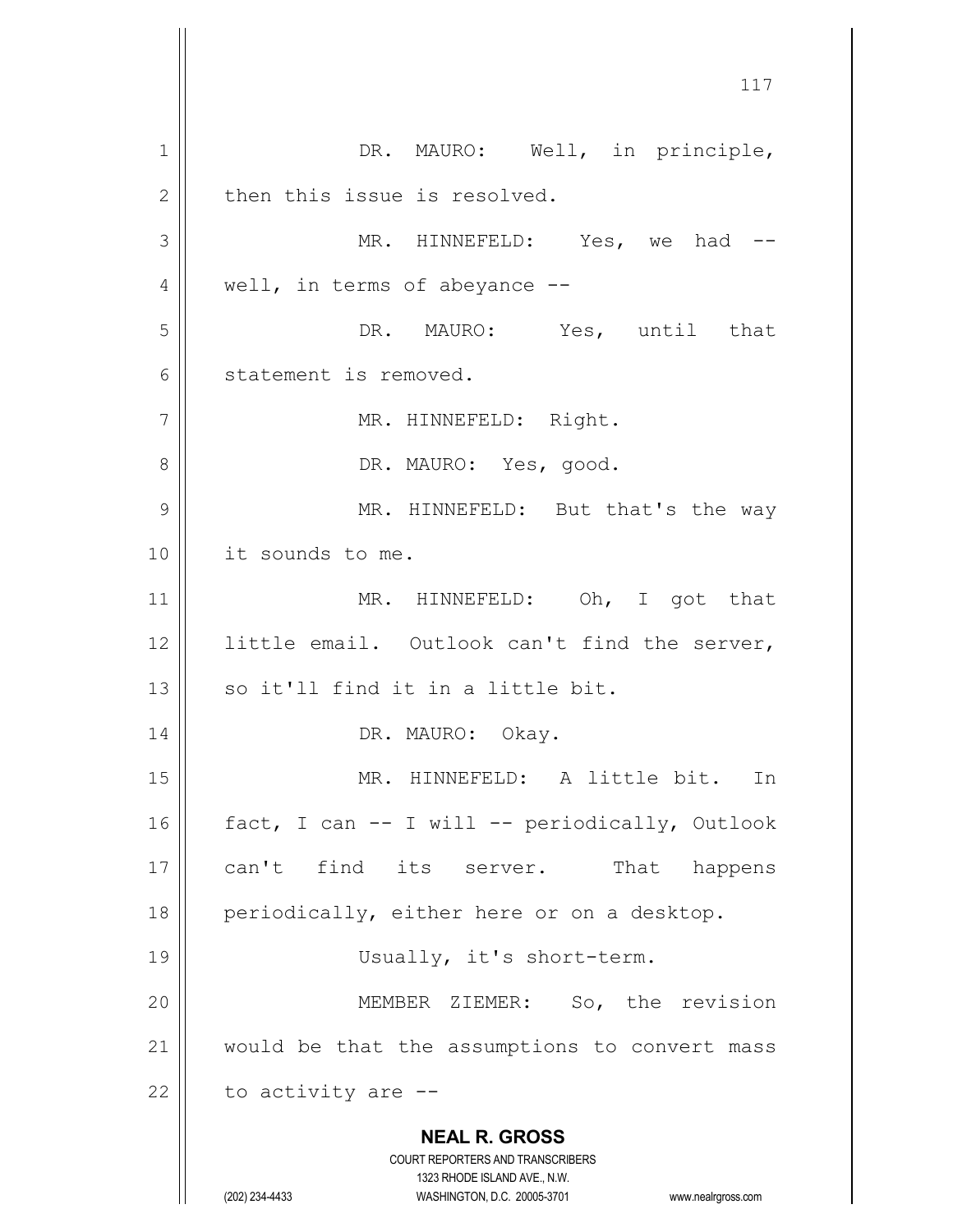**NEAL R. GROSS** COURT REPORTERS AND TRANSCRIBERS 1323 RHODE ISLAND AVE., N.W. (202) 234-4433 WASHINGTON, D.C. 20005-3701 www.nealrgross.com 1 || DR. MAURO: Well, in principle,  $2 \parallel$  then this issue is resolved. 3 MR. HINNEFELD: Yes, we had -- 4 || well, in terms of abeyance --5 DR. MAURO: Yes, until that 6 statement is removed. 7 || MR. HINNEFELD: Right. 8 DR. MAURO: Yes, good. 9 MR. HINNEFELD: But that's the way 10 it sounds to me. 11 || MR. HINNEFELD: Oh, I got that 12 || little email. Outlook can't find the server, 13 || so it'll find it in a little bit. 14 || DR. MAURO: Okay. 15 MR. HINNEFELD: A little bit. In 16 || fact, I can -- I will -- periodically, Outlook 17 || can't find its server. That happens 18  $\parallel$  periodically, either here or on a desktop. 19 || Usually, it's short-term. 20 MEMBER ZIEMER: So, the revision 21 || would be that the assumptions to convert mass  $22$  | to activity are  $-$ -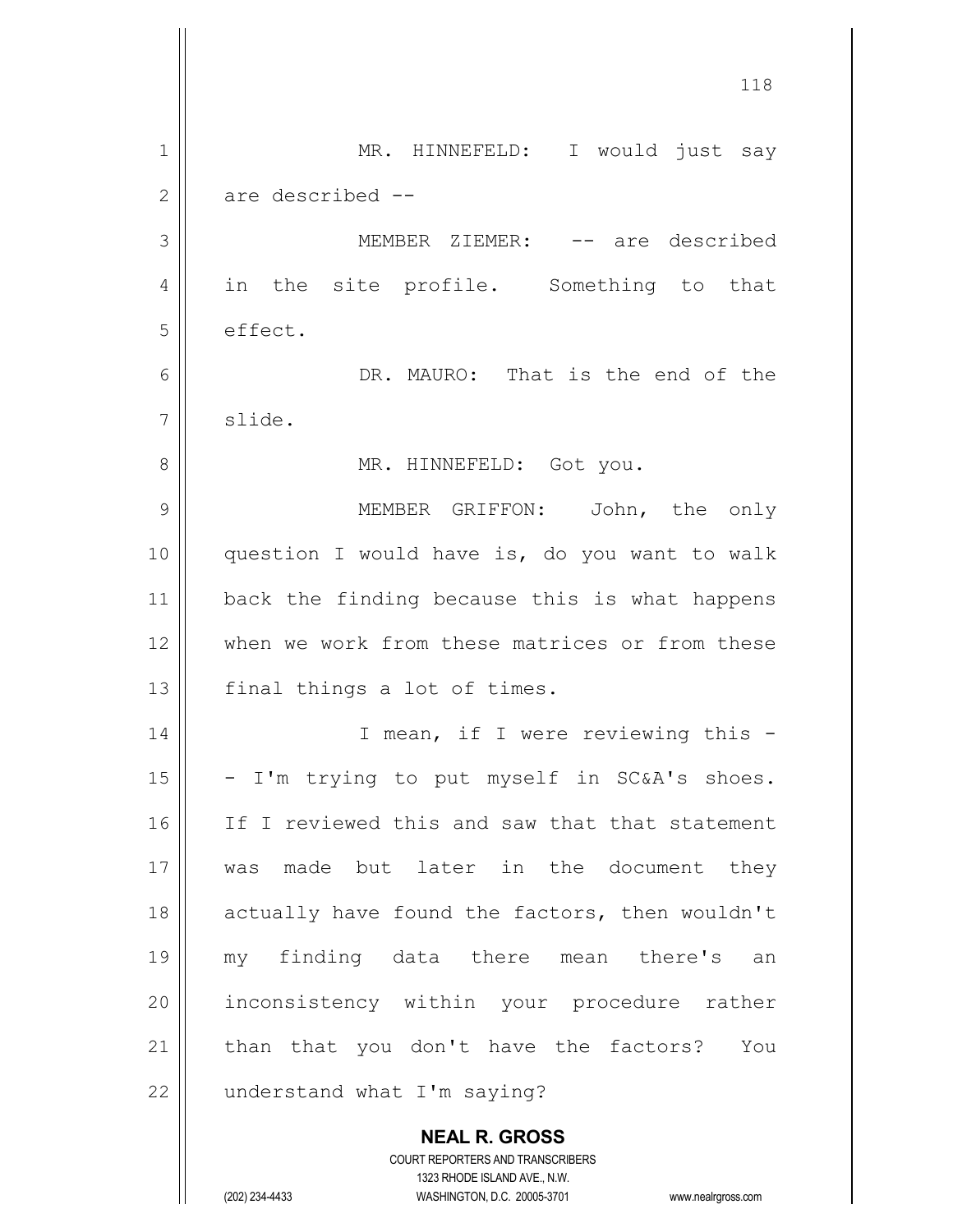**NEAL R. GROSS** COURT REPORTERS AND TRANSCRIBERS 118 1 || MR. HINNEFELD: I would just say  $2 \parallel$  are described  $-$ 3 MEMBER ZIEMER: -- are described 4 || in the site profile. Something to that 5 effect. 6 DR. MAURO: That is the end of the 7 | slide. 8 || MR. HINNEFELD: Got you. 9 MEMBER GRIFFON: John, the only 10 || question I would have is, do you want to walk 11 || back the finding because this is what happens 12 when we work from these matrices or from these  $13$  | final things a lot of times. 14 || T mean, if I were reviewing this - $15$  - I'm trying to put myself in SC&A's shoes. 16 || If I reviewed this and saw that that statement 17 was made but later in the document they 18 || actually have found the factors, then wouldn't 19 my finding data there mean there's an 20 || inconsistency within your procedure rather 21 || than that you don't have the factors? You  $22$  | understand what I'm saying?

1323 RHODE ISLAND AVE., N.W.

(202) 234-4433 WASHINGTON, D.C. 20005-3701 www.nealrgross.com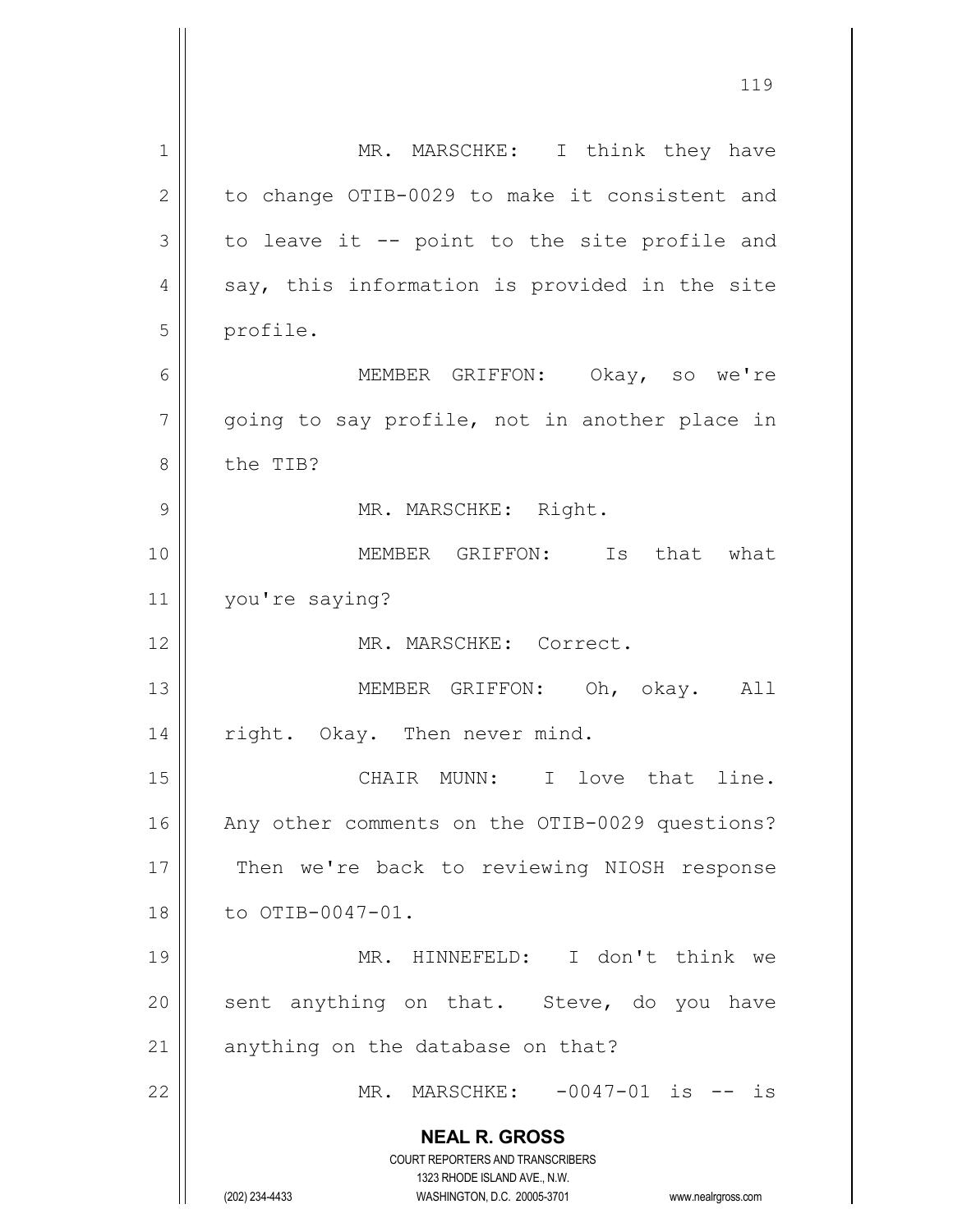| 1            | MR. MARSCHKE: I think they have                                         |
|--------------|-------------------------------------------------------------------------|
| $\mathbf{2}$ | to change OTIB-0029 to make it consistent and                           |
| 3            | to leave it -- point to the site profile and                            |
| 4            | say, this information is provided in the site                           |
| 5            | profile.                                                                |
| 6            | MEMBER GRIFFON: Okay, so we're                                          |
| 7            | going to say profile, not in another place in                           |
| 8            | the TIB?                                                                |
| 9            | MR. MARSCHKE: Right.                                                    |
| 10           | MEMBER GRIFFON: Is that what                                            |
| 11           | you're saying?                                                          |
| 12           | MR. MARSCHKE: Correct.                                                  |
| 13           | MEMBER GRIFFON: Oh, okay. All                                           |
| 14           | right. Okay. Then never mind.                                           |
| 15           | CHAIR MUNN: I love that line.                                           |
| 16           | Any other comments on the OTIB-0029 questions?                          |
| 17           | Then we're back to reviewing NIOSH response                             |
| 18           | to OTIB-0047-01.                                                        |
| 19           | MR. HINNEFELD: I don't think we                                         |
| 20           | sent anything on that. Steve, do you have                               |
| 21           | anything on the database on that?                                       |
| 22           | MR. MARSCHKE: -0047-01 is -- is                                         |
|              | <b>NEAL R. GROSS</b>                                                    |
|              | <b>COURT REPORTERS AND TRANSCRIBERS</b><br>1323 RHODE ISLAND AVE., N.W. |
|              | (202) 234-4433<br>WASHINGTON, D.C. 20005-3701<br>www.nealrgross.com     |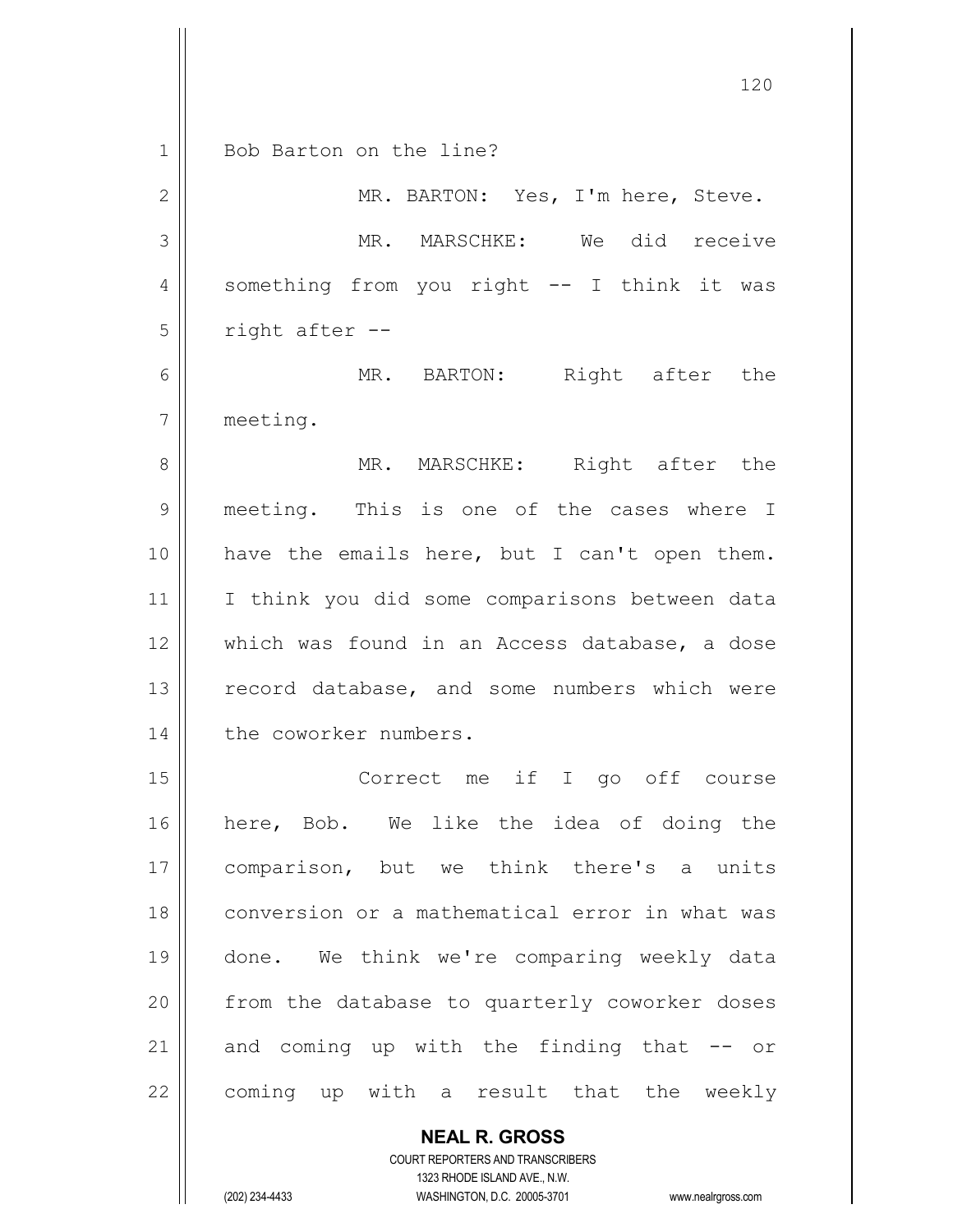1 || Bob Barton on the line?

| $\overline{2}$ | MR. BARTON: Yes, I'm here, Steve.                     |
|----------------|-------------------------------------------------------|
| 3              | MR. MARSCHKE: We did receive                          |
| $\overline{4}$ | something from you right -- I think it was            |
| 5              | right after --                                        |
| $\epsilon$     | MR. BARTON: Right after the                           |
| $\overline{7}$ | meeting.                                              |
| $\,8\,$        | MR. MARSCHKE: Right after the                         |
| $\mathcal{G}$  | meeting. This is one of the cases where I             |
| 10             | have the emails here, but I can't open them.          |
| 11             | I think you did some comparisons between data         |
| 12             | which was found in an Access database, a dose         |
| 13             | record database, and some numbers which were          |
| 14             | the coworker numbers.                                 |
| 15             | Correct me if I go off course                         |
| 16             | here, Bob. We like the idea of doing the              |
| 17             | comparison, but we think there's a units              |
| 18             | conversion or a mathematical error in what was        |
| 19             | done. We think we're comparing weekly data            |
| 20             | from the database to quarterly coworker doses         |
| 21             | and coming up with the finding that<br>O <sub>T</sub> |

coming up with a result that the weekly

**NEAL R. GROSS** COURT REPORTERS AND TRANSCRIBERS

1323 RHODE ISLAND AVE., N.W.

(202) 234-4433 WASHINGTON, D.C. 20005-3701 www.nealrgross.com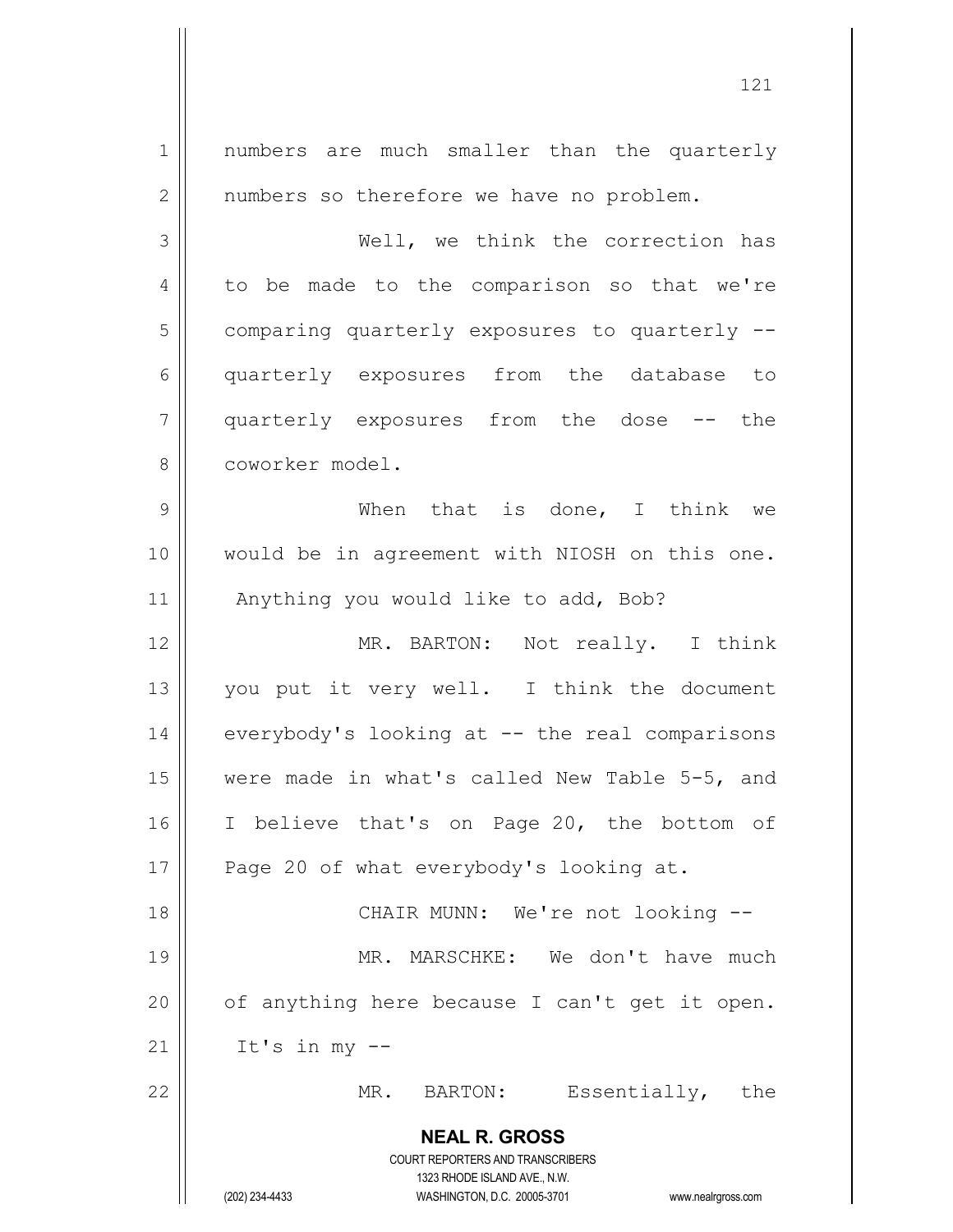**NEAL R. GROSS** COURT REPORTERS AND TRANSCRIBERS 1323 RHODE ISLAND AVE., N.W. (202) 234-4433 WASHINGTON, D.C. 20005-3701 www.nealrgross.com 1 || numbers are much smaller than the quarterly 2 | numbers so therefore we have no problem. 3 Well, we think the correction has 4 to be made to the comparison so that we're  $5$  comparing quarterly exposures to quarterly  $-$ 6 quarterly exposures from the database to 7 quarterly exposures from the dose -- the 8 coworker model. 9 When that is done, I think we 10 would be in agreement with NIOSH on this one. 11 || Anything you would like to add, Bob? 12 || MR. BARTON: Not really. I think 13 || you put it very well. I think the document 14 | everybody's looking at -- the real comparisons 15 were made in what's called New Table 5-5, and 16 || I believe that's on Page 20, the bottom of 17 || Page 20 of what everybody's looking at. 18 || CHAIR MUNN: We're not looking --19 MR. MARSCHKE: We don't have much 20  $\parallel$  of anything here because I can't get it open.  $21$  | It's in my --22 || MR. BARTON: Essentially, the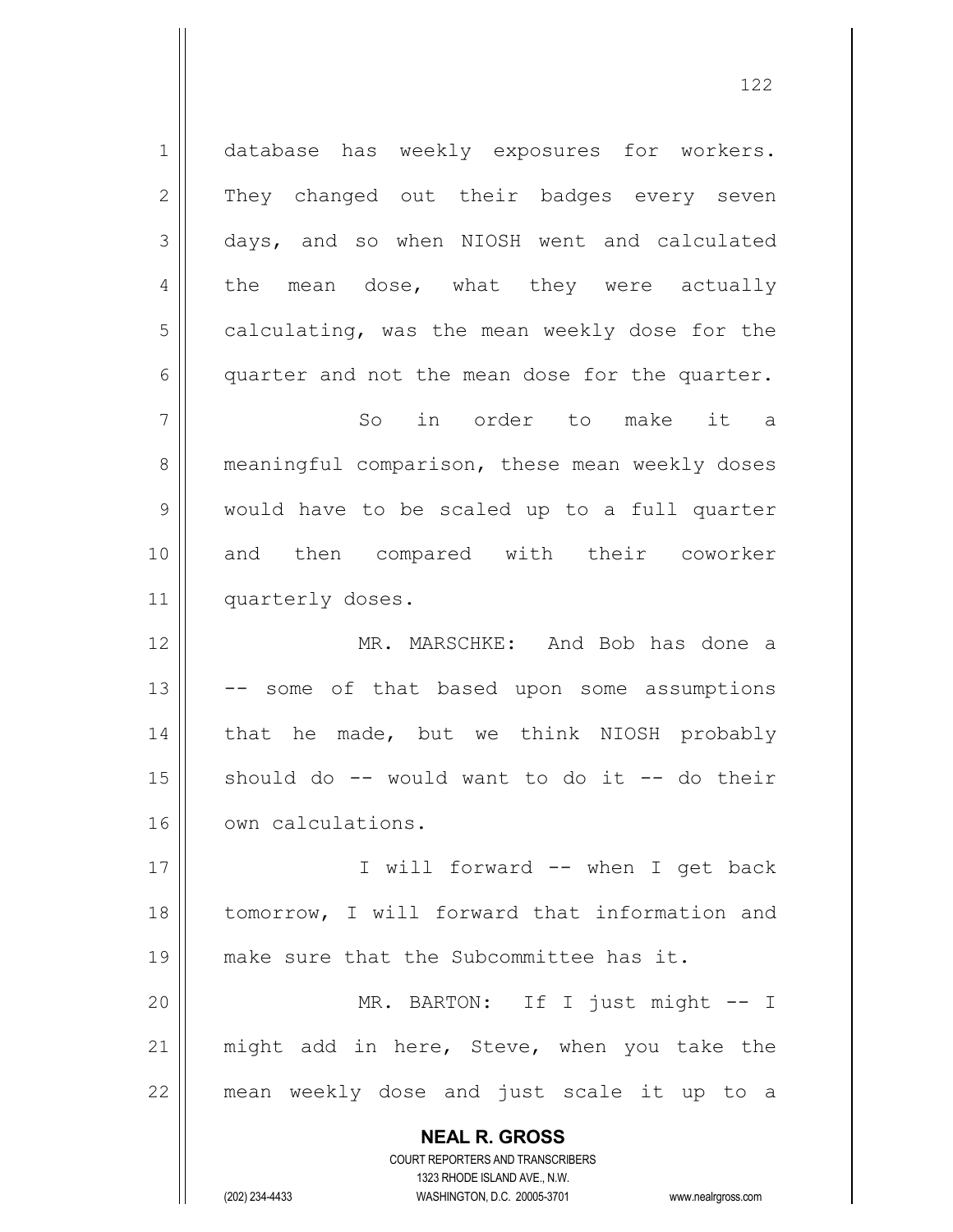**NEAL R. GROSS** COURT REPORTERS AND TRANSCRIBERS 1 database has weekly exposures for workers. 2 They changed out their badges every seven 3 days, and so when NIOSH went and calculated 4 the mean dose, what they were actually  $5 \parallel$  calculating, was the mean weekly dose for the  $6 \parallel$  quarter and not the mean dose for the quarter. 7 So in order to make it a 8 || meaningful comparison, these mean weekly doses 9 would have to be scaled up to a full quarter 10 and then compared with their coworker 11 | quarterly doses. 12 MR. MARSCHKE: And Bob has done a  $13$   $\vert$  -- some of that based upon some assumptions 14 || that he made, but we think NIOSH probably  $15$  should do  $-$  would want to do it  $-$  do their 16 | own calculations. 17 || I will forward -- when I get back 18 tomorrow, I will forward that information and 19 make sure that the Subcommittee has it. 20 MR. BARTON: If I just might -- I 21  $\parallel$  might add in here, Steve, when you take the 22 || mean weekly dose and just scale it up to a

1323 RHODE ISLAND AVE., N.W.

(202) 234-4433 WASHINGTON, D.C. 20005-3701 www.nealrgross.com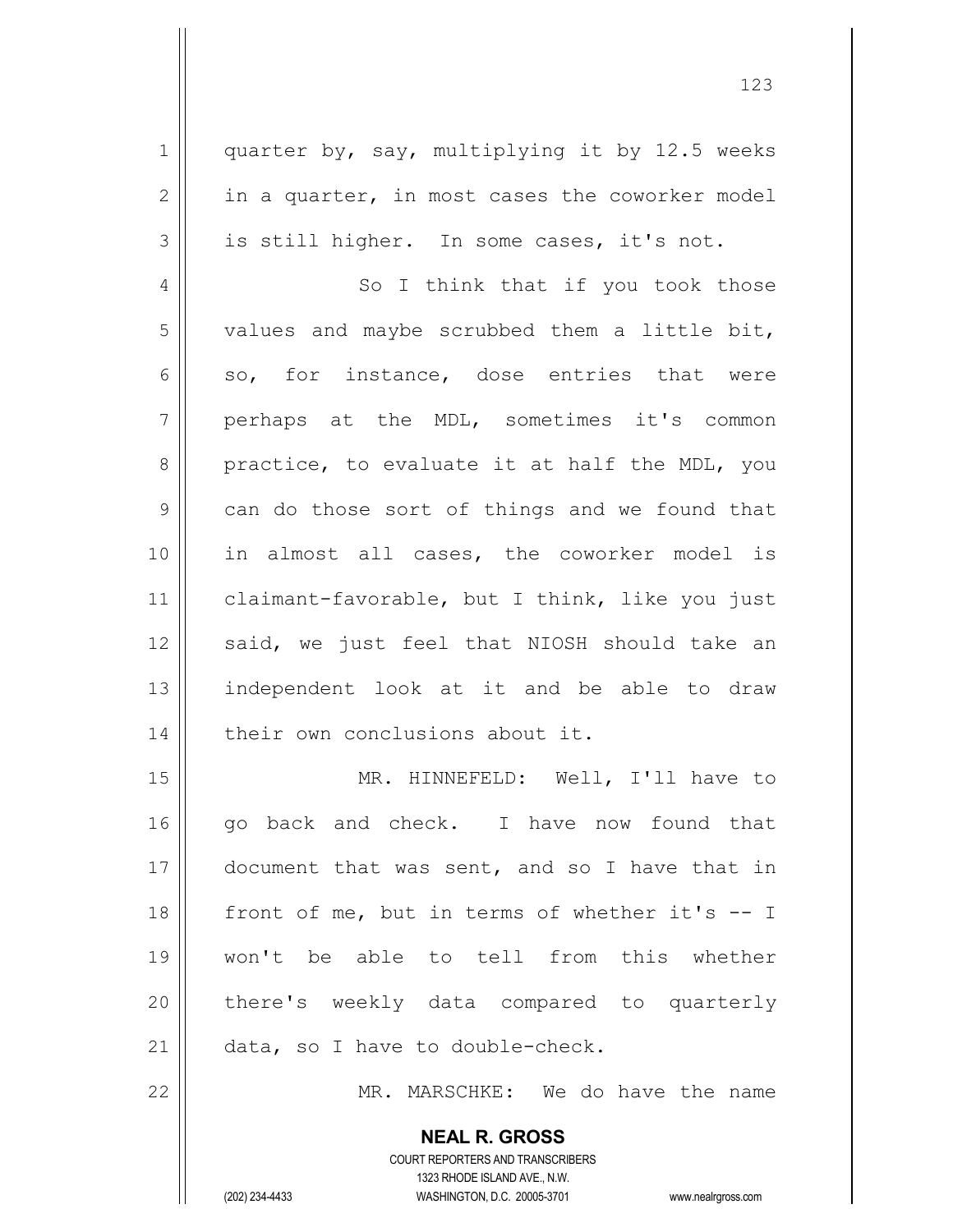$1 \parallel$  quarter by, say, multiplying it by 12.5 weeks  $2 \parallel$  in a quarter, in most cases the coworker model  $3 \parallel$  is still higher. In some cases, it's not. 4 || So I think that if you took those  $5$  | values and maybe scrubbed them a little bit,  $6 \parallel$  so, for instance, dose entries that were 7 perhaps at the MDL, sometimes it's common  $8 \parallel$  practice, to evaluate it at half the MDL, you 9 can do those sort of things and we found that 10 in almost all cases, the coworker model is 11 | claimant-favorable, but I think, like you just 12 || said, we just feel that NIOSH should take an 13 || independent look at it and be able to draw 14 | their own conclusions about it. 15 || MR. HINNEFELD: Well, I'll have to 16 || go back and check. I have now found that 17 || document that was sent, and so I have that in 18  $\parallel$  front of me, but in terms of whether it's  $-$ - I 19 won't be able to tell from this whether 20 || there's weekly data compared to quarterly 21 || data, so I have to double-check. 22 MR. MARSCHKE: We do have the name

> COURT REPORTERS AND TRANSCRIBERS 1323 RHODE ISLAND AVE., N.W. (202) 234-4433 WASHINGTON, D.C. 20005-3701 www.nealrgross.com

**NEAL R. GROSS**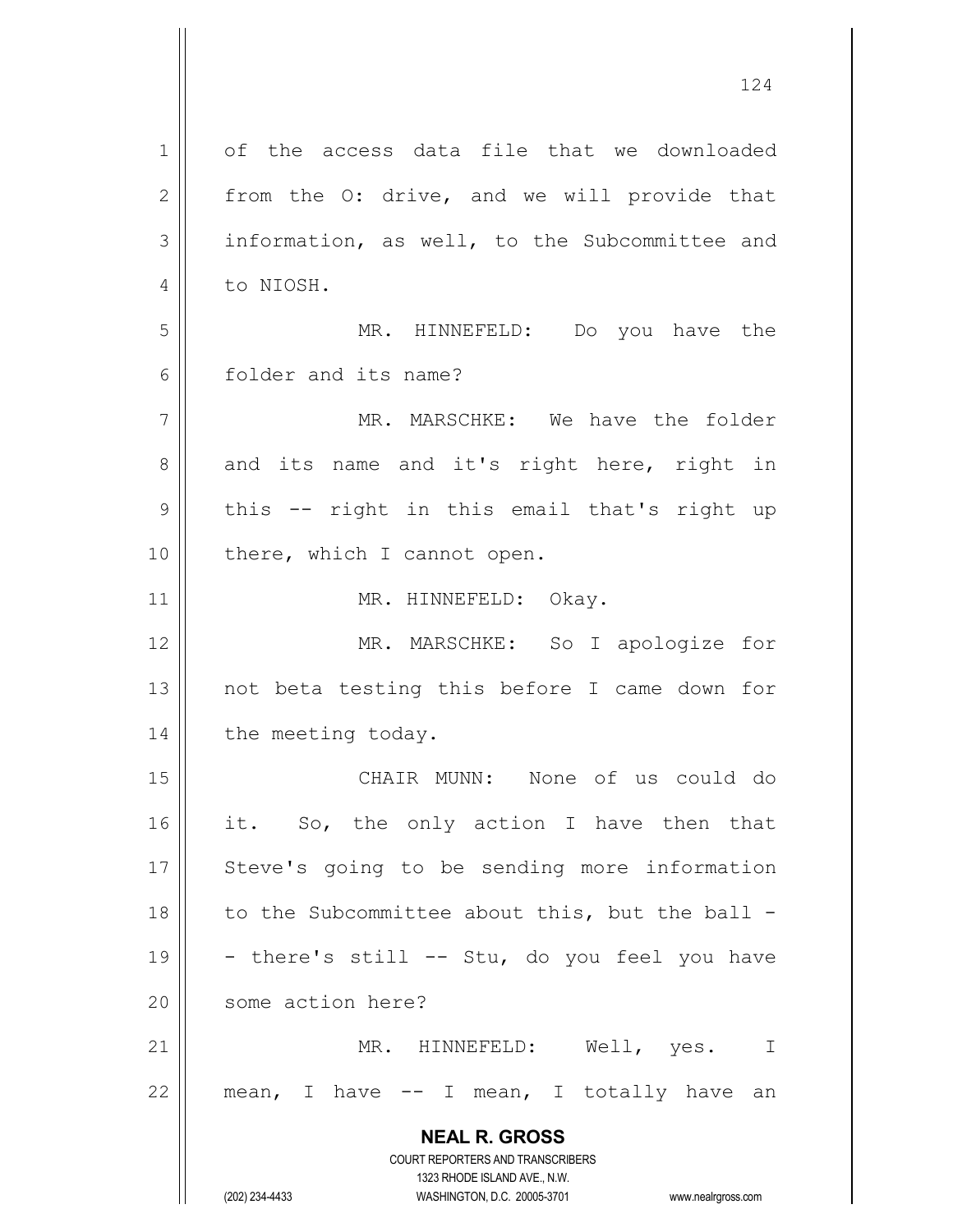**NEAL R. GROSS** COURT REPORTERS AND TRANSCRIBERS 1323 RHODE ISLAND AVE., N.W. (202) 234-4433 WASHINGTON, D.C. 20005-3701 www.nealrgross.com 1 of the access data file that we downloaded  $2 \parallel$  from the O: drive, and we will provide that 3 information, as well, to the Subcommittee and 4 | to NIOSH. 5 MR. HINNEFELD: Do you have the 6 folder and its name? 7 MR. MARSCHKE: We have the folder  $8 \parallel$  and its name and it's right here, right in  $9 \parallel$  this -- right in this email that's right up 10 || there, which I cannot open. 11 || MR. HINNEFELD: Okay. 12 || MR. MARSCHKE: So I apologize for 13 not beta testing this before I came down for 14 | the meeting today. 15 CHAIR MUNN: None of us could do 16 it. So, the only action I have then that 17 || Steve's going to be sending more information 18  $\parallel$  to the Subcommittee about this, but the ball -19  $\vert$  - there's still -- Stu, do you feel you have 20 || some action here? 21 MR. HINNEFELD: Well, yes. I  $22$  || mean, I have  $-$  I mean, I totally have an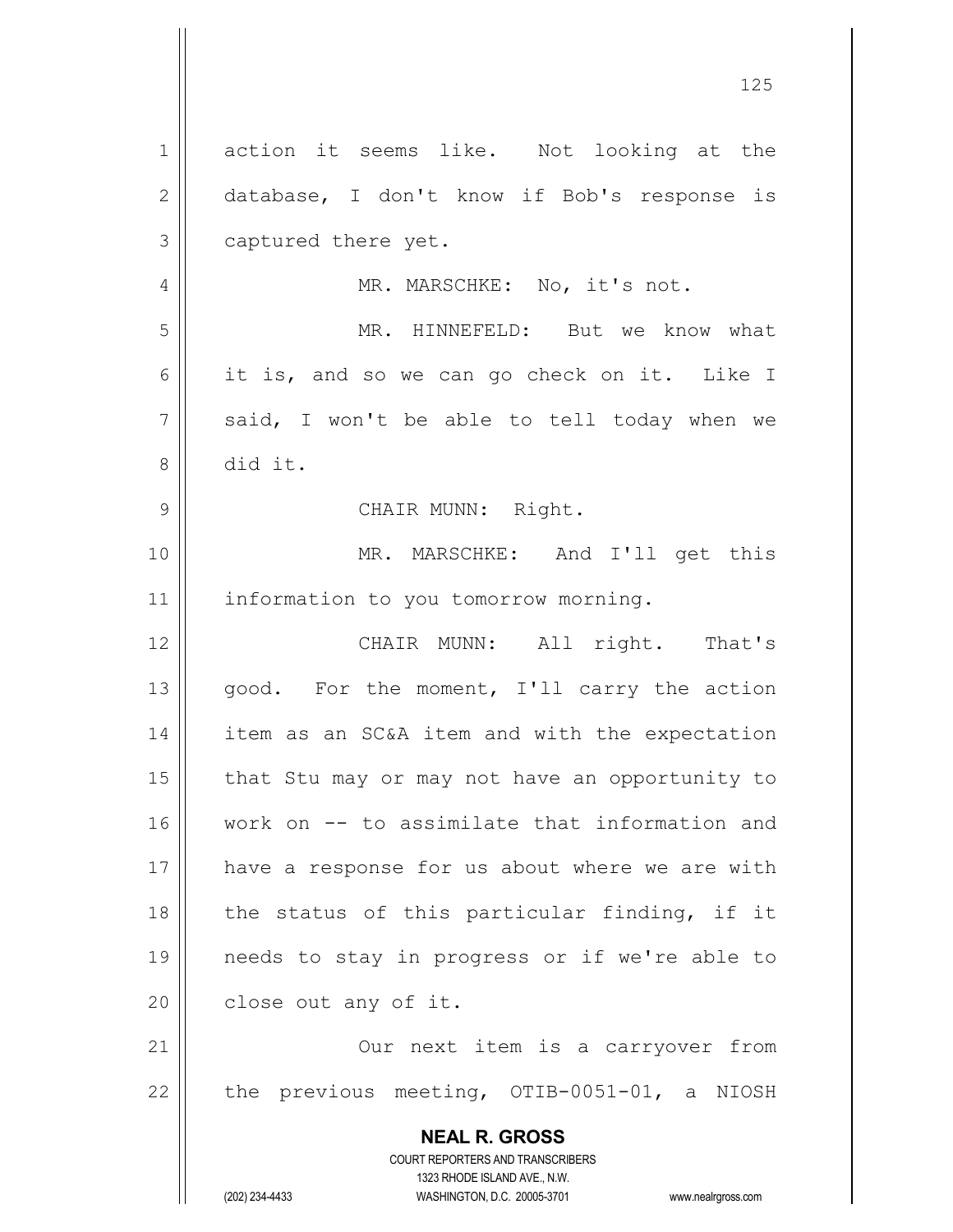**NEAL R. GROSS** COURT REPORTERS AND TRANSCRIBERS 1323 RHODE ISLAND AVE., N.W. (202) 234-4433 WASHINGTON, D.C. 20005-3701 www.nealrgross.com 1 action it seems like. Not looking at the 2 database, I don't know if Bob's response is 3 | captured there yet. 4 || MR. MARSCHKE: No, it's not. 5 || MR. HINNEFELD: But we know what 6 it is, and so we can go check on it. Like I  $7 \parallel$  said, I won't be able to tell today when we 8 did it. 9 || CHAIR MUNN: Right. 10 MR. MARSCHKE: And I'll get this 11 | information to you tomorrow morning. 12 CHAIR MUNN: All right. That's 13 || good. For the moment, I'll carry the action 14 item as an SC&A item and with the expectation  $15$  | that Stu may or may not have an opportunity to 16 Work on -- to assimilate that information and 17 || have a response for us about where we are with 18 || the status of this particular finding, if it 19 needs to stay in progress or if we're able to  $20$  | close out any of it. 21 || Our next item is a carryover from 22  $\parallel$  the previous meeting, OTIB-0051-01, a NIOSH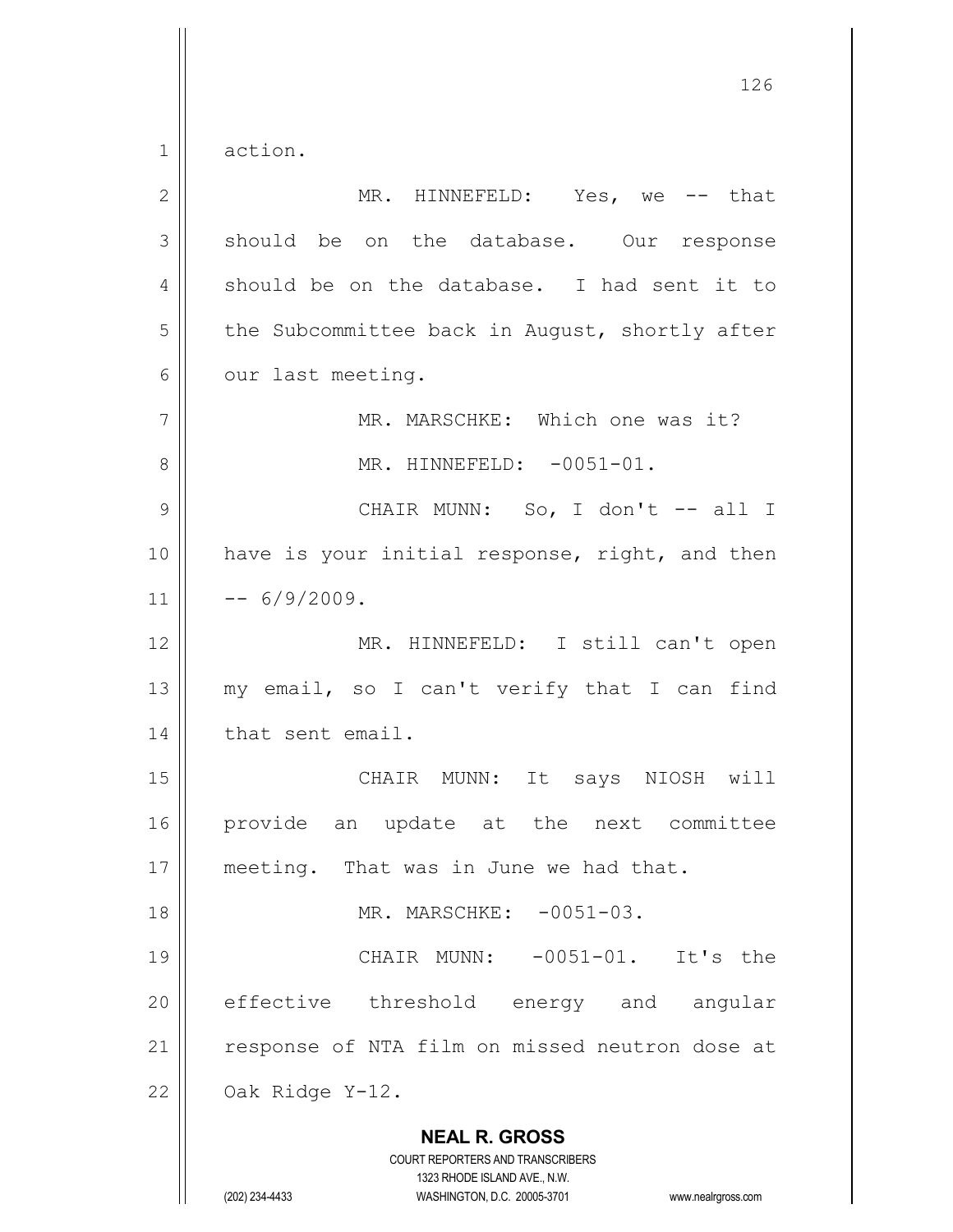1 action.

| $\mathbf{2}$   | MR. HINNEFELD: Yes, we -- that                                                                                                                                         |
|----------------|------------------------------------------------------------------------------------------------------------------------------------------------------------------------|
| 3              | should be on the database. Our response                                                                                                                                |
| 4              | should be on the database. I had sent it to                                                                                                                            |
| 5              | the Subcommittee back in August, shortly after                                                                                                                         |
| 6              | our last meeting.                                                                                                                                                      |
| $\overline{7}$ | MR. MARSCHKE: Which one was it?                                                                                                                                        |
| 8              | MR. HINNEFELD: -0051-01.                                                                                                                                               |
| $\mathcal{G}$  | CHAIR MUNN: So, I don't -- all I                                                                                                                                       |
| 10             | have is your initial response, right, and then                                                                                                                         |
| 11             | $-- 6/9/2009.$                                                                                                                                                         |
| 12             | MR. HINNEFELD: I still can't open                                                                                                                                      |
| 13             | my email, so I can't verify that I can find                                                                                                                            |
| 14             | that sent email.                                                                                                                                                       |
| 15             | CHAIR MUNN: It says NIOSH will                                                                                                                                         |
| 16             | provide<br>an update at the next committee                                                                                                                             |
| 17             | meeting. That was in June we had that.                                                                                                                                 |
| 18             | MR. MARSCHKE: -0051-03.                                                                                                                                                |
| 19             | CHAIR MUNN: -0051-01. It's the                                                                                                                                         |
| 20             | effective threshold energy and<br>angular                                                                                                                              |
| 21             | response of NTA film on missed neutron dose at                                                                                                                         |
| 22             | Oak Ridge Y-12.                                                                                                                                                        |
|                | <b>NEAL R. GROSS</b><br><b>COURT REPORTERS AND TRANSCRIBERS</b><br>1323 RHODE ISLAND AVE., N.W.<br>(202) 234-4433<br>WASHINGTON, D.C. 20005-3701<br>www.nealrgross.com |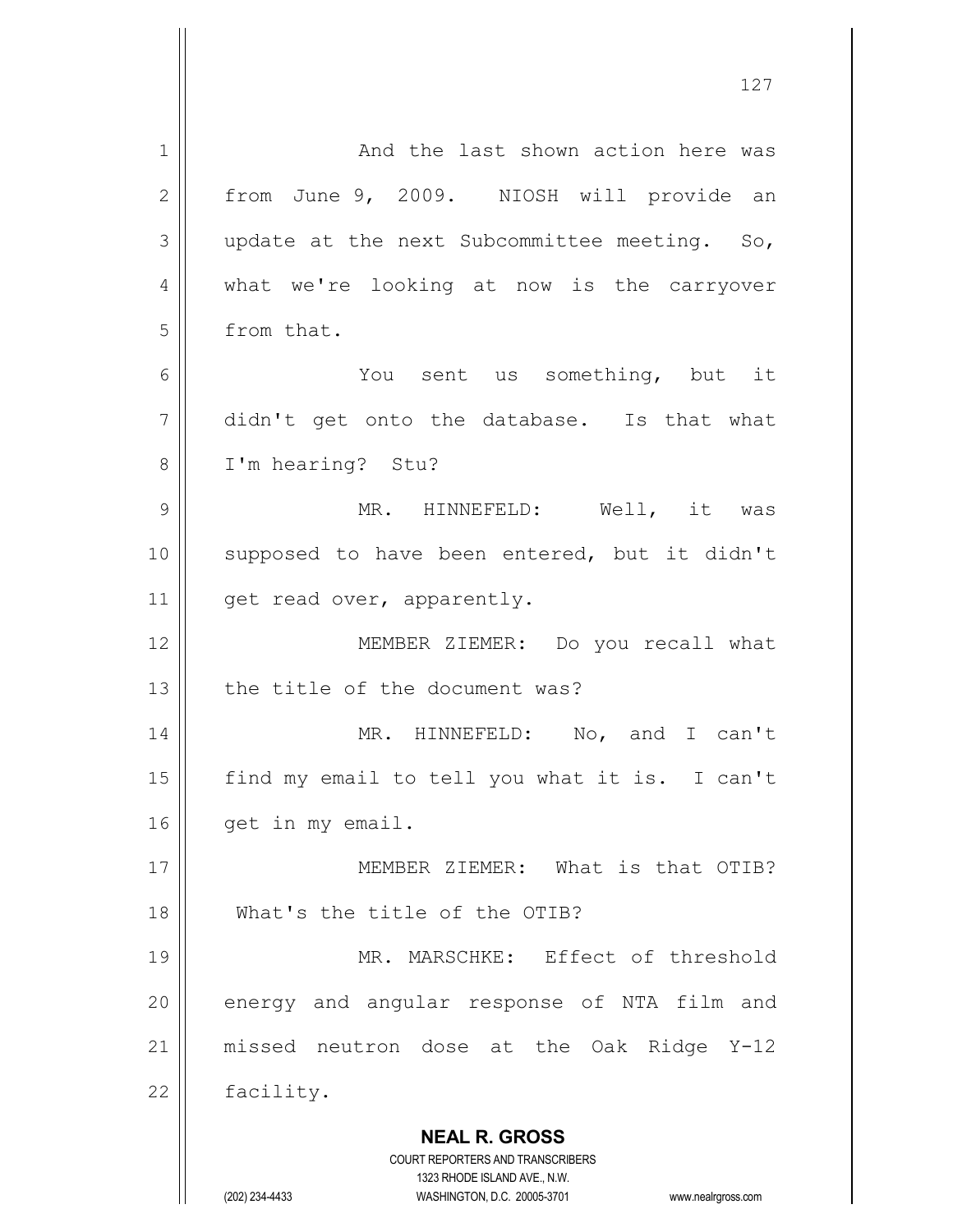| 1            | And the last shown action here was                                                                  |
|--------------|-----------------------------------------------------------------------------------------------------|
| $\mathbf{2}$ | from June 9, 2009. NIOSH will provide an                                                            |
| 3            | update at the next Subcommittee meeting. So,                                                        |
| 4            | what we're looking at now is the carryover                                                          |
| 5            | from that.                                                                                          |
| 6            | You sent us something, but it                                                                       |
| 7            | didn't get onto the database. Is that what                                                          |
| 8            | I'm hearing? Stu?                                                                                   |
| 9            | MR. HINNEFELD: Well, it was                                                                         |
| 10           | supposed to have been entered, but it didn't                                                        |
| 11           | get read over, apparently.                                                                          |
| 12           | MEMBER ZIEMER: Do you recall what                                                                   |
| 13           | the title of the document was?                                                                      |
| 14           | MR. HINNEFELD: No, and I can't                                                                      |
| 15           | find my email to tell you what it is. I can't                                                       |
| 16           | get in my email.                                                                                    |
| 17           | MEMBER ZIEMER: What is that OTIB?                                                                   |
| 18           | What's the title of the OTIB?                                                                       |
| 19           | MR. MARSCHKE: Effect of threshold                                                                   |
| 20           | energy and angular response of NTA film and                                                         |
| 21           | missed neutron dose at the Oak Ridge Y-12                                                           |
| 22           | facility.                                                                                           |
|              | <b>NEAL R. GROSS</b>                                                                                |
|              | <b>COURT REPORTERS AND TRANSCRIBERS</b>                                                             |
|              | 1323 RHODE ISLAND AVE., N.W.<br>(202) 234-4433<br>WASHINGTON, D.C. 20005-3701<br>www.nealrgross.com |
|              |                                                                                                     |

 $\mathsf{I}$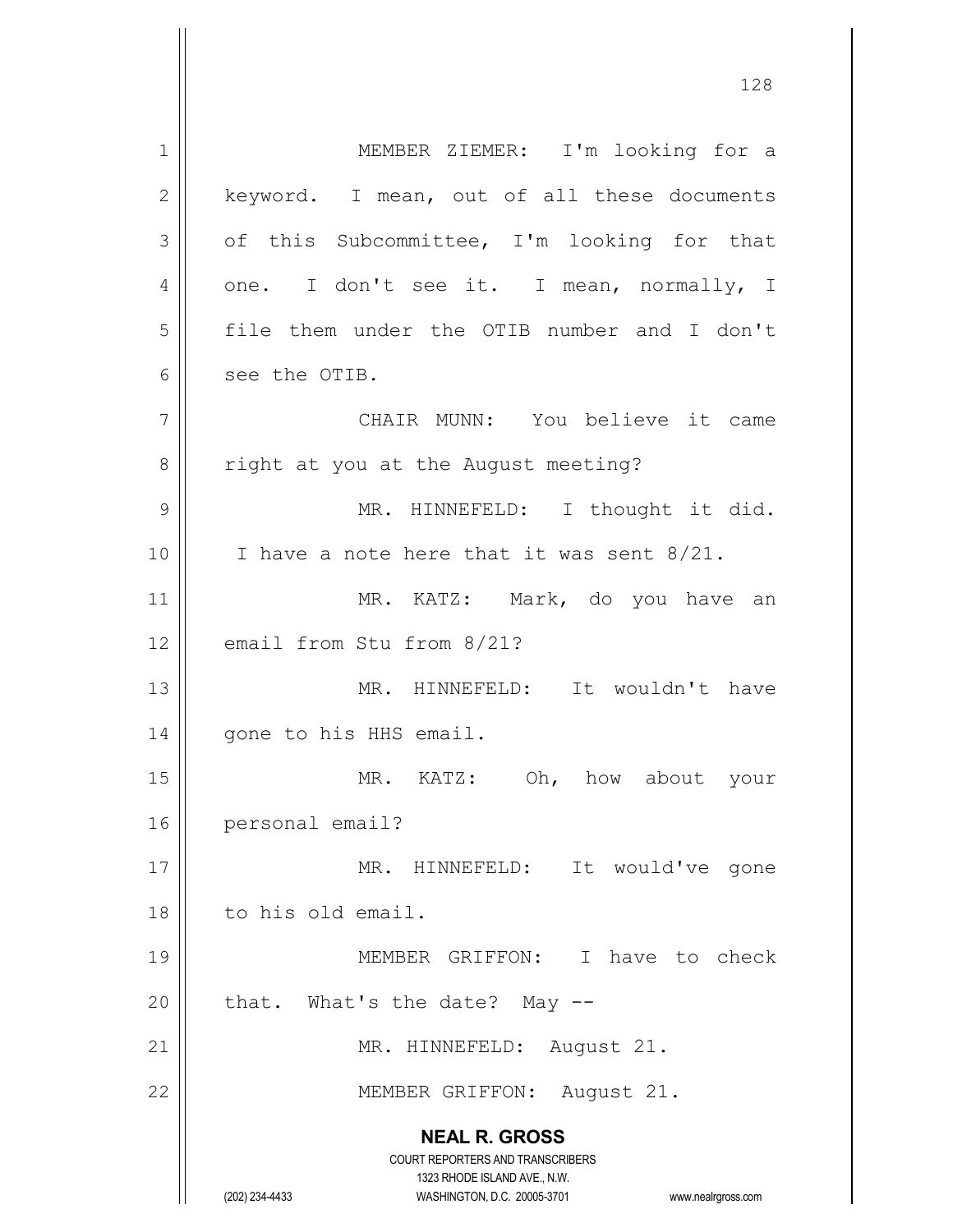**NEAL R. GROSS** COURT REPORTERS AND TRANSCRIBERS 1323 RHODE ISLAND AVE., N.W. (202) 234-4433 WASHINGTON, D.C. 20005-3701 www.nealrgross.com 1 || MEMBER ZIEMER: I'm looking for a  $2 \parallel$  keyword. I mean, out of all these documents  $3 \parallel$  of this Subcommittee, I'm looking for that 4 | one. I don't see it. I mean, normally, I 5 file them under the OTIB number and I don't 6 see the OTIB. 7 CHAIR MUNN: You believe it came 8 | right at you at the August meeting? 9 || MR. HINNEFELD: I thought it did.  $10$  | I have a note here that it was sent 8/21. 11 || MR. KATZ: Mark, do you have an 12 email from Stu from 8/21? 13 MR. HINNEFELD: It wouldn't have 14 | gone to his HHS email. 15 || MR. KATZ: Oh, how about your 16 personal email? 17 || MR. HINNEFELD: It would've gone 18 | to his old email. 19 MEMBER GRIFFON: I have to check 20  $\parallel$  that. What's the date? May --21 || MR. HINNEFELD: August 21. 22 || MEMBER GRIFFON: August 21.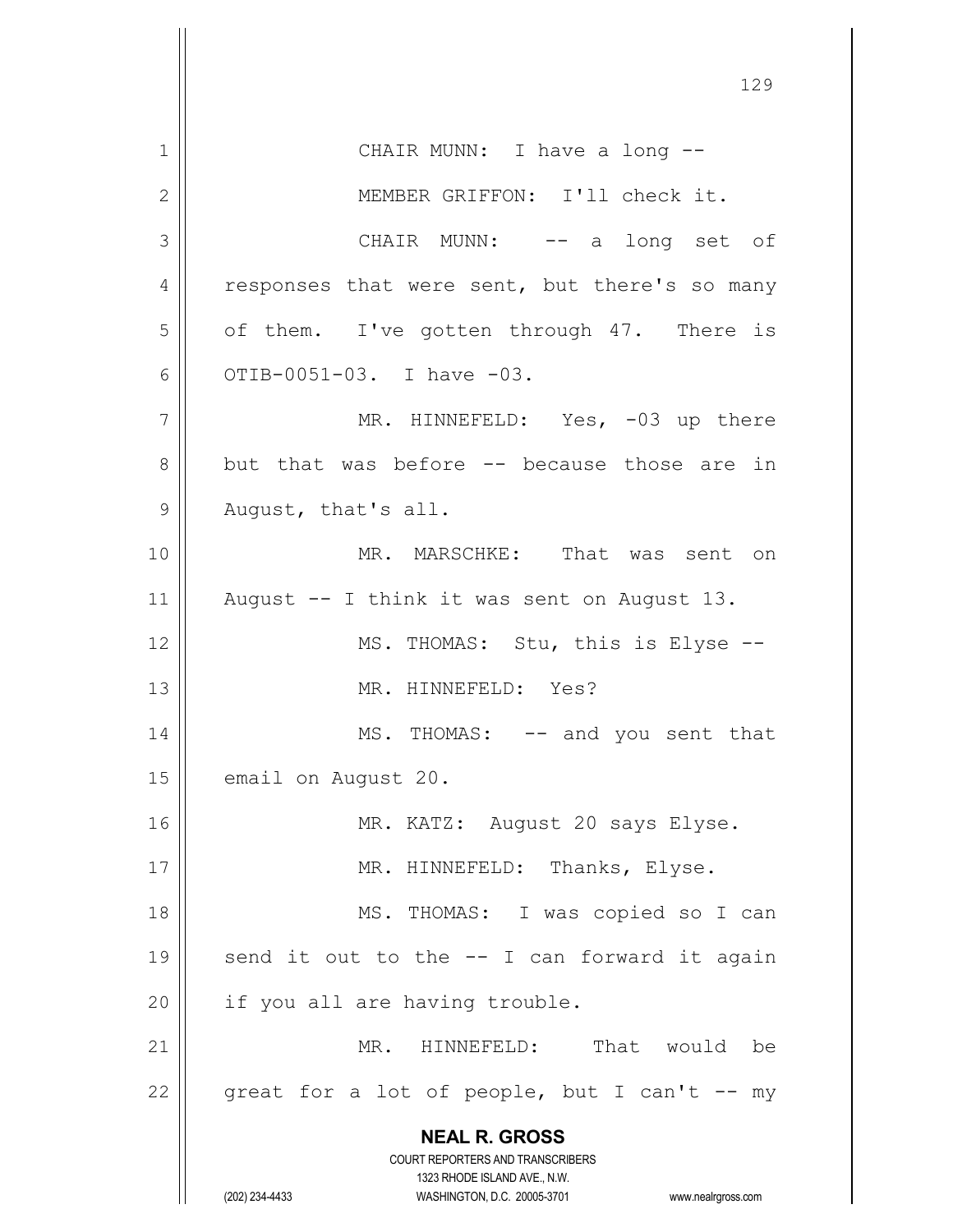**NEAL R. GROSS** COURT REPORTERS AND TRANSCRIBERS 1323 RHODE ISLAND AVE., N.W. (202) 234-4433 WASHINGTON, D.C. 20005-3701 www.nealrgross.com 1 || CHAIR MUNN: I have a long --2 || MEMBER GRIFFON: I'll check it. 3 CHAIR MUNN: -- a long set of  $4 \parallel$  responses that were sent, but there's so many  $5 \parallel$  of them. I've gotten through 47. There is 6  $\vert$  OTIB-0051-03. I have -03. 7 || MR. HINNEFELD: Yes, -03 up there 8 but that was before -- because those are in 9 || August, that's all. 10 MR. MARSCHKE: That was sent on 11 || August  $-$  I think it was sent on August 13. 12 || MS. THOMAS: Stu, this is Elyse --13 MR. HINNEFELD: Yes? 14 || MS. THOMAS: -- and you sent that 15 | email on August 20. 16 || MR. KATZ: August 20 says Elyse. 17 || MR. HINNEFELD: Thanks, Elyse. 18 || MS. THOMAS: I was copied so I can 19  $\parallel$  send it out to the  $-$  I can forward it again  $20$  | if you all are having trouble. 21 MR. HINNEFELD: That would be 22  $\parallel$  great for a lot of people, but I can't -- my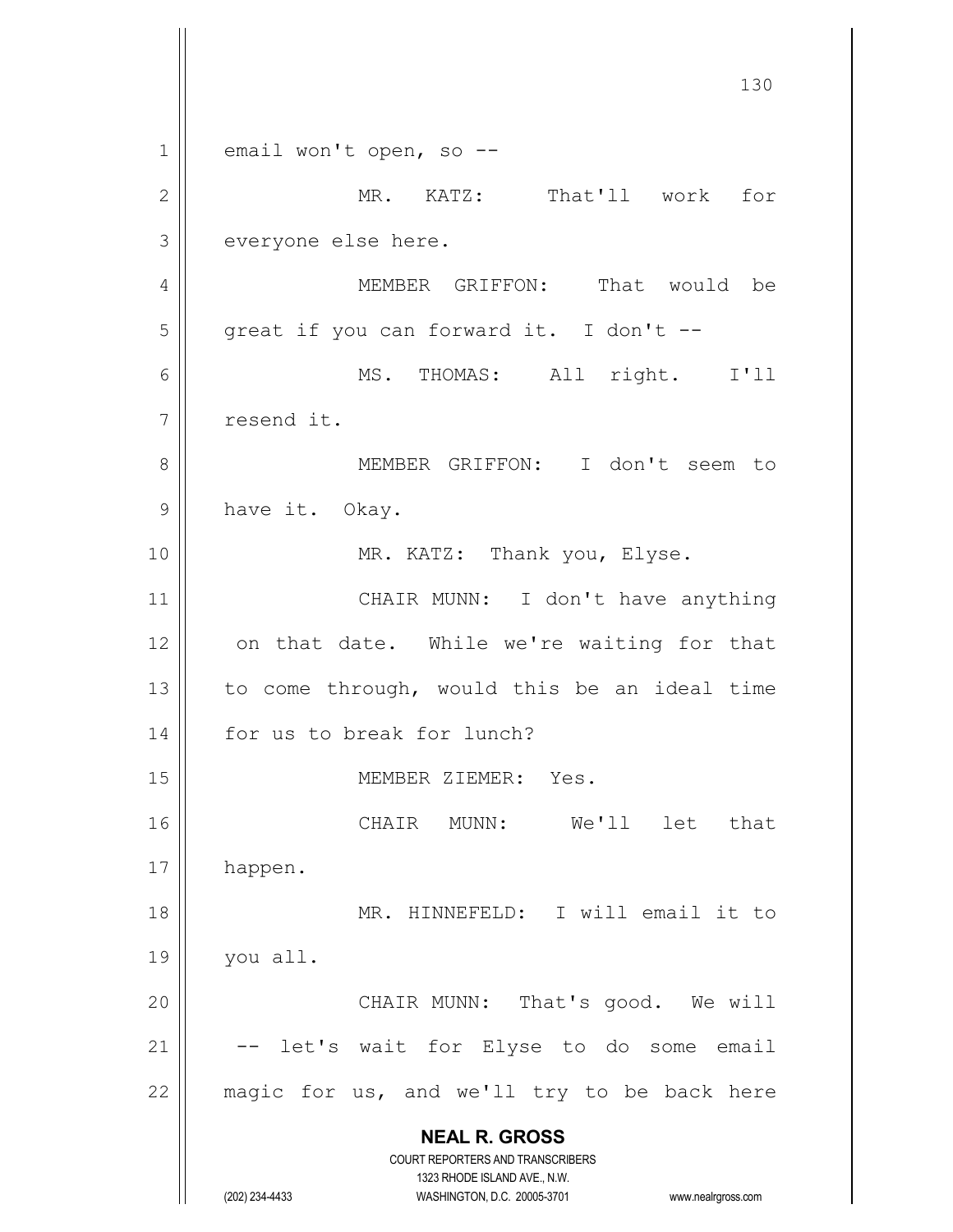**NEAL R. GROSS** COURT REPORTERS AND TRANSCRIBERS 1323 RHODE ISLAND AVE., N.W. (202) 234-4433 WASHINGTON, D.C. 20005-3701 www.nealrgross.com  $1 \parallel$  email won't open, so --2 MR. KATZ: That'll work for 3 everyone else here. 4 MEMBER GRIFFON: That would be  $5 \parallel$  great if you can forward it. I don't --6 MS. THOMAS: All right. I'll 7 | resend it. 8 || MEMBER GRIFFON: I don't seem to 9 || have it. Okay. 10 | MR. KATZ: Thank you, Elyse. 11 || CHAIR MUNN: I don't have anything 12 || on that date. While we're waiting for that 13  $\parallel$  to come through, would this be an ideal time 14 || for us to break for lunch? 15 || MEMBER ZIEMER: Yes. 16 CHAIR MUNN: We'll let that 17 | happen. 18 || MR. HINNEFELD: I will email it to 19 you all. 20 || CHAIR MUNN: That's good. We will  $21$   $\vert$  -- let's wait for Elyse to do some email  $22$  | magic for us, and we'll try to be back here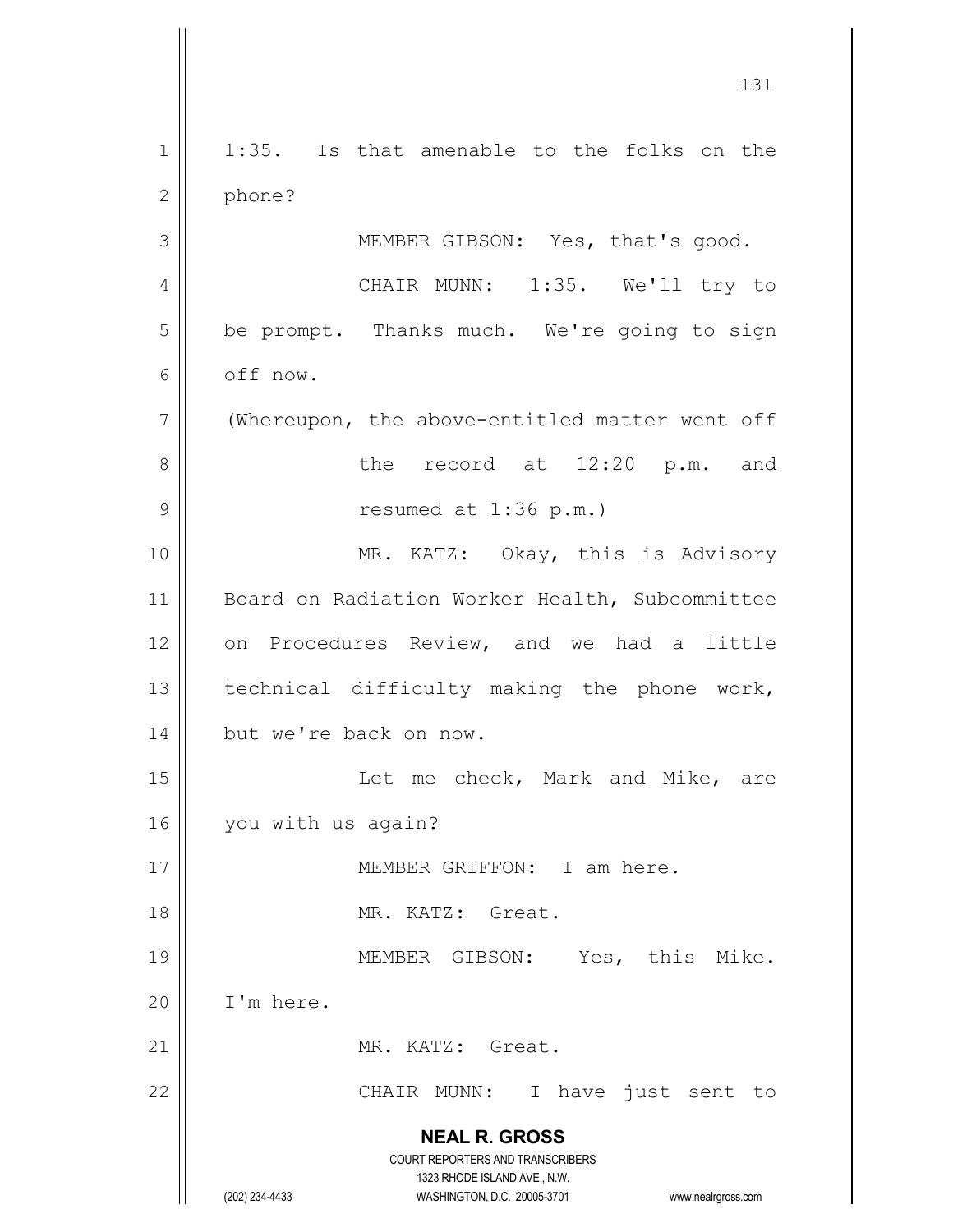**NEAL R. GROSS** COURT REPORTERS AND TRANSCRIBERS 1323 RHODE ISLAND AVE., N.W. (202) 234-4433 WASHINGTON, D.C. 20005-3701 www.nealrgross.com 1 || 1:35. Is that amenable to the folks on the 2 | phone? 3 || MEMBER GIBSON: Yes, that's good. 4 || CHAIR MUNN: 1:35. We'll try to 5 | be prompt. Thanks much. We're going to sign 6 off now. 7 | (Whereupon, the above-entitled matter went off 8 || The record at 12:20 p.m. and  $9 \parallel$  resumed at 1:36 p.m.) 10 || MR. KATZ: Okay, this is Advisory 11 || Board on Radiation Worker Health, Subcommittee 12 on Procedures Review, and we had a little 13  $\parallel$  technical difficulty making the phone work, 14 | but we're back on now. 15 || Let me check, Mark and Mike, are 16 | you with us again? 17 MEMBER GRIFFON: I am here. 18 MR. KATZ: Great. 19 || MEMBER GIBSON: Yes, this Mike.  $20$  | I'm here. 21 || MR. KATZ: Great. 22 || CHAIR MUNN: I have just sent to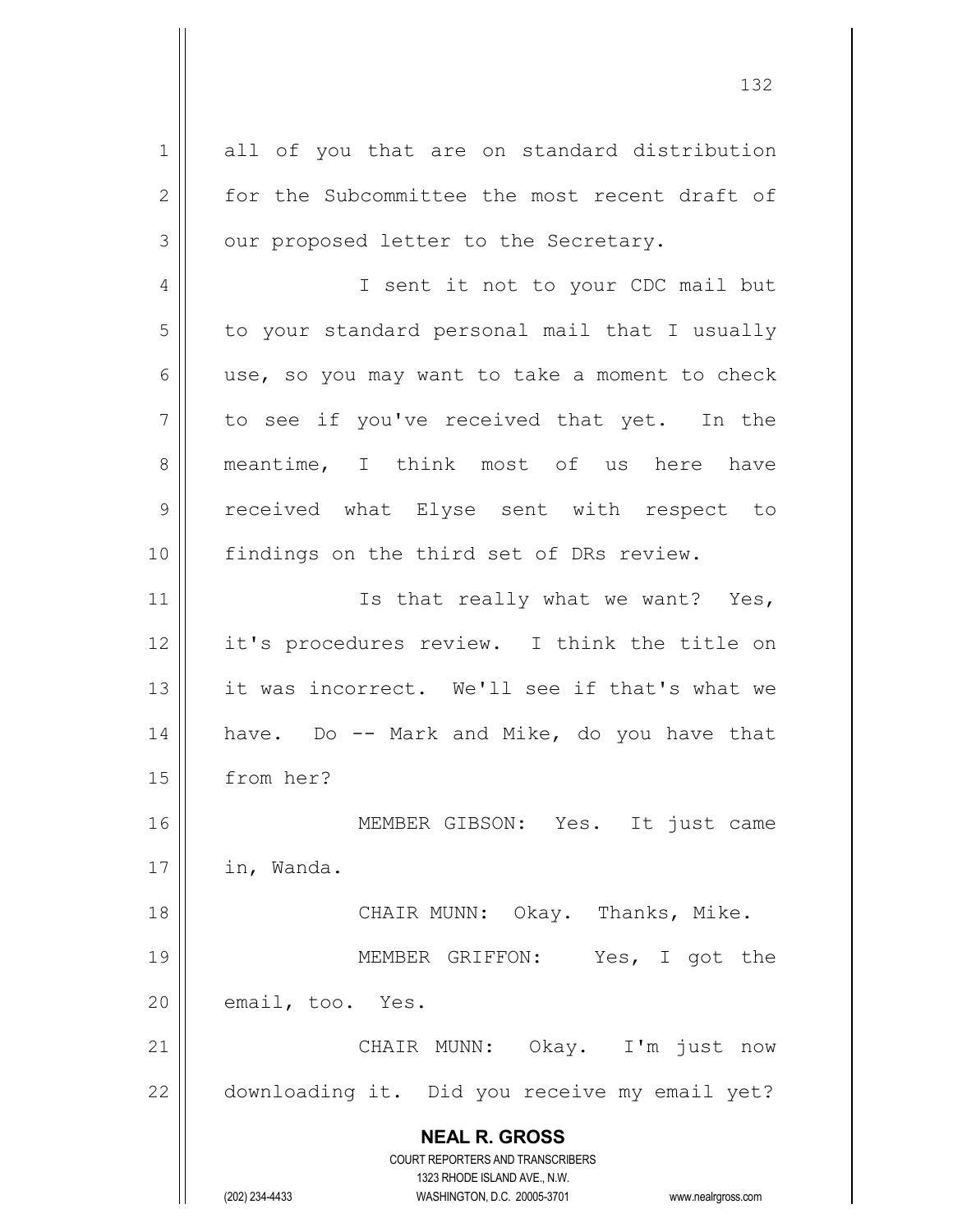**NEAL R. GROSS** COURT REPORTERS AND TRANSCRIBERS 1323 RHODE ISLAND AVE., N.W. (202) 234-4433 WASHINGTON, D.C. 20005-3701 www.nealrgross.com 1 all of you that are on standard distribution 2 for the Subcommittee the most recent draft of  $3 \parallel$  our proposed letter to the Secretary. 4 || I sent it not to your CDC mail but 5 | to your standard personal mail that I usually  $6 \parallel$  use, so you may want to take a moment to check  $7 ||$  to see if you've received that yet. In the 8 || meantime, I think most of us here have 9 || received what Elyse sent with respect to 10 || findings on the third set of DRs review. 11 || Is that really what we want? Yes, 12 it's procedures review. I think the title on 13 || it was incorrect. We'll see if that's what we 14  $\parallel$  have. Do -- Mark and Mike, do you have that 15 from her? 16 MEMBER GIBSON: Yes. It just came  $17$  | in, Wanda. 18 || CHAIR MUNN: Okay. Thanks, Mike. 19 MEMBER GRIFFON: Yes, I got the  $20$  || email, too. Yes. 21 CHAIR MUNN: Okay. I'm just now 22 | downloading it. Did you receive my email yet?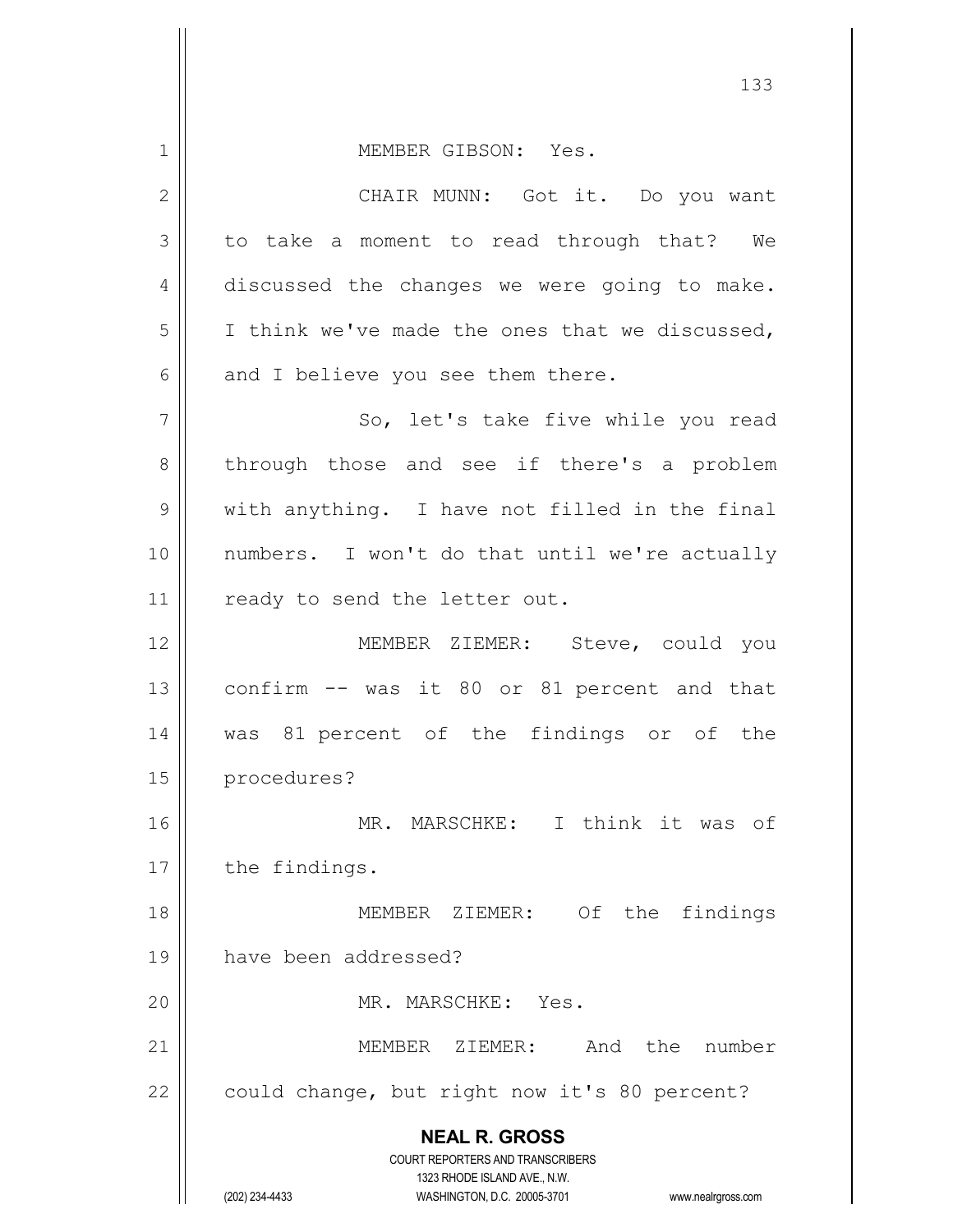**NEAL R. GROSS** COURT REPORTERS AND TRANSCRIBERS 1 MEMBER GIBSON: Yes. 2 CHAIR MUNN: Got it. Do you want 3 to take a moment to read through that? We 4 discussed the changes we were going to make.  $5$  | I think we've made the ones that we discussed,  $6$  || and I believe you see them there. 7 || So, let's take five while you read 8 through those and see if there's a problem  $9 \parallel$  with anything. I have not filled in the final 10 || numbers. I won't do that until we're actually 11 | ready to send the letter out. 12 || MEMBER ZIEMER: Steve, could you  $13$  confirm  $-$  was it 80 or 81 percent and that 14 was 81 percent of the findings or of the 15 procedures? 16 MR. MARSCHKE: I think it was of 17 | the findings. 18 MEMBER ZIEMER: Of the findings 19 have been addressed? 20 MR. MARSCHKE: Yes. 21 MEMBER ZIEMER: And the number 22  $\vert$  could change, but right now it's 80 percent?

1323 RHODE ISLAND AVE., N.W.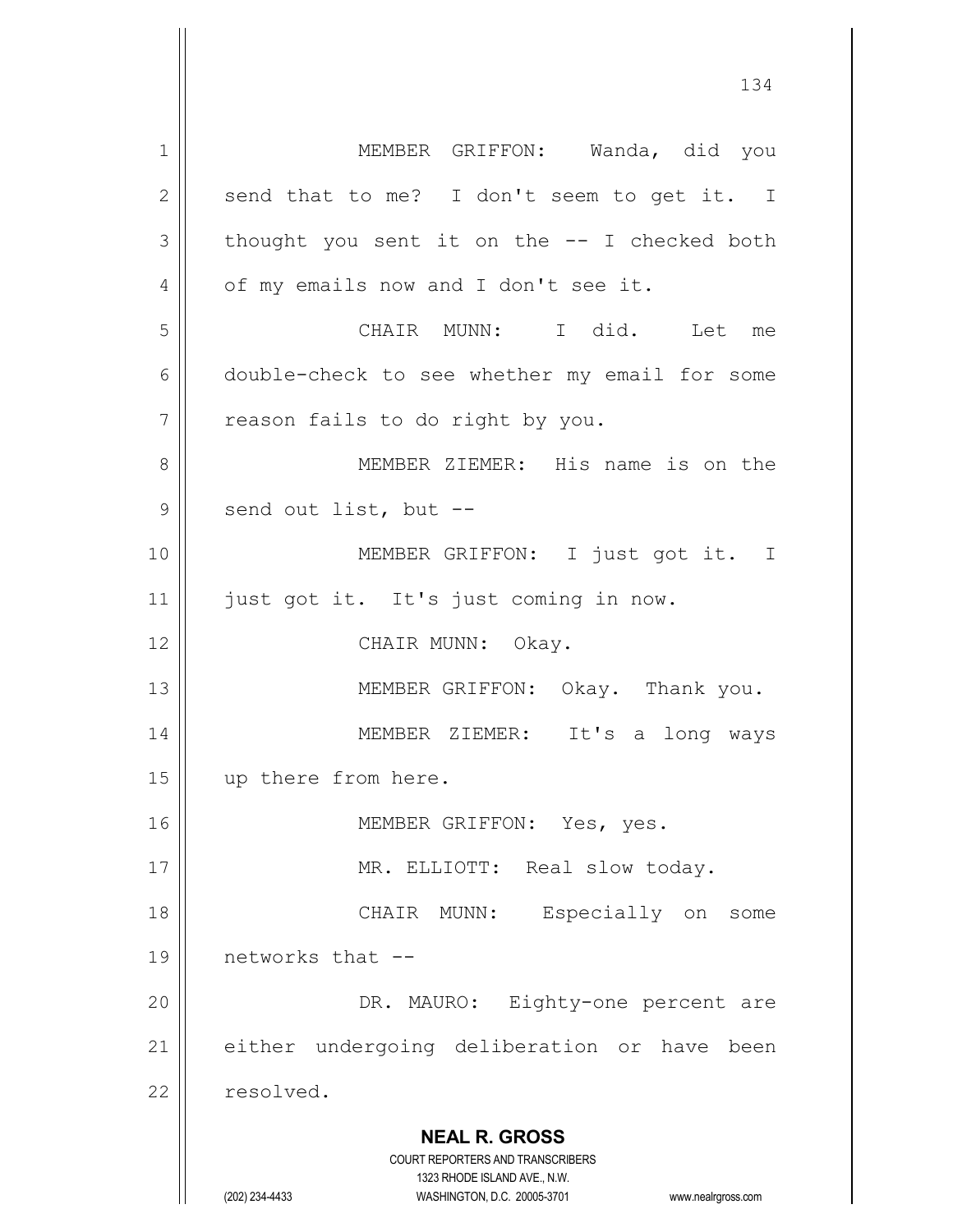**NEAL R. GROSS** COURT REPORTERS AND TRANSCRIBERS 1323 RHODE ISLAND AVE., N.W. (202) 234-4433 WASHINGTON, D.C. 20005-3701 www.nealrgross.com 1 | MEMBER GRIFFON: Wanda, did you  $2 \parallel$  send that to me? I don't seem to get it. I  $3 \parallel$  thought you sent it on the  $-$ - I checked both 4 | of my emails now and I don't see it. 5 CHAIR MUNN: I did. Let me 6 double-check to see whether my email for some  $7 \parallel$  reason fails to do right by you. 8 MEMBER ZIEMER: His name is on the  $9 \parallel$  send out list, but --10 MEMBER GRIFFON: I just got it. I 11 || just got it. It's just coming in now. 12 || CHAIR MUNN: Okay. 13 || MEMBER GRIFFON: Okay. Thank you. 14 MEMBER ZIEMER: It's a long ways 15 up there from here. 16 MEMBER GRIFFON: Yes, yes. 17 || MR. ELLIOTT: Real slow today. 18 CHAIR MUNN: Especially on some 19 networks that -- 20 || DR. MAURO: Eighty-one percent are 21 || either undergoing deliberation or have been 22 resolved.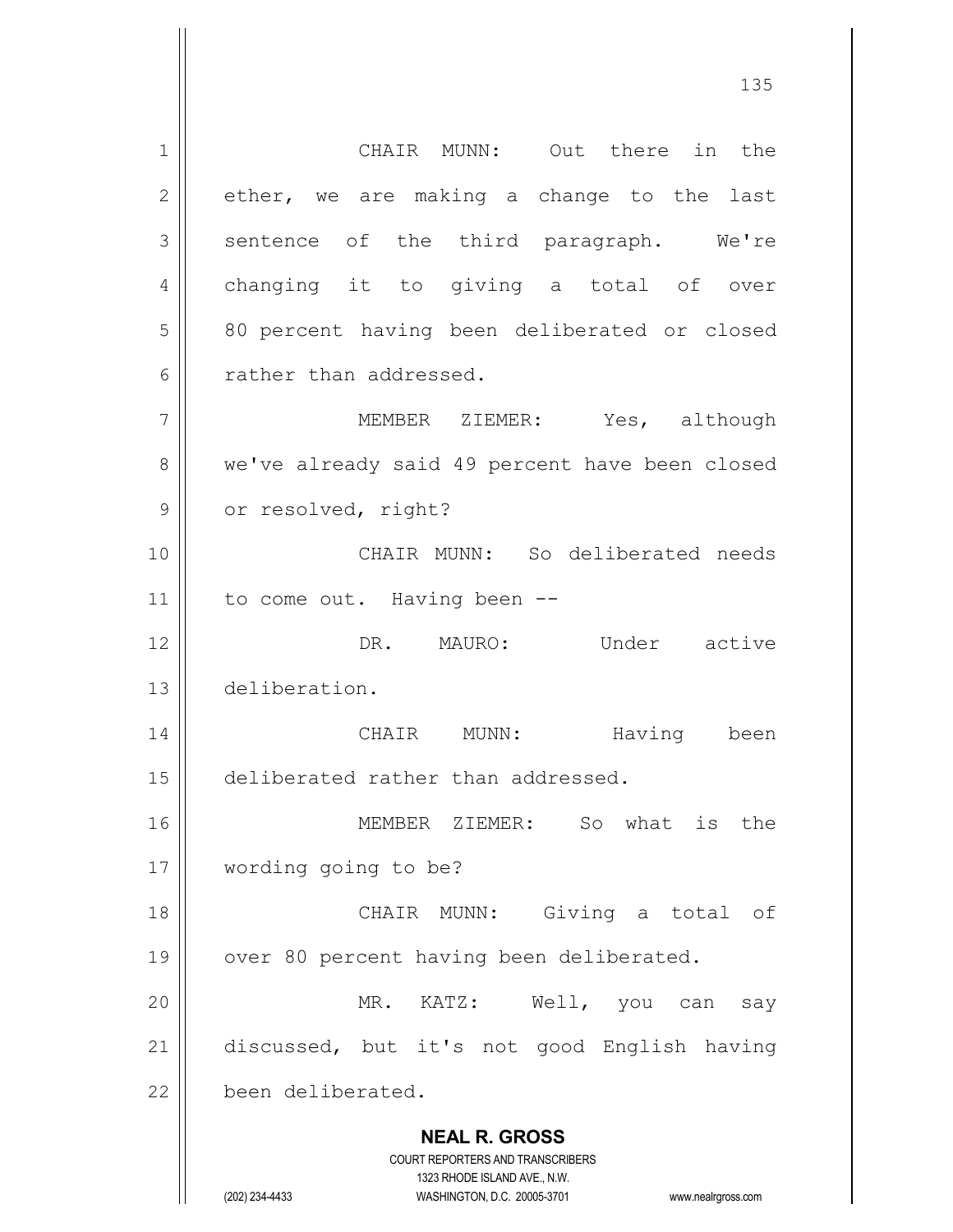**NEAL R. GROSS** COURT REPORTERS AND TRANSCRIBERS 1323 RHODE ISLAND AVE., N.W. (202) 234-4433 WASHINGTON, D.C. 20005-3701 www.nealrgross.com 1 || CHAIR MUNN: Out there in the  $2 \parallel$  ether, we are making a change to the last  $3 \parallel$  sentence of the third paragraph. We're 4 || changing it to giving a total of over 5 || 80 percent having been deliberated or closed 6 arather than addressed. 7 MEMBER ZIEMER: Yes, although 8 we've already said 49 percent have been closed 9 | or resolved, right? 10 CHAIR MUNN: So deliberated needs 11 | to come out. Having been --12 DR. MAURO: Under active 13 deliberation. 14 CHAIR MUNN: Having been 15 || deliberated rather than addressed. 16 MEMBER ZIEMER: So what is the 17 wording going to be? 18 || CHAIR MUNN: Giving a total of 19 || over 80 percent having been deliberated. 20 MR. KATZ: Well, you can say 21 discussed, but it's not good English having 22 been deliberated.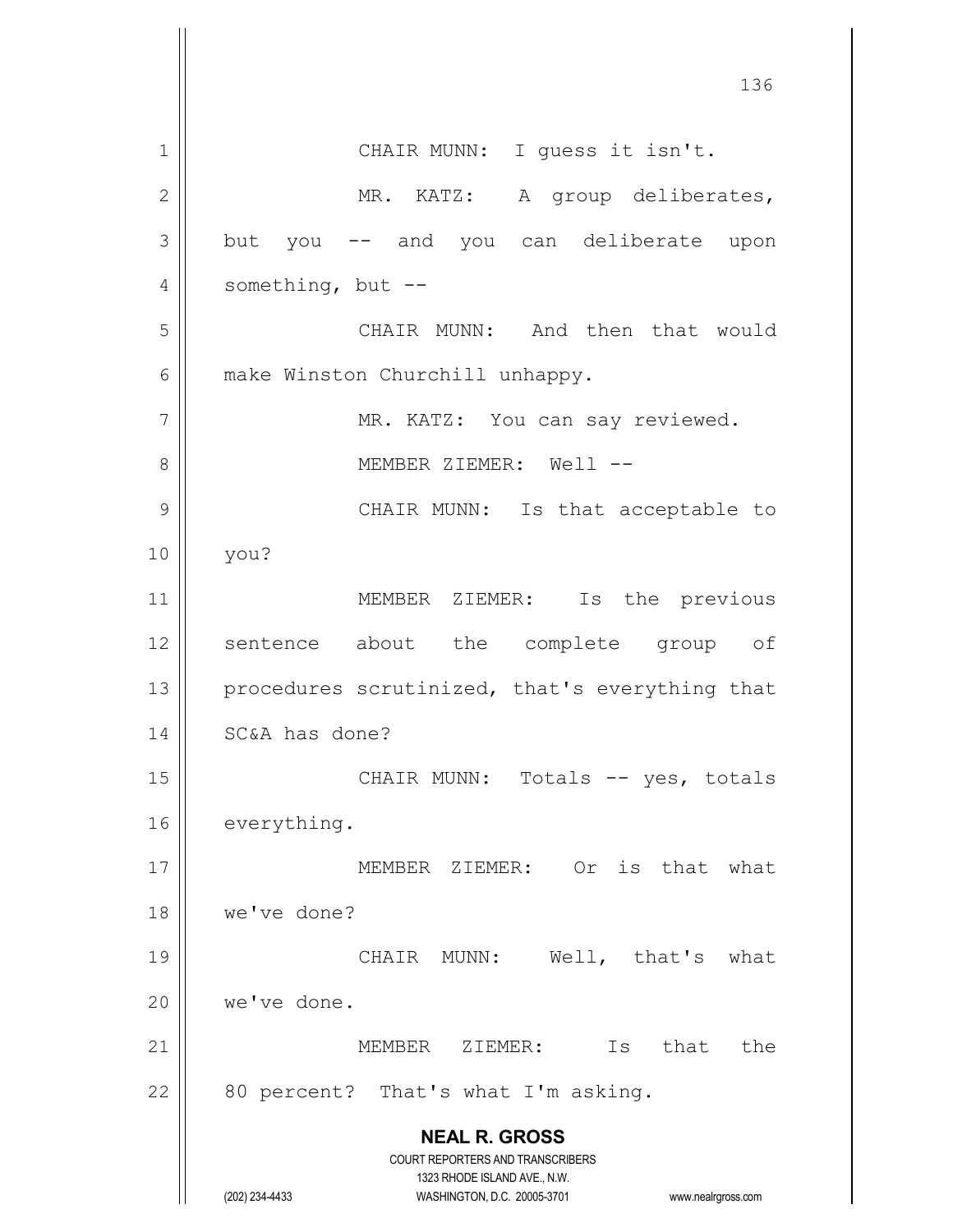**NEAL R. GROSS** COURT REPORTERS AND TRANSCRIBERS 1323 RHODE ISLAND AVE., N.W. (202) 234-4433 WASHINGTON, D.C. 20005-3701 www.nealrgross.com 136 1 || CHAIR MUNN: I quess it isn't. 2 || MR. KATZ: A group deliberates,  $3 \parallel$  but you  $-$  and you can deliberate upon 4  $\parallel$  something, but --5 CHAIR MUNN: And then that would 6 | make Winston Churchill unhappy. 7 || MR. KATZ: You can say reviewed. 8 MEMBER ZIEMER: Well -- 9 CHAIR MUNN: Is that acceptable to 10 you? 11 || MEMBER ZIEMER: Is the previous 12 || sentence about the complete group of 13  $\parallel$  procedures scrutinized, that's everything that 14 | SC&A has done? 15 || CHAIR MUNN: Totals -- yes, totals 16 everything. 17 || MEMBER ZIEMER: Or is that what 18 we've done? 19 CHAIR MUNN: Well, that's what 20 | we've done. 21 MEMBER ZIEMER: Is that the  $22$  | 80 percent? That's what I'm asking.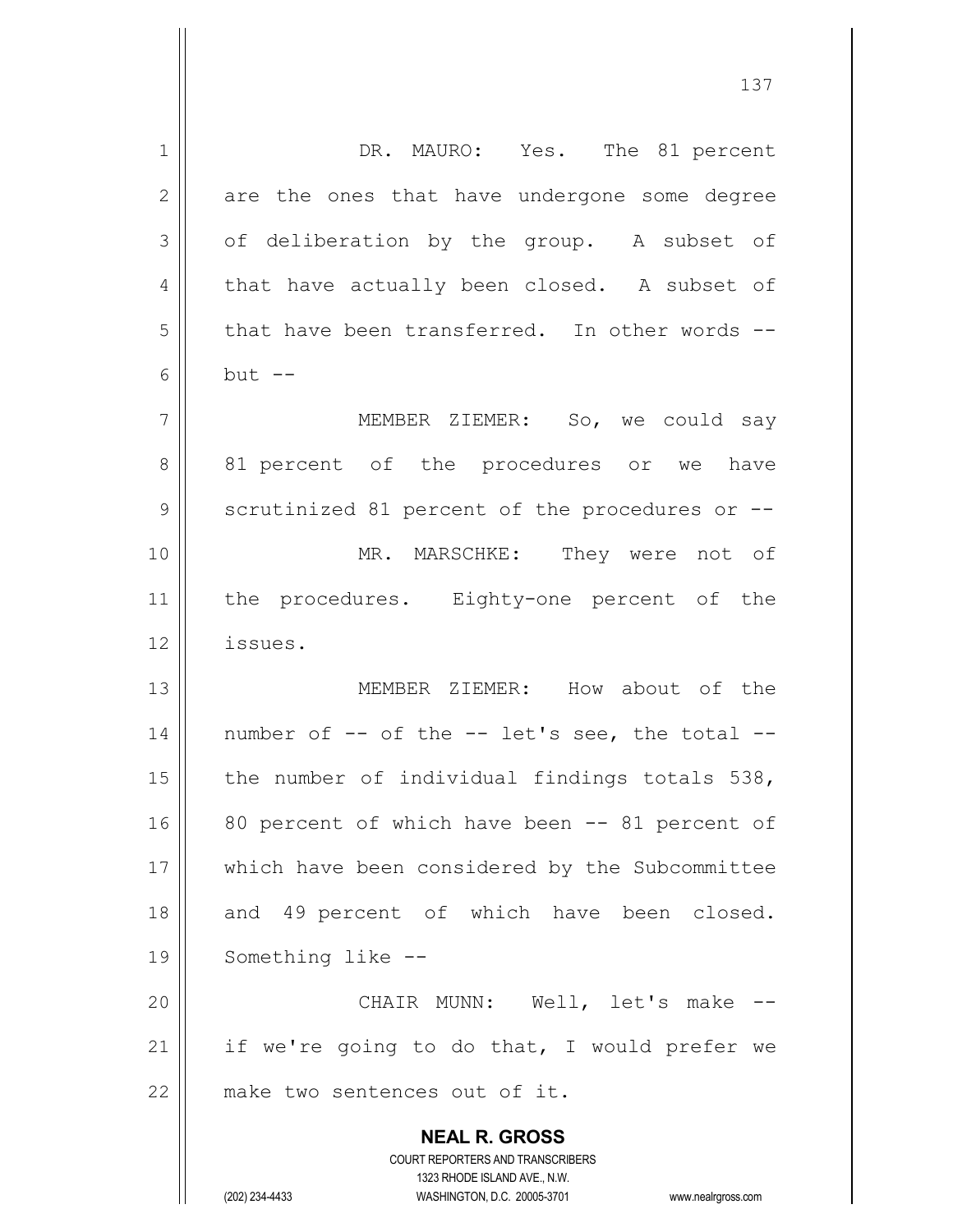| 1  | DR. MAURO: Yes. The 81 percent                                      |
|----|---------------------------------------------------------------------|
| 2  | are the ones that have undergone some degree                        |
| 3  | of deliberation by the group. A subset of                           |
| 4  | that have actually been closed. A subset of                         |
| 5  | that have been transferred. In other words --                       |
| 6  | $but --$                                                            |
| 7  | MEMBER ZIEMER: So, we could say                                     |
| 8  | 81 percent of the procedures or we have                             |
| 9  | scrutinized 81 percent of the procedures or --                      |
| 10 | MR. MARSCHKE: They were not of                                      |
| 11 | the procedures. Eighty-one percent of the                           |
| 12 | issues.                                                             |
| 13 | MEMBER ZIEMER: How about of the                                     |
| 14 | number of -- of the -- let's see, the total --                      |
| 15 | the number of individual findings totals 538,                       |
| 16 | 80 percent of which have been -- 81 percent of                      |
|    |                                                                     |
| 17 | which have been considered by the Subcommittee                      |
| 18 | and 49 percent of which have been closed.                           |
| 19 | Something like --                                                   |
| 20 | CHAIR MUNN: Well, let's make --                                     |
| 21 | if we're going to do that, I would prefer we                        |
| 22 | make two sentences out of it.                                       |
|    | <b>NEAL R. GROSS</b>                                                |
|    | COURT REPORTERS AND TRANSCRIBERS                                    |
|    | 1323 RHODE ISLAND AVE., N.W.                                        |
|    | (202) 234-4433<br>WASHINGTON, D.C. 20005-3701<br>www.nealrgross.com |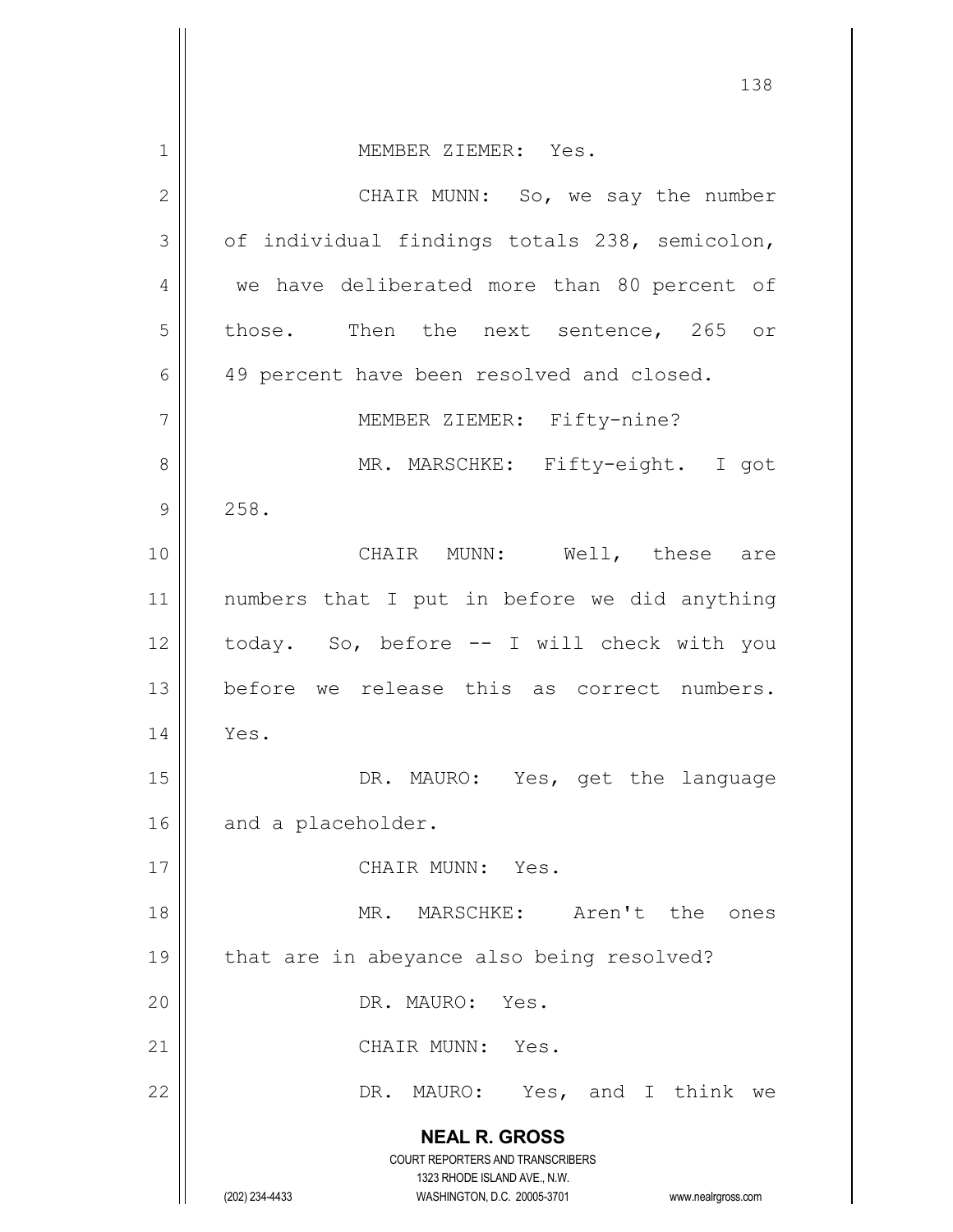|               | 138                                                                     |
|---------------|-------------------------------------------------------------------------|
| 1             | MEMBER ZIEMER: Yes.                                                     |
| $\mathbf{2}$  | CHAIR MUNN: So, we say the number                                       |
| 3             | of individual findings totals 238, semicolon,                           |
|               |                                                                         |
| 4             | we have deliberated more than 80 percent of                             |
| 5             | those. Then the next sentence, 265 or                                   |
| 6             | 49 percent have been resolved and closed.                               |
| 7             | MEMBER ZIEMER: Fifty-nine?                                              |
| 8             | MR. MARSCHKE: Fifty-eight. I got                                        |
| $\mathcal{G}$ | 258.                                                                    |
| 10            | CHAIR MUNN: Well, these are                                             |
| 11            | numbers that I put in before we did anything                            |
| 12            | today. So, before -- I will check with you                              |
| 13            | before we release this as correct numbers.                              |
| 14            | Yes.                                                                    |
| 15            | DR. MAURO: Yes, get the language                                        |
| 16            | and a placeholder.                                                      |
| 17            | CHAIR MUNN: Yes.                                                        |
| 18            | MR. MARSCHKE: Aren't the ones                                           |
| 19            | that are in abeyance also being resolved?                               |
| 20            | DR. MAURO: Yes.                                                         |
| 21            | CHAIR MUNN: Yes.                                                        |
| 22            | DR. MAURO: Yes, and I think we                                          |
|               | <b>NEAL R. GROSS</b>                                                    |
|               | <b>COURT REPORTERS AND TRANSCRIBERS</b><br>1323 RHODE ISLAND AVE., N.W. |
|               | (202) 234-4433<br>WASHINGTON, D.C. 20005-3701<br>www.nealrgross.com     |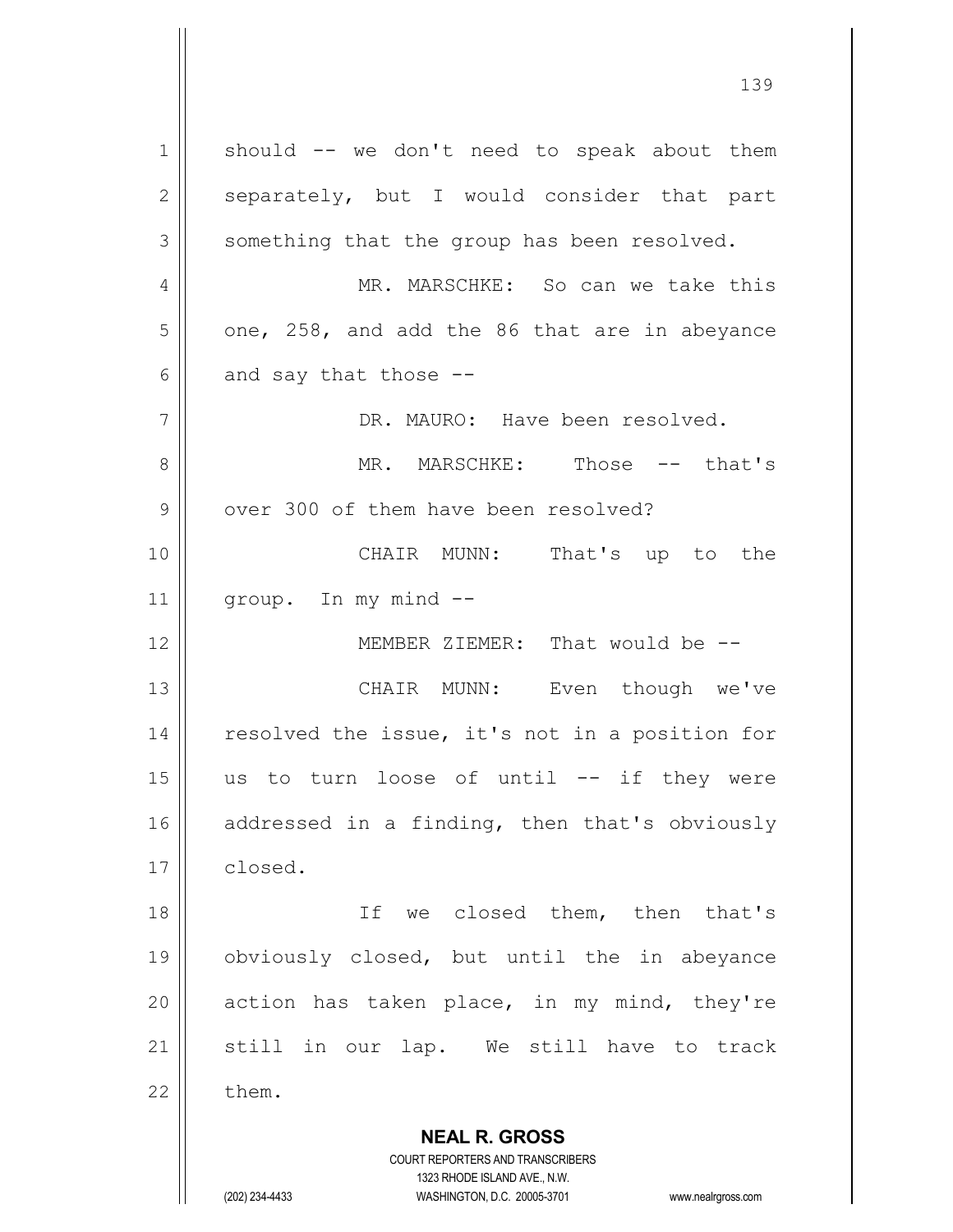**NEAL R. GROSS** COURT REPORTERS AND TRANSCRIBERS  $1 \parallel$  should -- we don't need to speak about them  $2 \parallel$  separately, but I would consider that part  $3$  something that the group has been resolved. 4 MR. MARSCHKE: So can we take this  $5 \parallel$  one, 258, and add the 86 that are in abeyance  $6 \parallel$  and say that those --7 DR. MAURO: Have been resolved. 8 MR. MARSCHKE: Those -- that's  $9 \parallel$  over 300 of them have been resolved? 10 CHAIR MUNN: That's up to the 11 | group. In my mind --12 MEMBER ZIEMER: That would be -- 13 CHAIR MUNN: Even though we've 14 || resolved the issue, it's not in a position for  $15$  us to turn loose of until  $--$  if they were 16 addressed in a finding, then that's obviously 17 | closed. 18 || Tf we closed them, then that's 19 obviously closed, but until the in abeyance 20  $\parallel$  action has taken place, in my mind, they're 21 Still in our lap. We still have to track  $22 \parallel$  them.

1323 RHODE ISLAND AVE., N.W.

(202) 234-4433 WASHINGTON, D.C. 20005-3701 www.nealrgross.com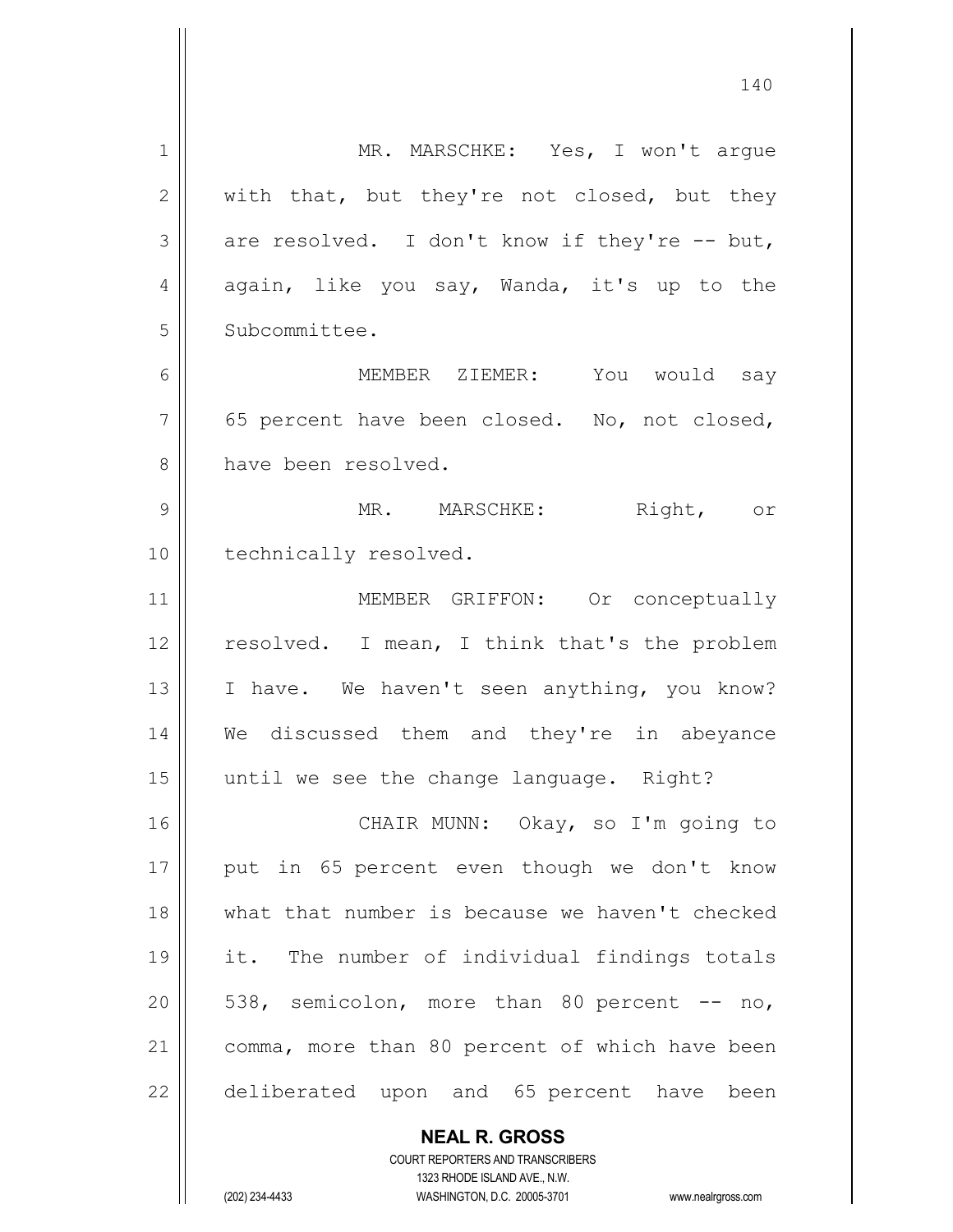1 | MR. MARSCHKE: Yes, I won't arque  $2 \parallel$  with that, but they're not closed, but they  $3 \parallel$  are resolved. I don't know if they're -- but,  $4 \parallel$  again, like you say, Wanda, it's up to the 5 | Subcommittee. 6 MEMBER ZIEMER: You would say  $7 \parallel$  65 percent have been closed. No, not closed, 8 have been resolved. 9 MR. MARSCHKE: Right, or 10 | technically resolved. 11 || MEMBER GRIFFON: Or conceptually 12 || resolved. I mean, I think that's the problem 13 || I have. We haven't seen anything, you know? 14 We discussed them and they're in abeyance 15 || until we see the change language. Right? 16 || CHAIR MUNN: Okay, so I'm going to 17 || put in 65 percent even though we don't know 18 what that number is because we haven't checked 19 it. The number of individual findings totals  $20 \parallel 538$ , semicolon, more than 80 percent  $-$  no, 21 | comma, more than 80 percent of which have been 22 deliberated upon and 65 percent have been

> **NEAL R. GROSS** COURT REPORTERS AND TRANSCRIBERS 1323 RHODE ISLAND AVE., N.W.

(202) 234-4433 WASHINGTON, D.C. 20005-3701 www.nealrgross.com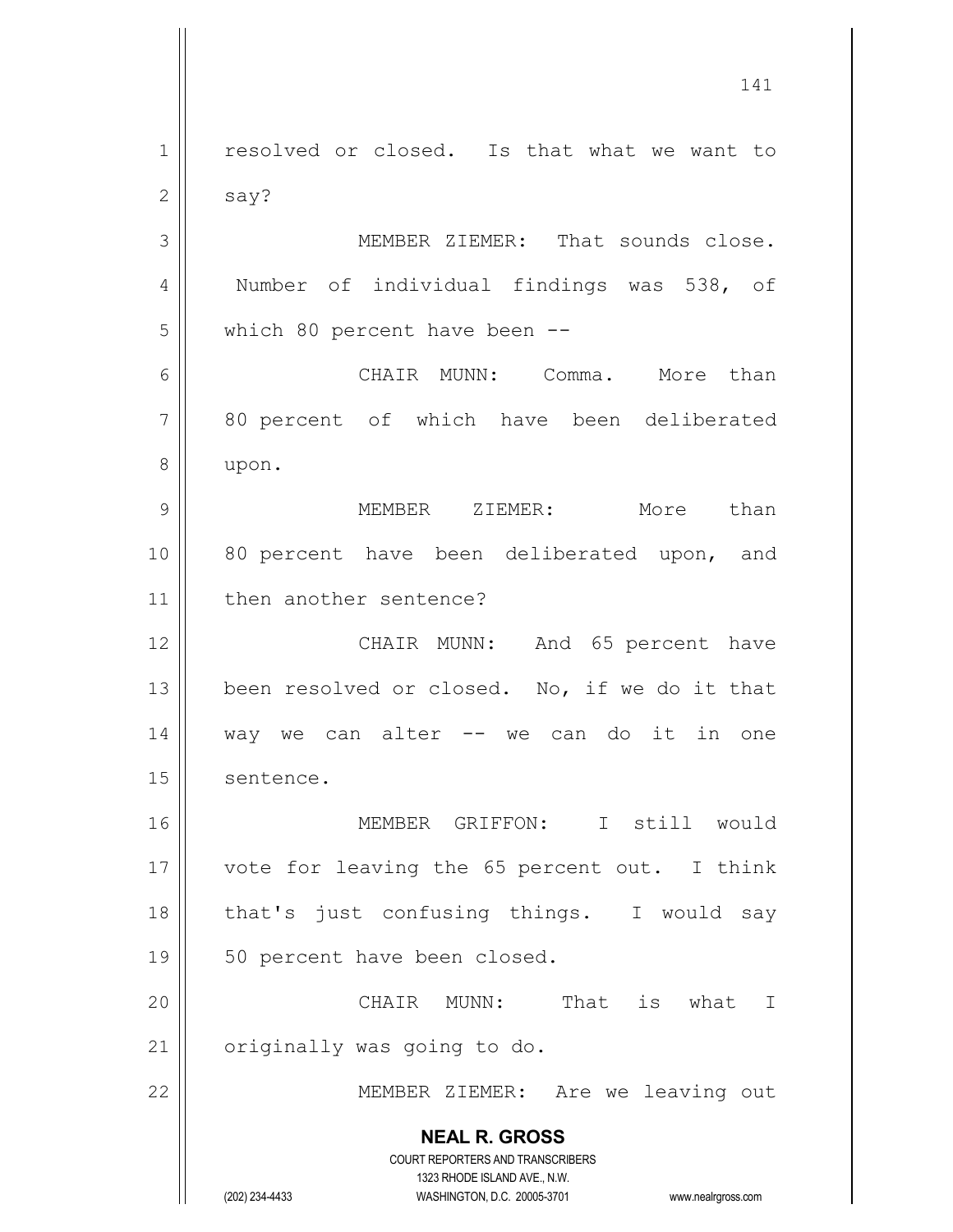**NEAL R. GROSS** COURT REPORTERS AND TRANSCRIBERS 1323 RHODE ISLAND AVE., N.W. (202) 234-4433 WASHINGTON, D.C. 20005-3701 www.nealrgross.com 1 | resolved or closed. Is that what we want to  $2 \parallel$  say? 3 || MEMBER ZIEMER: That sounds close. 4 | Number of individual findings was 538, of 5 || which 80 percent have been --6 CHAIR MUNN: Comma. More than 7 || 80 percent of which have been deliberated 8 | upon. 9 MEMBER ZIEMER: More than 10 || 80 percent have been deliberated upon, and 11 | then another sentence? 12 || CHAIR MUNN: And 65 percent have 13  $\parallel$  been resolved or closed. No, if we do it that  $14$  way we can alter  $-$  we can do it in one 15 sentence. 16 MEMBER GRIFFON: I still would 17 || vote for leaving the 65 percent out. I think 18 || that's just confusing things. I would say 19 || 50 percent have been closed. 20 CHAIR MUNN: That is what I  $21$  | originally was going to do. 22 || MEMBER ZIEMER: Are we leaving out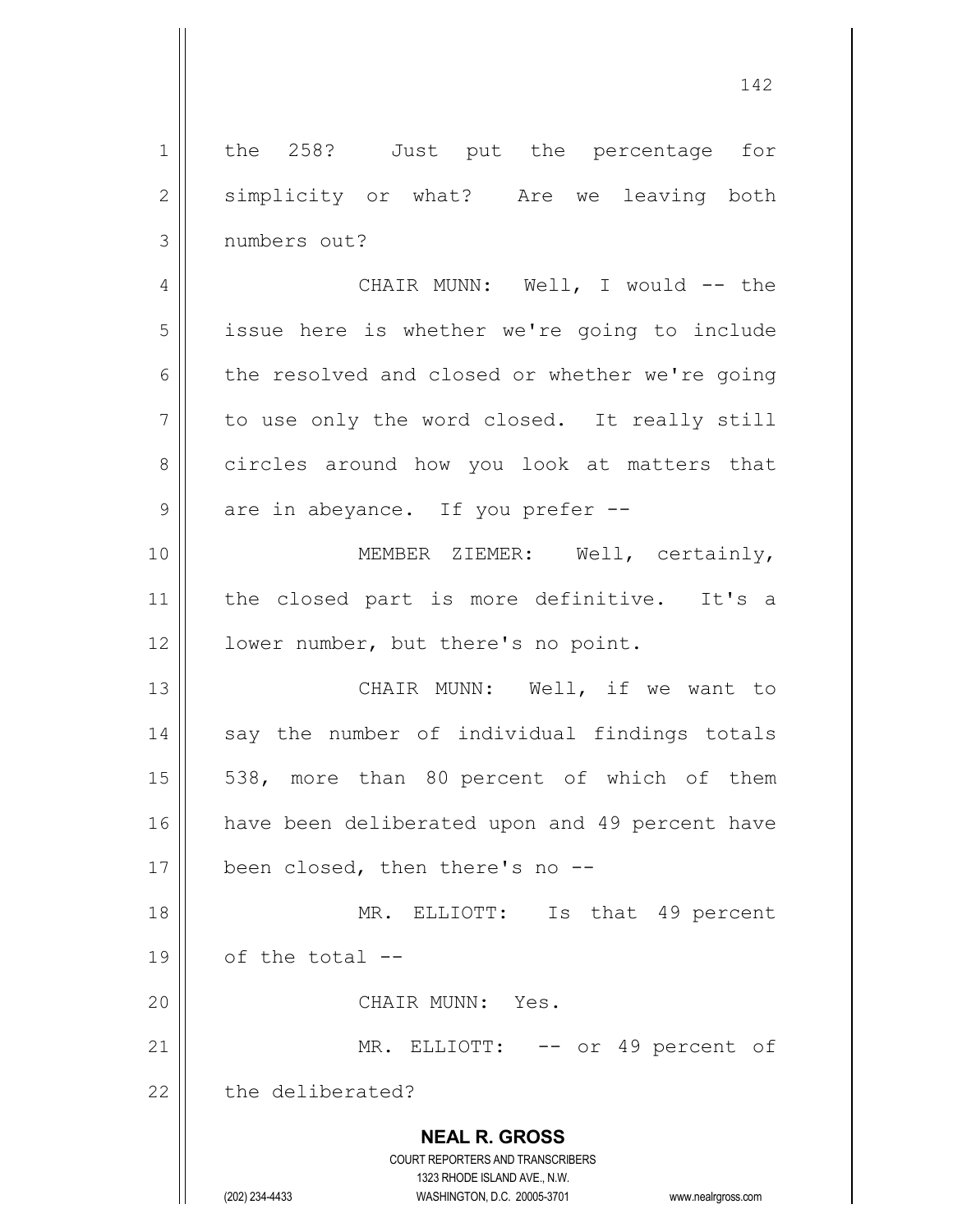**NEAL R. GROSS** COURT REPORTERS AND TRANSCRIBERS 1323 RHODE ISLAND AVE., N.W. (202) 234-4433 WASHINGTON, D.C. 20005-3701 www.nealrgross.com 1 || the 258? Just put the percentage for 2 | simplicity or what? Are we leaving both 3 numbers out? 4 CHAIR MUNN: Well, I would -- the 5 | issue here is whether we're going to include 6 the resolved and closed or whether we're going  $7 \parallel$  to use only the word closed. It really still 8 circles around how you look at matters that  $9 \parallel$  are in abeyance. If you prefer --10 || **MEMBER ZIEMER:** Well, certainly, 11 || the closed part is more definitive. It's a 12 | lower number, but there's no point. 13 || CHAIR MUNN: Well, if we want to 14 || say the number of individual findings totals  $15 \parallel$  538, more than 80 percent of which of them 16 | have been deliberated upon and 49 percent have 17 | been closed, then there's no --18 MR. ELLIOTT: Is that 49 percent  $19 \parallel$  of the total  $-$ 20 CHAIR MUNN: Yes. 21 || MR. ELLIOTT: -- or 49 percent of  $22$   $\parallel$  the deliberated?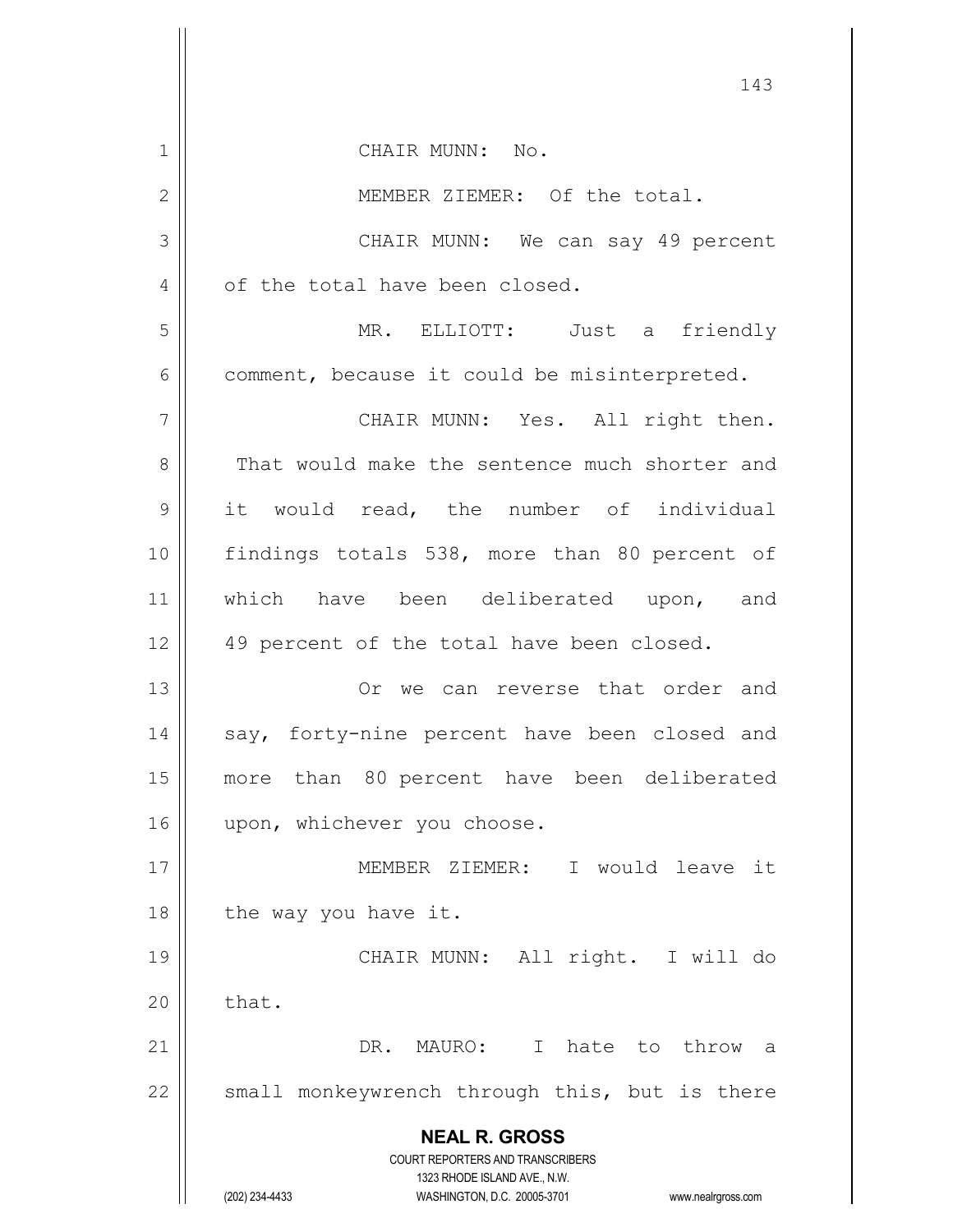**NEAL R. GROSS** COURT REPORTERS AND TRANSCRIBERS 1323 RHODE ISLAND AVE., N.W. (202) 234-4433 WASHINGTON, D.C. 20005-3701 www.nealrgross.com 1 || CHAIR MUNN: No. 2 || MEMBER ZIEMER: Of the total. 3 CHAIR MUNN: We can say 49 percent 4 | of the total have been closed. 5 MR. ELLIOTT: Just a friendly  $6 \parallel$  comment, because it could be misinterpreted. 7 || CHAIR MUNN: Yes. All right then. 8 That would make the sentence much shorter and 9 it would read, the number of individual 10 || findings totals 538, more than 80 percent of 11 || which have been deliberated upon, and 12 || 49 percent of the total have been closed. 13 Or we can reverse that order and 14 || say, forty-nine percent have been closed and 15 more than 80 percent have been deliberated 16 || upon, whichever you choose. 17 MEMBER ZIEMER: I would leave it  $18$  || the way you have it. 19 CHAIR MUNN: All right. I will do  $20$   $\parallel$  that. 21 DR. MAURO: I hate to throw a  $22$  small monkeywrench through this, but is there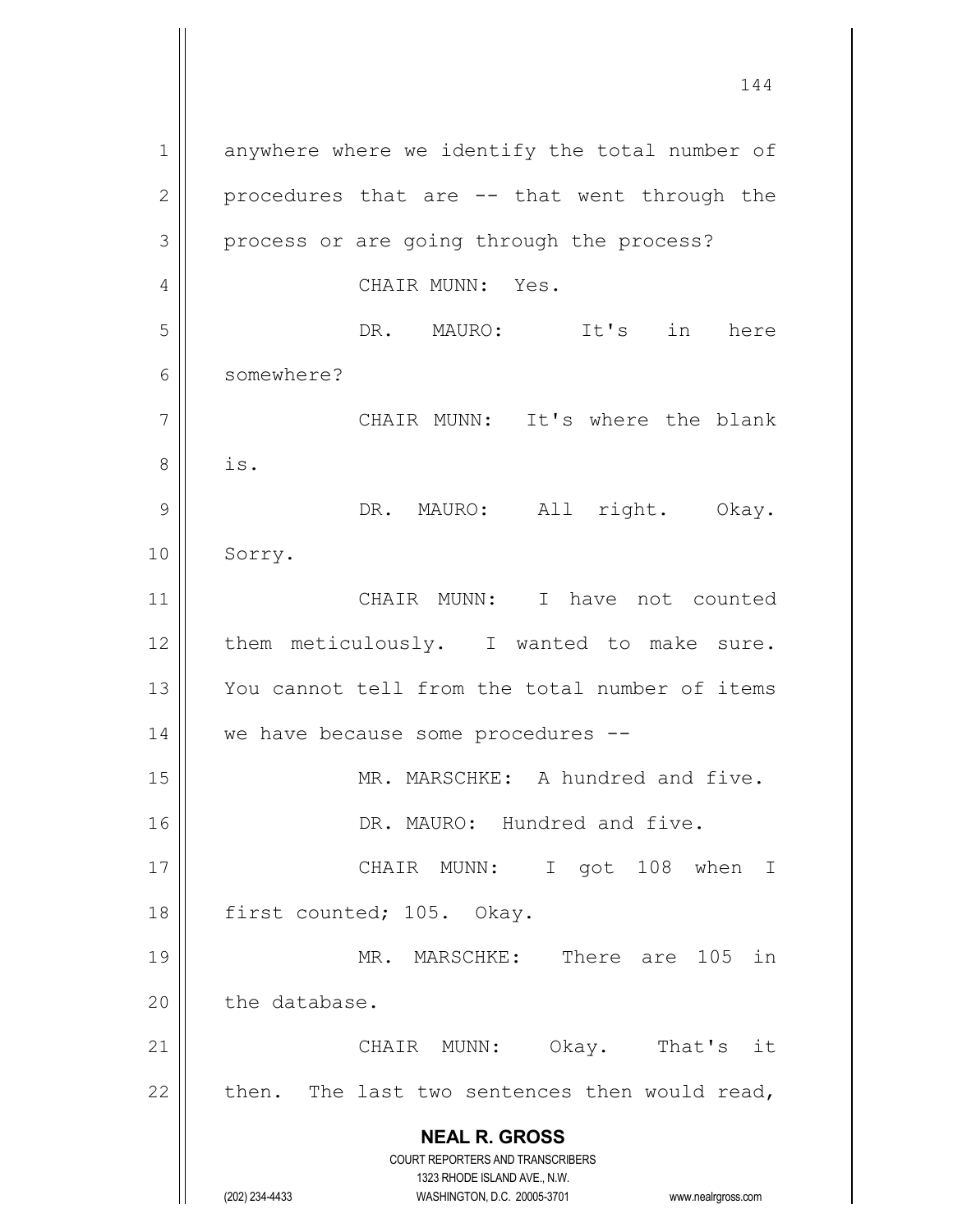**NEAL R. GROSS** COURT REPORTERS AND TRANSCRIBERS 1323 RHODE ISLAND AVE., N.W. (202) 234-4433 WASHINGTON, D.C. 20005-3701 www.nealrgross.com 1 anywhere where we identify the total number of  $2 \parallel$  procedures that are  $-$  that went through the 3 || process or are going through the process? 4 CHAIR MUNN: Yes. 5 DR. MAURO: It's in here 6 somewhere? 7 CHAIR MUNN: It's where the blank  $8 \parallel$  is. 9 || DR. MAURO: All right. Okay. 10 Sorry. 11 CHAIR MUNN: I have not counted 12 || them meticulously. I wanted to make sure. 13 You cannot tell from the total number of items 14 || we have because some procedures --15 || MR. MARSCHKE: A hundred and five. 16 | DR. MAURO: Hundred and five. 17 || CHAIR MUNN: I got 108 when I 18 | first counted; 105. Okay. 19 || MR. MARSCHKE: There are 105 in  $20$  | the database. 21 CHAIR MUNN: Okay. That's it 22  $\parallel$  then. The last two sentences then would read,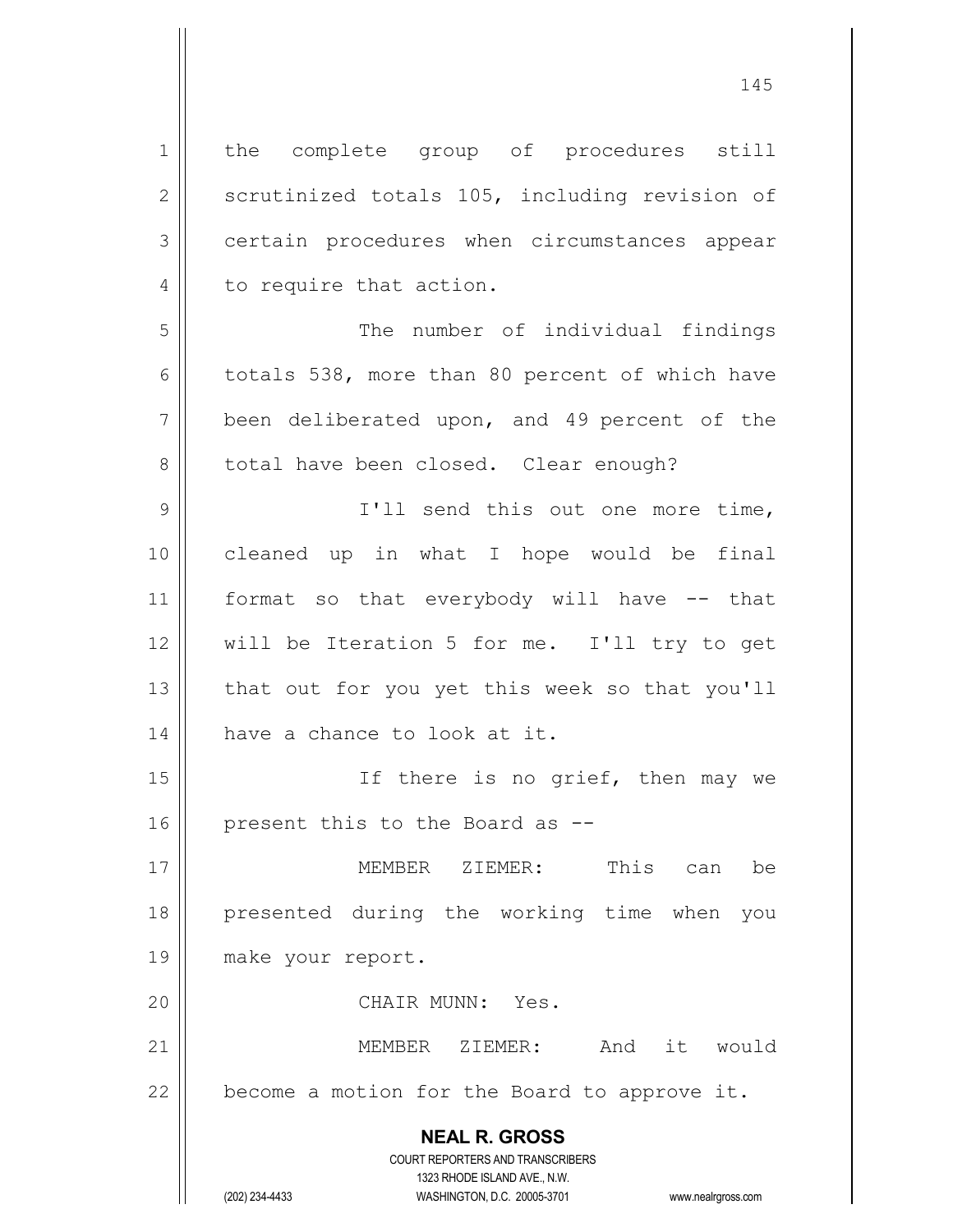| 1             | the complete group of procedures still                                                          |
|---------------|-------------------------------------------------------------------------------------------------|
| $\sqrt{2}$    | scrutinized totals 105, including revision of                                                   |
| $\mathcal{S}$ | certain procedures when circumstances appear                                                    |
| 4             | to require that action.                                                                         |
| 5             | The number of individual findings                                                               |
| 6             | totals 538, more than 80 percent of which have                                                  |
| 7             | been deliberated upon, and 49 percent of the                                                    |
| $\,8\,$       | total have been closed. Clear enough?                                                           |
| $\mathcal{G}$ | I'll send this out one more time,                                                               |
| 10            | cleaned up in what I hope would be final                                                        |
| 11            | format so that everybody will have -- that                                                      |
| 12            | will be Iteration 5 for me. I'll try to get                                                     |
| 13            | that out for you yet this week so that you'll                                                   |
| 14            | have a chance to look at it.                                                                    |
| 15            | If there is no grief, then may we                                                               |
| 16            | present this to the Board as --                                                                 |
| 17            | This<br>MEMBER ZIEMER:<br>be<br>can                                                             |
| 18            | presented during the working time when<br>you                                                   |
| 19            | make your report.                                                                               |
| 20            | CHAIR MUNN: Yes.                                                                                |
| 21            | it would<br>MEMBER<br>ZIEMER:<br>And                                                            |
| 22            | become a motion for the Board to approve it.                                                    |
|               | <b>NEAL R. GROSS</b><br><b>COURT REPORTERS AND TRANSCRIBERS</b><br>1323 RHODE ISLAND AVE., N.W. |
|               | (202) 234-4433<br>WASHINGTON, D.C. 20005-3701<br>www.nealrgross.com                             |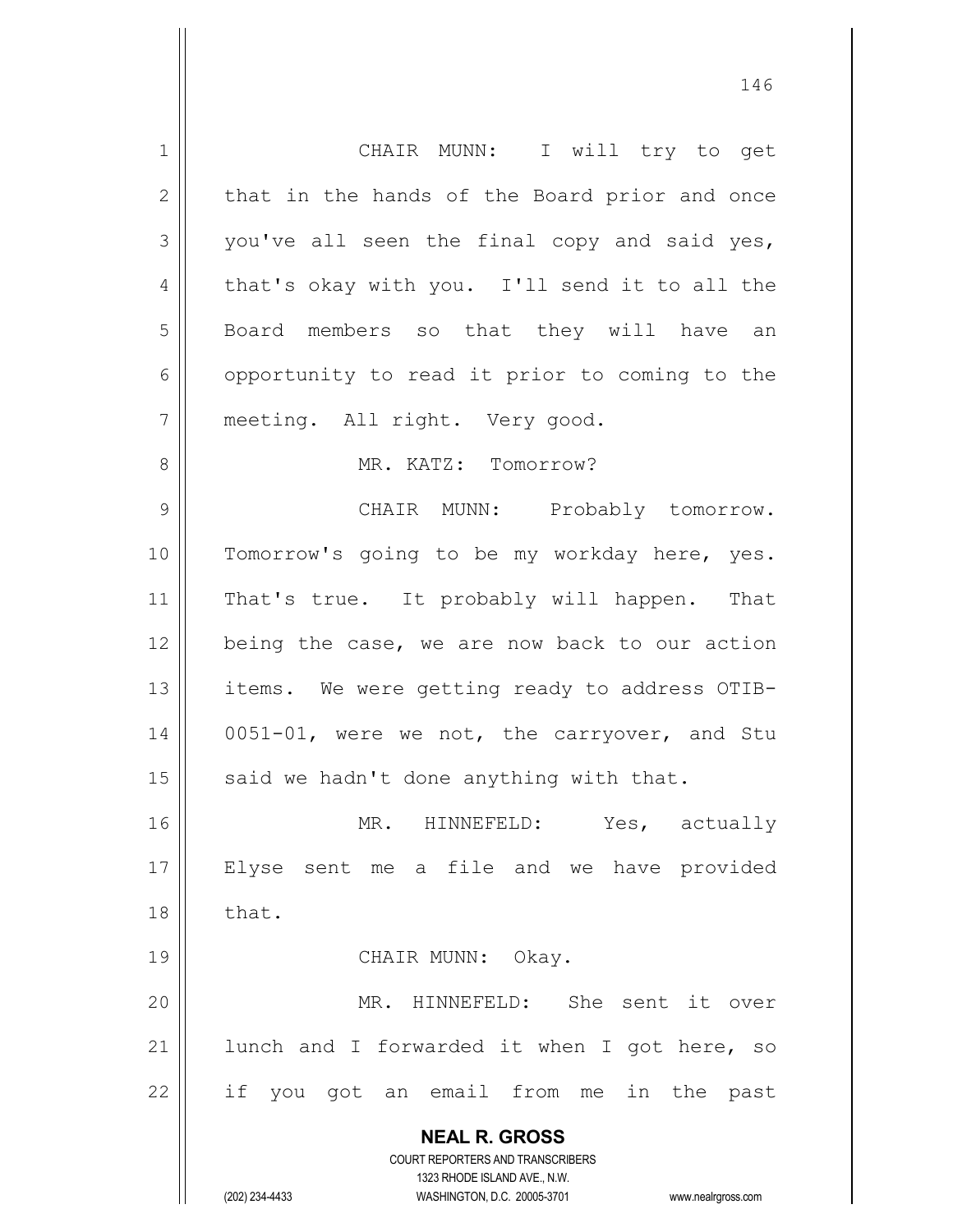**NEAL R. GROSS** COURT REPORTERS AND TRANSCRIBERS 1323 RHODE ISLAND AVE., N.W. (202) 234-4433 WASHINGTON, D.C. 20005-3701 www.nealrgross.com 1 || CHAIR MUNN: I will try to get  $2 \parallel$  that in the hands of the Board prior and once  $3 \parallel$  you've all seen the final copy and said yes,  $4 \parallel$  that's okay with you. I'll send it to all the 5 || Board members so that they will have an 6 | opportunity to read it prior to coming to the 7 || meeting. All right. Very good. 8 MR. KATZ: Tomorrow? 9 CHAIR MUNN: Probably tomorrow. 10 || Tomorrow's going to be my workday here, yes. 11 || That's true. It probably will happen. That 12 || being the case, we are now back to our action 13 || items. We were getting ready to address OTIB-14 0051-01, were we not, the carryover, and Stu 15  $\parallel$  said we hadn't done anything with that. 16 MR. HINNEFELD: Yes, actually 17 Elyse sent me a file and we have provided  $18 \parallel$  that. 19 || CHAIR MUNN: Okay. 20 MR. HINNEFELD: She sent it over 21  $\parallel$  lunch and I forwarded it when I got here, so  $22$  if you got an email from me in the past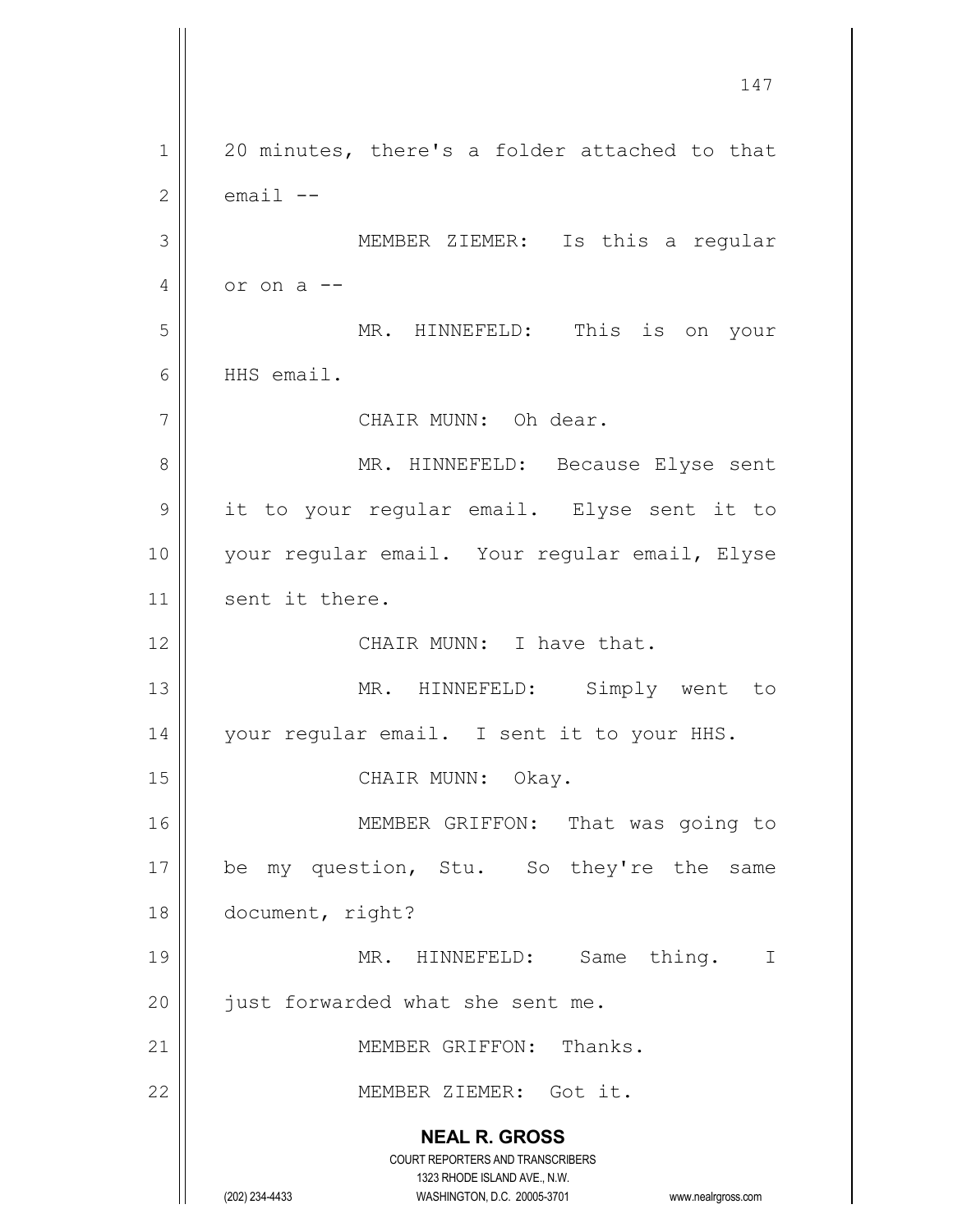**NEAL R. GROSS** COURT REPORTERS AND TRANSCRIBERS 1323 RHODE ISLAND AVE., N.W. (202) 234-4433 WASHINGTON, D.C. 20005-3701 www.nealrgross.com 147 1 || 20 minutes, there's a folder attached to that  $2 \parallel$  email  $-$ 3 MEMBER ZIEMER: Is this a regular  $4 \parallel$  or on a  $-$ 5 MR. HINNEFELD: This is on your 6 HHS email. 7 | CHAIR MUNN: Oh dear. 8 MR. HINNEFELD: Because Elyse sent 9 || it to your regular email. Elyse sent it to 10 || your regular email. Your regular email, Elyse 11 | sent it there. 12 || CHAIR MUNN: I have that. 13 || MR. HINNEFELD: Simply went to 14 | your regular email. I sent it to your HHS. 15 || CHAIR MUNN: Okay. 16 || MEMBER GRIFFON: That was going to 17 || be my question, Stu. So they're the same 18 document, right? 19 || MR. HINNEFELD: Same thing. I 20 | just forwarded what she sent me. 21 || MEMBER GRIFFON: Thanks. 22 MEMBER ZIEMER: Got it.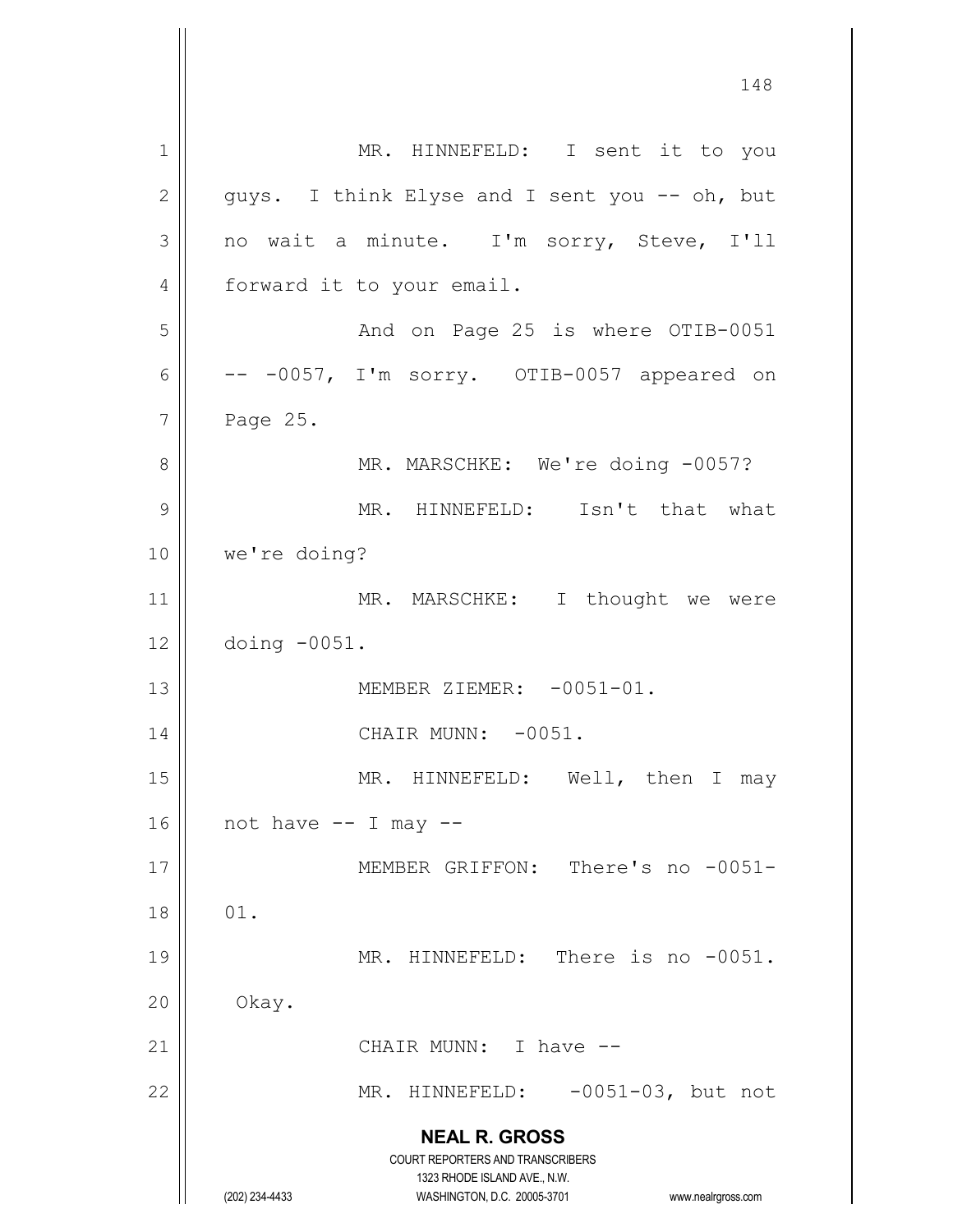**NEAL R. GROSS** COURT REPORTERS AND TRANSCRIBERS 1323 RHODE ISLAND AVE., N.W. (202) 234-4433 WASHINGTON, D.C. 20005-3701 www.nealrgross.com 1 || MR. HINNEFELD: I sent it to you  $2 \parallel$  guys. I think Elyse and I sent you -- oh, but  $3 \parallel$  no wait a minute. I'm sorry, Steve, I'll 4 | forward it to your email. 5 And on Page 25 is where OTIB-0051  $6 \parallel$  -- -0057, I'm sorry. OTIB-0057 appeared on  $7 \parallel$  Page 25. 8 || MR. MARSCHKE: We're doing -0057? 9 || MR. HINNEFELD: Isn't that what 10 | we're doing? 11 || MR. MARSCHKE: I thought we were 12 doing -0051. 13 MEMBER ZIEMER: -0051-01. 14 | CHAIR MUNN: -0051. 15 || MR. HINNEFELD: Well, then I may  $16$  | not have  $--$  I may  $--$ 17 || MEMBER GRIFFON: There's no -0051- $18 \parallel 01.$ 19 || MR. HINNEFELD: There is no -0051.  $20$  | Okay. 21 || CHAIR MUNN: I have --22 || MR. HINNEFELD: -0051-03, but not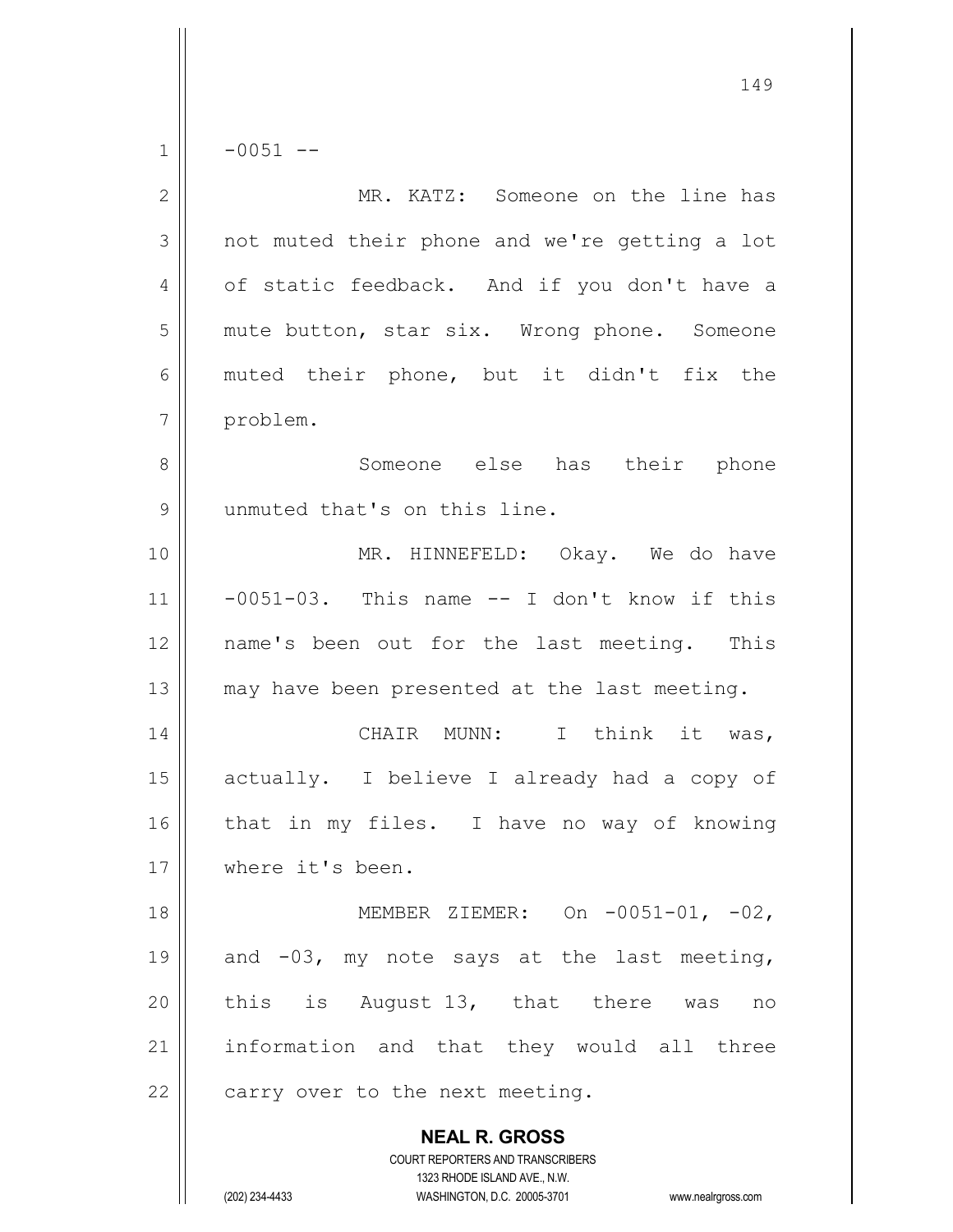$1 \parallel -0051 --$ 

| $\overline{2}$ | MR. KATZ: Someone on the line has                                                                                                                                      |
|----------------|------------------------------------------------------------------------------------------------------------------------------------------------------------------------|
| 3              | not muted their phone and we're getting a lot                                                                                                                          |
| 4              | of static feedback. And if you don't have a                                                                                                                            |
| 5              | mute button, star six. Wrong phone. Someone                                                                                                                            |
| 6              | muted their phone, but it didn't fix the                                                                                                                               |
| 7              | problem.                                                                                                                                                               |
| 8              | Someone else has their phone                                                                                                                                           |
| $\mathcal{G}$  | unmuted that's on this line.                                                                                                                                           |
| 10             | MR. HINNEFELD: Okay. We do have                                                                                                                                        |
| 11             | $-0051-03$ . This name $-$ I don't know if this                                                                                                                        |
| 12             | name's been out for the last meeting. This                                                                                                                             |
| 13             | may have been presented at the last meeting.                                                                                                                           |
| 14             | CHAIR MUNN: I think it was,                                                                                                                                            |
| 15             | actually. I believe I already had a copy of                                                                                                                            |
| 16             | that in my files. I have no way of knowing                                                                                                                             |
| 17             | where it's been.                                                                                                                                                       |
| 18             | MEMBER ZIEMER: On -0051-01, -02,                                                                                                                                       |
| 19             | and -03, my note says at the last meeting,                                                                                                                             |
| 20             | this is August 13, that there was<br>no                                                                                                                                |
| 21             | information and that they would all three                                                                                                                              |
| 22             | carry over to the next meeting.                                                                                                                                        |
|                | <b>NEAL R. GROSS</b><br><b>COURT REPORTERS AND TRANSCRIBERS</b><br>1323 RHODE ISLAND AVE., N.W.<br>(202) 234-4433<br>WASHINGTON, D.C. 20005-3701<br>www.nealrgross.com |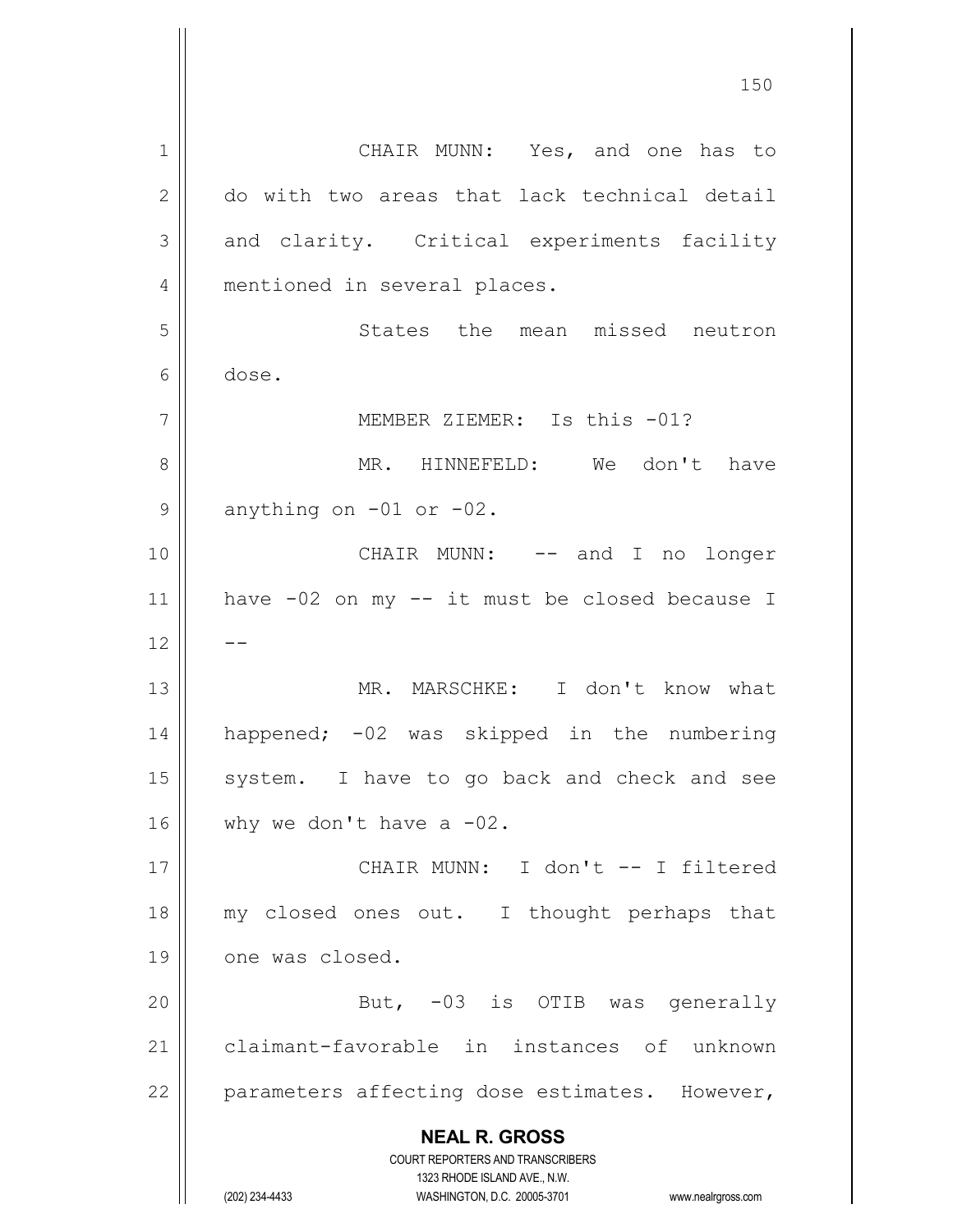**NEAL R. GROSS** COURT REPORTERS AND TRANSCRIBERS 1323 RHODE ISLAND AVE., N.W. (202) 234-4433 WASHINGTON, D.C. 20005-3701 www.nealrgross.com 1 | CHAIR MUNN: Yes, and one has to 2 do with two areas that lack technical detail 3 and clarity. Critical experiments facility 4 || mentioned in several places. 5 States the mean missed neutron 6 dose. 7 MEMBER ZIEMER: Is this -01? 8 MR. HINNEFELD: We don't have  $9 \parallel$  anything on -01 or -02. 10 CHAIR MUNN: -- and I no longer 11 have -02 on my -- it must be closed because I  $12$ 13 MR. MARSCHKE: I don't know what 14 happened; -02 was skipped in the numbering  $15$  system. I have to go back and check and see 16  $\parallel$  why we don't have a -02. 17 CHAIR MUNN: I don't -- I filtered 18 my closed ones out. I thought perhaps that 19 || one was closed. 20 || But, -03 is OTIB was generally 21 claimant-favorable in instances of unknown  $22$  || parameters affecting dose estimates. However,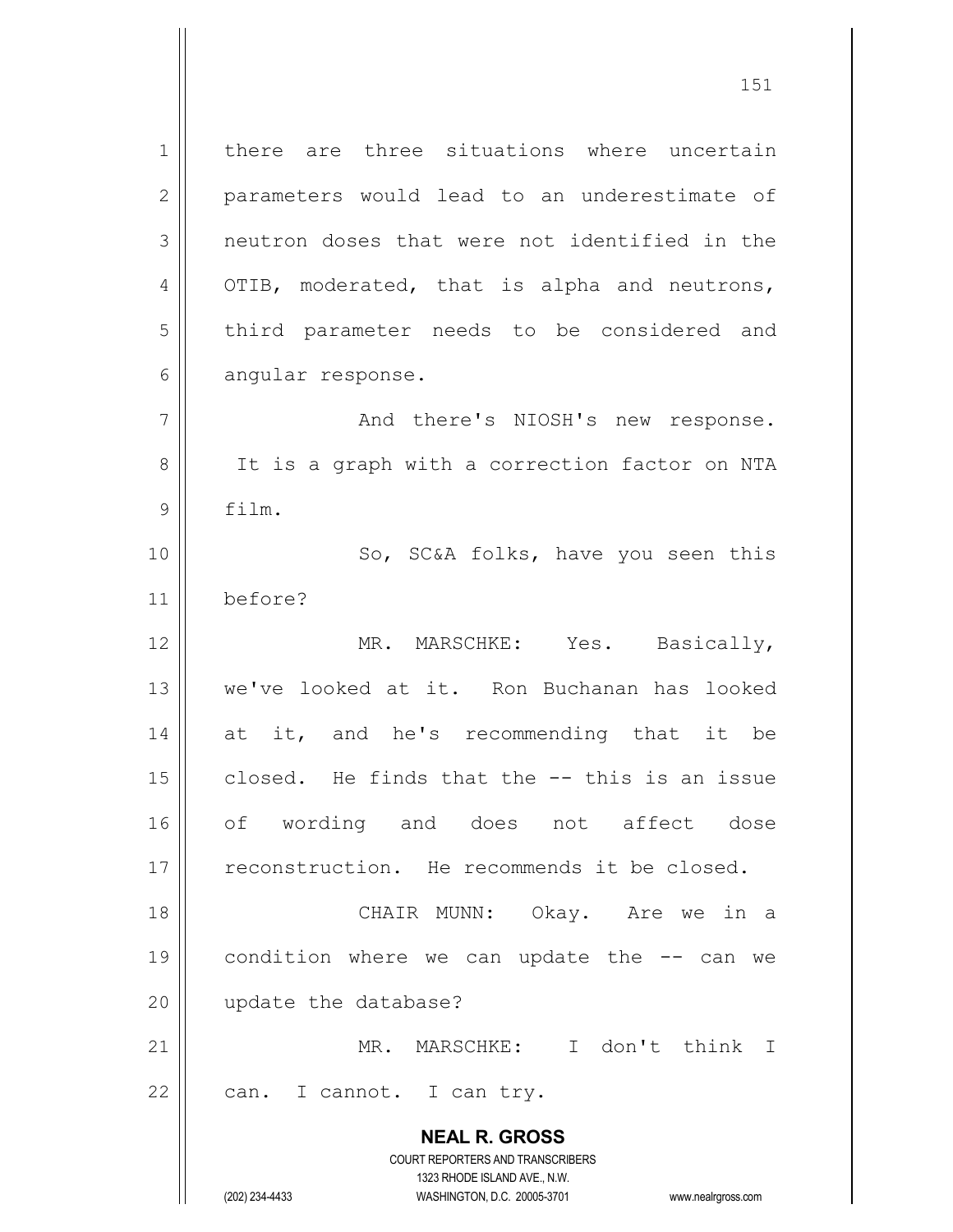**NEAL R. GROSS** COURT REPORTERS AND TRANSCRIBERS 1323 RHODE ISLAND AVE., N.W. (202) 234-4433 WASHINGTON, D.C. 20005-3701 www.nealrgross.com 1 | there are three situations where uncertain 2 || parameters would lead to an underestimate of 3 || neutron doses that were not identified in the  $4 \parallel$  OTIB, moderated, that is alpha and neutrons, 5 | third parameter needs to be considered and  $6 \parallel$  angular response. 7 And there's NIOSH's new response. 8 | It is a graph with a correction factor on NTA 9 film. 10 || So, SC&A folks, have you seen this 11 before? 12 || MR. MARSCHKE: Yes. Basically, 13 we've looked at it. Ron Buchanan has looked 14 at it, and he's recommending that it be  $15$  closed. He finds that the  $-$ - this is an issue 16 of wording and does not affect dose 17 || reconstruction. He recommends it be closed. 18 CHAIR MUNN: Okay. Are we in a 19  $\vert\vert$  condition where we can update the  $-$ - can we 20 | update the database? 21 MR. MARSCHKE: I don't think I  $22$  | can. I cannot. I can try.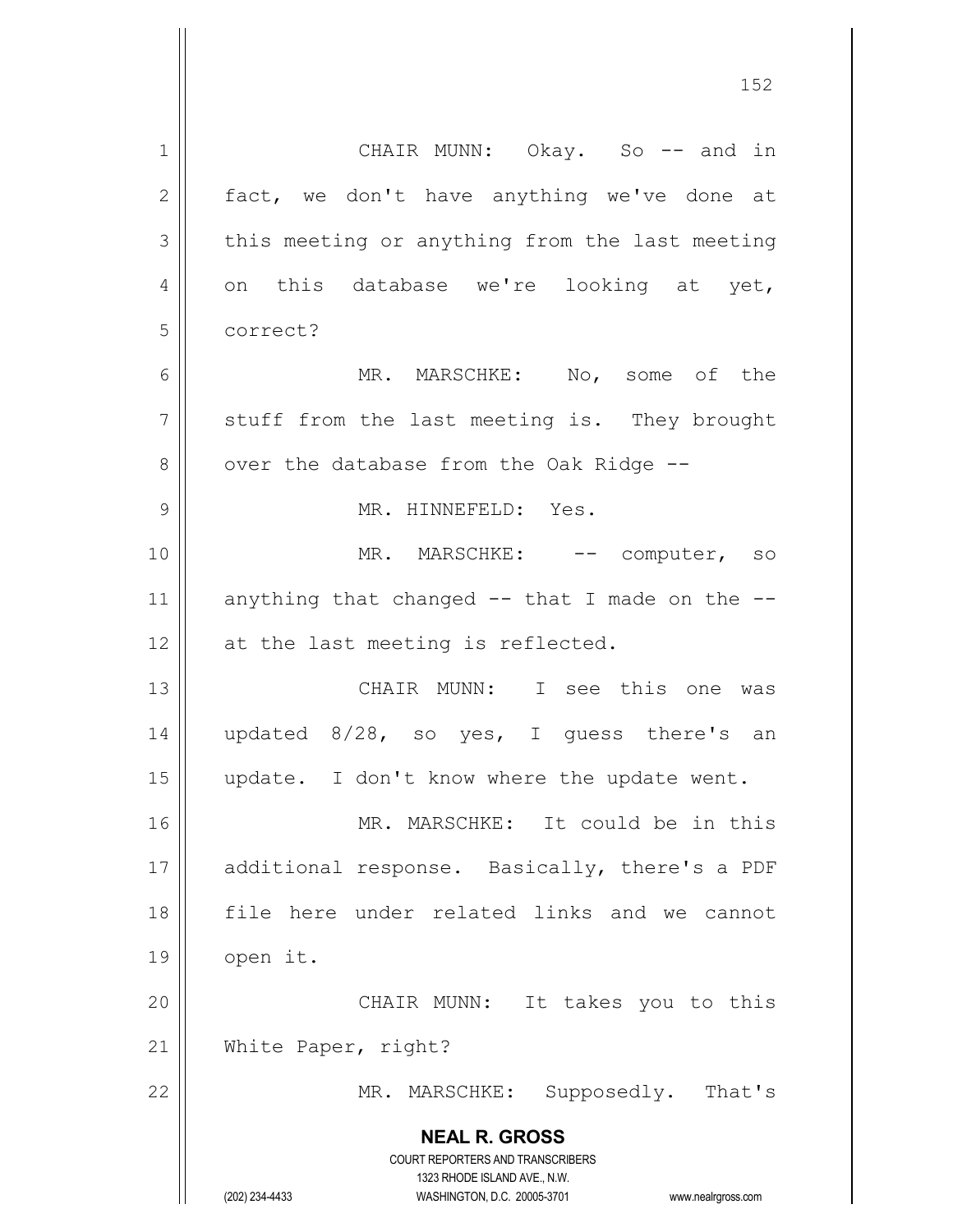| 1              | CHAIR MUNN: Okay. So -- and in                                          |
|----------------|-------------------------------------------------------------------------|
| 2              | fact, we don't have anything we've done at                              |
| 3              | this meeting or anything from the last meeting                          |
| 4              | on this database we're looking at yet,                                  |
| 5              | correct?                                                                |
| 6              | MR. MARSCHKE: No, some of the                                           |
| $\overline{7}$ | stuff from the last meeting is. They brought                            |
| 8              | over the database from the Oak Ridge --                                 |
| $\mathcal{G}$  | MR. HINNEFELD: Yes.                                                     |
| 10             | MR. MARSCHKE: -- computer, so                                           |
| 11             | anything that changed $--$ that I made on the $--$                      |
| 12             | at the last meeting is reflected.                                       |
| 13             | CHAIR MUNN: I see this one was                                          |
| 14             | updated 8/28, so yes, I guess there's an                                |
| 15             | update. I don't know where the update went.                             |
| 16             | MR. MARSCHKE: It could be in this                                       |
| 17             | additional response. Basically, there's a PDF                           |
| 18             | file here under related links and we cannot                             |
| 19             | open it.                                                                |
| 20             | CHAIR MUNN: It takes you to this                                        |
| 21             | White Paper, right?                                                     |
| 22             | MR. MARSCHKE: Supposedly. That's                                        |
|                | <b>NEAL R. GROSS</b>                                                    |
|                | <b>COURT REPORTERS AND TRANSCRIBERS</b><br>1323 RHODE ISLAND AVE., N.W. |
|                | WASHINGTON, D.C. 20005-3701<br>(202) 234-4433<br>www.nealrgross.com     |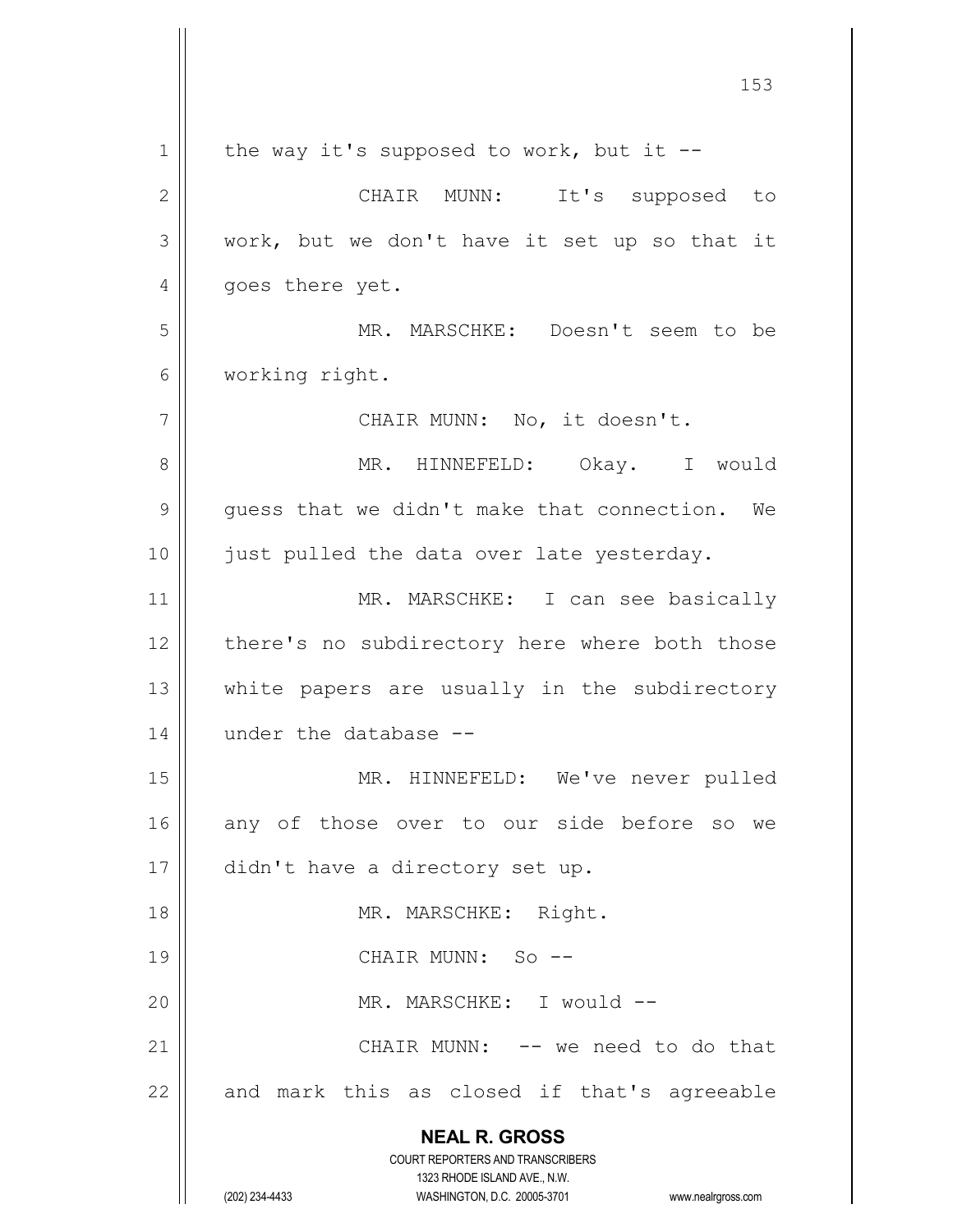**NEAL R. GROSS** COURT REPORTERS AND TRANSCRIBERS 1323 RHODE ISLAND AVE., N.W. (202) 234-4433 WASHINGTON, D.C. 20005-3701 www.nealrgross.com  $1 \parallel$  the way it's supposed to work, but it --2 CHAIR MUNN: It's supposed to  $3 \parallel$  work, but we don't have it set up so that it 4 || goes there yet. 5 MR. MARSCHKE: Doesn't seem to be 6 working right. 7 || CHAIR MUNN: No, it doesn't. 8 MR. HINNEFELD: Okay. I would  $9 \parallel$  guess that we didn't make that connection. We 10 || just pulled the data over late yesterday. 11 || MR. MARSCHKE: I can see basically 12 || there's no subdirectory here where both those 13 || white papers are usually in the subdirectory 14 under the database --15 || MR. HINNEFELD: We've never pulled 16 any of those over to our side before so we 17 | didn't have a directory set up. 18 || MR. MARSCHKE: Right. 19 || CHAIR MUNN: So --20 || MR. MARSCHKE: I would --21 || CHAIR MUNN: -- we need to do that  $22$  and mark this as closed if that's agreeable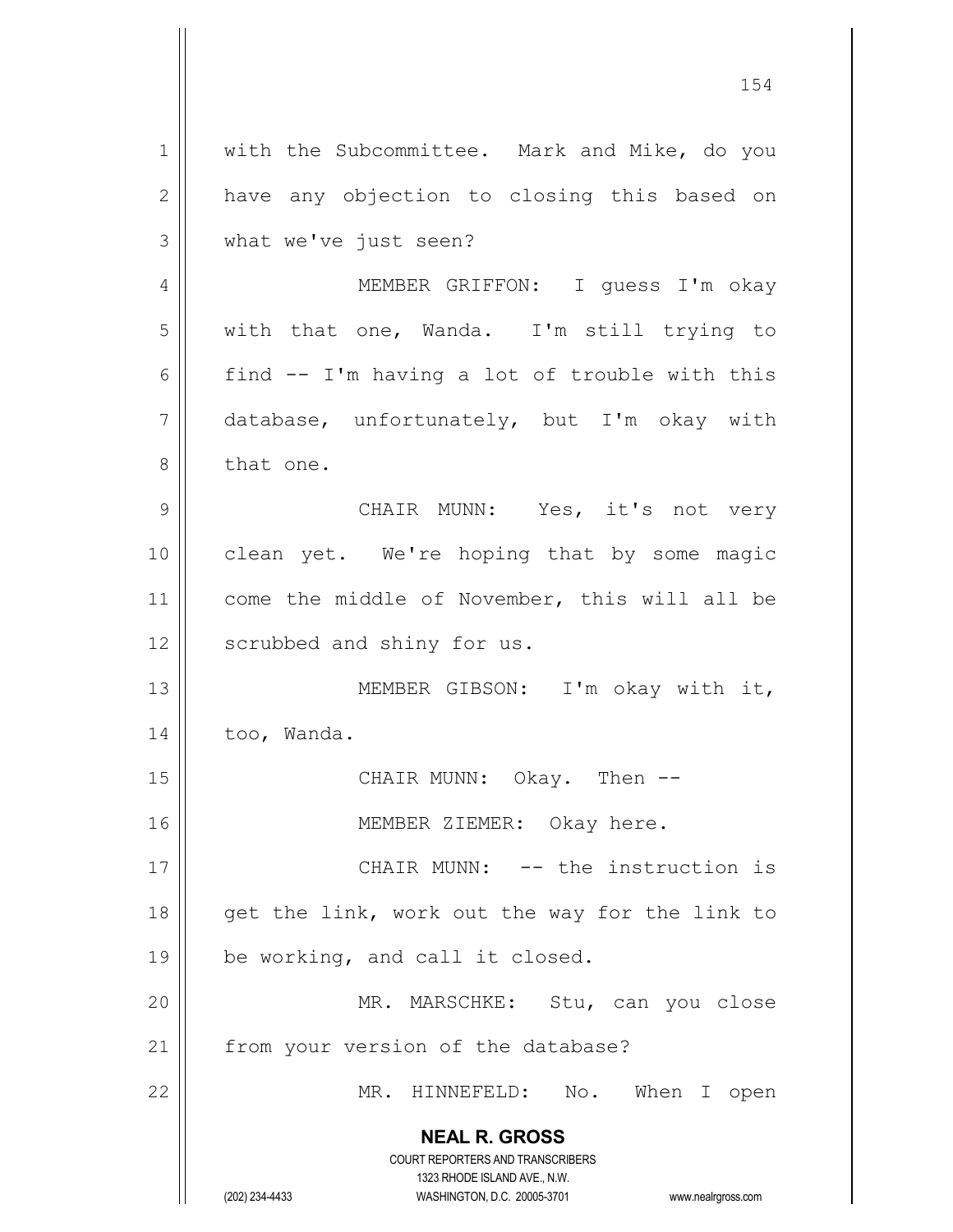**NEAL R. GROSS** COURT REPORTERS AND TRANSCRIBERS 1323 RHODE ISLAND AVE., N.W. (202) 234-4433 WASHINGTON, D.C. 20005-3701 www.nealrgross.com 1 || with the Subcommittee. Mark and Mike, do you 2 || have any objection to closing this based on 3 what we've just seen? 4 MEMBER GRIFFON: I guess I'm okay 5 with that one, Wanda. I'm still trying to 6 find  $-$  I'm having a lot of trouble with this 7 database, unfortunately, but I'm okay with 8 | that one. 9 CHAIR MUNN: Yes, it's not very 10 clean yet. We're hoping that by some magic 11 || come the middle of November, this will all be 12 | scrubbed and shiny for us. 13 || MEMBER GIBSON: I'm okay with it, 14 | too, Wanda. 15 CHAIR MUNN: Okay. Then -- 16 MEMBER ZIEMER: Okay here. 17 CHAIR MUNN: -- the instruction is 18  $\parallel$  get the link, work out the way for the link to  $19 \parallel$  be working, and call it closed. 20 MR. MARSCHKE: Stu, can you close 21 | from your version of the database? 22 MR. HINNEFELD: No. When I open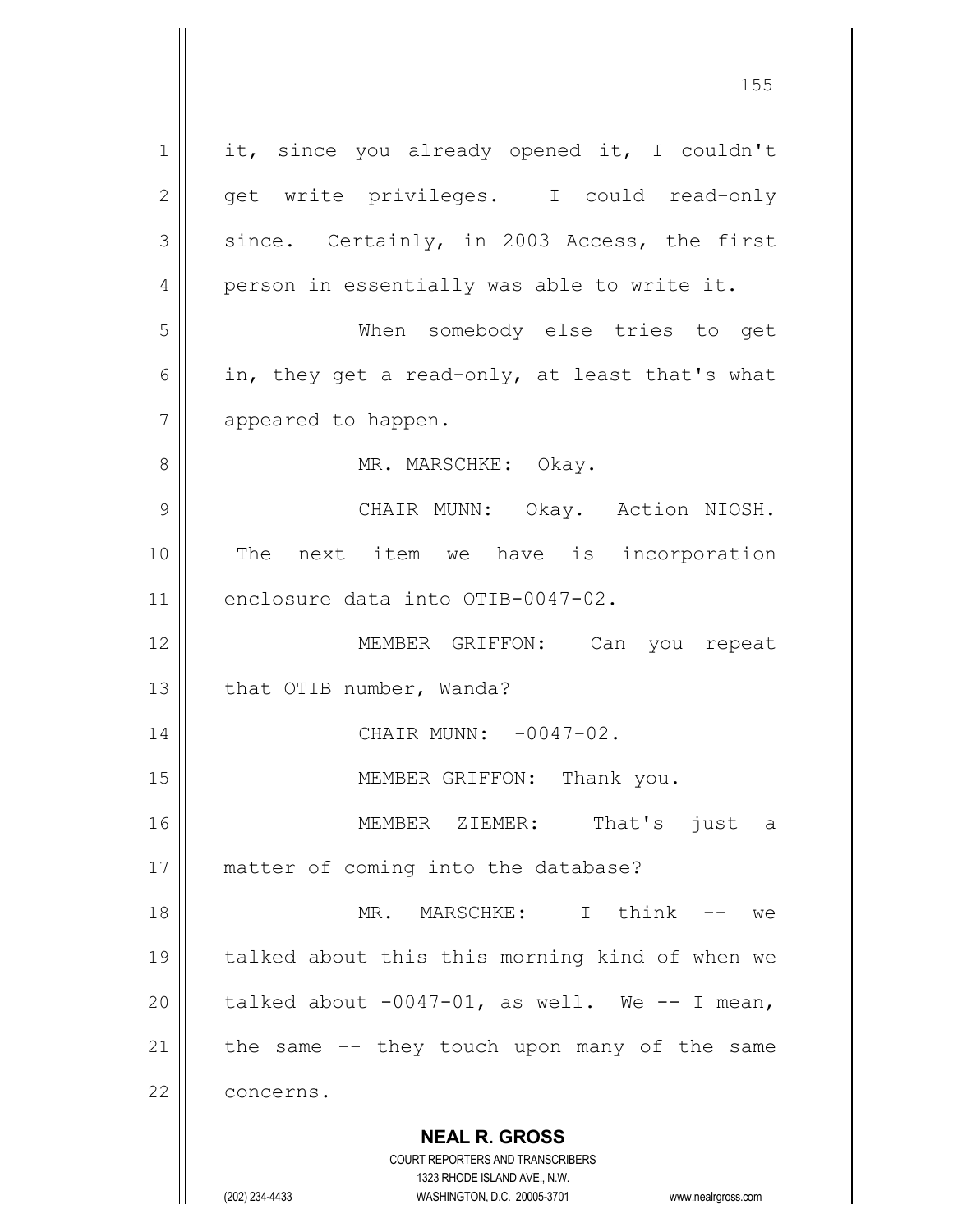**NEAL R. GROSS** COURT REPORTERS AND TRANSCRIBERS 1323 RHODE ISLAND AVE., N.W. (202) 234-4433 WASHINGTON, D.C. 20005-3701 www.nealrgross.com  $1 \parallel$  it, since you already opened it, I couldn't 2 || get write privileges. I could read-only  $3 \parallel$  since. Certainly, in 2003 Access, the first 4 || person in essentially was able to write it. 5 When somebody else tries to get 6 | in, they get a read-only, at least that's what 7 | appeared to happen. 8 MR. MARSCHKE: Okay. 9 CHAIR MUNN: Okay. Action NIOSH. 10 The next item we have is incorporation 11 enclosure data into OTIB-0047-02. 12 MEMBER GRIFFON: Can you repeat 13 | that OTIB number, Wanda? 14 || CHAIR MUNN: -0047-02. 15 || MEMBER GRIFFON: Thank you. 16 MEMBER ZIEMER: That's just a 17 || matter of coming into the database? 18 MR. MARSCHKE: I think -- we 19 || talked about this this morning kind of when we 20  $\vert$  talked about -0047-01, as well. We -- I mean, 21  $\parallel$  the same -- they touch upon many of the same 22 | concerns.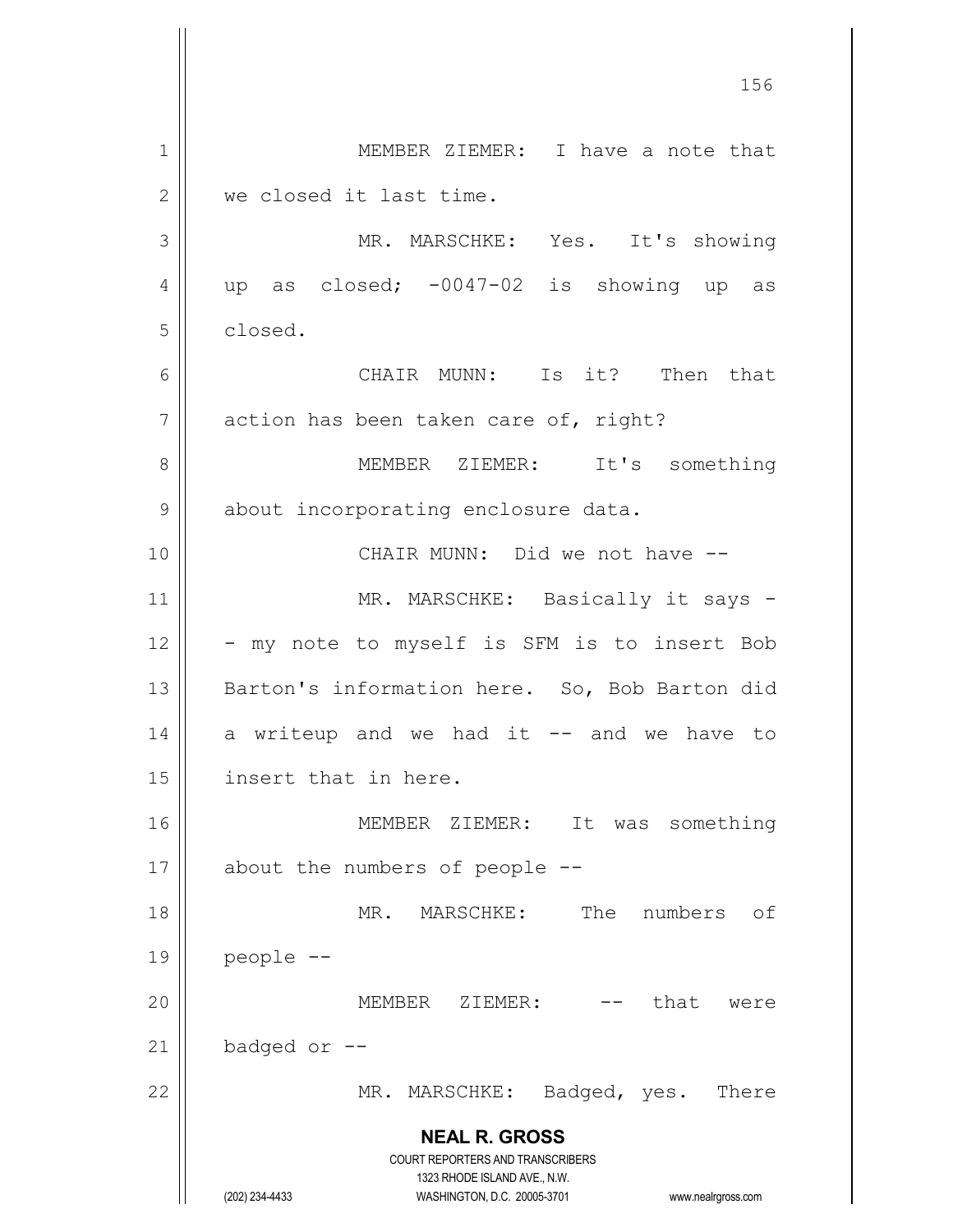**NEAL R. GROSS** COURT REPORTERS AND TRANSCRIBERS 1323 RHODE ISLAND AVE., N.W. (202) 234-4433 WASHINGTON, D.C. 20005-3701 www.nealrgross.com 1 | MEMBER ZIEMER: I have a note that 2 we closed it last time. 3 MR. MARSCHKE: Yes. It's showing  $4 \parallel$  up as closed; -0047-02 is showing up as 5 closed. 6 CHAIR MUNN: Is it? Then that  $7 \parallel$  action has been taken care of, right? 8 MEMBER ZIEMER: It's something 9 | about incorporating enclosure data. 10 CHAIR MUNN: Did we not have -- 11 || MR. MARSCHKE: Basically it says - $12 \parallel -my$  note to myself is SFM is to insert Bob 13 || Barton's information here. So, Bob Barton did  $14$  a writeup and we had it  $-$  and we have to 15 | insert that in here. 16 MEMBER ZIEMER: It was something  $17$  | about the numbers of people  $-$ 18 MR. MARSCHKE: The numbers of  $19$  | people  $-$ 20 || MEMBER ZIEMER: that were  $21$  | badged or  $-$ 22 || MR. MARSCHKE: Badged, yes. There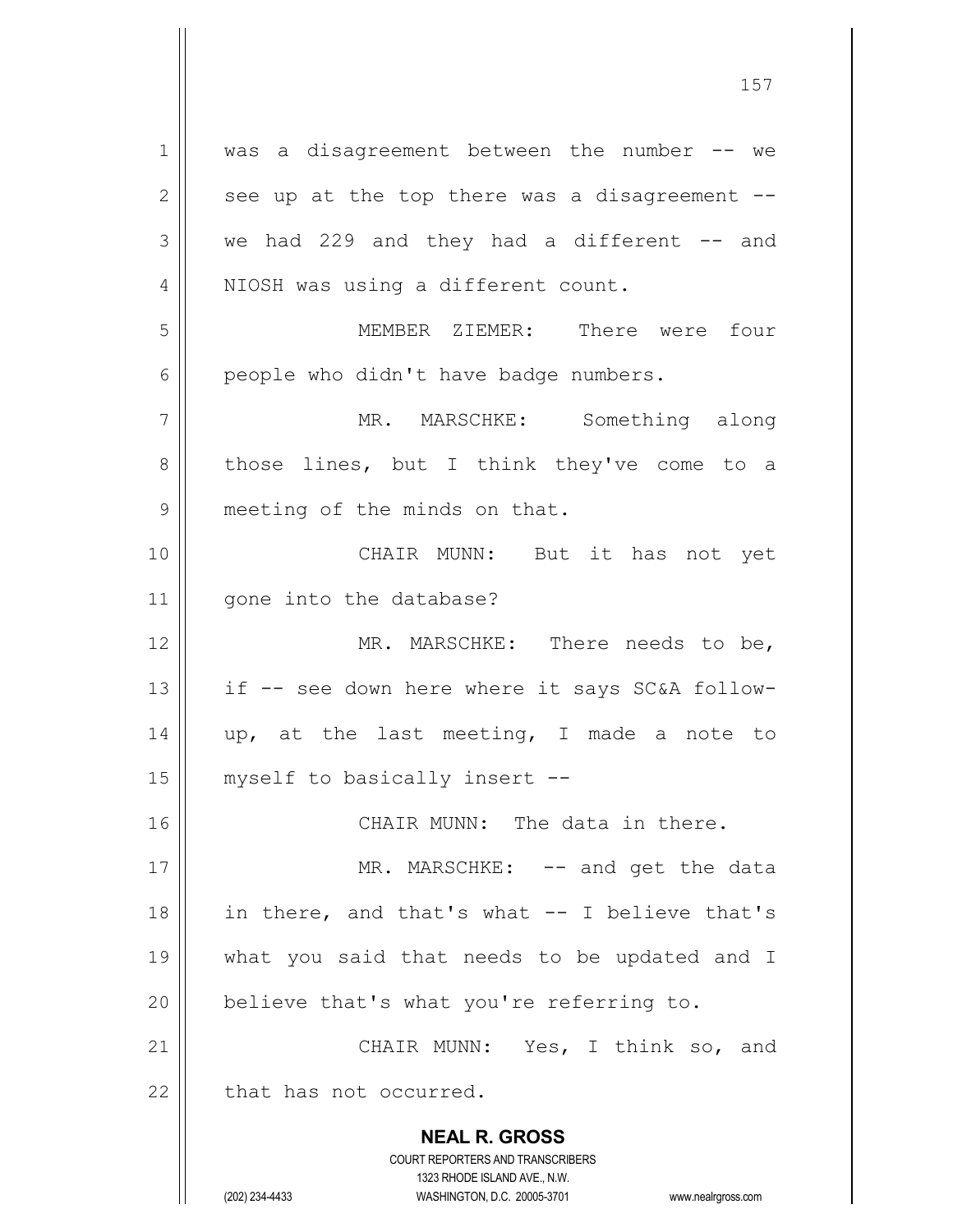**NEAL R. GROSS** COURT REPORTERS AND TRANSCRIBERS 1323 RHODE ISLAND AVE., N.W. (202) 234-4433 WASHINGTON, D.C. 20005-3701 www.nealrgross.com 1 || was a disagreement between the number -- we  $2 \parallel$  see up at the top there was a disagreement -- $3 \parallel$  we had 229 and they had a different  $-$  and 4 || NIOSH was using a different count. 5 MEMBER ZIEMER: There were four  $6 \parallel$  people who didn't have badge numbers. 7 || MR. MARSCHKE: Something along  $8 \parallel$  those lines, but I think they've come to a 9 | meeting of the minds on that. 10 CHAIR MUNN: But it has not yet 11 | qone into the database? 12 || MR. MARSCHKE: There needs to be, 13  $\parallel$  if -- see down here where it says SC&A follow-14  $\parallel$  up, at the last meeting, I made a note to 15 || myself to basically insert --16 CHAIR MUNN: The data in there. 17 || MR. MARSCHKE: -- and get the data 18 || in there, and that's what -- I believe that's 19 what you said that needs to be updated and I  $20$  | believe that's what you're referring to. 21 CHAIR MUNN: Yes, I think so, and  $22$   $\parallel$  that has not occurred.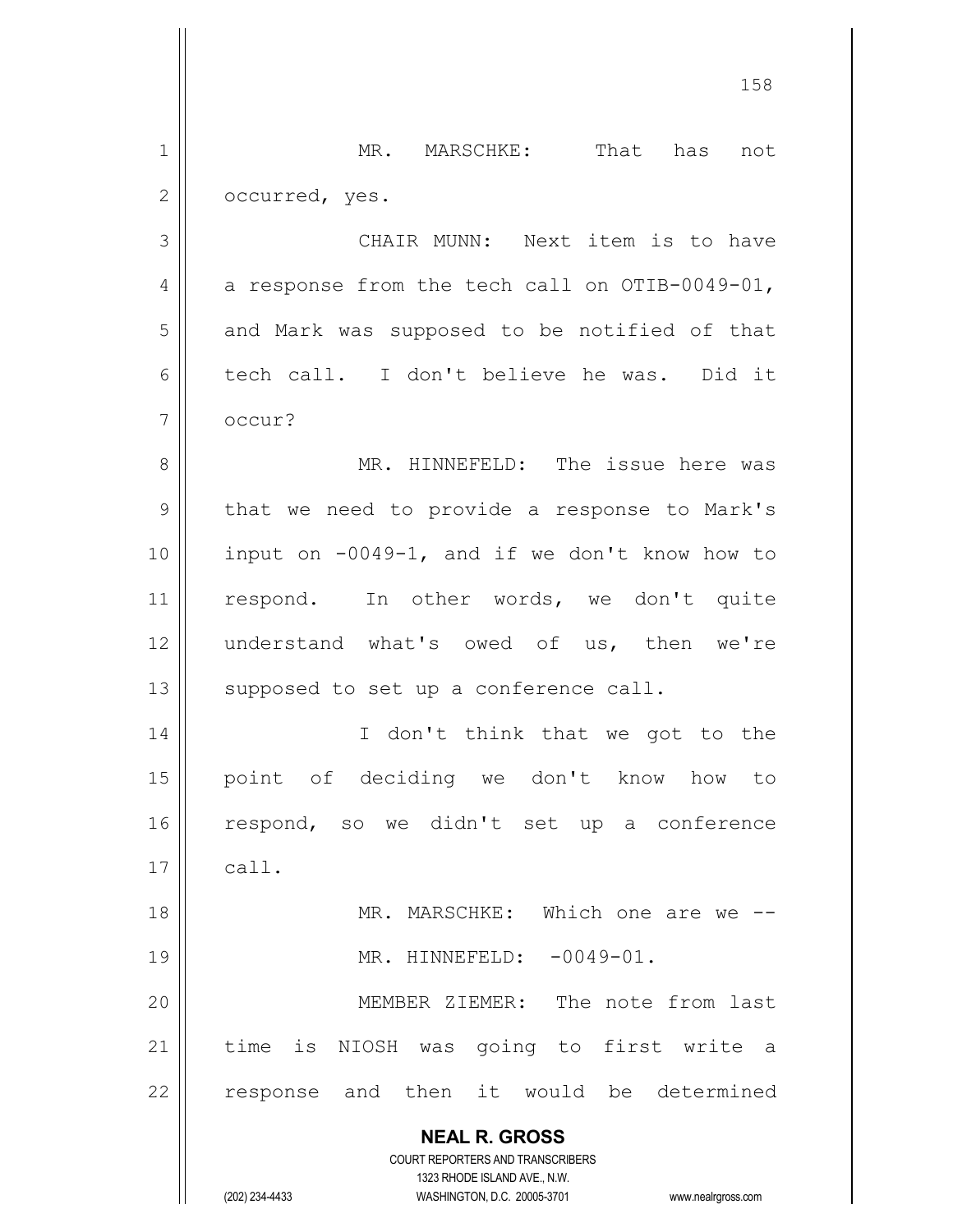**NEAL R. GROSS** COURT REPORTERS AND TRANSCRIBERS 1323 RHODE ISLAND AVE., N.W. 1 || MR. MARSCHKE: That has not 2 | occurred, yes. 3 CHAIR MUNN: Next item is to have 4  $\vert$  a response from the tech call on OTIB-0049-01,  $5 \parallel$  and Mark was supposed to be notified of that 6 tech call. I don't believe he was. Did it 7 | occur? 8 MR. HINNEFELD: The issue here was  $9 \parallel$  that we need to provide a response to Mark's  $10$  | input on  $-0049-1$ , and if we don't know how to 11 || respond. In other words, we don't quite 12 understand what's owed of us, then we're  $13$  supposed to set up a conference call. 14 || I don't think that we got to the 15 point of deciding we don't know how to 16 respond, so we didn't set up a conference  $17 \parallel$  call. 18 MR. MARSCHKE: Which one are we -- 19 || MR. HINNEFELD: -0049-01. 20 || MEMBER ZIEMER: The note from last 21 || time is NIOSH was going to first write a 22 || response and then it would be determined

(202) 234-4433 WASHINGTON, D.C. 20005-3701 www.nealrgross.com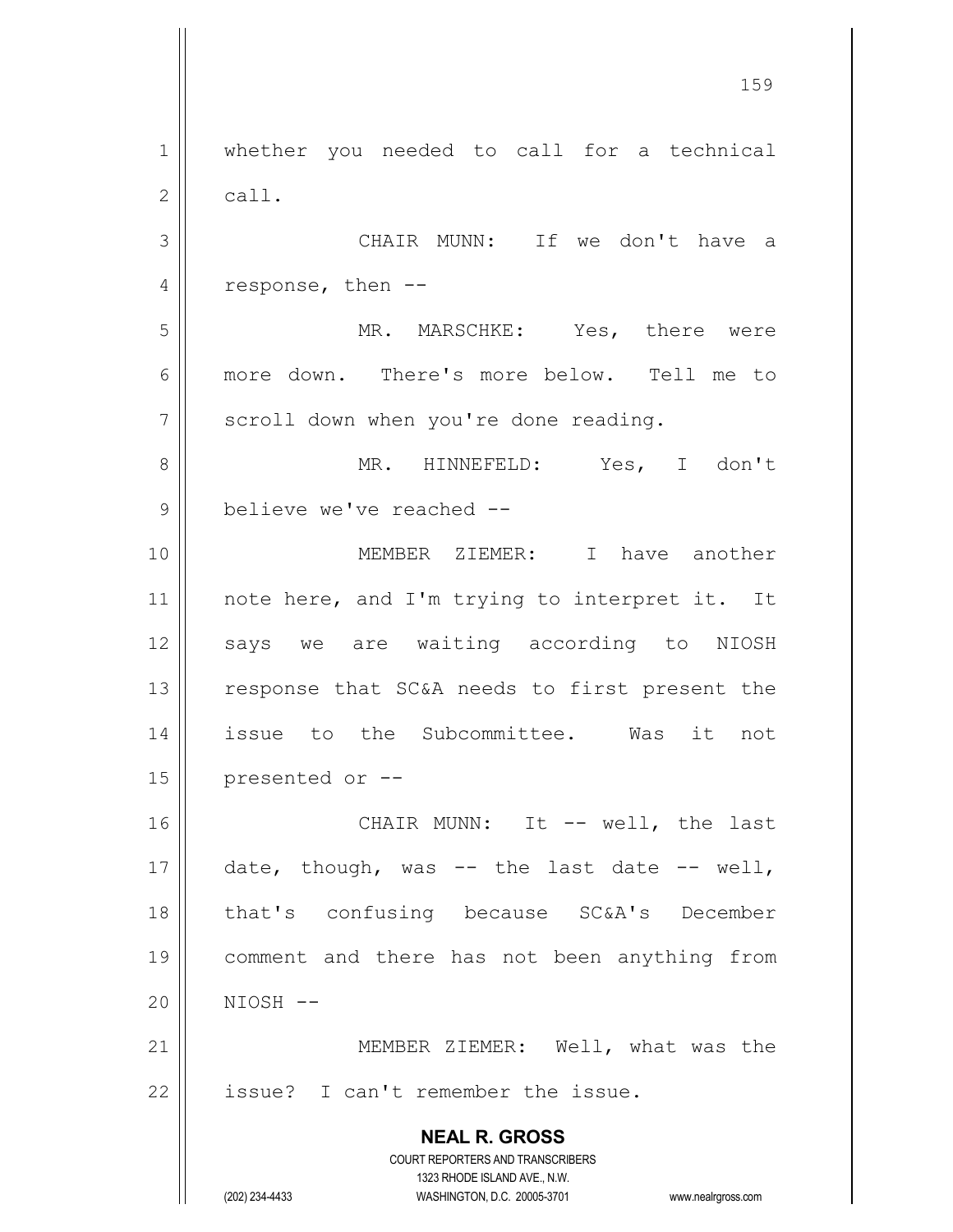**NEAL R. GROSS** COURT REPORTERS AND TRANSCRIBERS 1323 RHODE ISLAND AVE., N.W. (202) 234-4433 WASHINGTON, D.C. 20005-3701 www.nealrgross.com 1 || whether you needed to call for a technical  $2 \parallel$  call. 3 CHAIR MUNN: If we don't have a 4 | response, then  $-$ 5 MR. MARSCHKE: Yes, there were 6 more down. There's more below. Tell me to  $7 \parallel$  scroll down when you're done reading. 8 MR. HINNEFELD: Yes, I don't 9 || believe we've reached --10 MEMBER ZIEMER: I have another 11 || note here, and I'm trying to interpret it. It 12 || says we are waiting according to NIOSH 13 || response that SC&A needs to first present the 14 issue to the Subcommittee. Was it not  $15$  | presented or  $-$ 16 CHAIR MUNN: It -- well, the last 17  $\parallel$  date, though, was -- the last date -- well, 18 || that's confusing because SC&A's December 19 comment and there has not been anything from 20 NIOSH -- 21 || MEMBER ZIEMER: Well, what was the  $22$  | issue? I can't remember the issue.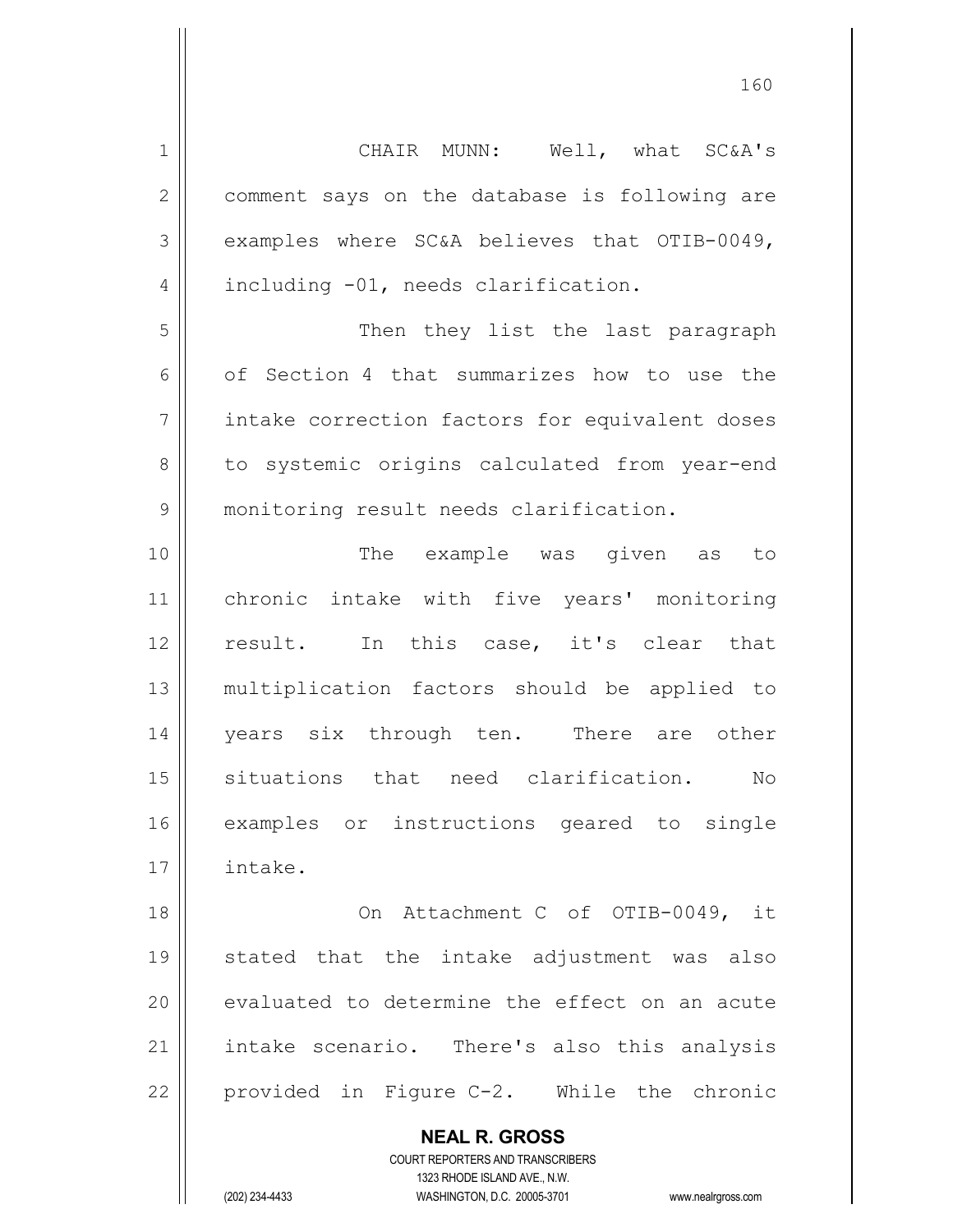| $1\,$          | CHAIR MUNN: Well, what SC&A's                            |
|----------------|----------------------------------------------------------|
| $\overline{2}$ | comment says on the database is following are            |
| 3              | examples where SC&A believes that OTIB-0049,             |
| 4              | including -01, needs clarification.                      |
| 5              | Then they list the last paragraph                        |
| 6              | of Section 4 that summarizes how to use the              |
| $\overline{7}$ | intake correction factors for equivalent doses           |
| 8              | to systemic origins calculated from year-end             |
| 9              | monitoring result needs clarification.                   |
| 10             | The example was given as to                              |
| 11             | chronic intake with five years' monitoring               |
| 12             | result. In this case, it's clear that                    |
| 13             | multiplication factors should be applied to              |
| 14             | years six through ten. There are other                   |
| 15             | situations that need clarification. No                   |
| 16             | examples or instructions geared to single                |
| 17             | intake.                                                  |
| 18             | On Attachment C of OTIB-0049, it                         |
| 19             | stated that the intake adjustment was also               |
| 20             | evaluated to determine the effect on an acute            |
| 21             | intake scenario. There's also this analysis              |
| 22             | provided in Figure C-2. While the chronic                |
|                | <b>NEAL R. GROSS</b><br>COURT REPORTERS AND TRANSCRIBERS |

1323 RHODE ISLAND AVE., N.W.

 $\mathsf{II}$ 

(202) 234-4433 WASHINGTON, D.C. 20005-3701 www.nealrgross.com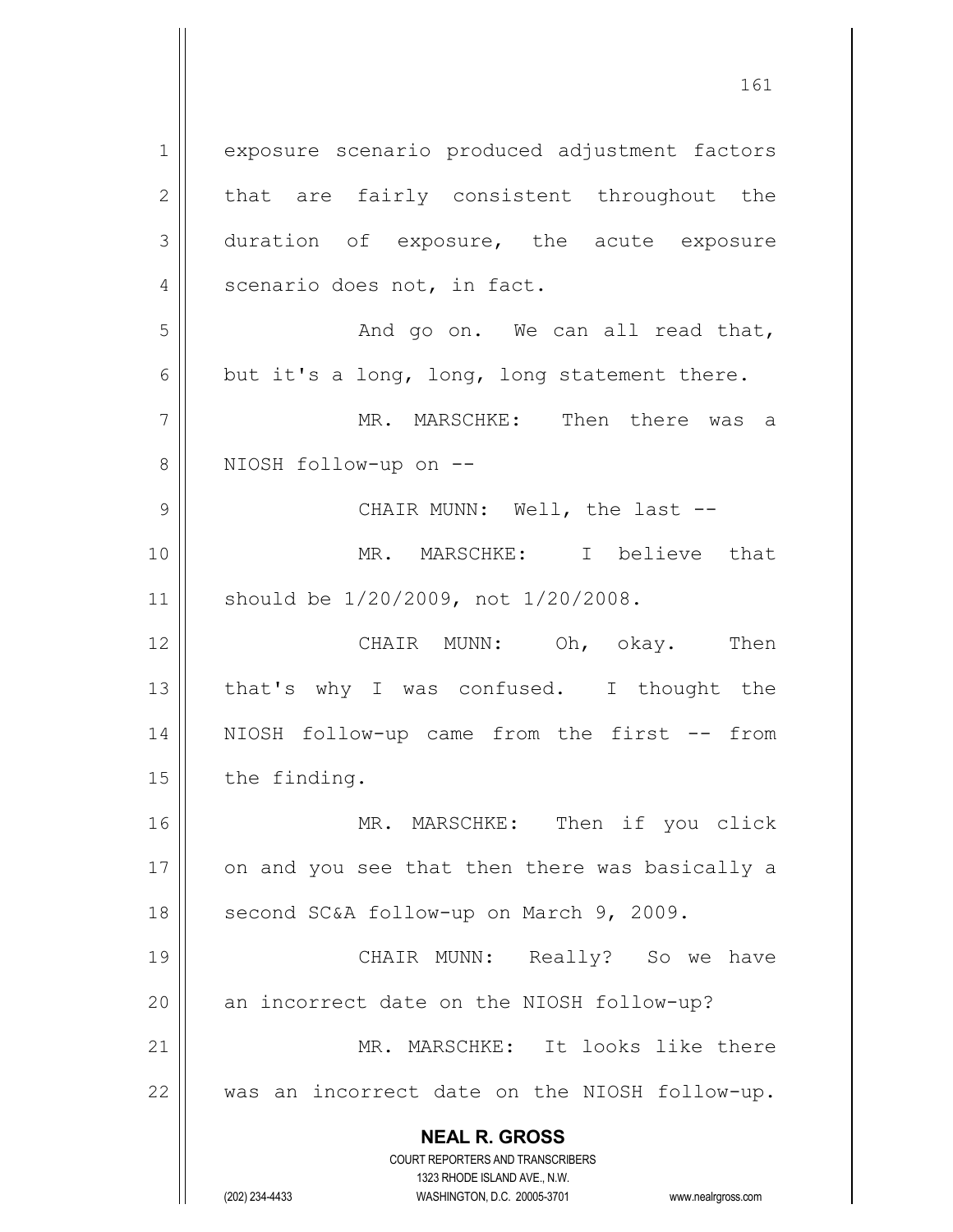**NEAL R. GROSS** COURT REPORTERS AND TRANSCRIBERS 1 | exposure scenario produced adjustment factors  $2 \parallel$  that are fairly consistent throughout the 3 duration of exposure, the acute exposure 4 | scenario does not, in fact.  $5 \parallel$  and go on. We can all read that,  $6 \parallel$  but it's a long, long, long statement there. 7 MR. MARSCHKE: Then there was a 8 || NIOSH follow-up on --9 CHAIR MUNN: Well, the last -- 10 MR. MARSCHKE: I believe that 11 should be 1/20/2009, not 1/20/2008. 12 CHAIR MUNN: Oh, okay. Then 13 || that's why I was confused. I thought the 14 NIOSH follow-up came from the first -- from  $15$  | the finding. 16 MR. MARSCHKE: Then if you click  $17$  | on and you see that then there was basically a 18 || second SC&A follow-up on March 9, 2009. 19 CHAIR MUNN: Really? So we have 20 || an incorrect date on the NIOSH follow-up? 21 MR. MARSCHKE: It looks like there 22 was an incorrect date on the NIOSH follow-up.

1323 RHODE ISLAND AVE., N.W.

(202) 234-4433 WASHINGTON, D.C. 20005-3701 www.nealrgross.com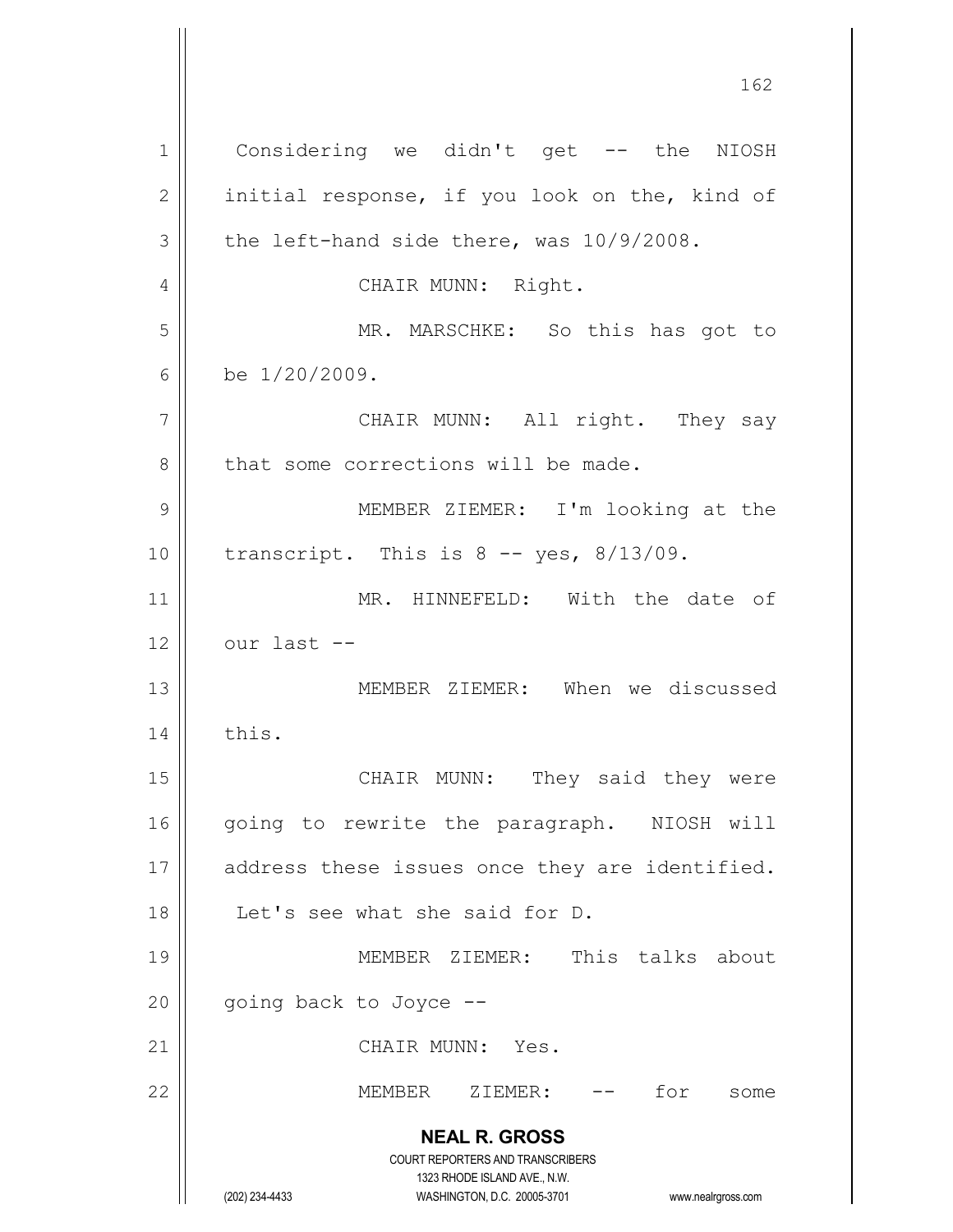**NEAL R. GROSS** COURT REPORTERS AND TRANSCRIBERS 1323 RHODE ISLAND AVE., N.W. (202) 234-4433 WASHINGTON, D.C. 20005-3701 www.nealrgross.com 1 | Considering we didn't get -- the NIOSH  $2 \parallel$  initial response, if you look on the, kind of  $3 \parallel$  the left-hand side there, was  $10/9/2008$ . 4 | CHAIR MUNN: Right. 5 || MR. MARSCHKE: So this has got to 6 be  $1/20/2009$ . 7 || CHAIR MUNN: All right. They say 8 that some corrections will be made. 9 || MEMBER ZIEMER: I'm looking at the  $10$  | transcript. This is 8 -- yes, 8/13/09. 11 || MR. HINNEFELD: With the date of  $12$  |  $0$  our last  $-$ 13 MEMBER ZIEMER: When we discussed  $14$   $\parallel$  this. 15 || CHAIR MUNN: They said they were 16 || going to rewrite the paragraph. NIOSH will 17 || address these issues once they are identified. 18 Let's see what she said for D. 19 MEMBER ZIEMER: This talks about  $20$  || going back to Joyce --21 || CHAIR MUNN: Yes. 22 MEMBER ZIEMER: -- for some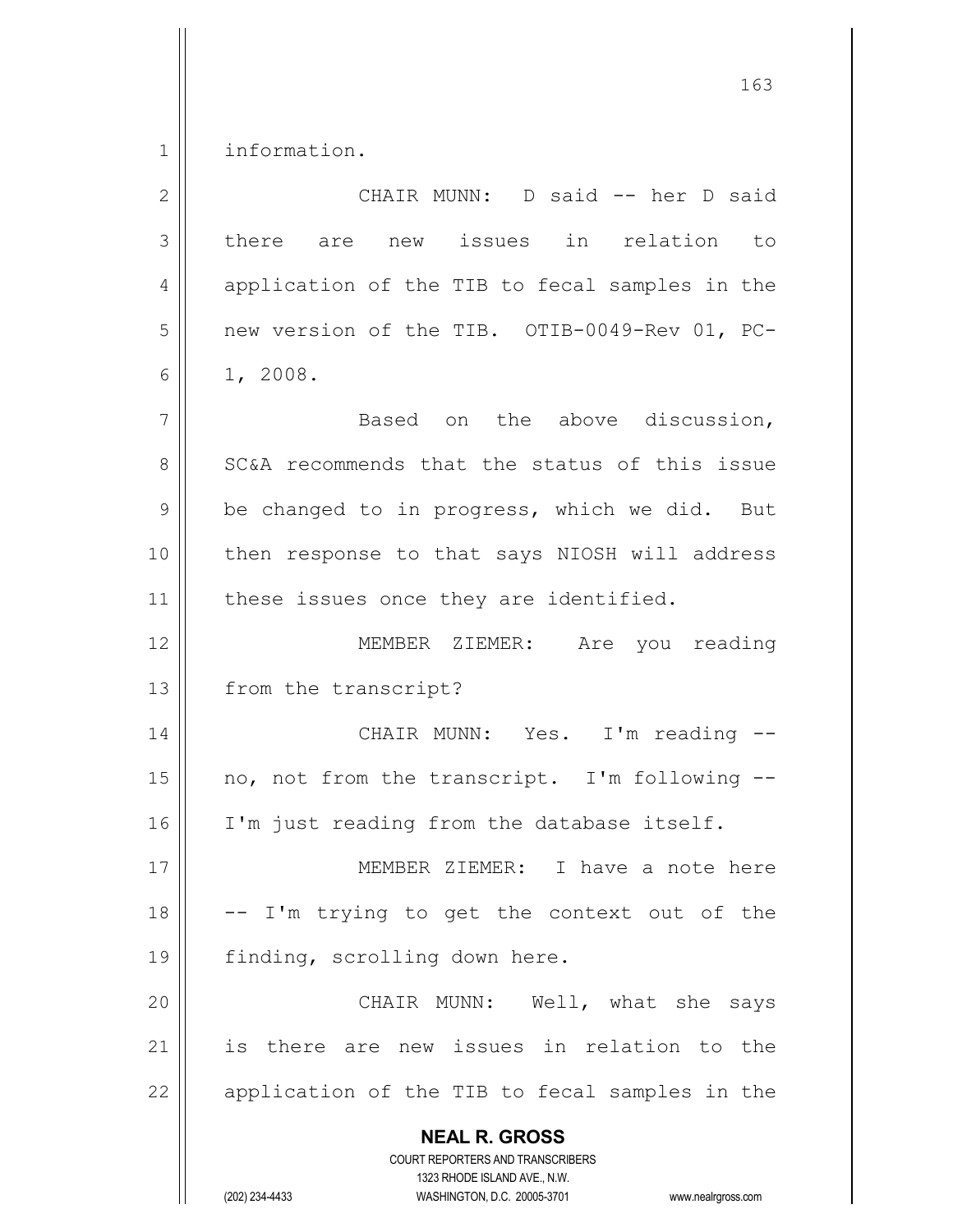1 | information.

| $\overline{2}$ | CHAIR MUNN: D said -- her D said                                                                                                                                       |
|----------------|------------------------------------------------------------------------------------------------------------------------------------------------------------------------|
| 3              | there are new issues in relation to                                                                                                                                    |
| 4              | application of the TIB to fecal samples in the                                                                                                                         |
| 5              | new version of the TIB. OTIB-0049-Rev 01, PC-                                                                                                                          |
| 6              | 1, 2008.                                                                                                                                                               |
| 7              | Based on the above discussion,                                                                                                                                         |
| 8              | SC&A recommends that the status of this issue                                                                                                                          |
| 9              | be changed to in progress, which we did. But                                                                                                                           |
| 10             | then response to that says NIOSH will address                                                                                                                          |
| 11             | these issues once they are identified.                                                                                                                                 |
| 12             | MEMBER ZIEMER: Are you reading                                                                                                                                         |
| 13             | from the transcript?                                                                                                                                                   |
| 14             | CHAIR MUNN: Yes. I'm reading --                                                                                                                                        |
| 15             | no, not from the transcript. I'm following --                                                                                                                          |
| 16             | I'm just reading from the database itself.                                                                                                                             |
| $17$           | MEMBER ZIEMER:<br>I have a note here                                                                                                                                   |
| 18             | -- I'm trying to get the context out of the                                                                                                                            |
| 19             | finding, scrolling down here.                                                                                                                                          |
| 20             | CHAIR MUNN: Well, what she<br>says                                                                                                                                     |
| 21             | is there are new issues in relation to the                                                                                                                             |
| 22             | application of the TIB to fecal samples in the                                                                                                                         |
|                | <b>NEAL R. GROSS</b><br><b>COURT REPORTERS AND TRANSCRIBERS</b><br>1323 RHODE ISLAND AVE., N.W.<br>(202) 234-4433<br>WASHINGTON, D.C. 20005-3701<br>www.nealrgross.com |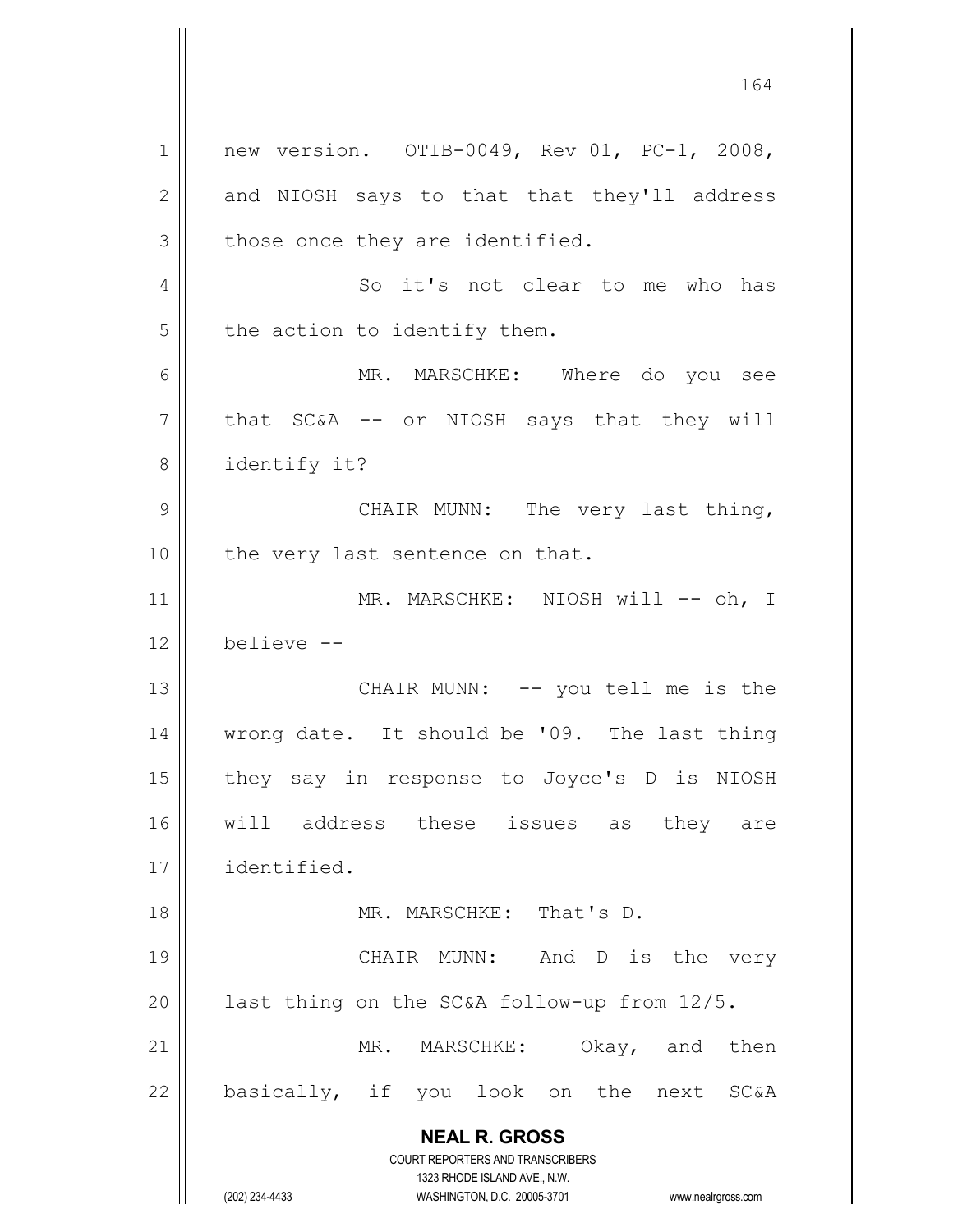**NEAL R. GROSS** COURT REPORTERS AND TRANSCRIBERS 1323 RHODE ISLAND AVE., N.W. (202) 234-4433 WASHINGTON, D.C. 20005-3701 www.nealrgross.com 1 || new version. 0TIB-0049, Rev 01, PC-1, 2008, 2 || and NIOSH says to that that they'll address  $3 \parallel$  those once they are identified. 4 || So it's not clear to me who has  $5$  | the action to identify them. 6 MR. MARSCHKE: Where do you see  $7 \parallel$  that SC&A -- or NIOSH says that they will 8 | identify it? 9 || CHAIR MUNN: The very last thing, 10 || the very last sentence on that. 11 || MR. MARSCHKE: NIOSH will -- oh, I 12 believe -- 13 || CHAIR MUNN: -- you tell me is the 14 || wrong date. It should be '09. The last thing 15 || they say in response to Joyce's D is NIOSH 16 || will address these issues as they are 17 identified. 18 MR. MARSCHKE: That's D. 19 || CHAIR MUNN: And D is the very 20  $\parallel$  last thing on the SC&A follow-up from 12/5. 21 || MR. MARSCHKE: Okay, and then  $22$  || basically, if you look on the next SC&A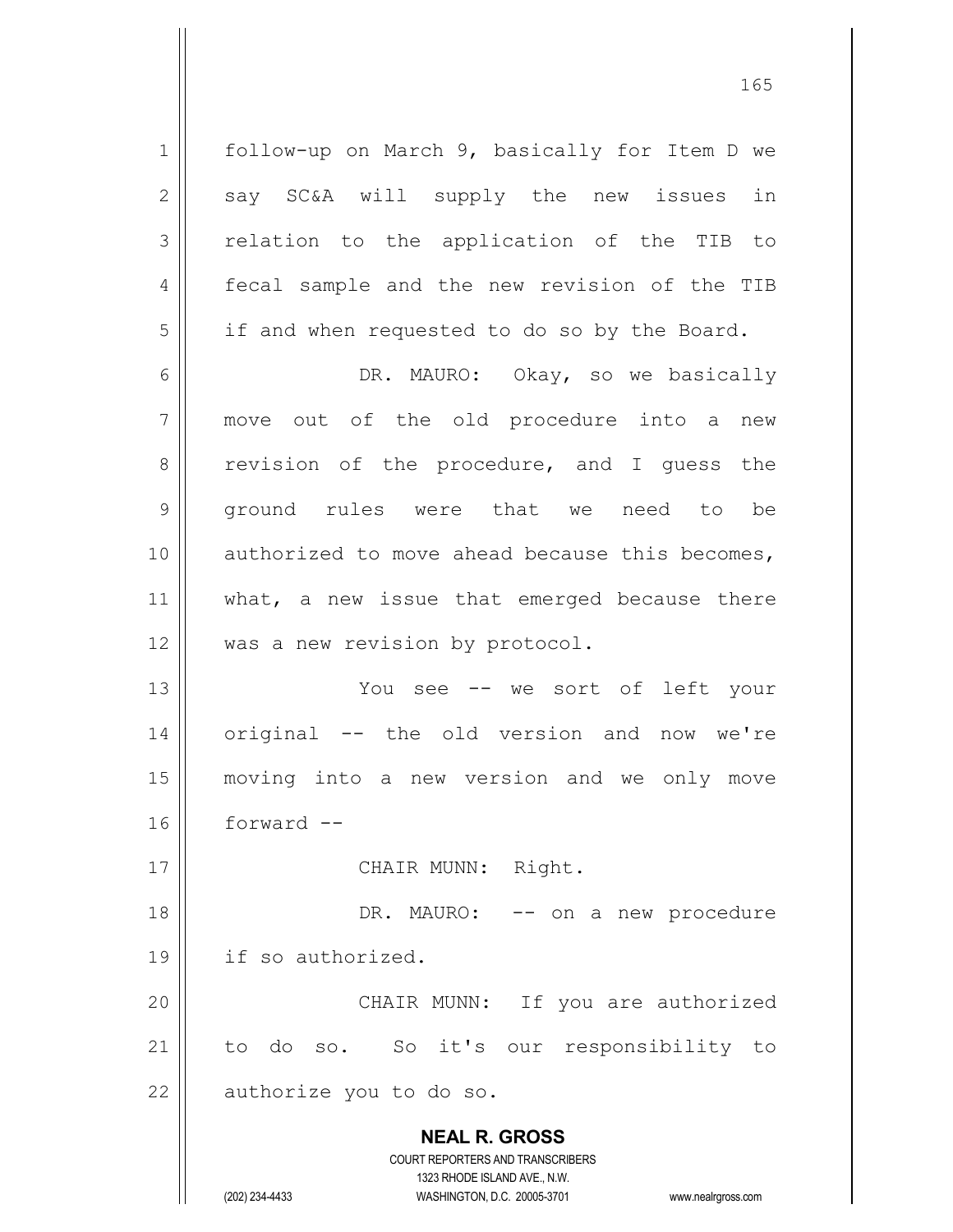1 | follow-up on March 9, basically for Item D we 2 || say SC&A will supply the new issues in 3 || relation to the application of the TIB to 4 || fecal sample and the new revision of the TIB  $5 \parallel$  if and when requested to do so by the Board. 6 || DR. MAURO: Okay, so we basically 7 move out of the old procedure into a new 8 || revision of the procedure, and I guess the 9 ground rules were that we need to be 10 || authorized to move ahead because this becomes, 11 || what, a new issue that emerged because there 12 || was a new revision by protocol. 13 || You see -- we sort of left your 14 || original -- the old version and now we're 15 moving into a new version and we only move

16 forward --

17 || CHAIR MUNN: Right.

18 DR. MAURO: -- on a new procedure 19 if so authorized. 20 || CHAIR MUNN: If you are authorized 21 || to do so. So it's our responsibility to

 $22$  || authorize you to do so.

**NEAL R. GROSS**

COURT REPORTERS AND TRANSCRIBERS 1323 RHODE ISLAND AVE., N.W. (202) 234-4433 WASHINGTON, D.C. 20005-3701 www.nealrgross.com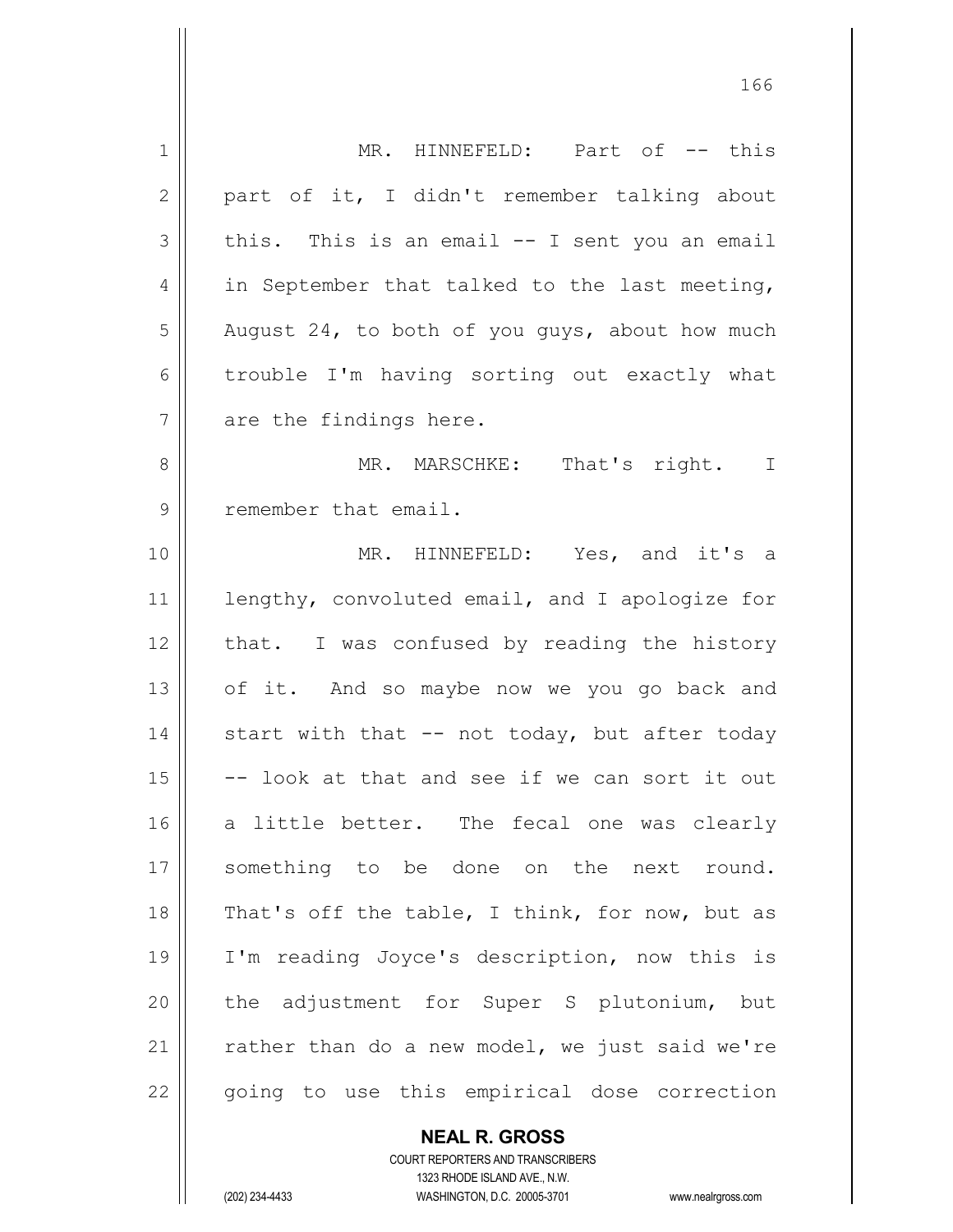| $\mathbf 1$ | MR. HINNEFELD: Part of -- this                 |
|-------------|------------------------------------------------|
| 2           | part of it, I didn't remember talking about    |
| 3           | this. This is an email -- I sent you an email  |
| 4           | in September that talked to the last meeting,  |
| 5           | August 24, to both of you guys, about how much |
| 6           | trouble I'm having sorting out exactly what    |
| 7           | are the findings here.                         |
| 8           | MR. MARSCHKE:<br>That's right. I               |
| 9           | remember that email.                           |
| 10          | MR. HINNEFELD: Yes, and it's a                 |
| 11          | lengthy, convoluted email, and I apologize for |
| 12          | that. I was confused by reading the history    |
| 13          | of it. And so maybe now we you go back and     |
| 14          | start with that -- not today, but after today  |
| 15          | -- look at that and see if we can sort it out  |
| 16          | a little better. The fecal one was clearly     |
| 17          | something to be done on the next round.        |
| 18          | That's off the table, I think, for now, but as |
| 19          | I'm reading Joyce's description, now this is   |
| 20          | the adjustment for Super S plutonium, but      |
| 21          | rather than do a new model, we just said we're |
| 22          | going to use this empirical dose correction    |
|             |                                                |

**NEAL R. GROSS** COURT REPORTERS AND TRANSCRIBERS

1323 RHODE ISLAND AVE., N.W.

(202) 234-4433 WASHINGTON, D.C. 20005-3701 www.nealrgross.com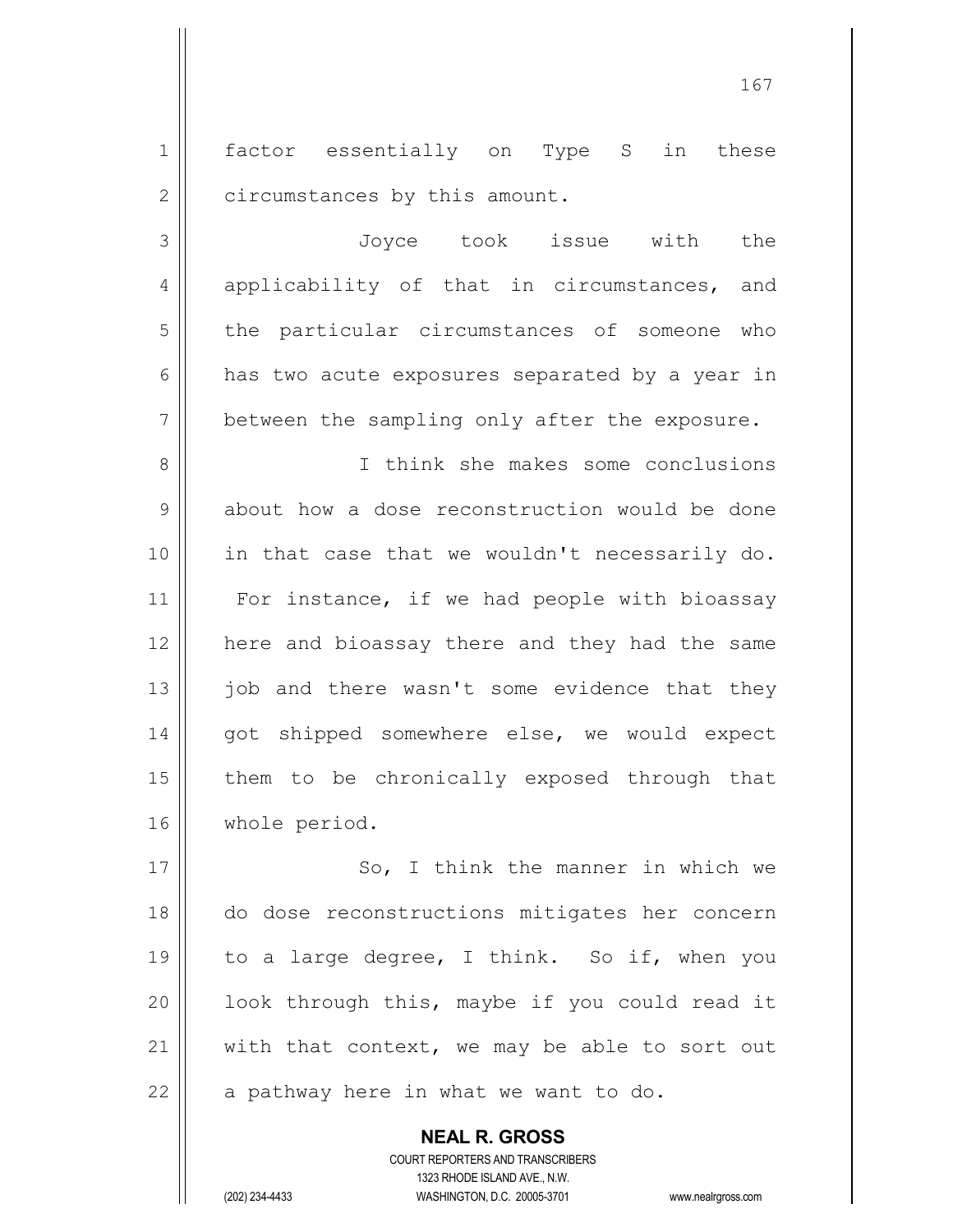1 || factor essentially on Type S in these 2 | circumstances by this amount.

3 Joyce took issue with the 4 || applicability of that in circumstances, and 5 | the particular circumstances of someone who  $6 \parallel$  has two acute exposures separated by a year in  $7 \parallel$  between the sampling only after the exposure.

8 I think she makes some conclusions 9 about how a dose reconstruction would be done 10 in that case that we wouldn't necessarily do. 11 || For instance, if we had people with bioassay 12 || here and bioassay there and they had the same  $13$  job and there wasn't some evidence that they 14 || got shipped somewhere else, we would expect 15 || them to be chronically exposed through that 16 | whole period.

17 || So, I think the manner in which we do dose reconstructions mitigates her concern 19 || to a large degree, I think. So if, when you | look through this, maybe if you could read it  $\parallel$  with that context, we may be able to sort out || a pathway here in what we want to do.

> COURT REPORTERS AND TRANSCRIBERS 1323 RHODE ISLAND AVE., N.W. (202) 234-4433 WASHINGTON, D.C. 20005-3701 www.nealrgross.com

**NEAL R. GROSS**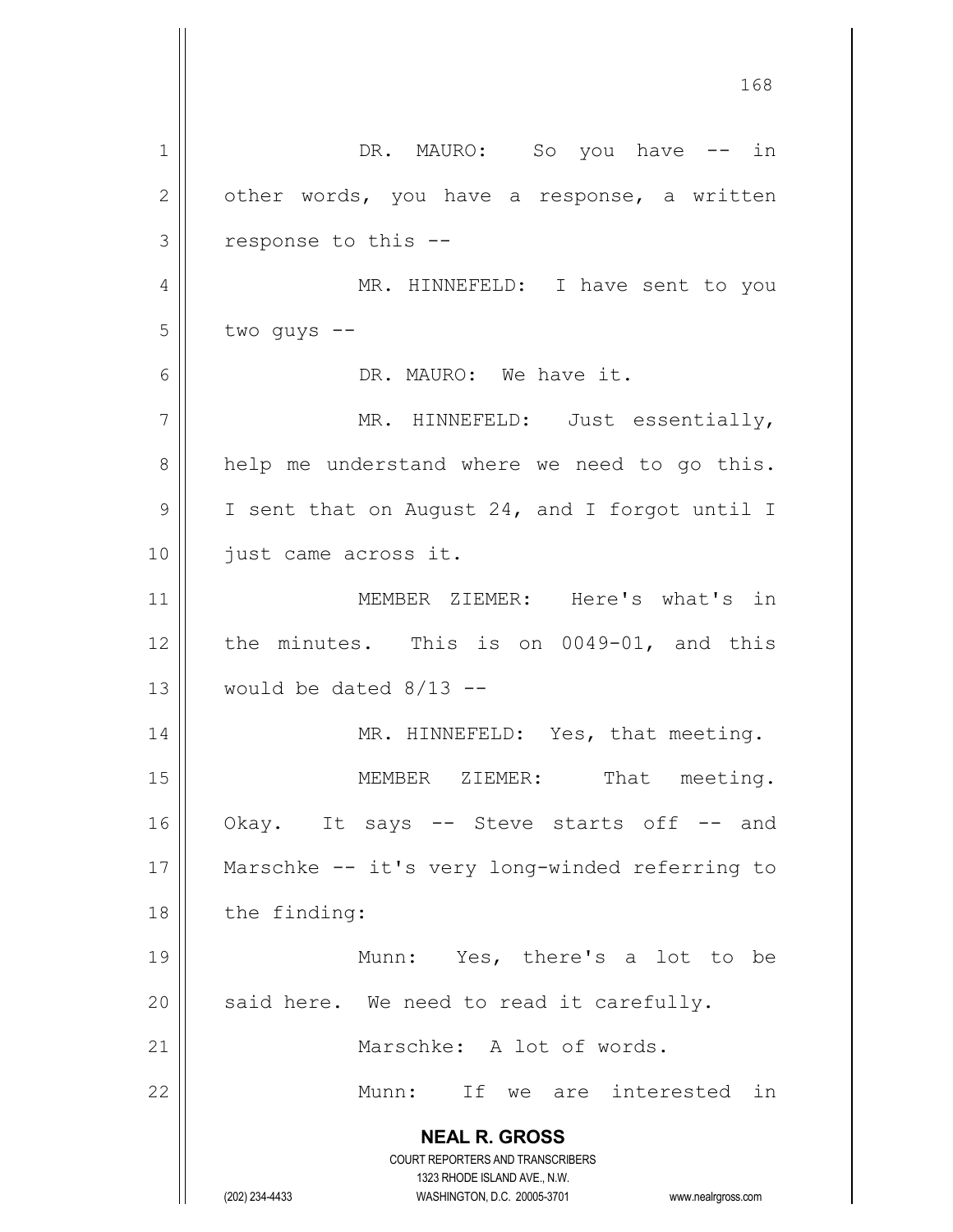**NEAL R. GROSS** COURT REPORTERS AND TRANSCRIBERS 1323 RHODE ISLAND AVE., N.W. (202) 234-4433 WASHINGTON, D.C. 20005-3701 www.nealrgross.com 1 | DR. MAURO: So you have -- in  $2 \parallel$  other words, you have a response, a written  $3 \parallel$  response to this --4 || MR. HINNEFELD: I have sent to you  $5 \parallel$  two guys  $-$ 6 DR. MAURO: We have it. 7 || MR. HINNEFELD: Just essentially,  $8 \parallel$  help me understand where we need to go this. 9 | I sent that on August 24, and I forgot until I 10 || just came across it. 11 || MEMBER ZIEMER: Here's what's in  $12$  | the minutes. This is on 0049-01, and this 13  $\parallel$  would be dated 8/13 --14 || MR. HINNEFELD: Yes, that meeting. 15 || MEMBER ZIEMER: That meeting. 16 || Okay. It says -- Steve starts off -- and 17 Marschke -- it's very long-winded referring to 18 | the finding: 19 || Munn: Yes, there's a lot to be  $20$  | said here. We need to read it carefully. 21 || Marschke: A lot of words. 22 Munn: If we are interested in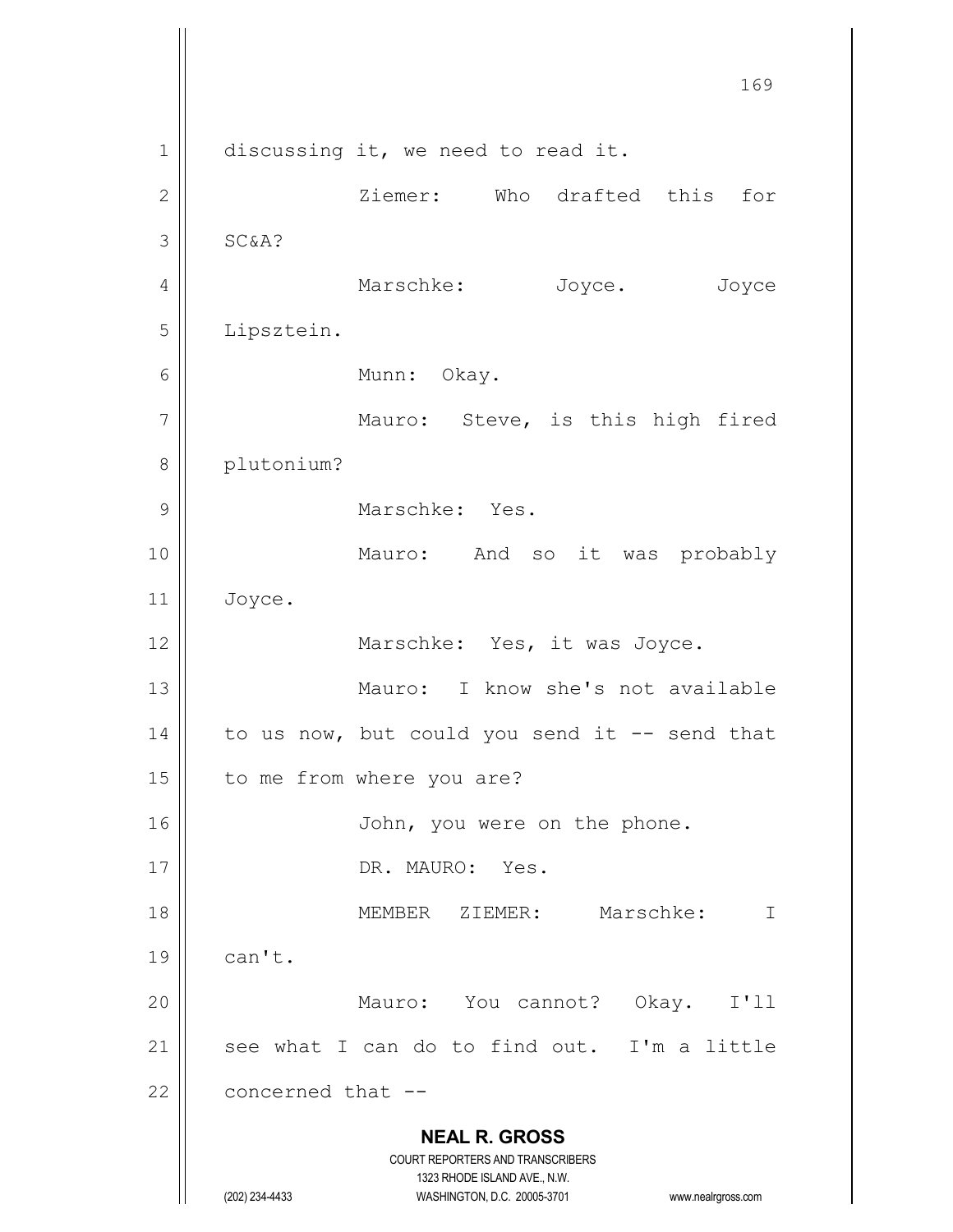**NEAL R. GROSS** COURT REPORTERS AND TRANSCRIBERS 1323 RHODE ISLAND AVE., N.W. (202) 234-4433 WASHINGTON, D.C. 20005-3701 www.nealrgross.com 169  $1 \parallel$  discussing it, we need to read it. 2 Ziemer: Who drafted this for  $3$  SC  $\&$  A? 4 | Marschke: Joyce. Joyce 5 Lipsztein. 6 | Munn: Okay. 7 || Mauro: Steve, is this high fired 8 || plutonium? 9 || Marschke: Yes. 10 || Mauro: And so it was probably  $11$  Joyce. 12 || Marschke: Yes, it was Joyce. 13 Mauro: I know she's not available 14  $\parallel$  to us now, but could you send it -- send that 15 || to me from where you are? 16 | John, you were on the phone. 17 || DR. MAURO: Yes. 18 MEMBER ZIEMER: Marschke: I  $19$   $\parallel$  can't. 20 Mauro: You cannot? Okay. I'll 21  $\parallel$  see what I can do to find out. I'm a little  $22$  | concerned that  $-$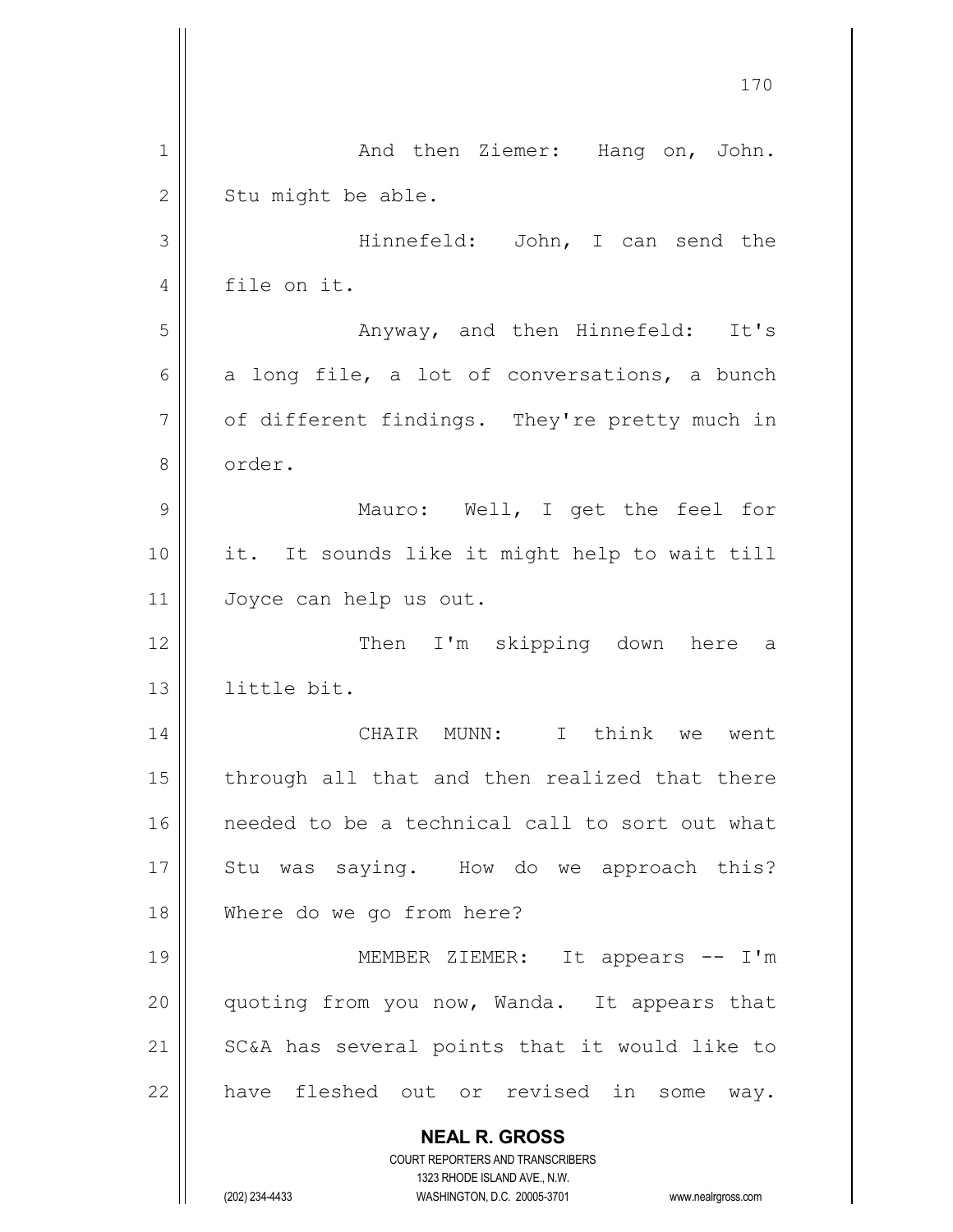|                | 170                                                                                                 |
|----------------|-----------------------------------------------------------------------------------------------------|
| 1              | And then Ziemer: Hang on, John.                                                                     |
| $\overline{2}$ | Stu might be able.                                                                                  |
| 3              | Hinnefeld: John, I can send the                                                                     |
| 4              | file on it.                                                                                         |
| 5              | Anyway, and then Hinnefeld: It's                                                                    |
| 6              | a long file, a lot of conversations, a bunch                                                        |
| 7              | of different findings. They're pretty much in                                                       |
| 8              | order.                                                                                              |
| 9              | Mauro: Well, I get the feel for                                                                     |
| 10             | it. It sounds like it might help to wait till                                                       |
| 11             | Joyce can help us out.                                                                              |
| 12             | Then I'm skipping down here a                                                                       |
| 13             | little bit.                                                                                         |
| 14             | I think<br>CHAIR MUNN:<br>we went                                                                   |
| 15             | through all that and then realized that there                                                       |
| 16             | needed to be a technical call to sort out what                                                      |
| 17             | Stu was saying. How do we approach this?                                                            |
| 18             | Where do we go from here?                                                                           |
| 19             | MEMBER ZIEMER: It appears -- I'm                                                                    |
| 20             | quoting from you now, Wanda. It appears that                                                        |
| 21             | SC&A has several points that it would like to                                                       |
| 22             | have fleshed out or revised in some way.                                                            |
|                | <b>NEAL R. GROSS</b><br><b>COURT REPORTERS AND TRANSCRIBERS</b>                                     |
|                | 1323 RHODE ISLAND AVE., N.W.<br>(202) 234-4433<br>WASHINGTON, D.C. 20005-3701<br>www.nealrgross.com |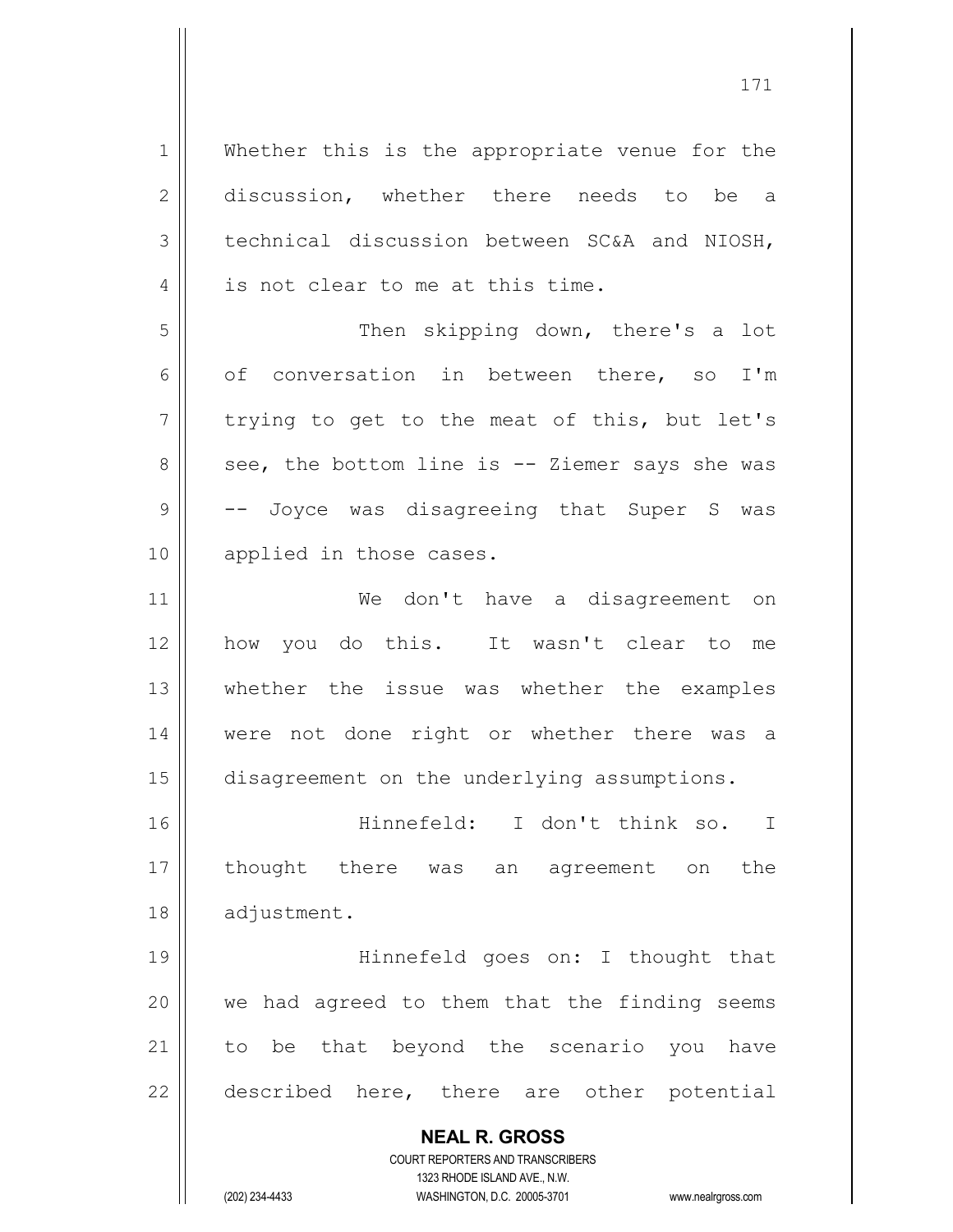**NEAL R. GROSS** COURT REPORTERS AND TRANSCRIBERS 1323 RHODE ISLAND AVE., N.W. 1 || Whether this is the appropriate venue for the 2 discussion, whether there needs to be a  $3$  technical discussion between SC&A and NIOSH, 4 || is not clear to me at this time. 5 || Then skipping down, there's a lot 6 |  $\circ$  of conversation in between there, so I'm  $7 \parallel$  trying to get to the meat of this, but let's  $8 \parallel$  see, the bottom line is -- Ziemer says she was 9  $\vert$  -- Joyce was disagreeing that Super S was 10 || applied in those cases. 11 We don't have a disagreement on 12 || how you do this. It wasn't clear to me 13 whether the issue was whether the examples 14 || were not done right or whether there was a 15 | disagreement on the underlying assumptions. 16 Hinnefeld: I don't think so. I 17 thought there was an agreement on the 18 | adjustment. 19 || Hinnefeld goes on: I thought that  $20$  || we had agreed to them that the finding seems 21 || to be that beyond the scenario you have  $22$  || described here, there are other potential

(202) 234-4433 WASHINGTON, D.C. 20005-3701 www.nealrgross.com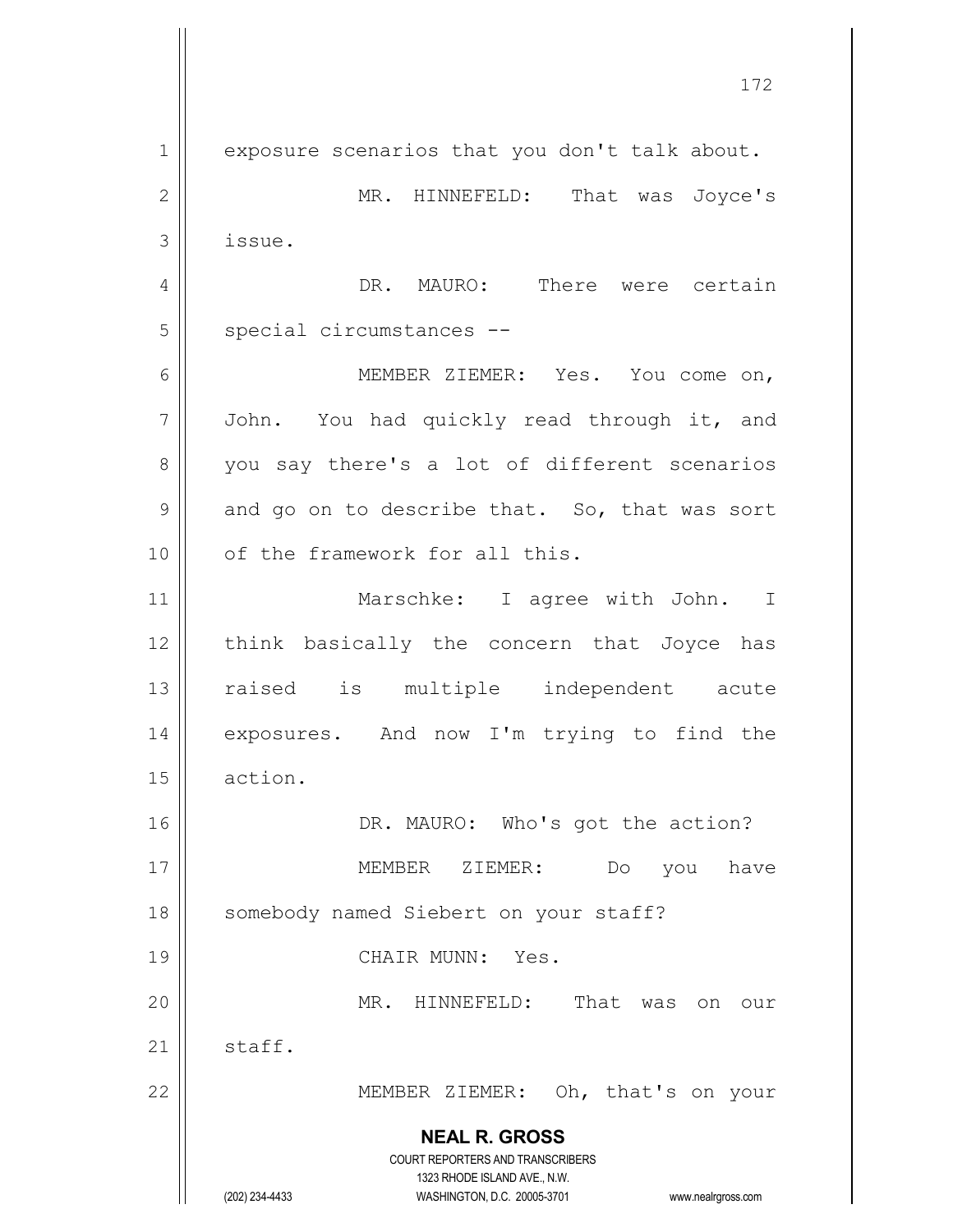**NEAL R. GROSS** COURT REPORTERS AND TRANSCRIBERS 1323 RHODE ISLAND AVE., N.W. (202) 234-4433 WASHINGTON, D.C. 20005-3701 www.nealrgross.com 1 | exposure scenarios that you don't talk about. 2 MR. HINNEFELD: That was Joyce's  $3$  || issue. 4 DR. MAURO: There were certain 5 | special circumstances --6 MEMBER ZIEMER: Yes. You come on,  $7 \parallel$  John. You had quickly read through it, and 8 you say there's a lot of different scenarios  $9 \parallel$  and go on to describe that. So, that was sort 10 || of the framework for all this. 11 || Marschke: I agree with John. I 12 || think basically the concern that Joyce has 13 || raised is multiple independent acute 14 || exposures. And now I'm trying to find the 15 action. 16 || DR. MAURO: Who's got the action? 17 MEMBER ZIEMER: Do you have 18 | somebody named Siebert on your staff? 19 || CHAIR MUNN: Yes. 20 MR. HINNEFELD: That was on our 21  $\parallel$  staff. 22 MEMBER ZIEMER: Oh, that's on your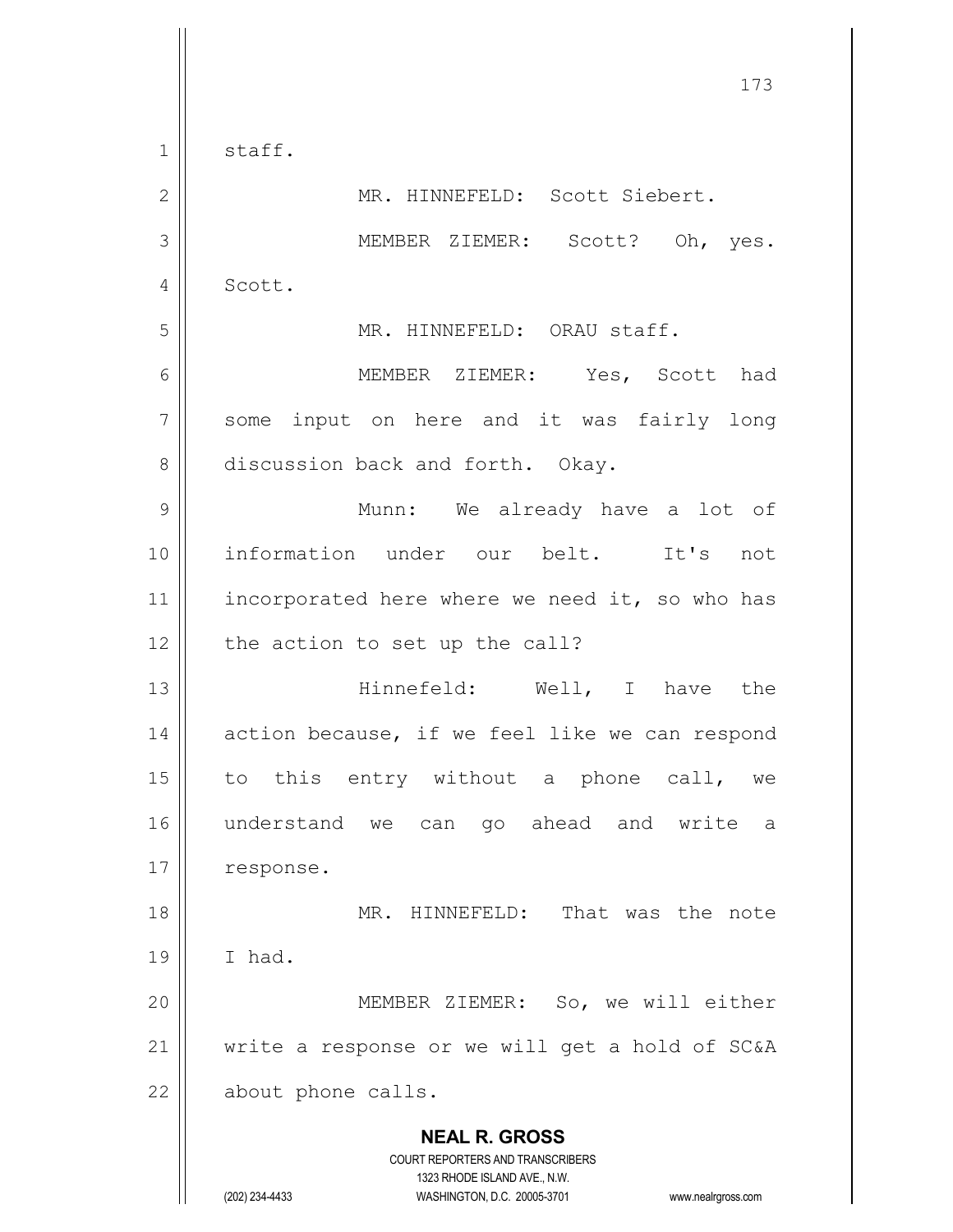**NEAL R. GROSS** COURT REPORTERS AND TRANSCRIBERS 1323 RHODE ISLAND AVE., N.W. 173  $1 \parallel$  staff. 2 || MR. HINNEFELD: Scott Siebert. 3 MEMBER ZIEMER: Scott? Oh, yes. 4 | Scott. 5 || MR. HINNEFELD: ORAU staff. 6 MEMBER ZIEMER: Yes, Scott had 7 || some input on here and it was fairly long 8 discussion back and forth. Okay. 9 Munn: We already have a lot of 10 information under our belt. It's not 11 | incorporated here where we need it, so who has  $12$  | the action to set up the call? 13 Hinnefeld: Well, I have the  $14$  | action because, if we feel like we can respond 15  $\parallel$  to this entry without a phone call, we 16 understand we can go ahead and write a 17 | response. 18 MR. HINNEFELD: That was the note  $19$  | I had. 20 MEMBER ZIEMER: So, we will either 21  $\parallel$  write a response or we will get a hold of SC&A 22 | about phone calls.

(202) 234-4433 WASHINGTON, D.C. 20005-3701 www.nealrgross.com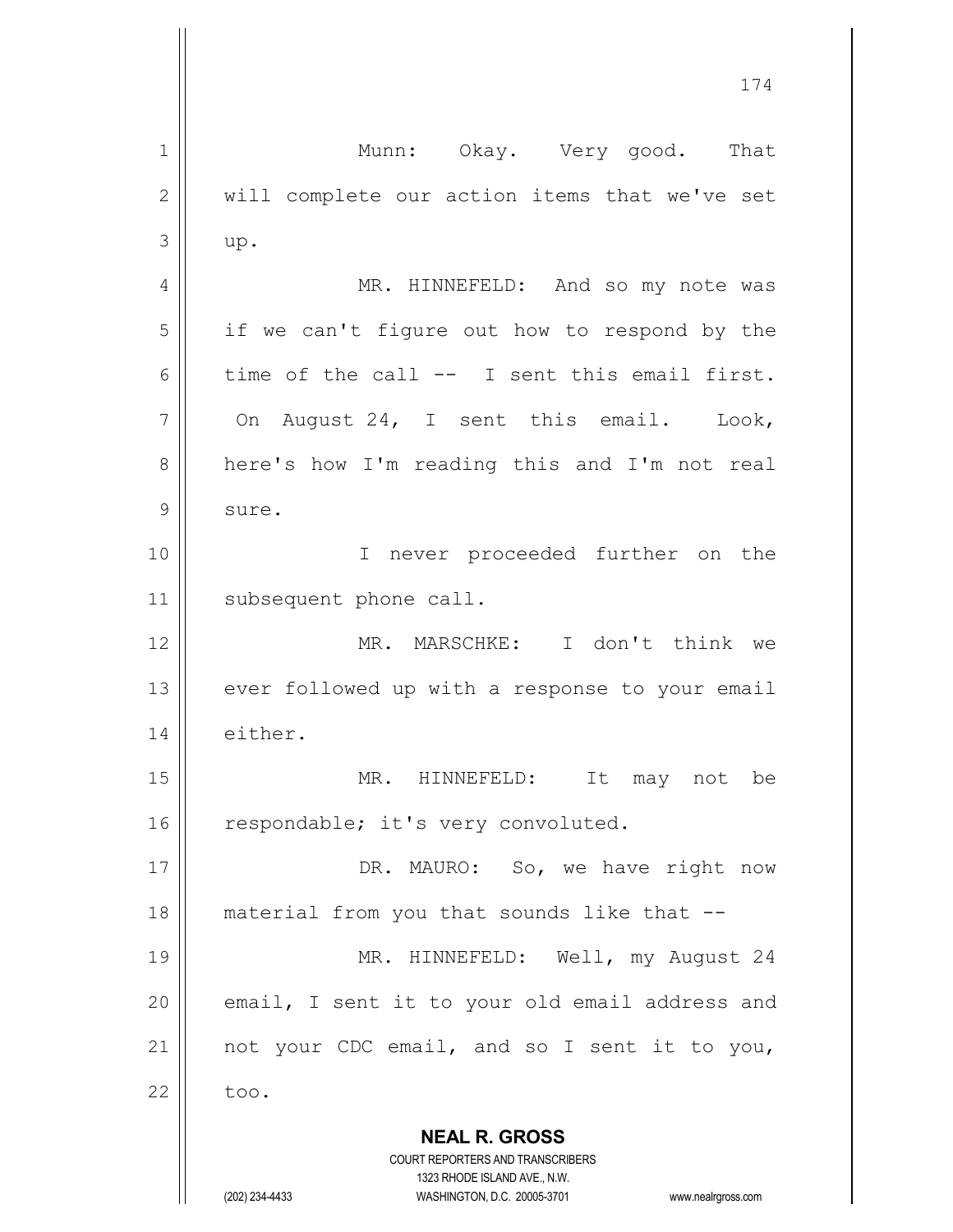**NEAL R. GROSS** COURT REPORTERS AND TRANSCRIBERS 1323 RHODE ISLAND AVE., N.W. (202) 234-4433 WASHINGTON, D.C. 20005-3701 www.nealrgross.com 1 || Munn: Okay. Very good. That 2 || will complete our action items that we've set  $3 \parallel$  up. 4 | MR. HINNEFELD: And so my note was  $5 \parallel$  if we can't figure out how to respond by the 6 time of the call  $--$  I sent this email first.  $7 \parallel$  On August 24, I sent this email. Look, 8 | here's how I'm reading this and I'm not real 9 | sure. 10 || T never proceeded further on the 11 | subsequent phone call. 12 MR. MARSCHKE: I don't think we  $13$  | ever followed up with a response to your email 14 | either. 15 || MR. HINNEFELD: It may not be 16  $\parallel$  respondable; it's very convoluted. 17 || DR. MAURO: So, we have right now 18 || material from you that sounds like that --19 || MR. HINNEFELD: Well, my August 24  $20$  || email, I sent it to your old email address and 21  $\parallel$  not your CDC email, and so I sent it to you,  $22 \parallel$  too.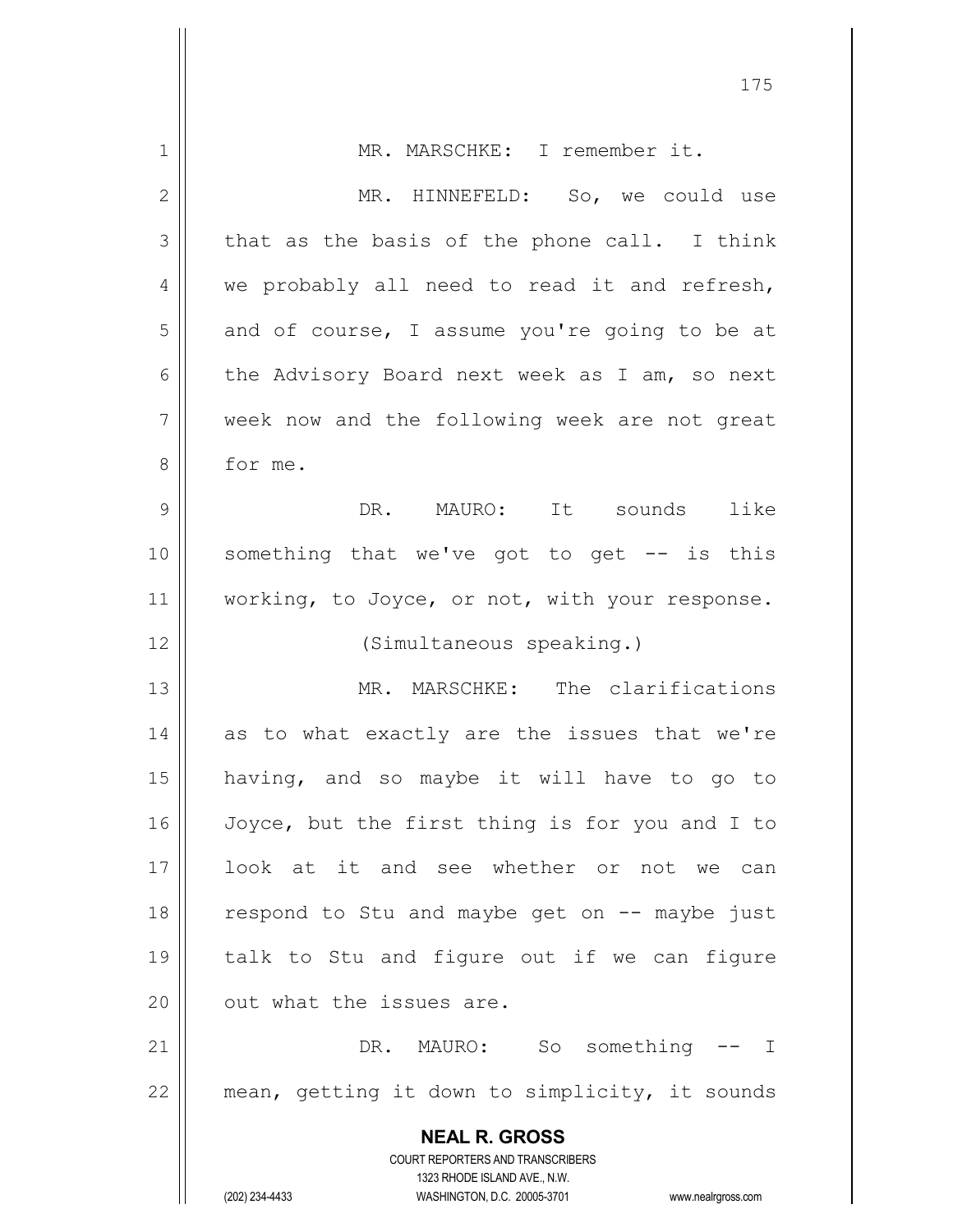| 1            | MR. MARSCHKE: I remember it.                                            |
|--------------|-------------------------------------------------------------------------|
| $\mathbf{2}$ | MR. HINNEFELD: So, we could use                                         |
| 3            | that as the basis of the phone call. I think                            |
| 4            | we probably all need to read it and refresh,                            |
| 5            | and of course, I assume you're going to be at                           |
| 6            | the Advisory Board next week as I am, so next                           |
| 7            | week now and the following week are not great                           |
| 8            | for me.                                                                 |
| 9            | DR. MAURO: It sounds like                                               |
| 10           | something that we've got to get -- is this                              |
| 11           | working, to Joyce, or not, with your response.                          |
| 12           | (Simultaneous speaking.)                                                |
| 13           | MR. MARSCHKE: The clarifications                                        |
| 14           | as to what exactly are the issues that we're                            |
| 15           | having, and so maybe it will have to go to                              |
| 16           | Joyce, but the first thing is for you and I to                          |
| 17           | look at it and see whether or not we can                                |
| 18           | respond to Stu and maybe get on -- maybe just                           |
| 19           | talk to Stu and figure out if we can figure                             |
| 20           | out what the issues are.                                                |
|              |                                                                         |
| 21           | DR. MAURO: So something<br>$--$ I                                       |
| 22           | mean, getting it down to simplicity, it sounds                          |
|              | <b>NEAL R. GROSS</b>                                                    |
|              | <b>COURT REPORTERS AND TRANSCRIBERS</b><br>1323 RHODE ISLAND AVE., N.W. |
|              | (202) 234-4433<br>WASHINGTON, D.C. 20005-3701<br>www.nealrgross.com     |

 $\mathsf{I}$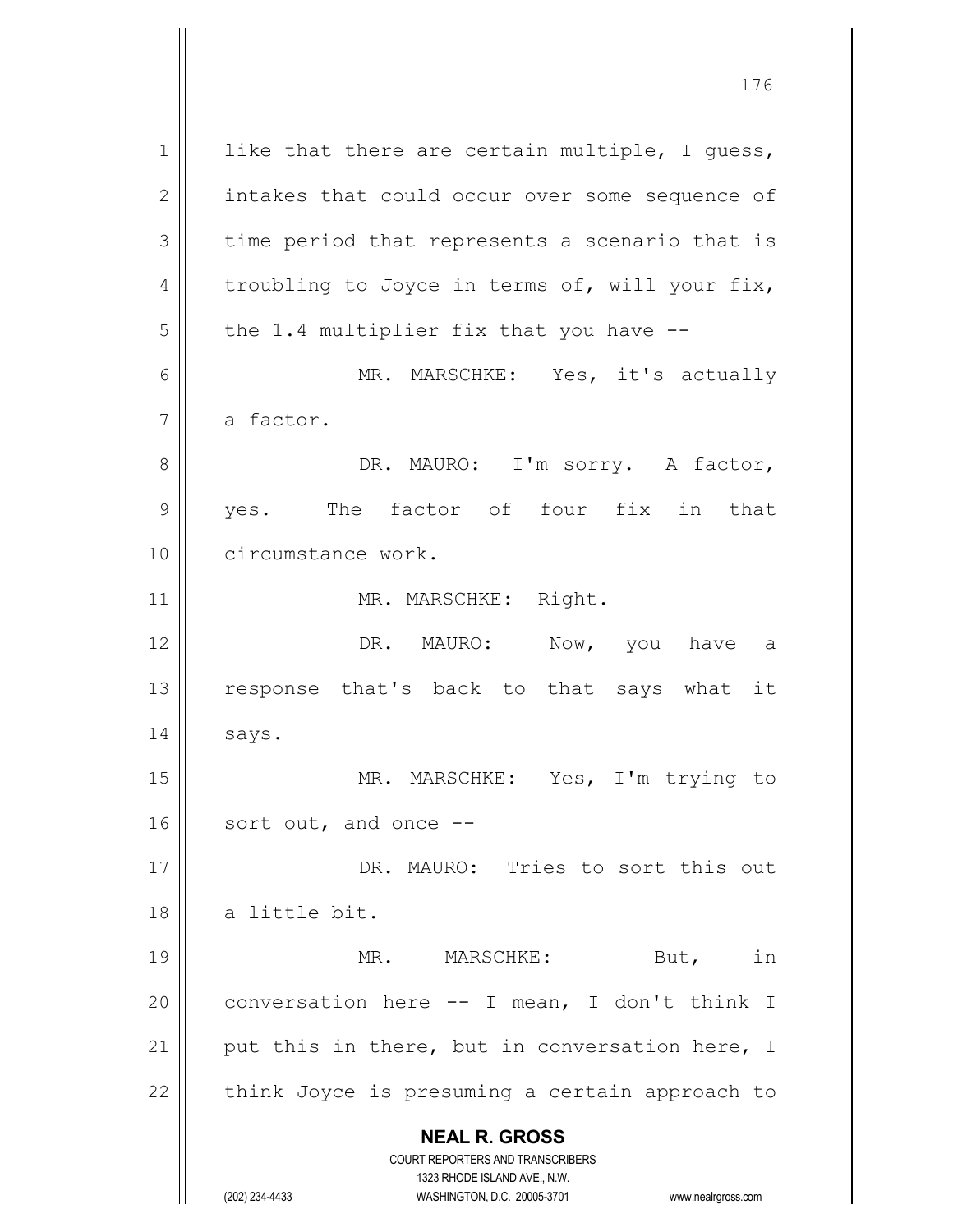**NEAL R. GROSS** COURT REPORTERS AND TRANSCRIBERS 1323 RHODE ISLAND AVE., N.W.  $1$  like that there are certain multiple, I quess, 2 | intakes that could occur over some sequence of  $3 \parallel$  time period that represents a scenario that is 4  $\parallel$  troubling to Joyce in terms of, will your fix,  $5$  | the 1.4 multiplier fix that you have  $-$ 6 MR. MARSCHKE: Yes, it's actually  $7 \parallel$  a factor. 8 DR. MAURO: I'm sorry. A factor, 9 yes. The factor of four fix in that 10 || circumstance work. 11 || MR. MARSCHKE: Right. 12 DR. MAURO: Now, you have a 13 || response that's back to that says what it  $14 \parallel$  says. 15 MR. MARSCHKE: Yes, I'm trying to 16 || sort out, and once --17 || DR. MAURO: Tries to sort this out 18 || a little bit. 19 || MR. MARSCHKE: But, in  $20$  | conversation here  $-$  I mean, I don't think I 21  $\parallel$  put this in there, but in conversation here, I  $22$  | think Joyce is presuming a certain approach to

(202) 234-4433 WASHINGTON, D.C. 20005-3701 www.nealrgross.com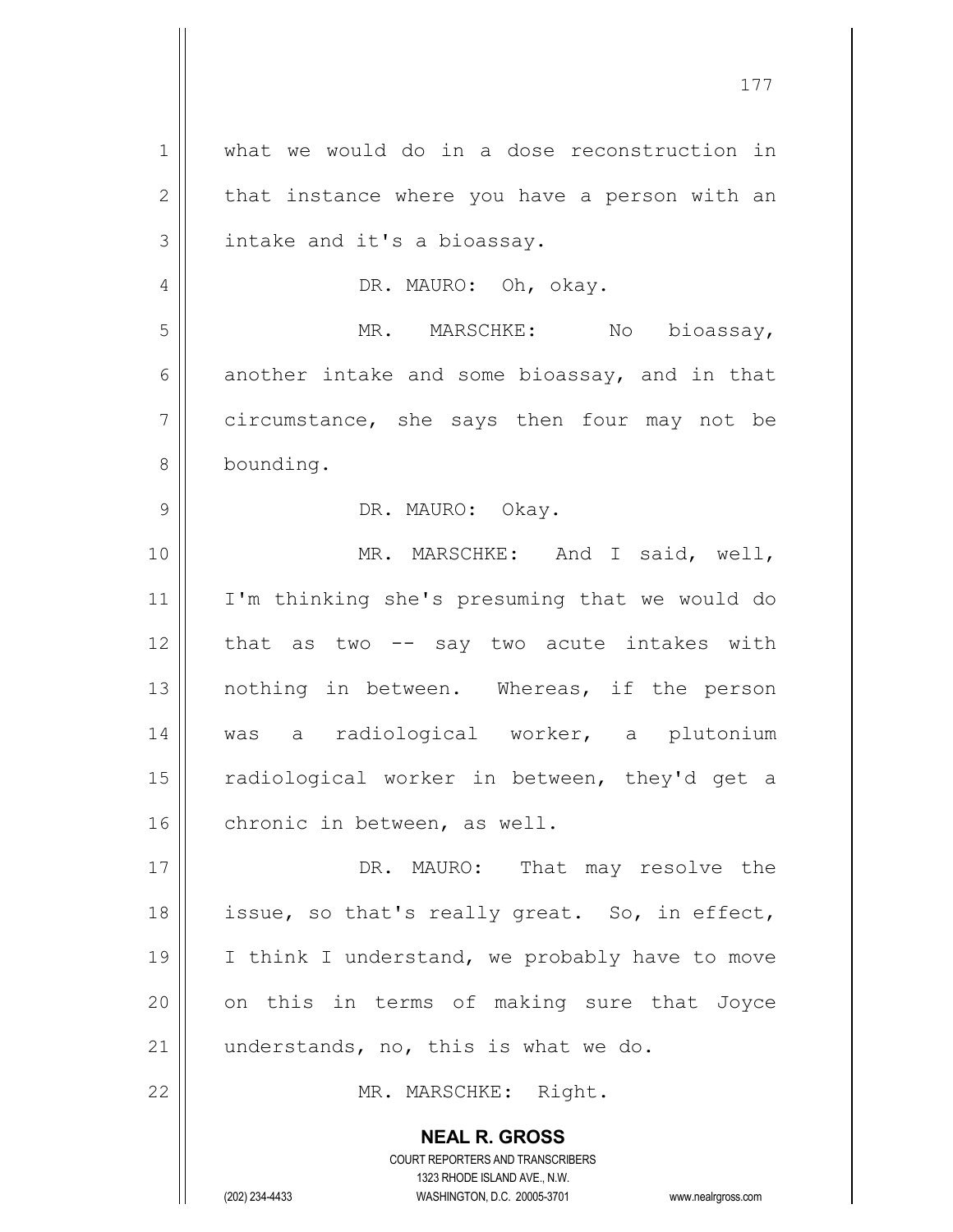**NEAL R. GROSS** 1 what we would do in a dose reconstruction in  $2 \parallel$  that instance where you have a person with an  $3$  | intake and it's a bioassay. 4 | DR. MAURO: Oh, okay. 5 MR. MARSCHKE: No bioassay,  $6 \parallel$  another intake and some bioassay, and in that 7 circumstance, she says then four may not be 8 bounding. 9 DR. MAURO: Okay. 10 || MR. MARSCHKE: And I said, well, 11 I'm thinking she's presuming that we would do 12 that as two -- say two acute intakes with 13 || nothing in between. Whereas, if the person 14 was a radiological worker, a plutonium 15 || radiological worker in between, they'd get a 16 | chronic in between, as well. 17 || DR. MAURO: That may resolve the 18 || issue, so that's really great. So, in effect, 19  $\parallel$  I think I understand, we probably have to move  $20$  || on this in terms of making sure that Joyce 21  $\parallel$  understands, no, this is what we do. 22 || MR. MARSCHKE: Right.

> COURT REPORTERS AND TRANSCRIBERS 1323 RHODE ISLAND AVE., N.W.

(202) 234-4433 WASHINGTON, D.C. 20005-3701 www.nealrgross.com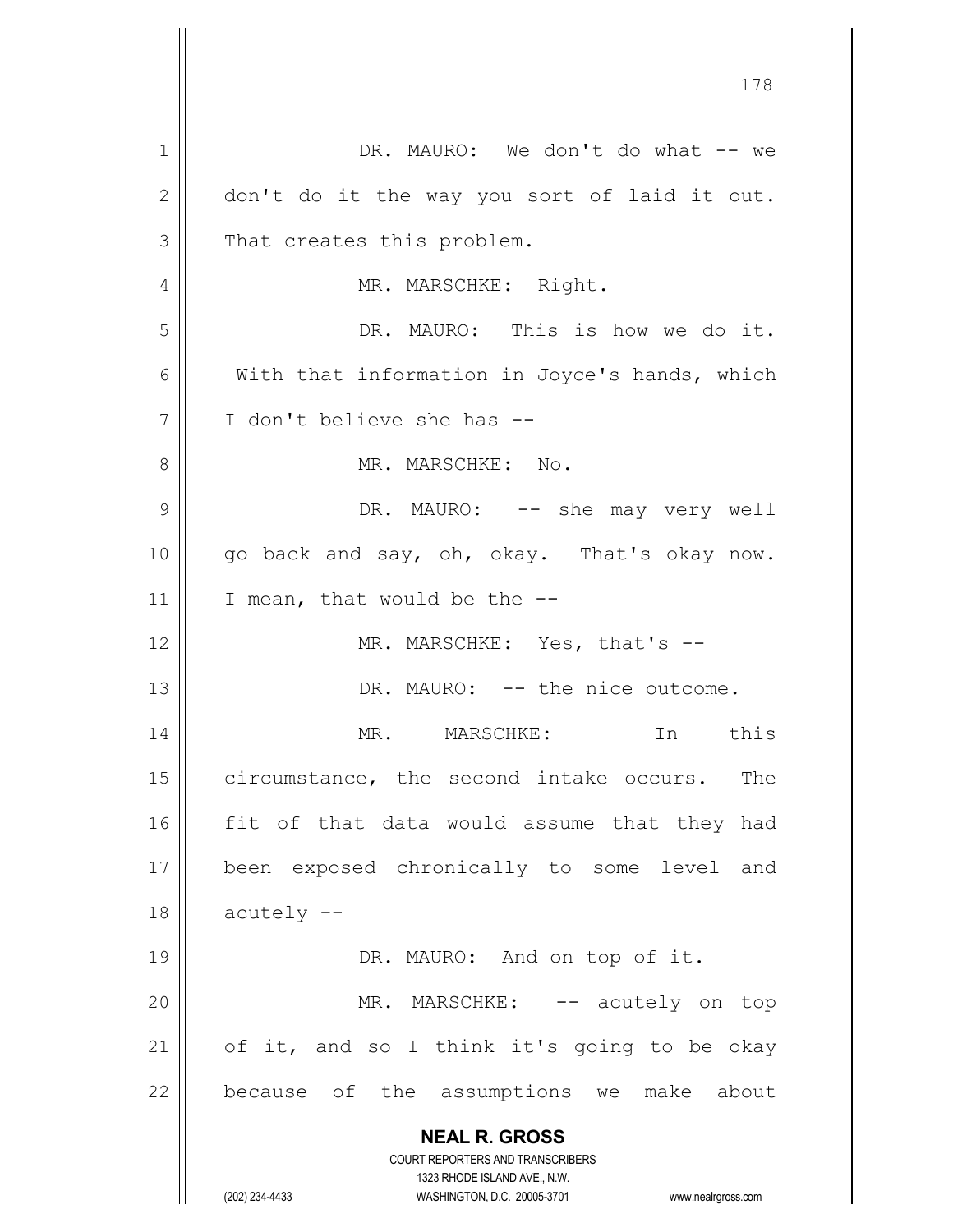**NEAL R. GROSS** COURT REPORTERS AND TRANSCRIBERS 1323 RHODE ISLAND AVE., N.W. (202) 234-4433 WASHINGTON, D.C. 20005-3701 www.nealrgross.com 1 DR. MAURO: We don't do what -- we  $2 \parallel$  don't do it the way you sort of laid it out.  $3 \parallel$  That creates this problem. 4 | MR. MARSCHKE: Right. 5 DR. MAURO: This is how we do it. 6 || With that information in Joyce's hands, which 7 I don't believe she has -- 8 MR. MARSCHKE: No. 9 DR. MAURO: -- she may very well 10 go back and say, oh, okay. That's okay now. 11 | I mean, that would be the  $-$ 12 || MR. MARSCHKE: Yes, that's --13 DR. MAURO: -- the nice outcome. 14 MR. MARSCHKE: In this 15 | circumstance, the second intake occurs. The  $16$  fit of that data would assume that they had 17 been exposed chronically to some level and  $18$  | acutely  $-$ 19 || DR. MAURO: And on top of it. 20 || MR. MARSCHKE: -- acutely on top 21 |  $\sigma$  of it, and so I think it's going to be okay  $22$  | because of the assumptions we make about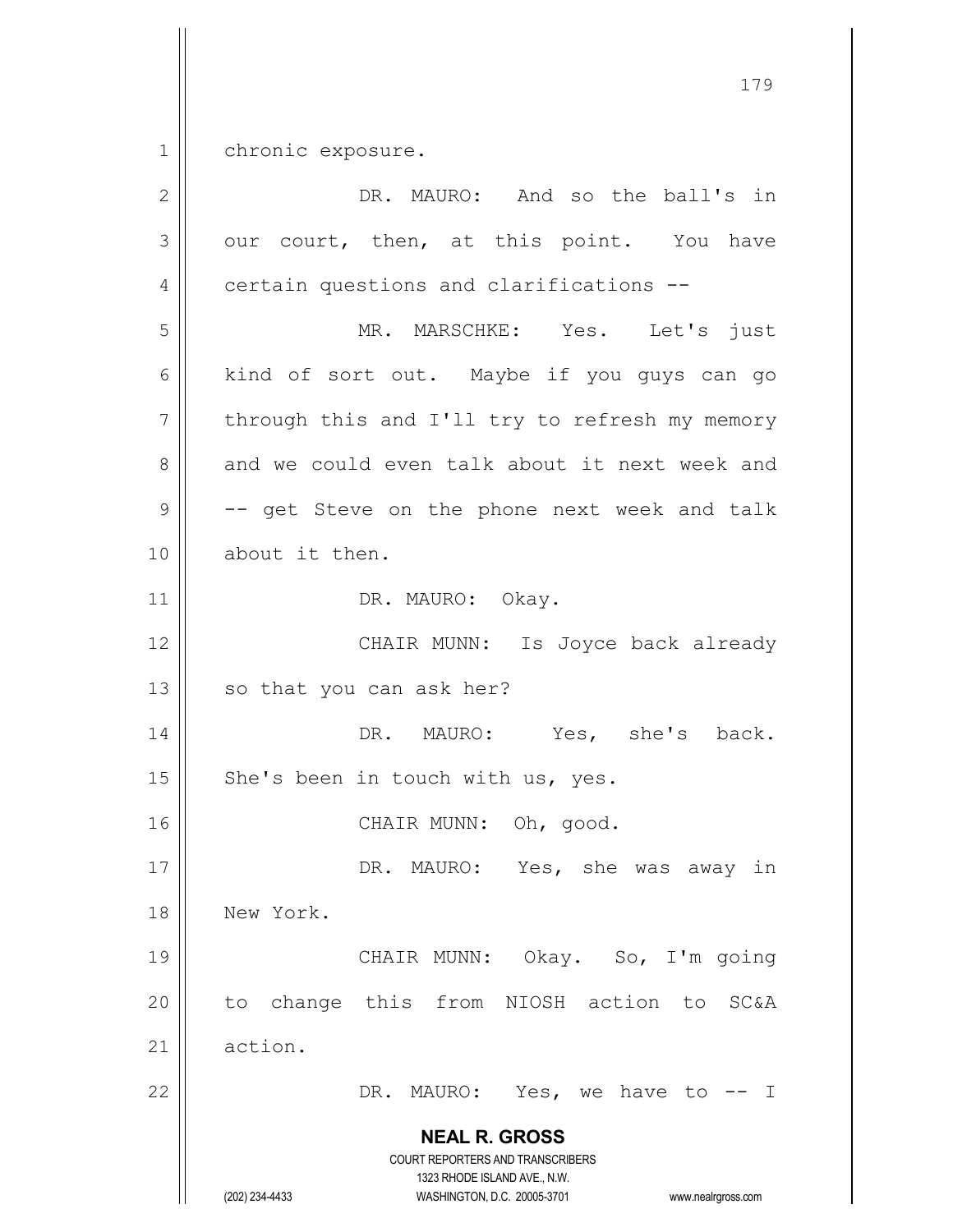1 chronic exposure.

| $\overline{2}$ | DR. MAURO: And so the ball's in                                                                                                                                        |
|----------------|------------------------------------------------------------------------------------------------------------------------------------------------------------------------|
| 3              | our court, then, at this point. You have                                                                                                                               |
| 4              | certain questions and clarifications --                                                                                                                                |
| 5              | MR. MARSCHKE: Yes. Let's just                                                                                                                                          |
| 6              | kind of sort out. Maybe if you guys can go                                                                                                                             |
| $\overline{7}$ | through this and I'll try to refresh my memory                                                                                                                         |
| 8              | and we could even talk about it next week and                                                                                                                          |
| $\mathcal{G}$  | -- get Steve on the phone next week and talk                                                                                                                           |
| 10             | about it then.                                                                                                                                                         |
| 11             | DR. MAURO: Okay.                                                                                                                                                       |
| 12             | CHAIR MUNN: Is Joyce back already                                                                                                                                      |
| 13             | so that you can ask her?                                                                                                                                               |
| 14             | DR. MAURO: Yes, she's back.                                                                                                                                            |
| 15             | She's been in touch with us, yes.                                                                                                                                      |
| 16             | CHAIR MUNN: Oh, good.                                                                                                                                                  |
| 17             | DR. MAURO: Yes, she was away in                                                                                                                                        |
| 18             | New York.                                                                                                                                                              |
| 19             | CHAIR MUNN: Okay. So, I'm going                                                                                                                                        |
| 20             | to change this from NIOSH action to<br><b>SC&amp;A</b>                                                                                                                 |
| 21             | action.                                                                                                                                                                |
| 22             | DR. MAURO: Yes, we have to -- I                                                                                                                                        |
|                | <b>NEAL R. GROSS</b><br><b>COURT REPORTERS AND TRANSCRIBERS</b><br>1323 RHODE ISLAND AVE., N.W.<br>(202) 234-4433<br>WASHINGTON, D.C. 20005-3701<br>www.nealrgross.com |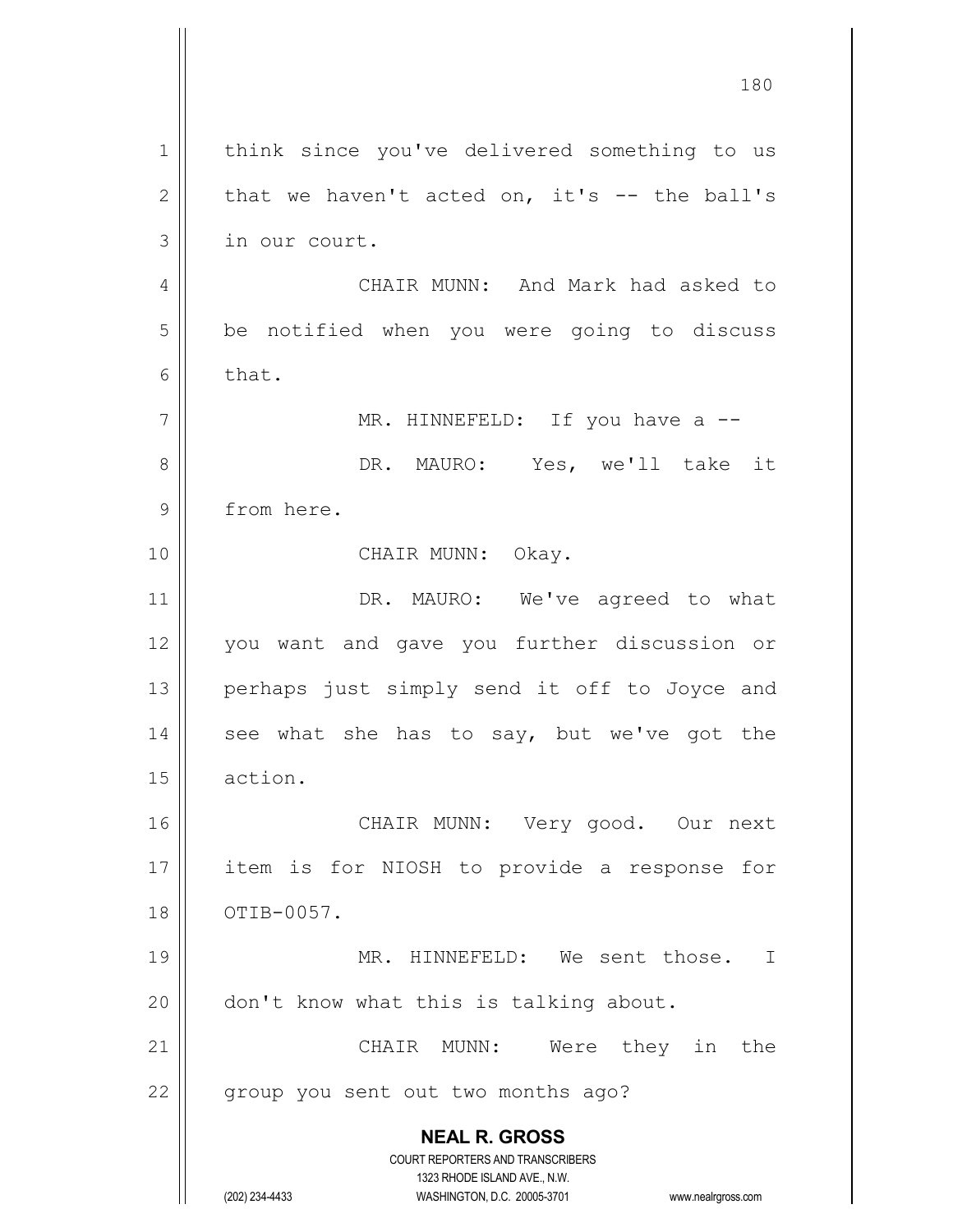**NEAL R. GROSS** COURT REPORTERS AND TRANSCRIBERS 1323 RHODE ISLAND AVE., N.W. (202) 234-4433 WASHINGTON, D.C. 20005-3701 www.nealrgross.com 1 || think since you've delivered something to us 2  $\parallel$  that we haven't acted on, it's -- the ball's 3 | in our court. 4 | CHAIR MUNN: And Mark had asked to 5 | be notified when you were going to discuss  $6 \parallel$  that.  $7 \parallel$  MR. HINNEFELD: If you have a  $-$ 8 DR. MAURO: Yes, we'll take it 9 | from here. 10 || CHAIR MUNN: Okay. 11 || DR. MAURO: We've agreed to what 12 || you want and gave you further discussion or 13 || perhaps just simply send it off to Joyce and 14  $\parallel$  see what she has to say, but we've got the 15 action. 16 || CHAIR MUNN: Very good. Our next 17 || item is for NIOSH to provide a response for 18 || OTIB-0057. 19 || MR. HINNEFELD: We sent those. I 20 || don't know what this is talking about. 21 || CHAIR MUNN: Were they in the 22 || group you sent out two months ago?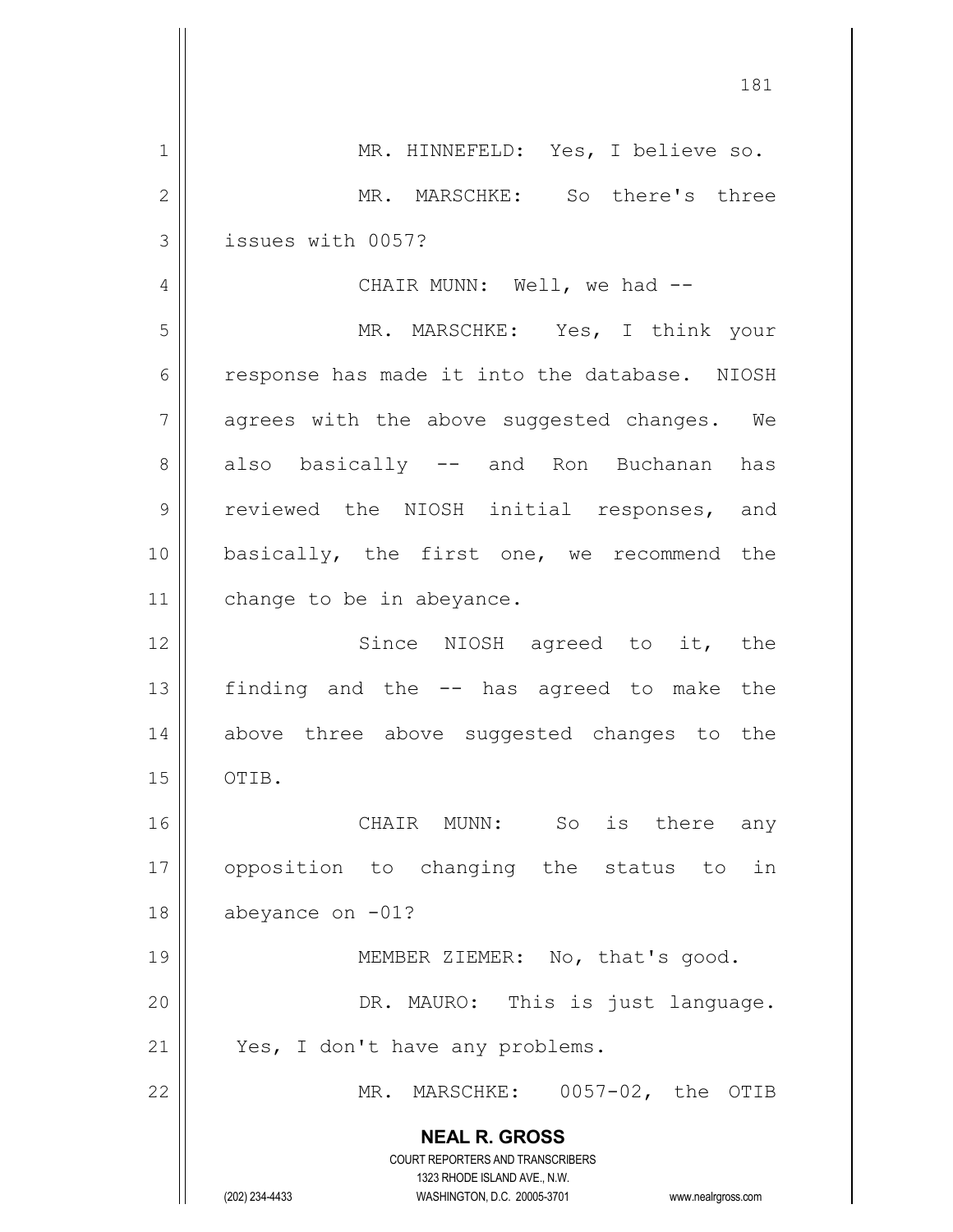|              | 181                                                                                                                                                                    |
|--------------|------------------------------------------------------------------------------------------------------------------------------------------------------------------------|
| 1            | MR. HINNEFELD: Yes, I believe so.                                                                                                                                      |
| $\mathbf{2}$ | MR. MARSCHKE: So there's three                                                                                                                                         |
| 3            | issues with 0057?                                                                                                                                                      |
| 4            | CHAIR MUNN: Well, we had --                                                                                                                                            |
| 5            | MR. MARSCHKE: Yes, I think your                                                                                                                                        |
| 6            | response has made it into the database. NIOSH                                                                                                                          |
| 7            | agrees with the above suggested changes. We                                                                                                                            |
| 8            | also basically -- and Ron Buchanan has                                                                                                                                 |
| 9            | reviewed the NIOSH initial responses, and                                                                                                                              |
| 10           | basically, the first one, we recommend the                                                                                                                             |
| 11           | change to be in abeyance.                                                                                                                                              |
| 12           | Since NIOSH agreed to it, the                                                                                                                                          |
| 13           | finding and the -- has agreed to make the                                                                                                                              |
| 14           | above three above suggested changes to the                                                                                                                             |
| 15           | OTIB.                                                                                                                                                                  |
| 16           | So is there any<br>CHAIR MUNN:                                                                                                                                         |
| 17           | opposition to changing the status to<br>in                                                                                                                             |
| 18           | abeyance on $-01$ ?                                                                                                                                                    |
| 19           | MEMBER ZIEMER: No, that's good.                                                                                                                                        |
| 20           | DR. MAURO: This is just language.                                                                                                                                      |
| 21           | Yes, I don't have any problems.                                                                                                                                        |
| 22           | MR. MARSCHKE: 0057-02, the OTIB                                                                                                                                        |
|              | <b>NEAL R. GROSS</b><br><b>COURT REPORTERS AND TRANSCRIBERS</b><br>1323 RHODE ISLAND AVE., N.W.<br>(202) 234-4433<br>WASHINGTON, D.C. 20005-3701<br>www.nealrgross.com |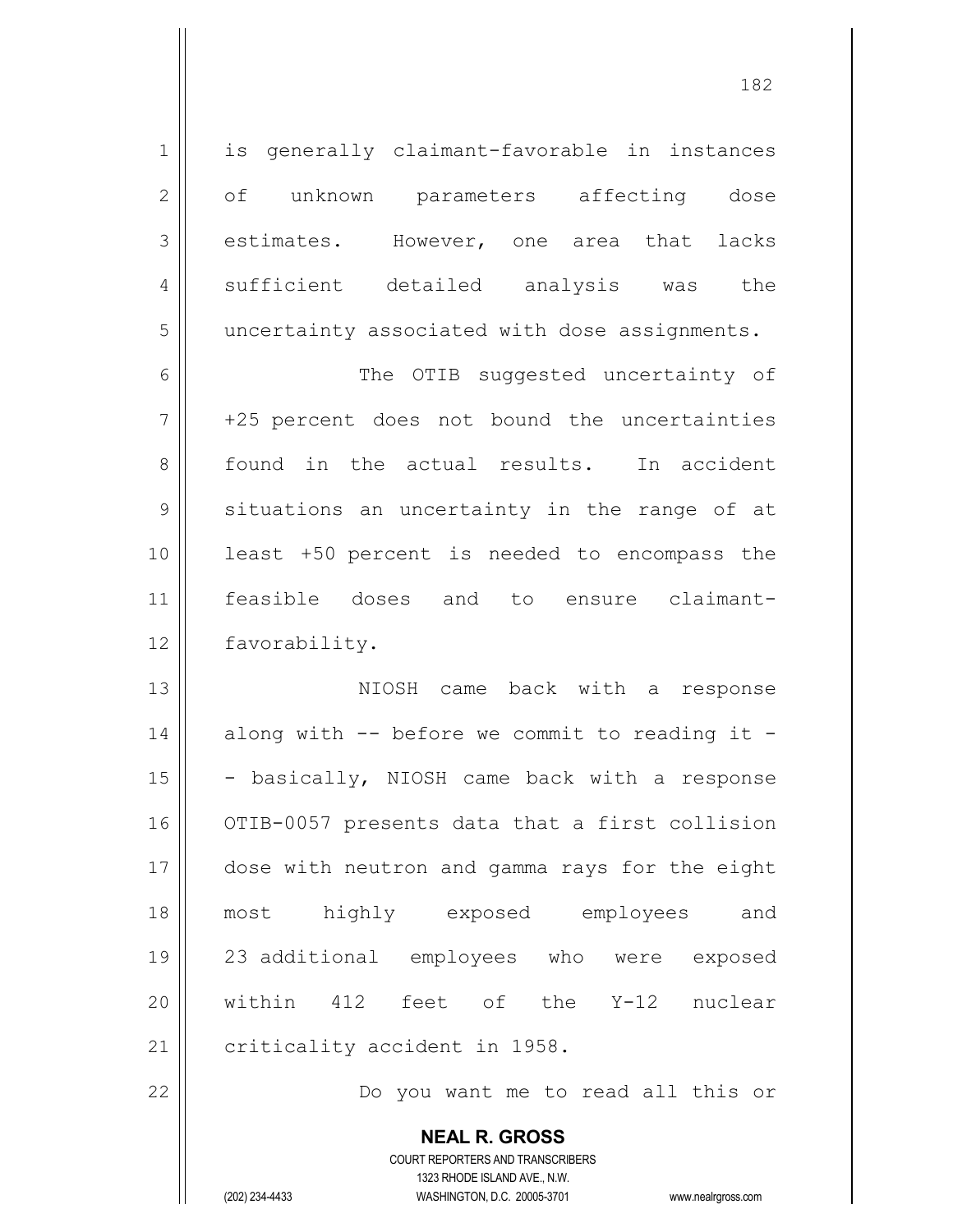| $\mathbf 1$    | is generally claimant-favorable in instances             |
|----------------|----------------------------------------------------------|
| $\overline{2}$ | of unknown parameters affecting dose                     |
| 3              | estimates. However, one area that lacks                  |
| 4              | sufficient detailed analysis was the                     |
| 5              | uncertainty associated with dose assignments.            |
| 6              | The OTIB suggested uncertainty of                        |
| $\overline{7}$ | +25 percent does not bound the uncertainties             |
| 8              | found in the actual results. In accident                 |
| $\mathcal{G}$  | situations an uncertainty in the range of at             |
| 10             | least +50 percent is needed to encompass the             |
| 11             | feasible doses and to ensure claimant-                   |
| 12             | favorability.                                            |
| 13             | NIOSH came back with a response                          |
| 14             | along with -- before we commit to reading it -           |
| 15             | - basically, NIOSH came back with a response             |
| 16             | OTIB-0057 presents data that a first collision           |
| 17             | dose with neutron and gamma rays for the eight           |
| 18             | most highly exposed employees and                        |
| 19             | 23 additional employees who were exposed                 |
| 20             | within 412 feet of the Y-12 nuclear                      |
| 21             | criticality accident in 1958.                            |
| 22             | Do you want me to read all this or                       |
|                | <b>NEAL R. GROSS</b><br>COURT REPORTERS AND TRANSCRIBERS |

1323 RHODE ISLAND AVE., N.W.

 $\prod$ 

(202) 234-4433 WASHINGTON, D.C. 20005-3701 www.nealrgross.com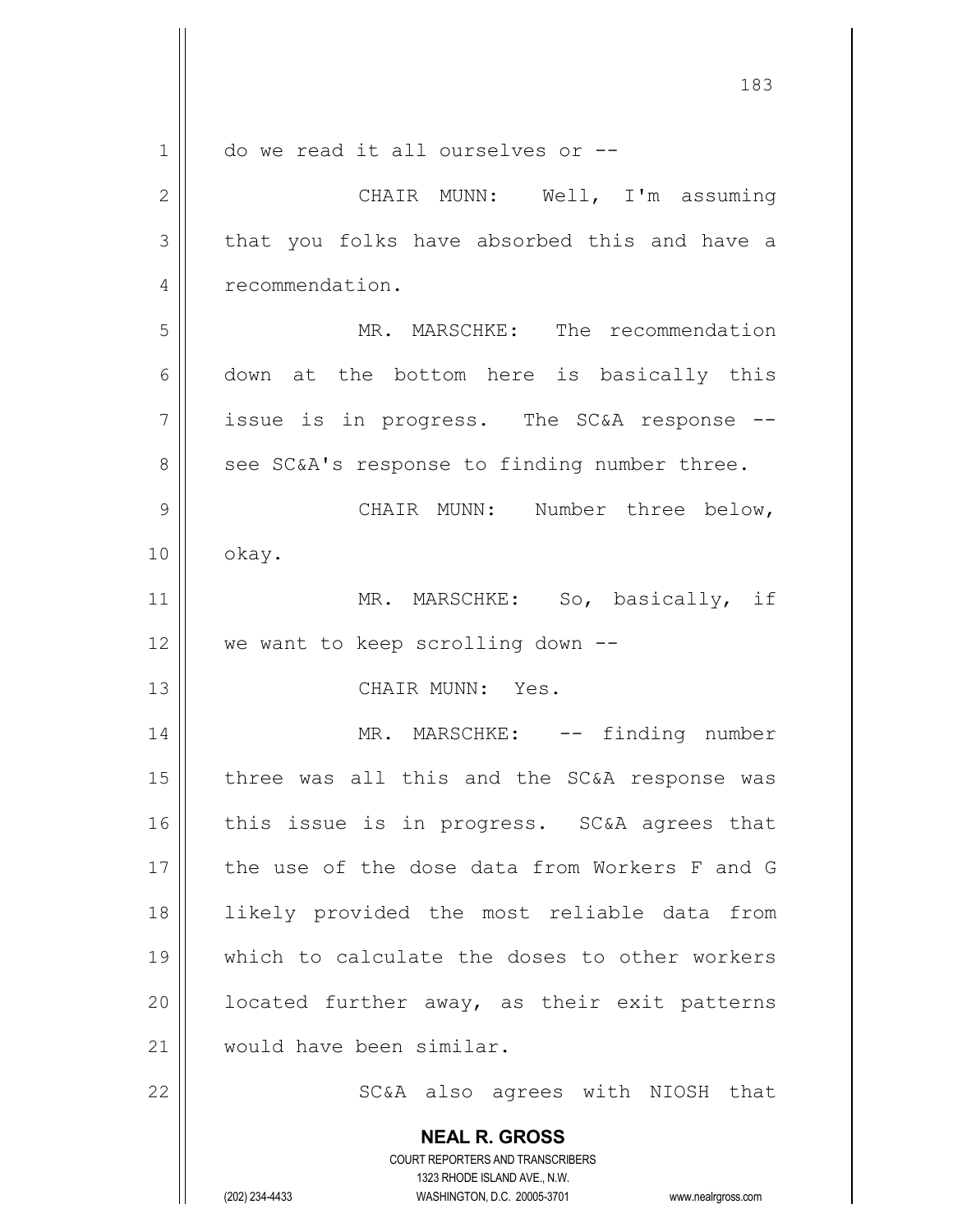|                | 183                                                                     |
|----------------|-------------------------------------------------------------------------|
| 1              | do we read it all ourselves or --                                       |
| $\overline{2}$ | CHAIR MUNN: Well, I'm assuming                                          |
| 3              | that you folks have absorbed this and have a                            |
| 4              | recommendation.                                                         |
| 5              | MR. MARSCHKE: The recommendation                                        |
| 6              | down at the bottom here is basically this                               |
| 7              | issue is in progress. The SC&A response --                              |
| 8              | see SC&A's response to finding number three.                            |
| 9              | CHAIR MUNN: Number three below,                                         |
| 10             | okay.                                                                   |
| 11             | MR. MARSCHKE: So, basically, if                                         |
| 12             | we want to keep scrolling down --                                       |
| 13             | CHAIR MUNN: Yes.                                                        |
| 14             | MR. MARSCHKE: -- finding number                                         |
| 15             | three was all this and the SC&A response was                            |
| 16             | this issue is in progress. SC&A agrees that                             |
|                |                                                                         |
| 17             | the use of the dose data from Workers F and G                           |
| 18             | likely provided the most reliable data from                             |
| 19             | which to calculate the doses to other workers                           |
| 20             | located further away, as their exit patterns                            |
| 21             | would have been similar.                                                |
| 22             | SC&A also agrees with NIOSH that                                        |
|                | <b>NEAL R. GROSS</b>                                                    |
|                | <b>COURT REPORTERS AND TRANSCRIBERS</b><br>1323 RHODE ISLAND AVE., N.W. |
|                | (202) 234-4433<br>WASHINGTON, D.C. 20005-3701<br>www.nealrgross.com     |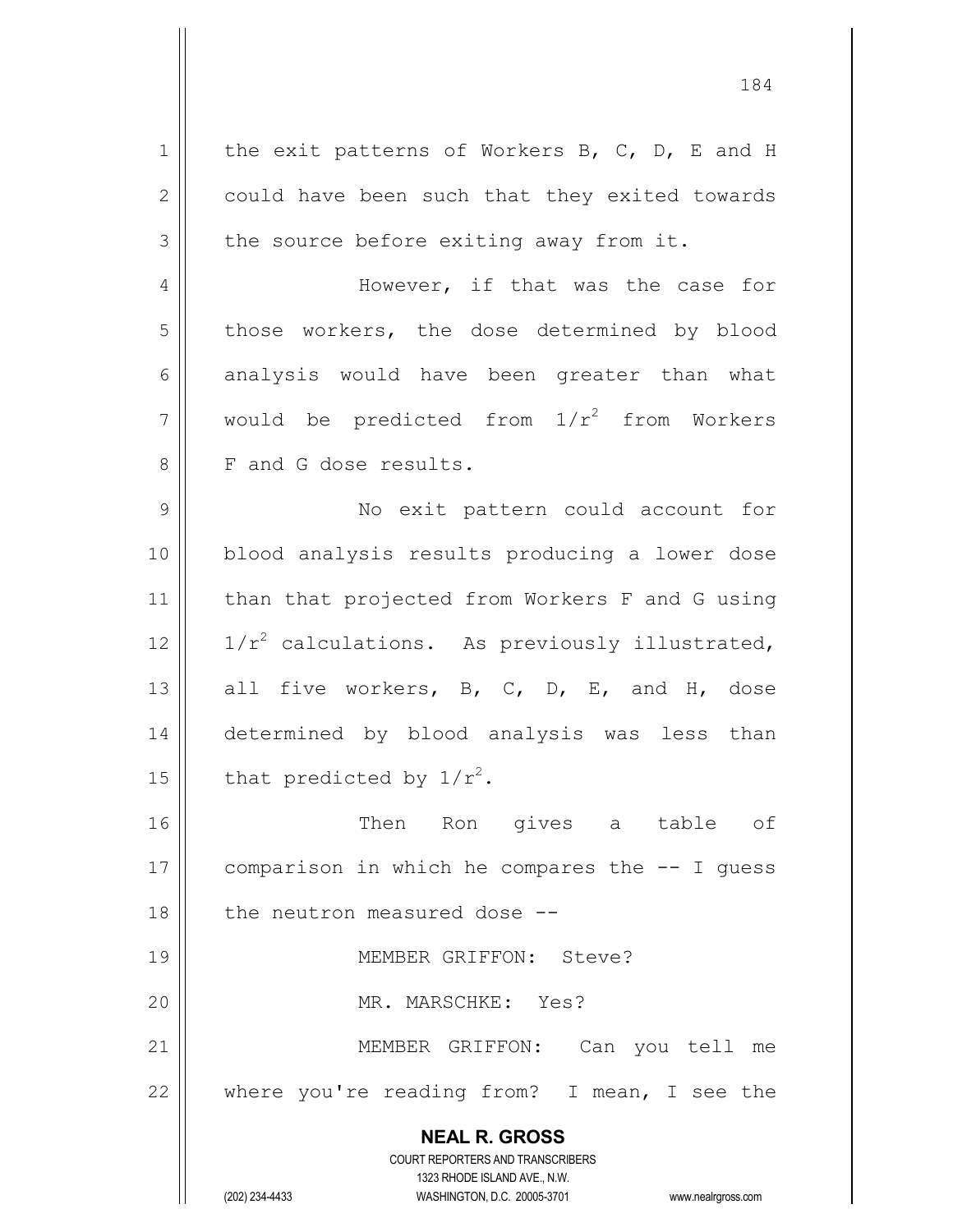**NEAL R. GROSS** COURT REPORTERS AND TRANSCRIBERS 1323 RHODE ISLAND AVE., N.W. 1 | the exit patterns of Workers B, C, D, E and H 2 | could have been such that they exited towards  $3 \parallel$  the source before exiting away from it. 4 However, if that was the case for 5 | those workers, the dose determined by blood 6 analysis would have been greater than what 7 || would be predicted from  $1/r^2$  from Workers 8 F and G dose results. 9 || No exit pattern could account for 10 blood analysis results producing a lower dose 11 || than that projected from Workers F and G using 12  $\parallel$  1/r<sup>2</sup> calculations. As previously illustrated, 13  $\parallel$  all five workers, B, C, D, E, and H, dose 14 determined by blood analysis was less than 15 | that predicted by  $1/r^2$ . 16 Then Ron gives a table of 17  $\vert\vert$  comparison in which he compares the  $-$ - I quess 18 || the neutron measured dose --19 MEMBER GRIFFON: Steve? 20 MR. MARSCHKE: Yes? 21 || MEMBER GRIFFON: Can you tell me 22  $\parallel$  where you're reading from? I mean, I see the

(202) 234-4433 WASHINGTON, D.C. 20005-3701 www.nealrgross.com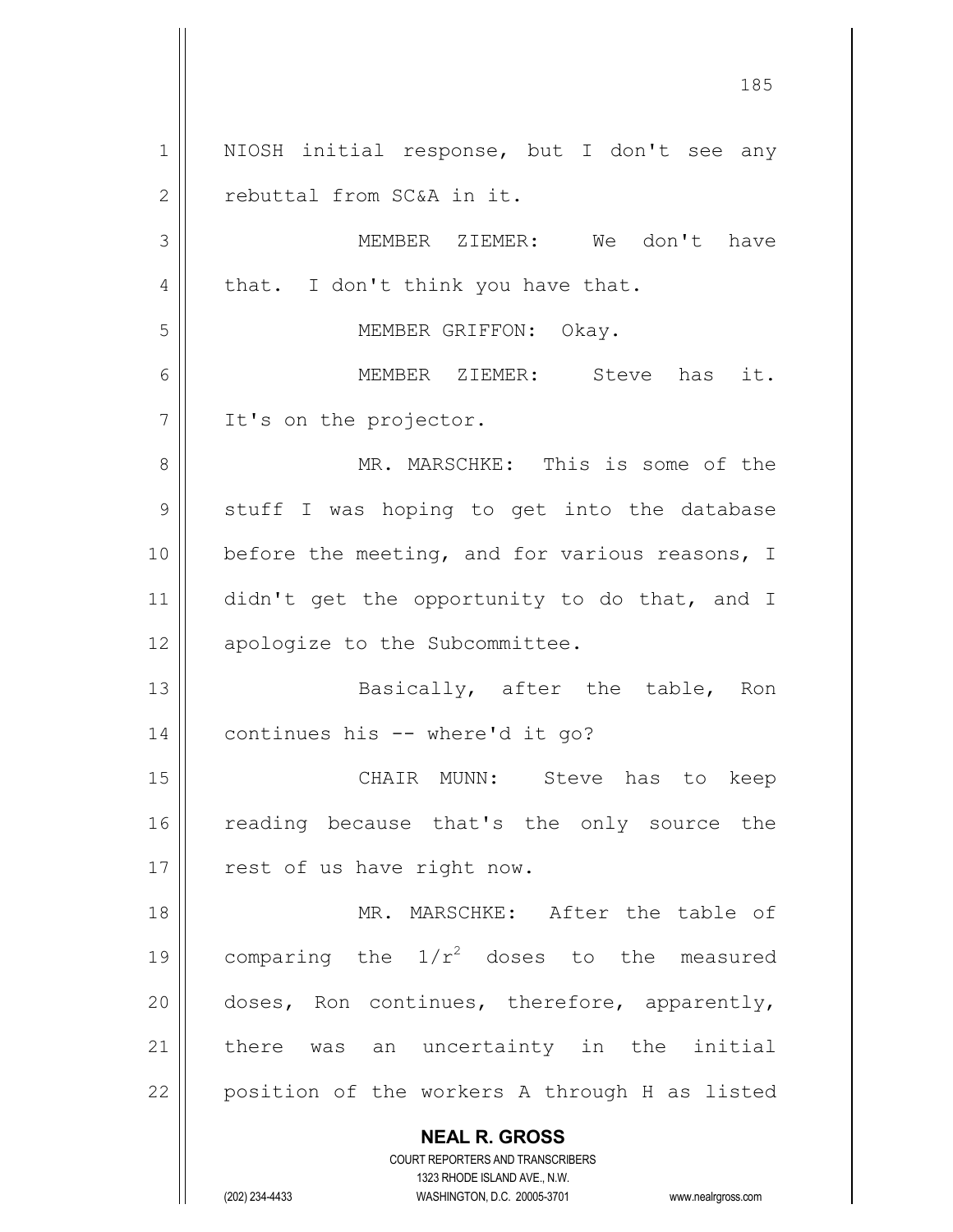**NEAL R. GROSS** COURT REPORTERS AND TRANSCRIBERS 1323 RHODE ISLAND AVE., N.W. 185 1 || NIOSH initial response, but I don't see any 2 | rebuttal from SC&A in it. 3 MEMBER ZIEMER: We don't have  $4 \parallel$  that. I don't think you have that. 5 || MEMBER GRIFFON: Okay. 6 MEMBER ZIEMER: Steve has it. 7 | It's on the projector. 8 MR. MARSCHKE: This is some of the 9 || stuff I was hoping to get into the database  $10$  | before the meeting, and for various reasons, I 11 didn't get the opportunity to do that, and I 12 || apologize to the Subcommittee. 13 || Basically, after the table, Ron 14 | continues his -- where'd it go? 15 CHAIR MUNN: Steve has to keep 16 || reading because that's the only source the 17 || rest of us have right now. 18 MR. MARSCHKE: After the table of 19 | comparing the  $1/r^2$  doses to the measured 20  $\parallel$  doses, Ron continues, therefore, apparently, 21 | there was an uncertainty in the initial  $22$  | position of the workers A through H as listed

(202) 234-4433 WASHINGTON, D.C. 20005-3701 www.nealrgross.com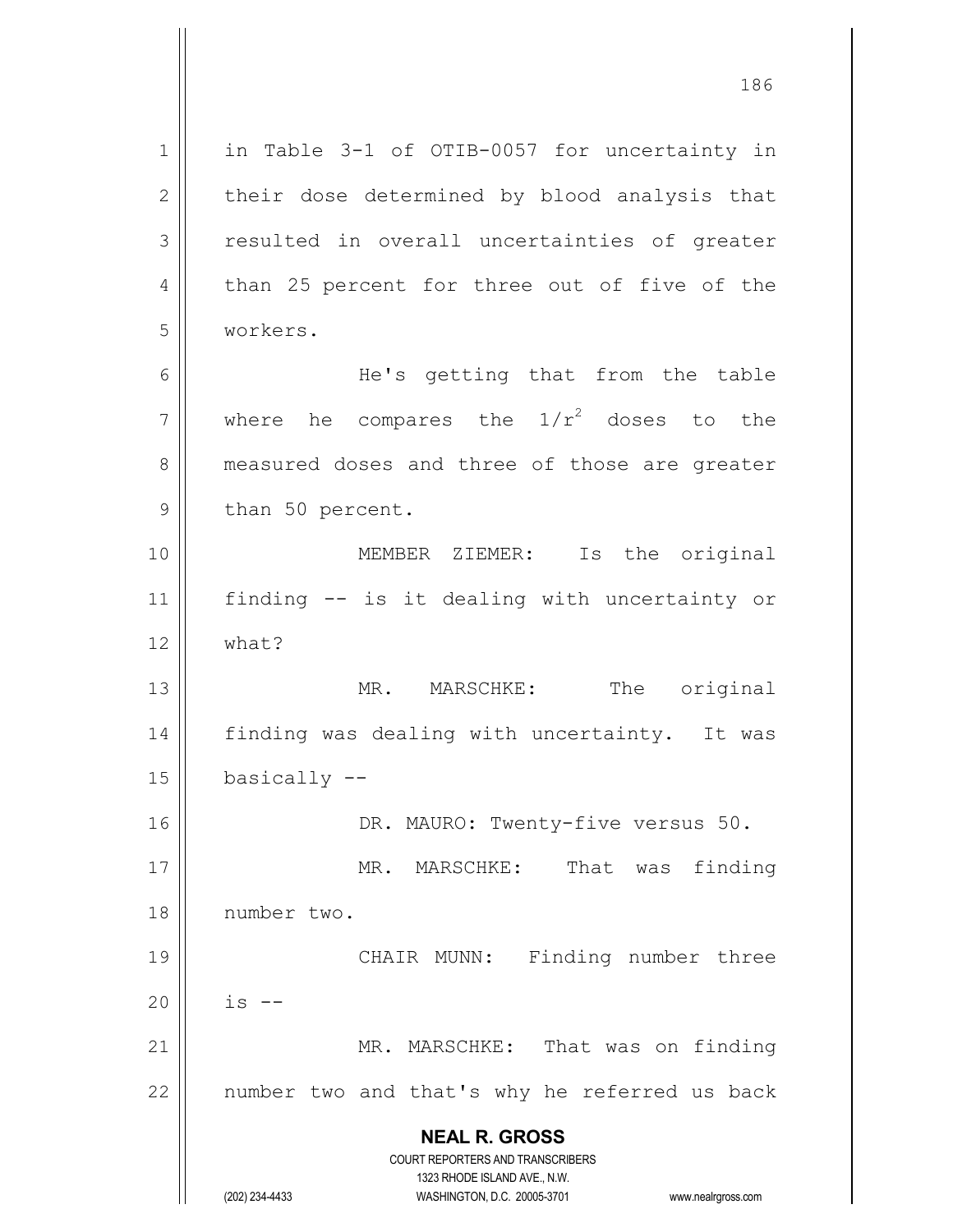**NEAL R. GROSS** COURT REPORTERS AND TRANSCRIBERS 1323 RHODE ISLAND AVE., N.W. (202) 234-4433 WASHINGTON, D.C. 20005-3701 www.nealrgross.com 1 || in Table 3-1 of OTIB-0057 for uncertainty in 2 | their dose determined by blood analysis that  $3$  resulted in overall uncertainties of greater  $4 \parallel$  than 25 percent for three out of five of the 5 workers. 6 He's getting that from the table 7  $\parallel$  where he compares the  $1/r^2$  doses to the 8 || measured doses and three of those are greater 9 || than 50 percent. 10 MEMBER ZIEMER: Is the original 11 finding -- is it dealing with uncertainty or  $12 \parallel$  what? 13 || MR. MARSCHKE: The original 14 || finding was dealing with uncertainty. It was  $15$  | basically  $-$ 16 || DR. MAURO: Twenty-five versus 50. 17 || MR. MARSCHKE: That was finding 18 number two. 19 || CHAIR MUNN: Finding number three  $20$  || is --21 || MR. MARSCHKE: That was on finding  $22$  || number two and that's why he referred us back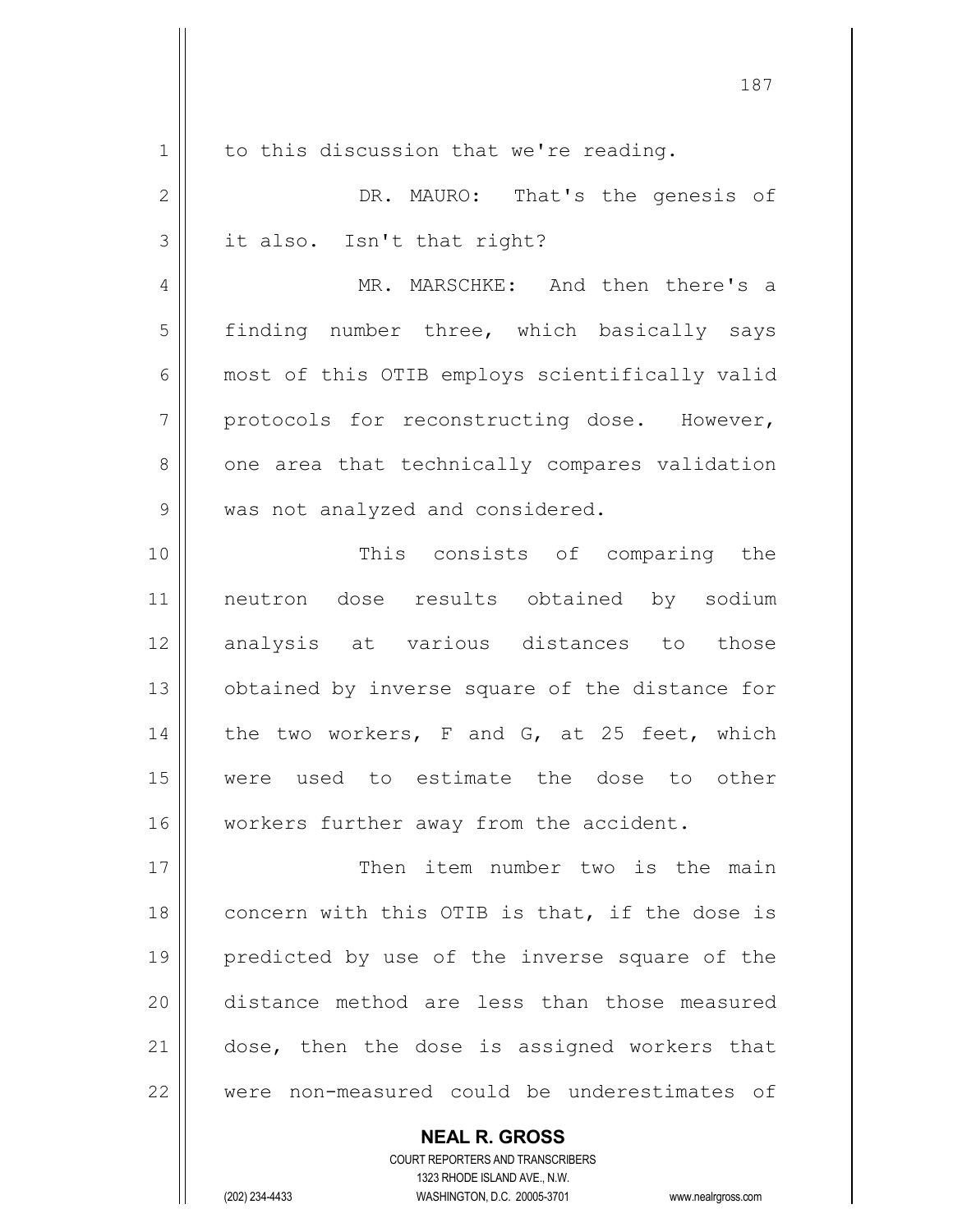| 1              | to this discussion that we're reading.         |
|----------------|------------------------------------------------|
| $\overline{2}$ | DR. MAURO: That's the genesis of               |
| 3              | it also. Isn't that right?                     |
| 4              | MR. MARSCHKE: And then there's a               |
| 5              | finding number three, which basically says     |
| 6              | most of this OTIB employs scientifically valid |
| 7              | protocols for reconstructing dose. However,    |
| 8              | one area that technically compares validation  |
| 9              | was not analyzed and considered.               |
| 10             | This consists of comparing the                 |
| 11             | neutron dose results obtained by sodium        |
| 12             | analysis at various distances to those         |
| 13             | obtained by inverse square of the distance for |
| 14             | the two workers, F and G, at 25 feet, which    |
| 15             | were used to estimate the dose to other        |
| 16             | workers further away from the accident.        |
| 17             | Then item number two is the main               |
| 18             | concern with this OTIB is that, if the dose is |
| 19             | predicted by use of the inverse square of the  |
| 20             | distance method are less than those measured   |
| 21             | dose, then the dose is assigned workers that   |
| 22             | were non-measured could be underestimates of   |
|                |                                                |

COURT REPORTERS AND TRANSCRIBERS 1323 RHODE ISLAND AVE., N.W. (202) 234-4433 WASHINGTON, D.C. 20005-3701 www.nealrgross.com

**NEAL R. GROSS**

 $\mathbf{I}$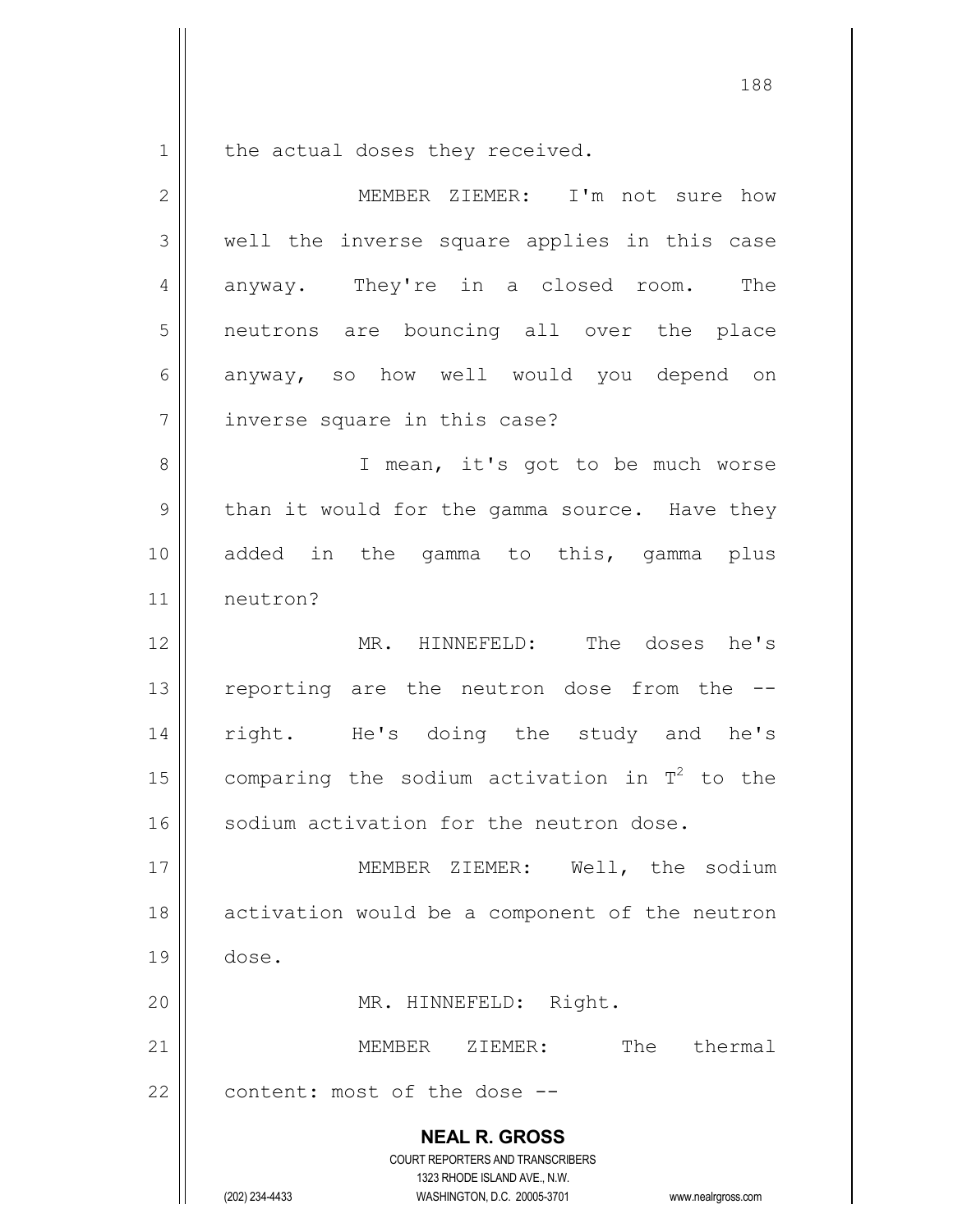$1 \parallel$  the actual doses they received.

| $\mathbf{2}$ | MEMBER ZIEMER: I'm not sure how                                                                                                                                        |
|--------------|------------------------------------------------------------------------------------------------------------------------------------------------------------------------|
| 3            | well the inverse square applies in this case                                                                                                                           |
| 4            | anyway. They're in a closed room.<br>The                                                                                                                               |
| 5            | neutrons are bouncing all over the place                                                                                                                               |
| 6            | anyway, so how well would you depend on                                                                                                                                |
| 7            | inverse square in this case?                                                                                                                                           |
| $\,8\,$      | I mean, it's got to be much worse                                                                                                                                      |
| 9            | than it would for the gamma source. Have they                                                                                                                          |
| 10           | added in the gamma to this, gamma plus                                                                                                                                 |
| 11           | neutron?                                                                                                                                                               |
| 12           | MR. HINNEFELD: The doses he's                                                                                                                                          |
| 13           | reporting are the neutron dose from the --                                                                                                                             |
| 14           | right. He's doing the study and he's                                                                                                                                   |
| 15           | comparing the sodium activation in $T^2$ to the                                                                                                                        |
| 16           | sodium activation for the neutron dose.                                                                                                                                |
| 17           | MEMBER ZIEMER: Well, the sodium                                                                                                                                        |
| 18           | activation would be a component of the neutron                                                                                                                         |
| 19           | dose.                                                                                                                                                                  |
| 20           | MR. HINNEFELD: Right.                                                                                                                                                  |
| 21           | The thermal<br>MEMBER ZIEMER:                                                                                                                                          |
| 22           | content: most of the dose --                                                                                                                                           |
|              | <b>NEAL R. GROSS</b><br><b>COURT REPORTERS AND TRANSCRIBERS</b><br>1323 RHODE ISLAND AVE., N.W.<br>(202) 234-4433<br>WASHINGTON, D.C. 20005-3701<br>www.nealrgross.com |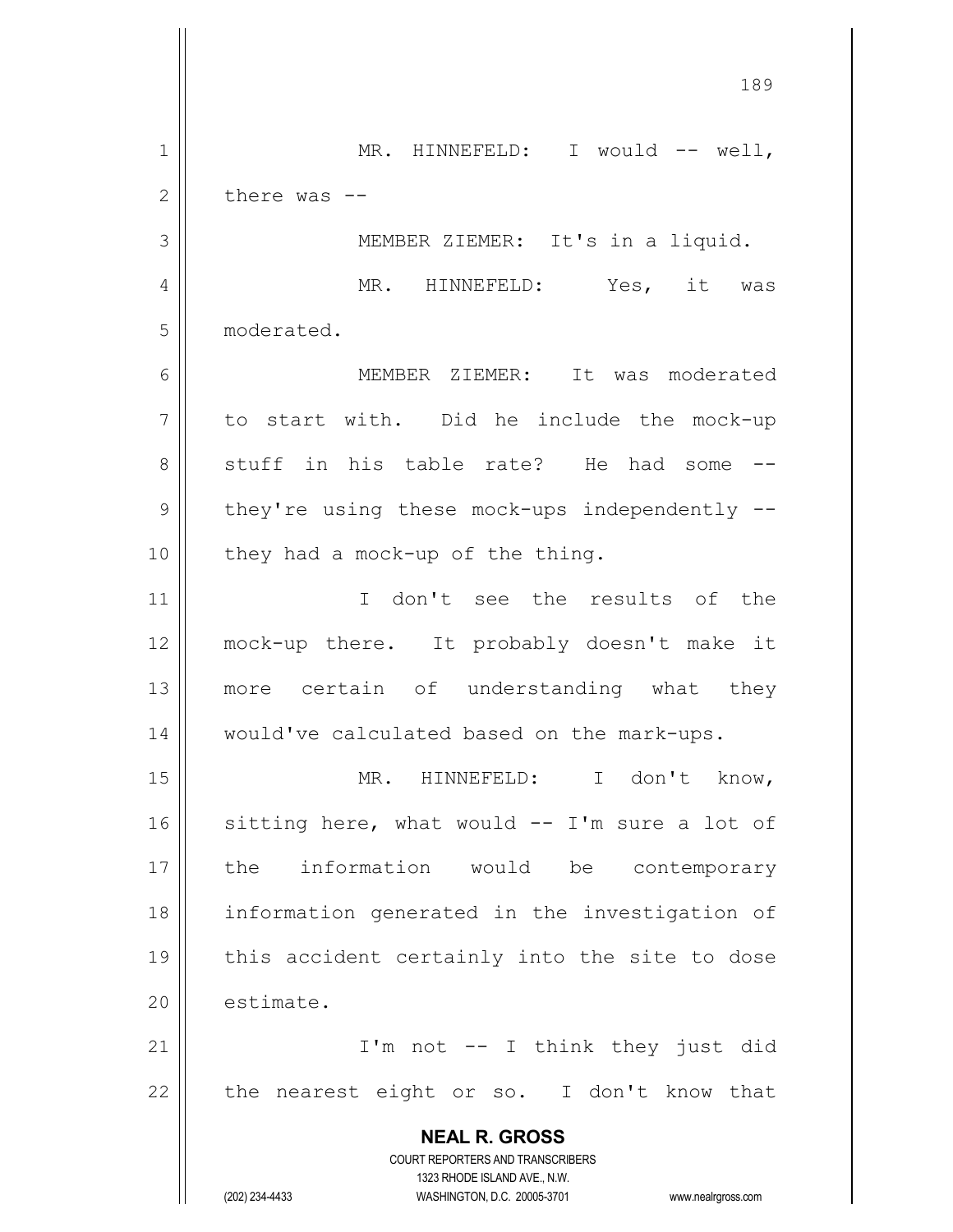**NEAL R. GROSS** COURT REPORTERS AND TRANSCRIBERS 1323 RHODE ISLAND AVE., N.W. (202) 234-4433 WASHINGTON, D.C. 20005-3701 www.nealrgross.com 1 || MR. HINNEFELD: I would -- well,  $2 \parallel$  there was  $-$ 3 || MEMBER ZIEMER: It's in a liquid. 4 MR. HINNEFELD: Yes, it was 5 moderated. 6 MEMBER ZIEMER: It was moderated  $7 \parallel$  to start with. Did he include the mock-up 8 Stuff in his table rate? He had some -- $9 \parallel$  they're using these mock-ups independently -- $10$  | they had a mock-up of the thing. 11 I don't see the results of the 12 mock-up there. It probably doesn't make it 13 || more certain of understanding what they 14 would've calculated based on the mark-ups. 15 MR. HINNEFELD: I don't know, 16  $\parallel$  sitting here, what would -- I'm sure a lot of 17 the information would be contemporary 18 information generated in the investigation of 19 || this accident certainly into the site to dose 20 estimate. 21 || I'm not -- I think they just did  $22$  | the nearest eight or so. I don't know that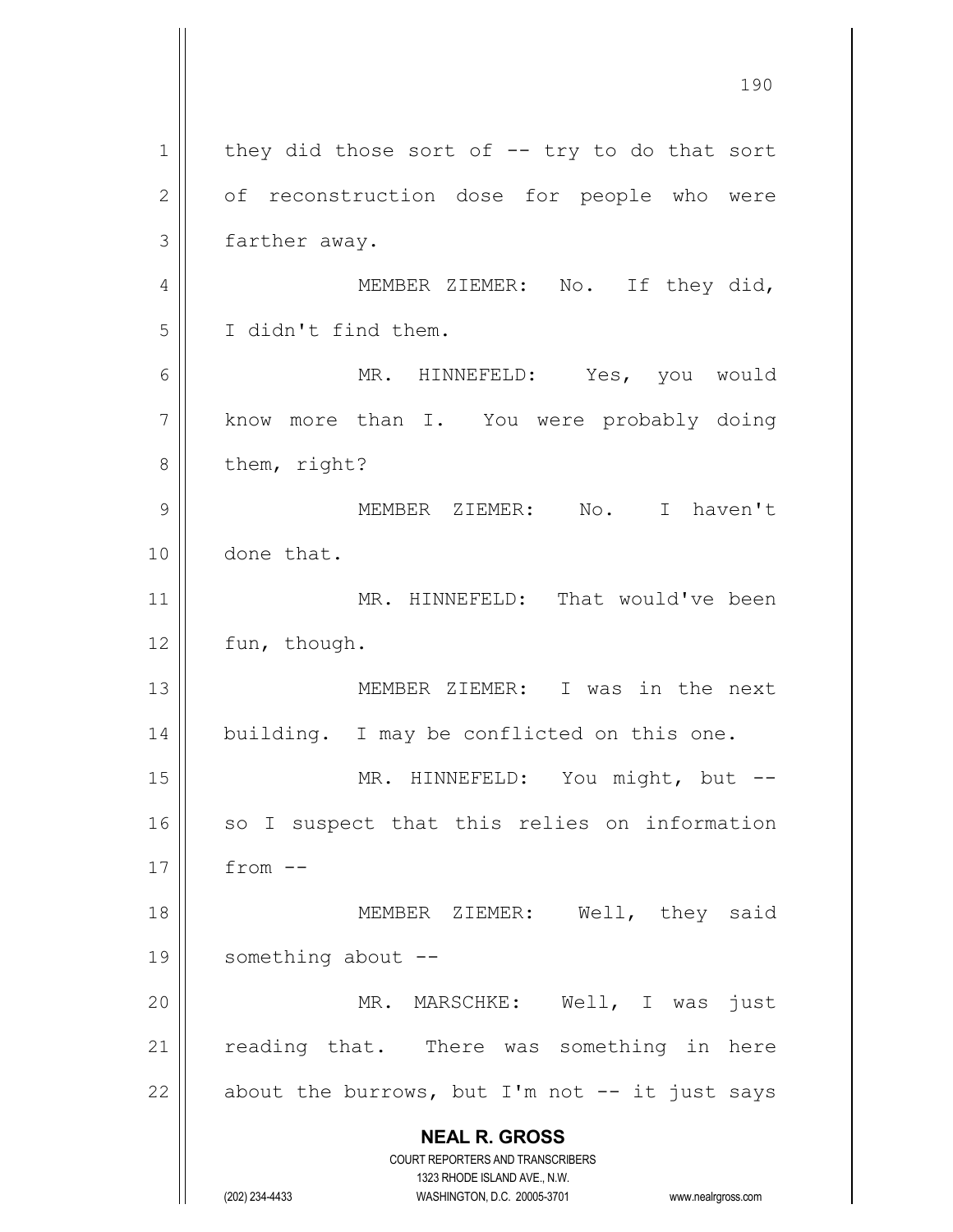**NEAL R. GROSS** COURT REPORTERS AND TRANSCRIBERS 1323 RHODE ISLAND AVE., N.W. (202) 234-4433 WASHINGTON, D.C. 20005-3701 www.nealrgross.com  $1 \parallel$  they did those sort of -- try to do that sort 2 | of reconstruction dose for people who were 3 | farther away. 4 MEMBER ZIEMER: No. If they did, 5 I didn't find them. 6 MR. HINNEFELD: Yes, you would 7 | know more than I. You were probably doing  $8 \parallel$  them, right? 9 MEMBER ZIEMER: No. I haven't 10 done that. 11 || MR. HINNEFELD: That would've been 12 | fun, though. 13 MEMBER ZIEMER: I was in the next 14 | building. I may be conflicted on this one. 15 || MR. HINNEFELD: You might, but -- $16$  so I suspect that this relies on information  $17 \parallel$  from  $-$ 18 || MEMBER ZIEMER: Well, they said 19 || something about --20 MR. MARSCHKE: Well, I was just 21 || reading that. There was something in here 22  $\parallel$  about the burrows, but I'm not -- it just says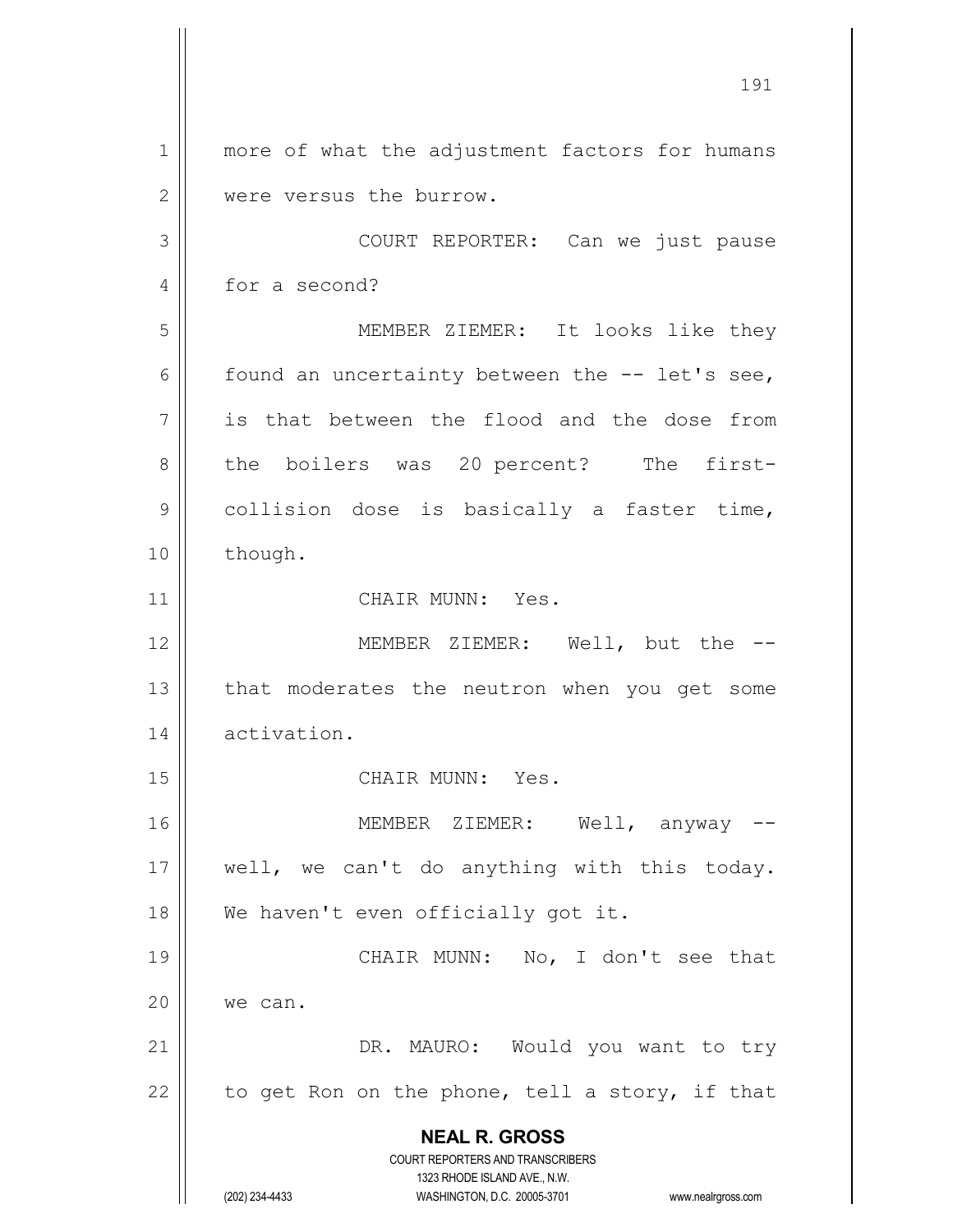**NEAL R. GROSS** COURT REPORTERS AND TRANSCRIBERS 1323 RHODE ISLAND AVE., N.W. (202) 234-4433 WASHINGTON, D.C. 20005-3701 www.nealrgross.com 1 || more of what the adjustment factors for humans 2 | were versus the burrow. 3 COURT REPORTER: Can we just pause 4 for a second? 5 MEMBER ZIEMER: It looks like they 6  $\parallel$  found an uncertainty between the -- let's see,  $7 \parallel$  is that between the flood and the dose from 8 the boilers was 20 percent? The first-9 | collision dose is basically a faster time, 10 | though. 11 | CHAIR MUNN: Yes. 12 MEMBER ZIEMER: Well, but the --  $13$  | that moderates the neutron when you get some 14 activation. 15 CHAIR MUNN: Yes. 16 MEMBER ZIEMER: Well, anyway -- 17 || well, we can't do anything with this today. 18 || We haven't even officially got it. 19 || CHAIR MUNN: No, I don't see that 20 | we can. 21 || DR. MAURO: Would you want to try 22  $\parallel$  to get Ron on the phone, tell a story, if that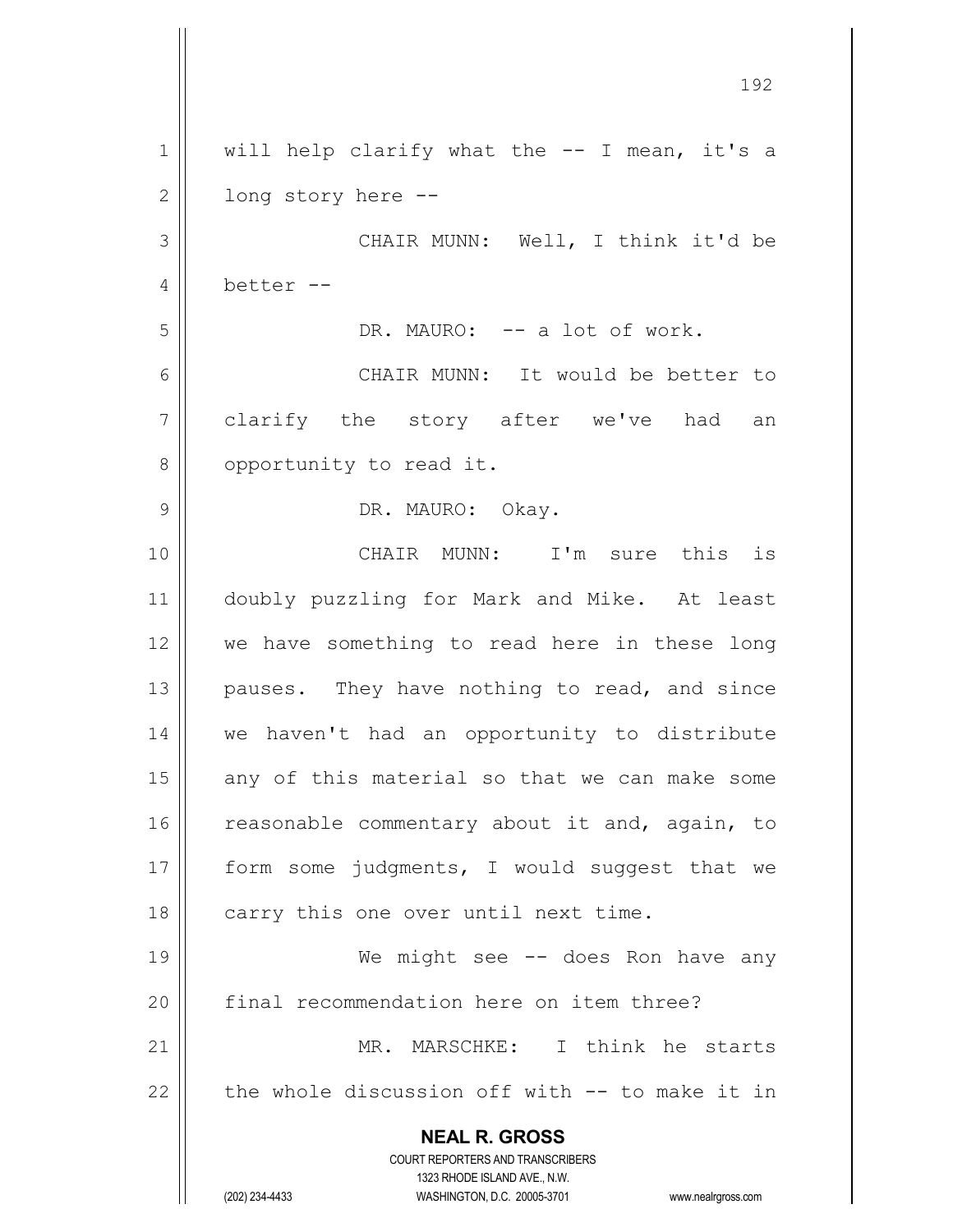**NEAL R. GROSS** COURT REPORTERS AND TRANSCRIBERS 1323 RHODE ISLAND AVE., N.W. (202) 234-4433 WASHINGTON, D.C. 20005-3701 www.nealrgross.com 192  $1 \parallel$  will help clarify what the -- I mean, it's a  $2 \parallel$  long story here  $-$ 3 CHAIR MUNN: Well, I think it'd be 4  $\parallel$  better --5 DR. MAURO: -- a lot of work. 6 CHAIR MUNN: It would be better to 7 clarify the story after we've had an 8 | opportunity to read it. 9 DR. MAURO: Okay. 10 CHAIR MUNN: I'm sure this is 11 doubly puzzling for Mark and Mike. At least 12 || we have something to read here in these long  $13$  || pauses. They have nothing to read, and since 14 we haven't had an opportunity to distribute  $15$  any of this material so that we can make some 16 || reasonable commentary about it and, again, to 17 || form some judgments, I would suggest that we  $18$  | carry this one over until next time. 19 || We might see -- does Ron have any 20 || final recommendation here on item three? 21 || MR. MARSCHKE: I think he starts  $22$  | the whole discussion off with  $-$  to make it in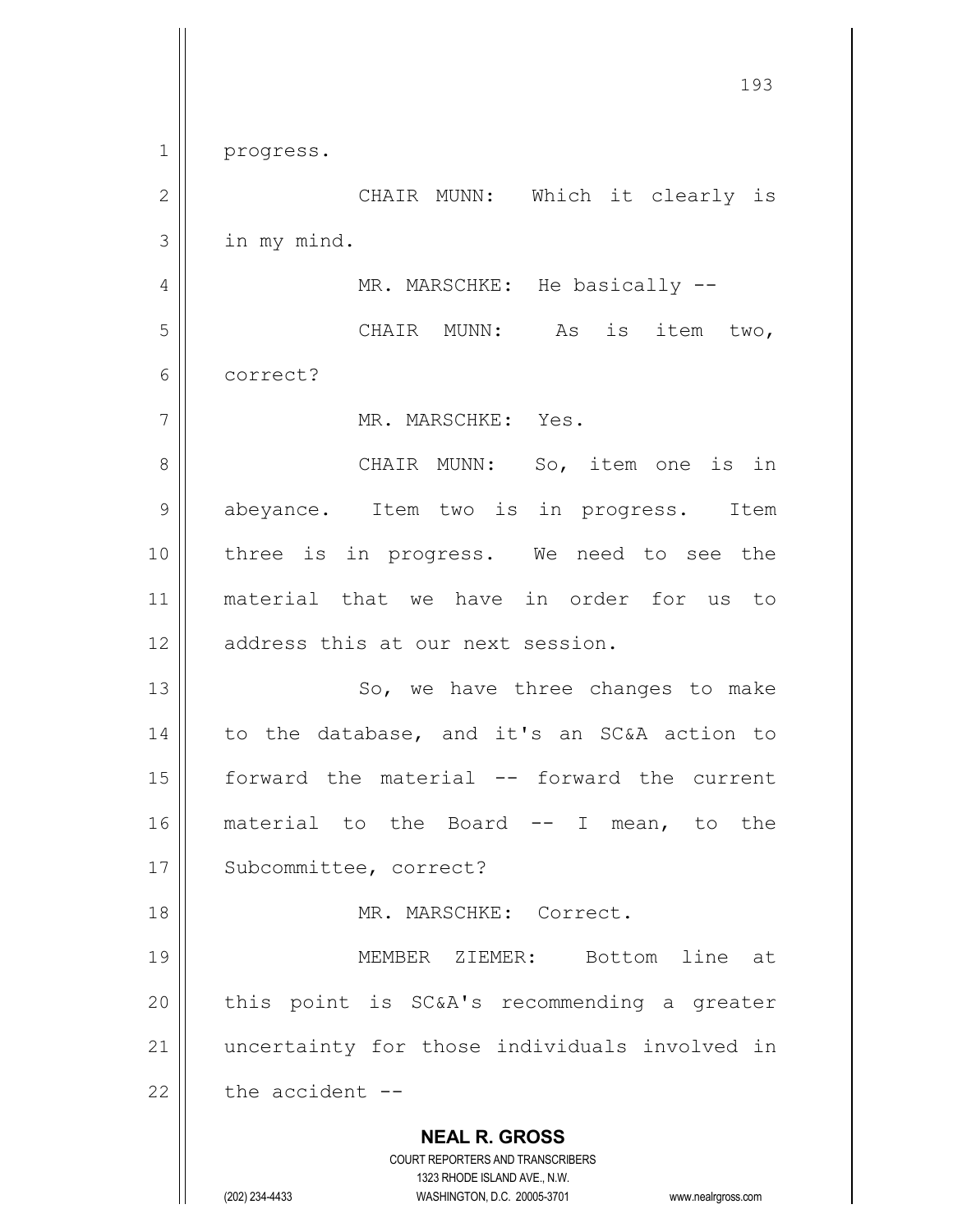**NEAL R. GROSS** COURT REPORTERS AND TRANSCRIBERS 1323 RHODE ISLAND AVE., N.W. (202) 234-4433 WASHINGTON, D.C. 20005-3701 www.nealrgross.com 1 progress. 2 CHAIR MUNN: Which it clearly is  $3$  | in my mind. 4 || MR. MARSCHKE: He basically --5 || CHAIR MUNN: As is item two, 6 correct? 7 MR. MARSCHKE: Yes. 8 || CHAIR MUNN: So, item one is in 9 || abeyance. Item two is in progress. Item 10 || three is in progress. We need to see the 11 material that we have in order for us to 12 || address this at our next session. 13 || So, we have three changes to make 14 || to the database, and it's an SC&A action to 15 forward the material -- forward the current 16 material to the Board -- I mean, to the 17 || Subcommittee, correct? 18 MR. MARSCHKE: Correct. 19 MEMBER ZIEMER: Bottom line at  $20$  || this point is SC&A's recommending a greater 21 || uncertainty for those individuals involved in 22  $\parallel$  the accident --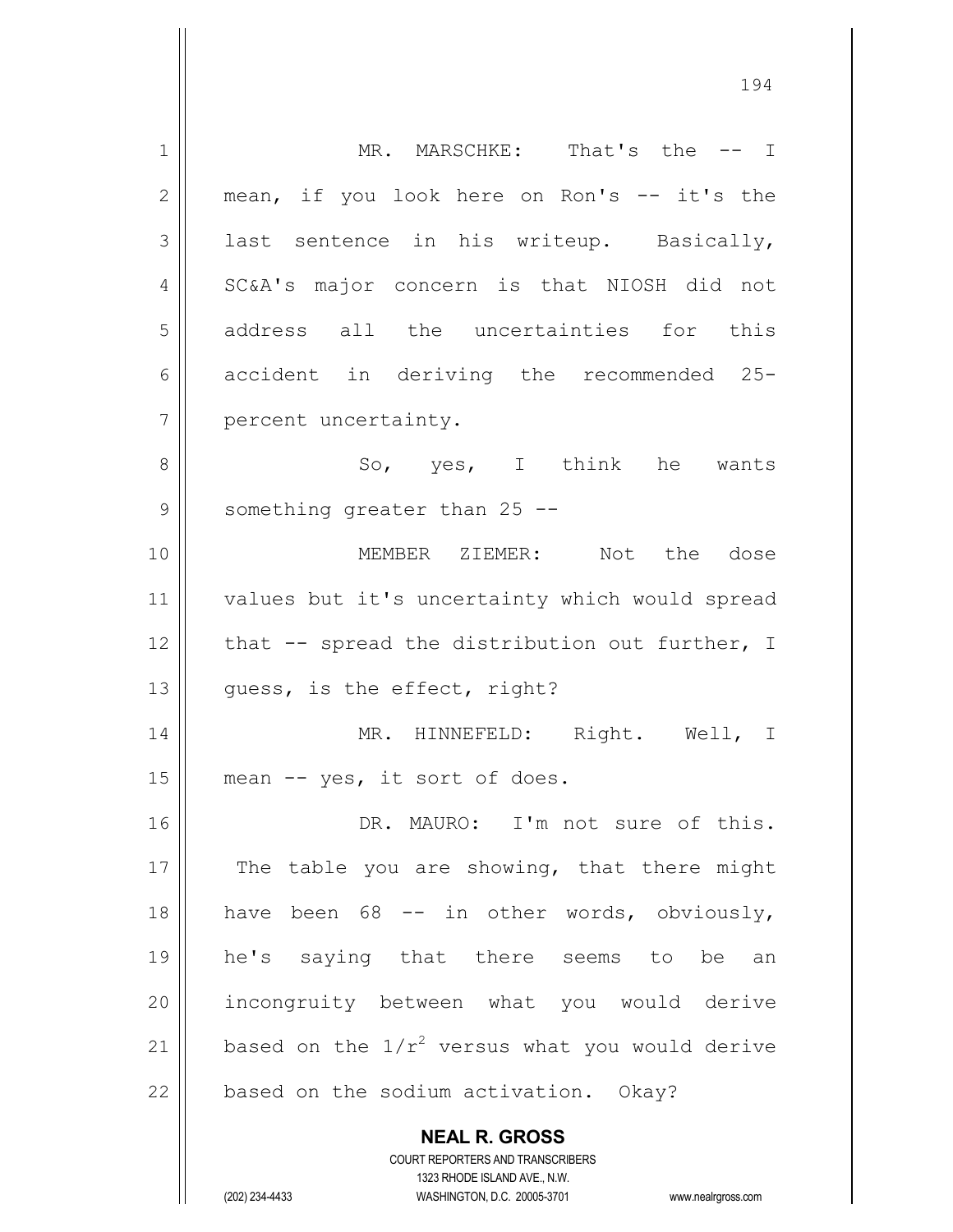| $\mathbf 1$ | MR. MARSCHKE: That's the -- I                            |
|-------------|----------------------------------------------------------|
| 2           | mean, if you look here on Ron's -- it's the              |
| 3           | last sentence in his writeup. Basically,                 |
| 4           | SC&A's major concern is that NIOSH did not               |
| 5           | address all the uncertainties for this                   |
| 6           | accident in deriving the recommended 25-                 |
| 7           | percent uncertainty.                                     |
| 8           | So, yes, I think he wants                                |
| 9           | something greater than 25 --                             |
| 10          | MEMBER ZIEMER: Not the dose                              |
| 11          | values but it's uncertainty which would spread           |
| 12          | that -- spread the distribution out further, I           |
| 13          | quess, is the effect, right?                             |
| 14          | MR. HINNEFELD: Right. Well, I                            |
| 15          | mean -- yes, it sort of does.                            |
| 16          | DR. MAURO: I'm not sure of this.                         |
| 17          | The table you are showing, that there might              |
| 18          | have been 68 -- in other words, obviously,               |
| 19          | he's saying that there seems to be an                    |
| 20          | incongruity between what you would derive                |
| 21          | based on the $1/r^2$ versus what you would derive        |
| 22          | based on the sodium activation. Okay?                    |
|             |                                                          |
|             | <b>NEAL R. GROSS</b><br>COURT REPORTERS AND TRANSCRIBERS |

1323 RHODE ISLAND AVE., N.W. (202) 234-4433 WASHINGTON, D.C. 20005-3701 www.nealrgross.com

 $\prod$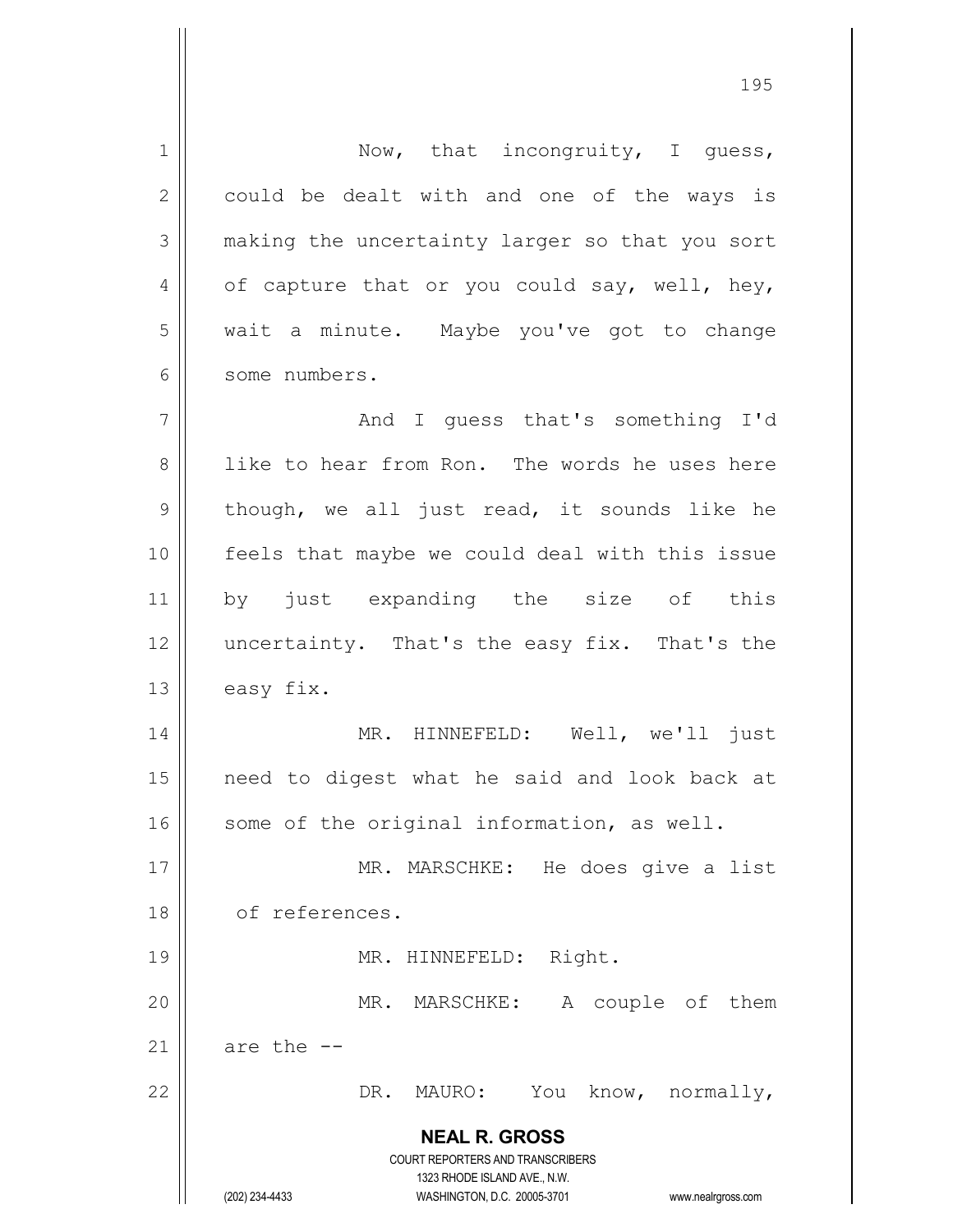**NEAL R. GROSS** COURT REPORTERS AND TRANSCRIBERS 1323 RHODE ISLAND AVE., N.W. (202) 234-4433 WASHINGTON, D.C. 20005-3701 www.nealrgross.com 1 || Now, that incongruity, I guess,  $2 \parallel$  could be dealt with and one of the ways is 3 || making the uncertainty larger so that you sort 4 | of capture that or you could say, well, hey, 5 | wait a minute. Maybe you've got to change 6 some numbers. 7 And I guess that's something I'd 8 like to hear from Ron. The words he uses here  $9 \parallel$  though, we all just read, it sounds like he 10 || feels that maybe we could deal with this issue 11 by just expanding the size of this 12 || uncertainty. That's the easy fix. That's the  $13$  easy fix. 14 MR. HINNEFELD: Well, we'll just 15 need to digest what he said and look back at 16 || some of the original information, as well. 17 || MR. MARSCHKE: He does give a list 18 of references. 19 || MR. HINNEFELD: Right. 20 MR. MARSCHKE: A couple of them 21  $\parallel$  are the  $-$ 22 | DR. MAURO: You know, normally,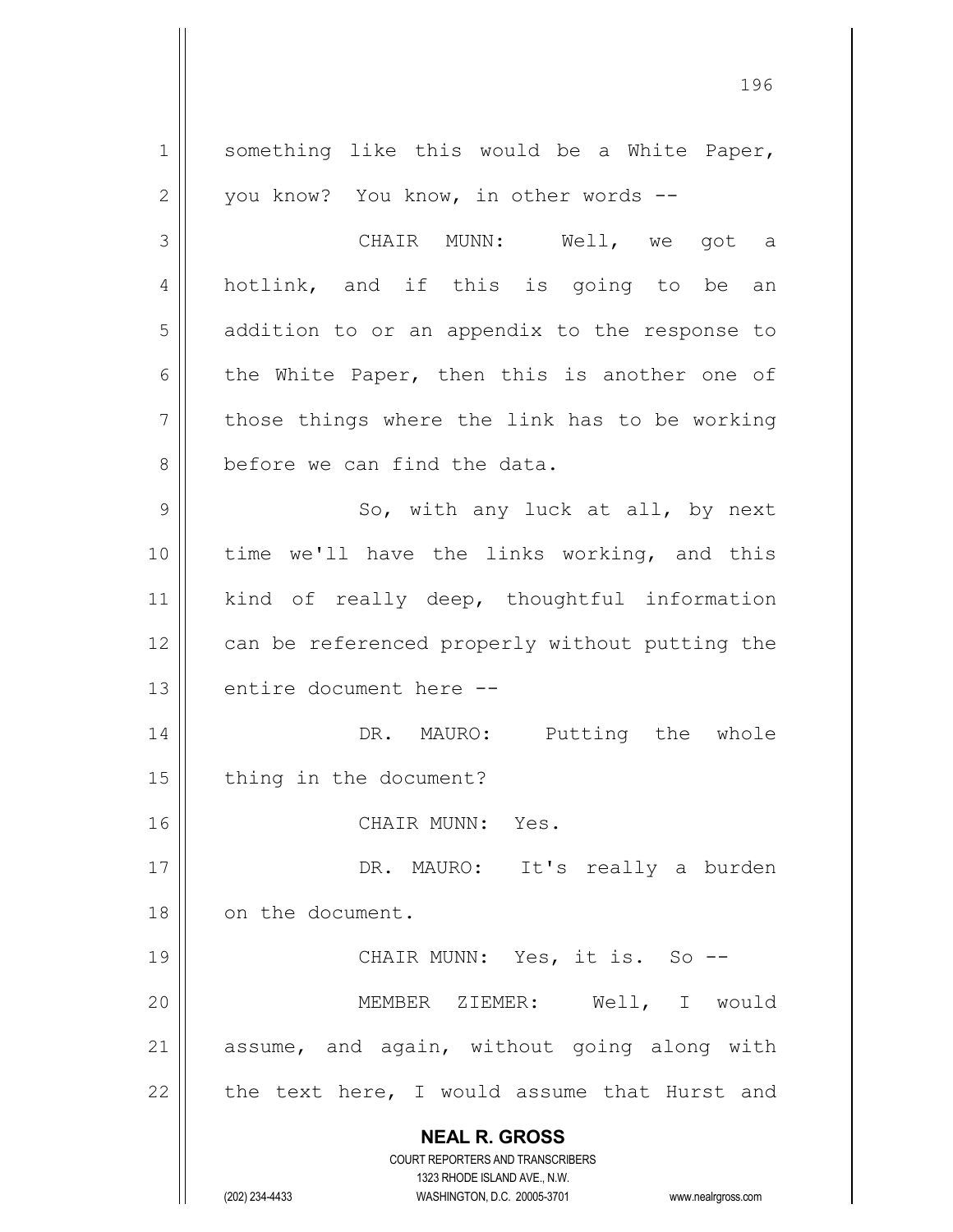**NEAL R. GROSS** COURT REPORTERS AND TRANSCRIBERS 1323 RHODE ISLAND AVE., N.W. (202) 234-4433 WASHINGTON, D.C. 20005-3701 www.nealrgross.com 1 || something like this would be a White Paper,  $2 \parallel$  you know? You know, in other words --3 CHAIR MUNN: Well, we got a 4 || hotlink, and if this is going to be an 5 | addition to or an appendix to the response to 6 the White Paper, then this is another one of  $7$  | those things where the link has to be working 8 | before we can find the data. 9 || So, with any luck at all, by next 10 || time we'll have the links working, and this 11 || kind of really deep, thoughtful information 12 | can be referenced properly without putting the 13 || entire document here --14 || DR. MAURO: Putting the whole 15 | thing in the document? 16 CHAIR MUNN: Yes. 17 || DR. MAURO: It's really a burden 18 | on the document. 19 || CHAIR MUNN: Yes, it is. So --20 MEMBER ZIEMER: Well, I would  $21$  assume, and again, without going along with 22  $\parallel$  the text here, I would assume that Hurst and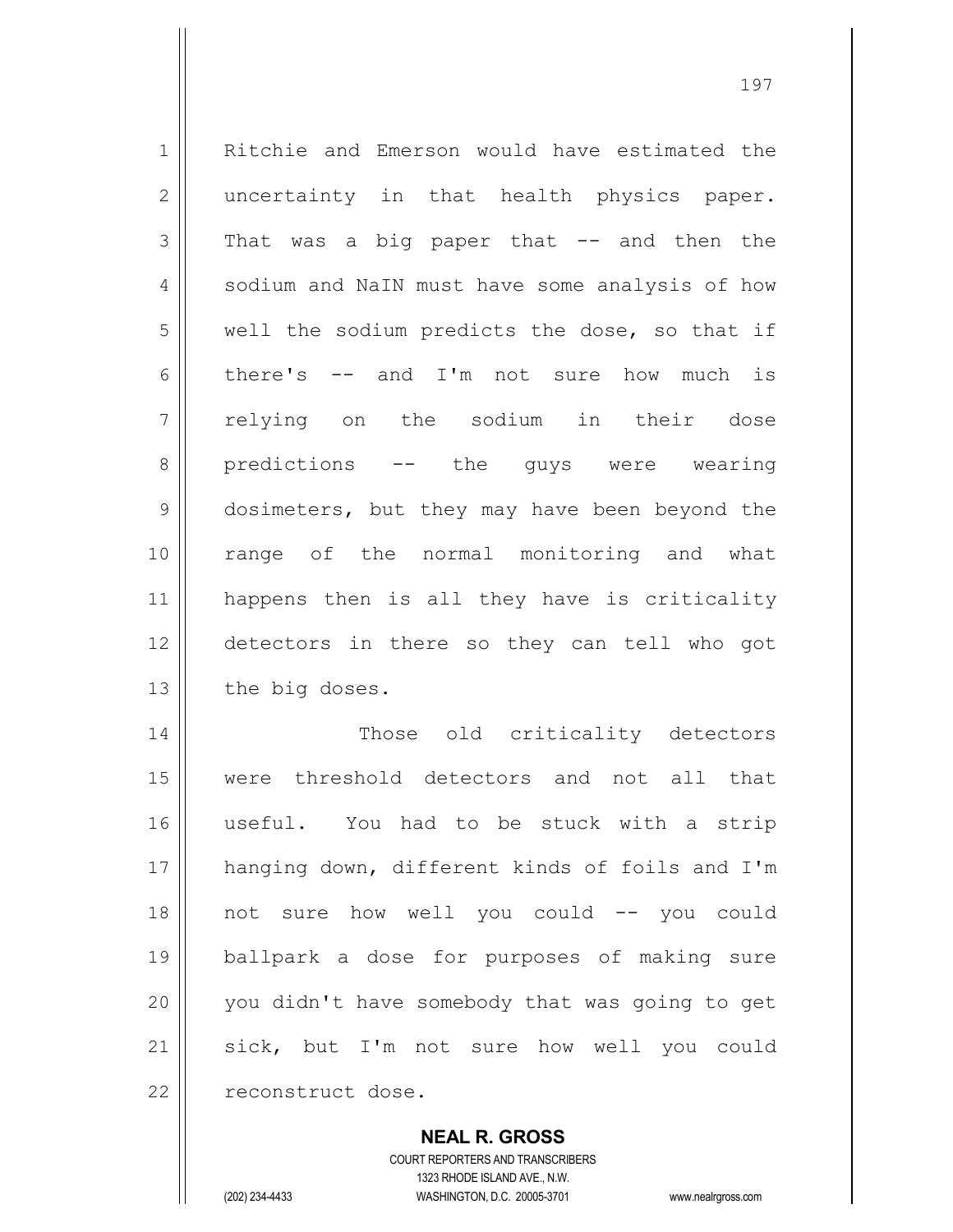1 | Ritchie and Emerson would have estimated the 2 || uncertainty in that health physics paper.  $3 \parallel$  That was a big paper that  $-$  and then the 4 | sodium and NaIN must have some analysis of how  $5$  well the sodium predicts the dose, so that if 6 there's  $-$  and I'm not sure how much is 7 relying on the sodium in their dose 8 || predictions -- the guys were wearing 9 dosimeters, but they may have been beyond the 10 range of the normal monitoring and what 11 happens then is all they have is criticality 12 detectors in there so they can tell who got  $13$  | the big doses. 14 || Those old criticality detectors 15 were threshold detectors and not all that

16 useful. You had to be stuck with a strip 17 || hanging down, different kinds of foils and I'm 18 not sure how well you could -- you could 19 ballpark a dose for purposes of making sure 20 || you didn't have somebody that was going to get 21 || sick, but I'm not sure how well you could 22 | reconstruct dose.

> COURT REPORTERS AND TRANSCRIBERS 1323 RHODE ISLAND AVE., N.W. (202) 234-4433 WASHINGTON, D.C. 20005-3701 www.nealrgross.com

**NEAL R. GROSS**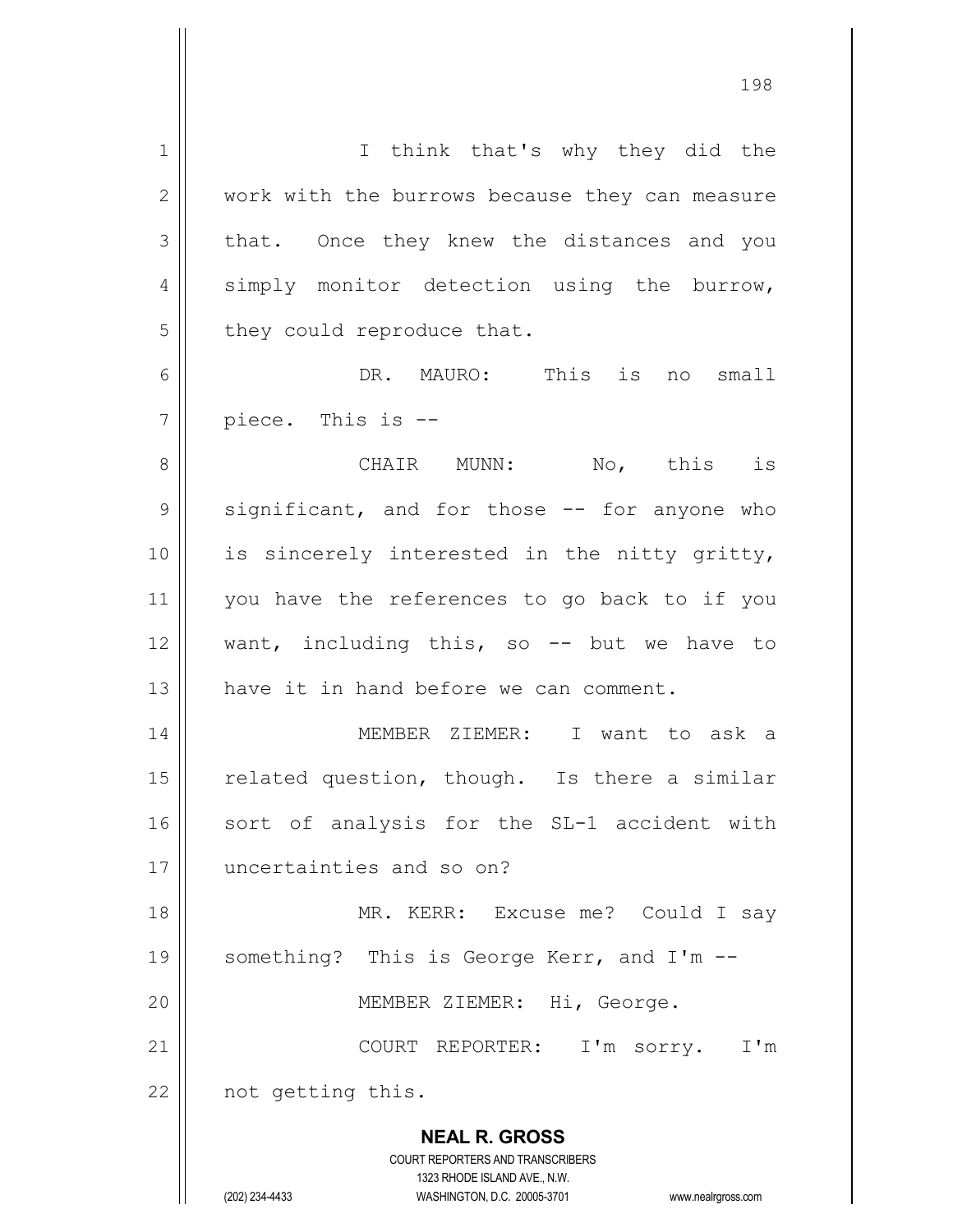| $\mathbf 1$    | I think that's why they did the                                     |
|----------------|---------------------------------------------------------------------|
| $\mathbf{2}$   | work with the burrows because they can measure                      |
| 3              | that. Once they knew the distances and you                          |
| $\overline{4}$ | simply monitor detection using the burrow,                          |
| 5              | they could reproduce that.                                          |
| $\epsilon$     | DR. MAURO: This is<br>no small                                      |
| 7              | piece. This is --                                                   |
| 8              | CHAIR MUNN: No, this is                                             |
| 9              | significant, and for those -- for anyone who                        |
| 10             | is sincerely interested in the nitty gritty,                        |
| 11             | you have the references to go back to if you                        |
| 12             | want, including this, so -- but we have to                          |
| 13             | have it in hand before we can comment.                              |
| 14             | MEMBER ZIEMER: I want to ask a                                      |
| 15             | related question, though. Is there a similar                        |
| 16             | sort of analysis for the SL-1 accident with                         |
| 17             | uncertainties and so on?                                            |
| 18             | MR. KERR: Excuse me? Could I say                                    |
| 19             | something? This is George Kerr, and I'm --                          |
| 20             | MEMBER ZIEMER: Hi, George.                                          |
| 21             | COURT REPORTER: I'm sorry. I'm                                      |
| 22             | not getting this.                                                   |
|                |                                                                     |
|                | <b>NEAL R. GROSS</b>                                                |
|                | COURT REPORTERS AND TRANSCRIBERS<br>1323 RHODE ISLAND AVE., N.W.    |
|                | (202) 234-4433<br>WASHINGTON, D.C. 20005-3701<br>www.nealrgross.com |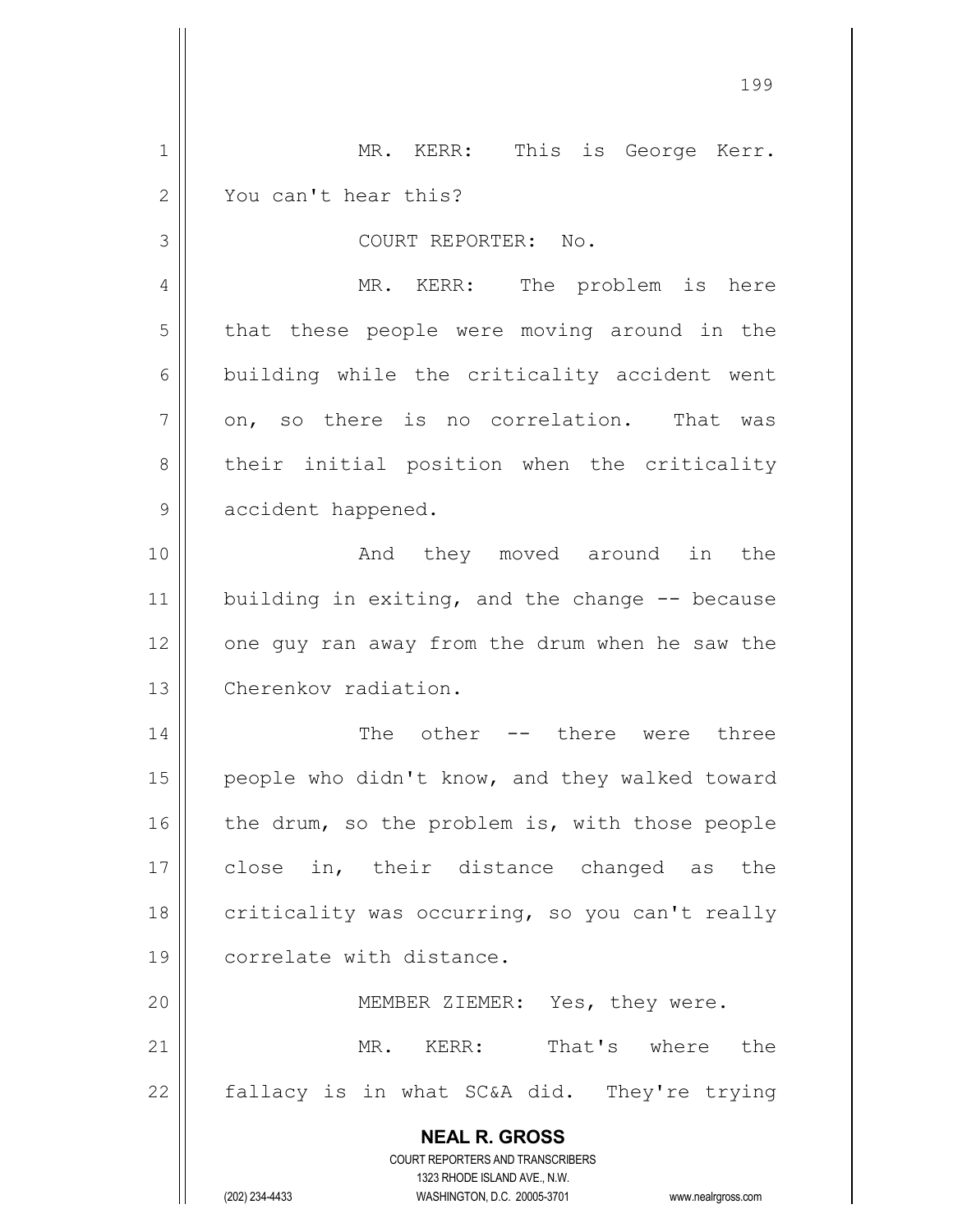|    | 199                                                                                                 |
|----|-----------------------------------------------------------------------------------------------------|
| 1  | MR. KERR: This is George Kerr.                                                                      |
| 2  | You can't hear this?                                                                                |
| 3  | COURT REPORTER: No.                                                                                 |
| 4  | MR. KERR: The problem is here                                                                       |
| 5  | that these people were moving around in the                                                         |
| 6  | building while the criticality accident went                                                        |
| 7  | on, so there is no correlation. That was                                                            |
| 8  | their initial position when the criticality                                                         |
| 9  | accident happened.                                                                                  |
| 10 | And they moved around in the                                                                        |
| 11 | building in exiting, and the change -- because                                                      |
| 12 | one guy ran away from the drum when he saw the                                                      |
| 13 | Cherenkov radiation.                                                                                |
| 14 | The other<br>-- there were three                                                                    |
| 15 | people who didn't know, and they walked toward                                                      |
| 16 | the drum, so the problem is, with those people                                                      |
| 17 | close in, their distance changed as the                                                             |
| 18 | criticality was occurring, so you can't really                                                      |
| 19 | correlate with distance.                                                                            |
| 20 | MEMBER ZIEMER: Yes, they were.                                                                      |
| 21 | MR. KERR:<br>That's where the                                                                       |
| 22 | fallacy is in what SC&A did. They're trying                                                         |
|    | <b>NEAL R. GROSS</b><br>COURT REPORTERS AND TRANSCRIBERS                                            |
|    | 1323 RHODE ISLAND AVE., N.W.<br>(202) 234-4433<br>WASHINGTON, D.C. 20005-3701<br>www.nealrgross.com |

 $\overline{\phantom{a}}$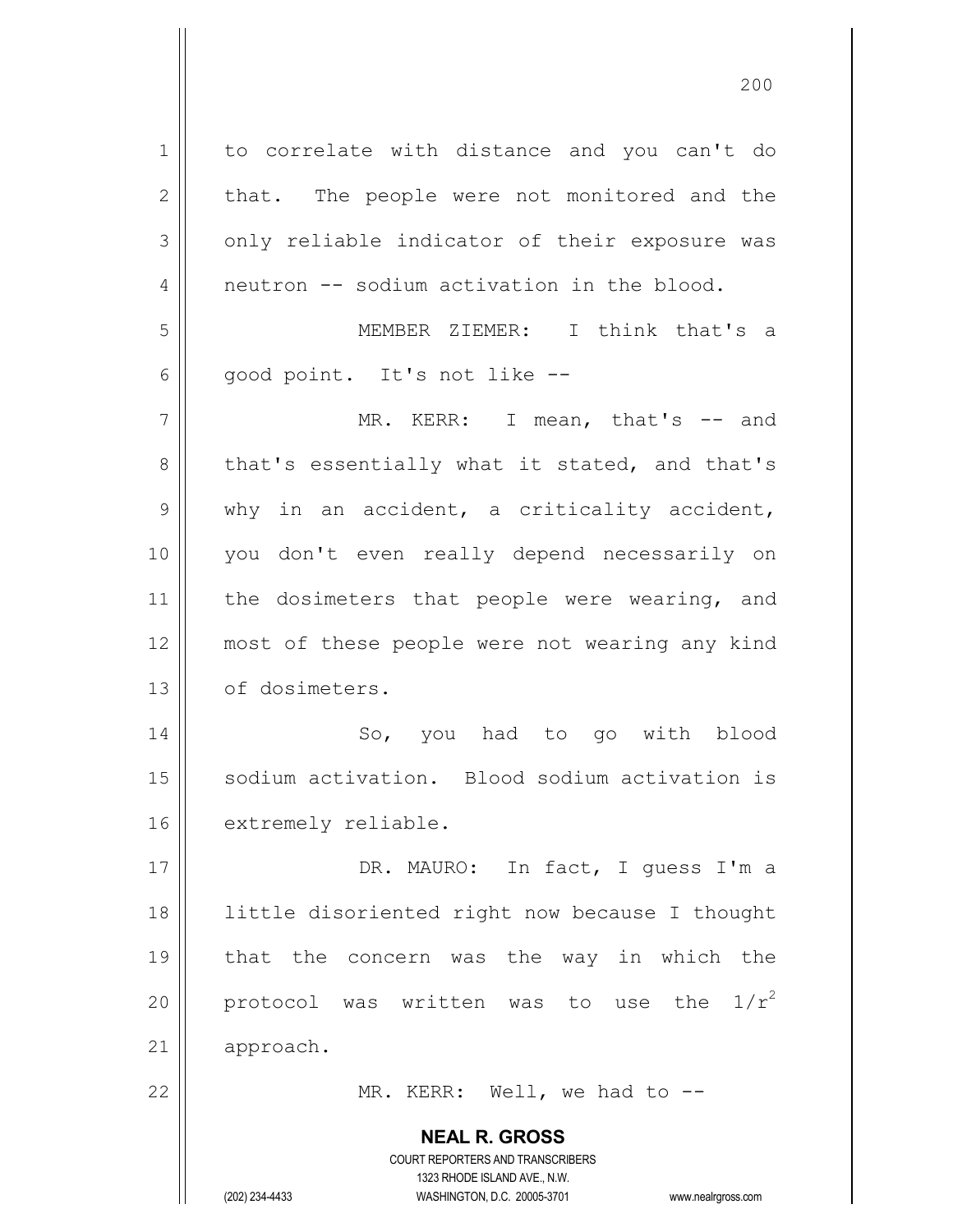| $\mathbf 1$    | to correlate with distance and you can't do                             |
|----------------|-------------------------------------------------------------------------|
| $\overline{2}$ | that. The people were not monitored and the                             |
| 3              | only reliable indicator of their exposure was                           |
| 4              | neutron -- sodium activation in the blood.                              |
| 5              | MEMBER ZIEMER: I think that's a                                         |
| 6              | good point. It's not like --                                            |
| $\overline{7}$ | MR. KERR: I mean, that's -- and                                         |
| 8              | that's essentially what it stated, and that's                           |
| $\mathsf 9$    | why in an accident, a criticality accident,                             |
| 10             | you don't even really depend necessarily on                             |
| 11             | the dosimeters that people were wearing, and                            |
| 12             | most of these people were not wearing any kind                          |
| 13             | of dosimeters.                                                          |
| 14             | So, you had to go with blood                                            |
| 15             | sodium activation. Blood sodium activation is                           |
| 16             | extremely reliable.                                                     |
| 17             | DR. MAURO: In fact, I quess I'm a                                       |
| 18             | little disoriented right now because I thought                          |
| 19             | that the concern was the way in which the                               |
| 20             | the $1/r^2$<br>protocol was written was to use                          |
| 21             | approach.                                                               |
| 22             | MR. KERR: Well, we had to $-$ -                                         |
|                |                                                                         |
|                | <b>NEAL R. GROSS</b>                                                    |
|                | <b>COURT REPORTERS AND TRANSCRIBERS</b><br>1323 RHODE ISLAND AVE., N.W. |
|                | (202) 234-4433<br>WASHINGTON, D.C. 20005-3701<br>www.nealrgross.com     |

 $\mathsf{I}$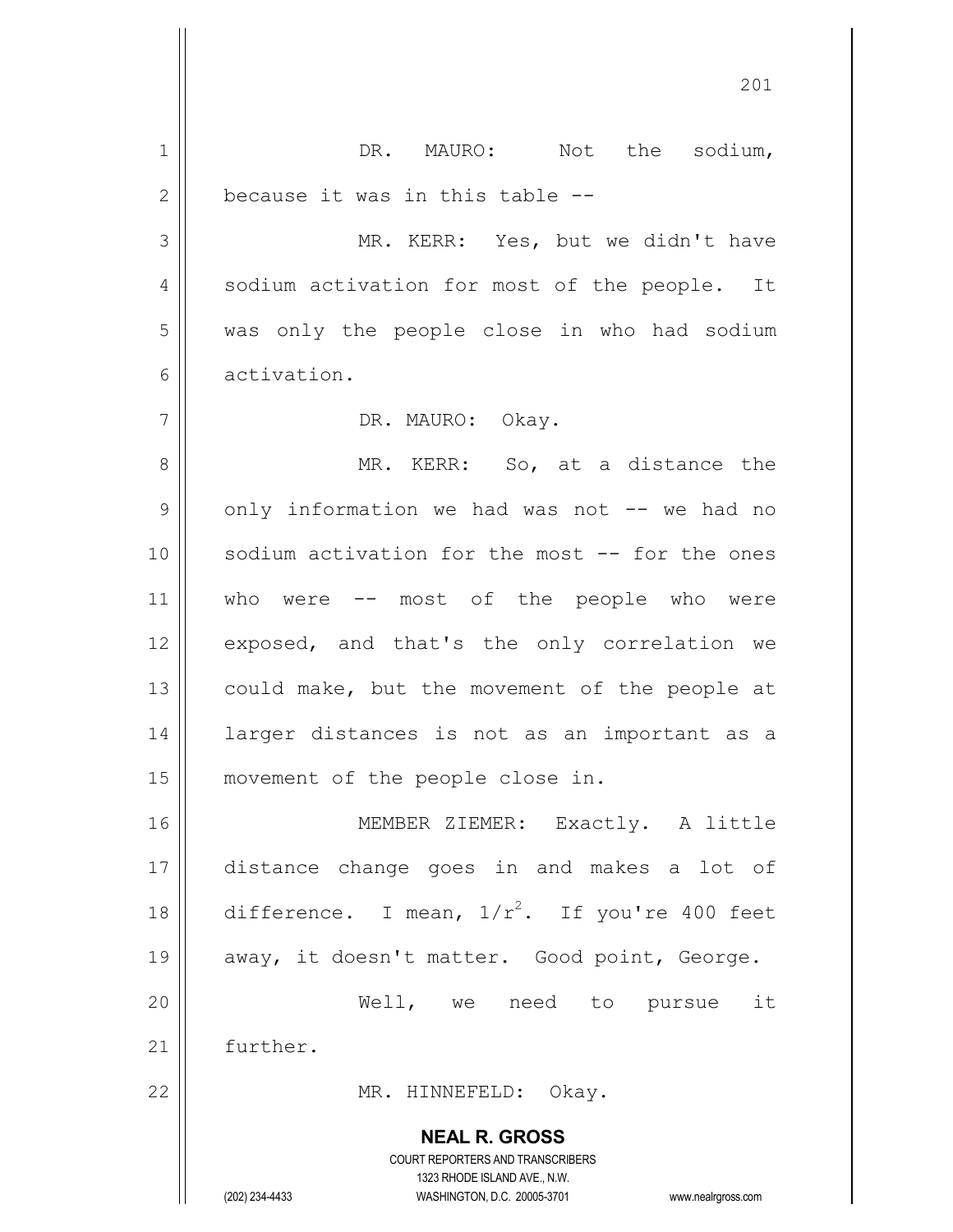**NEAL R. GROSS** COURT REPORTERS AND TRANSCRIBERS 1323 RHODE ISLAND AVE., N.W. (202) 234-4433 WASHINGTON, D.C. 20005-3701 www.nealrgross.com 1 || DR. MAURO: Not the sodium,  $2 \parallel$  because it was in this table  $-$ 3 || MR. KERR: Yes, but we didn't have 4 || sodium activation for most of the people. It 5 was only the people close in who had sodium 6 activation. 7 DR. MAURO: Okay. 8 || MR. KERR: So, at a distance the  $9 \parallel$  only information we had was not  $--$  we had no 10 || sodium activation for the most -- for the ones 11 || who were -- most of the people who were 12 || exposed, and that's the only correlation we 13  $\parallel$  could make, but the movement of the people at 14 larger distances is not as an important as a 15 || movement of the people close in. 16 || MEMBER ZIEMER: Exactly. A little 17 distance change goes in and makes a lot of 18 difference. I mean,  $1/r^2$ . If you're 400 feet 19 || away, it doesn't matter. Good point, George. 20 Well, we need to pursue it 21 | further. 22 || MR. HINNEFELD: Okay.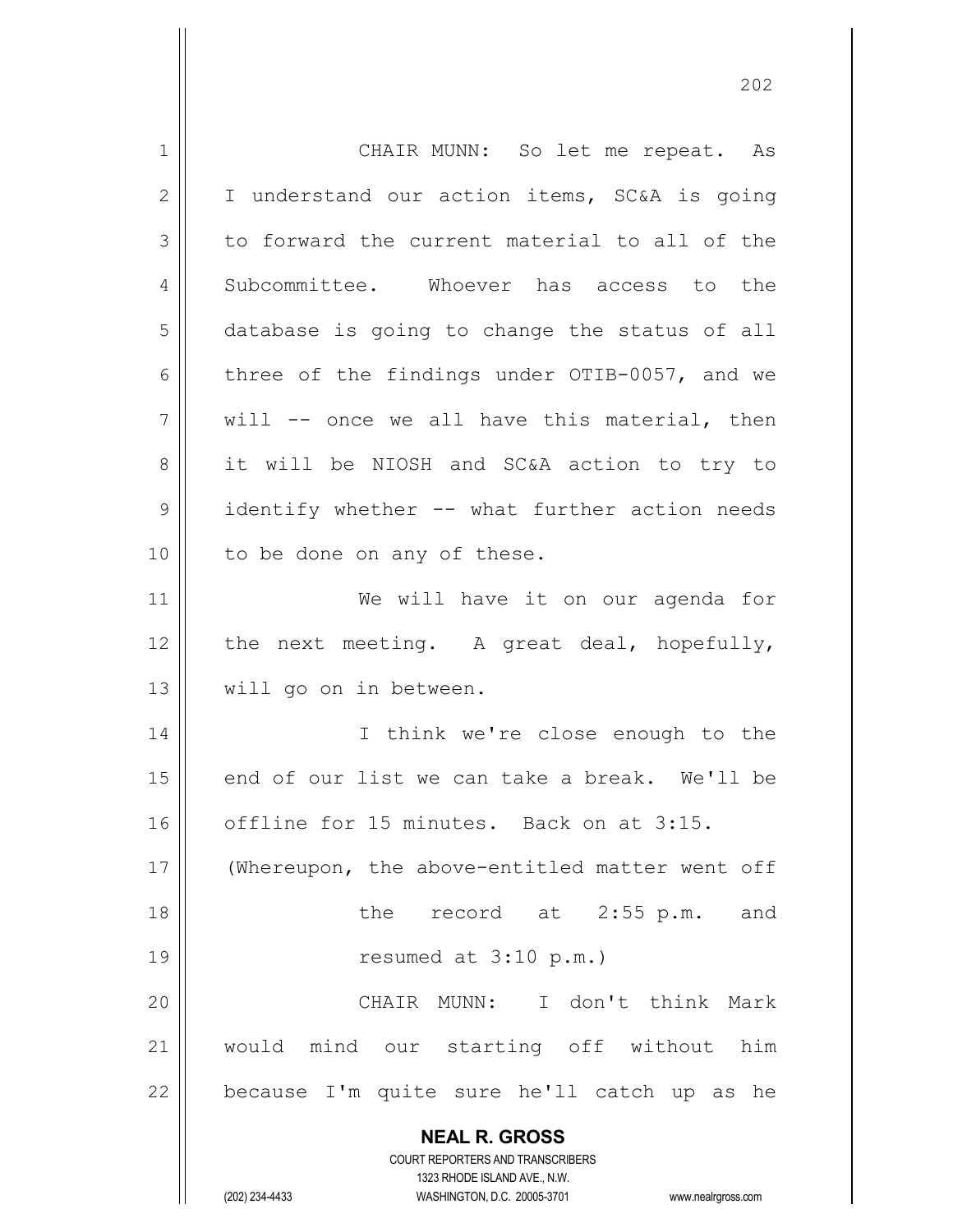| 1              | CHAIR MUNN: So let me repeat. As                                    |
|----------------|---------------------------------------------------------------------|
| $\overline{2}$ | I understand our action items, SC&A is going                        |
| 3              | to forward the current material to all of the                       |
| 4              | Subcommittee. Whoever has access to the                             |
| 5              | database is going to change the status of all                       |
| 6              | three of the findings under OTIB-0057, and we                       |
| 7              | will -- once we all have this material, then                        |
| 8              | it will be NIOSH and SC&A action to try to                          |
| 9              | identify whether -- what further action needs                       |
| 10             | to be done on any of these.                                         |
| 11             | We will have it on our agenda for                                   |
| 12             | the next meeting. A great deal, hopefully,                          |
| 13             | will go on in between.                                              |
| 14             | I think we're close enough to the                                   |
| 15             | end of our list we can take a break. We'll be                       |
| 16             | offline for 15 minutes. Back on at 3:15.                            |
| 17             | (Whereupon, the above-entitled matter went off                      |
| 18             | the record at 2:55 p.m. and                                         |
| 19             | resumed at 3:10 p.m.)                                               |
| 20             | CHAIR MUNN: I don't think Mark                                      |
| 21             | would mind our starting off without him                             |
| 22             | because I'm quite sure he'll catch up as he                         |
|                |                                                                     |
|                | <b>NEAL R. GROSS</b><br>COURT REPORTERS AND TRANSCRIBERS            |
|                | 1323 RHODE ISLAND AVE., N.W.                                        |
|                | (202) 234-4433<br>WASHINGTON, D.C. 20005-3701<br>www.nealrgross.com |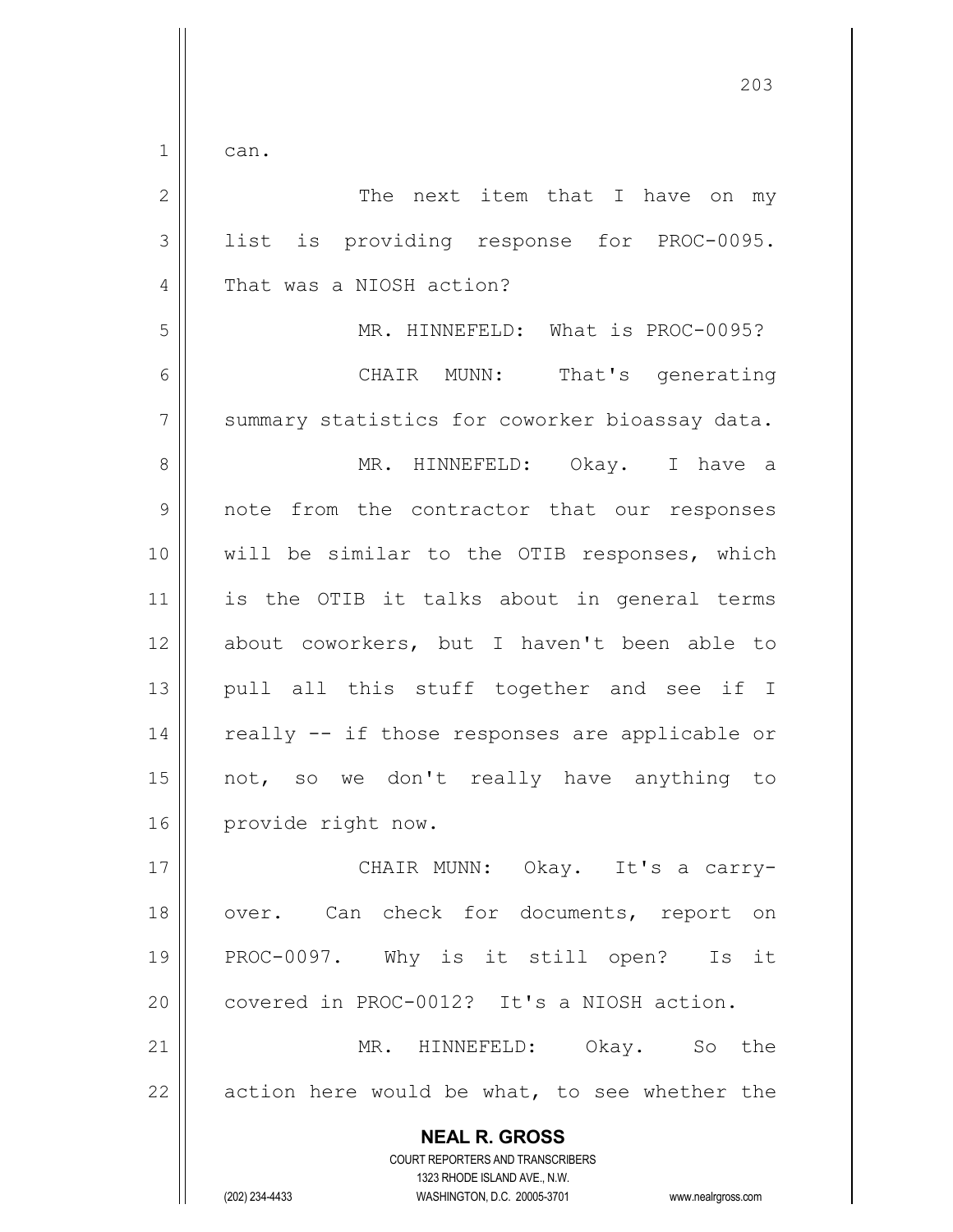$1 \parallel$  can.

| $\overline{2}$ | The next item that I have on my                                                                                                                                        |
|----------------|------------------------------------------------------------------------------------------------------------------------------------------------------------------------|
| 3              | list is providing response for PROC-0095.                                                                                                                              |
| 4              | That was a NIOSH action?                                                                                                                                               |
| 5              | MR. HINNEFELD: What is PROC-0095?                                                                                                                                      |
| $\epsilon$     | CHAIR MUNN: That's generating                                                                                                                                          |
| $\overline{7}$ | summary statistics for coworker bioassay data.                                                                                                                         |
| 8              | MR. HINNEFELD: Okay. I have a                                                                                                                                          |
| $\mathcal{G}$  | note from the contractor that our responses                                                                                                                            |
| 10             | will be similar to the OTIB responses, which                                                                                                                           |
| 11             | is the OTIB it talks about in general terms                                                                                                                            |
| 12             | about coworkers, but I haven't been able to                                                                                                                            |
| 13             | pull all this stuff together and see if I                                                                                                                              |
| 14             | really -- if those responses are applicable or                                                                                                                         |
| 15             | not, so we don't really have anything to                                                                                                                               |
| 16             | provide right now.                                                                                                                                                     |
| 17             | CHAIR MUNN: Okay. It's a carry-                                                                                                                                        |
| 18             | over. Can check for documents, report on                                                                                                                               |
| 19             | PROC-0097. Why is it still open?<br>Is it                                                                                                                              |
| 20             | covered in PROC-0012? It's a NIOSH action.                                                                                                                             |
| 21             | MR. HINNEFELD:<br>the<br>Okay.<br>So                                                                                                                                   |
| 22             | action here would be what, to see whether the                                                                                                                          |
|                | <b>NEAL R. GROSS</b><br><b>COURT REPORTERS AND TRANSCRIBERS</b><br>1323 RHODE ISLAND AVE., N.W.<br>(202) 234-4433<br>WASHINGTON, D.C. 20005-3701<br>www.nealrgross.com |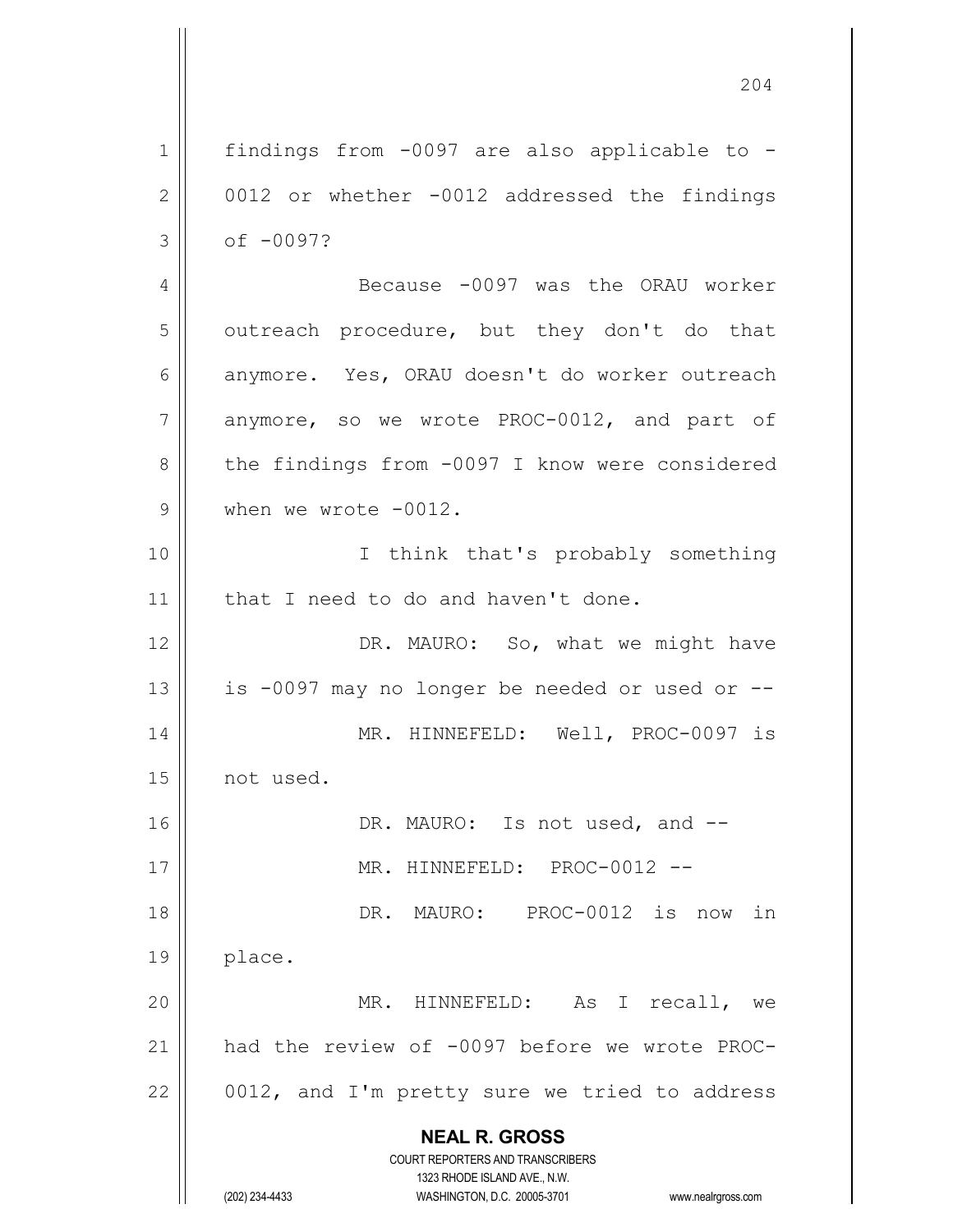**NEAL R. GROSS** COURT REPORTERS AND TRANSCRIBERS 1323 RHODE ISLAND AVE., N.W. (202) 234-4433 WASHINGTON, D.C. 20005-3701 www.nealrgross.com 204 1 || findings from -0097 are also applicable to - $2 \parallel$  0012 or whether -0012 addressed the findings  $3 \parallel$  of -0097? 4 | Because -0097 was the ORAU worker  $5$  || outreach procedure, but they don't do that 6  $\parallel$  anymore. Yes, ORAU doesn't do worker outreach  $7 \parallel$  anymore, so we wrote PROC-0012, and part of 8 | the findings from -0097 I know were considered 9 When we wrote -0012. 10 || Think that's probably something 11 | that I need to do and haven't done. 12 || DR. MAURO: So, what we might have 13  $\parallel$  is -0097 may no longer be needed or used or --14 || MR. HINNEFELD: Well, PROC-0097 is 15 not used. 16 || DR. MAURO: Is not used, and --17 MR. HINNEFELD: PROC-0012 -- 18 DR. MAURO: PROC-0012 is now in 19 place. 20 MR. HINNEFELD: As I recall, we 21 had the review of -0097 before we wrote PROC- $22$  | 0012, and I'm pretty sure we tried to address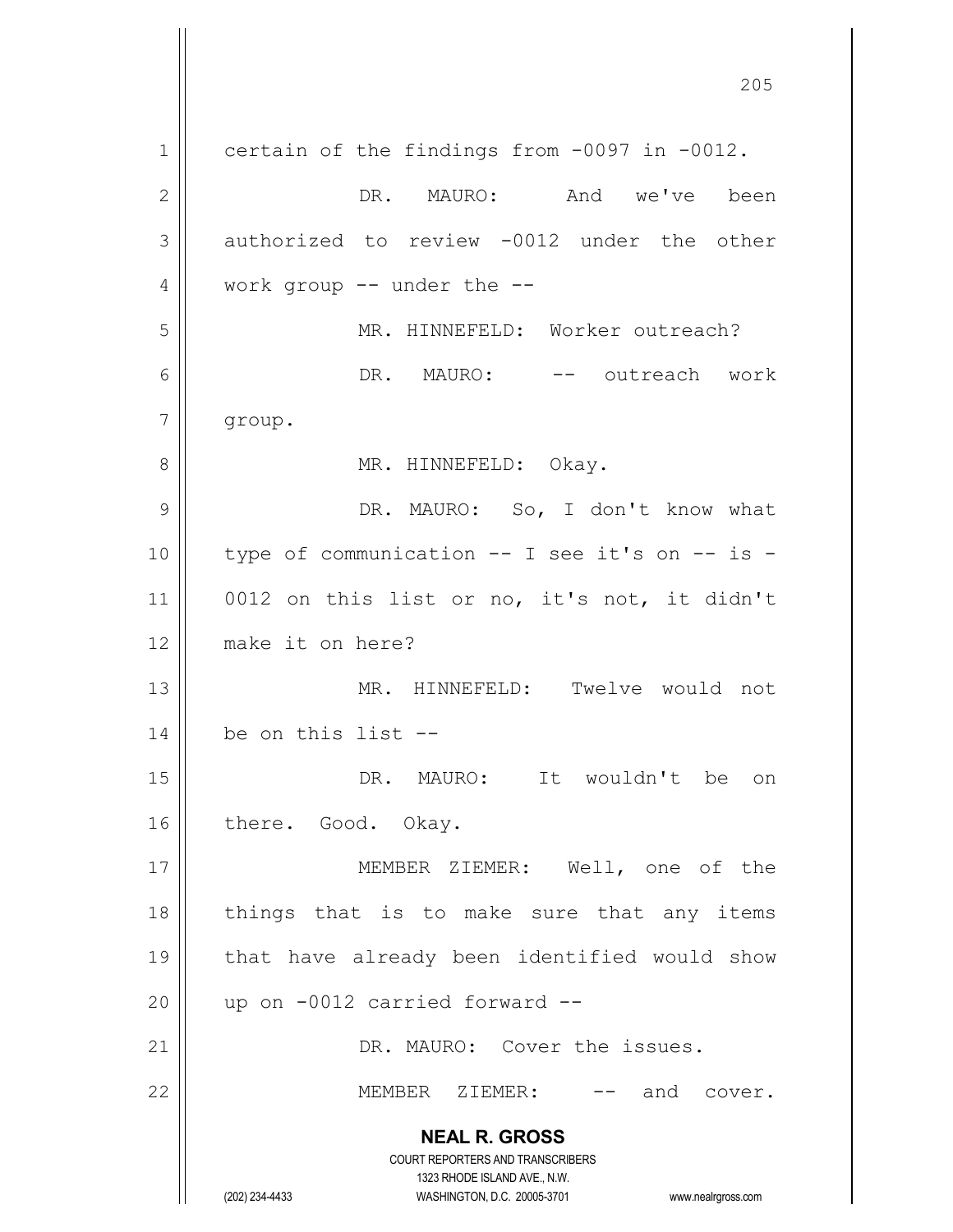**NEAL R. GROSS** COURT REPORTERS AND TRANSCRIBERS 1323 RHODE ISLAND AVE., N.W. (202) 234-4433 WASHINGTON, D.C. 20005-3701 www.nealrgross.com 205 1 certain of the findings from -0097 in -0012. 2 DR. MAURO: And we've been 3 authorized to review -0012 under the other  $4 \parallel$  work group -- under the --5 MR. HINNEFELD: Worker outreach? 6 DR. MAURO: -- outreach work 7 group. 8 || MR. HINNEFELD: Okay. 9 DR. MAURO: So, I don't know what  $10$  | type of communication -- I see it's on -- is -11 || 0012 on this list or no, it's not, it didn't 12 make it on here? 13 MR. HINNEFELD: Twelve would not  $14 \parallel$  be on this list --15 DR. MAURO: It wouldn't be on 16 || there. Good. Okay. 17 MEMBER ZIEMER: Well, one of the 18 || things that is to make sure that any items 19 that have already been identified would show  $20$  | up on  $-0012$  carried forward  $-$ 21 | DR. MAURO: Cover the issues. 22 MEMBER ZIEMER: -- and cover.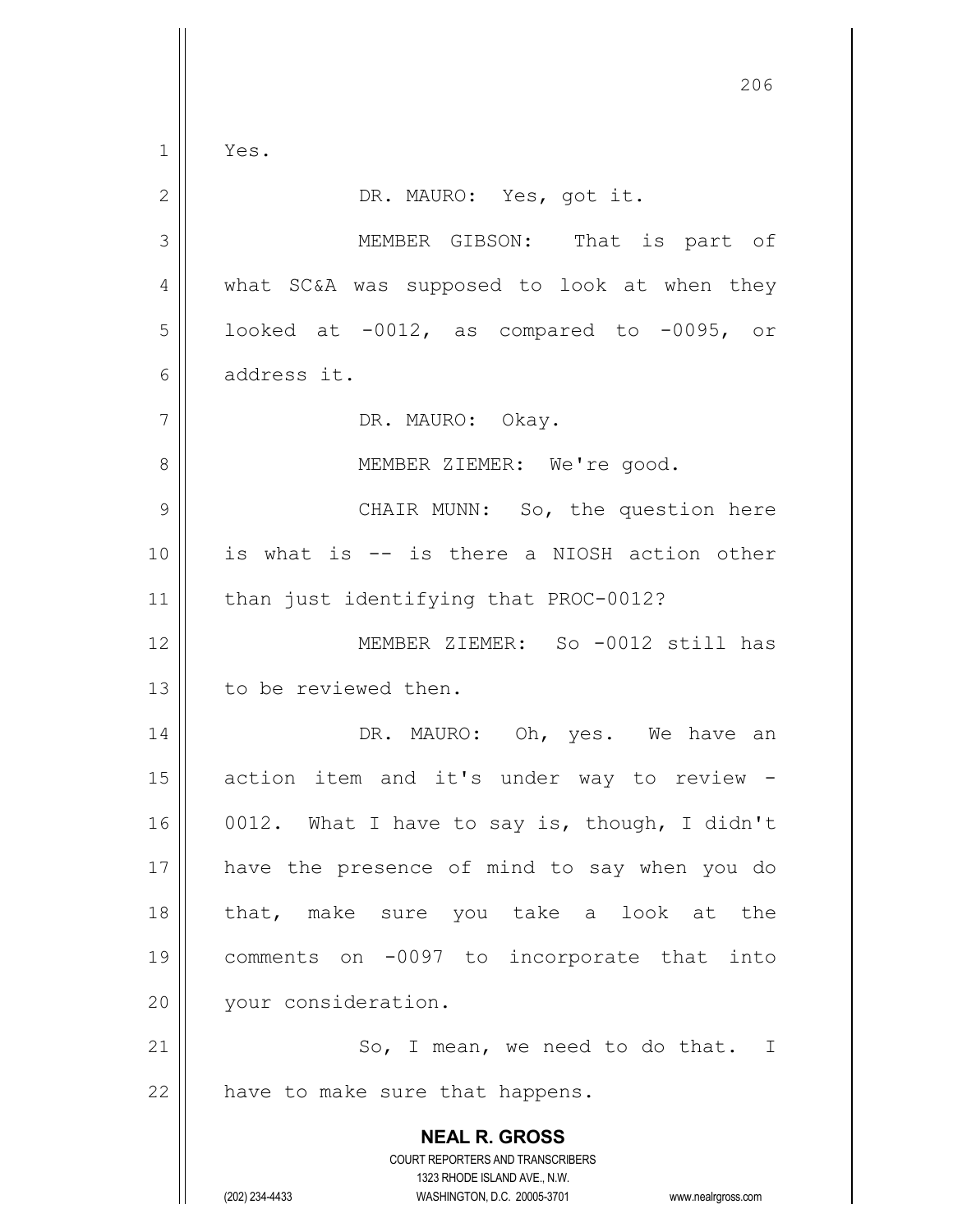**NEAL R. GROSS** COURT REPORTERS AND TRANSCRIBERS 1323 RHODE ISLAND AVE., N.W. (202) 234-4433 WASHINGTON, D.C. 20005-3701 www.nealrgross.com 206  $1 \parallel$  Yes. 2 || DR. MAURO: Yes, got it. 3 MEMBER GIBSON: That is part of 4 | what SC&A was supposed to look at when they  $5 \parallel$  looked at -0012, as compared to -0095, or 6 address it. 7 || DR. MAURO: Okay. 8 || MEMBER ZIEMER: We're good. 9 CHAIR MUNN: So, the question here 10 is what is -- is there a NIOSH action other 11 || than just identifying that PROC-0012? 12 MEMBER ZIEMER: So -0012 still has 13 l to be reviewed then. 14 DR. MAURO: Oh, yes. We have an 15 || action item and it's under way to review -16  $\vert$  0012. What I have to say is, though, I didn't 17 have the presence of mind to say when you do 18 that, make sure you take a look at the 19 comments on -0097 to incorporate that into 20 | vour consideration.  $21$   $\parallel$  So, I mean, we need to do that. I  $22$  | have to make sure that happens.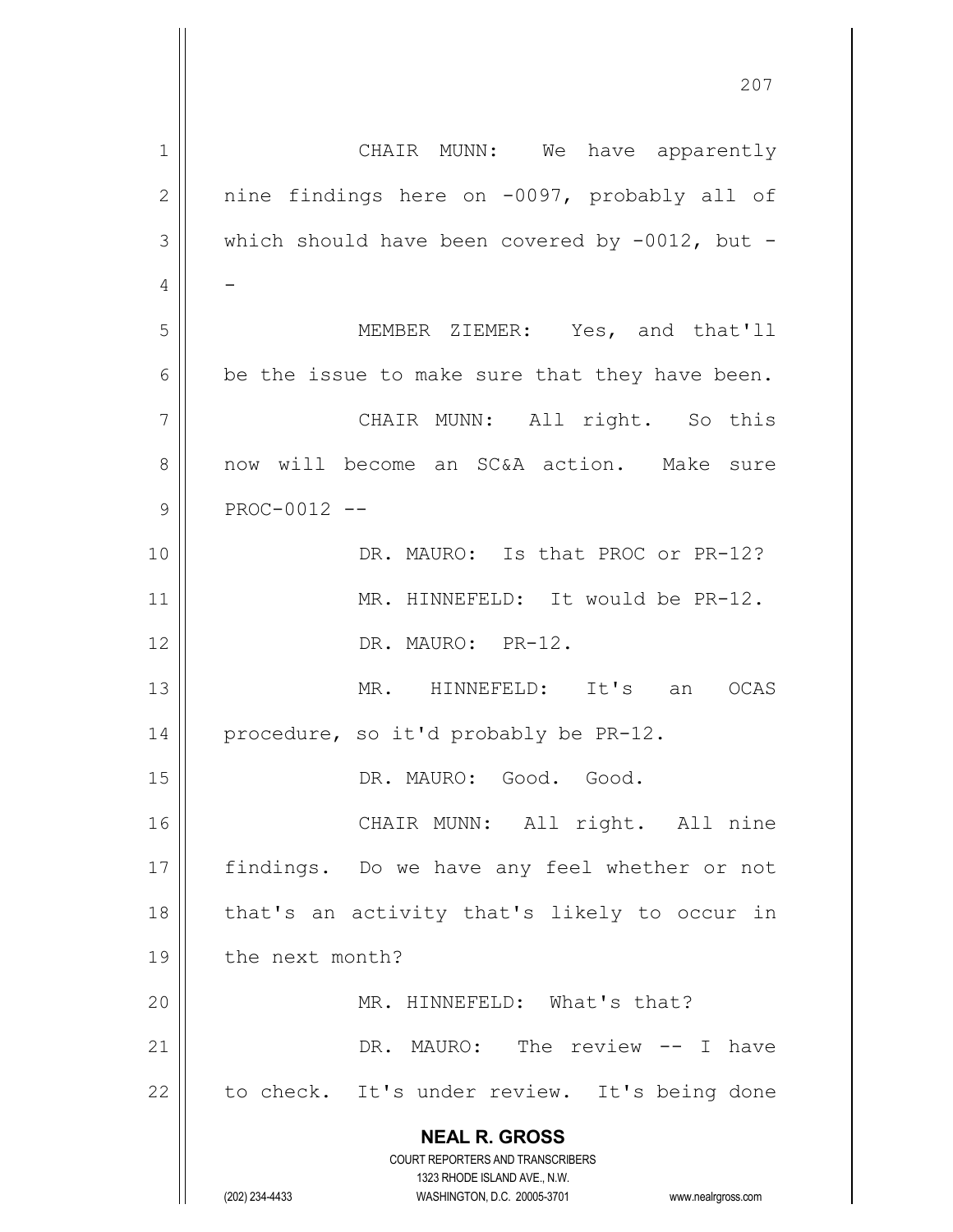|             | 201                                                                                                 |
|-------------|-----------------------------------------------------------------------------------------------------|
| $\mathbf 1$ | CHAIR MUNN: We have apparently                                                                      |
| 2           | nine findings here on -0097, probably all of                                                        |
| 3           | which should have been covered by $-0012$ , but -                                                   |
| 4           |                                                                                                     |
| 5           | MEMBER ZIEMER: Yes, and that'll                                                                     |
| 6           | be the issue to make sure that they have been.                                                      |
| 7           | CHAIR MUNN: All right. So this                                                                      |
| 8           | now will become an SC&A action. Make sure                                                           |
| 9           | PROC-0012 --                                                                                        |
| 10          | DR. MAURO: Is that PROC or PR-12?                                                                   |
| 11          | MR. HINNEFELD: It would be PR-12.                                                                   |
|             |                                                                                                     |
| 12          | DR. MAURO: PR-12.                                                                                   |
| 13          | MR. HINNEFELD: It's an<br>OCAS                                                                      |
| 14          | procedure, so it'd probably be PR-12.                                                               |
| 15          | DR. MAURO: Good. Good.                                                                              |
| 16          | CHAIR MUNN: All right. All nine                                                                     |
| 17          | findings. Do we have any feel whether or not                                                        |
| 18          | that's an activity that's likely to occur in                                                        |
| 19          | the next month?                                                                                     |
| 20          | MR. HINNEFELD: What's that?                                                                         |
| 21          | DR. MAURO: The review -- I have                                                                     |
| 22          | to check. It's under review. It's being done                                                        |
|             | <b>NEAL R. GROSS</b>                                                                                |
|             | <b>COURT REPORTERS AND TRANSCRIBERS</b>                                                             |
|             | 1323 RHODE ISLAND AVE., N.W.<br>(202) 234-4433<br>WASHINGTON, D.C. 20005-3701<br>www.nealrgross.com |

 $\mathsf{I}$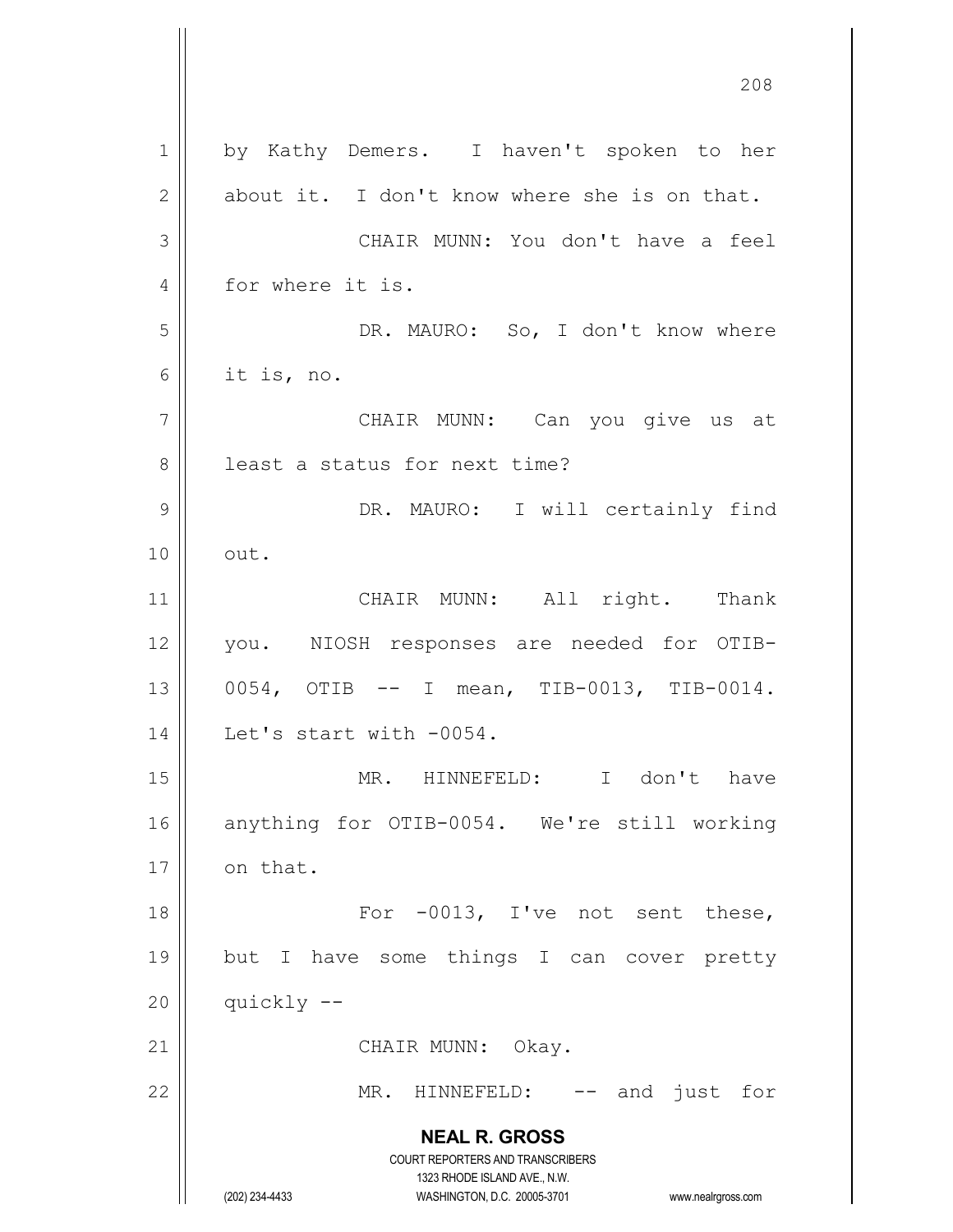**NEAL R. GROSS** COURT REPORTERS AND TRANSCRIBERS 1323 RHODE ISLAND AVE., N.W. (202) 234-4433 WASHINGTON, D.C. 20005-3701 www.nealrgross.com 1 by Kathy Demers. I haven't spoken to her  $2 \parallel$  about it. I don't know where she is on that. 3 CHAIR MUNN: You don't have a feel 4 for where it is. 5 DR. MAURO: So, I don't know where 6 | it is, no. 7 CHAIR MUNN: Can you give us at 8 || least a status for next time? 9 DR. MAURO: I will certainly find  $10 \parallel \quad out.$ 11 || CHAIR MUNN: All right. Thank 12 you. NIOSH responses are needed for OTIB-13 || 0054, OTIB -- I mean, TIB-0013, TIB-0014. 14 | Let's start with -0054. 15 || MR. HINNEFELD: I don't have 16 anything for OTIB-0054. We're still working  $17$  | on that. 18 || For -0013, I've not sent these, 19 but I have some things I can cover pretty  $20$  | quickly  $-$ 21 || CHAIR MUNN: Okay. 22 || MR. HINNEFELD: -- and just for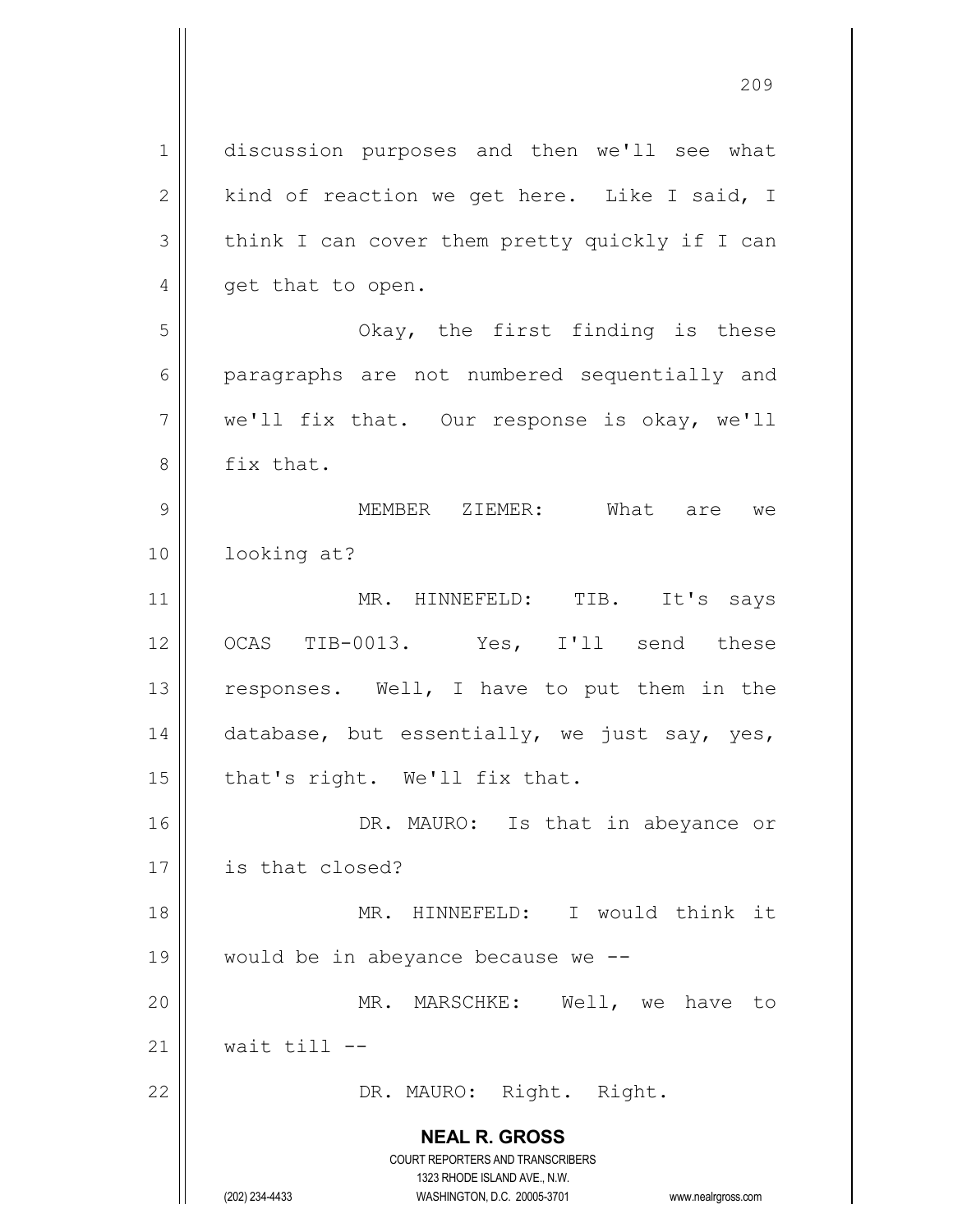**NEAL R. GROSS** COURT REPORTERS AND TRANSCRIBERS 1323 RHODE ISLAND AVE., N.W. 1 discussion purposes and then we'll see what  $2 \parallel$  kind of reaction we get here. Like I said, I  $3 \parallel$  think I can cover them pretty quickly if I can 4 || get that to open. 5 Okay, the first finding is these 6 || paragraphs are not numbered sequentially and  $7 \parallel$  we'll fix that. Our response is okay, we'll 8 | fix that. 9 MEMBER ZIEMER: What are we 10 looking at? 11 || MR. HINNEFELD: TIB. It's says 12 || OCAS TIB-0013. Yes, I'll send these 13 || responses. Well, I have to put them in the 14  $\parallel$  database, but essentially, we just say, yes,  $15$  | that's right. We'll fix that. 16 || DR. MAURO: Is that in abeyance or 17 is that closed? 18 MR. HINNEFELD: I would think it 19  $\parallel$  would be in abeyance because we  $-$ 20 MR. MARSCHKE: Well, we have to 21  $\parallel$  wait till --22 || DR. MAURO: Right. Right.

(202) 234-4433 WASHINGTON, D.C. 20005-3701 www.nealrgross.com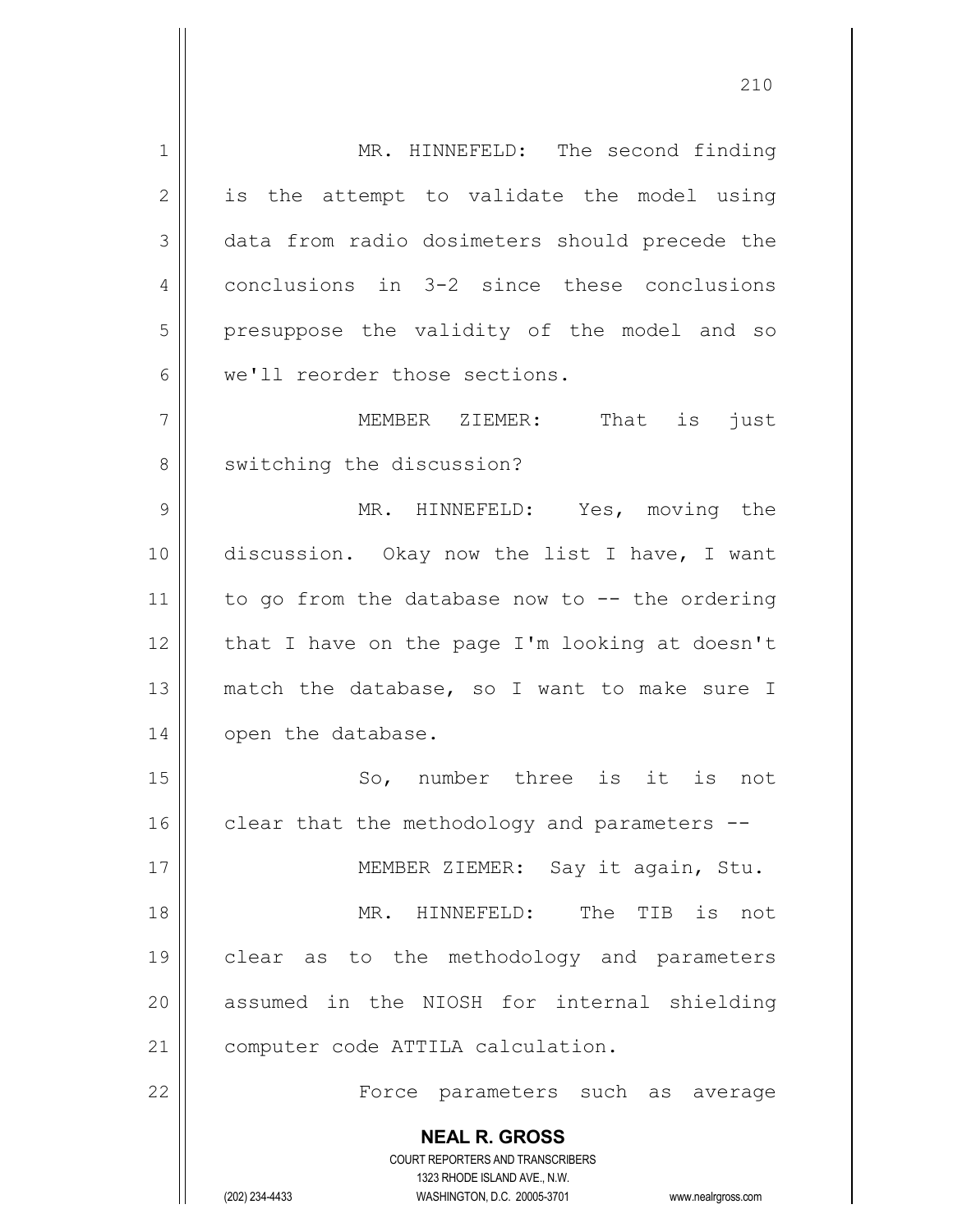**NEAL R. GROSS** COURT REPORTERS AND TRANSCRIBERS 1323 RHODE ISLAND AVE., N.W. (202) 234-4433 WASHINGTON, D.C. 20005-3701 www.nealrgross.com 1 | MR. HINNEFELD: The second finding  $2 \parallel$  is the attempt to validate the model using 3 data from radio dosimeters should precede the 4 conclusions in 3-2 since these conclusions 5 || presuppose the validity of the model and so 6 we'll reorder those sections. 7 || MEMBER ZIEMER: That is just 8 | switching the discussion? 9 MR. HINNEFELD: Yes, moving the 10 discussion. Okay now the list I have, I want 11 | to go from the database now to  $-$ - the ordering  $12$  | that I have on the page I'm looking at doesn't 13 || match the database, so I want to make sure I 14 | open the database. 15 || So, number three is it is not 16  $\parallel$  clear that the methodology and parameters  $-$ 17 || MEMBER ZIEMER: Say it again, Stu. 18 MR. HINNEFELD: The TIB is not 19 clear as to the methodology and parameters 20 || assumed in the NIOSH for internal shielding 21 | computer code ATTILA calculation. 22 Force parameters such as average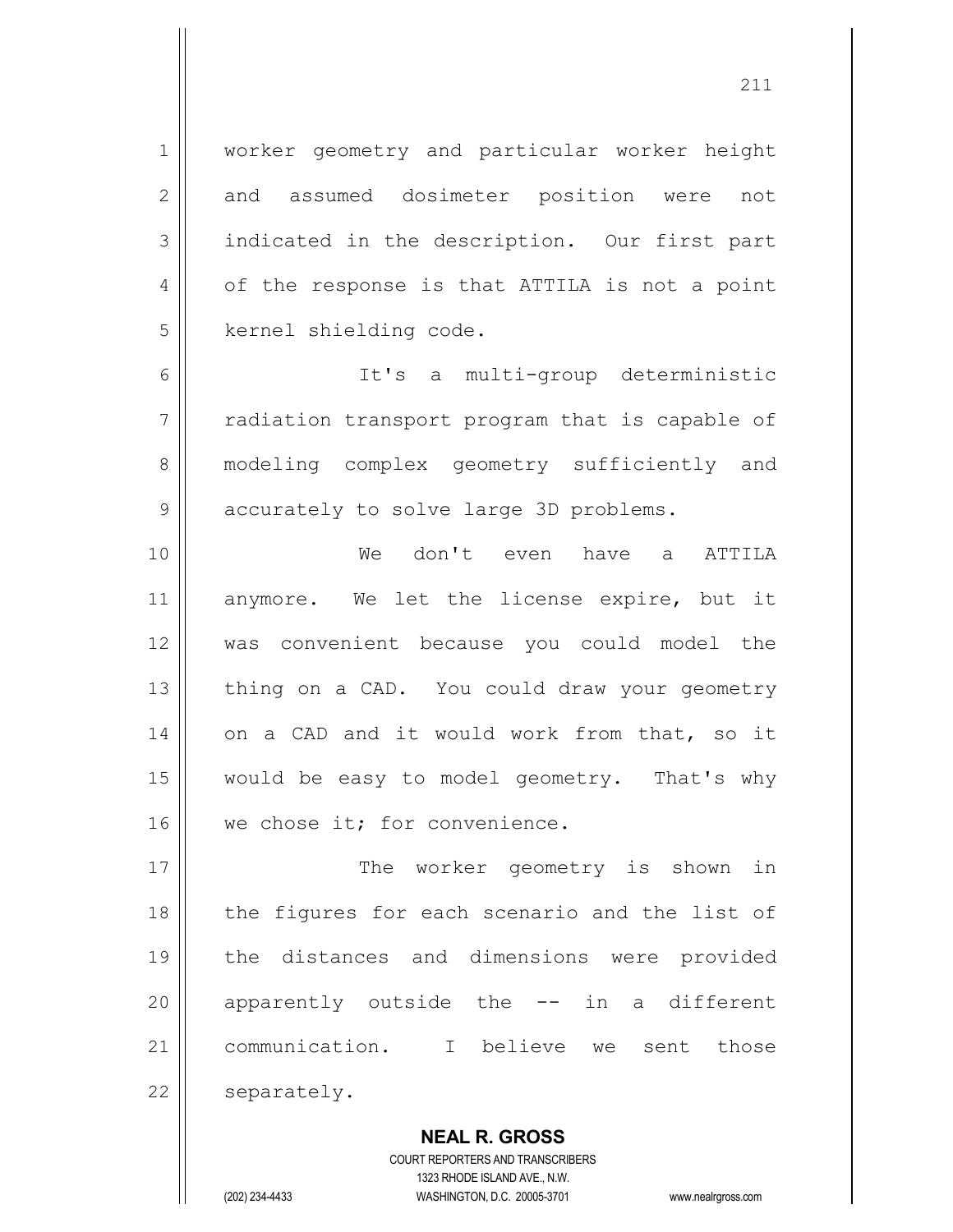1 | worker geometry and particular worker height 2 and assumed dosimeter position were not 3 || indicated in the description. Our first part 4 | of the response is that ATTILA is not a point 5 | kernel shielding code.

6 It's a multi-group deterministic 7 || radiation transport program that is capable of 8 || modeling complex geometry sufficiently and 9 | accurately to solve large 3D problems.

10 We don't even have a ATTILA 11 anymore. We let the license expire, but it 12 was convenient because you could model the 13 || thing on a CAD. You could draw your geometry 14 || on a CAD and it would work from that, so it 15 would be easy to model geometry. That's why 16 | we chose it; for convenience.

17 || The worker geometry is shown in 18 || the figures for each scenario and the list of 19 the distances and dimensions were provided 20 || apparently outside the -- in a different 21 communication. I believe we sent those 22 | separately.

> COURT REPORTERS AND TRANSCRIBERS 1323 RHODE ISLAND AVE., N.W. (202) 234-4433 WASHINGTON, D.C. 20005-3701 www.nealrgross.com

**NEAL R. GROSS**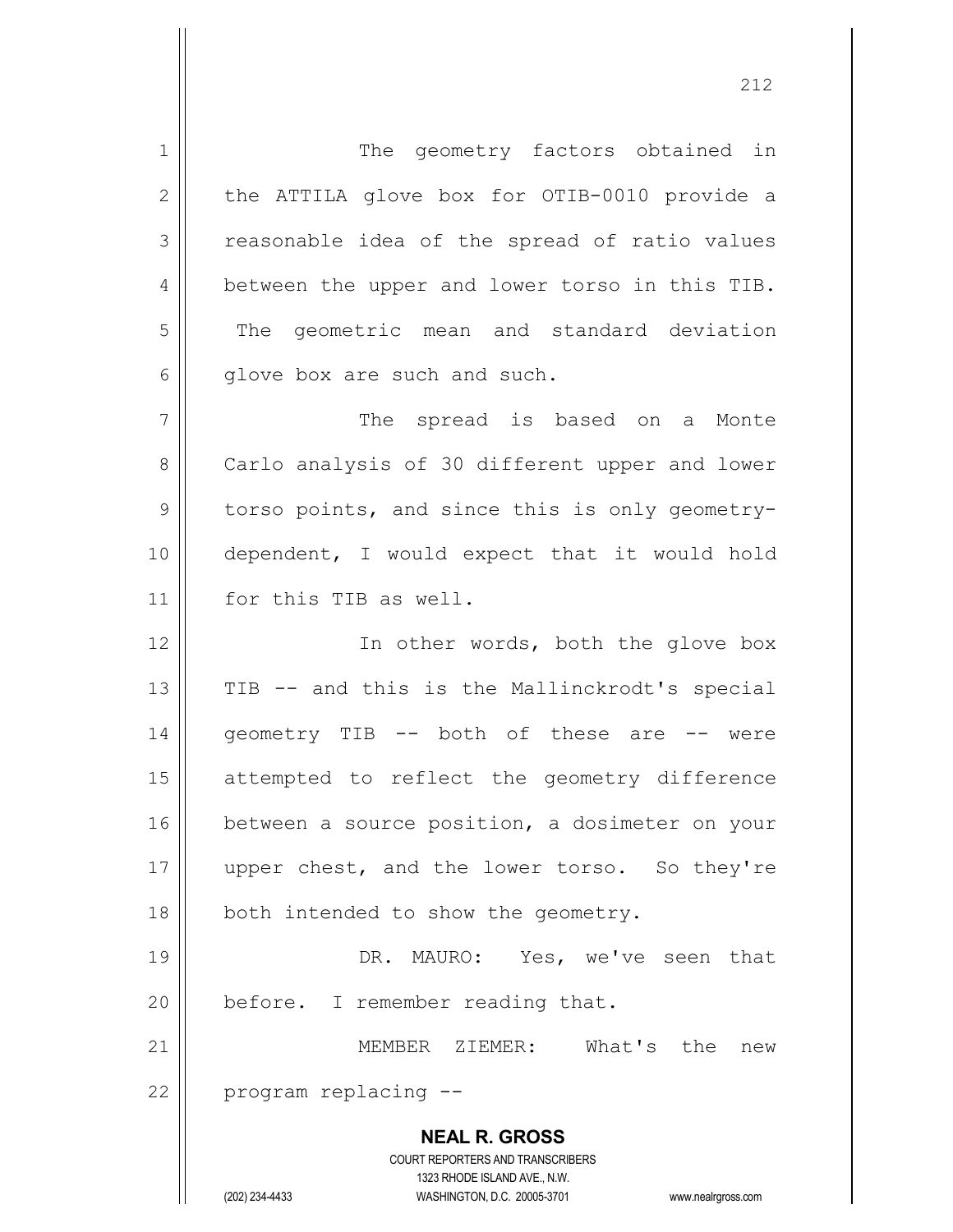**NEAL R. GROSS** COURT REPORTERS AND TRANSCRIBERS 1323 RHODE ISLAND AVE., N.W. (202) 234-4433 WASHINGTON, D.C. 20005-3701 www.nealrgross.com 1 | The geometry factors obtained in 2 || the ATTILA glove box for OTIB-0010 provide a 3 | reasonable idea of the spread of ratio values 4 | between the upper and lower torso in this TIB. 5 || The geometric mean and standard deviation  $6 \parallel$  qlove box are such and such. 7 || The spread is based on a Monte 8 | Carlo analysis of 30 different upper and lower 9 || torso points, and since this is only geometry-10 dependent, I would expect that it would hold 11 | for this TIB as well. 12 || The other words, both the glove box  $13$  || TIB  $-$  and this is the Mallinckrodt's special 14 || qeometry TIB -- both of these are -- were 15 attempted to reflect the geometry difference 16 | between a source position, a dosimeter on your 17 || upper chest, and the lower torso. So they're 18 | both intended to show the geometry. 19 DR. MAURO: Yes, we've seen that  $20$  | before. I remember reading that. 21 MEMBER ZIEMER: What's the new  $22$  | program replacing  $-$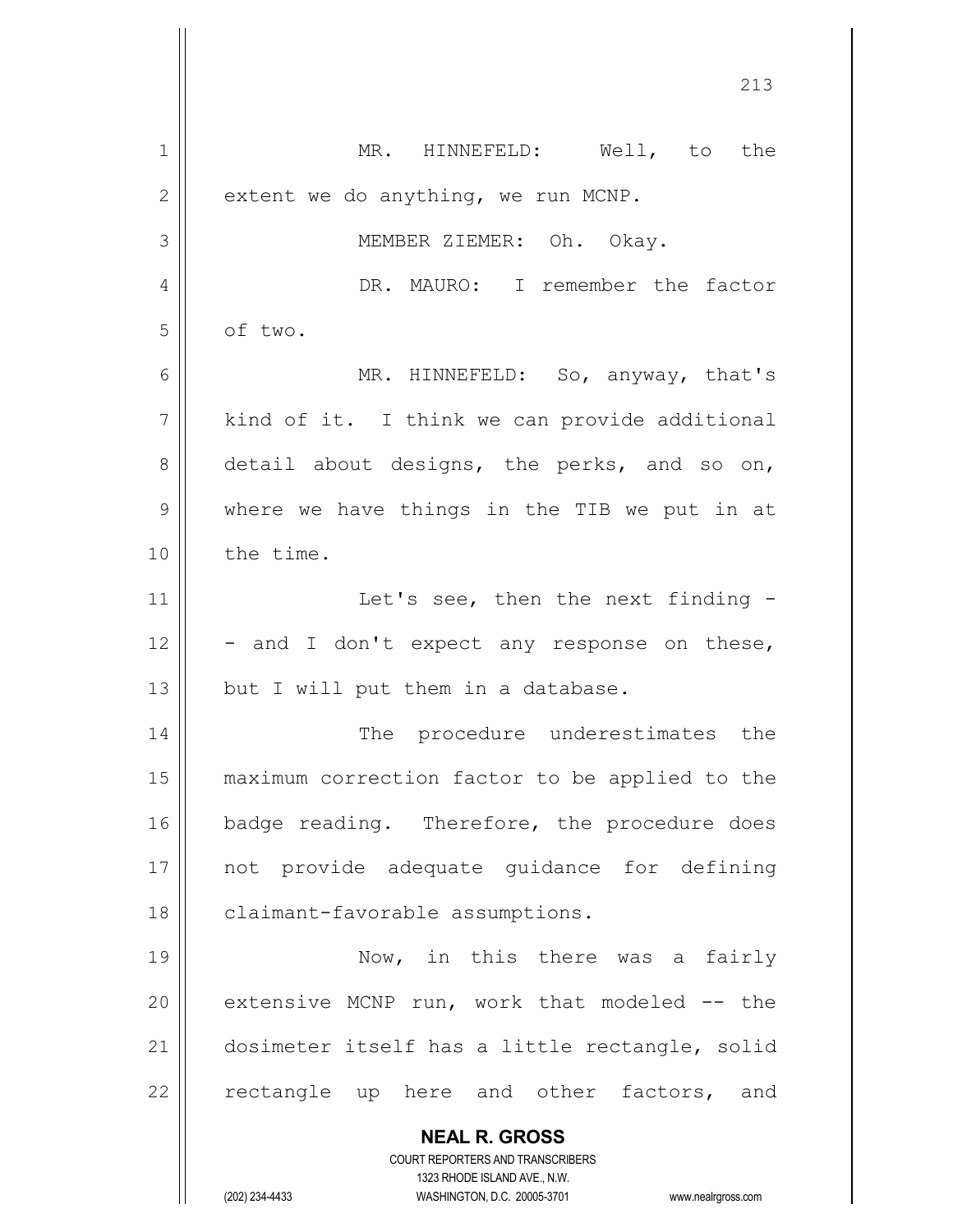| 1  | MR. HINNEFELD: Well, to the                                                                         |
|----|-----------------------------------------------------------------------------------------------------|
| 2  | extent we do anything, we run MCNP.                                                                 |
| 3  | MEMBER ZIEMER: Oh. Okay.                                                                            |
| 4  | DR. MAURO: I remember the factor                                                                    |
| 5  | of two.                                                                                             |
| 6  | MR. HINNEFELD: So, anyway, that's                                                                   |
| 7  | kind of it. I think we can provide additional                                                       |
| 8  | detail about designs, the perks, and so on,                                                         |
| 9  | where we have things in the TIB we put in at                                                        |
| 10 | the time.                                                                                           |
| 11 | Let's see, then the next finding -                                                                  |
| 12 | - and I don't expect any response on these,                                                         |
| 13 | but I will put them in a database.                                                                  |
| 14 | The procedure underestimates the                                                                    |
| 15 | maximum correction factor to be applied to the                                                      |
| 16 | badge reading. Therefore, the procedure does                                                        |
| 17 | not provide adequate quidance for defining                                                          |
| 18 | claimant-favorable assumptions.                                                                     |
| 19 | Now, in this there was a fairly                                                                     |
| 20 | extensive MCNP run, work that modeled -- the                                                        |
| 21 | dosimeter itself has a little rectangle, solid                                                      |
| 22 | rectangle up here and other factors, and                                                            |
|    | <b>NEAL R. GROSS</b>                                                                                |
|    | <b>COURT REPORTERS AND TRANSCRIBERS</b>                                                             |
|    | 1323 RHODE ISLAND AVE., N.W.<br>(202) 234-4433<br>WASHINGTON, D.C. 20005-3701<br>www.nealrgross.com |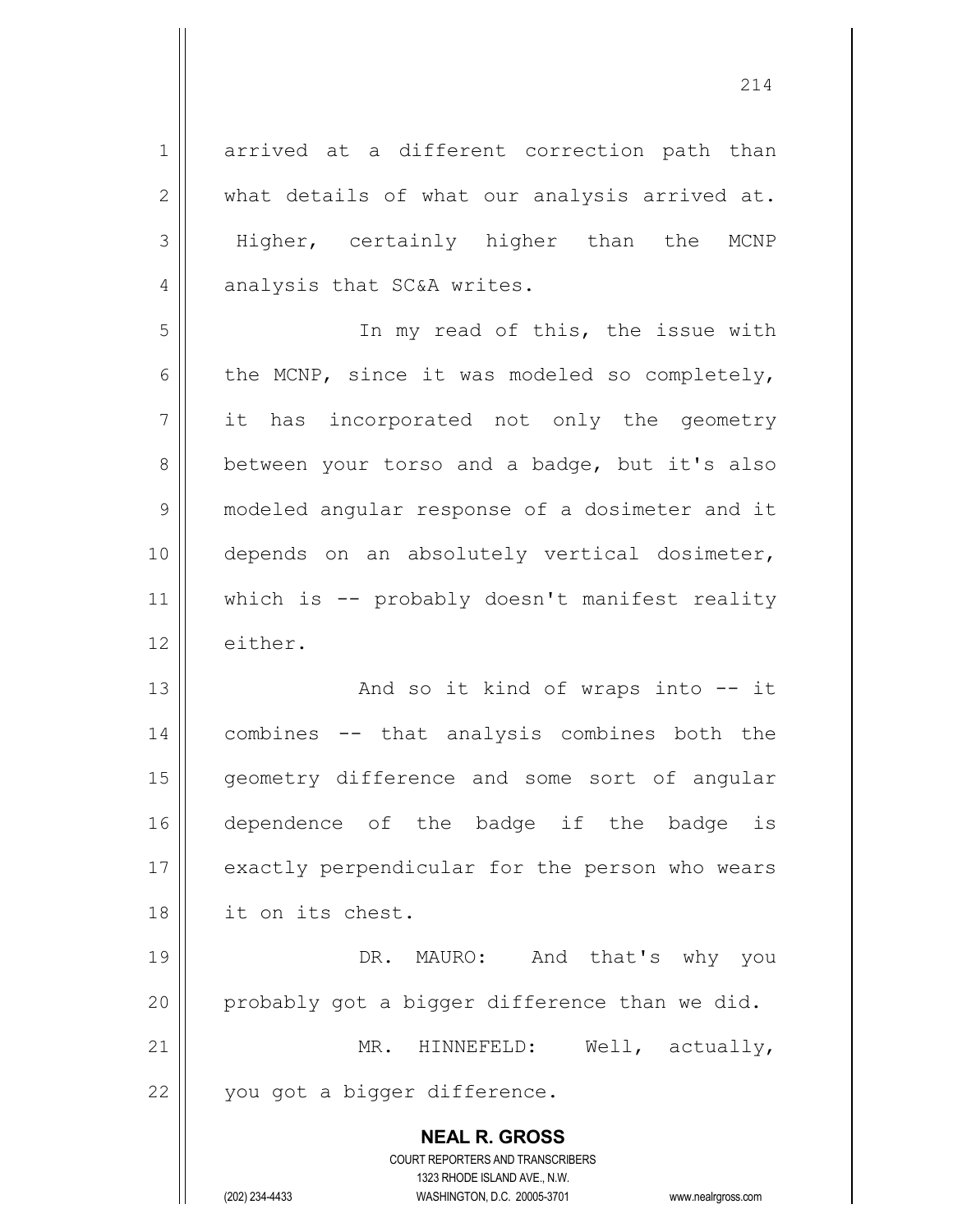**NEAL R. GROSS** COURT REPORTERS AND TRANSCRIBERS 1323 RHODE ISLAND AVE., N.W. 1 arrived at a different correction path than  $2 \parallel$  what details of what our analysis arrived at. 3 || Higher, certainly higher than the MCNP 4 || analysis that SC&A writes. 5 || The my read of this, the issue with 6 | the MCNP, since it was modeled so completely, 7 it has incorporated not only the geometry 8 | between your torso and a badge, but it's also 9 | modeled angular response of a dosimeter and it 10 depends on an absolutely vertical dosimeter, 11 || which is -- probably doesn't manifest reality 12 | either. 13 || And so it kind of wraps into -- it 14 combines -- that analysis combines both the 15 || geometry difference and some sort of angular 16 dependence of the badge if the badge is 17 | exactly perpendicular for the person who wears 18 it on its chest. 19 || DR. MAURO: And that's why you 20  $\parallel$  probably got a bigger difference than we did. 21 || MR. HINNEFELD: Well, actually, 22 || you got a bigger difference.

(202) 234-4433 WASHINGTON, D.C. 20005-3701 www.nealrgross.com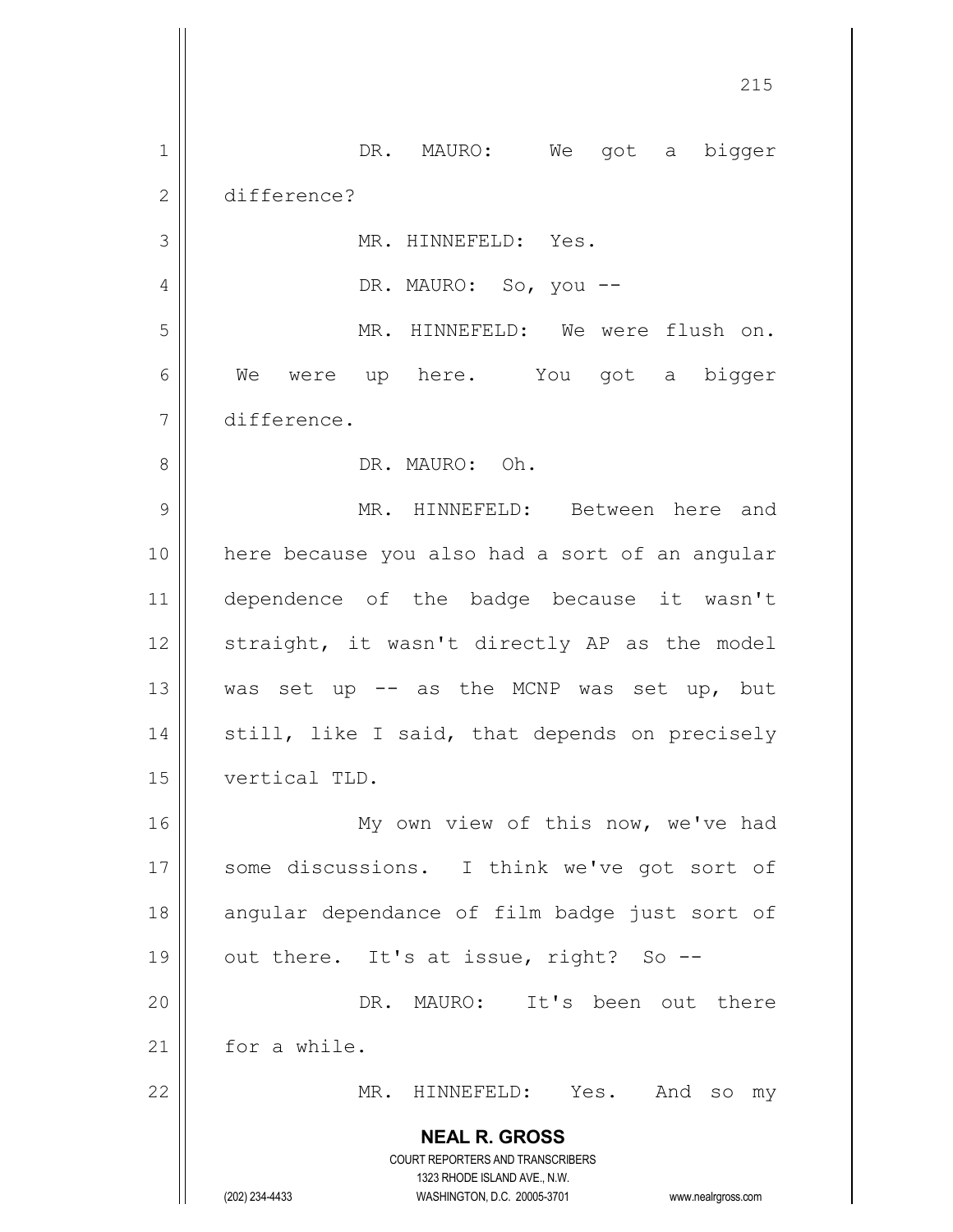**NEAL R. GROSS** COURT REPORTERS AND TRANSCRIBERS 1323 RHODE ISLAND AVE., N.W. (202) 234-4433 WASHINGTON, D.C. 20005-3701 www.nealrgross.com 1 || DR. MAURO: We got a bigger difference? 3 || MR. HINNEFELD: Yes. DR. MAURO: So, you -- MR. HINNEFELD: We were flush on. We were up here. You got a bigger difference. DR. MAURO: Oh. MR. HINNEFELD: Between here and here because you also had a sort of an angular dependence of the badge because it wasn't straight, it wasn't directly AP as the model  $\parallel$  was set up -- as the MCNP was set up, but  $\parallel$  still, like I said, that depends on precisely vertical TLD. 16 || My own view of this now, we've had 17 || some discussions. I think we've got sort of 18 || angular dependance of film badge just sort of  $\parallel$  out there. It's at issue, right? So -- DR. MAURO: It's been out there 21 | for a while. MR. HINNEFELD: Yes. And so my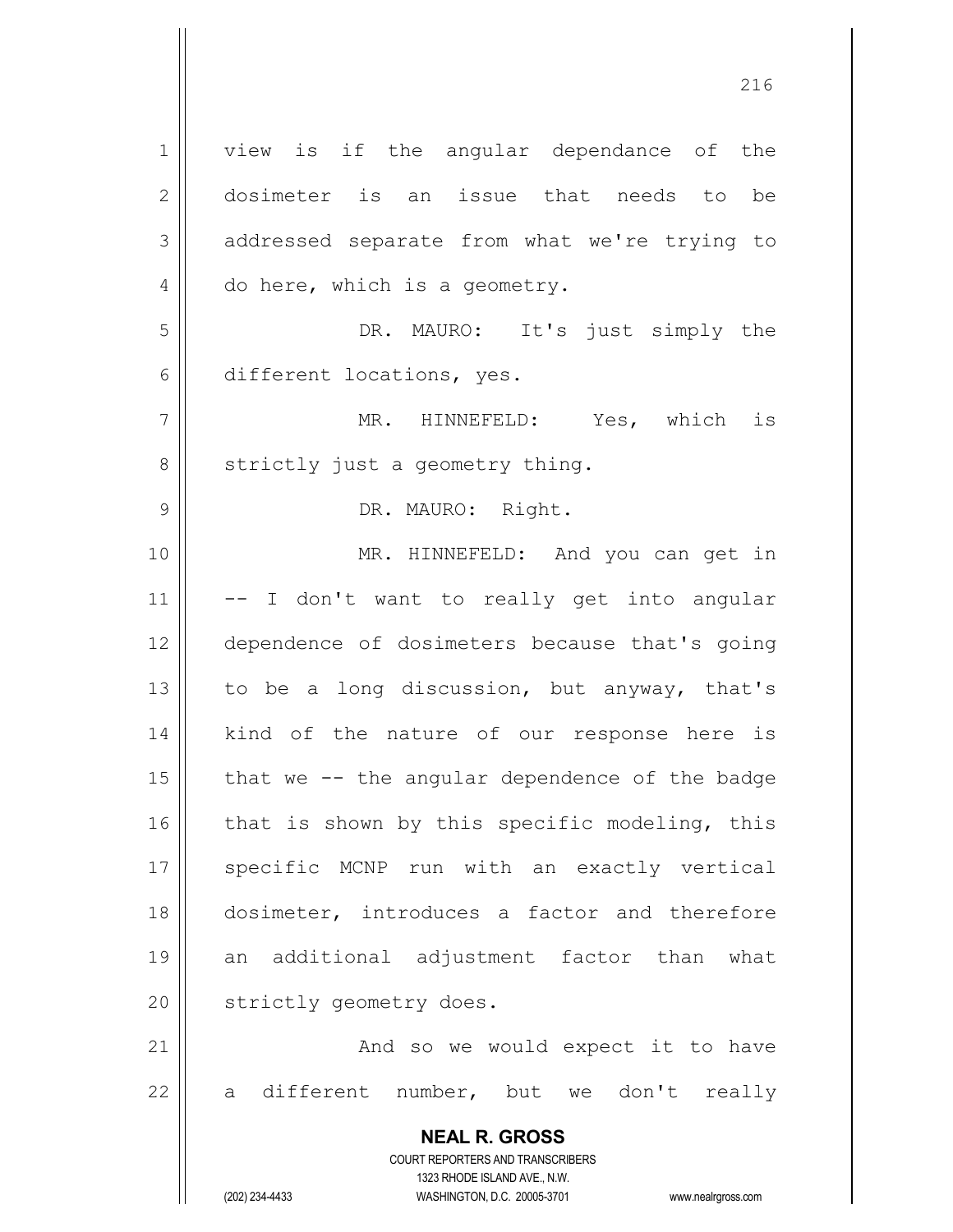**NEAL R. GROSS** COURT REPORTERS AND TRANSCRIBERS 1323 RHODE ISLAND AVE., N.W. (202) 234-4433 WASHINGTON, D.C. 20005-3701 www.nealrgross.com 1 || view is if the angular dependance of the 2 || dosimeter is an issue that needs to be 3 addressed separate from what we're trying to 4 | do here, which is a geometry. 5 DR. MAURO: It's just simply the 6 different locations, yes. 7 MR. HINNEFELD: Yes, which is  $8 \parallel$  strictly just a geometry thing. 9 || DR. MAURO: Right. 10 MR. HINNEFELD: And you can get in  $11 || - - I$  don't want to really get into angular 12 dependence of dosimeters because that's going 13  $\parallel$  to be a long discussion, but anyway, that's 14 || kind of the nature of our response here is 15  $\parallel$  that we -- the angular dependence of the badge  $16$  that is shown by this specific modeling, this 17 || specific MCNP run with an exactly vertical 18 dosimeter, introduces a factor and therefore 19 an additional adjustment factor than what 20 | strictly geometry does. 21 || And so we would expect it to have  $22$  a different number, but we don't really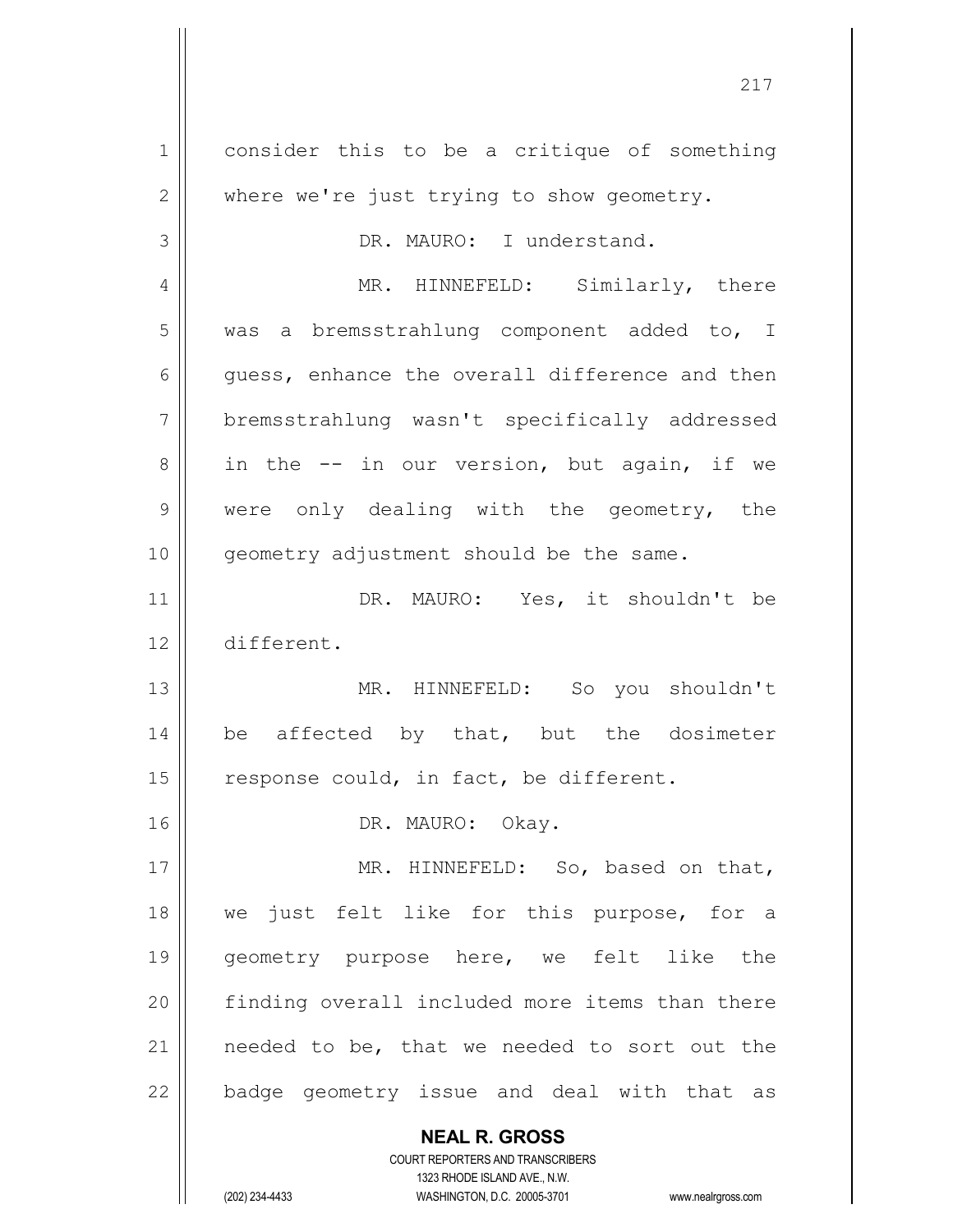**NEAL R. GROSS** COURT REPORTERS AND TRANSCRIBERS 1 | consider this to be a critique of something  $2 \parallel$  where we're just trying to show geometry. 3 | DR. MAURO: I understand. 4 || MR. HINNEFELD: Similarly, there 5 | was a bremsstrahlung component added to, I  $6 \parallel$  quess, enhance the overall difference and then 7 bremsstrahlung wasn't specifically addressed  $8 \parallel$  in the  $-$  in our version, but again, if we 9 were only dealing with the geometry, the 10 || qeometry adjustment should be the same. 11 DR. MAURO: Yes, it shouldn't be 12 different. 13 MR. HINNEFELD: So you shouldn't 14  $\parallel$  be affected by that, but the dosimeter 15  $\parallel$  response could, in fact, be different. 16 || DR. MAURO: Okay. 17 || MR. HINNEFELD: So, based on that, 18 we just felt like for this purpose, for a 19 || geometry purpose here, we felt like the 20 || finding overall included more items than there 21 || needed to be, that we needed to sort out the 22 || badge geometry issue and deal with that as

1323 RHODE ISLAND AVE., N.W.

(202) 234-4433 WASHINGTON, D.C. 20005-3701 www.nealrgross.com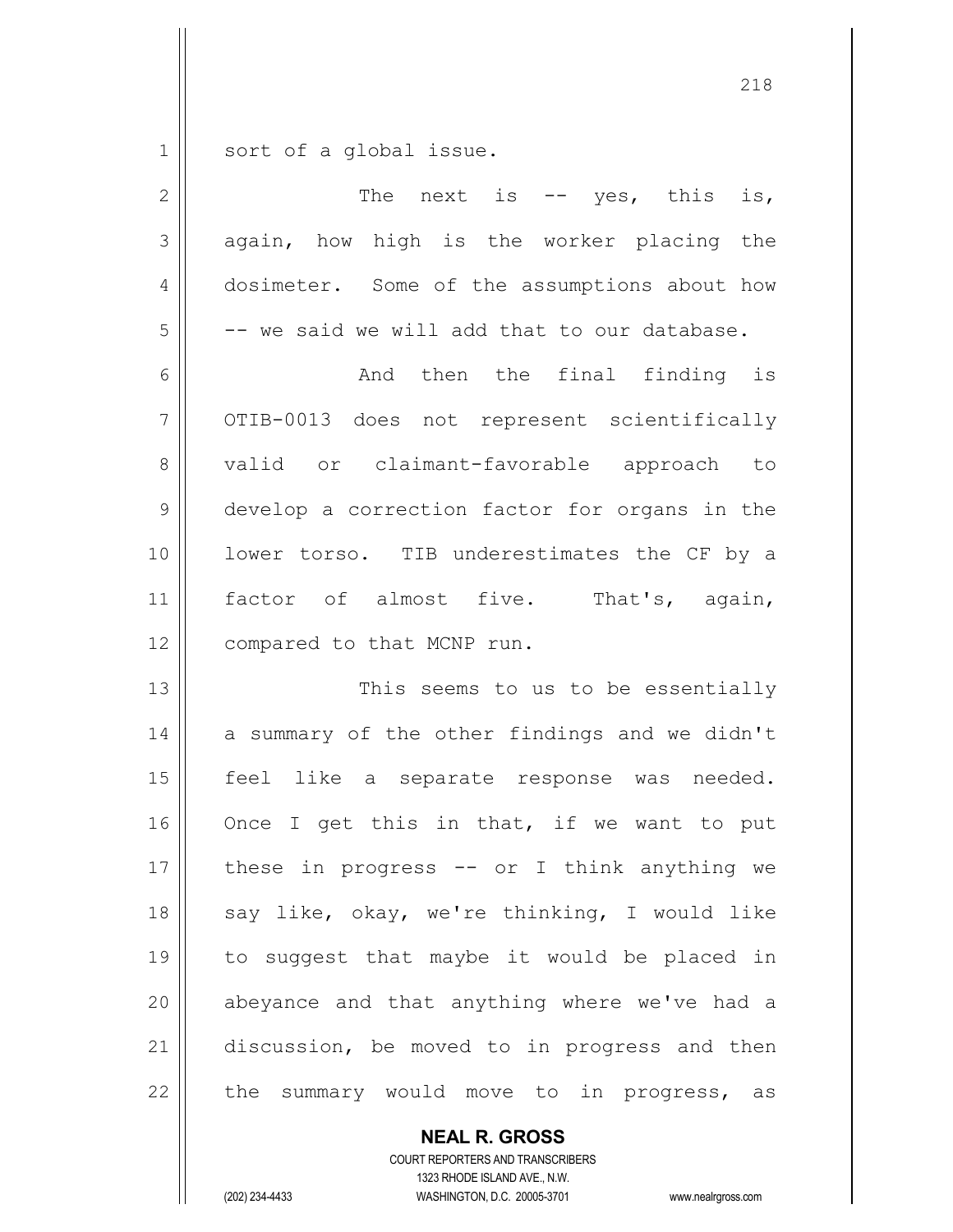$1 \parallel$  sort of a global issue.

| $\mathbf{2}$ | The next is $--$ yes, this<br>is,             |
|--------------|-----------------------------------------------|
| 3            | again, how high is the worker placing the     |
| 4            | dosimeter. Some of the assumptions about how  |
| 5            | -- we said we will add that to our database.  |
| 6            | And then the final finding is                 |
| 7            | OTIB-0013 does not represent scientifically   |
| 8            | valid or claimant-favorable approach to       |
| 9            | develop a correction factor for organs in the |
| 10           | lower torso. TIB underestimates the CF by a   |
| 11           | factor of almost five. That's, again,         |
| 12           | compared to that MCNP run.                    |
| 13           | This seems to us to be essentially            |
| 14           | a summary of the other findings and we didn't |
| 15           | feel like a separate response was needed.     |
| 16           | Once I get this in that, if we want to put    |
| 17           | these in progress -- or I think anything we   |
| 18           | say like, okay, we're thinking, I would like  |
| 19           | to suggest that maybe it would be placed in   |
| 20           | abeyance and that anything where we've had a  |
| 21           | discussion, be moved to in progress and then  |
| 22           | the summary would move to in progress, as     |

**NEAL R. GROSS** COURT REPORTERS AND TRANSCRIBERS

1323 RHODE ISLAND AVE., N.W.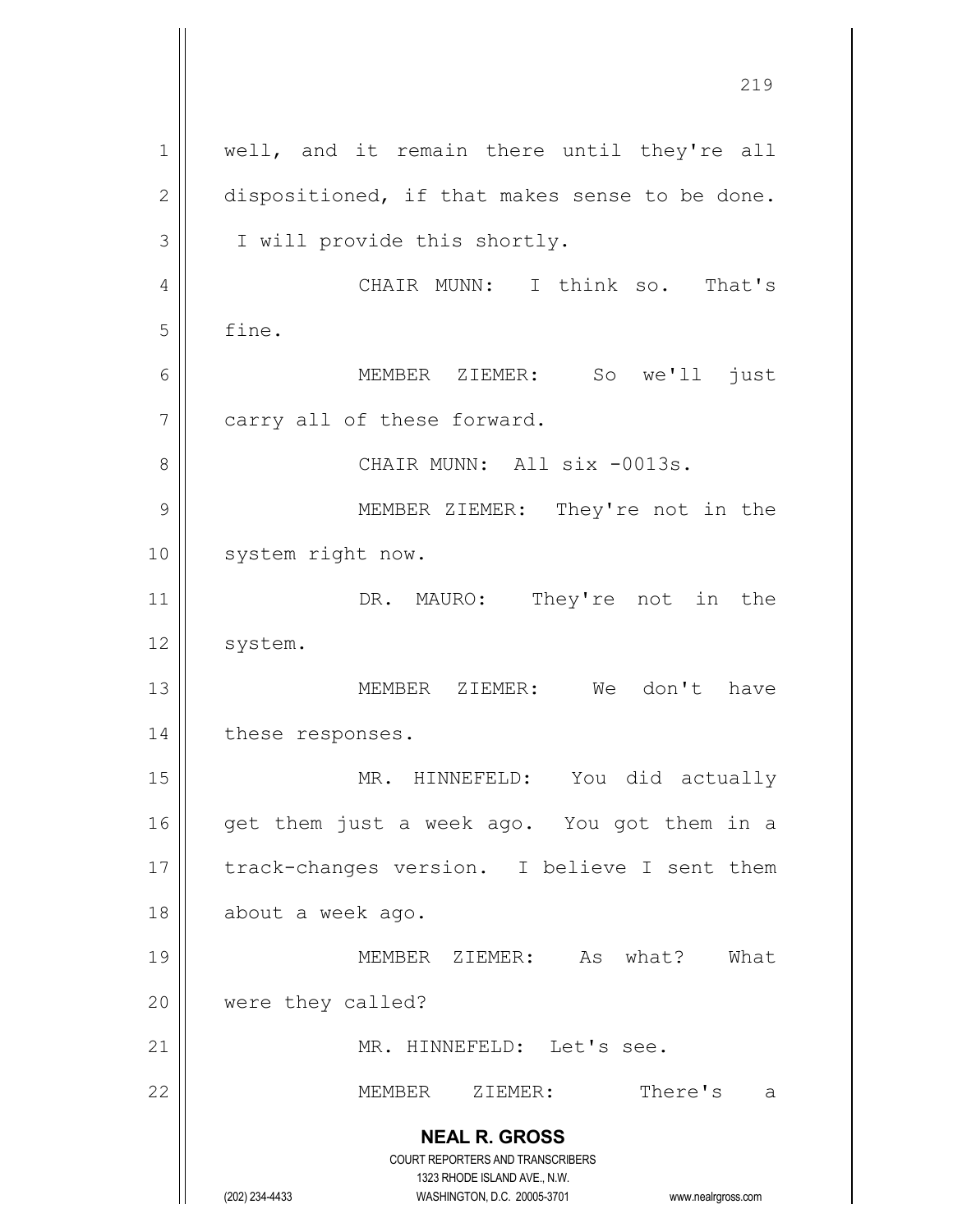**NEAL R. GROSS** COURT REPORTERS AND TRANSCRIBERS 1323 RHODE ISLAND AVE., N.W. (202) 234-4433 WASHINGTON, D.C. 20005-3701 www.nealrgross.com 1 || well, and it remain there until they're all  $2 \parallel$  dispositioned, if that makes sense to be done. 3 | I will provide this shortly. 4 CHAIR MUNN: I think so. That's  $5 \parallel$  fine. 6 MEMBER ZIEMER: So we'll just  $7$  | carry all of these forward. 8 CHAIR MUNN: All six -0013s. 9 || MEMBER ZIEMER: They're not in the 10 || system right now. 11 || DR. MAURO: They're not in the 12 | system. 13 MEMBER ZIEMER: We don't have 14 | these responses. 15 || MR. HINNEFELD: You did actually  $16$  || qet them just a week ago. You got them in a 17 || track-changes version. I believe I sent them 18 | about a week ago. 19 MEMBER ZIEMER: As what? What 20 were they called? 21 || MR. HINNEFELD: Let's see. 22 MEMBER ZIEMER: There's a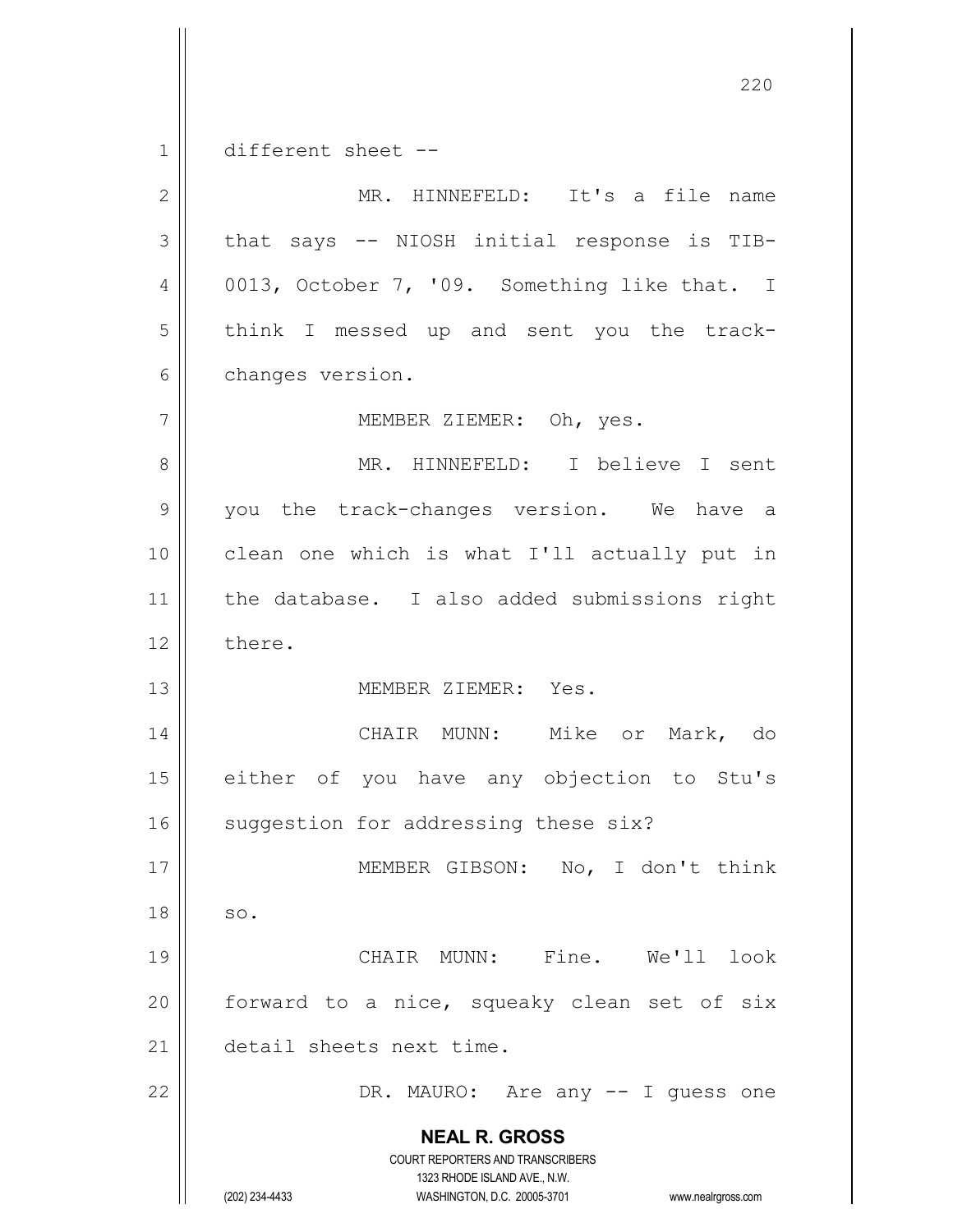**NEAL R. GROSS** COURT REPORTERS AND TRANSCRIBERS 1323 RHODE ISLAND AVE., N.W. 220 1 different sheet --2 MR. HINNEFELD: It's a file name 3 || that says -- NIOSH initial response is TIB-4  $\vert$  0013, October 7, '09. Something like that. I 5 | think I messed up and sent you the track-6 | changes version. 7 || MEMBER ZIEMER: Oh, yes. 8 || MR. HINNEFELD: I believe I sent 9 || you the track-changes version. We have a 10 clean one which is what I'll actually put in 11 || the database. I also added submissions right 12 l there. 13 MEMBER ZIEMER: Yes. 14 CHAIR MUNN: Mike or Mark, do 15 || either of you have any objection to Stu's 16 || suggestion for addressing these six? 17 || MEMBER GIBSON: No, I don't think  $18 \parallel$  so. 19 CHAIR MUNN: Fine. We'll look 20  $\parallel$  forward to a nice, squeaky clean set of six 21 detail sheets next time. 22 DR. MAURO: Are any -- I guess one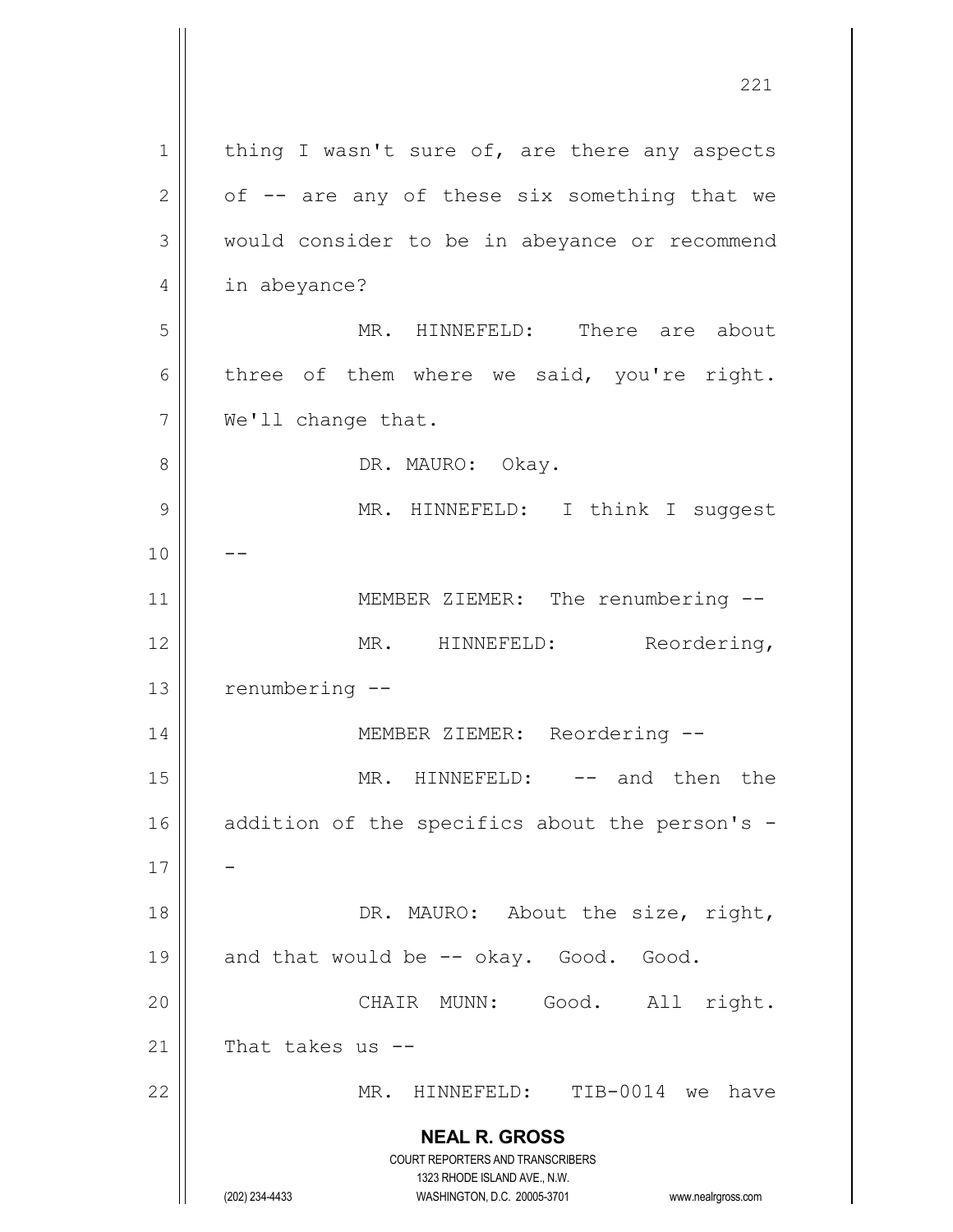**NEAL R. GROSS** COURT REPORTERS AND TRANSCRIBERS 1323 RHODE ISLAND AVE., N.W. (202) 234-4433 WASHINGTON, D.C. 20005-3701 www.nealrgross.com 1 | thing I wasn't sure of, are there any aspects  $2 \parallel$  of  $-$  are any of these six something that we 3 | would consider to be in abeyance or recommend 4 | in abeyance? 5 MR. HINNEFELD: There are about  $6 \parallel$  three of them where we said, you're right. 7 | We'll change that. 8 DR. MAURO: Okay. 9 MR. HINNEFELD: I think I suggest  $10$  ||  $-$ 11 || MEMBER ZIEMER: The renumbering --12 || MR. HINNEFELD: Reordering, 13 | renumbering --14 || MEMBER ZIEMER: Reordering --15 || MR. HINNEFELD: -- and then the 16  $\parallel$  addition of the specifics about the person's -17 18 || DR. MAURO: About the size, right,  $19 \parallel$  and that would be  $-$  okay. Good. Good. 20 CHAIR MUNN: Good. All right. 21  $\parallel$  That takes us --22 MR. HINNEFELD: TIB-0014 we have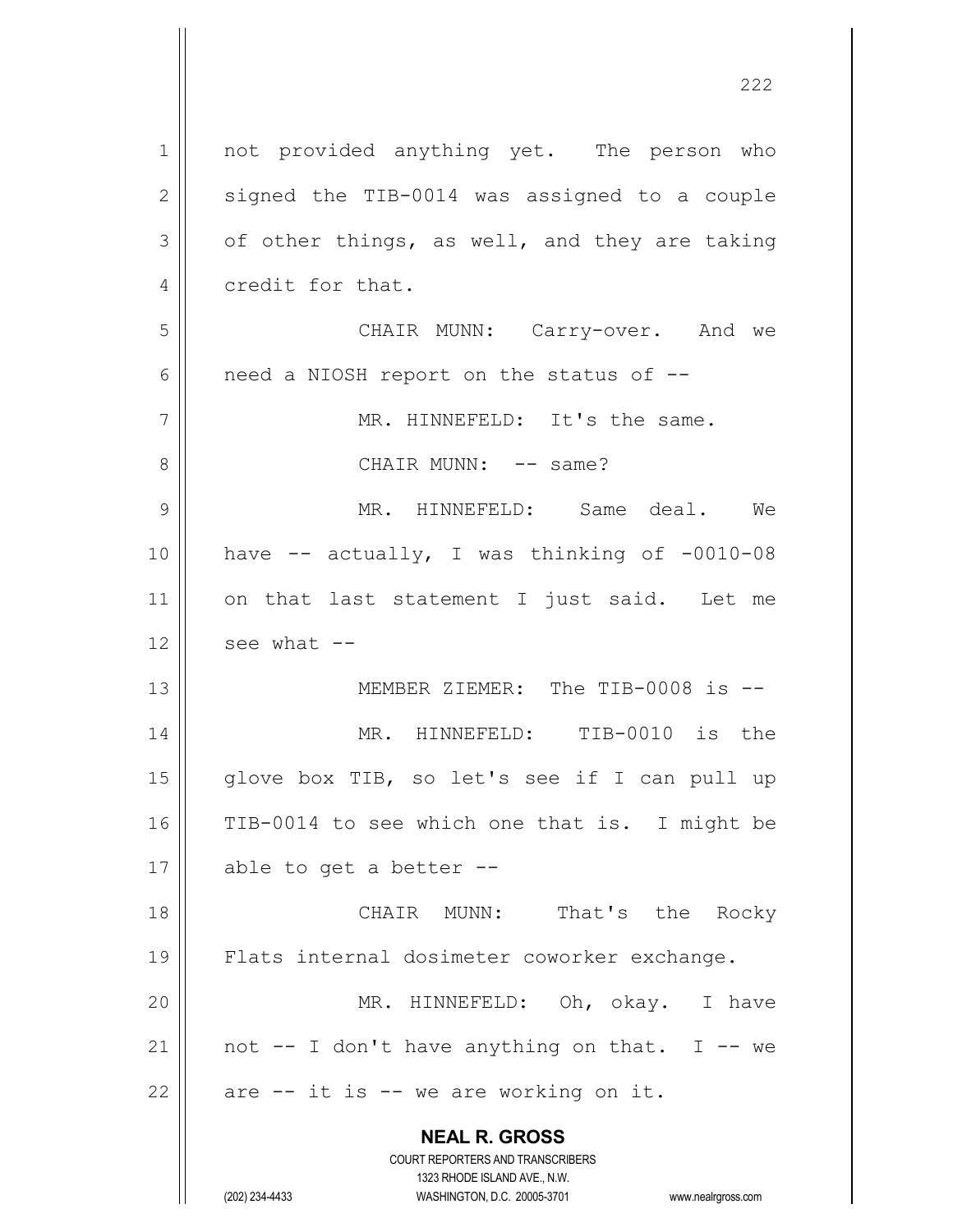**NEAL R. GROSS** COURT REPORTERS AND TRANSCRIBERS 1323 RHODE ISLAND AVE., N.W. (202) 234-4433 WASHINGTON, D.C. 20005-3701 www.nealrgross.com 1 || not provided anything yet. The person who  $2 \parallel$  signed the TIB-0014 was assigned to a couple  $3 \parallel$  of other things, as well, and they are taking 4 credit for that. 5 CHAIR MUNN: Carry-over. And we  $6 \parallel$  need a NIOSH report on the status of  $-$ 7 || MR. HINNEFELD: It's the same. 8 CHAIR MUNN: -- same? 9 MR. HINNEFELD: Same deal. We 10  $\parallel$  have -- actually, I was thinking of -0010-08 11 || on that last statement I just said. Let me  $12$  | see what  $-$ 13 MEMBER ZIEMER: The TIB-0008 is -- 14 MR. HINNEFELD: TIB-0010 is the 15  $\parallel$  glove box TIB, so let's see if I can pull up 16 TIB-0014 to see which one that is. I might be 17  $\parallel$  able to get a better --18 || CHAIR MUNN: That's the Rocky 19 Flats internal dosimeter coworker exchange. 20 MR. HINNEFELD: Oh, okay. I have 21 || not  $-$  I don't have anything on that. I  $-$  we 22  $\parallel$  are -- it is -- we are working on it.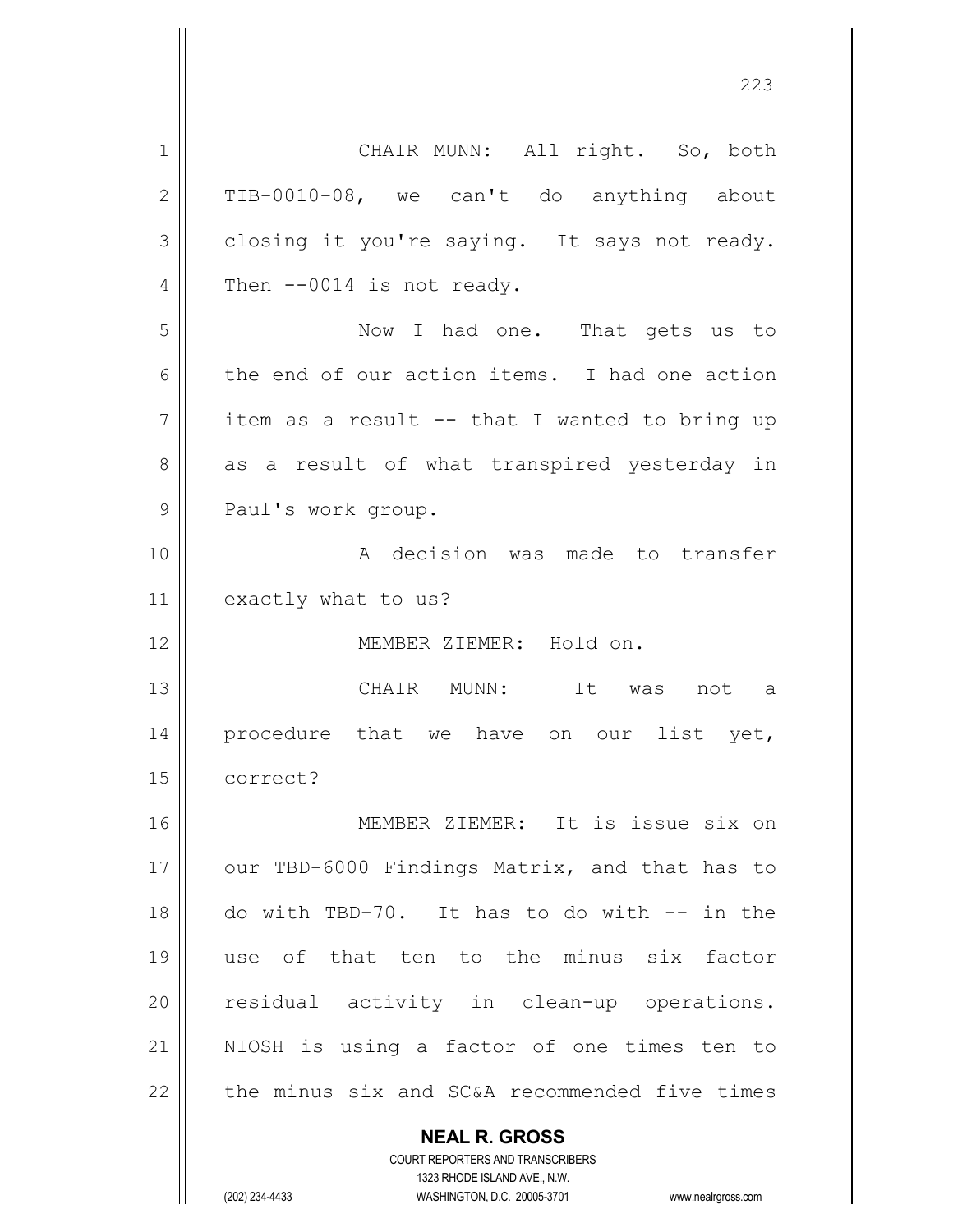**NEAL R. GROSS** 1 || CHAIR MUNN: All right. So, both  $2 \parallel$  TIB-0010-08, we can't do anything about  $3 \parallel$  closing it you're saying. It says not ready.  $4 \parallel$  Then  $-0014$  is not ready. 5 Now I had one. That gets us to 6 the end of our action items. I had one action  $7 \parallel$  item as a result -- that I wanted to bring up 8 as a result of what transpired yesterday in 9 || Paul's work group. 10 || A decision was made to transfer 11 exactly what to us? 12 MEMBER ZIEMER: Hold on. 13 CHAIR MUNN: It was not a 14 || procedure that we have on our list yet, 15 correct? 16 MEMBER ZIEMER: It is issue six on 17 || our TBD-6000 Findings Matrix, and that has to 18 do with TBD-70. It has to do with -- in the 19 use of that ten to the minus six factor 20 || residual activity in clean-up operations. 21 || NIOSH is using a factor of one times ten to  $22$  | the minus six and SC&A recommended five times

> COURT REPORTERS AND TRANSCRIBERS 1323 RHODE ISLAND AVE., N.W.

(202) 234-4433 WASHINGTON, D.C. 20005-3701 www.nealrgross.com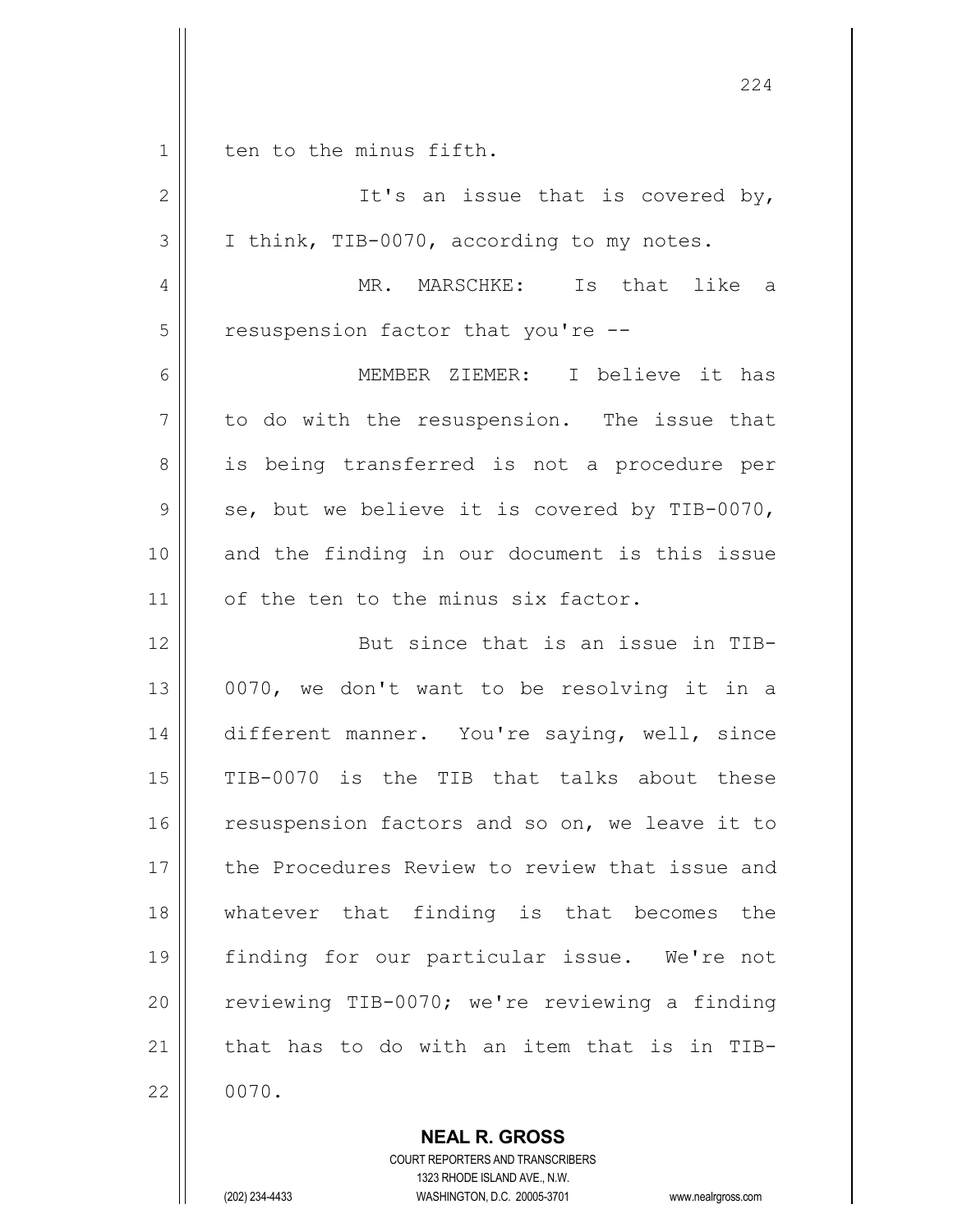|             | 224                                            |
|-------------|------------------------------------------------|
| $\mathbf 1$ | ten to the minus fifth.                        |
| 2           | It's an issue that is covered by,              |
| 3           | I think, TIB-0070, according to my notes.      |
| 4           | MR. MARSCHKE: Is that like a                   |
| 5           | resuspension factor that you're --             |
| 6           | MEMBER ZIEMER: I believe it has                |
| 7           | to do with the resuspension. The issue that    |
| 8           | is being transferred is not a procedure per    |
| 9           | se, but we believe it is covered by TIB-0070,  |
| 10          | and the finding in our document is this issue  |
| 11          | of the ten to the minus six factor.            |
| 12          | But since that is an issue in TIB-             |
| 13          | 0070, we don't want to be resolving it in a    |
| 14          | different manner. You're saying, well, since   |
| 15          | TIB-0070 is the TIB that talks about these     |
| 16          | resuspension factors and so on, we leave it to |
| 17          | the Procedures Review to review that issue and |
| 18          | whatever that finding is that becomes the      |
| 19          | finding for our particular issue. We're not    |
| 20          | reviewing TIB-0070; we're reviewing a finding  |
| 21          | that has to do with an item that is in TIB-    |
| 22          | 0070.                                          |

**NEAL R. GROSS** COURT REPORTERS AND TRANSCRIBERS

1323 RHODE ISLAND AVE., N.W.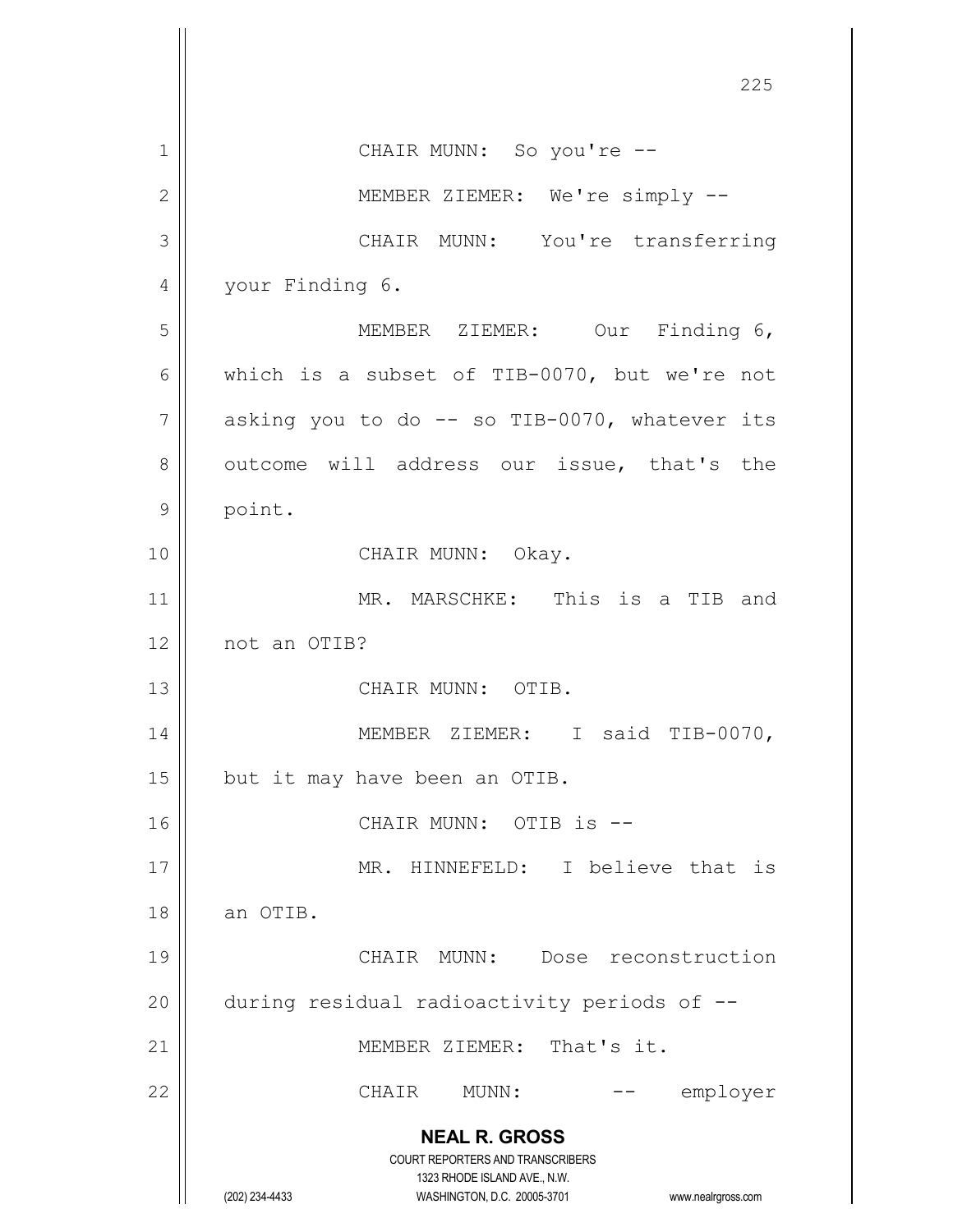|    | 225                                                                                                                                                                    |
|----|------------------------------------------------------------------------------------------------------------------------------------------------------------------------|
| 1  | CHAIR MUNN: So you're --                                                                                                                                               |
| 2  | MEMBER ZIEMER: We're simply --                                                                                                                                         |
| 3  | CHAIR MUNN: You're transferring                                                                                                                                        |
| 4  | your Finding 6.                                                                                                                                                        |
| 5  | MEMBER ZIEMER: Our Finding 6,                                                                                                                                          |
| 6  | which is a subset of TIB-0070, but we're not                                                                                                                           |
| 7  | asking you to do -- so TIB-0070, whatever its                                                                                                                          |
| 8  | outcome will address our issue, that's the                                                                                                                             |
| 9  | point.                                                                                                                                                                 |
| 10 | CHAIR MUNN: Okay.                                                                                                                                                      |
| 11 | MR. MARSCHKE: This is a TIB and                                                                                                                                        |
| 12 | not an OTIB?                                                                                                                                                           |
| 13 | CHAIR MUNN: OTIB.                                                                                                                                                      |
| 14 | MEMBER<br>ZIEMER:<br>I said TIB-0070,                                                                                                                                  |
| 15 | but it may have been an OTIB.                                                                                                                                          |
| 16 | CHAIR MUNN: OTIB is --                                                                                                                                                 |
| 17 | MR. HINNEFELD: I believe that is                                                                                                                                       |
| 18 | an OTIB.                                                                                                                                                               |
| 19 | CHAIR MUNN: Dose reconstruction                                                                                                                                        |
| 20 | during residual radioactivity periods of --                                                                                                                            |
| 21 | MEMBER ZIEMER: That's it.                                                                                                                                              |
| 22 | CHAIR<br>MUNN:<br>employer                                                                                                                                             |
|    | <b>NEAL R. GROSS</b><br><b>COURT REPORTERS AND TRANSCRIBERS</b><br>1323 RHODE ISLAND AVE., N.W.<br>(202) 234-4433<br>WASHINGTON, D.C. 20005-3701<br>www.nealrgross.com |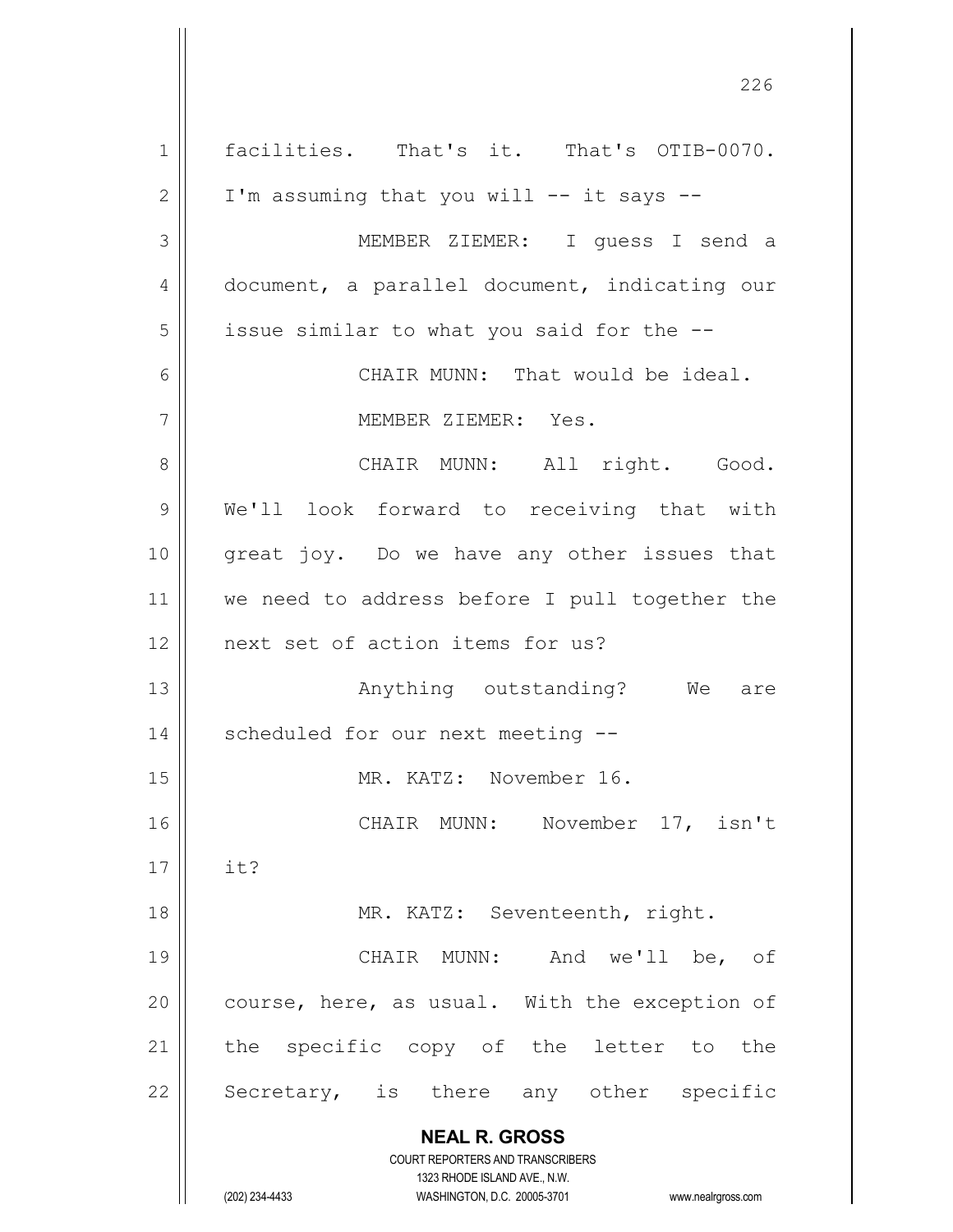**NEAL R. GROSS** COURT REPORTERS AND TRANSCRIBERS 1323 RHODE ISLAND AVE., N.W. (202) 234-4433 WASHINGTON, D.C. 20005-3701 www.nealrgross.com 1 || facilities. That's it. That's OTIB-0070.  $2 \parallel$  I'm assuming that you will -- it says --3 MEMBER ZIEMER: I guess I send a 4 document, a parallel document, indicating our  $5 \parallel$  issue similar to what you said for the  $-$ -6 CHAIR MUNN: That would be ideal. 7 MEMBER ZIEMER: Yes. 8 CHAIR MUNN: All right. Good. 9 | We'll look forward to receiving that with 10 great joy. Do we have any other issues that 11 || we need to address before I pull together the 12 || next set of action items for us? 13 Anything outstanding? We are 14 || scheduled for our next meeting --15 || MR. KATZ: November 16. 16 || CHAIR MUNN: November 17, isn't 17  $\parallel$  it? 18 || MR. KATZ: Seventeenth, right. 19 CHAIR MUNN: And we'll be, of 20  $\parallel$  course, here, as usual. With the exception of 21 || the specific copy of the letter to the 22 || Secretary, is there any other specific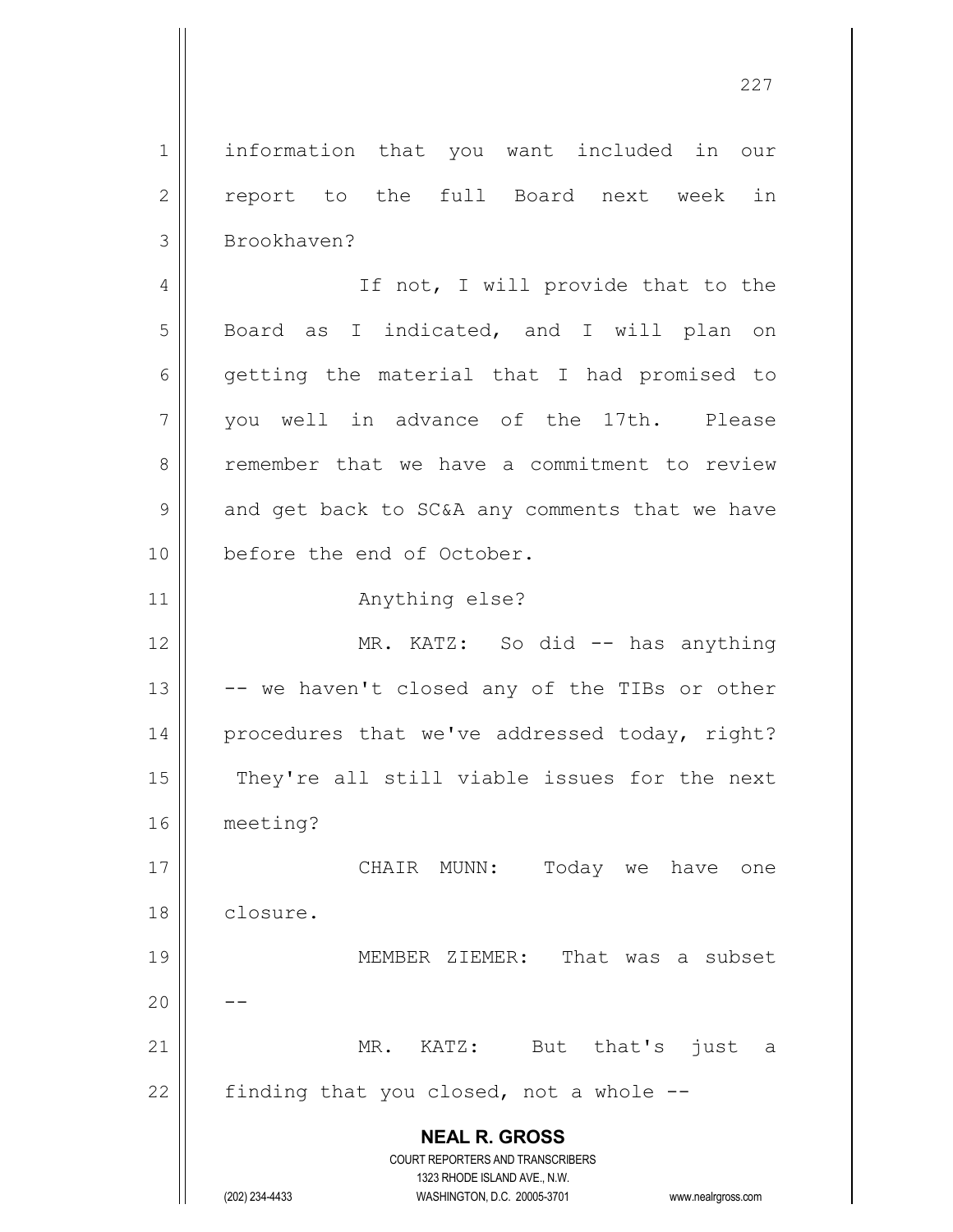**NEAL R. GROSS** COURT REPORTERS AND TRANSCRIBERS 1323 RHODE ISLAND AVE., N.W. 1 || information that you want included in our 2 || report to the full Board next week in 3 | Brookhaven? 4 || If not, I will provide that to the 5 || Board as I indicated, and I will plan on  $6 \parallel$  getting the material that I had promised to 7 you well in advance of the 17th. Please 8 T remember that we have a commitment to review  $9 \parallel$  and get back to SC&A any comments that we have 10 || before the end of October. 11 || **Anything else?** 12 || MR. KATZ: So did -- has anything  $13$   $\vert$  -- we haven't closed any of the TIBs or other 14 || procedures that we've addressed today, right? 15 || They're all still viable issues for the next 16 meeting? 17 CHAIR MUNN: Today we have one 18 closure. 19 MEMBER ZIEMER: That was a subset  $20$ 21 MR. KATZ: But that's just a  $22$  | finding that you closed, not a whole  $-$ 

(202) 234-4433 WASHINGTON, D.C. 20005-3701 www.nealrgross.com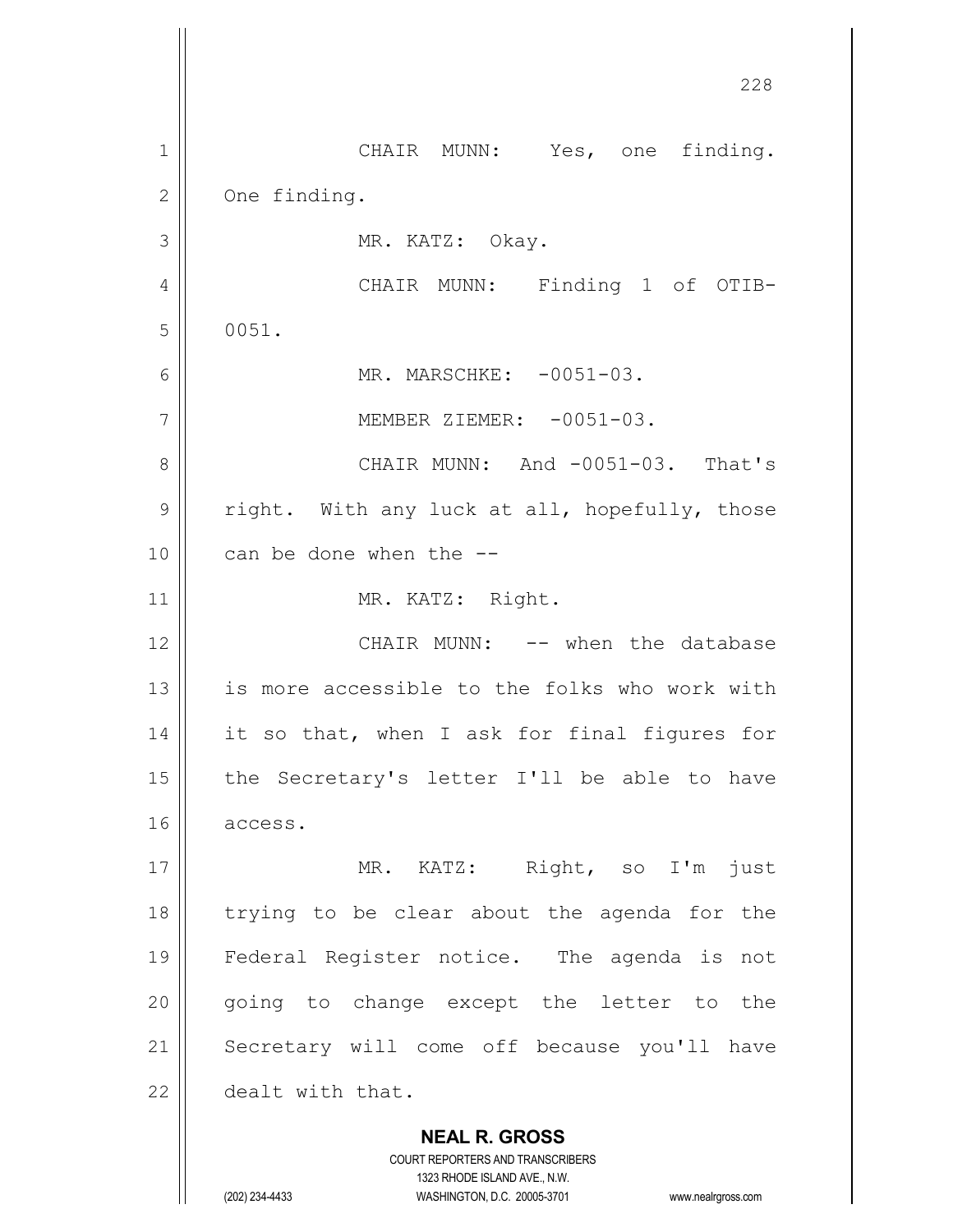**NEAL R. GROSS** COURT REPORTERS AND TRANSCRIBERS 228 1 || CHAIR MUNN: Yes, one finding. 2 | One finding. 3 || MR. KATZ: Okay. 4 CHAIR MUNN: Finding 1 of OTIB- $5 \parallel 0051$ . 6 MR. MARSCHKE: -0051-03. 7 || MEMBER ZIEMER: -0051-03. 8 CHAIR MUNN: And -0051-03. That's  $9 \parallel$  right. With any luck at all, hopefully, those 10 || can be done when the --11 || MR. KATZ: Right. 12 CHAIR MUNN: -- when the database 13 || is more accessible to the folks who work with 14 || it so that, when I ask for final figures for 15 || the Secretary's letter I'll be able to have 16 access. 17 || MR. KATZ: Right, so I'm just 18 trying to be clear about the agenda for the 19 Federal Register notice. The agenda is not 20 || going to change except the letter to the 21 || Secretary will come off because you'll have 22 dealt with that.

1323 RHODE ISLAND AVE., N.W.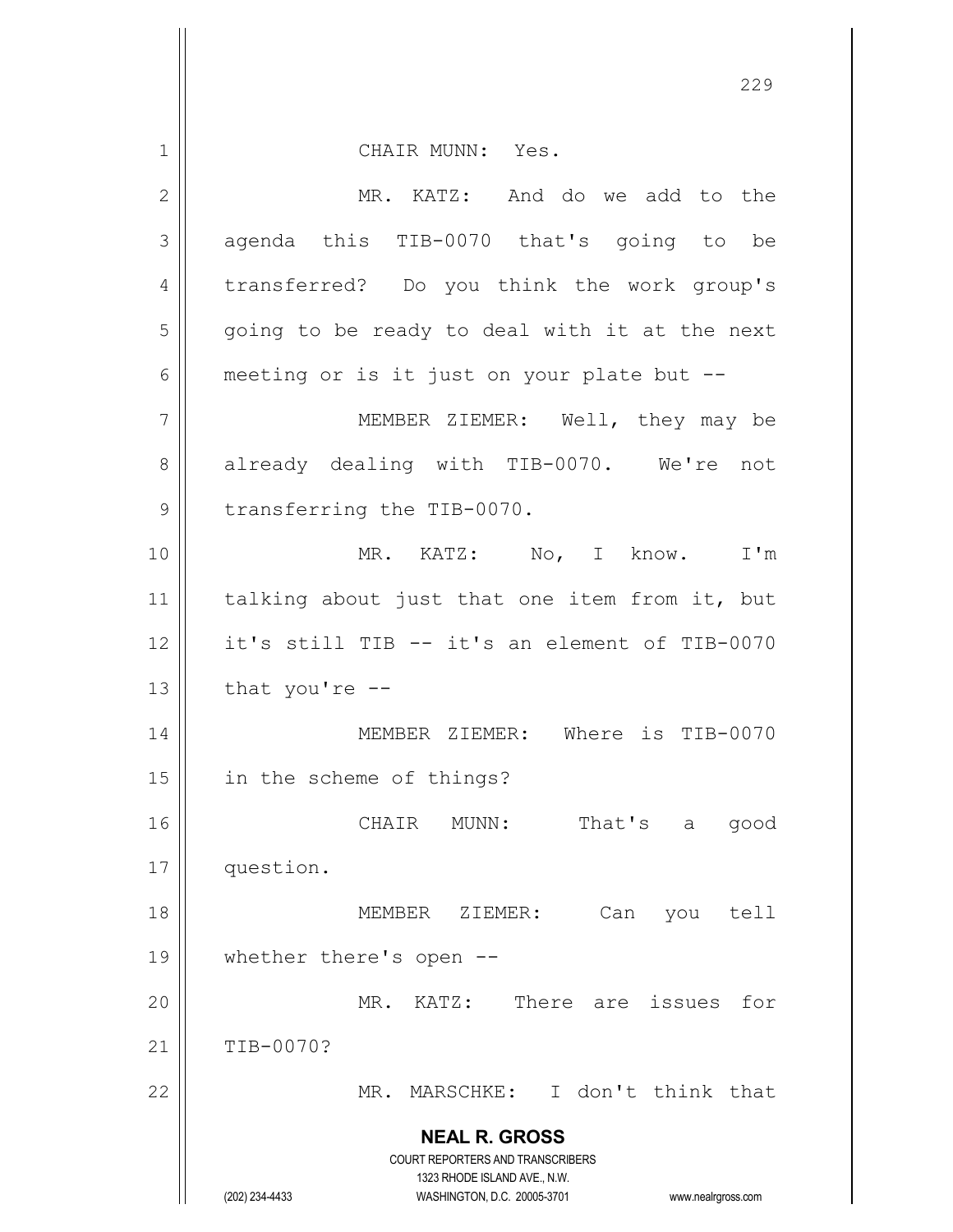**NEAL R. GROSS** COURT REPORTERS AND TRANSCRIBERS 1323 RHODE ISLAND AVE., N.W. (202) 234-4433 WASHINGTON, D.C. 20005-3701 www.nealrgross.com 1 || CHAIR MUNN: Yes. 2 MR. KATZ: And do we add to the 3 agenda this TIB-0070 that's going to be 4 || transferred? Do you think the work group's  $5 \parallel$  going to be ready to deal with it at the next  $6 \parallel$  meeting or is it just on your plate but --7 MEMBER ZIEMER: Well, they may be 8 already dealing with TIB-0070. We're not 9 | transferring the TIB-0070. 10 MR. KATZ: No, I know. I'm 11 || talking about just that one item from it, but 12 it's still TIB -- it's an element of TIB-0070  $13$  | that you're  $-$ 14 MEMBER ZIEMER: Where is TIB-0070 15 in the scheme of things? 16 CHAIR MUNN: That's a good 17 question. 18 MEMBER ZIEMER: Can you tell 19 whether there's open -- 20 MR. KATZ: There are issues for 21 TIB-0070? 22 MR. MARSCHKE: I don't think that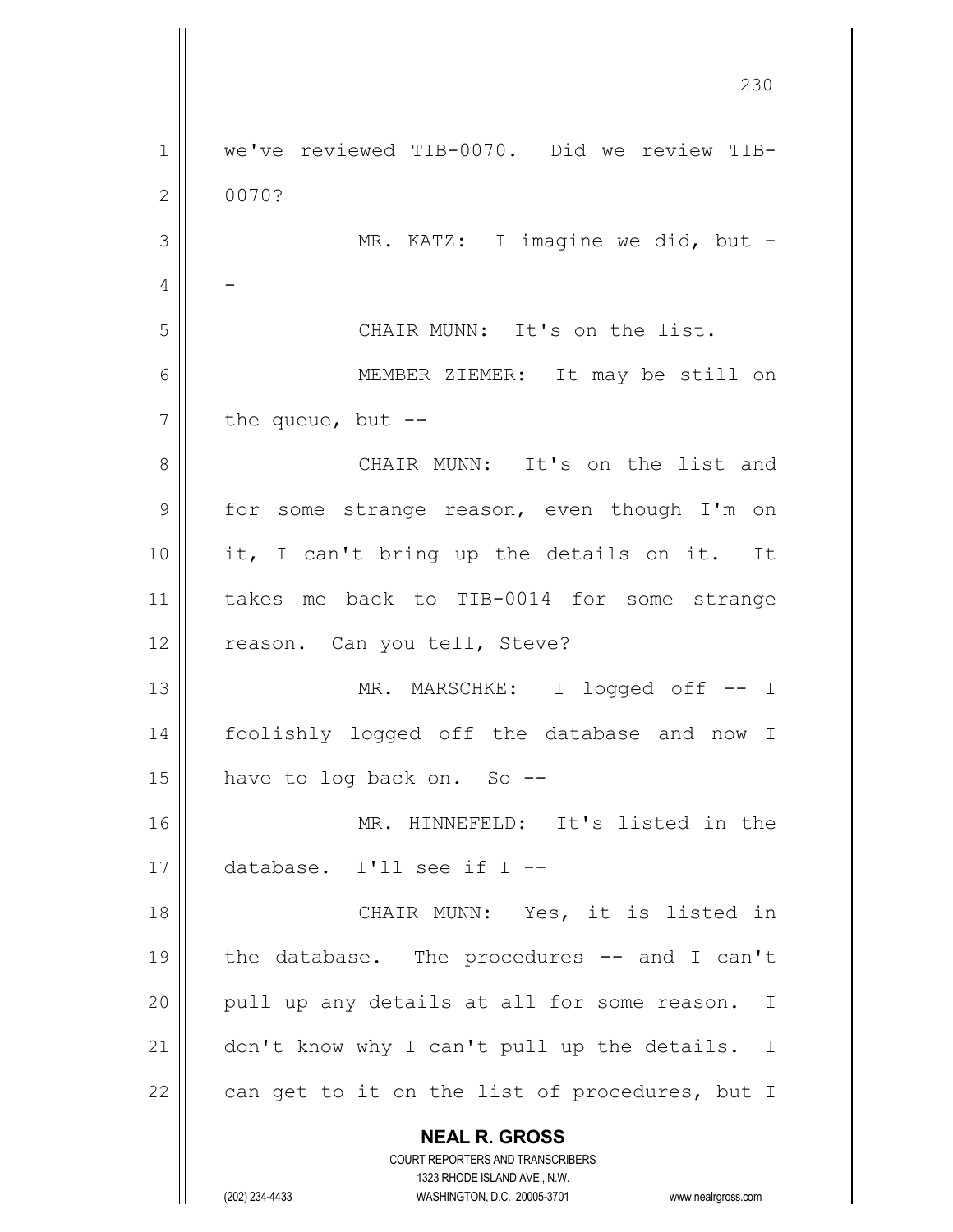**NEAL R. GROSS** COURT REPORTERS AND TRANSCRIBERS 1323 RHODE ISLAND AVE., N.W. (202) 234-4433 WASHINGTON, D.C. 20005-3701 www.nealrgross.com 230 1 we've reviewed TIB-0070. Did we review TIB-2 0070? 3 || MR. KATZ: I imagine we did, but - $4 \parallel -$ 5 CHAIR MUNN: It's on the list. 6 MEMBER ZIEMER: It may be still on  $7 \parallel$  the queue, but --8 CHAIR MUNN: It's on the list and 9 | for some strange reason, even though I'm on 10 it, I can't bring up the details on it. It 11 takes me back to TIB-0014 for some strange 12 || reason. Can you tell, Steve? 13 MR. MARSCHKE: I logged off -- I 14 foolishly logged off the database and now I  $15$  | have to log back on. So --16 MR. HINNEFELD: It's listed in the 17 database. I'll see if I -- 18 || CHAIR MUNN: Yes, it is listed in 19 the database. The procedures -- and I can't  $20$  || pull up any details at all for some reason. I 21 | don't know why I can't pull up the details. I 22  $\parallel$  can get to it on the list of procedures, but I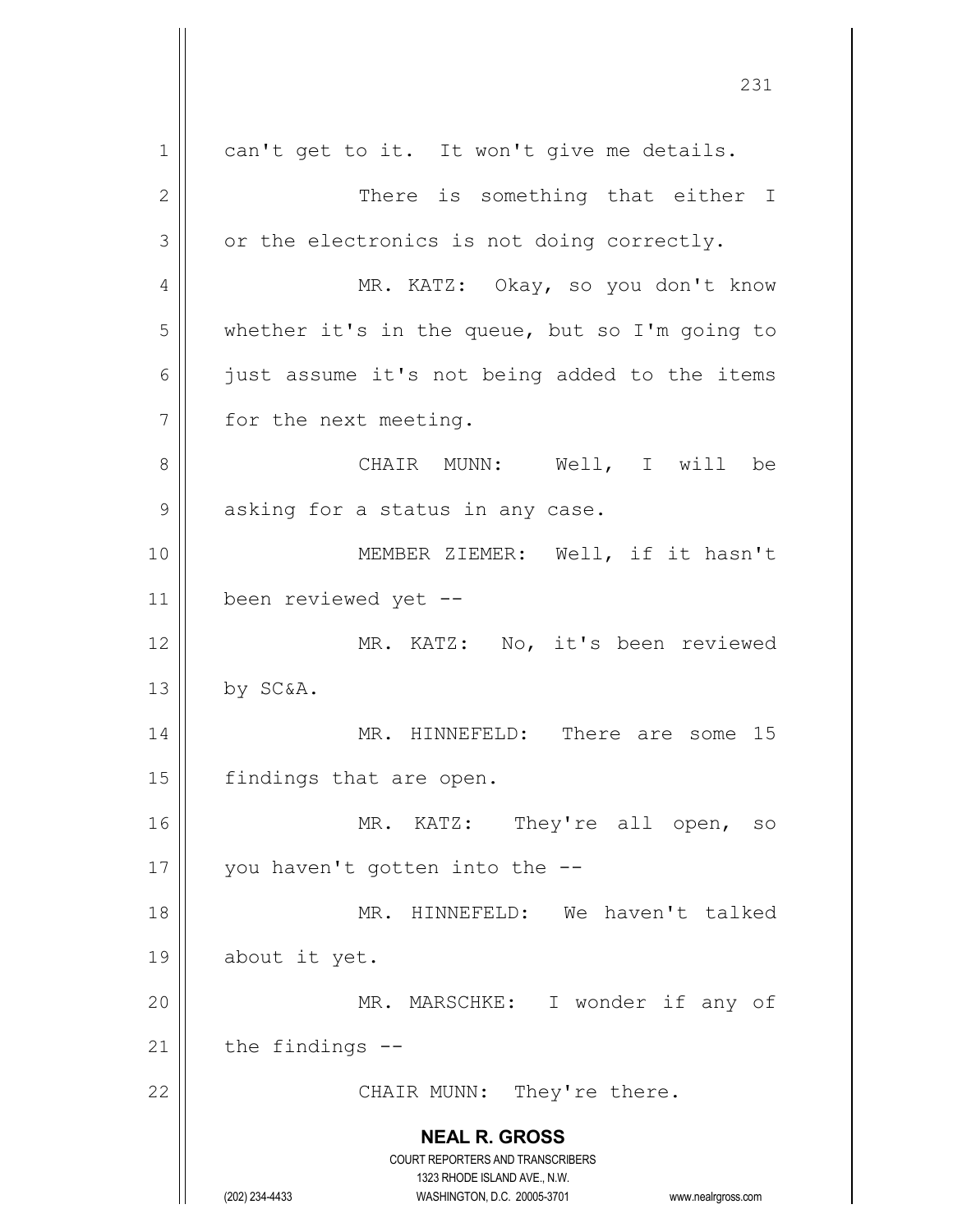**NEAL R. GROSS** COURT REPORTERS AND TRANSCRIBERS 1323 RHODE ISLAND AVE., N.W. (202) 234-4433 WASHINGTON, D.C. 20005-3701 www.nealrgross.com 1 || can't get to it. It won't give me details. 2 || There is something that either I  $3 \parallel$  or the electronics is not doing correctly. 4 MR. KATZ: Okay, so you don't know 5 whether it's in the queue, but so I'm going to 6 || just assume it's not being added to the items 7 | for the next meeting. 8 CHAIR MUNN: Well, I will be 9 || asking for a status in any case. 10 MEMBER ZIEMER: Well, if it hasn't 11 been reviewed yet -- 12 || MR. KATZ: No, it's been reviewed  $13$  by SC&A. 14 MR. HINNEFELD: There are some 15 15 | findings that are open. 16 || MR. KATZ: They're all open, so 17 || you haven't gotten into the  $-$ -18 MR. HINNEFELD: We haven't talked 19 about it yet. 20 MR. MARSCHKE: I wonder if any of  $21$  | the findings  $-$ 22 || CHAIR MUNN: They're there.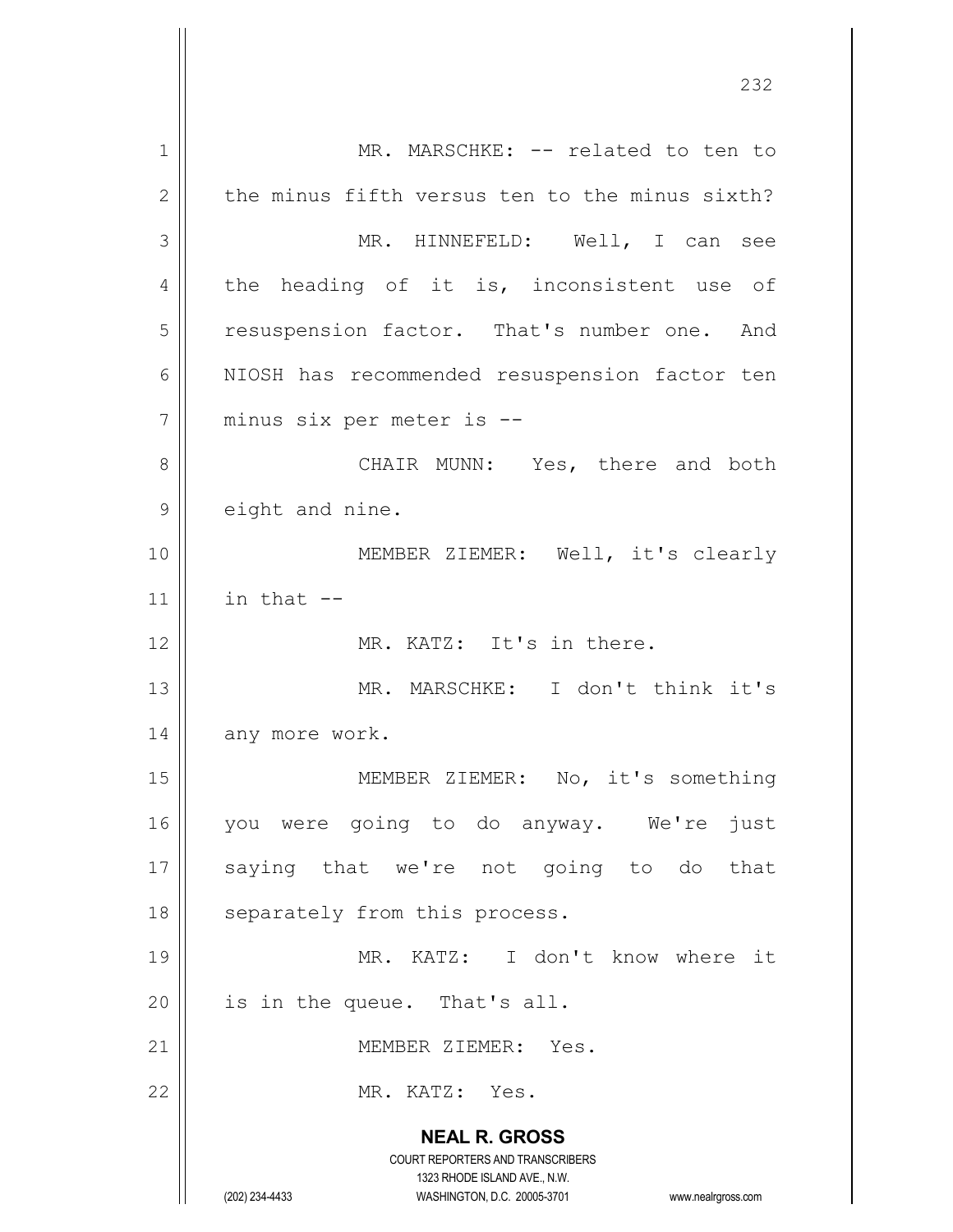**NEAL R. GROSS** COURT REPORTERS AND TRANSCRIBERS 1323 RHODE ISLAND AVE., N.W. (202) 234-4433 WASHINGTON, D.C. 20005-3701 www.nealrgross.com 1 | MR. MARSCHKE: -- related to ten to  $2 \parallel$  the minus fifth versus ten to the minus sixth? 3 MR. HINNEFELD: Well, I can see  $4 \parallel$  the heading of it is, inconsistent use of 5 | resuspension factor. That's number one. And 6 || NIOSH has recommended resuspension factor ten 7 minus six per meter is -- 8 || CHAIR MUNN: Yes, there and both 9 | eight and nine. 10 || MEMBER ZIEMER: Well, it's clearly 11  $\parallel$  in that  $-$ 12 MR. KATZ: It's in there. 13 MR. MARSCHKE: I don't think it's 14 | any more work. 15 || MEMBER ZIEMER: No, it's something 16 you were going to do anyway. We're just 17 || saying that we're not going to do that 18 || separately from this process. 19 MR. KATZ: I don't know where it  $20$  | is in the queue. That's all. 21 | MEMBER ZIEMER: Yes. 22 MR. KATZ: Yes.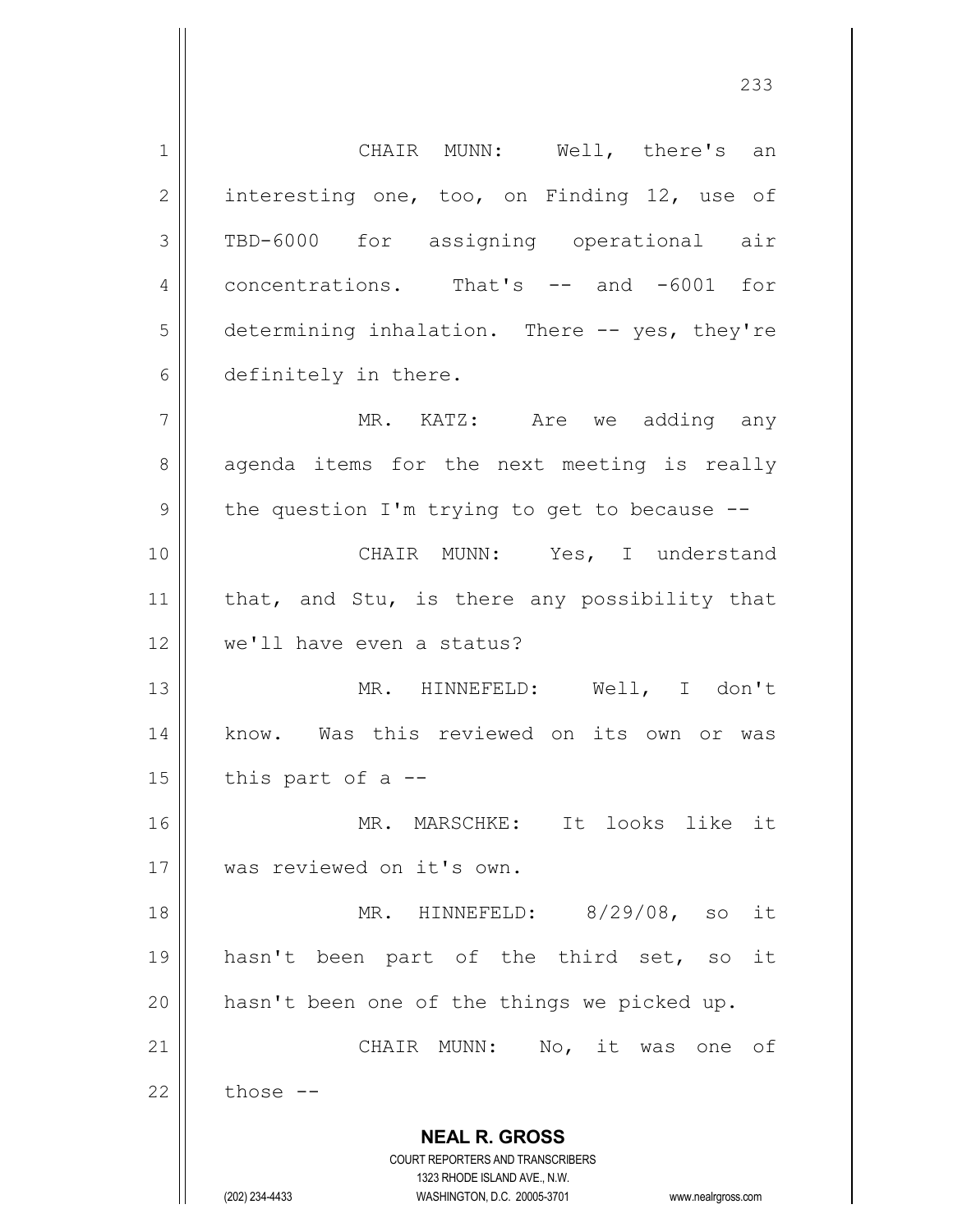**NEAL R. GROSS** COURT REPORTERS AND TRANSCRIBERS 1323 RHODE ISLAND AVE., N.W. (202) 234-4433 WASHINGTON, D.C. 20005-3701 www.nealrgross.com 1 || CHAIR MUNN: Well, there's an 2 || interesting one, too, on Finding 12, use of 3 TBD-6000 for assigning operational air 4 | concentrations. That's -- and -6001 for 5 determining inhalation. There -- yes, they're 6 definitely in there. 7 MR. KATZ: Are we adding any 8 agenda items for the next meeting is really  $9 \parallel$  the question I'm trying to get to because  $-$ -10 CHAIR MUNN: Yes, I understand 11  $\parallel$  that, and Stu, is there any possibility that 12 we'll have even a status? 13 MR. HINNEFELD: Well, I don't 14 || know. Was this reviewed on its own or was  $15$  | this part of a  $-$ 16 MR. MARSCHKE: It looks like it 17 was reviewed on it's own. 18 MR. HINNEFELD: 8/29/08, so it 19 || hasn't been part of the third set, so it 20  $\parallel$  hasn't been one of the things we picked up. 21 || CHAIR MUNN: No, it was one of  $22 \parallel$  those  $-$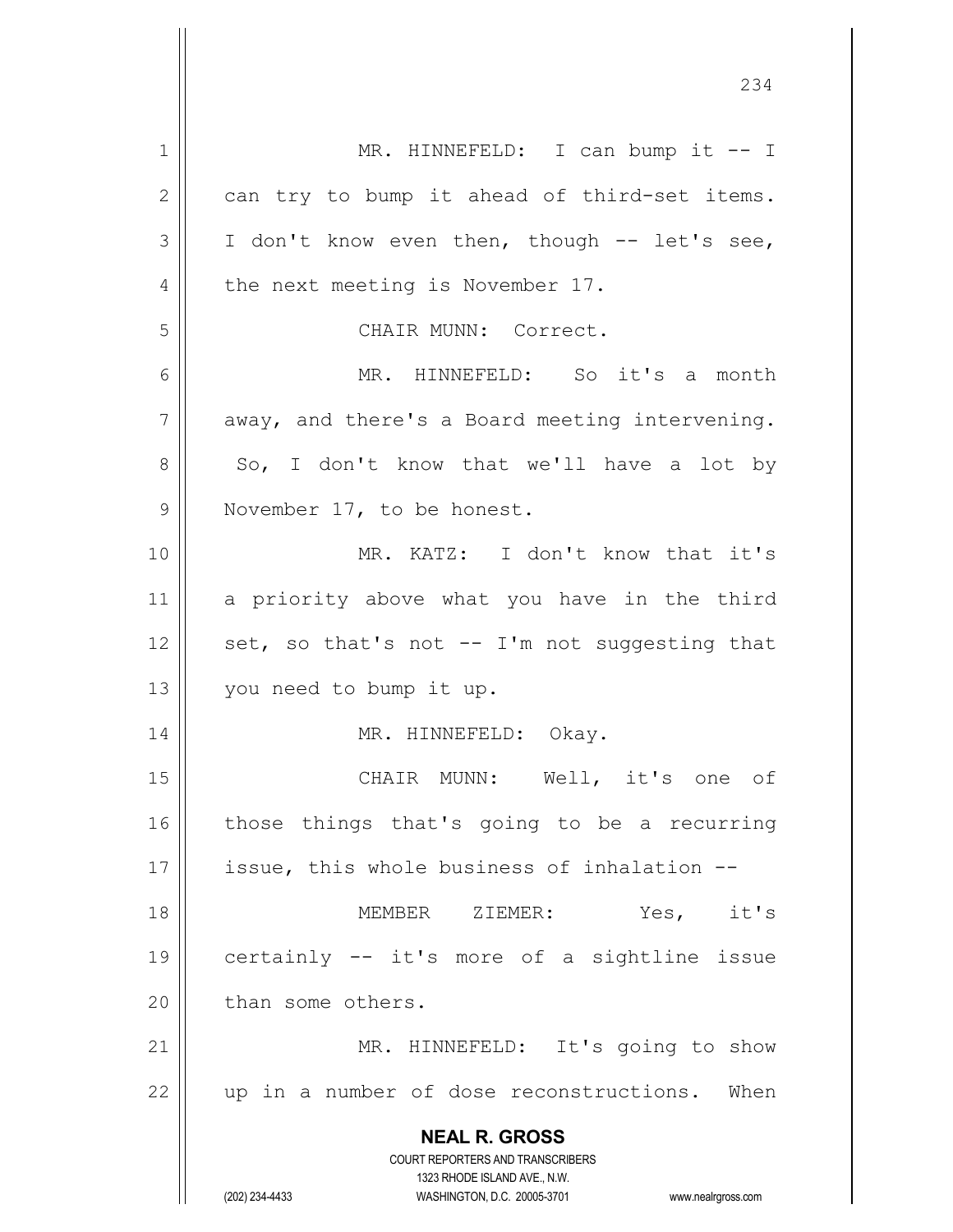**NEAL R. GROSS** COURT REPORTERS AND TRANSCRIBERS 1323 RHODE ISLAND AVE., N.W. (202) 234-4433 WASHINGTON, D.C. 20005-3701 www.nealrgross.com 1 || MR. HINNEFELD: I can bump it -- I  $2 \parallel$  can try to bump it ahead of third-set items.  $3 \parallel$  I don't know even then, though -- let's see, 4 || the next meeting is November 17. 5 CHAIR MUNN: Correct. 6 MR. HINNEFELD: So it's a month  $7 \parallel$  away, and there's a Board meeting intervening.  $8 \parallel$  So, I don't know that we'll have a lot by 9 || November 17, to be honest. 10 MR. KATZ: I don't know that it's 11 a priority above what you have in the third 12  $\parallel$  set, so that's not -- I'm not suggesting that 13 you need to bump it up. 14 || MR. HINNEFELD: Okay. 15 || CHAIR MUNN: Well, it's one of 16 || those things that's going to be a recurring 17 || issue, this whole business of inhalation --18 MEMBER ZIEMER: Yes, it's 19 certainly -- it's more of a sightline issue 20 l than some others. 21 || MR. HINNEFELD: It's going to show  $22$  || up in a number of dose reconstructions. When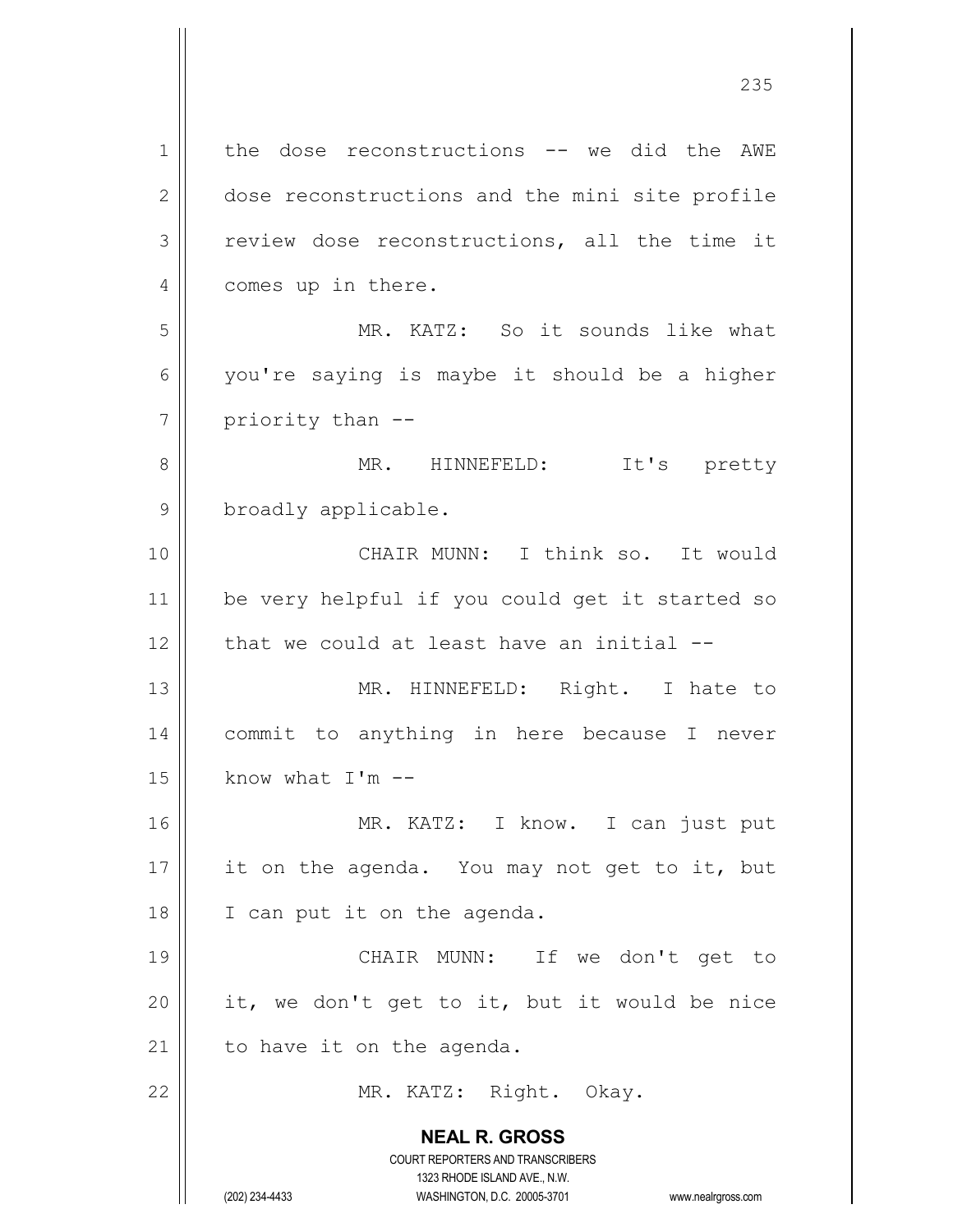**NEAL R. GROSS** COURT REPORTERS AND TRANSCRIBERS 1323 RHODE ISLAND AVE., N.W. (202) 234-4433 WASHINGTON, D.C. 20005-3701 www.nealrgross.com 1 | the dose reconstructions -- we did the AWE 2 dose reconstructions and the mini site profile 3 review dose reconstructions, all the time it 4 | comes up in there. 5 MR. KATZ: So it sounds like what  $6 \parallel$  you're saying is maybe it should be a higher  $7 \parallel$  priority than  $-$ 8 || MR. HINNEFELD: It's pretty 9 | broadly applicable. 10 CHAIR MUNN: I think so. It would 11 be very helpful if you could get it started so  $12$  | that we could at least have an initial  $-$ 13 || MR. HINNEFELD: Right. I hate to 14 commit to anything in here because I never  $15$  | know what I'm  $-$ 16 MR. KATZ: I know. I can just put 17  $\parallel$  it on the agenda. You may not get to it, but 18 || I can put it on the agenda. 19 || CHAIR MUNN: If we don't get to 20  $\parallel$  it, we don't get to it, but it would be nice  $21$  to have it on the agenda. 22 || MR. KATZ: Right. Okay.